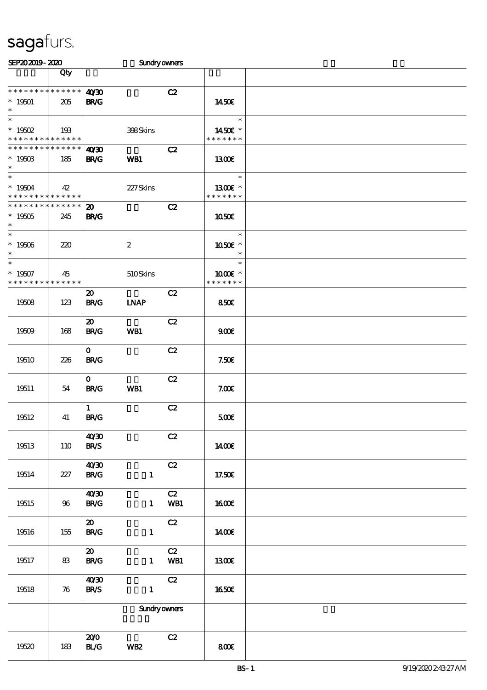| SEP202019-2020                                                |                   |                                            | <b>Sundryowners</b> |           |                                    |  |
|---------------------------------------------------------------|-------------------|--------------------------------------------|---------------------|-----------|------------------------------------|--|
|                                                               | Qty               |                                            |                     |           |                                    |  |
| * * * * * * * * * * * * * *<br>$* 19501$<br>$\ast$            | 205               | 40'30<br><b>BR/G</b>                       |                     | C2        | 1450E                              |  |
| $\overline{\ast}$<br>$* 19502$<br>* * * * * * * * * * * * * * | 193               |                                            | 398Skins            |           | $\ast$<br>1450E *<br>* * * * * * * |  |
| * * * * * * * * * * * * * *<br>$*1950B$<br>$\ast$             | 185               | 40'30<br><b>BR/G</b>                       | WB1                 | C2        | 1300E                              |  |
| $\overline{\ast}$<br>$* 19504$<br>* * * * * * * * * * * * * * | 42                |                                            | 227Skins            |           | $\ast$<br>1300E *<br>* * * * * * * |  |
| * * * * * * * * * * * * * *<br>$^*$ 19505<br>$\ast$           | 245               | $\boldsymbol{\mathfrak{D}}$<br><b>BR/G</b> |                     | C2        | <b>1050€</b>                       |  |
| $\overline{\ast}$<br>$^\ast$ 19506<br>$\ast$                  | 220               |                                            | $\boldsymbol{2}$    |           | $\ast$<br>1050E *<br>$\ast$        |  |
| $\ast$<br>$* 19507$<br>* * * * * * * *                        | 45<br>* * * * * * |                                            | 510Skins            |           | $\ast$<br>1000 £*<br>* * * * * * * |  |
| 19508                                                         | 123               | $\boldsymbol{\mathfrak{D}}$<br><b>BR/G</b> | <b>INAP</b>         | C2        | <b>850€</b>                        |  |
| 19509                                                         | 168               | $\boldsymbol{\mathfrak{D}}$<br><b>BR/G</b> | WB1                 | C2        | 900E                               |  |
| 19510                                                         | 226               | $\mathbf{O}$<br><b>BR/G</b>                |                     | C2        | 7.50E                              |  |
| 19511                                                         | 54                | $\mathbf{O}$<br><b>BR/G</b>                | WB1                 | C2        | 7.00E                              |  |
| 19512                                                         | 41                | $\mathbf{1}$<br><b>BR/G</b>                |                     | C2        | 500E                               |  |
| 19513                                                         | <b>110</b>        | 40'30<br><b>BR/S</b>                       |                     | C2        | <b>140€</b>                        |  |
| 19514                                                         | 227               | 40'30<br><b>BR/G</b>                       | $\mathbf{1}$        | C2        | 17.50€                             |  |
| 19515                                                         | 96                | 40'30<br><b>BR/G</b>                       | $\mathbf{1}$        | C2<br>WB1 | <b>1600€</b>                       |  |
| 19516                                                         | 155               | $\boldsymbol{\mathfrak{D}}$<br><b>BR/G</b> | $\mathbf{1}$        | C2        | 1400€                              |  |
| 19517                                                         | 83                | $\boldsymbol{\mathfrak{D}}$<br><b>BR/G</b> | $\mathbf{1}$        | C2<br>WB1 | 1300E                              |  |
| 19518                                                         | 76                | 40'30<br><b>BR/S</b>                       | $\mathbf{1}$        | C2        | <b>1650€</b>                       |  |
|                                                               |                   |                                            | <b>Sundryowners</b> |           |                                    |  |
| 19520                                                         | 183               | 200<br><b>BL/G</b>                         | <b>WB2</b>          | C2        | 800E                               |  |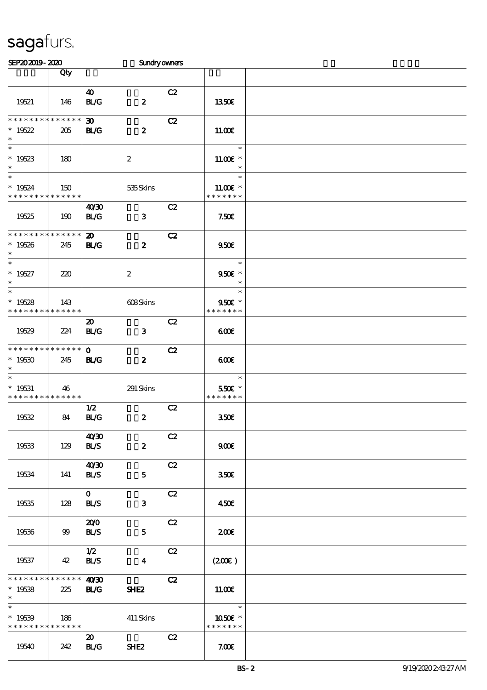| SEP202019-2020                                                |                                   |                                            | <b>Sundryowners</b> |    |                                       |  |
|---------------------------------------------------------------|-----------------------------------|--------------------------------------------|---------------------|----|---------------------------------------|--|
|                                                               | Qty                               |                                            |                     |    |                                       |  |
| 19521                                                         | 146                               | 40<br><b>BL/G</b>                          | $\pmb{2}$           | C2 | <b>1350€</b>                          |  |
| * * * * * * * * * * * * * *<br>$*19522$<br>$\ast$             | 205                               | $\boldsymbol{\mathfrak{D}}$<br><b>BL/G</b> | $\boldsymbol{z}$    | C2 | 11.00E                                |  |
| $\overline{\phantom{0}}$<br>$*19523$<br>$\ast$                | 180                               |                                            | $\boldsymbol{2}$    |    | $\ast$<br>11.00 £*<br>$\ast$          |  |
| $\overline{\ast}$<br>$* 19524$<br>* * * * * * * * * * * * * * | 150                               |                                            | 535Skins            |    | $\ast$<br>$11.00E$ *<br>* * * * * * * |  |
| 19525                                                         | 190                               | 40'30<br><b>BL/G</b>                       | $\mathbf{3}$        | C2 | 7.50E                                 |  |
| * * * * * * * * * * * * * *<br>$* 19526$<br>$\ast$            | 245                               | $\boldsymbol{\mathsf{20}}$<br><b>BL/G</b>  | $\boldsymbol{z}$    | C2 | 950E                                  |  |
| $\overline{\ast}$<br>$* 19527$<br>$\ast$                      | 220                               |                                            | $\boldsymbol{2}$    |    | $\ast$<br>950€ *<br>$\ast$            |  |
| $\overline{\ast}$<br>$*19528$<br>* * * * * * * * * * * * * *  | 143                               |                                            | 608Skins            |    | $\ast$<br>950€ *<br>* * * * * * *     |  |
| 19529                                                         | 224                               | $\boldsymbol{\mathfrak{D}}$<br>BLG         | $\mathbf{3}$        | C2 | 600                                   |  |
| * * * * * * * *<br>$*19530$<br>$\ast$                         | $\ast\ast\ast\ast\ast\ast$<br>245 | $\mathbf{o}$<br><b>BL/G</b>                | $\boldsymbol{z}$    | C2 | 600                                   |  |
| $\ast$<br>$* 19531$<br>* * * * * * * * * * * * * *            | 46                                |                                            | 291 Skins           |    | $\ast$<br>550€ *<br>* * * * * * *     |  |
| 19532                                                         | 84                                | 1/2<br>BLG                                 | $\boldsymbol{z}$    | C2 | 350 <sup>2</sup>                      |  |
| 19533                                                         | 129                               | 40'30<br><b>BL/S</b>                       | $\boldsymbol{2}$    | C2 | 900                                   |  |
| 19534                                                         | 141                               | 40'30<br><b>BLS</b>                        | $\mathbf{5}$        | C2 | 350 <sup>2</sup>                      |  |
| 19535                                                         | 128                               | $\mathbf{0}$<br><b>BL/S</b>                | $\mathbf{3}$        | C2 | 450E                                  |  |
| 19536                                                         | 99                                | 200<br><b>BL/S</b>                         | $\mathbf{5}$        | C2 | 200E                                  |  |
| 19537                                                         | 42                                | 1/2<br><b>BLS</b>                          | $\boldsymbol{4}$    | C2 | $(200\varepsilon)$                    |  |
| * * * * * * * * * * * * * * *<br>$* 19538$<br>$\ast$          | 225                               | 40'30<br><b>BL/G</b>                       | SHE <sub>2</sub>    | C2 | 1100E                                 |  |
| $\ast$<br>$* 19539$<br>* * * * * * * *                        | 186<br>* * * * * *                |                                            | 411 Skins           |    | $\ast$<br>1050E *<br>* * * * * * *    |  |
| 19540                                                         | 242                               | $\boldsymbol{\mathfrak{D}}$<br><b>BL/G</b> | SHE <sub>2</sub>    | C2 | 7.00E                                 |  |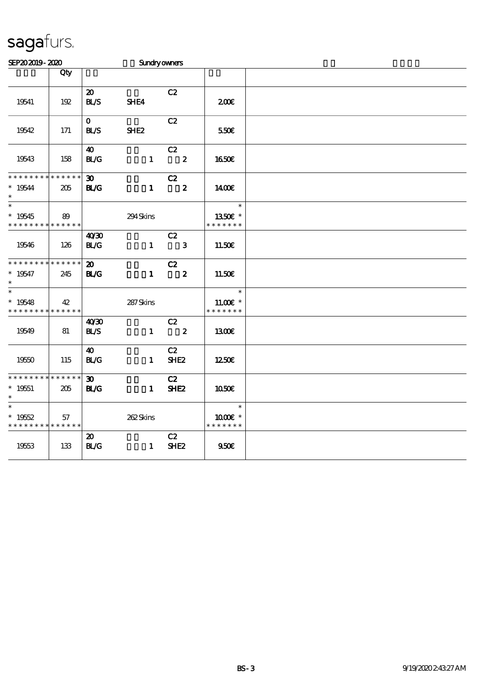| SEP202019-2020                                           |                    |                                            | Sundryowners     |                                  |                                       |  |
|----------------------------------------------------------|--------------------|--------------------------------------------|------------------|----------------------------------|---------------------------------------|--|
|                                                          | Qty                |                                            |                  |                                  |                                       |  |
| 19541                                                    | 192                | $\boldsymbol{\mathfrak{D}}$<br><b>BLS</b>  | SHE4             | C2                               | 200                                   |  |
| 19542                                                    | 171                | $\mathbf{O}$<br><b>BL/S</b>                | SHE <sub>2</sub> | C2                               | 550€                                  |  |
| 19543                                                    | 158                | 40<br>BLG                                  | $\mathbf{1}$     | C2<br>$\overline{\phantom{a}}$ 2 | <b>1650€</b>                          |  |
| * * * * * * * * * * * * * *<br>$* 19544$<br>$\ast$       | 205                | $\boldsymbol{\mathfrak{D}}$<br><b>BL/G</b> | $\mathbf{1}$     | C2<br>$\overline{\mathbf{2}}$    | 1400E                                 |  |
| $\overline{\phantom{0}}$<br>$* 19545$<br>* * * * * * * * | 89<br>* * * * * *  |                                            | 294Skins         |                                  | $\ast$<br>1350E *<br>* * * * * * *    |  |
| 19546                                                    | 126                | 40'30<br>BLG                               | $\mathbf{1}$     | C2<br>$\overline{\phantom{a}}$ 3 | 11.50€                                |  |
| * * * * * * * *<br>$* 19547$<br>$\ast$                   | * * * * * *<br>245 | $\boldsymbol{\mathfrak{D}}$<br><b>BL/G</b> | $\mathbf{1}$     | C2<br>$\overline{\mathbf{2}}$    | 11.50E                                |  |
| $\ast$<br>$* 19548$<br>* * * * * * * *                   | 42<br>* * * * * *  |                                            | 287Skins         |                                  | $\ast$<br>$11.00E$ *<br>* * * * * * * |  |
| 19549                                                    | 81                 | 40'30<br>BLS                               | $\mathbf{1}$     | C2<br>$\overline{\mathbf{2}}$    | 1300€                                 |  |
| 19550                                                    | 115                | $\boldsymbol{\omega}$<br>BLG               | $\mathbf{1}$     | C2<br>SHE <sub>2</sub>           | 1250E                                 |  |
| * * * * * * * *<br>$* 19551$<br>$\ast$                   | * * * * * *<br>205 | $\boldsymbol{\mathfrak{D}}$<br>BLG         | $\mathbf{1}$     | C2<br>SHE <sub>2</sub>           | 1050E                                 |  |
| $\ast$<br>$*19552$<br>* * * * * * * * * * * * * *        | 57                 |                                            | 262Skins         |                                  | $\ast$<br>1000 *<br>* * * * * * *     |  |
| 19553                                                    | 133                | $\boldsymbol{\mathfrak{D}}$<br>BLG         | $\mathbf{1}$     | C2<br>SHE <sub>2</sub>           | 950E                                  |  |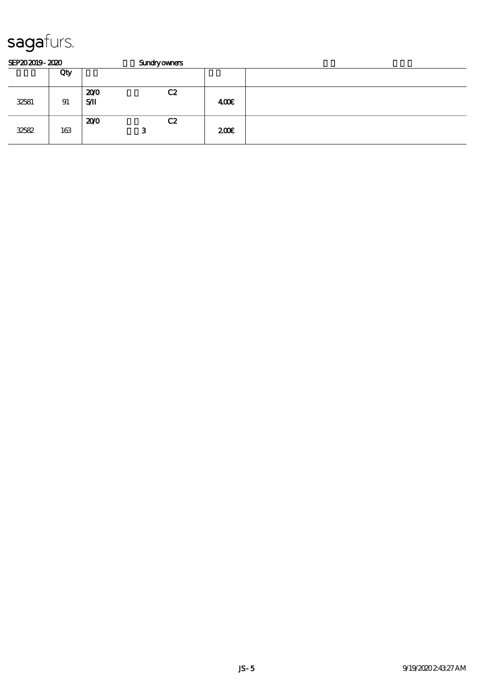| SEP202019-2020 |     | <b>Sundryowners</b> |         |      |  |  |  |  |  |
|----------------|-----|---------------------|---------|------|--|--|--|--|--|
|                | Qty |                     |         |      |  |  |  |  |  |
| 32581          | 91  | 200<br>SЛ           | C2      | 400  |  |  |  |  |  |
| 32582          | 163 | 200                 | C2<br>З | 200E |  |  |  |  |  |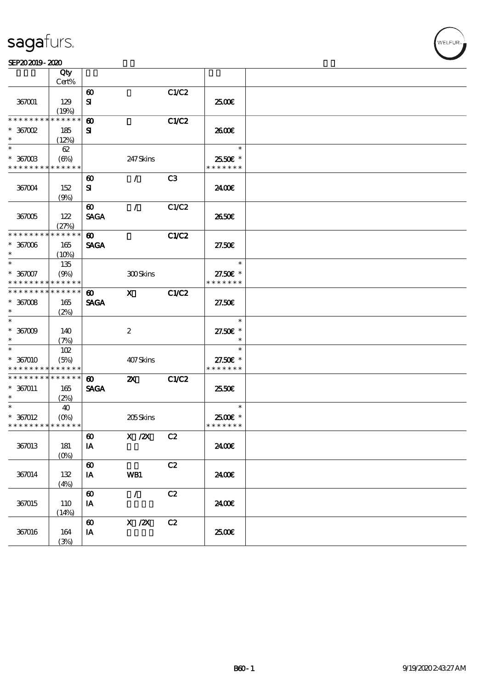#### $SEP202019 - 2020$

|                                          | Qty         |                       |                           |              |               |  |
|------------------------------------------|-------------|-----------------------|---------------------------|--------------|---------------|--|
|                                          | Cert%       |                       |                           |              |               |  |
|                                          |             | $\boldsymbol{\omega}$ |                           | C1/C2        |               |  |
| 367001                                   | 129         | ${\bf s}$             |                           |              | 2500€         |  |
|                                          | (19%)       |                       |                           |              |               |  |
| * * * * * * * *                          | * * * * * * | $\boldsymbol{\omega}$ |                           | <b>C1/C2</b> |               |  |
| $*$ 367002                               | 185         | ${\bf s}$             |                           |              | 2600E         |  |
| $\ast$                                   | (12%)       |                       |                           |              |               |  |
| $\ast$                                   | 62          |                       |                           |              | $\ast$        |  |
| $^*$ 367003 $\,$                         | (6%)        |                       | 247 Skins                 |              | 2550€ *       |  |
| * * * * * * * * * * * * * *              |             |                       |                           |              | * * * * * * * |  |
|                                          |             | $\boldsymbol{\omega}$ | $\mathcal{L}$             | C3           |               |  |
| 367004                                   | 152         | ${\bf s}$             |                           |              | 2400€         |  |
|                                          | (9%)        |                       |                           |              |               |  |
|                                          |             | $\boldsymbol{\omega}$ | $\mathcal{L}$             | C1/C2        |               |  |
|                                          |             |                       |                           |              |               |  |
| 367005                                   | 122         | <b>SAGA</b>           |                           |              | 2650E         |  |
| * * * * * * * * * * * * * *              | (27%)       |                       |                           |              |               |  |
|                                          |             | $\boldsymbol{\omega}$ |                           | <b>C1/C2</b> |               |  |
| $* 367006$                               | 165         | <b>SAGA</b>           |                           |              | 27.50E        |  |
| $\ast$                                   | $(10\%)$    |                       |                           |              |               |  |
| $\ast$                                   | 135         |                       |                           |              | $\ast$        |  |
| $* 357007$                               | (9%)        |                       | <b>300Skins</b>           |              | 27.50€ *      |  |
| * * * * * * * * <mark>* * * * * *</mark> |             |                       |                           |              | * * * * * * * |  |
| * * * * * * * * * * * * * *              |             | $\boldsymbol{\omega}$ | $\mathbf{x}$              | C1/C2        |               |  |
| $^\ast$ 367008                           | 165         | <b>SAGA</b>           |                           |              | 27.50E        |  |
| $\ast$                                   | (2%)        |                       |                           |              |               |  |
| $\ast$                                   |             |                       |                           |              | $\ast$        |  |
| $^*$ 367009 $^{\circ}$                   | 140         |                       | $\boldsymbol{2}$          |              | 27.50€ *      |  |
| $\ast$                                   | (7%)        |                       |                           |              | $\ast$        |  |
| $\ast$                                   | 102         |                       |                           |              | $\ast$        |  |
| * 367010                                 | (5%)        |                       | 407Skins                  |              | 27.50€ *      |  |
| * * * * * * * * * * * * * *              |             |                       |                           |              | * * * * * * * |  |
| * * * * * * * * * * * * * * *            |             | $\boldsymbol{\omega}$ | $\boldsymbol{\mathsf{X}}$ | C1/C2        |               |  |
| $* 367011$                               | 165         | <b>SAGA</b>           |                           |              | 2550€         |  |
| $\ast$                                   | (2%)        |                       |                           |              |               |  |
| $\ast$                                   | 40          |                       |                           |              | $\ast$        |  |
| $* 367012$                               | $(O\%)$     |                       | 205Skins                  |              | 2500€ *       |  |
| * * * * * * * * * * * * * *              |             |                       |                           |              | * * * * * * * |  |
|                                          |             |                       |                           |              |               |  |
|                                          |             | $\boldsymbol{\omega}$ | $X \, /ZX$                | C2           |               |  |
| 367013                                   | 181         | $I\!\!A$              |                           |              | 2400€         |  |
|                                          | $(0\%)$     |                       |                           |              |               |  |
|                                          |             | $\boldsymbol{\omega}$ |                           | C2           |               |  |
| 367014                                   | 132         | IA                    | WB1                       |              | 2400€         |  |
|                                          | (4%)        |                       |                           |              |               |  |
|                                          |             | $\boldsymbol{\omega}$ | $\mathcal{L}$             | C2           |               |  |
| 367015                                   | 110         | IA                    |                           |              | 2400€         |  |
|                                          | (14%)       |                       |                           |              |               |  |
|                                          |             | $\boldsymbol{\omega}$ | X / ZX                    | C2           |               |  |
| 367016                                   | 164         | IA                    |                           |              | 2500€         |  |
|                                          | (3%)        |                       |                           |              |               |  |
|                                          |             |                       |                           |              |               |  |

**VELFUR**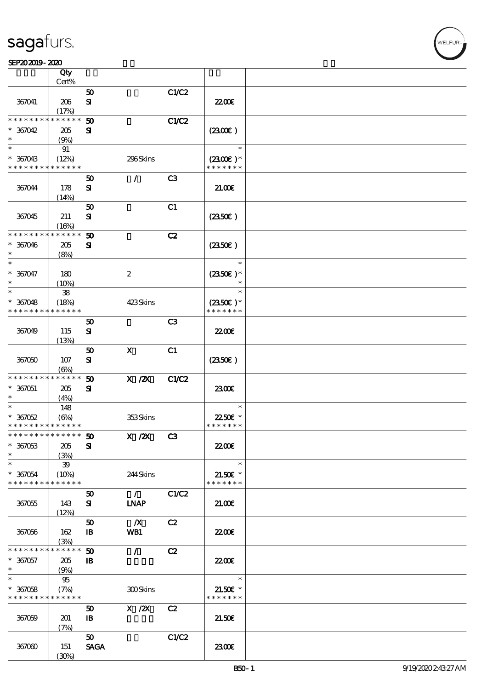#### $SEP202019 - 2020$

|                               | Qty         |                             |                  |                |                             |  |
|-------------------------------|-------------|-----------------------------|------------------|----------------|-----------------------------|--|
|                               | Cert%       |                             |                  |                |                             |  |
|                               |             | 50                          |                  | C1/C2          |                             |  |
| 367041                        | 206         | ${\bf s}$                   |                  |                | 22.00E                      |  |
|                               | (17%)       |                             |                  |                |                             |  |
| * * * * * * * *               | * * * * * * | 50                          |                  | C1/C2          |                             |  |
| $*367042$                     | 205         | ${\bf s}$                   |                  |                | (230)                       |  |
| $\ast$                        | (9%)        |                             |                  |                |                             |  |
| $\ast$                        | 91          |                             |                  |                | $\ast$                      |  |
| $* 367043$                    | (12%)       |                             | 296Skins         |                | $(2300)$ *                  |  |
| * * * * * * * *               | * * * * * * |                             |                  |                | * * * * * * *               |  |
|                               |             | 50                          | $\mathcal{L}$    | C <sub>3</sub> |                             |  |
| 367044                        | 178         | ${\bf s}$                   |                  |                | 21.006                      |  |
|                               | (14%)       |                             |                  |                |                             |  |
|                               |             | 50                          |                  | C1             |                             |  |
| 367045                        | 211         | ${\bf s}$                   |                  |                | (2350)                      |  |
|                               | (16%)       |                             |                  |                |                             |  |
| * * * * * * * *               | * * * * *   | 50                          |                  | C2             |                             |  |
| $* 367046$                    | 205         | ${\bf s}$                   |                  |                | (2350)                      |  |
| $\ast$                        |             |                             |                  |                |                             |  |
| $\ast$                        | (8%)        |                             |                  |                | $\ast$                      |  |
|                               |             |                             |                  |                |                             |  |
| * 367047<br>$\ast$            | 180         |                             | $\boldsymbol{2}$ |                | $(2350)$ *<br>$\ast$        |  |
| $\ast$                        | (10%)       |                             |                  |                | $\ast$                      |  |
|                               | ${\bf 38}$  |                             |                  |                |                             |  |
| $* 367048$                    | (18%)       |                             | 423Skins         |                | $(2350\epsilon)*$           |  |
| * * * * * * * *               | * * * * * * |                             |                  |                | * * * * * * *               |  |
|                               |             | 50                          |                  | C <sub>3</sub> |                             |  |
| 367049                        | 115         | ${\bf s}$                   |                  |                | 22.00 <del>€</del>          |  |
|                               | (13%)       |                             |                  |                |                             |  |
|                               |             | 50                          | $\mathbf x$      | C1             |                             |  |
| 367050                        | 107         | ${\bf s}$                   |                  |                | (2350)                      |  |
|                               | $(\Theta)$  |                             |                  |                |                             |  |
| * * * * * * * *               | * * * * * * | $\boldsymbol{\mathfrak{D}}$ | $X$ / $ZX$       | C1/C2          |                             |  |
| $* 367051$                    | 205         | ${\bf s}$                   |                  |                | 2300E                       |  |
| $\ast$                        | (4%)        |                             |                  |                |                             |  |
| $\ast$                        | 148         |                             |                  |                | $\ast$                      |  |
| $*367052$                     | (6%)        |                             | 353Skins         |                | 22.50€ *                    |  |
| * * * * * * * * * * * * * *   |             |                             |                  |                | * * * * * * *               |  |
| * * * * * * * * * * * * * * * |             | 50                          | $X$ / $ZX$       | C3             |                             |  |
| $*367053$                     | 205         | ${\bf s}$                   |                  |                | <b>2200</b> €               |  |
| $\ast$                        | (3%)        |                             |                  |                |                             |  |
| $\ast$                        | $39\,$      |                             |                  |                | $\ast$                      |  |
| $* 367054$                    | (10%)       |                             | 244Skins         |                | $21.50E$ *                  |  |
| * * * * * * * *               | * * * * * * |                             |                  |                | * * * * * * *               |  |
|                               |             | 50                          | $\mathcal{L}$    | C1/C2          |                             |  |
| 367055                        | 143         | ${\bf s}$                   | <b>LNAP</b>      |                | 21.006                      |  |
|                               | (12%)       |                             |                  |                |                             |  |
|                               |             | 50                          | $\mathbf{X}$     | C2             |                             |  |
| 367056                        | 162         | $\mathbf{B}$                | WB1              |                | 22.00E                      |  |
|                               | (3%)        |                             |                  |                |                             |  |
| * * * * * * * *               | * * * * * * | 50                          | $\mathcal{L}$    | C2             |                             |  |
| $* 367057$                    |             | $\mathbf{B}$                |                  |                | 2200                        |  |
| $*$                           | 205         |                             |                  |                |                             |  |
| $\overline{\ast}$             | (9%)        |                             |                  |                | $\ast$                      |  |
|                               | 95          |                             |                  |                |                             |  |
| $* 367058$                    | (7%)        |                             | 300Skins         |                | $21.50E$ *<br>* * * * * * * |  |
| * * * * * * * *               | * * * * * * |                             |                  |                |                             |  |
|                               |             | 50                          | $X$ / $ZX$       | C2             |                             |  |
| 367059                        | 201         | $\mathbf{B}$                |                  |                | 21.50E                      |  |
|                               | (7%)        |                             |                  |                |                             |  |
|                               |             | 50                          |                  | C1/C2          |                             |  |
| 367060                        | 151         | <b>SAGA</b>                 |                  |                | 2300E                       |  |
|                               | (30%)       |                             |                  |                |                             |  |

WELFUR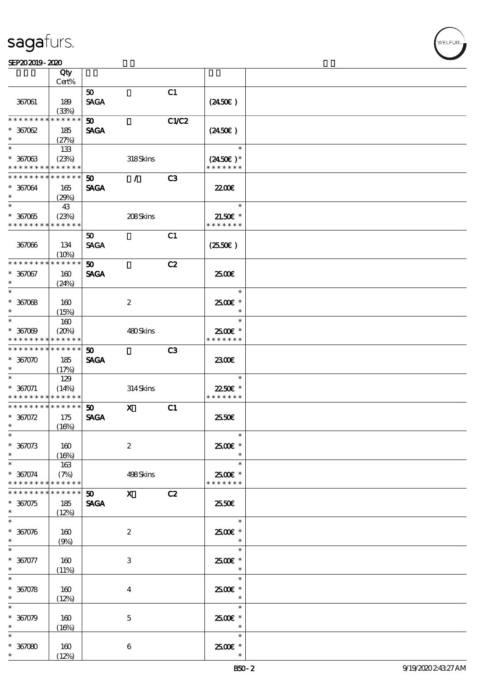#### $SEP202019 - 2020$

| SEP202019-2020                     |                            |                             |                  |                |                                    |  |
|------------------------------------|----------------------------|-----------------------------|------------------|----------------|------------------------------------|--|
|                                    | Qty                        |                             |                  |                |                                    |  |
|                                    | Cert%                      |                             |                  |                |                                    |  |
|                                    |                            | 50                          |                  | C1             |                                    |  |
| 367061                             | 189                        | <b>SAGA</b>                 |                  |                | $(2450\epsilon)$                   |  |
|                                    | (33%)                      |                             |                  |                |                                    |  |
| * * * * * * * *                    | * * * * * *                | $\boldsymbol{\mathfrak{D}}$ |                  | <b>C1/C2</b>   |                                    |  |
| $* 367062$<br>$\ast$               | 185                        | <b>SAGA</b>                 |                  |                | $(2450\epsilon)$                   |  |
| $\ast$                             | (27%)                      |                             |                  |                | $\ast$                             |  |
|                                    | 133                        |                             |                  |                |                                    |  |
| $* 36703$<br>* * * * * * * *       | (23%)<br>* * * * * *       |                             | 318Skins         |                | $(2450\epsilon)*$<br>* * * * * * * |  |
| * * * * * * * *                    | * * * * * *                | 50 <sub>2</sub>             | $\mathcal{L}$    | C3             |                                    |  |
| * 367064                           | 165                        | <b>SAGA</b>                 |                  |                | 2200                               |  |
| $\ast$                             | (29%)                      |                             |                  |                |                                    |  |
| $\ast$                             | 43                         |                             |                  |                | $\ast$                             |  |
| $* 367065$                         | (23%)                      |                             | 208Skins         |                | 21.50€ *                           |  |
| * * * * * * * *                    | * * * * * *                |                             |                  |                | * * * * * * *                      |  |
|                                    |                            | 50                          |                  | C1             |                                    |  |
| 367066                             | 134                        | <b>SAGA</b>                 |                  |                | $(2550\varepsilon)$                |  |
|                                    | (10%)                      |                             |                  |                |                                    |  |
| * * * * * * * *                    | * * * * * *                | 50                          |                  | C2             |                                    |  |
| $* 367067$                         | 160                        | <b>SAGA</b>                 |                  |                | 2500E                              |  |
| $\ast$                             | (24%)                      |                             |                  |                |                                    |  |
| $\ast$                             |                            |                             |                  |                | $\ast$                             |  |
| $*36708$                           | 160                        |                             | $\boldsymbol{2}$ |                | $2500$ $\epsilon$ *                |  |
| $\ast$                             | (15%)                      |                             |                  |                | $\ast$                             |  |
| $\ast$                             | 160                        |                             |                  |                | $\ast$                             |  |
| $* 367009$                         | (20%)                      |                             | 480Skins         |                | 2500€ *                            |  |
| * * * * * * * *                    | * * * * * *                |                             |                  |                | * * * * * * *                      |  |
| * * * * * * * *                    | $\ast\ast\ast\ast\ast\ast$ | $\boldsymbol{\mathfrak{D}}$ |                  | C <sub>3</sub> |                                    |  |
| $*367070$                          | 185                        | <b>SAGA</b>                 |                  |                | 2300                               |  |
| $\ast$                             | (17%)                      |                             |                  |                |                                    |  |
| $\ast$                             | 129                        |                             |                  |                | $\ast$                             |  |
| $* 367071$                         | (14%)<br>* * * * * *       |                             | 314Skins         |                | 22.50€ *<br>* * * * * * *          |  |
| * * * * * * * *<br>* * * * * * * * | * * * * * *                | 50 <sub>o</sub>             | $\mathbf{x}$     |                |                                    |  |
| $* 367072$                         | 175                        | <b>SAGA</b>                 |                  | C1             | 2550E                              |  |
| $\ast$                             | (16%)                      |                             |                  |                |                                    |  |
| $\ast$                             |                            |                             |                  |                | $\ast$                             |  |
| $* 367073$                         | 160                        |                             | $\boldsymbol{2}$ |                | 2500€ *                            |  |
| $\ast$                             | (16%)                      |                             |                  |                |                                    |  |
| $\ast$                             | 163                        |                             |                  |                | $\ast$                             |  |
| $* 367074$                         | (7%)                       |                             | 498Skins         |                | 2500€ *                            |  |
| * * * * * * * *                    | * * * * * *                |                             |                  |                | * * * * * * *                      |  |
| * * * * * * * *                    | * * * * * *                | 50                          | $\mathbf x$      | C2             |                                    |  |
| $*367075$                          | 185                        | <b>SAGA</b>                 |                  |                | 25.50E                             |  |
| $\ast$                             | (12%)                      |                             |                  |                |                                    |  |
| $\overline{\ast}$                  |                            |                             |                  |                | $\ast$                             |  |
| $* 367076$                         | 160                        |                             | $\boldsymbol{2}$ |                | 2500€ *                            |  |
| $\ast$                             | (9%)                       |                             |                  |                | $\ast$<br>$\ast$                   |  |
|                                    |                            |                             |                  |                |                                    |  |
| $* 367077$<br>$\ast$               | 160                        |                             | 3                |                | 2500€ *<br>$\ast$                  |  |
| $\ast$                             | (11%)                      |                             |                  |                | $\ast$                             |  |
| $* 36008$                          | 160                        |                             | $\overline{4}$   |                | $2500$ $\epsilon$ *                |  |
| $\ast$                             | (12%)                      |                             |                  |                | $\ast$                             |  |
| $\overline{\ast}$                  |                            |                             |                  |                | $\ast$                             |  |
| $* 36009$                          | 160                        |                             | $\mathbf{5}$     |                | 2500€ *                            |  |
| $\ast$                             | (16%)                      |                             |                  |                | $\ast$                             |  |
| $\ast$                             |                            |                             |                  |                | $\ast$                             |  |
| $*367080$                          | 160                        |                             | 6                |                | $2500$ $*$                         |  |
| $\ast$                             | (12%)                      |                             |                  |                | $\ast$                             |  |

WELFUR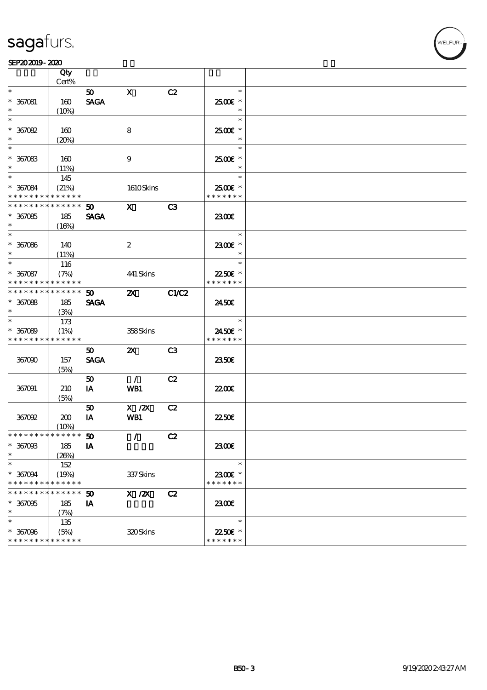#### SEP202019-2020

|                               | Qty         |                 |                                                                              |                |                     |  |
|-------------------------------|-------------|-----------------|------------------------------------------------------------------------------|----------------|---------------------|--|
|                               | Cert%       |                 |                                                                              |                |                     |  |
| $\ast$                        |             | 50              | $\mathbf x$                                                                  | C2             | $\ast$              |  |
| $* 367081$                    | 160         | <b>SAGA</b>     |                                                                              |                | 2500€ *             |  |
|                               | (10%)       |                 |                                                                              |                | $\ast$              |  |
| $\ast$                        |             |                 |                                                                              |                | $\ast$              |  |
| $*367082$                     | 160         |                 | 8                                                                            |                | 2500€ *             |  |
| $\ast$                        | (20%)       |                 |                                                                              |                | $\ast$              |  |
| $\overline{\phantom{0}}$      |             |                 |                                                                              |                | $\ast$              |  |
| $*367083$                     | 160         |                 | 9                                                                            |                | $2500$ $\epsilon$ * |  |
| $\ast$                        | (11%)       |                 |                                                                              |                | $\ast$              |  |
| $*$                           |             |                 |                                                                              |                | $\ast$              |  |
|                               | 145         |                 |                                                                              |                |                     |  |
| $* 367084$                    | (21%)       |                 | 1610Skins                                                                    |                | 2500€ *             |  |
| * * * * * * * *               | * * * * * * |                 |                                                                              |                | * * * * * * *       |  |
| * * * * * * * *               | * * * * * * | 50              | $\mathbf{x}$                                                                 | C <sub>3</sub> |                     |  |
| $*367085$                     | 185         | <b>SAGA</b>     |                                                                              |                | 2300                |  |
| $\ast$                        | (16%)       |                 |                                                                              |                |                     |  |
| $\overline{\phantom{0}}$      |             |                 |                                                                              |                | $\ast$              |  |
| $* 367086$                    | 140         |                 | $\boldsymbol{2}$                                                             |                | 2300€ *             |  |
| $\ast$                        | (11%)       |                 |                                                                              |                | $\ast$              |  |
| $\ast$                        | 116         |                 |                                                                              |                | $\ast$              |  |
| $* 367087$                    | (7%)        |                 | 441 Skins                                                                    |                | 22.50€ *            |  |
| * * * * * * * *               | * * * * * * |                 |                                                                              |                | * * * * * * *       |  |
| * * * * * * * * * * * * * *   |             |                 |                                                                              |                |                     |  |
|                               |             | 50 <sub>o</sub> | $\boldsymbol{\mathsf{X}}$                                                    | C1/C2          |                     |  |
| $* 367088$                    | 185         | <b>SAGA</b>     |                                                                              |                | 2450E               |  |
| $\ast$                        | (3%)        |                 |                                                                              |                |                     |  |
| $\overline{\ast}$             | 173         |                 |                                                                              |                | $\ast$              |  |
| $* 367089$                    | (1%)        |                 | 358Skins                                                                     |                | 2450€ *             |  |
| * * * * * * * *               | * * * * * * |                 |                                                                              |                | * * * * * * *       |  |
|                               |             | 50              | $\mathbf{x}$                                                                 | C <sub>3</sub> |                     |  |
| 367090                        | 157         | <b>SAGA</b>     |                                                                              |                | 2350E               |  |
|                               | (5%)        |                 |                                                                              |                |                     |  |
|                               |             | 50              | $\mathcal{L}$                                                                | C2             |                     |  |
| 367091                        | 210         | IA              | WB1                                                                          |                | 22.00 <del>€</del>  |  |
|                               | (5%)        |                 |                                                                              |                |                     |  |
|                               |             | 50              | $\boldsymbol{\mathrm{X}}$ / $\boldsymbol{\mathrm{Z}}\boldsymbol{\mathrm{X}}$ | C2             |                     |  |
|                               |             |                 |                                                                              |                |                     |  |
| 367092                        | 200         | IA              | WB1                                                                          |                | 2250E               |  |
| * * * * * * * * * * * * * * * | (10%)       |                 |                                                                              |                |                     |  |
|                               |             | ${\bf 50}$      | $\mathcal{L}$                                                                | C2             |                     |  |
| $* 367003$                    | 185         | IA              |                                                                              |                | 2300E               |  |
| $\ast$                        | (20%)       |                 |                                                                              |                |                     |  |
| $\ast$                        | 152         |                 |                                                                              |                | $\ast$              |  |
| $* 367094$                    | (19%)       |                 | 337Skins                                                                     |                | 2300€ *             |  |
| * * * * * * * *               | * * * * * * |                 |                                                                              |                | * * * * * * *       |  |
| * * * * * * *                 | * * * * * * | 50              | $X$ / $ZX$                                                                   | C2             |                     |  |
| $* 367095$                    | 185         | IA              |                                                                              |                | 2300E               |  |
| $\ast$                        | (7%)        |                 |                                                                              |                |                     |  |
| $\ast$                        |             |                 |                                                                              |                | $\ast$              |  |
|                               | 135         |                 |                                                                              |                |                     |  |
| $* 367006$                    | (5%)        |                 | 320Skins                                                                     |                | 2250€ *             |  |
| * * * * * * * *               | * * * * * * |                 |                                                                              |                | * * * * * * *       |  |

WELFUR-<br>
VELFUR-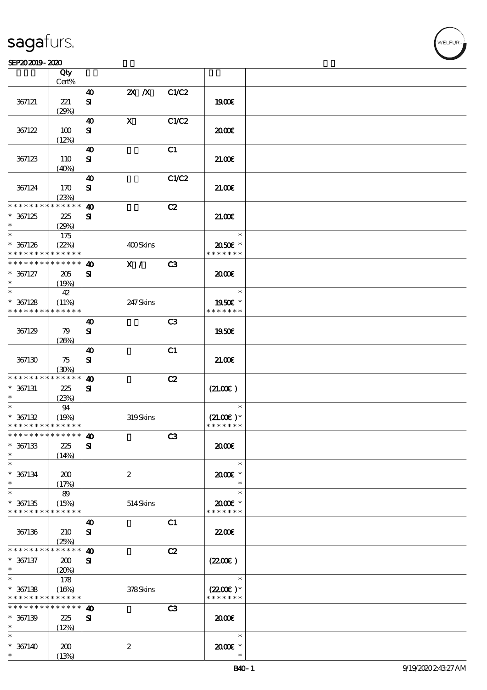#### SEP202019-2020

|                                            | Qty                  |                                    |                  |                |                    |  |
|--------------------------------------------|----------------------|------------------------------------|------------------|----------------|--------------------|--|
|                                            | Cert%                | $\boldsymbol{\omega}$              | $2X$ $X$         | C1/C2          |                    |  |
| 367121                                     | 221                  | ${\bf s}$                          |                  |                | 1900E              |  |
|                                            | (29%)                |                                    |                  |                |                    |  |
|                                            |                      | 40                                 | $\mathbf X$      | C1/C2          |                    |  |
| 367122                                     | 100                  | ${\bf s}$                          |                  |                | æœ                 |  |
|                                            | (12%)                | $\boldsymbol{\omega}$              |                  | C1             |                    |  |
| 367123                                     | 110                  | ${\bf s}$                          |                  |                | 21.00              |  |
|                                            | (40%)                |                                    |                  |                |                    |  |
|                                            |                      | 40                                 |                  | C1/C2          |                    |  |
| 367124                                     | 170                  | ${\bf s}$                          |                  |                | 21.006             |  |
| * * * * * * * *                            | (23%)<br>* * * * * * |                                    |                  |                |                    |  |
| $* 367125$                                 | 225                  | $\boldsymbol{\omega}$<br>${\bf s}$ |                  | C2             | 21.00E             |  |
| $\ast$                                     | (29%)                |                                    |                  |                |                    |  |
| $\ast$                                     | 175                  |                                    |                  |                | $\ast$             |  |
| $* 367126$                                 | (22%)                |                                    | 400Skins         |                | 2050E *            |  |
| * * * * * * * *                            | * * * * * *          |                                    |                  |                | * * * * * * *      |  |
| * * * * * * * *                            | * * * * * *          | $\boldsymbol{\omega}$              | X /              | C3             |                    |  |
| $* 367127$<br>$\ast$                       | 205<br>(19%)         | ${\bf s}$                          |                  |                | æœ                 |  |
| $\ast$                                     | 42                   |                                    |                  |                | $\ast$             |  |
| $* 367128$                                 | (11%)                |                                    | 247Skins         |                | 1950E *            |  |
| * * * * * * * *                            | * * * * * *          |                                    |                  |                | * * * * * * *      |  |
|                                            |                      | $\boldsymbol{\omega}$              |                  | C <sub>3</sub> |                    |  |
| 367129                                     | 79                   | ${\bf s}$                          |                  |                | 1950E              |  |
|                                            | (20%)                | $\boldsymbol{\omega}$              |                  | C1             |                    |  |
| 367130                                     | 75                   | ${\bf s}$                          |                  |                | 21.006             |  |
|                                            | (30%)                |                                    |                  |                |                    |  |
| * * * * * * * *                            | * * * * * *          | $\boldsymbol{\omega}$              |                  | C2             |                    |  |
| $* 367131$                                 | 225                  | ${\bf s}$                          |                  |                | (21.00)            |  |
| $\ast$<br>$\ast$                           | (23%)<br>94          |                                    |                  |                | $\ast$             |  |
| $* 367132$                                 | (19%)                |                                    | 319Skins         |                | $(21.00)$ *        |  |
| * * * * * * * * * * * * * *                |                      |                                    |                  |                | * * * * * * *      |  |
| * * * * * * * * <mark>* * * * * * *</mark> |                      | 40                                 |                  | C <sub>3</sub> |                    |  |
| $* 367133$                                 | 225                  | ${\bf s}$                          |                  |                | æœ                 |  |
| $\ast$<br>$\ast$                           | (14%)                |                                    |                  |                | $\ast$             |  |
| $* 367134$                                 | 200                  |                                    | $\boldsymbol{z}$ |                | 2000E*             |  |
| $\ast$                                     | (17%)                |                                    |                  |                | $\ast$             |  |
| $\ast$                                     | 89                   |                                    |                  |                | $\ast$             |  |
| $* 367135$                                 | (15%)                |                                    | 514Skins         |                | $2000$ $*$         |  |
| * * * * * * * *                            | * * * * * *          |                                    |                  |                | * * * * * * *      |  |
| 367136                                     | 210                  | $\boldsymbol{\omega}$<br>${\bf s}$ |                  | C1             | 22.00 <del>€</del> |  |
|                                            | (25%)                |                                    |                  |                |                    |  |
| * * * * * * * *                            | * * * * * *          | $\boldsymbol{\omega}$              |                  | C2             |                    |  |
| $* 367137$                                 | 200                  | ${\bf s}$                          |                  |                | (220E)             |  |
| $\ast$<br>$\ast$                           | (20%)                |                                    |                  |                | $\ast$             |  |
|                                            | 178                  |                                    |                  |                | $(2200)$ *         |  |
| $* 367138$<br>* * * * * * * *              | (16%)<br>* * * * * * |                                    | 378Skins         |                | * * * * * * *      |  |
| * * * * * * * *                            | * * * * * *          | 40                                 |                  | C3             |                    |  |
| $* 367139$                                 | 225                  | ${\bf s}$                          |                  |                | 2000               |  |
| $\ast$                                     | (12%)                |                                    |                  |                |                    |  |
| $\ast$                                     |                      |                                    |                  |                | $\ast$             |  |
| $* 367140$<br>$\ast$                       | 200<br>(13%)         |                                    | $\boldsymbol{2}$ |                | $2000$ $*$         |  |
|                                            |                      |                                    |                  |                |                    |  |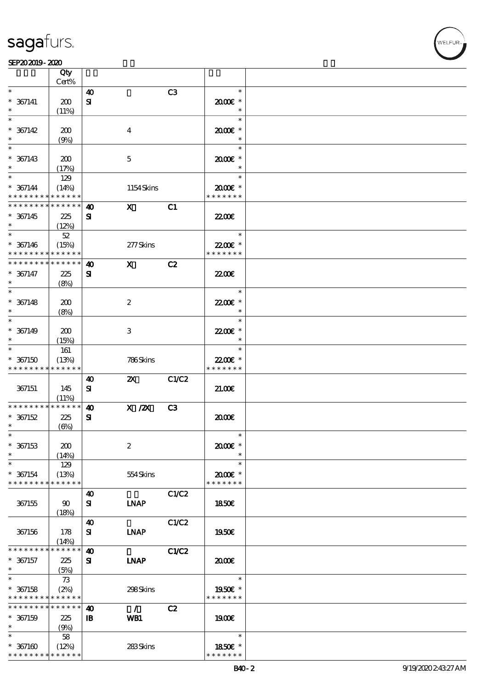|                                          | Qty                  |                       |                  |       |                        |  |
|------------------------------------------|----------------------|-----------------------|------------------|-------|------------------------|--|
|                                          | Cert%                |                       |                  |       |                        |  |
| $\ast$                                   |                      | 40                    |                  | C3    | $\ast$                 |  |
| $* 367141$                               | 200                  | ${\bf s}$             |                  |       | $2000$ $*$             |  |
| $\ast$                                   | (11%)                |                       |                  |       | $\ast$                 |  |
| $\ast$                                   |                      |                       |                  |       | $\ast$                 |  |
| $* 367142$                               | 200                  |                       | $\overline{4}$   |       | 2000E *                |  |
|                                          | (9%)                 |                       |                  |       | $\ast$                 |  |
| $\ast$                                   |                      |                       |                  |       | $\ast$                 |  |
| $* 367143$                               | 200                  |                       | $\mathbf 5$      |       | $2000$ $*$             |  |
|                                          |                      |                       |                  |       | $\ast$                 |  |
| $\ast$                                   | (17%)                |                       |                  |       | $\ast$                 |  |
|                                          | 129                  |                       |                  |       |                        |  |
| $* 367144$                               | (14%)                |                       | 1154Skins        |       | $2000$ $\varepsilon$ * |  |
| * * * * * * * * <mark>* * * * * *</mark> |                      |                       |                  |       | * * * * * * *          |  |
| * * * * * * * *                          | $* * * * * * *$      | 40                    | $\mathbf{x}$     | C1    |                        |  |
| $* 367145$                               | 225                  | ${\bf s}$             |                  |       | <b>2200</b> €          |  |
|                                          | (12%)                |                       |                  |       |                        |  |
|                                          | 52                   |                       |                  |       | $\ast$                 |  |
| $* 367146$                               | (15%)                |                       | 277Skins         |       | 22.00€ *               |  |
| * * * * * * * *                          | * * * * * *          |                       |                  |       | * * * * * * *          |  |
| * * * * * * * *                          | * * * * * *          | $\boldsymbol{\omega}$ | $\mathbf{x}$     | C2    |                        |  |
| $* 367147$                               |                      |                       |                  |       |                        |  |
|                                          | 225                  | ${\bf s}$             |                  |       | 2200                   |  |
| $\ast$                                   | (8%)                 |                       |                  |       |                        |  |
|                                          |                      |                       |                  |       | $\ast$                 |  |
| $* 367148$                               | 200                  |                       | $\boldsymbol{2}$ |       | 22.00€ *               |  |
| $\ast$                                   | (8%)                 |                       |                  |       | $\ast$                 |  |
| $\ast$                                   |                      |                       |                  |       | $\ast$                 |  |
| $* 367149$                               | 200                  |                       | 3                |       | 22.00€ *               |  |
| $\ast$                                   | (15%)                |                       |                  |       | $\ast$                 |  |
| $\ast$                                   | 161                  |                       |                  |       | $\ast$                 |  |
| $*367150$                                | (13%)                |                       | 786Skins         |       | 22.00€ *               |  |
| * * * * * * * *                          | * * * * * *          |                       |                  |       | * * * * * * *          |  |
|                                          |                      | 40                    | $\mathbf{x}$     | C1/C2 |                        |  |
|                                          |                      |                       |                  |       |                        |  |
| 367151                                   | 145                  | ${\bf s}$             |                  |       | 21.00E                 |  |
| * * * * * * * *                          | (11%)<br>* * * * * * |                       |                  |       |                        |  |
|                                          |                      | $\boldsymbol{\omega}$ | $X$ / $ZX$       | C3    |                        |  |
| $* 367152$                               | 225                  | ${\bf s}$             |                  |       | 2000                   |  |
| $\ast$                                   | $(\Theta)$           |                       |                  |       |                        |  |
| $\ast$                                   |                      |                       |                  |       |                        |  |
| $* 367153$                               | 200                  |                       | $\boldsymbol{2}$ |       | 2000E *                |  |
| $\ast$                                   | (14%)                |                       |                  |       | $\ast$                 |  |
| $\ast$                                   | 129                  |                       |                  |       | $\ast$                 |  |
| $* 367154$                               | (13%)                |                       | 554Skins         |       | 2000E *                |  |
| * * * * * * * *                          | * * * * * *          |                       |                  |       | * * * * * * *          |  |
|                                          |                      | $\boldsymbol{\omega}$ |                  | C1/C2 |                        |  |
| 367155                                   | $90^{\circ}$         | ${\bf s}$             | <b>INAP</b>      |       | <b>1850€</b>           |  |
|                                          | (18%)                |                       |                  |       |                        |  |
|                                          |                      | $\boldsymbol{\omega}$ |                  | C1/C2 |                        |  |
|                                          |                      |                       |                  |       |                        |  |
| 367156                                   | 178                  | ${\bf s}$             | <b>LNAP</b>      |       | 1950€                  |  |
| * * * * * * * *                          | (14%)<br>* * * * * * |                       |                  |       |                        |  |
|                                          |                      | 40                    |                  | C1/C2 |                        |  |
| $* 367157$                               | 225                  | ${\bf s}$             | <b>INAP</b>      |       | 2000                   |  |
| $\ast$                                   | (5%)                 |                       |                  |       |                        |  |
| $\ast$                                   | 73                   |                       |                  |       | $\ast$                 |  |
| $* 367158$                               | (2%)                 |                       | 298Skins         |       | 1950€ *                |  |
| * * * * * * * *                          | * * * * * *          |                       |                  |       | * * * * * * *          |  |
| * * * * * * * *                          | * * * * * *          | 40                    | $\mathcal{L}$    | C2    |                        |  |
| $* 367159$                               | 225                  | $\mathbf{B}$          | WB1              |       | 1900E                  |  |
| $\ast$                                   | (9%)                 |                       |                  |       |                        |  |
| $\ast$                                   | 58                   |                       |                  |       | $\ast$                 |  |
| $*367160$                                | (12%)                |                       | 283Skins         |       | 1850€ *                |  |
| * * * * * * * *                          | * * * * * *          |                       |                  |       | * * * * * * *          |  |
|                                          |                      |                       |                  |       |                        |  |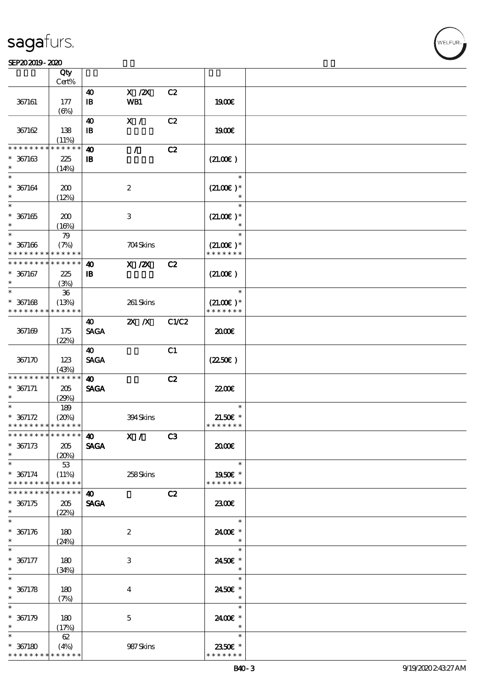#### SEP202019-2020

|                                                       | Qty                                |                                                     |                           |       |                                        |  |
|-------------------------------------------------------|------------------------------------|-----------------------------------------------------|---------------------------|-------|----------------------------------------|--|
|                                                       | $Cert\%$                           |                                                     |                           |       |                                        |  |
| 367161                                                | 177<br>(6%)                        | $\boldsymbol{\omega}$<br>$\, {\bf I} \! {\bf B} \,$ | $X$ / $ZX$<br>WB1         | C2    | 1900E                                  |  |
| 367162                                                | 138<br>(11%)                       | $\boldsymbol{\omega}$<br>$\mathbf{B}$               | X /                       | C2    | 1900€                                  |  |
| * * * * * * * *<br>$* 367163$<br>$\ast$               | * * * * * *<br>$225\,$<br>(14%)    | $\boldsymbol{\omega}$<br>$\mathbf{B}$               | $\mathcal{L}$             | C2    | (21.00)                                |  |
| $\ast$<br>$* 367164$<br>$\ast$                        | 200<br>(12%)                       |                                                     | $\boldsymbol{2}$          |       | $\ast$<br>$(21.00)$ *<br>$\ast$        |  |
| $\ast$<br>$^\ast$ 367165<br>$\ast$                    | 200<br>(16%)                       |                                                     | $\ensuremath{\mathbf{3}}$ |       | $\ast$<br>$(21.00)$ *                  |  |
| $\ast$<br>$* 367166$<br>* * * * * * * *               | 79<br>(7%)<br>* * * * * *          |                                                     | 704Skins                  |       | $\ast$<br>$(21.00)$ *<br>* * * * * * * |  |
| * * * * * * * *<br>$* 367167$<br>$\ast$               | * * * * * *<br>225<br>(3%)         | $\boldsymbol{\omega}$<br>$\, {\bf B}$               | $X$ / $ZX$                | C2    | (21.00)                                |  |
| $\overline{\ast}$<br>$* 367168$<br>* * * * * * * *    | ${\bf 36}$<br>(13%)<br>* * * * * * |                                                     | 261 Skins                 |       | $\ast$<br>$(21.00)$ *<br>* * * * * * * |  |
| 367169                                                | 175<br>(22%)                       | $\boldsymbol{\omega}$<br><b>SAGA</b>                | $X$ $N$                   | C1/C2 | 2000                                   |  |
| 367170                                                | 123<br>(43%)                       | $\boldsymbol{\omega}$<br><b>SAGA</b>                |                           | C1    | (2250)                                 |  |
| * * * * * * * *<br>$* 367171$<br>$\ast$               | * * * * * *<br>205<br>(29%)        | $\boldsymbol{\omega}$<br><b>SAGA</b>                |                           | C2    | 22.00 <del>€</del>                     |  |
| $\ast$<br>$* 367172$<br>* * * * * * * * * * * * * *   | 189<br>(20%)                       |                                                     | 394Skins                  |       | $\ast$<br>$21.50E$ *<br>* * * * * * *  |  |
| * * * * * * * * * * * * * * *<br>$* 367173$<br>$\ast$ | 205<br>(20%)                       | 40<br><b>SAGA</b>                                   | X /                       | C3    | æœ                                     |  |
| $\overline{\ast}$<br>$* 367174$<br>* * * * * * * *    | $53\,$<br>(11%)<br>* * * * * *     |                                                     | 258Skins                  |       | $\ast$<br>1950E *<br>* * * * * * *     |  |
| * * * * * * * *<br>$* 367175$<br>$\ast$               | * * * * * *<br>205<br>(22%)        | $\boldsymbol{\omega}$<br><b>SAGA</b>                |                           | C2    | 2300E                                  |  |
| $\ast$<br>$* 367176$<br>$\ast$                        | 180<br>(24%)                       |                                                     | $\boldsymbol{2}$          |       | $\ast$<br>2400€ *<br>$\ast$            |  |
| $\ast$<br>$* 367177$<br>$\ast$                        | 180<br>(34%)                       |                                                     | $\,3$                     |       | $\ast$<br>2450E *<br>$\ast$            |  |
| $\ast$<br>$* 367178$<br>$\ast$                        | 180<br>(7%)                        |                                                     | $\overline{4}$            |       | $\ast$<br>2450E *<br>$\ast$            |  |
| $\ast$<br>$* 367179$<br>$\ast$                        | 180<br>(17%)                       |                                                     | $\mathbf 5$               |       | $\ast$<br>2400€ *<br>$\ast$            |  |
| $\ast$<br>$* 367180$<br>* * * * * * * *               | 62<br>(4%)<br>* * * * * *          |                                                     | 987Skins                  |       | $\ast$<br>2350€ *<br>* * * * * * *     |  |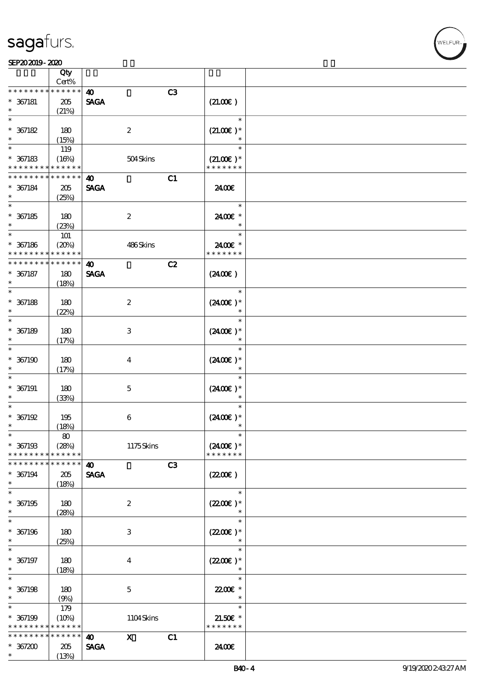\* \* \* \* \* \* \*

顺序号 Qty Cert%

SEP202019-2020

\* \* \* \* \* \*

\*\*

 $\overline{\phantom{0}}$  $\ast$ 

\*\*\*

\*\*

 $\ast$ 

\*\*\*

 $\ast$ 

\*\*

 $\ast$ 

\*\*\*

 $\ast$ 

\*\*\*

\*\*\*

\*\*\*

\*\*\*

\*\*

\*\*\*

 $\ast$ 

\*\*\*

 $\ast$ 

\*\*\*

 $\ast$ 

\*\*\*

 $\ast$ 

\*\*

\* \* \* \* \* \* \*

 $*357200$  205

说明 价格

40 中 C3

40 X C1

SAGA

\* \* \* \* \*

(13%)



#### SAGA 367181 205  $(21.00 $\epsilon$ )$  $(21%)$ \*\*\*  $(21.00E)*$ 367182 180 2 (15%)  $*$  367183 119  $\ast$ \*\*  $(16\%)$  504 Skins  $(21.00\text{E})*$ \* \* \* \* \* \* \* \* \* \* \* \* \* \* \* \* \* \* \*  $\overline{40}$  C1 \* \* \* \* \* \* \* \* \* \* \* \* SAGA 367184 205 24.00€ (25%) \*\*\* 367185 180 24.00€ \* 2  $(23%)$  $\overline{\phantom{a}}$ j. \*\* 101 \*\* <sup>367186</sup> (20%) 486 Skins 24.00€ \* \* \* \* \* \* \* \* \* \* \* \* \* \* \* \* \* \* \* \* 40 C2 \* \* \* \* \* \* \* \* \* \* \* \* 367187 180 SAGA  $(24.00)$ (18%) \*\*\* 2 367188 180  $(24.00)$  \* (22%)  $\ast$ \*\*\* 367189 180 3  $(24.00)$  \* (17%) \*\*\*  $(24.00)$ <sup>\*</sup> 367190 180 4 (17%)  $\ast$ \*\*\* 367191 180 5  $(2400\varepsilon)*$ (33%)  $\overline{\phantom{a}}$ \*\*\*  $(24.00)$  \* 367192 195 6 (18%) 80 \*\* \*\* <sup>367193</sup> (28%) 1175 Skins  $(24.00)$  \* \* \* \* \* \* \* \* \* \* \* \* \* \* \* \* \* \* \* \* 40 C3 \* \* \* \* \* \* \* \* \* \* \* \* SAGA 367194 205  $(220E)$ (18%) \*\*\* 367195 180 2  $(2200\varepsilon)*$ (28%)  $\ast$ \*\*\* 367196 180 3  $(220E)*$  $(25%)$ ↴ \*\*\* 367197 180 4  $(22.00)$  \* (18%)  $\ast$ \*\*\* **22.00€** 367198 180 5  $\ast$ (9%) \*  $*$  367199 \*\* 179 (10%) 1104 Skins 21.50€ \* \* \* \* \* \* \* \* \* \* \* \* \* \* \* \* \* \* \*

24.00€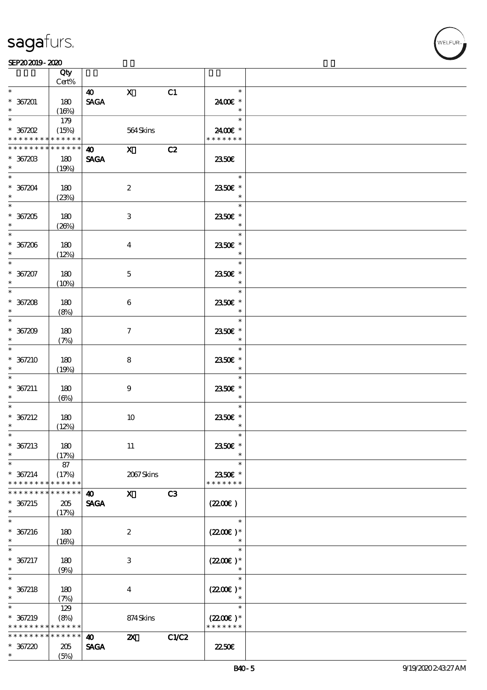#### SEP202019-2020

|                      | Qty<br>Cert% |                       |                           |       |                      |  |
|----------------------|--------------|-----------------------|---------------------------|-------|----------------------|--|
| $\ast$               |              |                       |                           |       | $\ast$               |  |
|                      |              | $\boldsymbol{40}$     | $\mathbf{X}$              | C1    |                      |  |
| $* 367201$           | 180          | <b>SAGA</b>           |                           |       | 2400€ *<br>$\ast$    |  |
| $*$                  | (16%)        |                       |                           |       | $\ast$               |  |
|                      | 179          |                       |                           |       |                      |  |
| $*$ 367202           | (15%)        |                       | 564Skins                  |       | 2400€ *              |  |
| * * * * * * * *      | * * * * * *  |                       |                           |       | * * * * * * *        |  |
| * * * * * * * *      | * * * * * *  | <b>40</b> X           |                           | C2    |                      |  |
| $*36720B$            | 180          | <b>SAGA</b>           |                           |       | 2350E                |  |
| $\ddot{\phantom{0}}$ | (19%)        |                       |                           |       |                      |  |
|                      |              |                       |                           |       | $\ast$               |  |
| $* 367204$           | 180          |                       | $\boldsymbol{2}$          |       | 2350 $\varepsilon$ * |  |
| $\ast$               | (23%)        |                       |                           |       | $\ast$               |  |
|                      |              |                       |                           |       | $\ast$               |  |
| $* 367205$           | 180          |                       | 3                         |       | 2350€ *              |  |
| $\ast$ and $\ast$    | (20%)        |                       |                           |       | $\ast$               |  |
|                      |              |                       |                           |       | $\ast$               |  |
| $* 367206$           | 180          |                       | $\overline{\mathbf{4}}$   |       | 2350€ *              |  |
| $\ast$               | (12%)        |                       |                           |       | $\ast$               |  |
| $\overline{\ast}$    |              |                       |                           |       | $\ast$               |  |
| $* 367207$           | 180          |                       | $\mathbf{5}$              |       | 2350€ *              |  |
| $\ast$               | (10%)        |                       |                           |       | $\ast$               |  |
|                      |              |                       |                           |       | $\ast$               |  |
| $* 367208$           | 180          |                       | 6                         |       | 2350E *              |  |
| $\ast$               | (8%)         |                       |                           |       | $\ast$               |  |
|                      |              |                       |                           |       | $\ast$               |  |
| $* 367209$           | 180          |                       | $\tau$                    |       | 2350E *              |  |
| $\ast$               |              |                       |                           |       | $\ast$               |  |
| $*$                  | (7%)         |                       |                           |       | $\ast$               |  |
| $*367210$            |              |                       |                           |       |                      |  |
| $\ast$               | 180          |                       | 8                         |       | 2350€ *<br>$\ast$    |  |
| $\ast$               | (19%)        |                       |                           |       | $\ast$               |  |
|                      |              |                       |                           |       |                      |  |
| $* 367211$           | 180          |                       | $\boldsymbol{9}$          |       | 2350E *              |  |
| $\ast$<br>$\ast$     | $(\Theta)$   |                       |                           |       | $\ast$<br>$\ast$     |  |
|                      |              |                       |                           |       |                      |  |
| $* 367212$           | 180          |                       | 10                        |       | 2350E *              |  |
| $\ast$               | (12%)        |                       |                           |       | $\ast$               |  |
| $\ast$               |              |                       |                           |       | $\ast$               |  |
| $* 367213$           | 180          |                       | 11                        |       | 2350€ *              |  |
| $\ast$               | (17%)        |                       |                           |       |                      |  |
| $\ast$               | 87           |                       |                           |       | $\ast$               |  |
| $* 367214$           | (17%)        |                       | 2067Skins                 |       | 2350€ *              |  |
| * * * * * * * *      | * * * * * *  |                       |                           |       | * * * * * * *        |  |
| * * * * * * *        | * * * * * *  | 40                    | $\mathbf{x}$              | C3    |                      |  |
| $* 367215$           | 205          | <b>SAGA</b>           |                           |       | (220)                |  |
| $\ast$               | (17%)        |                       |                           |       |                      |  |
| $\ast$               |              |                       |                           |       | $\ast$               |  |
| $* 367216$           | 180          |                       | $\boldsymbol{2}$          |       | $(2200)$ *           |  |
| $\ast$               | (16%)        |                       |                           |       |                      |  |
| $\ast$               |              |                       |                           |       | $\ast$               |  |
| $* 367217$           | 180          |                       | 3                         |       | $(2200\varepsilon)*$ |  |
| $\ast$               | (9%)         |                       |                           |       | $\ast$               |  |
| $\ast$               |              |                       |                           |       | $\ast$               |  |
| $* 367218$           | 180          |                       | $\bf{4}$                  |       | $(2200)$ *           |  |
| $\ast$               | (7%)         |                       |                           |       | $\ast$               |  |
| $\ast$               | 129          |                       |                           |       | $\ast$               |  |
| * 367219             | (8%)         |                       | 874Skins                  |       | $(2200\varepsilon)*$ |  |
| * * * * * * * *      | * * * * * *  |                       |                           |       | * * * * * * *        |  |
| * * * * * * * *      | * * * * * *  | $\boldsymbol{\omega}$ | $\boldsymbol{\mathsf{Z}}$ | C1/C2 |                      |  |
| $* 367220$           | 205          | <b>SAGA</b>           |                           |       | 2250E                |  |
| $\ast$               | (5%)         |                       |                           |       |                      |  |
|                      |              |                       |                           |       |                      |  |

WELFUR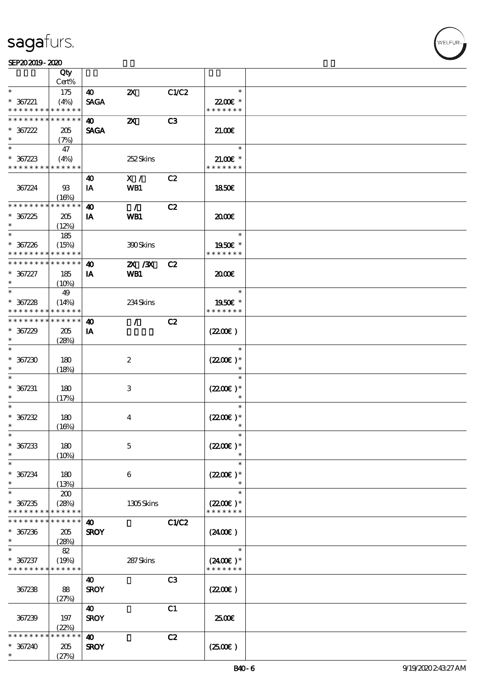#### SEP202019-2020

|                                          | Qty                        |                       |                           |                |                          |  |
|------------------------------------------|----------------------------|-----------------------|---------------------------|----------------|--------------------------|--|
| $\ast$                                   | Cert%                      | 40                    | $\boldsymbol{\mathsf{Z}}$ |                | $\ast$                   |  |
| $* 367221$                               | 175<br>(4%)                | <b>SAGA</b>           |                           | C1/C2          | 22.00€ *                 |  |
| * * * * * * * * <mark>* * * * * *</mark> |                            |                       |                           |                | * * * * * * *            |  |
| * * * * * * * * * * * * * *              |                            | $\boldsymbol{\omega}$ | $\boldsymbol{\mathsf{z}}$ | C <sub>3</sub> |                          |  |
| $* 367222$                               | 205                        | <b>SAGA</b>           |                           |                | 2100                     |  |
| $\ast$                                   | (7%)                       |                       |                           |                |                          |  |
| $\ast$                                   | 47                         |                       |                           |                | $\ast$                   |  |
| $* 367223$                               | (4%)                       |                       | 252Skins                  |                | $21.00E$ *               |  |
| * * * * * * * * * * * * * *              |                            |                       |                           |                | * * * * * * *            |  |
|                                          |                            | 40                    | X /                       | C2             |                          |  |
| 367224                                   | $93$<br>(16%)              | IA                    | WB1                       |                | 1850E                    |  |
| * * * * * * * *                          | * * * * * *                | $\boldsymbol{\omega}$ | $\mathcal{L}$             | C2             |                          |  |
| $* 367225$                               | 205                        | IA                    | WB1                       |                | 2000                     |  |
| $\ast$                                   | (12%)                      |                       |                           |                |                          |  |
| $\ast$                                   | 185                        |                       |                           |                | $\ast$                   |  |
| $* 367226$                               | (15%)                      |                       | 390Skins                  |                | 1950E *                  |  |
| * * * * * * * *                          | * * * * * *                |                       |                           |                | * * * * * * *            |  |
| * * * * * * * *                          | * * * * * *                | $\boldsymbol{\omega}$ | 2X / 3X                   | C2             |                          |  |
| $* 367227$                               | 185                        | IA                    | <b>WB1</b>                |                | æœ                       |  |
| $\ast$                                   | (10%)                      |                       |                           |                |                          |  |
| $\ast$                                   | 49                         |                       |                           |                | $\ast$                   |  |
| $* 367228$<br>* * * * * * * *            | (14%)<br>* * * * * *       |                       | 234Skins                  |                | 1950E *<br>* * * * * * * |  |
| * * * * * * * *                          | * * * * * *                | $\boldsymbol{\omega}$ | $\mathcal{T}$             | C2             |                          |  |
| $* 367229$                               | 205                        | IA                    |                           |                | (220)                    |  |
| $\ast$                                   | (28%)                      |                       |                           |                |                          |  |
| $\ast$                                   |                            |                       |                           |                | $\ast$                   |  |
| $* 367230$                               | 180                        |                       | $\boldsymbol{2}$          |                | $(2200)$ *               |  |
| $\ast$                                   | (18%)                      |                       |                           |                |                          |  |
| $\ast$                                   |                            |                       |                           |                | $\ast$                   |  |
| $* 367231$                               | 180                        |                       | $\,3$                     |                | $(2200)$ *               |  |
| $\ast$<br>$\ast$                         | (17%)                      |                       |                           |                | $\ast$<br>$\ast$         |  |
| $* 367232$                               |                            |                       |                           |                | $(2200)$ *               |  |
| $\ast$                                   | 180<br>(16%)               |                       | $\bf{4}$                  |                | $\ast$                   |  |
| $\ast$                                   |                            |                       |                           |                | $\ast$                   |  |
| $* 367233$                               | 180                        |                       | $\mathbf 5$               |                | $(2200)$ *               |  |
| $\ast$                                   | (10%)                      |                       |                           |                |                          |  |
| $\ast$                                   |                            |                       |                           |                | $\ast$                   |  |
| $* 367234$                               | 180                        |                       | 6                         |                | $(2200\varepsilon)*$     |  |
| $\ast$                                   | (13%)                      |                       |                           |                | $\ast$                   |  |
| $\ast$                                   | 200                        |                       |                           |                | $\ast$                   |  |
| $* 367235$                               | (28%)                      |                       | 1305Skins                 |                | $(2200)$ *               |  |
| * * * * * * * *<br>* * * * *             | * * * * * *<br>* * * * * * |                       |                           |                | * * * * * * *            |  |
| $* 367236$                               | 205                        | 40<br><b>SROY</b>     |                           | C1/C2          | (2400)                   |  |
| $\ast$                                   | (28%)                      |                       |                           |                |                          |  |
| $\ast$                                   | 82                         |                       |                           |                | $\ast$                   |  |
| $* 367237$                               | (19%)                      |                       | 287Skins                  |                | $(2400)$ *               |  |
| * * * * * * * * <mark>* * * * * *</mark> |                            |                       |                           |                | * * * * * * *            |  |
|                                          |                            | 40                    |                           | C <sub>3</sub> |                          |  |
| 367238                                   | 88                         | <b>SROY</b>           |                           |                | (220E)                   |  |
|                                          | (27%)                      |                       |                           |                |                          |  |
|                                          |                            | 40                    |                           | C1             |                          |  |
| 367239                                   | 197                        | <b>SROY</b>           |                           |                | 2500€                    |  |
| * * * * * *                              | (22%)<br>* * * * * *       | $\boldsymbol{\omega}$ |                           | C2             |                          |  |
| $* 367240$                               | 205                        | <b>SROY</b>           |                           |                | $(2500\varepsilon)$      |  |
| $\ast$                                   | (27%)                      |                       |                           |                |                          |  |
|                                          |                            |                       |                           |                |                          |  |

VELFUR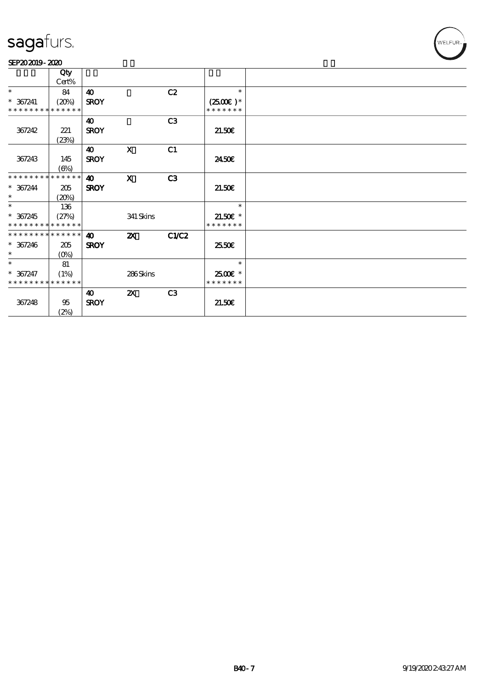#### SEP202019-2020

|                               | Qty                             |             |                           |                |               |  |
|-------------------------------|---------------------------------|-------------|---------------------------|----------------|---------------|--|
|                               | Cert%                           |             |                           |                |               |  |
| $\ast$                        | 84                              | 40          |                           | C2             | $\ast$        |  |
| $* 367241$                    | (20%)                           | <b>SROY</b> |                           |                | $(2500)$ *    |  |
| * * * * * * * * * * * * * * * |                                 |             |                           |                | * * * * * * * |  |
|                               |                                 | 40          |                           | C <sub>3</sub> |               |  |
| 367242                        | 221                             | <b>SROY</b> |                           |                | 21.50E        |  |
|                               | (23%)                           |             |                           |                |               |  |
|                               |                                 | 40          | $\mathbf{x}$              | C1             |               |  |
| 367243                        | 145                             | <b>SROY</b> |                           |                | 2450E         |  |
|                               | $(\Theta)$                      |             |                           |                |               |  |
| * * * * * * * *               | * * * * * *                     | 40          | $\mathbf{x}$              | C3             |               |  |
| $* 367244$                    | 205                             | <b>SROY</b> |                           |                | 21.50E        |  |
| $\ast$                        |                                 |             |                           |                |               |  |
| $\ast$                        | (20%)                           |             |                           |                | $\ast$        |  |
|                               | 136                             |             |                           |                |               |  |
| $* 367245$                    | (27%)                           |             | 341 Skins                 |                | $21.50E$ *    |  |
| * * * * * * * * * * * * * *   |                                 |             |                           |                | * * * * * * * |  |
| * * * * * * * * * * * * * * * |                                 | 40          | $\boldsymbol{\mathsf{X}}$ | <b>C1/C2</b>   |               |  |
| $* 367246$                    | 205                             | <b>SROY</b> |                           |                | 25.50E        |  |
| $*$                           | $(O\!\!\!\!\!\!\backslash\rho)$ |             |                           |                |               |  |
| $\ast$                        | 81                              |             |                           |                | $\ast$        |  |
| $* 367247$                    | (1%)                            |             | 286Skins                  |                | 2500€ *       |  |
| * * * * * * * * * * * * * *   |                                 |             |                           |                | * * * * * * * |  |
|                               |                                 | 40          | $\boldsymbol{\mathsf{z}}$ | C3             |               |  |
| 367248                        | 95                              | <b>SROY</b> |                           |                | 21.50E        |  |
|                               | (2%)                            |             |                           |                |               |  |
|                               |                                 |             |                           |                |               |  |

WELFUR-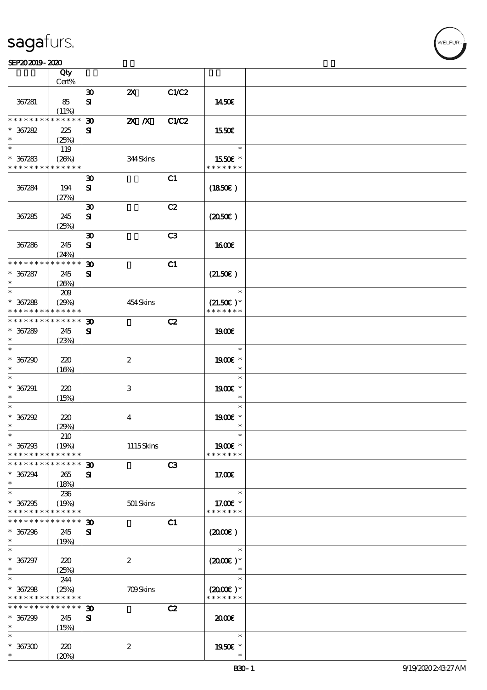|                                    | Qty                        |                             |                           |                |                             |  |
|------------------------------------|----------------------------|-----------------------------|---------------------------|----------------|-----------------------------|--|
|                                    | Cert%                      |                             |                           |                |                             |  |
|                                    |                            | $\boldsymbol{\mathfrak{D}}$ | $\boldsymbol{\mathsf{Z}}$ | C1/C2          |                             |  |
| 367281                             | 85<br>$(11\%)$             | $\mathbf{S}$                |                           |                | 1450E                       |  |
| * * * * * * * *                    | * * * * * *                | $\boldsymbol{\mathfrak{D}}$ | $X$ $N$                   | C1/C2          |                             |  |
| $* 367282$                         | 225                        | ${\bf s}$                   |                           |                | 1550€                       |  |
| $\ast$                             | (25%)                      |                             |                           |                |                             |  |
| $\ast$                             | 119                        |                             |                           |                | $\ast$                      |  |
| $* 367283$                         | (26%)                      |                             | 344Skins                  |                | 1550E *                     |  |
| * * * * * * * * * * * * * *        |                            |                             |                           |                | * * * * * * *               |  |
|                                    |                            | $\boldsymbol{\mathfrak{D}}$ |                           | C1             |                             |  |
| 367284                             | 194                        | ${\bf s}$                   |                           |                | (1850)                      |  |
|                                    | (27%)                      |                             |                           |                |                             |  |
|                                    |                            | $\boldsymbol{\mathfrak{D}}$ |                           | C2             |                             |  |
| 367285                             | 245                        | ${\bf s}$                   |                           |                | (2050)                      |  |
|                                    | (25%)                      | $\boldsymbol{\mathfrak{D}}$ |                           | C <sub>3</sub> |                             |  |
| 367286                             | 245                        | ${\bf s}$                   |                           |                | 1600E                       |  |
|                                    | (24%)                      |                             |                           |                |                             |  |
| * * * * * * * *                    | * * * * * *                | $\boldsymbol{\mathfrak{D}}$ |                           | C1             |                             |  |
| $* 367287$                         | 245                        | ${\bf s}$                   |                           |                | (21.50)                     |  |
| $\ast$                             | (20%)                      |                             |                           |                |                             |  |
| $\ast$                             | 209                        |                             |                           |                | $\ast$                      |  |
| $* 367288$                         | (29%)                      |                             | 454 Skins                 |                | $(21.50)$ *                 |  |
| * * * * * * * *                    | * * * * * *                |                             |                           |                | * * * * * * *               |  |
| * * * * * * * *                    | * * * * * *                | 30                          |                           | C2             |                             |  |
| $* 367289$<br>$\ast$               | 245                        | ${\bf s}$                   |                           |                | 1900E                       |  |
| $\ast$                             | (23%)                      |                             |                           |                | $\ast$                      |  |
| $* 367290$                         | 220                        |                             | $\boldsymbol{2}$          |                | 1900€ *                     |  |
| $\ast$                             | (16%)                      |                             |                           |                | $\ast$                      |  |
| $\ast$                             |                            |                             |                           |                | $\ast$                      |  |
| $* 367291$                         | 220                        |                             | 3                         |                | 1900€ *                     |  |
| $\ast$                             | (15%)                      |                             |                           |                | $\ast$                      |  |
| $\ast$                             |                            |                             |                           |                | $\ast$                      |  |
| $*367292$                          | 220                        |                             | $\overline{\mathbf{4}}$   |                | 1900E *                     |  |
| $\ast$                             | (29%)                      |                             |                           |                | $\ast$                      |  |
| $\ast$                             | 210                        |                             |                           |                | $\ast$                      |  |
| $* 367293$                         | (19%)                      |                             | 1115Skins                 |                | 1900E *                     |  |
| * * * * * * * *<br>* * * * * * * * | * * * * * *<br>* * * * * * | 30                          |                           | C3             | * * * * * * *               |  |
| $* 367294$                         | 265                        | ${\bf s}$                   |                           |                | 17.00E                      |  |
| $\ast$                             | (18%)                      |                             |                           |                |                             |  |
| $\ast$                             | 236                        |                             |                           |                | $\ast$                      |  |
| $* 367295$                         | (19%)                      |                             | $501$ Skins               |                | 17.00 £*                    |  |
| * * * * * * * *                    | * * * * * *                |                             |                           |                | * * * * * * *               |  |
| * * * * * * * *                    | * * * * * *                | $\boldsymbol{\mathfrak{D}}$ |                           | C1             |                             |  |
| $* 367296$                         | 245                        | ${\bf s}$                   |                           |                | (2000)                      |  |
| $\ast$                             | (19%)                      |                             |                           |                |                             |  |
| $\ast$                             |                            |                             |                           |                | $\ast$                      |  |
| $* 367297$                         | 220                        |                             | $\boldsymbol{2}$          |                | $(200E)*$                   |  |
| $\ast$                             | (25%)                      |                             |                           |                | $\ast$                      |  |
| $\ast$                             | 244                        |                             |                           |                | $\ast$                      |  |
| $* 367298$<br>* * * * * * * *      | (25%)<br>* * * * * *       |                             | <b>709Skins</b>           |                | $(2000)$ *<br>* * * * * * * |  |
| * * * * * * * *                    | * * * * * *                | $\boldsymbol{\mathfrak{D}}$ |                           | C2             |                             |  |
| $* 367299$                         | 245                        | ${\bf s}$                   |                           |                | æœ                          |  |
| $\ast$                             | (15%)                      |                             |                           |                |                             |  |
| $\ast$                             |                            |                             |                           |                | $\ast$                      |  |
| $* 367300$                         | 220                        |                             | $\boldsymbol{2}$          |                | 1950E *                     |  |
| $\ast$                             | (20%)                      |                             |                           |                | $\ast$                      |  |

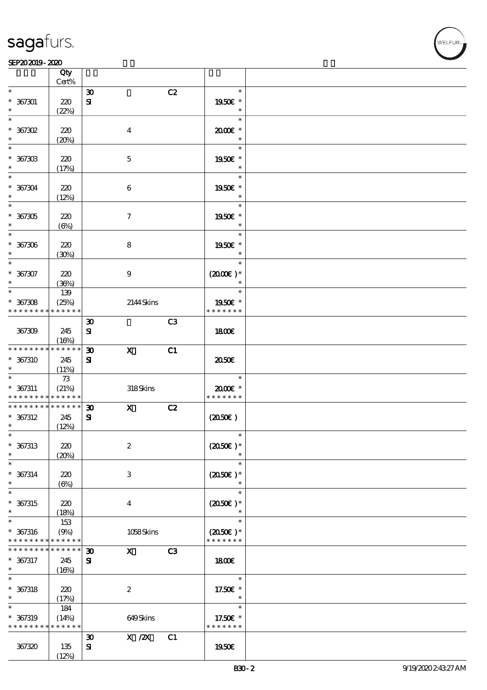|                                                          | Qty<br>Cert%         |                             |                           |    |                          |  |
|----------------------------------------------------------|----------------------|-----------------------------|---------------------------|----|--------------------------|--|
| $\ast$                                                   |                      | $\boldsymbol{\mathfrak{D}}$ |                           | C2 | $\ast$                   |  |
| $* 367301$                                               | 220                  | $\bf S\!I$                  |                           |    | 1950E *                  |  |
| $\ast$                                                   | (22%)                |                             |                           |    | $\ast$                   |  |
| $\ast$                                                   |                      |                             |                           |    | $\ast$                   |  |
| $*$ 367302                                               | 220                  |                             | $\boldsymbol{4}$          |    | 2000E*                   |  |
| $\ast$                                                   | (20%)                |                             |                           |    | $\ast$                   |  |
| $\ast$                                                   |                      |                             |                           |    | $\ast$                   |  |
|                                                          |                      |                             |                           |    | 1950E *                  |  |
| $* 36730B$<br>$\ast$                                     | 220                  |                             | $\mathbf 5$               |    |                          |  |
| $\ast$                                                   | (17%)                |                             |                           |    | $\ast$                   |  |
|                                                          |                      |                             |                           |    |                          |  |
| $* 367304$<br>$\ast$                                     | 220                  |                             | $\boldsymbol{6}$          |    | 1950E *<br>$\ast$        |  |
| $\overline{\ast}$                                        | (12%)                |                             |                           |    | $\ast$                   |  |
|                                                          |                      |                             |                           |    |                          |  |
| $* 367305$<br>$\ast$                                     | 220                  |                             | $\boldsymbol{\tau}$       |    | 1950E *<br>$\ast$        |  |
| $\ast$                                                   | $(\Theta)$           |                             |                           |    | $\ast$                   |  |
|                                                          |                      |                             |                           |    |                          |  |
| $* 367306$<br>$\ast$                                     | 220                  |                             | 8                         |    | 1950E *<br>$\ast$        |  |
| $\ast$                                                   | (30%)                |                             |                           |    | $\ast$                   |  |
|                                                          |                      |                             |                           |    |                          |  |
| $* 367307$<br>$\ast$                                     | 220                  |                             | $\boldsymbol{9}$          |    | $(2000)$ *<br>$\ast$     |  |
| $\ast$                                                   | (36%)                |                             |                           |    | $\ast$                   |  |
|                                                          | 139                  |                             |                           |    |                          |  |
| $* 367308$<br>* * * * * * * *                            | (25%)<br>* * * * * * |                             | 2144Skins                 |    | 1950E *<br>* * * * * * * |  |
|                                                          |                      |                             |                           | C3 |                          |  |
|                                                          |                      | $\boldsymbol{\mathfrak{D}}$ |                           |    |                          |  |
| 367309                                                   | 245                  | ${\bf s}$                   |                           |    | 1800E                    |  |
| * * * * * * * *                                          | (16%)<br>* * * * * * |                             |                           |    |                          |  |
|                                                          |                      | $\boldsymbol{\mathfrak{D}}$ | $\boldsymbol{\mathrm{X}}$ | C1 |                          |  |
| $* 367310$<br>$\ast$                                     | 245                  | ${\bf s}$                   |                           |    | 2050€                    |  |
|                                                          | (11%)                |                             |                           |    | $\ast$                   |  |
|                                                          | $73$                 |                             |                           |    | $2000$ $*$               |  |
| $* 367311$<br>* * * * * * * * <mark>* * * * * *</mark> * | (21%)                |                             | 318Skins                  |    | * * * * * * *            |  |
| * * * * * * * * * * * * * *                              |                      | $\boldsymbol{\mathfrak{D}}$ | $\mathbf{x}$              | C2 |                          |  |
| $* 367312$                                               | 245                  | ${\bf s}$                   |                           |    | (2050)                   |  |
| $\ast$                                                   | (12%)                |                             |                           |    |                          |  |
| $\ast$                                                   |                      |                             |                           |    | $\ast$                   |  |
| $* 367313$                                               | 220                  |                             | $\boldsymbol{2}$          |    | $(2050)$ *               |  |
| $\ast$                                                   | (20%)                |                             |                           |    |                          |  |
| $\ast$                                                   |                      |                             |                           |    | $\ast$                   |  |
| $* 367314$                                               | 220                  |                             | $\ensuremath{\mathbf{3}}$ |    | $(2050)$ *               |  |
| $\ast$                                                   | $(\Theta)$           |                             |                           |    | $\ast$                   |  |
| $\ast$                                                   |                      |                             |                           |    | $\ast$                   |  |
| $* 367315$                                               | 220                  |                             | $\bf{4}$                  |    | $(2050)$ *               |  |
| $\ast$                                                   | (18%)                |                             |                           |    |                          |  |
| $\ast$                                                   | 153                  |                             |                           |    | $\ast$                   |  |
| $* 367316$                                               | (9%)                 |                             | 1058Skins                 |    | $(2050)$ *               |  |
| * * * * * * * * * * * * * *                              |                      |                             |                           |    | * * * * * * *            |  |
| * * * * * * *                                            | * * * * * *          | $\boldsymbol{\mathfrak{D}}$ | $\mathbf{X}$              | C3 |                          |  |
| * 367317                                                 | 245                  | $\mathbf{S}$                |                           |    | 1800E                    |  |
| $\ast$                                                   | (16%)                |                             |                           |    |                          |  |
| $\ast$                                                   |                      |                             |                           |    | $\ast$                   |  |
| $* 367318$                                               | 220                  |                             | $\boldsymbol{2}$          |    | 17.50€ *                 |  |
| $\ast$                                                   | (17%)                |                             |                           |    | $\ast$                   |  |
| $\ast$                                                   | 184                  |                             |                           |    | $\ast$                   |  |
| $* 367319$                                               | (14%)                |                             | 649Skins                  |    | 17.50 £*                 |  |
| * * * * * * * *                                          | * * * * * *          |                             |                           |    | * * * * * * *            |  |
|                                                          |                      | $\boldsymbol{\mathfrak{D}}$ | X / ZX                    | C1 |                          |  |
| 367320                                                   | 135                  | ${\bf s}$                   |                           |    | 1950€                    |  |
|                                                          | (12%)                |                             |                           |    |                          |  |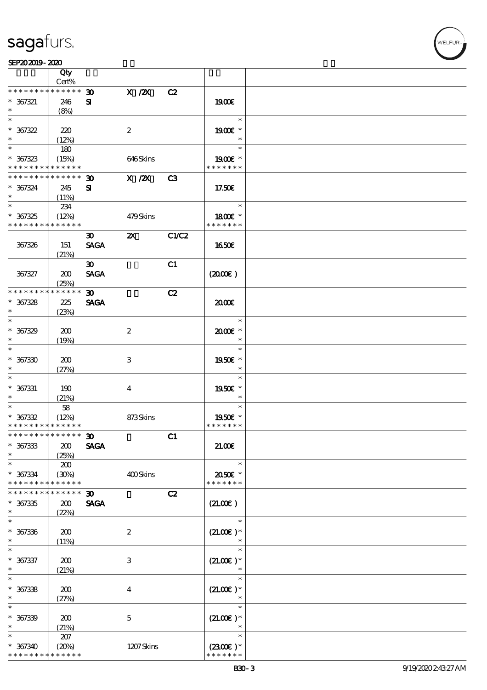|                                            | Qty                  |                             |                           |       |                          |  |
|--------------------------------------------|----------------------|-----------------------------|---------------------------|-------|--------------------------|--|
| * * * * * * * *                            | Cert%<br>* * * * * * |                             |                           |       |                          |  |
|                                            |                      | $\boldsymbol{\mathfrak{D}}$ | $X$ / $ZX$                | C2    |                          |  |
| $* 367321$                                 | 246                  | ${\bf s}$                   |                           |       | 1900€                    |  |
| $\ast$                                     | (8%)                 |                             |                           |       |                          |  |
| $\ast$                                     |                      |                             |                           |       | $\ast$                   |  |
| $* 367322$                                 | 220                  |                             | $\boldsymbol{2}$          |       | 1900€ *                  |  |
| $\ast$                                     | (12%)                |                             |                           |       | $\ast$                   |  |
| $\ast$                                     | 180                  |                             |                           |       | $\ast$                   |  |
| $* 367323$                                 | (15%)                |                             | 646Skins                  |       | 1900E *                  |  |
| * * * * * * * * * * * * * *                |                      |                             |                           |       | * * * * * * *            |  |
| * * * * * * * *                            | * * * * * *          | $\boldsymbol{\mathfrak{D}}$ | $X$ / $ZX$                | C3    |                          |  |
| $* 367324$                                 | 245                  | ${\bf s}$                   |                           |       | 17.50€                   |  |
| $\ast$                                     | (11%)                |                             |                           |       |                          |  |
| $\overline{\phantom{0}}$                   | 234                  |                             |                           |       | $\ast$                   |  |
| $* 367325$                                 | (12%)                |                             | 479Skins                  |       | 1800€ *                  |  |
| * * * * * * * *                            | * * * * * *          |                             |                           |       | * * * * * * *            |  |
|                                            |                      | $\boldsymbol{\mathfrak{D}}$ | $\boldsymbol{\mathsf{z}}$ | C1/C2 |                          |  |
| 367326                                     | 151                  | <b>SAGA</b>                 |                           |       | 1650E                    |  |
|                                            | (21%)                |                             |                           |       |                          |  |
|                                            |                      | $\boldsymbol{\mathfrak{D}}$ |                           | C1    |                          |  |
| 367327                                     | 200                  | <b>SAGA</b>                 |                           |       | (200E)                   |  |
|                                            | (25%)                |                             |                           |       |                          |  |
| * * * * * * * *                            | * * * * * *          | $\boldsymbol{\mathfrak{D}}$ |                           | C2    |                          |  |
| $* 367328$                                 | 225                  | <b>SAGA</b>                 |                           |       | 2000E                    |  |
| $\ast$                                     | (23%)                |                             |                           |       |                          |  |
| $\ast$                                     |                      |                             |                           |       | $\ast$                   |  |
| $* 367329$                                 | 200                  |                             | $\boldsymbol{2}$          |       | 2000E*                   |  |
| $\ast$                                     |                      |                             |                           |       | $\ast$                   |  |
| $\ast$                                     | (19%)                |                             |                           |       | $\ast$                   |  |
|                                            |                      |                             |                           |       |                          |  |
| $* 367330$                                 | 200                  |                             | $\,3$                     |       | 1950€ *                  |  |
| $\ast$<br>$\ast$                           | (27%)                |                             |                           |       | $\ast$<br>$\ast$         |  |
|                                            |                      |                             |                           |       |                          |  |
| $* 367331$                                 | 190                  |                             | $\boldsymbol{4}$          |       | 1950E *                  |  |
| $\ast$<br>$\ast$                           | (21%)                |                             |                           |       | $\ast$<br>$\ast$         |  |
|                                            | $58\,$               |                             |                           |       |                          |  |
| $* 367332$                                 | (12%)                |                             | 873Skins                  |       | 1950E *<br>* * * * * * * |  |
| * * * * * * * * <mark>* * * * * *</mark> * |                      |                             |                           |       |                          |  |
| *************** 30                         |                      |                             |                           | C1    |                          |  |
| $* 367333$                                 | 200                  | <b>SAGA</b>                 |                           |       | 21.00E                   |  |
| $\ast$                                     | (25%)                |                             |                           |       |                          |  |
| $\ast$                                     | 200                  |                             |                           |       | $\ast$                   |  |
| $* 367334$                                 | (30%)                |                             | 400Skins                  |       | 2050€ *                  |  |
| * * * * * * * *                            | * * * * * *          |                             |                           |       | * * * * * * *            |  |
| * * * * * * *                              | * * * * * *          | $\boldsymbol{\mathfrak{D}}$ |                           | C2    |                          |  |
| $* 367335$                                 | 200                  | <b>SAGA</b>                 |                           |       | (21.00)                  |  |
| $\ast$                                     | (22%)                |                             |                           |       |                          |  |
| $\ast$                                     |                      |                             |                           |       | $\ast$                   |  |
| $* 367336$                                 | 200                  |                             | $\boldsymbol{2}$          |       | $(21.00)$ *              |  |
| $\ast$                                     | (11%)                |                             |                           |       |                          |  |
| $\ast$                                     |                      |                             |                           |       | $\ast$                   |  |
| $* 367337$                                 | 200                  |                             | $\,3$                     |       | $(21.00)$ *              |  |
| $\ast$                                     | (21%)                |                             |                           |       | $\ast$                   |  |
| $\ast$                                     |                      |                             |                           |       | $\ast$                   |  |
| $* 367338$                                 | 200                  |                             | $\boldsymbol{4}$          |       | $(21.00)$ *              |  |
| $\ast$                                     | (27%)                |                             |                           |       | $\ast$                   |  |
| $\ast$                                     |                      |                             |                           |       | $\ast$                   |  |
| $* 367339$                                 | 200                  |                             | $\mathbf 5$               |       | $(21.00)$ *              |  |
| $\ast$                                     | (21%)                |                             |                           |       | $\ast$                   |  |
| $\ast$                                     | 207                  |                             |                           |       | $\ast$                   |  |
| $* 367340$                                 |                      |                             | 1207Skins                 |       | $(2300)$ *               |  |
| * * * * * * * *                            | (20%)<br>* * * * * * |                             |                           |       | * * * * * * *            |  |
|                                            |                      |                             |                           |       |                          |  |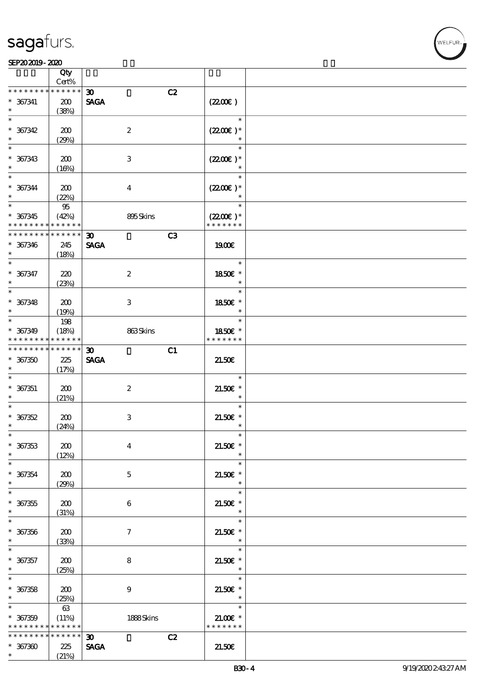|                                | Qty<br>Cert%    |                                   |                      |  |
|--------------------------------|-----------------|-----------------------------------|----------------------|--|
| * * * * * * * *                | * * * * * *     |                                   |                      |  |
|                                |                 | C2<br>$\boldsymbol{\mathfrak{D}}$ |                      |  |
| $* 367341$                     | 200             | <b>SAGA</b>                       | (220E)               |  |
|                                | (38%)           |                                   |                      |  |
| $\overline{\ast}$              |                 |                                   | $\ast$               |  |
| $* 367342$                     | 200             | $\boldsymbol{z}$                  | $(2200)$ *           |  |
| $\ast$                         | (29%)           |                                   |                      |  |
| $\overline{\phantom{0}}$       |                 |                                   | $\ast$               |  |
| $* 367343$                     | 200             | 3                                 | $(2200\varepsilon)*$ |  |
| $\ast$                         | (16%)           |                                   |                      |  |
| $\ast$                         |                 |                                   | $\ast$               |  |
|                                |                 |                                   |                      |  |
| $* 367344$<br>$\ast$           | 200             | $\overline{4}$                    | $(2200)$ *           |  |
|                                | (22%)           |                                   |                      |  |
|                                | $95\,$          |                                   | $\ast$               |  |
| $* 367345$                     | (42%)           | 895Skins                          | $(2200\varepsilon)*$ |  |
| * * * * * * * * <mark>*</mark> | * * * * * *     |                                   | * * * * * * *        |  |
| * * * * * * * *                | $******$        | C3<br>$\boldsymbol{\mathfrak{D}}$ |                      |  |
| $* 367346$                     | 245             | <b>SAGA</b>                       | 1900€                |  |
| $\ast$                         | (18%)           |                                   |                      |  |
| $\ast$                         |                 |                                   | $\ast$               |  |
| $* 367347$                     | 220             | $\boldsymbol{2}$                  | 1850€ *              |  |
| $\ast$                         |                 |                                   | $\ast$               |  |
| $\overline{\ast}$              | (23%)           |                                   | $\ast$               |  |
|                                |                 |                                   |                      |  |
| $* 367348$                     | 200             | 3                                 | 1850E *              |  |
| $\ast$                         | (19%)           |                                   | $\ast$               |  |
| $\overline{\ast}$              | 198             |                                   | $\ast$               |  |
| $* 367349$                     | (18%)           | 863Skins                          | 1850E *              |  |
| * * * * * * * *                | * * * * * *     |                                   | * * * * * * *        |  |
| * * * * * * * *                | $* * * * * * *$ | C1<br>$\boldsymbol{\mathfrak{D}}$ |                      |  |
| $* 367350$                     | 225             | <b>SAGA</b>                       | 21.50E               |  |
| $\ast$                         | (17%)           |                                   |                      |  |
| $\ast$                         |                 |                                   | $\ast$               |  |
|                                |                 |                                   |                      |  |
| $* 367351$                     | 200             | $\boldsymbol{2}$                  | $21.50E$ *           |  |
| $\ast$                         | (21%)           |                                   | $\ast$               |  |
| $\ast$                         |                 |                                   | $\ast$               |  |
| $* 367352$                     | 200             | $\,3$                             | $21.50E$ *           |  |
| $\ast$                         | (24%)           |                                   |                      |  |
| $\ast$                         |                 |                                   | $\ast$               |  |
|                                |                 |                                   | $\ast$               |  |
| $* 367353$                     | 200             | $\boldsymbol{4}$                  |                      |  |
| $\ast$                         |                 |                                   | $21.50E$ *<br>$\ast$ |  |
| $\ast$                         | (12%)           |                                   | $\ast$               |  |
|                                |                 |                                   |                      |  |
| $* 367354$<br>$\ast$           | 200             | $\mathbf 5$                       | $21.50E$ *<br>$\ast$ |  |
|                                | (29%)           |                                   |                      |  |
| $\ast$                         |                 |                                   | $\ast$               |  |
| $* 367355$                     | 200             | 6                                 | $21.50E$ *           |  |
| $\ast$                         | (31%)           |                                   | $\ast$               |  |
| $\ast$                         |                 |                                   | $\ast$               |  |
| $* 367356$                     | 200             | $\tau$                            | $21.50E$ *           |  |
| $\ast$                         | (33%)           |                                   | $\ast$               |  |
| $\ast$                         |                 |                                   | $\ast$               |  |
|                                |                 |                                   |                      |  |
| $* 367357$<br>$\ast$           | 200             | 8                                 | $21.50E$ *<br>$\ast$ |  |
| $\ast$                         | (25%)           |                                   | $\ast$               |  |
|                                |                 |                                   |                      |  |
| $* 367358$                     | 200             | $\boldsymbol{9}$                  | $21.50E$ *           |  |
| $\ast$                         | (25%)           |                                   | $\ast$               |  |
| $\ast$                         | 63              |                                   | $\ast$               |  |
| $* 367359$                     | (11%)           | 1888Skins                         | $21.00E$ *           |  |
| * * * * * * * *                | * * * * * *     |                                   | * * * * * * *        |  |
| * * * * * * * *                | * * * * * *     | C2<br>$\boldsymbol{\mathfrak{D}}$ |                      |  |
| $*367300$                      | 225             | <b>SAGA</b>                       | 21.50E               |  |

WELFUR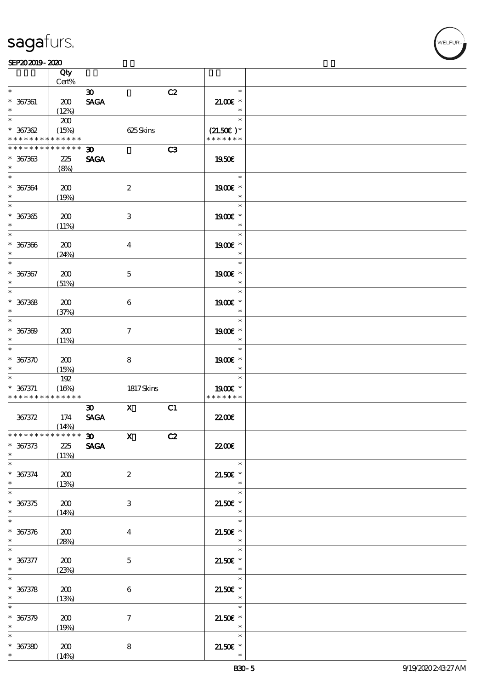**VELFUR** 

|                                                                    | Qty<br>Cert%               |                                                                              |    |                                        |  |
|--------------------------------------------------------------------|----------------------------|------------------------------------------------------------------------------|----|----------------------------------------|--|
| $\ast$                                                             |                            |                                                                              |    | $\ast$                                 |  |
| $* 367361$<br>$\ast$                                               | 200                        | $\boldsymbol{\mathfrak{D}}$<br><b>SAGA</b>                                   | C2 | $21.00E$ *                             |  |
|                                                                    | (12%)                      |                                                                              |    | $\ast$                                 |  |
| $\ast$<br>$* 367362$<br>* * * * * * * * <mark>* * * * * * *</mark> | 200<br>(15%)               | 625Skins                                                                     |    | $\ast$<br>$(21.50)$ *<br>* * * * * * * |  |
|                                                                    |                            |                                                                              |    |                                        |  |
| * * * * * * * *<br>$* 367363$<br>$\ast$                            | * * * * * *<br>225<br>(8%) | $\boldsymbol{\mathfrak{D}}$<br><b>SAGA</b>                                   | C3 | 1950E                                  |  |
| $\ast$<br>$* 367364$<br>$\ast$                                     | 200<br>(19%)               | $\boldsymbol{2}$                                                             |    | $\ast$<br>1900E *<br>$\ast$            |  |
| $\overline{\phantom{1}}$<br>$* 367365$<br>$\ast$                   | 200<br>(11%)               | $\,3$                                                                        |    | $\ast$<br>1900€ *<br>$\ast$            |  |
| $\ast$<br>$* 367366$<br>$\ast$                                     | 200<br>(24%)               | $\boldsymbol{4}$                                                             |    | $\ast$<br>1900E *<br>$\ast$            |  |
| $\ast$<br>$* 367367$<br>$\ast$                                     | 200<br>(51%)               | $\mathbf 5$                                                                  |    | $\ast$<br>1900€ *<br>$\ast$            |  |
| $\ast$<br>$* 367368$<br>$\ast$                                     | 200<br>(37%)               | $\,6$                                                                        |    | $\ast$<br>1900€ *<br>$\ast$            |  |
| $\ast$<br>$* 367309$<br>$\ast$                                     | 200<br>(11%)               | $\boldsymbol{\tau}$                                                          |    | $\ast$<br>1900€ *<br>$\ast$            |  |
| $\ast$<br>$* 367370$<br>$\ast$                                     | 200<br>(15%)               | $\bf 8$                                                                      |    | $\ast$<br>1900€ *<br>$\ast$            |  |
| $\ast$<br>$* 367371$<br>* * * * * * * * <mark>* * * * * *</mark>   | 192<br>(16%)               | 1817Skins                                                                    |    | $\ast$<br>1900E *<br>* * * * * * *     |  |
| 367372                                                             | 174<br>(14%)               | $\mathbf x$<br>$\boldsymbol{\mathfrak{D}}$<br>$\operatorname{\mathsf{SAGA}}$ | C1 | <b>2200</b> €                          |  |
| ***************<br>$* 367373$<br>$\ast$                            | 225<br>(11%)               | $\boldsymbol{\mathfrak{D}}$<br>$\mathbf{x}$<br><b>SAGA</b>                   | C2 | 2200                                   |  |
| $\ast$<br>$* 367374$<br>$\ast$                                     | $200\,$<br>(13%)           | $\boldsymbol{2}$                                                             |    | $\ast$<br>$21.50E$ *<br>$\ast$         |  |
| $\ast$<br>$* 367375$<br>$\ast$                                     | 200<br>(14%)               | 3                                                                            |    | $\ast$<br>$21.50E$ *<br>$\ast$         |  |
| $\ast$<br>$* 367376$<br>$\ast$                                     | 200<br>(28%)               | $\boldsymbol{4}$                                                             |    | $\ast$<br>$21.50E$ *<br>$\ast$         |  |
| $\ast$<br>$* 367377$<br>$\ast$                                     | 200<br>(23%)               | $\mathbf 5$                                                                  |    | $\ast$<br>$21.50E$ *<br>$\ast$         |  |
| $\ast$<br>$* 367378$<br>$\ast$                                     | 200<br>(13%)               | $\,6\,$                                                                      |    | $\ast$<br>$21.50E$ *<br>$\ast$         |  |
| $\ast$<br>$* 367379$<br>$\ast$                                     | 200<br>(19%)               | $\boldsymbol{7}$                                                             |    | $\ast$<br>$21.50E$ *<br>$\ast$         |  |
| $\ast$<br>$*$ 367380<br>                                           | 200<br>(14%)               | $\bf 8$                                                                      |    | $\ast$<br>$21.50E$ *                   |  |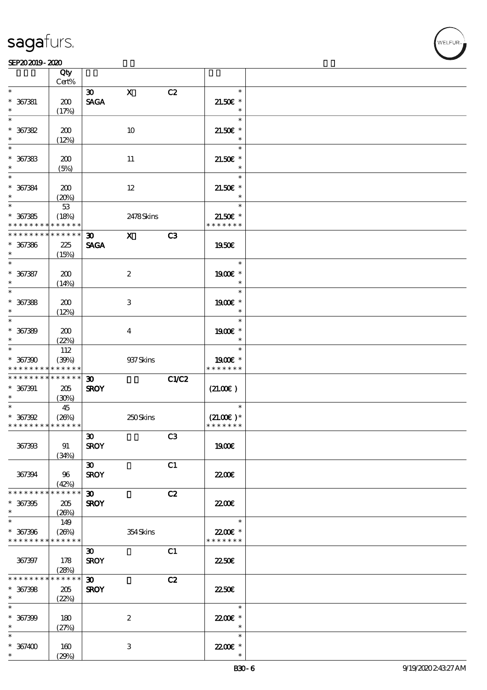

|                                                     | Qty<br>Cert%                |                                            |                         |       |                                                   |  |
|-----------------------------------------------------|-----------------------------|--------------------------------------------|-------------------------|-------|---------------------------------------------------|--|
| $\ast$                                              |                             | $\boldsymbol{\mathfrak{D}}$                | $\mathbf X$             | C2    | $\ast$                                            |  |
| $* 367381$<br>$\ast$                                | 200<br>(17%)                | <b>SAGA</b>                                |                         |       | $21.50E$ *<br>$\ast$                              |  |
| $\ast$<br>$* 367382$                                | 200                         |                                            | 10                      |       | $\ast$<br>$21.50E$ *                              |  |
| $\ast$<br>$\ast$<br>$* 367383$                      | (12%)<br>200                |                                            | 11                      |       | $\ast$<br>$\ast$<br>$21.50E$ *                    |  |
| $\ast$<br>$\ast$                                    | (5%)                        |                                            |                         |       | $\ast$<br>$\ast$                                  |  |
| $* 367384$<br>$\ast$<br>$\overline{\phantom{1}}$    | 200<br>(20%)<br>53          |                                            | 12                      |       | $21.50E$ *<br>$\ast$<br>$\ast$                    |  |
| $* 367385$<br>* * * * * * * *                       | (18%)<br>* * * * * *        |                                            | 2478Skins               |       | $21.50E$ *<br>* * * * * * *                       |  |
| * * * * * * * *<br>$* 367386$<br>$\ast$             | * * * * * *<br>225<br>(15%) | $\boldsymbol{\mathfrak{D}}$<br><b>SAGA</b> | $\mathbf{x}$            | C3    | 1950E                                             |  |
| $\ast$<br>$* 367387$<br>$\ast$                      | 200<br>(14%)                |                                            | $\boldsymbol{z}$        |       | $\ast$<br>1900E *<br>$\ast$                       |  |
| $\overline{\ast}$<br>$* 367388$<br>$\ast$           | 200<br>(12%)                |                                            | 3                       |       | $\ast$<br>1900€ *<br>$\ast$                       |  |
| $\ast$<br>$* 367389$<br>$\ast$                      | 200<br>(22%)                |                                            | $\overline{\mathbf{4}}$ |       | $\ast$<br>1900€ *<br>$\ast$                       |  |
| $\ast$<br>$* 367390$<br>* * * * * * * *             | 112<br>(30%)<br>* * * * * * |                                            | 937 Skins               |       | $\ast$<br>1900E *<br>* * * * * * *                |  |
| * * * * * * * *<br>$* 367391$<br>$\ast$             | * * * * * *<br>205<br>(30%) | $\boldsymbol{\mathfrak{D}}$<br><b>SROY</b> |                         | C1/C2 | (21.00)                                           |  |
| $\ast$<br>$* 367392$<br>* * * * * * * * * * * * * * | 45<br>(20%)                 |                                            | 250Skins                |       | $\ast$<br>$(21.00)$ <sup>*</sup><br>* * * * * * * |  |
| 367393                                              | 91<br>(34%)                 | $\boldsymbol{\mathfrak{D}}$<br><b>SROY</b> |                         | C3    | 1900E                                             |  |
| 367394                                              | 96<br>(42%)                 | $\infty$<br><b>SROY</b>                    |                         | C1    | <b>2200E</b>                                      |  |
| * * * * * * * *                                     | * * * * * *                 | $\boldsymbol{\mathfrak{D}}$                |                         | C2    |                                                   |  |
| $* 367395$<br>$\ast$<br>$\ast$                      | 205<br>(20%)                | <b>SROY</b>                                |                         |       | 2200<br>$\ast$                                    |  |
| $* 367396$<br>* * * * * * * *                       | 149<br>(20%)<br>* * * * * * |                                            | 354Skins                |       | 22.00E *<br>* * * * * * *                         |  |
| 367397                                              | 178<br>(28%)                | $\boldsymbol{\mathfrak{D}}$<br><b>SROY</b> |                         | C1    | 2250E                                             |  |
| * * * * * * * *<br>$* 367398$<br>$\ast$             | * * * * * *<br>205<br>(22%) | $\boldsymbol{\mathfrak{D}}$<br><b>SROY</b> |                         | C2    | 22.50E                                            |  |
| $\ast$<br>$* 367399$<br>$\ast$                      | 180<br>(27%)                |                                            | $\boldsymbol{2}$        |       | $\ast$<br>22.00€ *<br>$\ast$                      |  |
| $\ast$<br>$* 367400$<br>$\ast$                      | 160<br>(29%)                |                                            | 3                       |       | $\ast$<br>22.00 £*                                |  |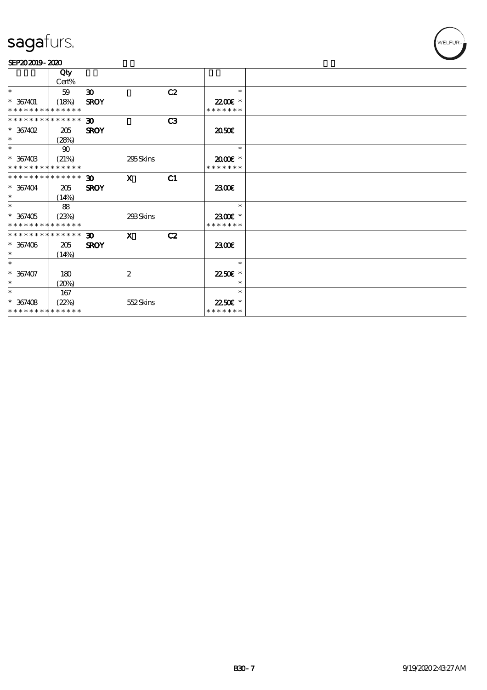

|                             | Qty          |                             |                  |    |               |  |
|-----------------------------|--------------|-----------------------------|------------------|----|---------------|--|
|                             | Cert%        |                             |                  |    |               |  |
| $\ast$                      | 59           | $\boldsymbol{\mathfrak{D}}$ |                  | C2 | $\ast$        |  |
| $* 367401$                  | (18%)        | <b>SROY</b>                 |                  |    | 2200E *       |  |
| * * * * * * * * * * * * * * |              |                             |                  |    | * * * * * * * |  |
| * * * * * * * * * * * * * * |              | 30 <sup>2</sup>             |                  | C3 |               |  |
| $* 367402$                  | 205          | <b>SROY</b>                 |                  |    | 2050E         |  |
| $\ast$                      | (28%)        |                             |                  |    |               |  |
| $\ast$                      | $90^{\circ}$ |                             |                  |    | $\ast$        |  |
| $* 36740B$                  | (21%)        |                             | 295Skins         |    | 2000E *       |  |
| * * * * * * * * * * * * * * |              |                             |                  |    | * * * * * * * |  |
| * * * * * * * * * * * * * * |              | 30 <sup>2</sup>             | $\mathbf{x}$     | C1 |               |  |
| $* 367404$                  | 205          | <b>SROY</b>                 |                  |    | 2300E         |  |
| $*$                         | (14%)        |                             |                  |    |               |  |
| $\ast$                      | 88           |                             |                  |    | $\ast$        |  |
| $* 367405$                  | (23%)        |                             | 293Skins         |    | 2300€ *       |  |
| * * * * * * * * * * * * * * |              |                             |                  |    | * * * * * * * |  |
| * * * * * * * * * * * * * * |              | 30 <sup>2</sup>             | $\mathbf{x}$     | C2 |               |  |
| $* 367406$                  | 205          | <b>SROY</b>                 |                  |    | 2300E         |  |
| $\ast$                      | (14%)        |                             |                  |    |               |  |
| $\ast$                      |              |                             |                  |    | $\ast$        |  |
| $* 367407$                  | 180          |                             | $\boldsymbol{2}$ |    | 22.50€ *      |  |
| $\ast$                      | (20%)        |                             |                  |    | $\ast$        |  |
| $\ast$                      | 167          |                             |                  |    | $\ast$        |  |
| $* 367408$                  | (22%)        |                             | 552Skins         |    | 22.50E *      |  |
| * * * * * * * * * * * * * * |              |                             |                  |    | * * * * * * * |  |
|                             |              |                             |                  |    |               |  |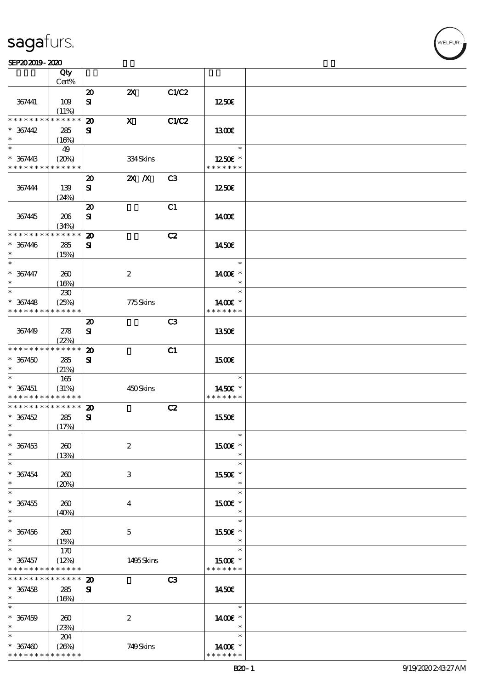|                             | Qty                  |                             |                           |                |                   |  |
|-----------------------------|----------------------|-----------------------------|---------------------------|----------------|-------------------|--|
|                             | Cert%                |                             |                           |                |                   |  |
|                             |                      | $\boldsymbol{\mathsf{20}}$  | $\boldsymbol{\mathsf{Z}}$ | C1/C2          |                   |  |
| 367441                      | 109                  | ${\bf s}$                   |                           |                | 1250E             |  |
|                             | (11%)                |                             |                           |                |                   |  |
| * * * * * * * *             | * * * * * *          | $\boldsymbol{\mathbf{z}}$   | $\mathbf{x}$              | C1/C2          |                   |  |
| $* 367442$                  | 285                  | ${\bf s}$                   |                           |                | 1300E             |  |
| $\ast$                      | (16%)                |                             |                           |                |                   |  |
| $\ast$                      | 49                   |                             |                           |                | $\ast$            |  |
| $* 367443$                  | (20%)                |                             | 334Skins                  |                | 1250E *           |  |
| * * * * * * * * * * * * * * |                      |                             |                           |                | * * * * * * *     |  |
|                             |                      | $\boldsymbol{\mathbf{z}}$   | $X$ $N$                   | C <sub>3</sub> |                   |  |
| 367444                      | 139                  | ${\bf s}$                   |                           |                | 1250E             |  |
|                             | (24%)                |                             |                           |                |                   |  |
|                             |                      | $\boldsymbol{\mathfrak{D}}$ |                           | C1             |                   |  |
|                             |                      | ${\bf S}$                   |                           |                |                   |  |
| 367445                      | 206                  |                             |                           |                | 1400              |  |
| * * * * * * * *             | (34%)<br>* * * * * * |                             |                           |                |                   |  |
|                             |                      | $\boldsymbol{\mathbf{z}}$   |                           | C2             |                   |  |
| $* 367446$<br>$\ast$        | 285                  | ${\bf s}$                   |                           |                | 1450E             |  |
| $\ast$                      | (15%)                |                             |                           |                |                   |  |
|                             |                      |                             |                           |                | $\ast$            |  |
| $* 367447$                  | 260                  |                             | $\boldsymbol{2}$          |                | 1400€ *           |  |
| $\ast$                      | (16%)                |                             |                           |                | $\ast$            |  |
| $\ast$                      | 230                  |                             |                           |                | $\ast$            |  |
| $* 367448$                  | (25%)                |                             | 775Skins                  |                | 1400€ *           |  |
| * * * * * * * *             | * * * * * *          |                             |                           |                | * * * * * * *     |  |
|                             |                      | $\boldsymbol{\mathbf{z}}$   |                           | C <sub>3</sub> |                   |  |
| 367449                      | 278                  | $\mathbf{S}$                |                           |                | 1350E             |  |
|                             | (22%)                |                             |                           |                |                   |  |
| * * * * * * * *             | * * * * * *          | $\boldsymbol{\mathfrak{D}}$ |                           | C1             |                   |  |
| $* 367450$                  | 285                  | ${\bf s}$                   |                           |                | 1500€             |  |
| $\ast$                      | (21%)                |                             |                           |                |                   |  |
| $\ast$                      | 165                  |                             |                           |                | $\ast$            |  |
| $* 367451$                  | (31%)                |                             | 450Skins                  |                | 1450€ *           |  |
| * * * * * * * *             | * * * * * *          |                             |                           |                | * * * * * * *     |  |
| * * * * * * * *             | * * * * * *          | $\boldsymbol{\mathbf{z}}$   |                           | C2             |                   |  |
| $* 367452$                  | 285                  | ${\bf s}$                   |                           |                | 1550€             |  |
| $\ast$                      | (17%)                |                             |                           |                |                   |  |
| $\ast$                      |                      |                             |                           |                |                   |  |
| $* 367453$                  | 260                  |                             | $\boldsymbol{2}$          |                | 1500€ *           |  |
| $\ast$                      | (13%)                |                             |                           |                | $\ast$            |  |
| $\ast$                      |                      |                             |                           |                | $\ast$            |  |
| $* 367454$                  | 260                  |                             | 3                         |                | 1550E *           |  |
| $\ast$                      | (20%)                |                             |                           |                | $\ast$            |  |
| $\ast$                      |                      |                             |                           |                | $\ast$            |  |
| $* 367455$                  | 260                  |                             | $\boldsymbol{4}$          |                | 1500E *           |  |
| $\ast$                      |                      |                             |                           |                | $\ast$            |  |
| $\ast$                      | (40%)                |                             |                           |                | $\ast$            |  |
|                             |                      |                             |                           |                |                   |  |
| $* 367456$<br>$\ast$        | 260                  |                             | $\mathbf 5$               |                | 1550€ *<br>$\ast$ |  |
| $\ast$                      | (15%)                |                             |                           |                |                   |  |
|                             | 170                  |                             |                           |                | $\ast$            |  |
| $* 367457$                  | (12%)                |                             | 1495Skins                 |                | 1500€ *           |  |
| * * * * * * * *             | * * * * * *          |                             |                           |                | * * * * * * *     |  |
| * * * * * * *               | * * * * * *          | $\boldsymbol{\mathbf{z}}$   |                           | C3             |                   |  |
| $* 367458$                  | 285                  | ${\bf s}$                   |                           |                | 1450E             |  |
| $\ast$                      | (16%)                |                             |                           |                |                   |  |
| $\ast$                      |                      |                             |                           |                | $\ast$            |  |
| $* 367459$                  | 260                  |                             | $\boldsymbol{z}$          |                | 1400€ *           |  |
| $\ast$                      | (23%)                |                             |                           |                | $\ast$            |  |
| $\ast$                      | 204                  |                             |                           |                | $\ast$            |  |
| $* 367400$                  | (20%)                |                             | 749Skins                  |                | 1400€ *           |  |
| * * * * * * * *             | * * * * * *          |                             |                           |                | * * * * * * *     |  |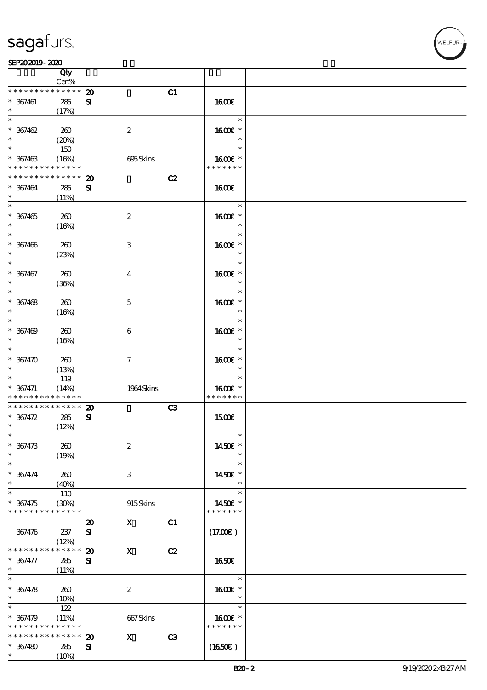VELFUR

|                      | Qty                  |                             |                  |                |                   |  |
|----------------------|----------------------|-----------------------------|------------------|----------------|-------------------|--|
| * * * * * * * *      | Cert%<br>* * * * * * |                             |                  |                |                   |  |
|                      |                      | $\boldsymbol{\mathbf{z}}$   |                  | C1             |                   |  |
| $* 367461$<br>$\ast$ | 285<br>(17%)         | ${\bf s}$                   |                  |                | <b>1600€</b>      |  |
| $\ast$               |                      |                             |                  |                | $\ast$            |  |
| $* 367462$           | 260                  |                             | $\boldsymbol{2}$ |                | 1600€ *           |  |
| $\ast$               | (20%)                |                             |                  |                | $\ast$            |  |
| $*$                  | 150                  |                             |                  |                | $\ast$            |  |
| $* 367463$           | (16%)                |                             | 695Skins         |                | 1600€ *           |  |
| * * * * * * * *      | * * * * * *          |                             |                  |                | * * * * * * *     |  |
| * * * * * * * *      | * * * * * *          | $\boldsymbol{\mathfrak{D}}$ |                  | C2             |                   |  |
| $* 367464$           | 285                  | ${\bf s}$                   |                  |                | <b>1600€</b>      |  |
| $\ast$               | (11%)                |                             |                  |                |                   |  |
| $\overline{\ast}$    |                      |                             |                  |                | $\ast$            |  |
| $* 367465$           | 260                  |                             | $\boldsymbol{2}$ |                | 1600 *            |  |
| $\ast$               | (16%)                |                             |                  |                | $\ast$            |  |
| $\overline{\ast}$    |                      |                             |                  |                | $\ast$            |  |
| $* 367466$           | 260                  |                             | 3                |                | 1600E *           |  |
| $\ast$               | (23%)                |                             |                  |                | $\ast$            |  |
| $\ast$               |                      |                             |                  |                | $\ast$            |  |
| $* 367467$           | 260                  |                             | $\boldsymbol{4}$ |                | 1600€ *           |  |
| $\ast$               | (36%)                |                             |                  |                | $\ast$            |  |
| $\ast$               |                      |                             |                  |                | $\ast$            |  |
| $* 367468$<br>$\ast$ | 260                  |                             | $\mathbf 5$      |                | 1600 £*<br>$\ast$ |  |
| $\ast$               | (16%)                |                             |                  |                | $\ast$            |  |
| $* 367409$           | 260                  |                             | $\boldsymbol{6}$ |                | 1600 *            |  |
| $\ast$               | (16%)                |                             |                  |                | $\ast$            |  |
| $\ast$               |                      |                             |                  |                | $\ast$            |  |
| $* 367470$           | 260                  |                             | $\boldsymbol{7}$ |                | 1600€ *           |  |
| $\ast$               | (13%)                |                             |                  |                | $\ast$            |  |
| $\ast$               | 119                  |                             |                  |                | $\ast$            |  |
| $* 367471$           | (14%)                |                             | 1964 Skins       |                | 1600E *           |  |
| * * * * * * * *      | * * * * * *          |                             |                  |                | * * * * * * *     |  |
| * * * * * * * *      | $******$             | $\boldsymbol{\mathsf{20}}$  |                  | C <sub>3</sub> |                   |  |
| $* 367472$           | 285                  | $\mathbf{S}$                |                  |                | 1500€             |  |
| $\ast$               | (12%)                |                             |                  |                |                   |  |
| $\ast$               |                      |                             |                  |                | $\ast$            |  |
| $* 367473$           | 260                  |                             | $\boldsymbol{2}$ |                | 1450€ *           |  |
| $\ast$               | (19%)                |                             |                  |                | $\ast$            |  |
| $\ast$               |                      |                             |                  |                | $\ast$            |  |
| $* 367474$           | 260                  |                             | 3                |                | 1450€ *           |  |
| $\ast$<br>$\ast$     | (40%)                |                             |                  |                | $\ast$<br>$\ast$  |  |
| $* 367475$           | 110<br>(30%)         |                             |                  |                | 1450€ *           |  |
| * * * * * * * *      | * * * * * *          |                             | 915Skins         |                | * * * * * * *     |  |
|                      |                      | $\boldsymbol{\mathfrak{D}}$ | $\mathbf{x}$     | C1             |                   |  |
| 367476               | 237                  | ${\bf s}$                   |                  |                | (17.00)           |  |
|                      | (12%)                |                             |                  |                |                   |  |
| * * * * * * * *      | * * * * * *          | $\boldsymbol{\mathbf{z}}$   | $\mathbf{x}$     | C2             |                   |  |
| $* 367477$           | 285                  | ${\bf s}$                   |                  |                | <b>1650€</b>      |  |
| $\ast$               | (11%)                |                             |                  |                |                   |  |
| $\overline{\ast}$    |                      |                             |                  |                | $\ast$            |  |
| $* 367478$           | 260                  |                             | $\boldsymbol{2}$ |                | 1600€ *           |  |
| $\ast$               | (10%)                |                             |                  |                | $\ast$            |  |
| $\ast$               | 122                  |                             |                  |                | $\ast$            |  |
| $* 367479$           | (11%)                |                             | 667Skins         |                | 1600E *           |  |
| * * * * * * * *      | * * * * * *          |                             |                  |                | * * * * * * *     |  |
| * * * * * * * *      | * * * * * *          | $\boldsymbol{\mathfrak{D}}$ | $\mathbf{x}$     | C3             |                   |  |
| $* 367480$           | 285                  | ${\bf s}$                   |                  |                | (1650)            |  |
| $\ast$               | (10%)                |                             |                  |                |                   |  |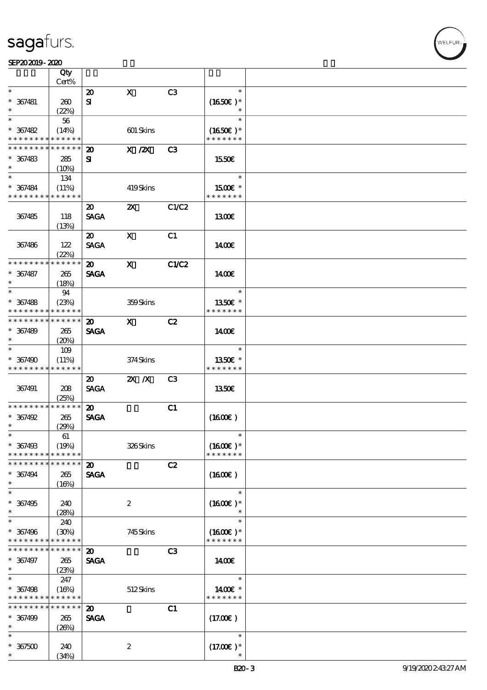$\overline{\mathsf{T}}$ 

|                      | Qty<br>Cert% |                             |                           |                |                     |  |
|----------------------|--------------|-----------------------------|---------------------------|----------------|---------------------|--|
| $\ast$               |              | $\boldsymbol{\mathbf{z}}$   | $\mathbf X$               | C3             | $\ast$              |  |
|                      |              |                             |                           |                |                     |  |
| $* 367481$           | 260          | ${\bf s}$                   |                           |                | $(1650)$ *          |  |
| $\ast$               | (22%)        |                             |                           |                | $\ast$              |  |
| $\ast$               | 56           |                             |                           |                | $\ast$              |  |
| $* 367482$           | (14%)        |                             | 601 Skins                 |                | $(1650)$ *          |  |
| * * * * * * * *      | * * * * * *  |                             |                           |                | * * * * * * *       |  |
| * * * * * * *        | * * * * * *  | $\boldsymbol{\mathfrak{D}}$ | $X$ / $ZX$                | C <sub>3</sub> |                     |  |
|                      |              |                             |                           |                |                     |  |
| $* 367483$           | 285          | ${\bf s}$                   |                           |                | 1550€               |  |
| $\ast$               | (10%)        |                             |                           |                |                     |  |
| $\ast$               | 134          |                             |                           |                | $\ast$              |  |
| $* 367484$           | (11%)        |                             | 419Skins                  |                | $1500E$ *           |  |
| * * * * * * * *      | * * * * * *  |                             |                           |                | * * * * * * *       |  |
|                      |              | $\boldsymbol{\mathfrak{D}}$ | $\boldsymbol{\mathsf{z}}$ | C1/C2          |                     |  |
|                      |              |                             |                           |                |                     |  |
| 367485               | 118          | <b>SAGA</b>                 |                           |                | 1300E               |  |
|                      | (13%)        |                             |                           |                |                     |  |
|                      |              | $\boldsymbol{\mathsf{20}}$  | $\boldsymbol{\mathrm{X}}$ | C1             |                     |  |
| 367486               | 122          | <b>SAGA</b>                 |                           |                | 1400E               |  |
|                      | (22%)        |                             |                           |                |                     |  |
| * * * * * * * *      | * * * * * *  | $\boldsymbol{\mathfrak{D}}$ | $\mathbf x$               | C1/C2          |                     |  |
| $* 367487$           |              | <b>SAGA</b>                 |                           |                |                     |  |
|                      | 265          |                             |                           |                | 1400E               |  |
| $\ast$               | (18%)        |                             |                           |                |                     |  |
| $\ast$               | 94           |                             |                           |                | $\ast$              |  |
| $* 367488$           | (23%)        |                             | 359Skins                  |                | 1350E *             |  |
| * * * * * * * *      | * * * * * *  |                             |                           |                | * * * * * * *       |  |
| * * * * * * * *      | * * * * * *  | $\boldsymbol{\mathfrak{D}}$ | $\mathbf x$               | C2             |                     |  |
| $* 367489$           |              | <b>SAGA</b>                 |                           |                |                     |  |
|                      | 265          |                             |                           |                | 1400                |  |
| $\ast$               | (20%)        |                             |                           |                |                     |  |
| $\ast$               | 109          |                             |                           |                | $\ast$              |  |
| $* 367490$           | (11%)        |                             | 374Skins                  |                | 1350€ *             |  |
| * * * * * * * *      | * * * * * *  |                             |                           |                | * * * * * * *       |  |
|                      |              | $\boldsymbol{\mathfrak{D}}$ | $X$ $N$                   | C <sub>3</sub> |                     |  |
|                      |              | <b>SAGA</b>                 |                           |                | 1350E               |  |
| 367491               | 208          |                             |                           |                |                     |  |
|                      | (25%)        |                             |                           |                |                     |  |
| * * * * * * * *      | * * * * * *  | $\boldsymbol{\mathfrak{D}}$ |                           | C1             |                     |  |
| $* 367492$           | 265          | <b>SAGA</b>                 |                           |                | $(1600\varepsilon)$ |  |
| $\ast$               | (29%)        |                             |                           |                |                     |  |
| $\ast$               | 61           |                             |                           |                | $\ast$              |  |
| $* 36749B$           | (19%)        |                             | 326Skins                  |                | $(1600E)^*$         |  |
| * * * * * * * *      | * * * * * *  |                             |                           |                | * * * * * * *       |  |
| * * * * * * * *      | * * * * * *  |                             |                           |                |                     |  |
|                      |              | $\boldsymbol{\mathfrak{D}}$ |                           | C2             |                     |  |
| $* 367494$           | 265          | <b>SAGA</b>                 |                           |                | (1600)              |  |
| $\ast$               | (16%)        |                             |                           |                |                     |  |
| $\ast$               |              |                             |                           |                | $\ast$              |  |
| $* 367495$           | 240          |                             | $\boldsymbol{2}$          |                | $(1600E)*$          |  |
| $\ast$               | (28%)        |                             |                           |                |                     |  |
| $\ast$               | 240          |                             |                           |                | $\ast$              |  |
|                      |              |                             |                           |                |                     |  |
| $* 367496$           | (30%)        |                             | 745Skins                  |                | $(1600E)*$          |  |
| * * * * * * * *      | * * * * * *  |                             |                           |                | * * * * * * *       |  |
| * * * * * * * *      |              |                             |                           |                |                     |  |
|                      | * * * * * *  | $\boldsymbol{\mathbf{z}}$   |                           | C3             |                     |  |
|                      |              |                             |                           |                |                     |  |
| * 367497<br>$\ast$   | 265          | <b>SAGA</b>                 |                           |                | 1400E               |  |
| $\ast$               | (23%)        |                             |                           |                | $\ast$              |  |
|                      | 247          |                             |                           |                |                     |  |
| $* 367498$           | (16%)        |                             | 512Skins                  |                | 1400€ *             |  |
| * * * * * * * *      | * * * * * *  |                             |                           |                | * * * * * * *       |  |
| * * * * * * * *      | * * * * * *  | $\boldsymbol{\mathbf{z}}$   |                           | C1             |                     |  |
|                      |              |                             |                           |                |                     |  |
| $* 367499$<br>$\ast$ | 265          | <b>SAGA</b>                 |                           |                | (17.00)             |  |
| $\ast$               | (20%)        |                             |                           |                | $\ast$              |  |
|                      |              |                             |                           |                |                     |  |
| $* 367500$<br>$\ast$ | 240<br>(34%) |                             | $\boldsymbol{z}$          |                | $(17.00)$ *         |  |

т

WELFUR-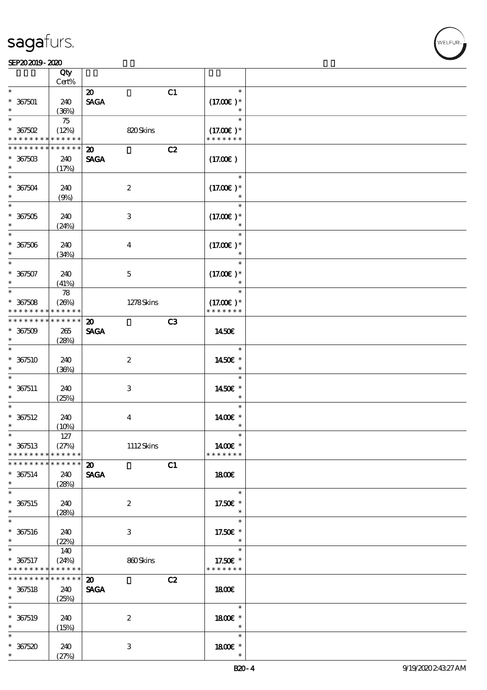#### SEP202019-2020

|                                    | Qty<br>Cert% |                             |    |                       |  |
|------------------------------------|--------------|-----------------------------|----|-----------------------|--|
| $\ast$                             |              |                             |    | $\ast$                |  |
|                                    |              | $\boldsymbol{\mathfrak{D}}$ | C1 |                       |  |
| $* 367501$                         | 240          | <b>SAGA</b>                 |    | $(17.00)$ *           |  |
|                                    | (36%)        |                             |    | $\ast$                |  |
| $\ast$                             | 75           |                             |    | $\ast$                |  |
| $*$ 367502                         | (12%)        | 820Skins                    |    |                       |  |
|                                    |              |                             |    | $(17.00)$ *           |  |
| * * * * * * * *                    | * * * * * *  |                             |    | * * * * * * *         |  |
| * * * * * * *                      | * * * * * *  | $\boldsymbol{\mathfrak{D}}$ | C2 |                       |  |
| $*367503$                          | 240          | <b>SAGA</b>                 |    | (17.00)               |  |
| $\ast$                             | (17%)        |                             |    |                       |  |
| $\ast$                             |              |                             |    | $\ast$                |  |
|                                    |              |                             |    |                       |  |
| $* 367504$                         | 240          | $\boldsymbol{2}$            |    | $(17.00)$ *           |  |
| $\ast$                             | (9%)         |                             |    |                       |  |
| $\overline{\ast}$                  |              |                             |    | $\ast$                |  |
| $* 367505$                         | 240          | $\ensuremath{\mathbf{3}}$   |    | $(17.00)$ *           |  |
| $\ast$                             |              |                             |    | $\ast$                |  |
|                                    | (24%)        |                             |    |                       |  |
| $\ast$                             |              |                             |    | $\ast$                |  |
| $* 367506$                         | 240          | $\overline{\mathbf{4}}$     |    | $(17.00)$ *           |  |
| $\ast$                             | (34%)        |                             |    | $\ast$                |  |
| $\ast$                             |              |                             |    | $\ast$                |  |
|                                    |              |                             |    |                       |  |
| $* 367507$                         | 240          | $\mathbf 5$                 |    | $(17.00)$ *           |  |
| $\ast$                             | (41%)        |                             |    | $\ast$                |  |
| $\ast$                             | 78           |                             |    | $\ast$                |  |
| $* 367508$                         | (20%)        | 1278Skins                   |    | $(17.00)$ *           |  |
| * * * * * * * *                    | * * * * * *  |                             |    | * * * * * * *         |  |
| * * * * * * * *                    |              |                             |    |                       |  |
|                                    | $******$     | $\boldsymbol{\mathbf{z}}$   | C3 |                       |  |
| $*367509$                          | 265          | <b>SAGA</b>                 |    | 1450E                 |  |
| $\ast$                             | (28%)        |                             |    |                       |  |
| $\ast$                             |              |                             |    | $\ast$                |  |
|                                    |              |                             |    |                       |  |
| $* 367510$                         | 240          | $\boldsymbol{2}$            |    | 1450€ *               |  |
| $\ast$                             | (36%)        |                             |    | $\ast$                |  |
| $\ast$                             |              |                             |    | $\ast$                |  |
| $* 367511$                         | 240          | $\ensuremath{\mathsf{3}}$   |    | 1450E *               |  |
| $\ast$                             | (25%)        |                             |    | $\ast$                |  |
| $\ast$                             |              |                             |    | $\ast$                |  |
|                                    |              |                             |    |                       |  |
| $* 367512$                         | 240          | $\boldsymbol{4}$            |    | 1400€ *               |  |
| $\ast$                             | (10%)        |                             |    | $\ast$                |  |
| $\ast$                             | $127\,$      |                             |    | $\ast$                |  |
| $* 367513$                         | (27%)        | 1112Skins                   |    | 1400€ *               |  |
|                                    |              |                             |    |                       |  |
| * * * * * * * *                    | * * * * * *  |                             |    | * * * * * * *         |  |
| * * * * * * * *                    | * * * * * *  | $\boldsymbol{\mathsf{20}}$  | C1 |                       |  |
| $* 367514$                         | 240          | <b>SAGA</b>                 |    | 1800                  |  |
| $\ast$                             | (28%)        |                             |    |                       |  |
| $\overline{\ast}$                  |              |                             |    | $\ast$                |  |
|                                    |              |                             |    |                       |  |
| $* 367515$                         | 240          | $\boldsymbol{2}$            |    | 17.50 $\varepsilon$ * |  |
| $\ast$                             | (28%)        |                             |    | $\ast$                |  |
| $\ast$                             |              |                             |    | $\ast$                |  |
| $* 367516$                         | 240          | 3                           |    | 17.50€ *              |  |
| $\ast$                             |              |                             |    | $\ast$                |  |
| $\ast$                             |              |                             |    |                       |  |
|                                    | (22%)        |                             |    |                       |  |
|                                    | 140          |                             |    | $\ast$                |  |
| $* 367517$                         | (24%)        | 860Skins                    |    | 17.50€ *              |  |
|                                    | * * * * * *  |                             |    | * * * * * * *         |  |
| * * * * * * * *<br>* * * * * * * * | * * * * * *  |                             |    |                       |  |
|                                    |              | $\boldsymbol{\mathfrak{D}}$ | C2 |                       |  |
| $* 367518$                         | 240          | <b>SAGA</b>                 |    | 1800E                 |  |
| $\ast$                             | (25%)        |                             |    |                       |  |
| $\ast$                             |              |                             |    | $\ast$                |  |
|                                    |              | $\boldsymbol{2}$            |    | 1800E *               |  |
| $* 367519$<br>$\ast$               | 240          |                             |    | $\ast$                |  |
|                                    | (15%)        |                             |    |                       |  |
| $\ast$                             |              |                             |    | $\ast$                |  |
| $* 367520$<br>$\ast$               | 240<br>(27%) | 3                           |    | 1800 £*<br>$\ast$     |  |

**VELFUR**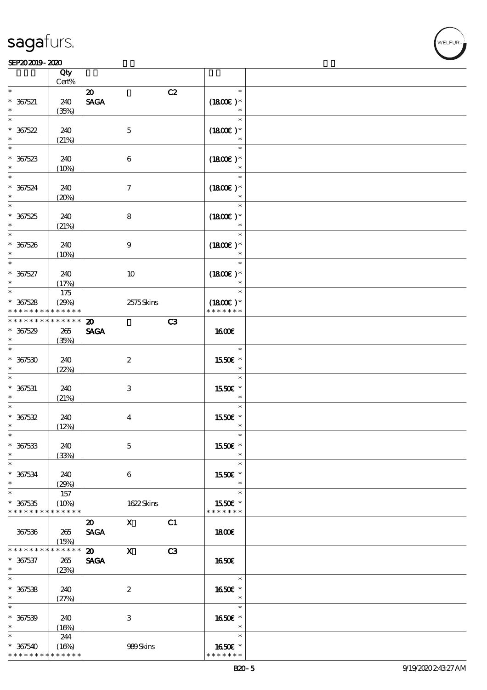#### SEP202019-2020

|                               | Qty                  |                             |                           |    |                          |  |
|-------------------------------|----------------------|-----------------------------|---------------------------|----|--------------------------|--|
| $\ast$                        | $Cert\%$             |                             |                           |    | $\ast$                   |  |
|                               |                      | $\boldsymbol{\mathfrak{D}}$ |                           | C2 |                          |  |
| $* 367521$                    | 240                  | <b>SAGA</b>                 |                           |    | $(1800)$ *               |  |
|                               | (35%)                |                             |                           |    | $\ast$                   |  |
| $\ast$                        |                      |                             |                           |    | $\ast$                   |  |
| $* 367522$                    | 240                  |                             | $\mathbf{5}$              |    | $(1800E)*$               |  |
| $\ast$                        | (21%)                |                             |                           |    | $\ast$                   |  |
| $\overline{\phantom{0}}$      |                      |                             |                           |    | $\ast$                   |  |
| $*357523$                     | 240                  |                             | $\bf 6$                   |    | $(1800E)*$               |  |
|                               | (10%)                |                             |                           |    |                          |  |
| $\overline{\phantom{0}}$      |                      |                             |                           |    | $\ast$                   |  |
| $* 367524$                    | 240                  |                             | $\boldsymbol{\tau}$       |    | $(1800)$ *               |  |
| $\ast$                        | (20%)                |                             |                           |    |                          |  |
| $\overline{\phantom{0}}$      |                      |                             |                           |    | $\ast$                   |  |
| $* 367525$                    | 240                  |                             | ${\bf 8}$                 |    | $(1800E)*$               |  |
| $\ast$                        | (21%)                |                             |                           |    | $\ast$                   |  |
| $\overline{\ast}$             |                      |                             |                           |    | $\ast$                   |  |
|                               |                      |                             |                           |    |                          |  |
| $* 367526$<br>$\ast$          | 240                  |                             | 9                         |    | $(1800E)*$<br>$\ast$     |  |
| $\ast$                        | (10%)                |                             |                           |    |                          |  |
|                               |                      |                             |                           |    | $\ast$                   |  |
| $* 367527$                    | 240                  |                             | 10                        |    | $(1800)$ *               |  |
| $\ast$                        | (17%)                |                             |                           |    | $\ast$                   |  |
| $\overline{\ast}$             | 175                  |                             |                           |    | $\ast$                   |  |
| $* 367528$                    | (29%)                |                             | 2575Skins                 |    | $(1800E)*$               |  |
| * * * * * * * *               | * * * * * *          |                             |                           |    | * * * * * * *            |  |
| * * * * * * * *               | * * * * * *          | $\boldsymbol{\mathsf{20}}$  |                           | C3 |                          |  |
| $* 367529$                    | 265                  | <b>SAGA</b>                 |                           |    | <b>1600€</b>             |  |
| $\ast$                        | (35%)                |                             |                           |    |                          |  |
| $\ast$                        |                      |                             |                           |    | $\ast$                   |  |
| $* 367530$                    | 240                  |                             | $\boldsymbol{z}$          |    | 1550€ *                  |  |
| $\ast$                        | (22%)                |                             |                           |    |                          |  |
| $\ast$                        |                      |                             |                           |    | $\ast$                   |  |
| $* 367531$                    | 240                  |                             | $\ensuremath{\mathsf{3}}$ |    | 1550€ *                  |  |
| $\ast$                        | (21%)                |                             |                           |    | $\ast$                   |  |
| $\ast$                        |                      |                             |                           |    | $\ast$                   |  |
| $* 367532$                    | 240                  |                             | $\bf{4}$                  |    | 1550E *                  |  |
| $\ast$                        | (12%)                |                             |                           |    | $\ast$                   |  |
| $\ast$                        |                      |                             |                           |    | $\ast$                   |  |
| $* 367533$                    | 240                  |                             | $\mathbf{5}$              |    | 1550€ *                  |  |
| $\ast$                        | (33%)                |                             |                           |    | $\ast$                   |  |
| $\ast$                        |                      |                             |                           |    | $\ast$                   |  |
| $* 367534$                    |                      |                             |                           |    | 1550E *                  |  |
| $\ast$                        | 240                  |                             | 6                         |    | $\ast$                   |  |
| $\ast$                        | (29%)<br>157         |                             |                           |    | $\ast$                   |  |
|                               |                      |                             |                           |    |                          |  |
| $* 367535$<br>* * * * * * * * | (10%)<br>* * * * * * |                             | 1622Skins                 |    | 1550€ *<br>* * * * * * * |  |
|                               |                      |                             |                           |    |                          |  |
|                               |                      | $\boldsymbol{\mathfrak{D}}$ | $\mathbf{x}$              | C1 |                          |  |
| 367536                        | 265                  | <b>SAGA</b>                 |                           |    | 1800E                    |  |
|                               | (15%)                |                             |                           |    |                          |  |
| * * * * * * * *               | * * * * * *          | $\boldsymbol{\omega}$       | $\boldsymbol{\mathsf{X}}$ | C3 |                          |  |
| $* 367537$                    | 265                  | <b>SAGA</b>                 |                           |    | <b>1650€</b>             |  |
| $*$                           | (23%)                |                             |                           |    |                          |  |
| $\overline{\ast}$             |                      |                             |                           |    | $\ast$                   |  |
| $* 367538$                    | 240                  |                             | $\boldsymbol{2}$          |    | 1650E *                  |  |
| $\ast$                        | (27%)                |                             |                           |    | $\ast$                   |  |
| $\ast$                        |                      |                             |                           |    | $\ast$                   |  |
| $* 367539$                    | 240                  |                             | $\ensuremath{\mathbf{3}}$ |    | 1650€ *                  |  |
| $\ast$                        | (16%)                |                             |                           |    | $\ast$                   |  |
| $\ast$                        | 244                  |                             |                           |    | $\ast$                   |  |
| $* 367540$                    | (16%)                |                             | 989Skins                  |    | 1650E *                  |  |
| * * * * * * * *               | * * * * * *          |                             |                           |    | * * * * * * *            |  |

VELFUR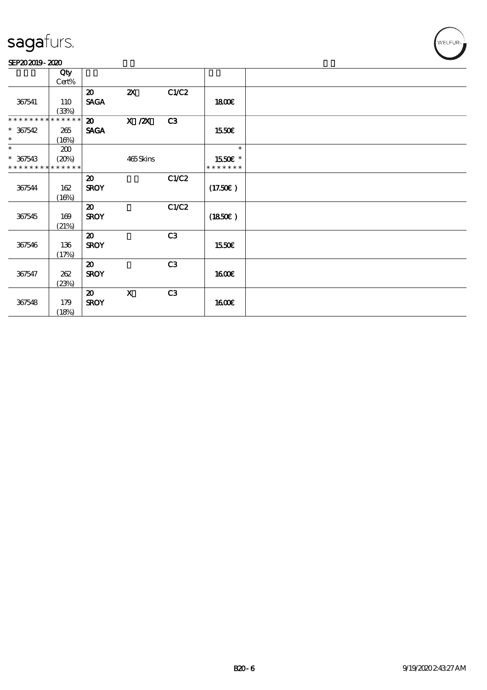#### SEP202019-2020

|                             | Qty         |                             |                           |                |               |  |
|-----------------------------|-------------|-----------------------------|---------------------------|----------------|---------------|--|
|                             | Cert%       |                             |                           |                |               |  |
|                             |             | $\boldsymbol{\mathfrak{D}}$ | $\boldsymbol{\mathsf{Z}}$ | C1/C2          |               |  |
|                             |             |                             |                           |                |               |  |
| 367541                      | 110         | <b>SAGA</b>                 |                           |                | 1800E         |  |
|                             | (33%)       |                             |                           |                |               |  |
| * * * * * * * *             | * * * * * * | $\boldsymbol{\mathfrak{D}}$ | $X$ / $ZX$                | C <sub>3</sub> |               |  |
| $* 367542$                  |             |                             |                           |                |               |  |
|                             | 265         | <b>SAGA</b>                 |                           |                | 1550E         |  |
| $\ast$                      | (16%)       |                             |                           |                |               |  |
| $\ast$                      | 200         |                             |                           |                | $\ast$        |  |
| $* 367543$                  | (20%)       |                             | 465Skins                  |                | 1550E *       |  |
| * * * * * * * * * * * * * * |             |                             |                           |                | * * * * * * * |  |
|                             |             |                             |                           |                |               |  |
|                             |             | $\boldsymbol{\mathfrak{D}}$ |                           | C1/C2          |               |  |
| 367544                      | 162         | <b>SROY</b>                 |                           |                | (17.50)       |  |
|                             | (16%)       |                             |                           |                |               |  |
|                             |             |                             |                           |                |               |  |
|                             |             | $\boldsymbol{\mathfrak{D}}$ |                           | C1/C2          |               |  |
| 367545                      | 169         | <b>SROY</b>                 |                           |                | (1850)        |  |
|                             | (21%)       |                             |                           |                |               |  |
|                             |             | $\boldsymbol{\mathfrak{D}}$ |                           | C3             |               |  |
|                             |             |                             |                           |                |               |  |
| 367546                      | 136         | <b>SROY</b>                 |                           |                | 1550€         |  |
|                             | (17%)       |                             |                           |                |               |  |
|                             |             | $\boldsymbol{\mathfrak{D}}$ |                           | C3             |               |  |
| 367547                      | 262         | <b>SROY</b>                 |                           |                | 1600E         |  |
|                             |             |                             |                           |                |               |  |
|                             | (23%)       |                             |                           |                |               |  |
|                             |             | $\boldsymbol{\mathfrak{D}}$ | $\boldsymbol{\mathrm{X}}$ | C <sub>3</sub> |               |  |
| 367548                      | 179         | <b>SROY</b>                 |                           |                | 1600          |  |
|                             |             |                             |                           |                |               |  |
|                             | (18%)       |                             |                           |                |               |  |

WELFUR<sub>T</sub>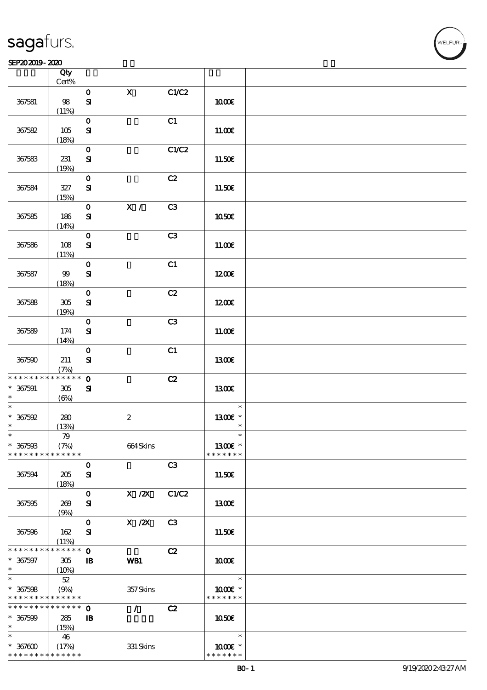| sagafurs. |
|-----------|
|           |

#### SEP202019-2020

|                                            | Qty<br>$Cert\%$            |              |                  |                |               |  |
|--------------------------------------------|----------------------------|--------------|------------------|----------------|---------------|--|
|                                            |                            |              |                  |                |               |  |
|                                            |                            | $\mathbf 0$  | $\mathbf X$      | C1/C2          |               |  |
| 367581                                     | 98                         | $\mathbf{S}$ |                  |                | 1000E         |  |
|                                            | (11%)                      |              |                  |                |               |  |
|                                            |                            | $\mathbf 0$  |                  | C1             |               |  |
|                                            |                            |              |                  |                |               |  |
| 367582                                     | 105                        | ${\bf s}$    |                  |                | 11.00E        |  |
|                                            | (18%)                      |              |                  |                |               |  |
|                                            |                            | $\mathbf O$  |                  | C1/C2          |               |  |
| 367583                                     | 231                        | $\mathbf{S}$ |                  |                | 11.50€        |  |
|                                            |                            |              |                  |                |               |  |
|                                            | (19%)                      |              |                  |                |               |  |
|                                            |                            | $\mathbf O$  |                  | C2             |               |  |
| 367584                                     | $327\,$                    | $\mathbf{S}$ |                  |                | 11.50€        |  |
|                                            | (15%)                      |              |                  |                |               |  |
|                                            |                            | $\mathbf 0$  | $\mathbf{X}$ /   | C3             |               |  |
|                                            |                            |              |                  |                |               |  |
| 367585                                     | 186                        | ${\bf s}$    |                  |                | 1050€         |  |
|                                            | (14%)                      |              |                  |                |               |  |
|                                            |                            | $\mathbf O$  |                  | C <sub>3</sub> |               |  |
| 367586                                     | 108                        | $\mathbf{S}$ |                  |                | 11.00E        |  |
|                                            | (11%)                      |              |                  |                |               |  |
|                                            |                            |              |                  |                |               |  |
|                                            |                            | $\mathbf O$  |                  | C1             |               |  |
| 367587                                     | $99$                       | ${\bf s}$    |                  |                | 1200E         |  |
|                                            | (18%)                      |              |                  |                |               |  |
|                                            |                            | $\mathbf 0$  |                  | C2             |               |  |
|                                            |                            |              |                  |                |               |  |
| 367588                                     | $305\,$                    | ${\bf S}$    |                  |                | 1200E         |  |
|                                            | (19%)                      |              |                  |                |               |  |
|                                            |                            | $\mathbf O$  |                  | C3             |               |  |
| 367589                                     | 174                        | $\mathbf{S}$ |                  |                | 11.00E        |  |
|                                            | (14%)                      |              |                  |                |               |  |
|                                            |                            |              |                  |                |               |  |
|                                            |                            | $\mathbf 0$  |                  | C1             |               |  |
| 367590                                     | 211                        | ${\bf S}$    |                  |                | <b>1300€</b>  |  |
|                                            | (7%)                       |              |                  |                |               |  |
| * * * * * * * * <mark>* * * * * * *</mark> |                            | $\mathbf 0$  |                  | C2             |               |  |
| $* 367591$                                 | 305                        | ${\bf s}$    |                  |                | 1300E         |  |
| $\ast$                                     |                            |              |                  |                |               |  |
| $\ast$                                     | $(\Theta)$                 |              |                  |                |               |  |
|                                            |                            |              |                  |                | $\ast$        |  |
| $*367592$                                  | 280                        |              | $\boldsymbol{z}$ |                | 1300€ *       |  |
| $\ast$                                     | (13%)                      |              |                  |                | $\ast$        |  |
| $\ast$                                     | 79                         |              |                  |                | ж             |  |
| $* 367503$                                 | (7%)                       |              | 664Skins         |                | 13 $00E$ *    |  |
|                                            |                            |              |                  |                | * * * * * * * |  |
| * * * * * * * *                            | $\ast\ast\ast\ast\ast\ast$ |              |                  |                |               |  |
|                                            |                            | $\mathbf 0$  |                  | C3             |               |  |
| 367594                                     | 205                        | ${\bf S}$    |                  |                | 11.50€        |  |
|                                            | (18%)                      |              |                  |                |               |  |
|                                            |                            | $\mathbf O$  | $X$ / $ZX$       | C1/C2          |               |  |
|                                            |                            |              |                  |                |               |  |
| 367595                                     | 269                        | ${\bf s}$    |                  |                | <b>1300€</b>  |  |
|                                            | (9%)                       |              |                  |                |               |  |
|                                            |                            | $\mathbf 0$  | $X$ / $ZX$       | C <sub>3</sub> |               |  |
| 367596                                     | 162                        | ${\bf s}$    |                  |                | 11.50€        |  |
|                                            | (11%)                      |              |                  |                |               |  |
| * * * * * * * *                            | * * * * * *                | $\mathbf{o}$ |                  | C2             |               |  |
|                                            |                            |              |                  |                |               |  |
| $* 367597$                                 | 305                        | $\mathbf{B}$ | WB1              |                | 1000E         |  |
| $\ast$                                     | (10%)                      |              |                  |                |               |  |
| $\ast$                                     | $52\,$                     |              |                  |                | $\ast$        |  |
| $* 367598$                                 | (9%)                       |              | 357Skins         |                | $1000E$ *     |  |
| * * * * * * * * <mark>* * * * * * *</mark> |                            |              |                  |                | * * * * * * * |  |
|                                            |                            |              |                  |                |               |  |
| * * * * * * * *                            | $\ast\ast\ast\ast\ast\ast$ | $\mathbf 0$  | $\mathcal{L}$    | C2             |               |  |
| $* 367599$                                 | 285                        | $\mathbf{B}$ |                  |                | 1050E         |  |
| $\ast$                                     | (15%)                      |              |                  |                |               |  |
| $\ast$                                     | 46                         |              |                  |                | $\ast$        |  |
| $*367600$                                  |                            |              |                  |                | 1000 ±        |  |
|                                            | (17%)                      |              | 331 Skins        |                |               |  |
| * * * * * * * *                            | $* * * * * * *$            |              |                  |                | * * * * * * * |  |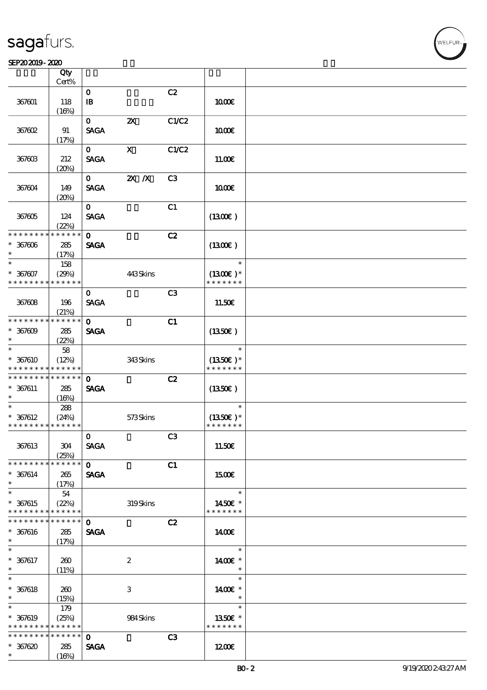#### SEP202019-2020

|                             | Qty<br>Cert%  |                             |                           |                |               |  |
|-----------------------------|---------------|-----------------------------|---------------------------|----------------|---------------|--|
|                             |               |                             |                           |                |               |  |
| 367601                      | 118           | $\mathbf 0$<br>$\mathbf{B}$ |                           | C2             | 1000E         |  |
|                             | (16%)         |                             |                           |                |               |  |
| 367602                      | 91            | $\mathbf{O}$<br><b>SAGA</b> | $\boldsymbol{\mathsf{Z}}$ | C1/C2          | 1000E         |  |
|                             |               |                             |                           |                |               |  |
|                             | (17%)         | $\mathbf{O}$                | $\boldsymbol{\mathrm{X}}$ | C1/C2          |               |  |
|                             |               |                             |                           |                |               |  |
| 367603                      | 212           | <b>SAGA</b>                 |                           |                | 11.00E        |  |
|                             | (20%)         |                             |                           |                |               |  |
|                             |               | $\mathbf{O}$                | $2X$ $X$                  | C3             |               |  |
| 367604                      | 149           | <b>SAGA</b>                 |                           |                | 1000E         |  |
|                             | (20%)         |                             |                           |                |               |  |
|                             |               | $\mathbf{o}$                |                           | C1             |               |  |
| 367605                      | 124           | <b>SAGA</b>                 |                           |                | (1300)        |  |
|                             | (22%)         |                             |                           |                |               |  |
| * * * * * * * *             | * * * * *     | $\mathbf 0$                 |                           | C2             |               |  |
| $* 367606$                  | 285           | <b>SAGA</b>                 |                           |                | (1300)        |  |
| $\ast$                      | (17%)         |                             |                           |                |               |  |
| $\overline{\ast}$           | 158           |                             |                           |                | $\ast$        |  |
| $* 367607$                  | (29%)         |                             | 443Skins                  |                | $(1300E)*$    |  |
| * * * * * * * *             | * * * * * *   |                             |                           |                | * * * * * * * |  |
|                             |               | $\mathbf{O}$                |                           | C3             |               |  |
| 367608                      | 196           | <b>SAGA</b>                 |                           |                | 11.50€        |  |
|                             | (21%)         |                             |                           |                |               |  |
| * * * * * * * *             | * * * * * *   | $\mathbf{o}$                |                           | C1             |               |  |
| $* 367009$                  | 285           | <b>SAGA</b>                 |                           |                | (1350E)       |  |
| $\ast$                      | (22%)         |                             |                           |                |               |  |
| $\ast$                      | 58            |                             |                           |                | $\ast$        |  |
| $* 367610$                  | (12%)         |                             | 343Skins                  |                | $(1350)$ *    |  |
| * * * * * * * *             | * * * * * *   |                             |                           |                | * * * * * * * |  |
| * * * * * * * * * * * * * * |               | $\mathbf{o}$                |                           | C2             |               |  |
| $* 367611$                  | 285           | <b>SAGA</b>                 |                           |                | (1350)        |  |
| $\ast$                      | (16%)         |                             |                           |                |               |  |
| $\ast$                      | 288           |                             |                           |                | $\ast$        |  |
| $* 367612$                  | (24%)         |                             | 573Skins                  |                | $(1350E)*$    |  |
| * * * * * * * * * * * * * * |               |                             |                           |                | * * * * * * * |  |
|                             |               | $\mathbf 0$                 |                           | C <sub>3</sub> |               |  |
| 367613                      | 304           | <b>SAGA</b>                 |                           |                | 11.50€        |  |
|                             | (25%)         |                             |                           |                |               |  |
| * * * * * * * *             | $***$ * * * * | $\mathbf{o}$                |                           | C1             |               |  |
| $* 367614$                  | 265           | <b>SAGA</b>                 |                           |                | <b>1500€</b>  |  |
| $\ast$                      | (17%)         |                             |                           |                |               |  |
| $\ast$                      | 54            |                             |                           |                | $\ast$        |  |
| $* 367615$                  | (22%)         |                             | 319Skins                  |                | 1450€ *       |  |
| * * * * * * * *             | * * * * * *   |                             |                           |                | * * * * * * * |  |
| * * * * * * *               | * * * * * *   | $\mathbf{O}$                |                           | C2             |               |  |
| $* 367616$                  | 285           | <b>SAGA</b>                 |                           |                | 1400€         |  |
| $\ast$                      | (17%)         |                             |                           |                |               |  |
| $\ast$                      |               |                             |                           |                | $\ast$        |  |
| $* 367617$                  | 260           |                             | $\boldsymbol{2}$          |                | 1400€ *       |  |
| $\ast$                      | (11%)         |                             |                           |                | $\ast$        |  |
| $\ast$                      |               |                             |                           |                | $\ast$        |  |
| $* 367618$                  | 260           |                             | 3                         |                | 1400€ *       |  |
| $\ast$                      | (15%)         |                             |                           |                | $\ast$        |  |
| $\ast$                      | 179           |                             |                           |                | $\ast$        |  |
| $* 367619$                  | (25%)         |                             |                           |                | 1350€ *       |  |
| * * * * * * * *             | * * * * * *   |                             | 984 Skins                 |                | * * * * * * * |  |
| * * * * * * * *             | * * * * * *   | $\mathbf 0$                 |                           | C3             |               |  |
| $*367620$                   |               | <b>SAGA</b>                 |                           |                | 1200E         |  |
| $\ast$                      | 285<br>(16%)  |                             |                           |                |               |  |
|                             |               |                             |                           |                |               |  |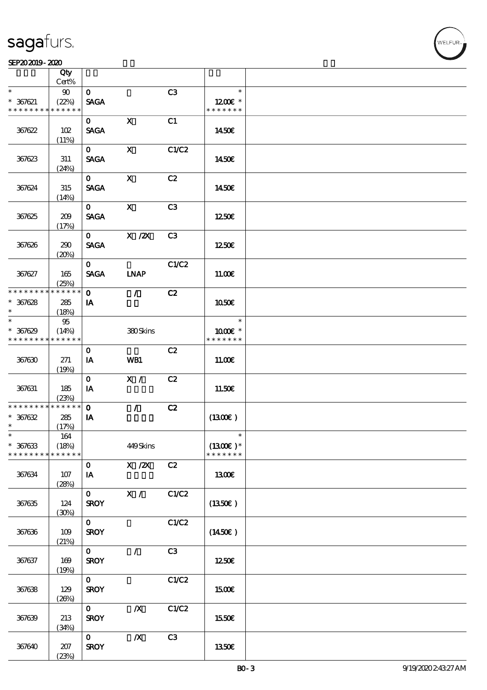#### SEP202019-2020

|                               | Qty<br>Cert%         |                             |                                                                              |                |                              |  |
|-------------------------------|----------------------|-----------------------------|------------------------------------------------------------------------------|----------------|------------------------------|--|
| $\ast$                        | 90                   | $\mathbf{O}$                |                                                                              | C3             | $\ast$                       |  |
| $* 367621$<br>* * * * * * * * | (22%)<br>* * * * * * | <b>SAGA</b>                 |                                                                              |                | $1200E$ *<br>* * * * * * *   |  |
|                               |                      |                             | $\mathbf x$                                                                  |                |                              |  |
| 367622                        | 102                  | $\mathbf{o}$<br><b>SAGA</b> |                                                                              | C1             | 1450E                        |  |
|                               | (11%)                |                             |                                                                              |                |                              |  |
| 367623                        | 311                  | $\mathbf{O}$<br><b>SAGA</b> | $\mathbf{X}$                                                                 | C1/C2          | 1450E                        |  |
|                               | (24%)                |                             |                                                                              |                |                              |  |
| 367624                        | 315<br>(14%)         | $\mathbf{O}$<br><b>SAGA</b> | $\mathbf{x}$                                                                 | C2             | 1450E                        |  |
|                               |                      | $\mathbf{O}$                | $\boldsymbol{\mathsf{X}}$                                                    | C3             |                              |  |
| 367625                        | 209<br>(17%)         | <b>SAGA</b>                 |                                                                              |                | 1250€                        |  |
|                               |                      | $\mathbf{O}$                | $\boldsymbol{\mathrm{X}}$ / $\boldsymbol{\mathrm{Z}}\boldsymbol{\mathrm{X}}$ | C <sub>3</sub> |                              |  |
| 367626                        | 290<br>(20%)         | <b>SAGA</b>                 |                                                                              |                | 1250E                        |  |
|                               |                      | $\mathbf{O}$                |                                                                              | C1/C2          |                              |  |
| 367627                        | 165<br>(25%)         | <b>SAGA</b>                 | <b>INAP</b>                                                                  |                | 11.00E                       |  |
| * * * * * * * *               | * * * * * *          | $\mathbf 0$                 | $\mathcal{L}$                                                                | C2             |                              |  |
| $* 367628$                    | 285                  | IA                          |                                                                              |                | 1050€                        |  |
| $\ast$                        | (18%)                |                             |                                                                              |                |                              |  |
| $\ast$                        | 95                   |                             |                                                                              |                | $\ast$                       |  |
| $* 367629$                    | (14%)                |                             | 380Skins                                                                     |                | 1000 *                       |  |
| * * * * * * * *               | * * * * * *          |                             |                                                                              |                | * * * * * * *                |  |
|                               |                      | $\mathbf 0$                 |                                                                              | C2             |                              |  |
| 367630                        | 271<br>(19%)         | IA                          | WB1                                                                          |                | 1100E                        |  |
|                               |                      | $\mathbf{O}$                | X /                                                                          | C2             |                              |  |
| 367631                        | 185                  | IA                          |                                                                              |                | 11.50€                       |  |
|                               | (23%)                |                             |                                                                              |                |                              |  |
| * * * * * * * *               | $******$             | $\mathbf 0$                 | $\mathcal{L}$                                                                | C2             |                              |  |
| $* 367632$                    | 285                  | IA                          |                                                                              |                | (1300)                       |  |
| $\ast$                        | (17%)                |                             |                                                                              |                |                              |  |
| $\ast$                        | 164                  |                             |                                                                              |                | $\ast$                       |  |
| $* 367633$<br>* * * * * * * * | (18%)<br>* * * * * * |                             | 449Skins                                                                     |                | $(1300E)^*$<br>* * * * * * * |  |
|                               |                      | $\mathbf 0$                 | $X \, /ZX$                                                                   | C2             |                              |  |
| 367634                        | 107                  | IA                          |                                                                              |                | 1300E                        |  |
|                               | (28%)                |                             |                                                                              |                |                              |  |
|                               |                      | $\mathbf{O}$                | X /                                                                          | C1/C2          |                              |  |
| 367635                        | 124                  | <b>SROY</b>                 |                                                                              |                | (1350)                       |  |
|                               | (30%)                |                             |                                                                              |                |                              |  |
|                               |                      | $\mathbf{O}$                |                                                                              | C1/C2          |                              |  |
| 367636                        | $109$                | <b>SROY</b>                 |                                                                              |                | $(1450\varepsilon)$          |  |
|                               | (21%)                |                             |                                                                              |                |                              |  |
|                               |                      | $\mathbf{O}$                | $\sqrt{2}$                                                                   | C3             |                              |  |
| 367637                        | 169                  | <b>SROY</b>                 |                                                                              |                | 1250E                        |  |
|                               | (19%)                |                             |                                                                              |                |                              |  |
|                               |                      | $\mathbf{O}$                |                                                                              | C1/C2          |                              |  |
| 367638                        | 129                  | <b>SROY</b>                 |                                                                              |                | 1500€                        |  |
|                               | (20%)                |                             |                                                                              |                |                              |  |
|                               |                      | $\mathbf{O}$                | $\boldsymbol{X}$                                                             | C1/C2          |                              |  |
| 367639                        | 213                  | <b>SROY</b>                 |                                                                              |                | 1550€                        |  |
|                               | (34%)                |                             |                                                                              |                |                              |  |
|                               |                      | $\mathbf{O}$                | $\boldsymbol{X}$                                                             | C3             |                              |  |
| 367640                        | 207                  | <b>SROY</b>                 |                                                                              |                | 1350E                        |  |
|                               | (23%)                |                             |                                                                              |                |                              |  |

.<br>FLEUR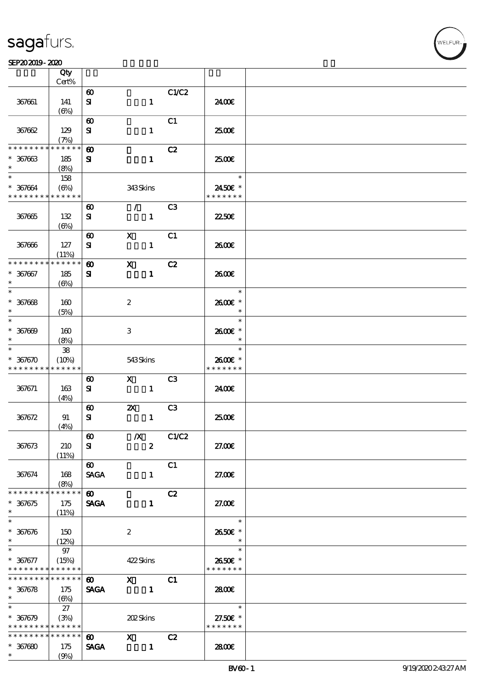ℸ

#### SEP202019-2020  $\overline{\phantom{a}}$

|                                                            | Qty                                        |                                    |                                                                                                                                                                                                                                                                                                                                 |                |                          |  |
|------------------------------------------------------------|--------------------------------------------|------------------------------------|---------------------------------------------------------------------------------------------------------------------------------------------------------------------------------------------------------------------------------------------------------------------------------------------------------------------------------|----------------|--------------------------|--|
|                                                            | Cert%                                      |                                    |                                                                                                                                                                                                                                                                                                                                 |                |                          |  |
|                                                            |                                            | $\boldsymbol{\omega}$              |                                                                                                                                                                                                                                                                                                                                 | C1/C2          |                          |  |
| 367661                                                     | 141<br>$(\Theta)$                          | ${\bf s}$                          | $\mathbf{1}$                                                                                                                                                                                                                                                                                                                    |                | 2400€                    |  |
|                                                            |                                            | $\boldsymbol{\omega}$              |                                                                                                                                                                                                                                                                                                                                 | C1             |                          |  |
| 367662                                                     | 129                                        | ${\bf s}$                          | $\mathbf{1}$                                                                                                                                                                                                                                                                                                                    |                | 2500                     |  |
|                                                            | (7%)                                       |                                    |                                                                                                                                                                                                                                                                                                                                 |                |                          |  |
| * * * * * * * *                                            | * * * * * *                                | $\boldsymbol{\omega}$              |                                                                                                                                                                                                                                                                                                                                 | C2             |                          |  |
| $* 367663$                                                 | 185                                        | ${\bf s}$                          | $\mathbf{1}$                                                                                                                                                                                                                                                                                                                    |                | 2500€                    |  |
| $\ast$                                                     | (8%)                                       |                                    |                                                                                                                                                                                                                                                                                                                                 |                |                          |  |
| $\ast$                                                     | 158                                        |                                    |                                                                                                                                                                                                                                                                                                                                 |                | $\ast$                   |  |
| $* 367664$<br>* * * * * * * * * * * * * *                  | $(\Theta_0)$                               |                                    | 343Skins                                                                                                                                                                                                                                                                                                                        |                | 2450€ *<br>* * * * * * * |  |
|                                                            |                                            |                                    | $\mathcal{L}$                                                                                                                                                                                                                                                                                                                   | C <sub>3</sub> |                          |  |
| 367665                                                     | 132                                        | $\boldsymbol{\omega}$<br>${\bf s}$ | $\mathbf{1}$                                                                                                                                                                                                                                                                                                                    |                | 2250E                    |  |
|                                                            | $(\Theta)$                                 |                                    |                                                                                                                                                                                                                                                                                                                                 |                |                          |  |
|                                                            |                                            | $\boldsymbol{\omega}$              | $\mathbf x$                                                                                                                                                                                                                                                                                                                     | C1             |                          |  |
| 367666                                                     | 127                                        | ${\bf s}$                          | $\mathbf{1}$                                                                                                                                                                                                                                                                                                                    |                | 2600E                    |  |
|                                                            | (11%)                                      |                                    |                                                                                                                                                                                                                                                                                                                                 |                |                          |  |
| * * * * * * * *                                            | * * * * * *                                | $\boldsymbol{\omega}$              | $\mathbf{x}$                                                                                                                                                                                                                                                                                                                    | C2             |                          |  |
| $* 367067$                                                 | 185                                        | ${\bf s}$                          | $\mathbf{1}$                                                                                                                                                                                                                                                                                                                    |                | 2600E                    |  |
| $\ast$<br>$\overline{\ast}$                                | $(\Theta)$                                 |                                    |                                                                                                                                                                                                                                                                                                                                 |                |                          |  |
|                                                            |                                            |                                    |                                                                                                                                                                                                                                                                                                                                 |                | $\ast$                   |  |
| $* 367668$<br>$\ast$                                       | 160                                        |                                    | $\boldsymbol{2}$                                                                                                                                                                                                                                                                                                                |                | 2600€ *<br>$\ast$        |  |
| $\ast$                                                     | (5%)                                       |                                    |                                                                                                                                                                                                                                                                                                                                 |                | $\ast$                   |  |
| $* 367009$                                                 | 160                                        |                                    | 3                                                                                                                                                                                                                                                                                                                               |                | 2600€ *                  |  |
| $\ast$                                                     | (8%)                                       |                                    |                                                                                                                                                                                                                                                                                                                                 |                | $\ast$                   |  |
| $\ast$                                                     | ${\bf 38}$                                 |                                    |                                                                                                                                                                                                                                                                                                                                 |                | $\ast$                   |  |
| $* 367670$                                                 | (10%)                                      |                                    | 543Skins                                                                                                                                                                                                                                                                                                                        |                | 2600€ *                  |  |
| * * * * * * * *                                            | * * * * * *                                |                                    |                                                                                                                                                                                                                                                                                                                                 |                | * * * * * * *            |  |
|                                                            |                                            | $\boldsymbol{\omega}$              | $\mathbf{X}$                                                                                                                                                                                                                                                                                                                    | C <sub>3</sub> |                          |  |
| 367671                                                     | 163                                        | ${\bf s}$                          | $\mathbf{1}$                                                                                                                                                                                                                                                                                                                    |                | 2400€                    |  |
|                                                            | (4%)                                       | $\boldsymbol{\omega}$              | $\boldsymbol{\mathsf{Z}}$                                                                                                                                                                                                                                                                                                       | C <sub>3</sub> |                          |  |
| 367672                                                     | 91                                         | ${\bf s}$                          | $\mathbf{1}$                                                                                                                                                                                                                                                                                                                    |                | 2500€                    |  |
|                                                            | (4%)                                       |                                    |                                                                                                                                                                                                                                                                                                                                 |                |                          |  |
|                                                            |                                            | $\boldsymbol{\omega}$              | $\boldsymbol{X}$                                                                                                                                                                                                                                                                                                                | C1/C2          |                          |  |
| 367673                                                     | 210                                        | ${\bf s}$                          | $\boldsymbol{z}$                                                                                                                                                                                                                                                                                                                |                | 27.00E                   |  |
|                                                            | (11%)                                      |                                    |                                                                                                                                                                                                                                                                                                                                 |                |                          |  |
|                                                            |                                            | $\boldsymbol{\omega}$              |                                                                                                                                                                                                                                                                                                                                 | C1             |                          |  |
| 367674                                                     | 168                                        | <b>SAGA</b>                        | $\mathbf{1}$                                                                                                                                                                                                                                                                                                                    |                | 27.00E                   |  |
| * * * * * * * *                                            | (8%)<br>* * * * * *                        | $\boldsymbol{\omega}$              |                                                                                                                                                                                                                                                                                                                                 | C2             |                          |  |
| $* 367675$                                                 | 175                                        | <b>SAGA</b>                        | $\mathbf{1}$                                                                                                                                                                                                                                                                                                                    |                | 27.00E                   |  |
| $\ast$                                                     | (11%)                                      |                                    |                                                                                                                                                                                                                                                                                                                                 |                |                          |  |
| $\ast$                                                     |                                            |                                    |                                                                                                                                                                                                                                                                                                                                 |                | $\ast$                   |  |
| $* 367676$                                                 | 150                                        |                                    | $\boldsymbol{2}$                                                                                                                                                                                                                                                                                                                |                | 2650€ *                  |  |
| $*$                                                        | (12%)                                      |                                    |                                                                                                                                                                                                                                                                                                                                 |                | $\ast$                   |  |
| $\overline{\phantom{0}}$                                   | 97                                         |                                    |                                                                                                                                                                                                                                                                                                                                 |                | $\ast$                   |  |
| $* 367677$                                                 | (15%)                                      |                                    | 422Skins                                                                                                                                                                                                                                                                                                                        |                | 2650€ *                  |  |
| * * * * * * * * <mark>* * * * * *</mark><br>************** |                                            | $\boldsymbol{\omega}$              |                                                                                                                                                                                                                                                                                                                                 |                | * * * * * * *            |  |
| $* 367678$                                                 | 175                                        | <b>SAGA</b>                        | $X$ C1                                                                                                                                                                                                                                                                                                                          |                | 2800E                    |  |
| $\ast$                                                     | $\left(\bigoplus\!\! \mathscr{C}_0\right)$ |                                    |                                                                                                                                                                                                                                                                                                                                 |                |                          |  |
| $\ast$                                                     | 27                                         |                                    |                                                                                                                                                                                                                                                                                                                                 |                | $\ast$                   |  |
| $* 367679$                                                 | (3%)                                       |                                    | 202Skins                                                                                                                                                                                                                                                                                                                        |                | 27.50€ *                 |  |
| * * * * * * * * * * * * * *                                |                                            |                                    |                                                                                                                                                                                                                                                                                                                                 |                | * * * * * * *            |  |
| * * * * * * * * * * * * * *                                |                                            | $\boldsymbol{\omega}$              | $\mathbf x$ and $\mathbf x$ and $\mathbf x$ and $\mathbf x$ and $\mathbf x$ and $\mathbf x$ and $\mathbf x$ and $\mathbf x$ and $\mathbf x$ and $\mathbf x$ and $\mathbf x$ and $\mathbf x$ and $\mathbf x$ and $\mathbf x$ and $\mathbf x$ and $\mathbf x$ and $\mathbf x$ and $\mathbf x$ and $\mathbf x$ and $\mathbf x$ and | C2             |                          |  |
| $* 367680$<br>$\ast$                                       | 175                                        | <b>SAGA</b>                        | $\mathbf{1}$                                                                                                                                                                                                                                                                                                                    |                | 2800E                    |  |
|                                                            | (9%)                                       |                                    |                                                                                                                                                                                                                                                                                                                                 |                |                          |  |

т

.<br>FLEUR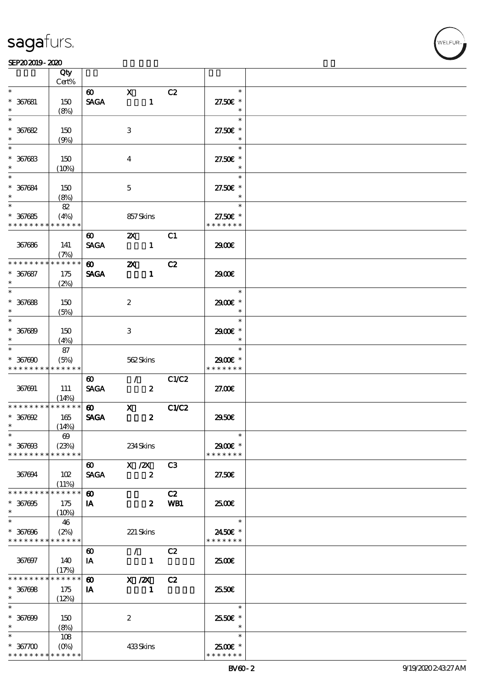#### SEP202019-2020

|                               | Qty                                      |                       |                                 |                         |                          |  |
|-------------------------------|------------------------------------------|-----------------------|---------------------------------|-------------------------|--------------------------|--|
|                               | Cert%                                    |                       |                                 |                         |                          |  |
| $\ast$                        |                                          | $\boldsymbol{\omega}$ | $\mathbf{X}$                    | C2                      | $\ast$                   |  |
| $* 367081$                    | 150                                      | <b>SAGA</b>           |                                 | $\mathbf{1}$            | 27.50€ *                 |  |
| $\ast$                        | (8%)                                     |                       |                                 |                         | $\ast$                   |  |
| $\ast$                        |                                          |                       |                                 |                         | $\ast$                   |  |
| $* 367682$                    | 150                                      |                       | $\ensuremath{\mathbf{3}}$       |                         | 27.50€ *                 |  |
| $\ast$                        |                                          |                       |                                 |                         |                          |  |
| $\ast$                        | (9%)                                     |                       |                                 |                         |                          |  |
|                               |                                          |                       |                                 |                         | $\ast$                   |  |
| $* 367683$                    | 150                                      |                       | $\boldsymbol{4}$                |                         | 27.50€ *                 |  |
| $\ast$                        | (10%)                                    |                       |                                 |                         | $\ast$                   |  |
| $\ast$                        |                                          |                       |                                 |                         | $\ast$                   |  |
| $* 367684$                    | 150                                      |                       | $\mathbf 5$                     |                         | 27.50€ *                 |  |
| $\ast$                        | (8%)                                     |                       |                                 |                         | $\ast$                   |  |
| $\ast$                        | 82                                       |                       |                                 |                         | $\ast$                   |  |
|                               |                                          |                       |                                 |                         | 27.50€ *                 |  |
| $* 367685$<br>* * * * * * * * | (4%)<br>* * * * * *                      |                       | 857Skins                        |                         | * * * * * * *            |  |
|                               |                                          |                       |                                 |                         |                          |  |
|                               |                                          | $\boldsymbol{\omega}$ | $\mathbf{x}$                    | C1                      |                          |  |
| 367686                        | 141                                      | <b>SAGA</b>           | $\blacksquare$                  |                         | 2900€                    |  |
|                               | (7%)                                     |                       |                                 |                         |                          |  |
| * * * * * * * *               | * * * * * *                              | $\boldsymbol{\omega}$ | $\boldsymbol{\mathsf{Z}}$       | C2                      |                          |  |
| $* 367687$                    | 175                                      | <b>SAGA</b>           |                                 | $\mathbf{1}$            | 2900€                    |  |
| $\ast$                        | (2%)                                     |                       |                                 |                         |                          |  |
| $\overline{\ast}$             |                                          |                       |                                 |                         | $\ast$                   |  |
| $* 367688$                    | 150                                      |                       | $\boldsymbol{2}$                |                         | 2900E *                  |  |
| $\ast$                        |                                          |                       |                                 |                         | $\ast$                   |  |
| $\overline{\phantom{0}}$      | (5%)                                     |                       |                                 |                         | $\ast$                   |  |
|                               |                                          |                       |                                 |                         |                          |  |
| $* 367689$                    | 150                                      |                       | $\,3$                           |                         | 2900€ *                  |  |
| $\ast$                        | (4%)                                     |                       |                                 |                         | $\ast$                   |  |
| $\ast$                        | 87                                       |                       |                                 |                         | $\ast$                   |  |
| $* 367000$                    | (5%)                                     |                       | 562Skins                        |                         | 2900€ *                  |  |
| * * * * * * * *               | * * * * * *                              |                       |                                 |                         | * * * * * * *            |  |
|                               |                                          | $\boldsymbol{\omega}$ | $\mathcal{L}$                   | C1/C2                   |                          |  |
| 367691                        | 111                                      | <b>SAGA</b>           |                                 | $\boldsymbol{2}$        | 27.00E                   |  |
|                               | (14%)                                    |                       |                                 |                         |                          |  |
| * * * * * * * *               | * * * * * *                              |                       | $\omega$ x                      | C1/C2                   |                          |  |
| $*$ 367692                    | 165                                      | <b>SAGA</b>           |                                 | $\boldsymbol{z}$        | 2950E                    |  |
| $\ast$                        | (14%)                                    |                       |                                 |                         |                          |  |
| $\ast$                        | $\boldsymbol{\omega}$                    |                       |                                 |                         |                          |  |
| $* 36760B$                    | (23%)                                    |                       | 234Skins                        |                         | 2900€ *                  |  |
| * * * * * * * *               | * * * * * *                              |                       |                                 |                         | * * * * * * *            |  |
|                               |                                          |                       |                                 |                         |                          |  |
|                               |                                          | $\boldsymbol{\omega}$ | X / ZX                          | C <sub>3</sub>          |                          |  |
| 367694                        | 102                                      | <b>SAGA</b>           |                                 | $\boldsymbol{z}$        | 27.50E                   |  |
|                               | (11%)                                    |                       |                                 |                         |                          |  |
| * * * * * * * *               | * * * * * *                              | $\boldsymbol{\omega}$ |                                 | C2                      |                          |  |
| $* 367005$                    | 175                                      | IA                    |                                 | WB1<br>$\boldsymbol{z}$ | 2500E                    |  |
| $\ast$                        | (10%)                                    |                       |                                 |                         |                          |  |
| $\ast$                        | 46                                       |                       |                                 |                         | $\ast$                   |  |
| $* 367096$                    | (2%)                                     |                       | 221 Skins                       |                         | 2450€ *                  |  |
| * * * * * * * *               | * * * * * *                              |                       |                                 |                         | * * * * * * *            |  |
|                               |                                          |                       |                                 |                         |                          |  |
|                               |                                          | $\boldsymbol{\omega}$ | $\mathcal{F}$ and $\mathcal{F}$ | C2                      |                          |  |
| 367697                        | 140                                      | IA                    |                                 | $\mathbf{1}$            | 2500€                    |  |
|                               | (17%)                                    |                       |                                 |                         |                          |  |
| * * * * * * * *               | * * * * * *                              | $\boldsymbol{\omega}$ | $X$ / $ZX$                      | C2                      |                          |  |
| $* 367008$                    | 175                                      | IA                    |                                 | $\mathbf 1$             | 25.50E                   |  |
| $\ast$                        | (12%)                                    |                       |                                 |                         |                          |  |
| $\ast$                        |                                          |                       |                                 |                         | $\ast$                   |  |
| $* 367000$                    | 150                                      |                       | $\boldsymbol{2}$                |                         | 25.50€ *                 |  |
| $\ast$                        | (8%)                                     |                       |                                 |                         | $\ast$                   |  |
| $\ast$                        | 108                                      |                       |                                 |                         | $\ast$                   |  |
|                               |                                          |                       |                                 |                         |                          |  |
|                               |                                          |                       |                                 |                         |                          |  |
| $* 36700$<br>* * * * * * * *  | $(O\!\!\!\!\!\!\!/\,\!o)$<br>* * * * * * |                       | 433Skins                        |                         | 2500€ *<br>* * * * * * * |  |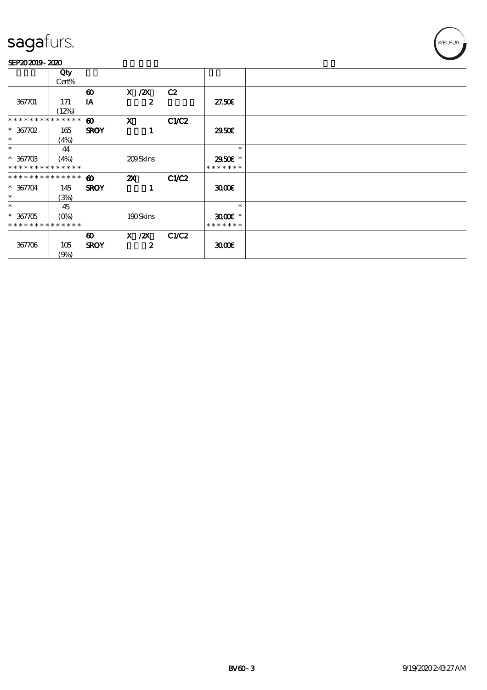#### SEP202019-2020

|                             | Qty         |                       |                           |       |                        |  |
|-----------------------------|-------------|-----------------------|---------------------------|-------|------------------------|--|
|                             | Cert%       |                       |                           |       |                        |  |
|                             |             | $\boldsymbol{\omega}$ | X / ZX                    | C2    |                        |  |
|                             |             |                       |                           |       |                        |  |
| 367701                      | 171         | IA                    | $\boldsymbol{z}$          |       | 27.50E                 |  |
|                             | (12%)       |                       |                           |       |                        |  |
| * * * * * * * *             | * * * * * * | $\boldsymbol{\omega}$ | $\mathbf x$               | C1/C2 |                        |  |
| $* 367702$                  | 165         | <b>SROY</b>           |                           |       | 2950E                  |  |
| $\ast$                      |             |                       |                           |       |                        |  |
|                             | (4%)        |                       |                           |       |                        |  |
| $\ast$                      | 44          |                       |                           |       | $\ast$                 |  |
| $* 36770B$                  | (4%)        |                       | 209Skins                  |       | 2950 £*                |  |
| * * * * * * * * * * * * * * |             |                       |                           |       | * * * * * * *          |  |
| * * * * * * * * * * * * * * |             | $\boldsymbol{\omega}$ | $\boldsymbol{\mathsf{Z}}$ | C1/C2 |                        |  |
|                             |             |                       |                           |       |                        |  |
| $* 367704$                  | 145         | <b>SROY</b>           |                           |       | 3000                   |  |
| $\ast$                      | (3%)        |                       |                           |       |                        |  |
| $\ast$                      | 45          |                       |                           |       | $\ast$                 |  |
| $* 367705$                  | $(O\%)$     |                       | 190Skins                  |       | $3000$ $\varepsilon$ * |  |
| * * * * * * * * * * * * * * |             |                       |                           |       | * * * * * * *          |  |
|                             |             |                       |                           |       |                        |  |
|                             |             | $\boldsymbol{\omega}$ | $X$ / $ZX$                | C1/C2 |                        |  |
| 367706                      | 105         | <b>SROY</b>           | 2                         |       | 3000                   |  |
|                             | (9%)        |                       |                           |       |                        |  |
|                             |             |                       |                           |       |                        |  |

WELFUR-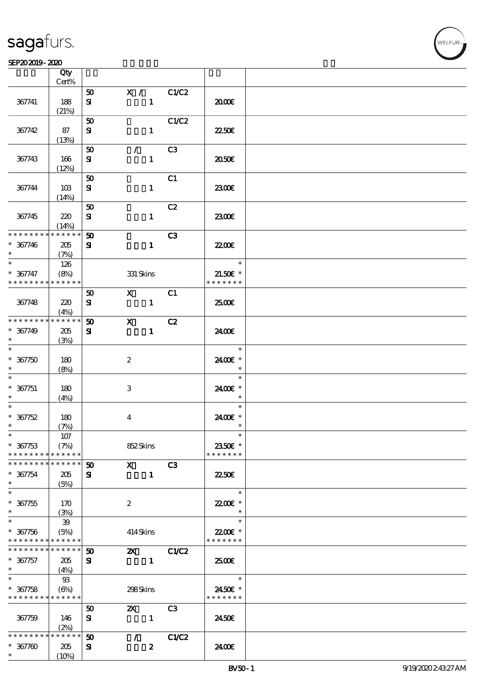#### $SEP202019 - 2020$  $\frac{\text{SEP202019 - 2020}}{\text{C}}$

|                                            | Qty            |                             |                                                                                                                                                                                                                                                                                                                                 |                  |                |               |  |
|--------------------------------------------|----------------|-----------------------------|---------------------------------------------------------------------------------------------------------------------------------------------------------------------------------------------------------------------------------------------------------------------------------------------------------------------------------|------------------|----------------|---------------|--|
|                                            | Cert%          |                             |                                                                                                                                                                                                                                                                                                                                 |                  |                |               |  |
|                                            |                | 50                          | $\mathbf{X}$ /                                                                                                                                                                                                                                                                                                                  |                  | C1/C2          |               |  |
| 367741                                     | 188            | ${\bf s}$                   |                                                                                                                                                                                                                                                                                                                                 | $\mathbf{1}$     |                | æœ            |  |
|                                            | (21%)          |                             |                                                                                                                                                                                                                                                                                                                                 |                  |                |               |  |
|                                            |                | 50                          |                                                                                                                                                                                                                                                                                                                                 |                  | C1/C2          |               |  |
| 367742                                     | 87             | ${\bf s}$                   |                                                                                                                                                                                                                                                                                                                                 | $\mathbf{1}$     |                | 2250E         |  |
|                                            | (13%)          |                             |                                                                                                                                                                                                                                                                                                                                 |                  |                |               |  |
|                                            |                | 50                          | $\mathcal{F}$                                                                                                                                                                                                                                                                                                                   |                  | C3             |               |  |
| 367743                                     | 166            | ${\bf s}$                   |                                                                                                                                                                                                                                                                                                                                 | $\mathbf{1}$     |                | 2050€         |  |
|                                            | (12%)          |                             |                                                                                                                                                                                                                                                                                                                                 |                  |                |               |  |
|                                            |                | 50                          |                                                                                                                                                                                                                                                                                                                                 |                  | C1             |               |  |
| 367744                                     | 10B            | ${\bf s}$                   |                                                                                                                                                                                                                                                                                                                                 | $\mathbf{1}$     |                | 2300E         |  |
|                                            | (14%)          | 50                          |                                                                                                                                                                                                                                                                                                                                 |                  | C2             |               |  |
|                                            | 220            | ${\bf s}$                   |                                                                                                                                                                                                                                                                                                                                 |                  |                | 2300E         |  |
| 367745                                     | (14%)          |                             |                                                                                                                                                                                                                                                                                                                                 | $\mathbf{1}$     |                |               |  |
| * * * * * * * *                            | * * * * * *    | 50                          |                                                                                                                                                                                                                                                                                                                                 |                  | C3             |               |  |
| $* 367746$                                 | 205            | ${\bf s}$                   |                                                                                                                                                                                                                                                                                                                                 | $\mathbf{1}$     |                | <b>2200</b> € |  |
| $\ast$                                     | (7%)           |                             |                                                                                                                                                                                                                                                                                                                                 |                  |                |               |  |
| $\ast$                                     | 126            |                             |                                                                                                                                                                                                                                                                                                                                 |                  |                | $\ast$        |  |
| $* 367747$                                 | (8%)           |                             | 331 Skins                                                                                                                                                                                                                                                                                                                       |                  |                | $21.50E$ *    |  |
| * * * * * * * * * * * * * *                |                |                             |                                                                                                                                                                                                                                                                                                                                 |                  |                | * * * * * * * |  |
|                                            |                | 50                          | $\mathbf X$ and $\mathbf X$ and $\mathbf X$ and $\mathbf X$ and $\mathbf X$ and $\mathbf X$ and $\mathbf X$ and $\mathbf X$ and $\mathbf X$ and $\mathbf X$ and $\mathbf X$ and $\mathbf X$ and $\mathbf X$ and $\mathbf X$ and $\mathbf X$ and $\mathbf X$ and $\mathbf X$ and $\mathbf X$ and $\mathbf X$ and $\mathbf X$ and |                  | C1             |               |  |
| 367748                                     | 220            | ${\bf s}$                   |                                                                                                                                                                                                                                                                                                                                 | $\mathbf{1}$     |                | 2500€         |  |
|                                            | (4%)           |                             |                                                                                                                                                                                                                                                                                                                                 |                  |                |               |  |
| * * * * * * * *                            | * * * * * *    | $\boldsymbol{\mathfrak{D}}$ | $\mathbf{x}$                                                                                                                                                                                                                                                                                                                    |                  | C2             |               |  |
| $* 367749$                                 | 205            | ${\bf s}$                   |                                                                                                                                                                                                                                                                                                                                 | $\mathbf{1}$     |                | 2400€         |  |
| $\ast$                                     | (3%)           |                             |                                                                                                                                                                                                                                                                                                                                 |                  |                |               |  |
| $\ast$                                     |                |                             |                                                                                                                                                                                                                                                                                                                                 |                  |                | $\ast$        |  |
| $* 367750$                                 | 180            |                             | $\boldsymbol{2}$                                                                                                                                                                                                                                                                                                                |                  |                | 2400E *       |  |
| $\ast$                                     | (8%)           |                             |                                                                                                                                                                                                                                                                                                                                 |                  |                | $\ast$        |  |
| $\ast$                                     |                |                             |                                                                                                                                                                                                                                                                                                                                 |                  |                | $\ast$        |  |
| $* 367751$                                 | 180            |                             | 3                                                                                                                                                                                                                                                                                                                               |                  |                | 2400€ *       |  |
| $\ast$                                     | (4%)           |                             |                                                                                                                                                                                                                                                                                                                                 |                  |                | $\ast$        |  |
| $\ast$                                     |                |                             |                                                                                                                                                                                                                                                                                                                                 |                  |                | $\ast$        |  |
| $* 367752$                                 | 180            |                             | $\overline{\mathbf{4}}$                                                                                                                                                                                                                                                                                                         |                  |                | 24.00 £*      |  |
| $\ast$                                     | (7%)           |                             |                                                                                                                                                                                                                                                                                                                                 |                  |                | $\ast$        |  |
| $*$                                        | $107\,$        |                             |                                                                                                                                                                                                                                                                                                                                 |                  |                | $\ast$        |  |
| $* 367753$                                 | (7%)           |                             | 852Skins                                                                                                                                                                                                                                                                                                                        |                  |                | 2350€ *       |  |
| * * * * * * * *                            | * * * * * *    |                             |                                                                                                                                                                                                                                                                                                                                 |                  |                | * * * * * * * |  |
| * * * * * * * *                            | * * * * * *    | $\boldsymbol{50}$           | $\mathbf{X}$                                                                                                                                                                                                                                                                                                                    |                  | C <sub>3</sub> |               |  |
| $* 367754$                                 | 205            | ${\bf s}$                   |                                                                                                                                                                                                                                                                                                                                 | $\mathbf{1}$     |                | 2250E         |  |
| $\ast$                                     | (5%)           |                             |                                                                                                                                                                                                                                                                                                                                 |                  |                |               |  |
| $\overline{\ast}$                          |                |                             |                                                                                                                                                                                                                                                                                                                                 |                  |                | $\ast$        |  |
| $* 367755$                                 | 170            |                             | $\boldsymbol{2}$                                                                                                                                                                                                                                                                                                                |                  |                | 22.00 *       |  |
| $\ast$                                     | (3%)           |                             |                                                                                                                                                                                                                                                                                                                                 |                  |                | $\ast$        |  |
| $\ast$                                     | 39             |                             |                                                                                                                                                                                                                                                                                                                                 |                  |                | $\ast$        |  |
| $* 367756$                                 | (5%)           |                             | 414Skins                                                                                                                                                                                                                                                                                                                        |                  |                | 22.00€ *      |  |
| * * * * * * * * <mark>* * * * * *</mark> * |                |                             |                                                                                                                                                                                                                                                                                                                                 |                  |                | * * * * * * * |  |
| * * * * * * * *                            | * * * * * *    | 50                          | $\mathbf{X}$                                                                                                                                                                                                                                                                                                                    |                  | C1/C2          |               |  |
| $* 367757$<br>$\ast$                       | 205            | ${\bf s}$                   |                                                                                                                                                                                                                                                                                                                                 | $\mathbf{1}$     |                | 2500€         |  |
| $\ast$                                     | (4%)           |                             |                                                                                                                                                                                                                                                                                                                                 |                  |                | $\ast$        |  |
| $* 367758$                                 | $\mathfrak{B}$ |                             |                                                                                                                                                                                                                                                                                                                                 |                  |                | 2450€ *       |  |
| * * * * * * * * * * * * * *                | $(\Theta)$     |                             | 298Skins                                                                                                                                                                                                                                                                                                                        |                  |                | * * * * * * * |  |
|                                            |                | 50                          | $\boldsymbol{\mathsf{z}}$                                                                                                                                                                                                                                                                                                       |                  | C <sub>3</sub> |               |  |
| 367759                                     | 146            | ${\bf s}$                   |                                                                                                                                                                                                                                                                                                                                 | $\mathbf{1}$     |                | 2450E         |  |
|                                            | (2%)           |                             |                                                                                                                                                                                                                                                                                                                                 |                  |                |               |  |
| * * * * * * *                              | * * * * * *    | 50                          | $\mathcal{L}$                                                                                                                                                                                                                                                                                                                   |                  | C1/C2          |               |  |
| $* 367700$                                 | 205            | ${\bf s}$                   |                                                                                                                                                                                                                                                                                                                                 | $\boldsymbol{z}$ |                | 2400E         |  |
| $\ast$                                     | (10%)          |                             |                                                                                                                                                                                                                                                                                                                                 |                  |                |               |  |

WELFUR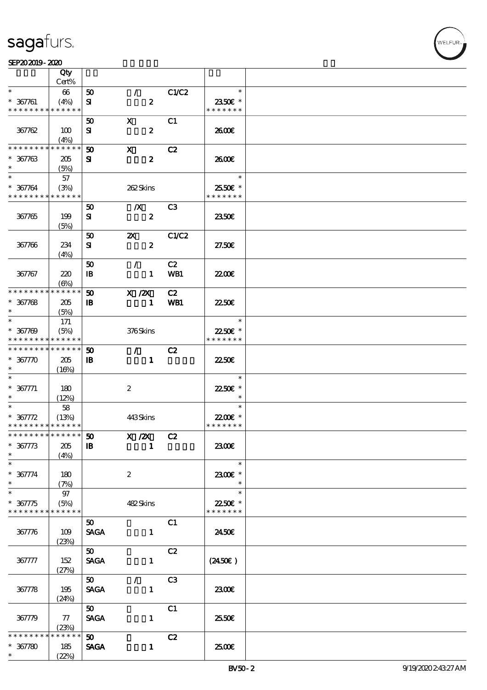#### $SEP202019 - 2020$

|                                            | Qty                 |                             |                       |                |                           |  |
|--------------------------------------------|---------------------|-----------------------------|-----------------------|----------------|---------------------------|--|
|                                            | Cert%               |                             |                       |                |                           |  |
| $\ast$                                     | 66                  | 50                          | $\mathcal{L}$         | C1/C2          | $\ast$                    |  |
| $* 367761$<br>* * * * * * * *              | (4%)<br>* * * * * * | ${\bf s}$                   | $\boldsymbol{z}$      |                | 2350€ *<br>* * * * * * *  |  |
|                                            |                     |                             |                       |                |                           |  |
|                                            |                     | 50                          | $\mathbf{x}$          | C1             |                           |  |
| 367762                                     | 100                 | ${\bf s}$                   | $\boldsymbol{z}$      |                | 2600E                     |  |
| * * * * * * * *                            | (4%)<br>* * * * * * | $\boldsymbol{\mathfrak{D}}$ | $\mathbf{x}$          | C2             |                           |  |
| $* 367763$                                 |                     |                             | $\boldsymbol{z}$      |                |                           |  |
| $\ast$                                     | 205<br>(5%)         | ${\bf s}$                   |                       |                | 2600E                     |  |
| $\ast$                                     | 57                  |                             |                       |                | $\ast$                    |  |
| $* 367764$                                 | (3%)                |                             | 262Skins              |                | 25.50€ *                  |  |
| * * * * * * * * * * * * * *                |                     |                             |                       |                | * * * * * * *             |  |
|                                            |                     | 50                          | $\boldsymbol{X}$      | C <sub>3</sub> |                           |  |
| 367765                                     | 199                 | ${\bf s}$                   | $\boldsymbol{z}$      |                | 2350E                     |  |
|                                            | (5%)                |                             |                       |                |                           |  |
|                                            |                     | 50                          | $\boldsymbol{\alpha}$ | C1/C2          |                           |  |
| 367766                                     | 234                 | ${\bf s}$                   | $\boldsymbol{z}$      |                | 27.50E                    |  |
|                                            | (4%)                |                             |                       |                |                           |  |
|                                            |                     | 50                          | $\mathcal{L}$         | C2             |                           |  |
| 367767                                     | 220                 | $\, {\bf I} \! {\bf B} \,$  | $\mathbf{1}$          | WB1            | <b>22006</b>              |  |
|                                            | $(\Theta)$          |                             |                       |                |                           |  |
| * * * * * * * *                            | * * * * * *         | $\boldsymbol{\mathfrak{D}}$ | $X$ / $ZX$            | C2             |                           |  |
| $* 367768$                                 | 205                 | $\mathbf{B}$                | $\mathbf{1}$          | WB1            | 2250E                     |  |
| $\ast$                                     | (5%)                |                             |                       |                |                           |  |
| $\ast$                                     | 171                 |                             |                       |                | $\ast$                    |  |
| $* 367709$<br>* * * * * * * * * * * * * *  | (5%)                |                             | 376Skins              |                | 22.50€ *<br>* * * * * * * |  |
| * * * * * * * *                            | * * * * * *         |                             |                       |                |                           |  |
|                                            |                     | 50                          | $\mathcal{L}$         | C2             |                           |  |
| $* 367770$<br>$\ast$                       | 205                 | $\mathbf{B}$                | $\mathbf{1}$          |                | 2250E                     |  |
| $\ast$                                     | (16%)               |                             |                       |                | $\ast$                    |  |
| $* 367771$                                 | 180                 |                             | $\boldsymbol{z}$      |                | 22.50€ *                  |  |
| $\ast$                                     | (12%)               |                             |                       |                | $\ast$                    |  |
| $\ast$                                     | 58                  |                             |                       |                | $\ast$                    |  |
| $* 367772$                                 | (13%)               |                             | 443Skins              |                | 22.00€ *                  |  |
| * * * * * * * * * * * * * *                |                     |                             |                       |                | * * * * * * *             |  |
| *************** 50                         |                     |                             | X / ZX C2             |                |                           |  |
| $* 367773$                                 | 205                 | $\mathbf{B}$                | $\mathbf{1}$          |                | 2300€                     |  |
| $\ast$                                     | (4%)                |                             |                       |                |                           |  |
| $\ast$                                     |                     |                             |                       |                | $\ast$                    |  |
| $* 367774$                                 | 180                 |                             | $\boldsymbol{2}$      |                | 2300€ *                   |  |
| $\ast$                                     | (7%)                |                             |                       |                | $\ast$                    |  |
| $\ast$                                     | $97\,$              |                             |                       |                | $\ast$                    |  |
| $* 367775$                                 | (5%)                |                             | 482Skins              |                | 2250E *<br>* * * * * * *  |  |
| * * * * * * * * <mark>* * * * * * *</mark> |                     |                             |                       |                |                           |  |
|                                            |                     | 50 <sub>2</sub>             |                       | C1             |                           |  |
| 367776                                     | 109<br>(23%)        | <b>SAGA</b>                 | $\mathbf{1}$          |                | 2450E                     |  |
|                                            |                     | 50                          |                       | C2             |                           |  |
| 367777                                     | 152                 | <b>SAGA</b>                 | $\mathbf{1}$          |                | $(2450\epsilon)$          |  |
|                                            | (27%)               |                             |                       |                |                           |  |
|                                            |                     | 50                          | $\mathcal{L}$         | C3             |                           |  |
| 367778                                     | 195                 | <b>SAGA</b>                 | $\mathbf{1}$          |                | 2300E                     |  |
|                                            | (24%)               |                             |                       |                |                           |  |
|                                            |                     | 50                          |                       | C1             |                           |  |
| 367779                                     | 77                  | <b>SAGA</b>                 | $\mathbf{1}$          |                | 25.50€                    |  |
|                                            | (23%)               |                             |                       |                |                           |  |
| * * * * * *                                | * * * * * *         | 50                          |                       | C2             |                           |  |
| $* 367780$                                 | 185                 | <b>SAGA</b>                 | $\mathbf{1}$          |                | 2500€                     |  |
| $\ast$                                     | (22%)               |                             |                       |                |                           |  |

T

WELFUR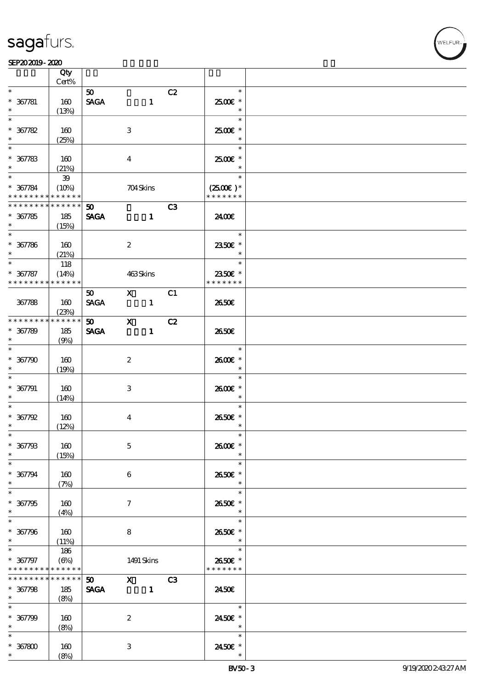

**NELFUR** 

|                                                                  | Qty<br>Cert%                |                                |                         |                        |    |                                       |  |
|------------------------------------------------------------------|-----------------------------|--------------------------------|-------------------------|------------------------|----|---------------------------------------|--|
| $\ast$                                                           |                             | 50                             |                         |                        | C2 | $\ast$                                |  |
| $* 367781$<br>$\ast$                                             | 160<br>(13%)                | <b>SAGA</b>                    |                         | $\mathbf{1}$           |    | 2500€ *                               |  |
| $\ast$<br>$* 367782$                                             | 160                         |                                | 3                       |                        |    | $\ast$<br>2500€ *                     |  |
| $\ast$<br>$\ast$                                                 | (25%)                       |                                |                         |                        |    | $\ast$                                |  |
| $* 367783$<br>$\ast$                                             | 160<br>(21%)                |                                | $\overline{\mathbf{4}}$ |                        |    | 2500€ *                               |  |
| $\ast$<br>$* 367784$<br>* * * * * * * * <mark>* * * * * *</mark> | ${\bf 39}$<br>(10%)         |                                | 704Skins                |                        |    | $\ast$<br>$(2500)$ *<br>* * * * * * * |  |
| * * * * * * * * * * * * * *<br>$* 367785$<br>$\ast$              | 185<br>(15%)                | 50 <sub>o</sub><br><b>SAGA</b> |                         | $\mathbf{1}$           | C3 | 2400E                                 |  |
| $* 367786$<br>$\ast$                                             | 160<br>(21%)                |                                | $\boldsymbol{z}$        |                        |    | $\ast$<br>2350E *<br>$\ast$           |  |
| $\ast$<br>$* 367787$<br>* * * * * * * *                          | 118<br>(14%)<br>* * * * * * |                                | 463Skins                |                        |    | $\ast$<br>2350€ *<br>* * * * * * *    |  |
| 367788                                                           | 160<br>(23%)                | 50<br><b>SAGA</b>              |                         | $X$ C1<br>$\mathbf{1}$ |    | 2650E                                 |  |
| ********<br>$* 367789$<br>$\ast$                                 | * * * * * *<br>185<br>(9%)  | 50 X C2<br><b>SAGA</b>         |                         | $\mathbf{1}$           |    | 2650E                                 |  |
| $\ast$<br>$* 367790$                                             | 160<br>(19%)                |                                | $\boldsymbol{2}$        |                        |    | $\ast$<br>2600E *                     |  |
| $* 367791$<br>$\ast$                                             | 160<br>(14%)                |                                | 3                       |                        |    | $\ast$<br>2600€ *                     |  |
| $\ast$<br>$* 367792$<br>$\ast$                                   | 160<br>(12%)                |                                | $\bf{4}$                |                        |    | $\ast$<br>2650€ *<br>$\ast$           |  |
| $*$<br>$* 367793$<br>$\ast$                                      | 160<br>(15%)                |                                | $\mathbf 5$             |                        |    | $\ast$<br>2600€ *                     |  |
| $\ast$<br>$* 367794$<br>$\ast$                                   | 160<br>(7%)                 |                                | 6                       |                        |    | $\ast$<br>2650E *<br>$\ast$           |  |
| $\ast$<br>$* 367795$<br>$\ast$                                   | 160<br>(4%)                 |                                | $\tau$                  |                        |    | $\ast$<br>2650E *<br>$\ast$           |  |
| $\ast$<br>$* 367796$<br>$\ast$                                   | 160<br>(11%)                |                                | 8                       |                        |    | $\ast$<br>2650€ *                     |  |
| $\ast$<br>$* 367797$<br>* * * * * * * *                          | 186<br>(6%)<br>* * * * * *  |                                |                         | 1491 Skins             |    | $\ast$<br>2650€ *<br>* * * * * * *    |  |
| * * * * * * * *<br>$* 367798$<br>$\ast$                          | ******<br>185<br>(8%)       | 50<br><b>SAGA</b>              | $\sim$ 1                | $X$ C3                 |    | 2450E                                 |  |
| $\ast$<br>$* 367799$<br>$\ast$                                   | 160<br>(8%)                 |                                | $\boldsymbol{z}$        |                        |    | $\ast$<br>2450€ *<br>$\ast$           |  |
| $\ast$<br>$* 367800$<br>$\ast$                                   | 160<br>(8%)                 |                                | 3                       |                        |    | $\ast$<br>2450€ *                     |  |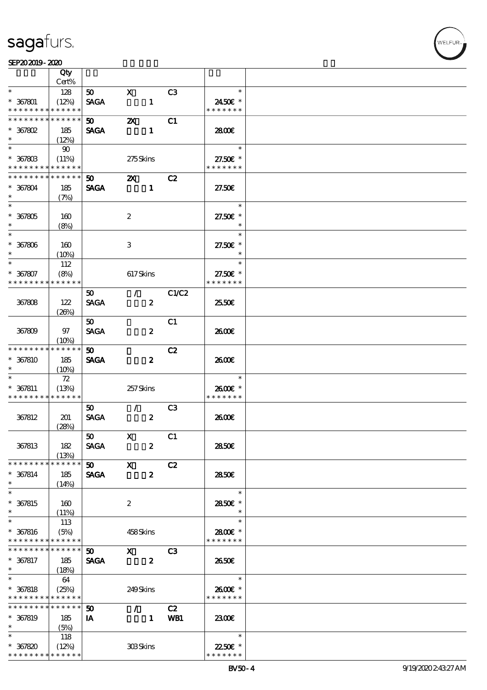#### $SEP202019 - 2020$

|                                            | Qty                 |                             |                           |                  |                |                           |  |
|--------------------------------------------|---------------------|-----------------------------|---------------------------|------------------|----------------|---------------------------|--|
|                                            | Cert%               |                             |                           |                  |                |                           |  |
| $\ast$                                     | 128                 | 50                          | $\mathbf{x}$              |                  | C <sub>3</sub> | $\ast$                    |  |
| $* 367801$<br>* * * * * * * * * * * * * *  | (12%)               | <b>SAGA</b>                 |                           | $\mathbf{1}$     |                | 2450€ *<br>* * * * * * *  |  |
| * * * * * * * *                            | * * * * * *         | 50                          | $\boldsymbol{\mathsf{z}}$ |                  | C1             |                           |  |
| $*$ 367802                                 | 185                 | <b>SAGA</b>                 |                           | $\mathbf{1}$     |                | 2800€                     |  |
| $\ast$                                     | (12%)               |                             |                           |                  |                |                           |  |
| $*$                                        | $90^{\circ}$        |                             |                           |                  |                | $\ast$                    |  |
| $* 367803$                                 | (11%)               |                             | 275Skins                  |                  |                | 27.50€ *                  |  |
| * * * * * * * * * * * * * *                |                     |                             |                           |                  |                | * * * * * * *             |  |
| * * * * * * * *                            | * * * * * *         | 50                          | $\mathbf{z}$              |                  | C2             |                           |  |
| $* 367804$                                 | 185                 | <b>SAGA</b>                 |                           | $\mathbf{1}$     |                | 27.50E                    |  |
| $\ast$                                     | (7%)                |                             |                           |                  |                |                           |  |
| $\overline{\phantom{0}}$                   |                     |                             |                           |                  |                | $\ast$                    |  |
| $* 367805$                                 | 160                 |                             | $\boldsymbol{2}$          |                  |                | 27.50€ *                  |  |
| $\ast$                                     | (8%)                |                             |                           |                  |                | $\ast$                    |  |
| $\overline{\ast}$                          |                     |                             |                           |                  |                | $\ast$                    |  |
| $* 367806$                                 | 160                 |                             | 3                         |                  |                | 27.50€ *                  |  |
| $\ast$                                     | $(10\%)$            |                             |                           |                  |                | $\ast$                    |  |
| $\ast$                                     | 112                 |                             |                           |                  |                | $\ast$                    |  |
| $* 367807$<br>* * * * * * * *              | (8%)<br>* * * * * * |                             | 617Skins                  |                  |                | 27.50€ *<br>* * * * * * * |  |
|                                            |                     |                             |                           |                  | C1/C2          |                           |  |
| 367808                                     | 122                 | $50^{\circ}$<br><b>SAGA</b> | $\mathcal{L}$             | $\boldsymbol{z}$ |                | 2550E                     |  |
|                                            | (20%)               |                             |                           |                  |                |                           |  |
|                                            |                     | 50 <sub>o</sub>             |                           |                  | C1             |                           |  |
| 367809                                     | 97                  | <b>SAGA</b>                 |                           | $\boldsymbol{z}$ |                | 2600€                     |  |
|                                            | $(10\%)$            |                             |                           |                  |                |                           |  |
| * * * * * * * *                            | * * * * * *         | 50 <sub>1</sub>             |                           |                  | C2             |                           |  |
| * 367810                                   | 185                 | <b>SAGA</b>                 |                           | $\boldsymbol{z}$ |                | 2600E                     |  |
| $\ast$                                     | (10%)               |                             |                           |                  |                |                           |  |
| $\ast$                                     | 72                  |                             |                           |                  |                | $\ast$                    |  |
| $* 367811$                                 | (13%)               |                             | 257Skins                  |                  |                | 2600€ *                   |  |
| * * * * * * * * * * * * * *                |                     |                             |                           |                  |                | * * * * * * *             |  |
|                                            |                     | 50                          | $\mathcal{L}$             |                  | C <sub>3</sub> |                           |  |
| 367812                                     | 201                 | <b>SAGA</b>                 |                           | $\boldsymbol{z}$ |                | 2600E                     |  |
|                                            | (28%)               |                             |                           |                  |                |                           |  |
| 367813                                     | 182                 | 50<br><b>SAGA</b>           | $\mathbf{X}$              | $\boldsymbol{z}$ | C1             | 2850€                     |  |
|                                            | (13%)               |                             |                           |                  |                |                           |  |
| * * * * * * * *                            | * * * * * *         | 50 X                        |                           |                  | C2             |                           |  |
| $* 367814$                                 | 185                 | <b>SAGA</b>                 |                           | $\boldsymbol{z}$ |                | 2850E                     |  |
| $\ast$                                     | (14%)               |                             |                           |                  |                |                           |  |
| $\overline{\ast}$                          |                     |                             |                           |                  |                | $\ast$                    |  |
| $* 367815$                                 | 160                 |                             | $\boldsymbol{2}$          |                  |                | 2850E *                   |  |
| $\ast$                                     | (11%)               |                             |                           |                  |                | $\ast$                    |  |
| $\ast$                                     | 113                 |                             |                           |                  |                | $\ast$                    |  |
| $* 367816$                                 | (5%)                |                             | 458Skins                  |                  |                | 2800€ *                   |  |
| * * * * * * * * <mark>* * * * * *</mark> * |                     |                             |                           |                  |                | * * * * * * *             |  |
| * * * * * * * *                            | * * * * * *         | $\boldsymbol{\mathfrak{D}}$ | $\mathbf{X}$              |                  | C <sub>3</sub> |                           |  |
| $* 367817$                                 | 185                 | <b>SAGA</b>                 |                           | $\boldsymbol{z}$ |                | 2650E                     |  |
| $*$<br>$\overline{\ast}$                   | (18%)               |                             |                           |                  |                | $\ast$                    |  |
| $* 367818$                                 | - 64<br>(25%)       |                             | 249Skins                  |                  |                | 2600€ *                   |  |
| * * * * * * * * * * * * * *                |                     |                             |                           |                  |                | * * * * * * *             |  |
| * * * * * * * *                            | * * * * * *         | $50^{\circ}$                | $\mathcal{L}$             |                  | C2             |                           |  |
| $* 367819$                                 | 185                 | IA                          |                           | $\mathbf{1}$     | WB1            | 2300E                     |  |
| $\ast$                                     | (5%)                |                             |                           |                  |                |                           |  |
| $\ast$                                     | 118                 |                             |                           |                  |                | $\ast$                    |  |
| $* 367820$                                 | (12%)               |                             | 308Skins                  |                  |                | 22.50€ *                  |  |
| * * * * * * * * * * * * * *                |                     |                             |                           |                  |                | * * * * * * *             |  |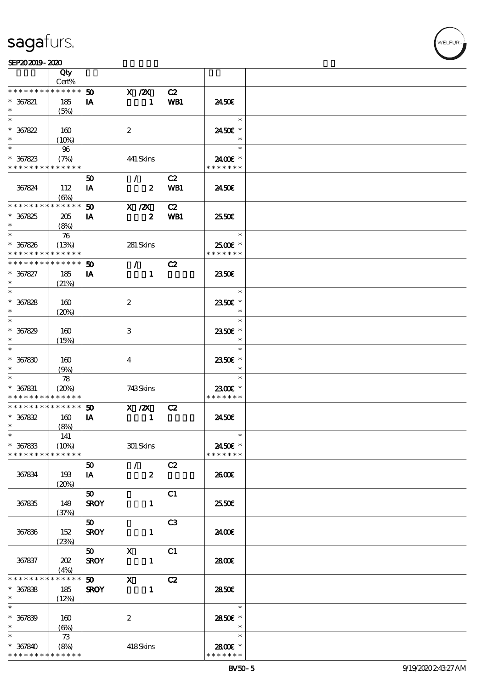

|                                                            | Qty                  |             |                         |                  |            |                     |  |
|------------------------------------------------------------|----------------------|-------------|-------------------------|------------------|------------|---------------------|--|
| * * * * * * * *                                            | Cert%<br>* * * * * * |             |                         |                  |            |                     |  |
|                                                            |                      | 50          | $X$ / $ZX$              |                  | C2         |                     |  |
| $* 367821$<br>$\ast$                                       | 185                  | IA          |                         | $\mathbf{1}$     | WB1        | 2450E               |  |
| $\ast$                                                     | (5%)                 |             |                         |                  |            | $\ast$              |  |
| $* 367822$                                                 | 160                  |             | $\boldsymbol{2}$        |                  |            | 2450€ *             |  |
| $\ast$                                                     | $(10\%)$             |             |                         |                  |            | $\ast$              |  |
| $\ast$                                                     | 96                   |             |                         |                  |            | $\ast$              |  |
| $* 367823$                                                 | (7%)                 |             | 441 Skins               |                  |            | 2400 £*             |  |
| * * * * * * * * * * * * * *                                |                      |             |                         |                  |            | * * * * * * *       |  |
|                                                            |                      | 50          | $\mathcal{F}$           |                  | C2         |                     |  |
| 367824                                                     | 112                  | IA          |                         | $\boldsymbol{z}$ | <b>WB1</b> | 2450E               |  |
|                                                            | (6%)                 |             |                         |                  |            |                     |  |
| * * * * * * * * * * * * * *                                |                      | 50          | X / ZX                  |                  | C2         |                     |  |
| $* 367825$                                                 | 205                  | IA          |                         | $\boldsymbol{z}$ | WB1        | 25.50E              |  |
| $\ast$                                                     | (8%)                 |             |                         |                  |            |                     |  |
| $\ast$                                                     | $\boldsymbol{\pi}$   |             |                         |                  |            | e e se<br>$\ast$    |  |
| $* 367826$                                                 | (13%)                |             | 281 Skins               |                  |            | $2500$ $\epsilon$ * |  |
| * * * * * * * * <mark>* * * * * *</mark>                   |                      |             |                         |                  |            | * * * * * * *       |  |
| * * * * * * * *                                            | * * * * * *          | 50          | $\mathcal{L}$           |                  | C2         |                     |  |
| $* 367827$                                                 | 185                  | IA          |                         | $\mathbf{1}$     |            | 2350E               |  |
| $\ast$                                                     | (21%)                |             |                         |                  |            |                     |  |
| $\ast$                                                     |                      |             |                         |                  |            | $\ast$              |  |
| $* 367828$                                                 | 160                  |             | $\boldsymbol{2}$        |                  |            | 2350E *             |  |
| $\ast$                                                     | (20%)                |             |                         |                  |            | $\ast$              |  |
| $\ast$                                                     |                      |             |                         |                  |            | $\ast$              |  |
| $* 367829$                                                 | 160                  |             | 3                       |                  |            | 2350E *             |  |
| $\ast$                                                     | (15%)                |             |                         |                  |            | $\ast$              |  |
| $\ast$                                                     |                      |             |                         |                  |            | $\ast$              |  |
| $* 367830$                                                 | 160                  |             | $\overline{\mathbf{4}}$ |                  |            | 2350E *             |  |
|                                                            | (9%)                 |             |                         |                  |            | $\ast$              |  |
|                                                            | 78                   |             |                         |                  |            | $\ast$              |  |
| $* 367831$                                                 | (20%)                |             | 743Skins                |                  |            | 2300€ *             |  |
| * * * * * * * * * * * * * *<br>* * * * * * * * * * * * * * |                      |             |                         |                  |            | * * * * * * *       |  |
| $* 367832$                                                 | 160                  | 50<br>IA    | $X$ / $ZX$              | $\mathbf{1}$     | C2         | 2450E               |  |
| $\ast$                                                     | (8%)                 |             |                         |                  |            |                     |  |
| $*$                                                        | 141                  |             |                         |                  |            | $\ast$              |  |
| $* 367833$                                                 | (10%)                |             | 301 Skins               |                  |            | 2450€ *             |  |
| * * * * * * * *                                            | * * * * * *          |             |                         |                  |            | * * * * * * *       |  |
|                                                            |                      | 50          | $\mathcal{F}$           |                  | C2         |                     |  |
| 367834                                                     | 193                  | IA          |                         | $\boldsymbol{z}$ |            | 2600E               |  |
|                                                            | (20%)                |             |                         |                  |            |                     |  |
|                                                            |                      | 50          |                         |                  | C1         |                     |  |
| 367835                                                     | 149                  | <b>SROY</b> |                         | $\mathbf{1}$     |            | 2550E               |  |
|                                                            | (37%)                |             |                         |                  |            |                     |  |
|                                                            |                      | 50          |                         |                  | C3         |                     |  |
| 367836                                                     | 152                  | <b>SROY</b> |                         | $\mathbf{1}$     |            | 2400€               |  |
|                                                            | (23%)                |             |                         |                  |            |                     |  |
|                                                            |                      | 50          | $\mathbf{x}$            |                  | C1         |                     |  |
| 367837                                                     | 202                  | <b>SROY</b> |                         | $\mathbf{1}$     |            | 2800E               |  |
|                                                            | (4%)                 |             |                         |                  |            |                     |  |
| * * * * * * * *                                            | * * * * * *          | 50          | $\mathbf{x}$            |                  | C2         |                     |  |
| $* 367838$<br>$\ast$                                       | 185                  | <b>SROY</b> |                         | $\mathbf{1}$     |            | 2850E               |  |
| $\ast$                                                     | (12%)                |             |                         |                  |            | $\ast$              |  |
| $* 367839$                                                 | 160                  |             | $\boldsymbol{2}$        |                  |            | 2850€ *             |  |
| $\ast$                                                     | (6%)                 |             |                         |                  |            | $\ast$              |  |
| $\ast$                                                     | 73                   |             |                         |                  |            | $\ast$              |  |
| $* 367840$                                                 | (8%)                 |             | 418Skins                |                  |            | 2800 £*             |  |
| * * * * * * * * * * * * * *                                |                      |             |                         |                  |            | * * * * * * *       |  |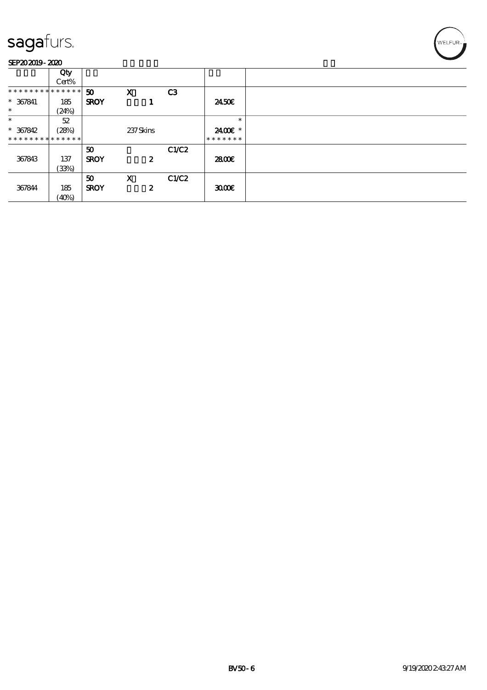|                               | Qty   |             |                  |       |               |  |
|-------------------------------|-------|-------------|------------------|-------|---------------|--|
|                               | Cert% |             |                  |       |               |  |
| * * * * * * * * * * * * * * * |       | 50          | $\mathbf x$      | C3    |               |  |
| $* 367841$                    | 185   | <b>SROY</b> |                  |       | 2450E         |  |
| $\ast$                        | (24%) |             |                  |       |               |  |
| $\ast$                        | 52    |             |                  |       | $\ast$        |  |
| $* 367842$                    | (28%) |             | 237Skins         |       | 2400€ *       |  |
| **************                |       |             |                  |       | * * * * * * * |  |
|                               |       | 50          |                  | C1/C2 |               |  |
| 367843                        | 137   | <b>SROY</b> | 2                |       | 2800E         |  |
|                               | (33%) |             |                  |       |               |  |
|                               |       | 50          | $\mathbf x$      | C1/C2 |               |  |
| 367844                        | 185   | <b>SROY</b> | $\boldsymbol{z}$ |       | 3000          |  |
|                               | (40%) |             |                  |       |               |  |

'<br>WELFUR∍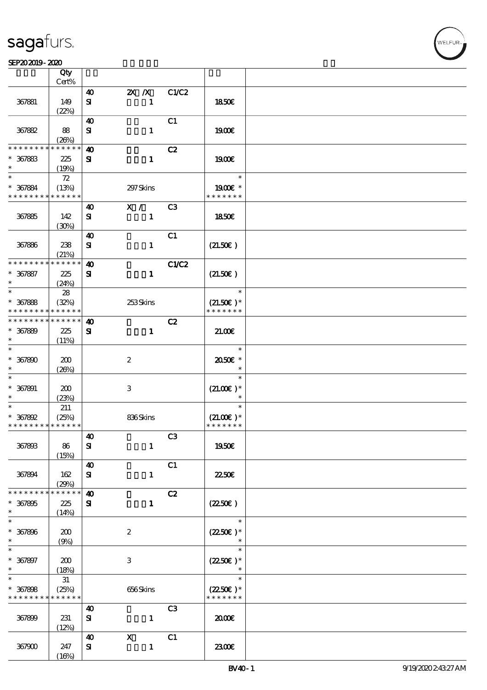ℸ

#### SEP202019-2020  $\overline{\phantom{a}}$

|                                           | Qty<br>Cert%         |                                    |                           |                |                              |  |
|-------------------------------------------|----------------------|------------------------------------|---------------------------|----------------|------------------------------|--|
|                                           |                      |                                    |                           |                |                              |  |
| 367881                                    | 149                  | 40<br>${\bf s}$                    | $X$ $N$<br>$\mathbf{1}$   | C1/C2          | <b>1850€</b>                 |  |
|                                           | (22%)                |                                    |                           |                |                              |  |
| 367882                                    | 88<br>(20%)          | $\boldsymbol{\omega}$<br>${\bf s}$ | $\mathbf{1}$              | C1             | 1900E                        |  |
| * * * * * * *                             | * * * * * *          | $\boldsymbol{\omega}$              |                           | C2             |                              |  |
| $* 367883$<br>$\ast$                      | 225<br>(19%)         | ${\bf s}$                          | $\mathbf{1}$              |                | 1900E                        |  |
| $\ast$                                    | $72\,$               |                                    |                           |                | $\ast$                       |  |
| $* 367884$<br>* * * * * * * *             | (13%)<br>* * * * * * |                                    | 297 Skins                 |                | $1900E$ *<br>* * * * * * *   |  |
|                                           |                      | 40                                 | X /                       | C <sub>3</sub> |                              |  |
| 367885                                    | 142<br>(30%)         | ${\bf s}$                          | $\mathbf{1}$              |                | 1850E                        |  |
|                                           |                      | $\boldsymbol{\omega}$              |                           | C1             |                              |  |
| 367886                                    | 238<br>(21%)         | $\mathbf{S}$                       | $\mathbf{1}$              |                | (21.50)                      |  |
| * * * * * * * *                           | * * * * * *          | $\boldsymbol{\omega}$              |                           | C1/C2          |                              |  |
| $* 367887$<br>$\ast$                      | 225<br>(24%)         | ${\bf s}$                          | $\mathbf{1}$              |                | (21.50)                      |  |
| $\ast$                                    | ${\bf 28}$           |                                    |                           |                | $\ast$                       |  |
| $* 367888$                                | (32%)                |                                    | 253Skins                  |                | $(21.50)$ *                  |  |
| * * * * * * * *                           | * * * * * *          |                                    |                           |                | * * * * * * *                |  |
| * * * * * * * *                           | * * * * * *          | $\boldsymbol{\omega}$              |                           | C2             |                              |  |
| $* 367889$<br>$\ast$                      | 225<br>(11%)         | $\mathbf{S}$                       | $\mathbf{1}$              |                | 21.006                       |  |
| $\ast$                                    |                      |                                    |                           |                | $\ast$                       |  |
| $* 367800$<br>$\ast$                      | 200<br>(20%)         |                                    | $\boldsymbol{2}$          |                | 2050E *<br>$\ast$            |  |
| $\ast$                                    |                      |                                    |                           |                | $\ast$                       |  |
| $* 367891$<br>$\ast$                      | 200                  |                                    | $\,3$                     |                | $(21.00)$ *<br>$\ast$        |  |
| $\ast$                                    | (23%)                |                                    |                           |                | $\ast$                       |  |
|                                           | 211                  |                                    |                           |                |                              |  |
| $* 367892$<br>* * * * * * * * * * * * * * | (25%)                |                                    | 836Skins                  |                | $(21.00)$ *<br>* * * * * * * |  |
|                                           |                      |                                    |                           |                |                              |  |
|                                           |                      | $\boldsymbol{40}$                  |                           | C <sub>3</sub> |                              |  |
| 367893                                    | 86<br>(15%)          | ${\bf s}$                          | $\mathbf{1}$              |                | 1950€                        |  |
|                                           |                      | $\boldsymbol{\omega}$              |                           | C1             |                              |  |
| 367894                                    | 162<br>(29%)         | ${\bf s}$                          | $\mathbf{1}$              |                | 2250E                        |  |
| * * * * * * * *                           | * * * * * *          | $\boldsymbol{\omega}$              |                           | C2             |                              |  |
| $* 367895$                                | 225                  | ${\bf s}$                          | $\mathbf{I}$              |                | $(2250\varepsilon)$          |  |
| $\ast$                                    | (14%)                |                                    |                           |                |                              |  |
| $\ast$                                    |                      |                                    |                           |                | $\ast$                       |  |
| $* 367896$                                | 200                  |                                    | $\boldsymbol{2}$          |                | $(2250)$ *                   |  |
| $\ast$                                    | (9%)                 |                                    |                           |                |                              |  |
| $\ast$                                    |                      |                                    |                           |                | $\ast$                       |  |
| $* 367897$                                | 200                  |                                    | $\ensuremath{\mathbf{3}}$ |                | $(2250)$ *                   |  |
| $\ast$                                    | (18%)                |                                    |                           |                | $\ast$                       |  |
| $\ast$                                    | $3\!1$               |                                    |                           |                | $\ast$                       |  |
| $* 367898$                                | (25%)                |                                    | 656Skins                  |                | $(2250\varepsilon)^*$        |  |
| * * * * * * * *                           | * * * * * *          |                                    |                           |                | * * * * * * *                |  |
|                                           |                      | 40                                 |                           | C <sub>3</sub> |                              |  |
| 367899                                    | 231                  | $\mathbf{S}$                       | $\mathbf{1}$              |                | 2000                         |  |
|                                           | (12%)                |                                    |                           |                |                              |  |
|                                           |                      | 40                                 | $\boldsymbol{\mathrm{X}}$ | C1             |                              |  |
| 367900                                    | 247                  | ${\bf s}$                          | $\mathbf{1}$              |                | 2300E                        |  |
|                                           | (16%)                |                                    |                           |                |                              |  |

т

VELEUR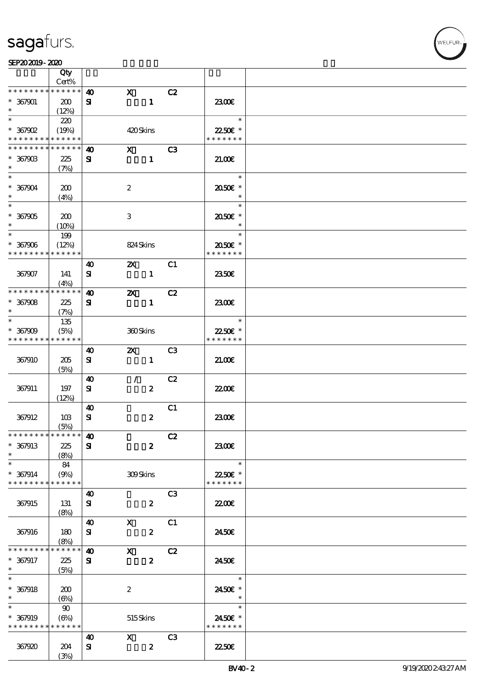$\overline{\mathsf{T}}$ 

|                      | Qty<br>Cert%  |                       |                           |                  |                |                   |  |
|----------------------|---------------|-----------------------|---------------------------|------------------|----------------|-------------------|--|
| * * * * * * * *      | * * * * * *   | $\boldsymbol{\omega}$ | $\mathbf{x}$              |                  | C2             |                   |  |
|                      |               |                       |                           |                  |                |                   |  |
| $* 367901$           | 200           | ${\bf s}$             |                           | $\mathbf{1}$     |                | 2300E             |  |
| $\ast$               | (12%)         |                       |                           |                  |                |                   |  |
| $\overline{\ast}$    | 220           |                       |                           |                  |                | $\ast$            |  |
| $*367902$            | (19%)         |                       | 420Skins                  |                  |                | 2250E *           |  |
| * * * * * * * *      | * * * * * *   |                       |                           |                  |                | * * * * * * *     |  |
| * * * * * * * *      | * * * * * *   | $\boldsymbol{\omega}$ | $\mathbf{x}$              |                  | C3             |                   |  |
| $*36790B$            | 225           | ${\bf s}$             |                           | $\mathbf{1}$     |                | 21.00             |  |
| $\ast$               | (7%)          |                       |                           |                  |                |                   |  |
| $\ast$               |               |                       |                           |                  |                | $\ast$            |  |
|                      |               |                       |                           |                  |                |                   |  |
| $* 367904$<br>$\ast$ | 200           |                       | $\boldsymbol{2}$          |                  |                | 2050E *<br>$\ast$ |  |
| $\overline{\ast}$    | (4%)          |                       |                           |                  |                |                   |  |
|                      |               |                       |                           |                  |                | $\ast$            |  |
| $*367905$            | 200           |                       | 3                         |                  |                | 2050E *           |  |
| $\ast$               | (10%)         |                       |                           |                  |                | $\ast$            |  |
| $\ast$               | 199           |                       |                           |                  |                | $\ast$            |  |
| $* 367906$           | (12%)         |                       | 824 Skins                 |                  |                | 2050E *           |  |
| * * * * * * * *      | * * * * * *   |                       |                           |                  |                | * * * * * * *     |  |
|                      |               | $\boldsymbol{\omega}$ | $\mathbf{x}$              |                  | C1             |                   |  |
| 367907               | 141           | ${\bf s}$             |                           | $\mathbf{1}$     |                | <b>2350€</b>      |  |
|                      | (4%)          |                       |                           |                  |                |                   |  |
| * * * * * * * *      | * * * * * *   | 40                    | $\boldsymbol{\alpha}$     |                  | C2             |                   |  |
| $* 367908$           | 225           | ${\bf s}$             |                           | $\mathbf{1}$     |                | 2300E             |  |
| $\ast$               | (7%)          |                       |                           |                  |                |                   |  |
| $\ast$               | 135           |                       |                           |                  |                | $\ast$            |  |
| $* 367909$           | (5%)          |                       | 360Skins                  |                  |                | 2250€ *           |  |
| * * * * * * * *      | * * * * * *   |                       |                           |                  |                | * * * * * * *     |  |
|                      |               |                       | $\boldsymbol{\mathsf{Z}}$ |                  | C3             |                   |  |
|                      |               | $\boldsymbol{\omega}$ |                           |                  |                |                   |  |
| 367910               | 205           | ${\bf s}$             |                           | $\mathbf{1}$     |                | 21.006            |  |
|                      | (5%)          |                       |                           |                  |                |                   |  |
|                      |               | 40                    | $\mathcal{F}$             |                  | C2             |                   |  |
| 367911               | 197           | ${\bf s}$             |                           | $\pmb{2}$        |                | 22.00E            |  |
|                      | (12%)         |                       |                           |                  |                |                   |  |
|                      |               | $\boldsymbol{\omega}$ |                           |                  | C1             |                   |  |
| 367912               | 10B           | ${\bf s}$             |                           | $\pmb{2}$        |                | 2300E             |  |
|                      | (5%)          |                       |                           |                  |                |                   |  |
| *************** 10   |               |                       |                           |                  | C2             |                   |  |
| $* 367913$           | 225           | ${\bf s}$             |                           | $\boldsymbol{z}$ |                | 2300E             |  |
| $\ast$               | (8%)          |                       |                           |                  |                |                   |  |
| $\ast$               | 84            |                       |                           |                  |                | $\ast$            |  |
| $* 367914$           | (9%)          |                       | 309Skins                  |                  |                | 2250€ *           |  |
| * * * * * * * *      | * * * * * *   |                       |                           |                  |                | * * * * * * *     |  |
|                      |               | $\boldsymbol{\omega}$ |                           |                  | C3             |                   |  |
| 367915               | 131           | ${\bf s}$             |                           | $\boldsymbol{z}$ |                | 2200              |  |
|                      | (8%)          |                       |                           |                  |                |                   |  |
|                      |               | $\boldsymbol{40}$     | $\mathbf{X}$              |                  | C1             |                   |  |
| 367916               | 180           | ${\bf s}$             |                           | $\boldsymbol{z}$ |                | 2450E             |  |
|                      |               |                       |                           |                  |                |                   |  |
| * * * * * * * *      | (8%)<br>***** | $\boldsymbol{\omega}$ | $\mathbf{X}$              |                  |                |                   |  |
|                      |               |                       |                           |                  | C2             |                   |  |
| $* 367917$           | 225           | ${\bf s}$             |                           | $\boldsymbol{z}$ |                | 2450E             |  |
| $\ast$<br>$\ast$     | (5%)          |                       |                           |                  |                | $\ast$            |  |
|                      |               |                       |                           |                  |                |                   |  |
| $* 367918$           | 200           |                       | $\boldsymbol{2}$          |                  |                | 2450€ *           |  |
| $\ast$               | (6%)          |                       |                           |                  |                | $\ast$            |  |
| $\ast$               | $90^{\circ}$  |                       |                           |                  |                | $\ast$            |  |
| $* 367919$           | (6%)          |                       | 515Skins                  |                  |                | 2450€ *           |  |
| * * * * * * * *      | * * * * * *   |                       |                           |                  |                | * * * * * * *     |  |
|                      |               | 40                    | $\mathbf{x}$              |                  | C <sub>3</sub> |                   |  |
| 367920               | 204           | ${\bf s}$             |                           | $\boldsymbol{z}$ |                | <b>22506</b>      |  |
|                      | (3%)          |                       |                           |                  |                |                   |  |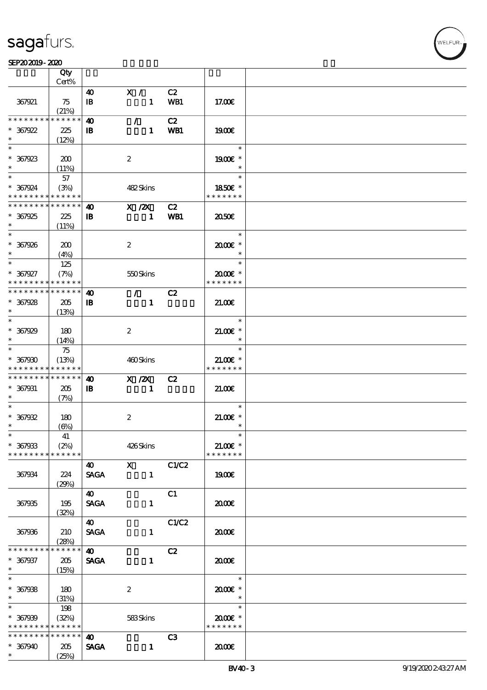|                                            | Qty                        |                       |                  |               |       |                     |  |
|--------------------------------------------|----------------------------|-----------------------|------------------|---------------|-------|---------------------|--|
|                                            | Cert%                      |                       |                  |               |       |                     |  |
|                                            |                            | 40                    | $X / \sqrt{2}$   |               | C2    |                     |  |
| 367921                                     | 75                         | $\mathbf{B}$          |                  | $\mathbf{1}$  | WB1   | 17.00E              |  |
|                                            | (21%)                      |                       |                  |               |       |                     |  |
| * * * * * * * *                            | * * * * * *                | $\boldsymbol{\omega}$ |                  | $\mathcal{L}$ | C2    |                     |  |
| $*367922$                                  | 225                        | $\mathbf{B}$          |                  | $\mathbf{1}$  | WB1   | 1900E               |  |
| $\ast$                                     | (12%)                      |                       |                  |               |       |                     |  |
| $\ast$                                     |                            |                       |                  |               |       | $\ast$              |  |
|                                            |                            |                       |                  |               |       |                     |  |
| $* 367923$                                 | 200                        |                       | $\boldsymbol{z}$ |               |       | 1900€ *             |  |
| $*$                                        | (11%)                      |                       |                  |               |       | $\ast$              |  |
| $\ast$                                     | 57                         |                       |                  |               |       | $\ast$              |  |
| $* 367924$                                 | (3%)                       |                       |                  | 482Skins      |       | 1850E *             |  |
| * * * * * * * * <mark>* * * * * *</mark>   |                            |                       |                  |               |       | * * * * * * *       |  |
| * * * * * * * *                            | $\ast\ast\ast\ast\ast\ast$ | 40                    |                  | $X$ / $ZX$    | C2    |                     |  |
|                                            |                            |                       |                  |               |       |                     |  |
| $* 367925$                                 | 225                        | $\mathbf{B}$          |                  | $\mathbf{1}$  | WB1   | 2050                |  |
|                                            | (11%)                      |                       |                  |               |       |                     |  |
|                                            |                            |                       |                  |               |       | $\ast$              |  |
| $* 367926$                                 | 200                        |                       | $\boldsymbol{z}$ |               |       | 2000E*              |  |
| $*$                                        | (4%)                       |                       |                  |               |       | $\ast$              |  |
| $*$                                        | 125                        |                       |                  |               |       | $\ast$              |  |
| $* 367927$                                 | (7%)                       |                       |                  | 550Skins      |       | $2000$ $\epsilon$ * |  |
| * * * * * * * * * * * * * *                |                            |                       |                  |               |       | * * * * * * *       |  |
| * * * * * * * * *                          | $* * * * * * *$            |                       |                  |               |       |                     |  |
|                                            |                            | 40                    |                  | $\mathcal{F}$ | C2    |                     |  |
| $* 367928$                                 | 205                        | $\mathbf{B}$          |                  | $\mathbf{1}$  |       | 21.00               |  |
| $*$ and $*$                                | (13%)                      |                       |                  |               |       |                     |  |
| $\ast$                                     |                            |                       |                  |               |       | $\ast$              |  |
| $* 367929$                                 | 180                        |                       | $\boldsymbol{2}$ |               |       | $21.005*$           |  |
| $\ast$                                     | (14%)                      |                       |                  |               |       | $\ast$              |  |
| $\ast$                                     | 75                         |                       |                  |               |       | $\ast$              |  |
|                                            |                            |                       |                  |               |       |                     |  |
| $* 367900$                                 | (13%)                      |                       |                  | 460Skins      |       | $21.00E$ *          |  |
| * * * * * * * *                            | * * * * * *                |                       |                  |               |       | * * * * * * *       |  |
| * * * * * * * * <mark>* * * * * * *</mark> |                            | 40                    |                  | X / ZX        | C2    |                     |  |
| $* 367931$                                 | 205                        | $\mathbf{B}$          |                  | $\mathbf{1}$  |       | 21.00               |  |
| $\ast$                                     | (7%)                       |                       |                  |               |       |                     |  |
| $\ast$                                     |                            |                       |                  |               |       | $\ast$              |  |
| $* 367932$                                 | 180                        |                       | $\boldsymbol{z}$ |               |       | $21.005*$           |  |
| $\ast$                                     | $(\Theta)$                 |                       |                  |               |       | $\ast$              |  |
| $\ast$                                     |                            |                       |                  |               |       |                     |  |
|                                            | $41\,$                     |                       |                  |               |       |                     |  |
| $* 367933$                                 | (2%)                       |                       |                  | 426Skins      |       | $21.00E$ *          |  |
| * * * * * * * *                            | * * * * * *                |                       |                  |               |       | * * * * * * *       |  |
|                                            |                            | 40                    | $\mathbf{X}$     |               | C1/C2 |                     |  |
| 367934                                     | 224                        | <b>SAGA</b>           |                  | $\mathbf{1}$  |       | 1900E               |  |
|                                            | (29%)                      |                       |                  |               |       |                     |  |
|                                            |                            | $\boldsymbol{\omega}$ |                  |               | C1    |                     |  |
| 367935                                     | 195                        | <b>SAGA</b>           |                  | $\mathbf{1}$  |       | 2000                |  |
|                                            |                            |                       |                  |               |       |                     |  |
|                                            | (32%)                      |                       |                  |               |       |                     |  |
|                                            |                            | 40                    |                  |               | C1/C2 |                     |  |
| 367936                                     | 210                        | <b>SAGA</b>           |                  | $\mathbf{1}$  |       | 2000                |  |
|                                            | (28%)                      |                       |                  |               |       |                     |  |
| * * * * * * * *                            | * * * * * *                | $\boldsymbol{\omega}$ |                  |               | C2    |                     |  |
| $* 367937$                                 | 205                        | <b>SAGA</b>           |                  | $\mathbf{1}$  |       | æœ                  |  |
| $\ast$                                     | (15%)                      |                       |                  |               |       |                     |  |
| $\overline{\ast}$                          |                            |                       |                  |               |       | $\ast$              |  |
|                                            |                            |                       |                  |               |       |                     |  |
| $* 367938$                                 | 180                        |                       | $\boldsymbol{z}$ |               |       | $2000$ $*$          |  |
| $\ast$                                     | (31%)                      |                       |                  |               |       | $\ast$              |  |
| $\ast$                                     | 198                        |                       |                  |               |       | $\ast$              |  |
| $* 367939$                                 | (32%)                      |                       |                  | 583Skins      |       | 2000€*              |  |
| * * * * * * * *                            | * * * * * *                |                       |                  |               |       | * * * * * * *       |  |
| * * * * * * * *                            | $* * * * * * *$            | 40                    |                  |               | C3    |                     |  |
| $* 367940$                                 | 205                        | <b>SAGA</b>           |                  | $\mathbf{1}$  |       | 2000                |  |
| $*$                                        | (25%)                      |                       |                  |               |       |                     |  |
|                                            |                            |                       |                  |               |       |                     |  |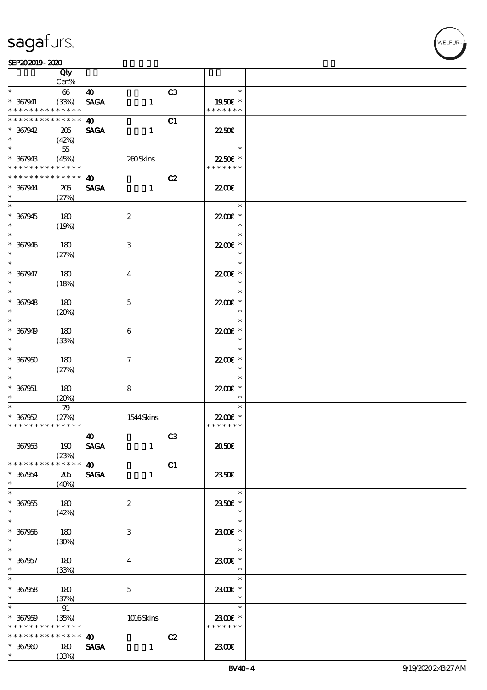#### SEP202019-2020

|                                           | Qty<br>Cert%         |                       |                  |                |                             |  |
|-------------------------------------------|----------------------|-----------------------|------------------|----------------|-----------------------------|--|
| $\ast$                                    |                      |                       |                  |                | $\ast$                      |  |
|                                           | $66\,$               | $\boldsymbol{\omega}$ |                  | C <sub>3</sub> |                             |  |
| $* 367941$<br>* * * * * * * *             | (33%)<br>* * * * * * | <b>SAGA</b>           | $\mathbf{1}$     |                | 1950E *<br>* * * * * * *    |  |
| * * * * * * * *                           | * * * * * *          |                       |                  |                |                             |  |
|                                           |                      | <b>40</b>             |                  | C1             |                             |  |
| $* 367942$<br>$*$ $*$                     | 205                  | <b>SAGA</b>           | $\mathbf{1}$     |                | 22.50E                      |  |
|                                           | (42%)                |                       |                  |                | $\ast$                      |  |
|                                           | $55\,$               |                       |                  |                |                             |  |
| $* 367943$                                | (45%)<br>* * * * * * |                       | 260Skins         |                | 22.50€ *<br>* * * * * * *   |  |
| * * * * * * * *<br>* * * * * * * *        |                      |                       |                  |                |                             |  |
|                                           | $* * * * * * *$      | 40                    |                  | C2             |                             |  |
| $* 367944$<br>$\ast$                      | 205                  | <b>SAGA</b>           | $\mathbf{1}$     |                | 2200                        |  |
|                                           | (27%)                |                       |                  |                | $\ast$                      |  |
|                                           |                      |                       |                  |                |                             |  |
| $* 367945$<br>$\ast$                      | 180                  |                       | $\boldsymbol{2}$ |                | 22.00€ *<br>$\ast$          |  |
|                                           | (19%)                |                       |                  |                | $\ast$                      |  |
|                                           |                      |                       |                  |                |                             |  |
| $* 367946$<br>$\ast$                      | 180                  |                       | 3                |                | 22.00 *<br>$\ast$           |  |
| $\overline{\ast}$                         | (27%)                |                       |                  |                | $\ast$                      |  |
|                                           |                      |                       |                  |                |                             |  |
| $* 367947$<br>$\ast$                      | 180                  |                       | 4                |                | 2200E *<br>$\ast$           |  |
| $\ast$                                    | (18%)                |                       |                  |                | $\ast$                      |  |
|                                           |                      |                       |                  |                |                             |  |
| $* 367948$<br>$\ast$                      | 180                  |                       | $\mathbf{5}$     |                | 22.00€ *<br>$\ast$          |  |
|                                           | (20%)                |                       |                  |                | $\ast$                      |  |
|                                           |                      |                       |                  |                |                             |  |
| $* 367949$<br>$\ast$                      | 180                  |                       | 6                |                | 22.00 *<br>$\ast$           |  |
| $*$                                       | (33%)                |                       |                  |                | $\ast$                      |  |
|                                           |                      |                       |                  |                |                             |  |
| $* 367950$                                | 180                  |                       | $\tau$           |                | 22.00€ *<br>$\ast$          |  |
| $\ast$<br>$\ast$                          | (27%)                |                       |                  |                | $\ast$                      |  |
|                                           |                      |                       |                  |                |                             |  |
| $* 367951$<br>$\ast$                      | 180                  |                       | 8                |                | 22.00€ *<br>$\ast$          |  |
| $*$                                       | (20%)                |                       |                  |                | $\ast$                      |  |
|                                           | 79                   |                       |                  |                |                             |  |
| $* 367952$<br>* * * * * * * * * * * * * * | (27%)                |                       | 1544 Skins       |                | 22.00€ *<br>* * * * * * *   |  |
|                                           |                      |                       |                  |                |                             |  |
|                                           |                      | $\boldsymbol{40}$     |                  | C3             |                             |  |
| 367963                                    | 190                  | <b>SAGA</b>           | $\mathbf{1}$     |                | 2050                        |  |
| * * * * * * * *                           | (23%)<br>* * * * * * | $\boldsymbol{40}$     |                  | C1             |                             |  |
|                                           |                      |                       |                  |                |                             |  |
| $* 367954$<br>$\ast$                      | 205                  | <b>SAGA</b>           | $\mathbf{1}$     |                | 2350E                       |  |
|                                           | (40%)                |                       |                  |                | $\ast$                      |  |
| $* 367955$                                | 180                  |                       | $\boldsymbol{2}$ |                | 2350€ *                     |  |
| $\ast$                                    | (42%)                |                       |                  |                | $\ast$                      |  |
| $\overline{\phantom{0}}$                  |                      |                       |                  |                | $\ast$                      |  |
| $* 367956$                                | 180                  |                       | 3                |                | 2300E *                     |  |
| $\ast$                                    | (30%)                |                       |                  |                | $\ast$                      |  |
| $\ast$                                    |                      |                       |                  |                | $\ast$                      |  |
| $* 367957$                                | 180                  |                       | $\bf{4}$         |                | 2300€ *                     |  |
| $\ast$                                    |                      |                       |                  |                | $\rightarrow$ $\rightarrow$ |  |
| $\overline{\ast}$                         | (33%)                |                       |                  |                | $\ast$                      |  |
| $* 367958$                                | 180                  |                       | $\mathbf{5}$     |                | 2300E *                     |  |
| $\ast$                                    | (37%)                |                       |                  |                | $\overline{\phantom{a}}$    |  |
| $\overline{\phantom{0}}$                  | 91                   |                       |                  |                | $\ast$                      |  |
| $* 367959$                                | (35%)                |                       | 1016Skins        |                | 2300€ *                     |  |
| * * * * * * * *                           | * * * * * *          |                       |                  |                | * * * * * * *               |  |
| * * * * * * * *                           | $* * * * * * *$      | 40                    |                  | C2             |                             |  |
| $* 367900$                                | 180                  | <b>SAGA</b>           | $\mathbf{1}$     |                | 2300E                       |  |
| $\ast$                                    | (33%)                |                       |                  |                |                             |  |
|                                           |                      |                       |                  |                |                             |  |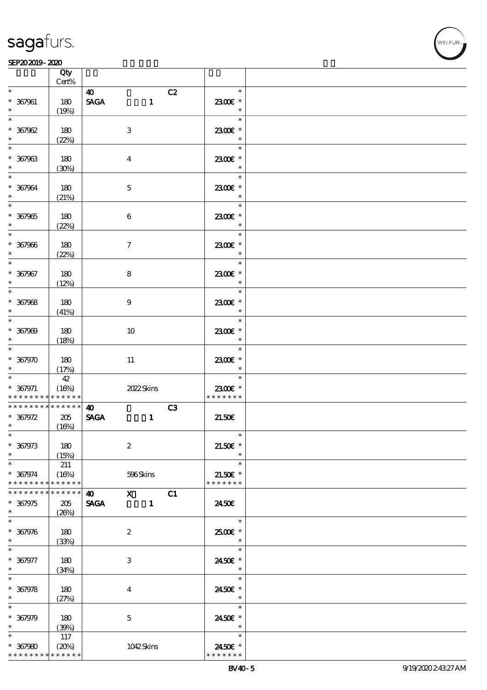

#### SEP202019-2020  $\overline{\mathbf{Q}}$

|                                                  | Qty<br>Cert% |                                                      |                         |  |
|--------------------------------------------------|--------------|------------------------------------------------------|-------------------------|--|
| $\ast$                                           |              |                                                      | $\ast$                  |  |
| $* 367961$<br>$\ast$                             | 180<br>(19%) | 40<br>$\operatorname{\mathsf{SAGA}}$<br>$\mathbf{1}$ | C2<br>2300€ *<br>$\ast$ |  |
| $\overline{\ast}$                                |              |                                                      | $\ast$                  |  |
| $* 367962$<br>$\ast$                             | 180<br>(22%) | $\ensuremath{\mathbf{3}}$                            | 2300€ *<br>$\ast$       |  |
| $\ast$                                           |              |                                                      | $\ast$                  |  |
| $* 367963$<br>$\ast$                             | 180<br>(30%) | $\overline{4}$                                       | 2300€ *<br>$\ast$       |  |
| $\overline{\ast}$                                |              |                                                      | $\ast$                  |  |
| $* 367964$<br>$\ast$                             | 180<br>(21%) | $\mathbf{5}$                                         | 2300€ *<br>$\ast$       |  |
| $\overline{\phantom{0}}$                         |              |                                                      | $\ast$                  |  |
| $* 367905$<br>$\ast$                             | 180<br>(22%) | $\boldsymbol{6}$                                     | 2300€ *<br>$\ast$       |  |
| $\overline{\ast}$                                |              |                                                      | $\ast$                  |  |
| $* 367906$<br>$\ast$                             | 180<br>(22%) | $\tau$                                               | 2300E *<br>$\ast$       |  |
| $\ast$                                           |              |                                                      | $\ast$                  |  |
| $* 367967$<br>$\ast$                             | 180<br>(12%) | 8                                                    | 2300€ *<br>$\ast$       |  |
| $\overline{\phantom{a}}$                         |              |                                                      | $\ast$                  |  |
| $* 367968$<br>$\ast$                             | 180<br>(41%) | $9\phantom{.0}$                                      | 2300€ *<br>$\ast$       |  |
| $\overline{\ast}$                                |              |                                                      | $\ast$                  |  |
| $* 367909$<br>$\ast$                             | 180<br>(18%) | 10                                                   | 2300€ *<br>$\ast$       |  |
| $\ast$                                           |              |                                                      | $\ast$                  |  |
| $* 367970$<br>$\ast$<br>$\overline{\phantom{0}}$ | 180<br>(17%) | $11\,$                                               | 2300€ *                 |  |
|                                                  | 42           |                                                      | $\ast$                  |  |
| $* 367971$                                       | (16%)        | 2022 Skins                                           | 2300€ *                 |  |
| * * * * * * * *                                  | * * * * * *  |                                                      | * * * * * * *           |  |
| * * * * * * * *                                  | $******$     | $\boldsymbol{\omega}$                                | C3                      |  |
| $* 367972$                                       | 205          | <b>SAGA</b><br>$\mathbf{1}$                          | 21.506                  |  |
| $*$                                              | (16%)        |                                                      |                         |  |
| $*$                                              |              |                                                      | $\ast$                  |  |
| $* 367973$<br>$\ast$                             | 180<br>(15%) | $\boldsymbol{2}$                                     | $21.50E$ *              |  |
| $\ast$                                           | 211          |                                                      | $\ast$                  |  |
| $* 367974$                                       | (16%)        | 596Skins                                             | $21.50E$ *              |  |
| * * * * * * * *                                  | * * * * * *  |                                                      | * * * * * * *           |  |
| * * * * * * *                                    | * * * * * *  | $X$ C1<br>$\boldsymbol{\omega}$                      |                         |  |
| $* 367975$                                       | 205          | <b>SAGA</b><br>$\blacksquare$                        | 2450E                   |  |
| $\ast$                                           | (20%)        |                                                      |                         |  |
| $\ast$                                           |              |                                                      | $\ast$                  |  |
| $* 367976$                                       | 180          | $\boldsymbol{2}$                                     | 2500€ *                 |  |
| $\ast$                                           | (33%)        |                                                      |                         |  |
|                                                  |              |                                                      | $\ast$                  |  |
| $* 367977$                                       | 180          | 3                                                    | 2450€ *                 |  |
| $\ast$                                           | (34%)        |                                                      |                         |  |
| $\ast$                                           |              |                                                      | $\ast$                  |  |
| $* 367978$                                       | 180          | 4                                                    | 2450€ *                 |  |
| $\ast$                                           | (27%)        |                                                      | $\ast$                  |  |
| $\ast$                                           |              |                                                      | $\ast$                  |  |
|                                                  |              |                                                      |                         |  |
| $* 367979$<br>$\ast$                             | 180          | $\mathbf 5$                                          | 2450€ *<br>$\ast$       |  |
| $\ast$                                           | (30%)        |                                                      | $\ast$                  |  |
|                                                  | 117          |                                                      |                         |  |
| $* 367980$<br>* * * * * * * *                    | (20%)        | 1042Skins                                            | 2450€ *                 |  |
|                                                  | * * * * * *  |                                                      | * * * * * * *           |  |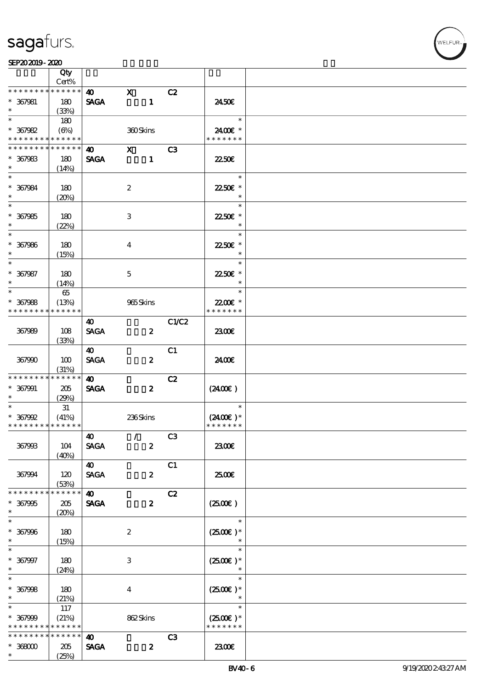|                             | Qty<br>Cert% |                                      |                                                                                                                                                                                                                                                                                                                                                                                                                                                               |                |                      |  |
|-----------------------------|--------------|--------------------------------------|---------------------------------------------------------------------------------------------------------------------------------------------------------------------------------------------------------------------------------------------------------------------------------------------------------------------------------------------------------------------------------------------------------------------------------------------------------------|----------------|----------------------|--|
| * * * * * * * *             | * * * * * *  |                                      | $\mathbf{x}$                                                                                                                                                                                                                                                                                                                                                                                                                                                  |                |                      |  |
| $* 367981$<br>$\ast$        | 180          | $\boldsymbol{\omega}$<br><b>SAGA</b> | $\blacksquare$                                                                                                                                                                                                                                                                                                                                                                                                                                                | C2             | 2450E                |  |
| $\ast$                      | (33%)<br>180 |                                      |                                                                                                                                                                                                                                                                                                                                                                                                                                                               |                | $\ast$               |  |
| $* 367982$                  | $(\Theta\%)$ |                                      |                                                                                                                                                                                                                                                                                                                                                                                                                                                               |                | 2400€ *              |  |
| * * * * * * * *             | * * * * * *  |                                      | 360Skins                                                                                                                                                                                                                                                                                                                                                                                                                                                      |                | * * * * * * *        |  |
|                             | * * * * * *  |                                      |                                                                                                                                                                                                                                                                                                                                                                                                                                                               |                |                      |  |
| * * * * * * *               |              | $\boldsymbol{\omega}$                | $\boldsymbol{\mathrm{X}}$ and $\boldsymbol{\mathrm{X}}$ and $\boldsymbol{\mathrm{X}}$ and $\boldsymbol{\mathrm{X}}$ and $\boldsymbol{\mathrm{X}}$ and $\boldsymbol{\mathrm{X}}$ and $\boldsymbol{\mathrm{X}}$ and $\boldsymbol{\mathrm{X}}$ and $\boldsymbol{\mathrm{X}}$ and $\boldsymbol{\mathrm{X}}$ and $\boldsymbol{\mathrm{X}}$ and $\boldsymbol{\mathrm{X}}$ and $\boldsymbol{\mathrm{X}}$ and $\boldsymbol{\mathrm{X}}$ and $\boldsymbol{\mathrm{X}}$ | C <sub>3</sub> |                      |  |
| $* 367983$                  | 180          | <b>SAGA</b>                          | $\blacksquare$                                                                                                                                                                                                                                                                                                                                                                                                                                                |                | 2250E                |  |
| $\ast$                      | (14%)        |                                      |                                                                                                                                                                                                                                                                                                                                                                                                                                                               |                |                      |  |
| $\ast$                      |              |                                      |                                                                                                                                                                                                                                                                                                                                                                                                                                                               |                | $\ast$               |  |
| $* 367984$                  | 180          |                                      | $\boldsymbol{2}$                                                                                                                                                                                                                                                                                                                                                                                                                                              |                | 2250€ *              |  |
| $\ast$                      | (20%)        |                                      |                                                                                                                                                                                                                                                                                                                                                                                                                                                               |                |                      |  |
| $\overline{\phantom{1}}$    |              |                                      |                                                                                                                                                                                                                                                                                                                                                                                                                                                               |                | $\ast$               |  |
| $* 367985$                  | 180          |                                      | 3                                                                                                                                                                                                                                                                                                                                                                                                                                                             |                | 2250E *              |  |
| $\ast$                      | (22%)        |                                      |                                                                                                                                                                                                                                                                                                                                                                                                                                                               |                | $\ast$               |  |
| $\overline{\ast}$           |              |                                      |                                                                                                                                                                                                                                                                                                                                                                                                                                                               |                | $\ast$               |  |
| $* 367986$                  | 180          |                                      | $\bf{4}$                                                                                                                                                                                                                                                                                                                                                                                                                                                      |                | 2250E *              |  |
| $\ast$                      | (15%)        |                                      |                                                                                                                                                                                                                                                                                                                                                                                                                                                               |                | $\ast$               |  |
| $\ast$                      |              |                                      |                                                                                                                                                                                                                                                                                                                                                                                                                                                               |                | $\ast$               |  |
| $* 367987$                  | 180          |                                      | $\mathbf{5}$                                                                                                                                                                                                                                                                                                                                                                                                                                                  |                | 22.50€ *             |  |
| $\ast$                      | (14%)        |                                      |                                                                                                                                                                                                                                                                                                                                                                                                                                                               |                | $\ast$               |  |
| $\ast$                      | $65\,$       |                                      |                                                                                                                                                                                                                                                                                                                                                                                                                                                               |                | $\ast$               |  |
| $* 367988$                  | (13%)        |                                      | 965Skins                                                                                                                                                                                                                                                                                                                                                                                                                                                      |                | 22.00E *             |  |
| * * * * * * * *             | * * * * * *  |                                      |                                                                                                                                                                                                                                                                                                                                                                                                                                                               |                | * * * * * * *        |  |
|                             |              |                                      |                                                                                                                                                                                                                                                                                                                                                                                                                                                               | C1/C2          |                      |  |
|                             |              | 40                                   |                                                                                                                                                                                                                                                                                                                                                                                                                                                               |                |                      |  |
| 367989                      | 108          | <b>SAGA</b>                          | $\boldsymbol{z}$                                                                                                                                                                                                                                                                                                                                                                                                                                              |                | 2300E                |  |
|                             | (33%)        |                                      |                                                                                                                                                                                                                                                                                                                                                                                                                                                               |                |                      |  |
|                             |              | $\boldsymbol{\omega}$                |                                                                                                                                                                                                                                                                                                                                                                                                                                                               | C1             |                      |  |
| 367990                      | 100          | <b>SAGA</b>                          | $\boldsymbol{z}$                                                                                                                                                                                                                                                                                                                                                                                                                                              |                | 24.00E               |  |
|                             | (31%)        |                                      |                                                                                                                                                                                                                                                                                                                                                                                                                                                               |                |                      |  |
| * * * * * * * *             | * * * * * *  | 40                                   |                                                                                                                                                                                                                                                                                                                                                                                                                                                               | C2             |                      |  |
| $* 367991$                  | 205          | <b>SAGA</b>                          | $\boldsymbol{z}$                                                                                                                                                                                                                                                                                                                                                                                                                                              |                | (240E)               |  |
| $\ast$                      | (29%)        |                                      |                                                                                                                                                                                                                                                                                                                                                                                                                                                               |                |                      |  |
| $\ast$                      | 31           |                                      |                                                                                                                                                                                                                                                                                                                                                                                                                                                               |                | $\ast$               |  |
| $* 367992$                  | (41%)        |                                      | 236Skins                                                                                                                                                                                                                                                                                                                                                                                                                                                      |                | $(2400)$ *           |  |
| * * * * * * * * * * * * * * |              |                                      |                                                                                                                                                                                                                                                                                                                                                                                                                                                               |                | * * * * * * *        |  |
|                             |              | 40                                   | $\sqrt{C3}$                                                                                                                                                                                                                                                                                                                                                                                                                                                   |                |                      |  |
| 367993                      | 104          | <b>SAGA</b>                          | $\boldsymbol{z}$                                                                                                                                                                                                                                                                                                                                                                                                                                              |                | 2300                 |  |
|                             | (40%)        |                                      |                                                                                                                                                                                                                                                                                                                                                                                                                                                               |                |                      |  |
|                             |              | <b>40</b>                            |                                                                                                                                                                                                                                                                                                                                                                                                                                                               | C1             |                      |  |
| 367994                      | 120          | <b>SAGA</b>                          | $\boldsymbol{z}$                                                                                                                                                                                                                                                                                                                                                                                                                                              |                | 2500€                |  |
|                             | (53%)        |                                      |                                                                                                                                                                                                                                                                                                                                                                                                                                                               |                |                      |  |
| * * * * * * *               | * * * * * *  | $\boldsymbol{\omega}$                |                                                                                                                                                                                                                                                                                                                                                                                                                                                               | C2             |                      |  |
| $* 367995$                  | 205          | <b>SAGA</b>                          | $\boldsymbol{z}$                                                                                                                                                                                                                                                                                                                                                                                                                                              |                | $(2500\varepsilon)$  |  |
| $\ast$                      | (20%)        |                                      |                                                                                                                                                                                                                                                                                                                                                                                                                                                               |                |                      |  |
| $\ast$                      |              |                                      |                                                                                                                                                                                                                                                                                                                                                                                                                                                               |                | $\ast$               |  |
| $* 367996$                  | 180          |                                      | $\boldsymbol{z}$                                                                                                                                                                                                                                                                                                                                                                                                                                              |                | $(2500\text{E})*$    |  |
| $\ast$                      | (15%)        |                                      |                                                                                                                                                                                                                                                                                                                                                                                                                                                               |                |                      |  |
| $\ast$                      |              |                                      |                                                                                                                                                                                                                                                                                                                                                                                                                                                               |                | $\ast$               |  |
| $* 367997$                  | 180          |                                      | 3                                                                                                                                                                                                                                                                                                                                                                                                                                                             |                | $(2500)$ *           |  |
| $\ast$                      |              |                                      |                                                                                                                                                                                                                                                                                                                                                                                                                                                               |                |                      |  |
| $\ast$                      | (24%)        |                                      |                                                                                                                                                                                                                                                                                                                                                                                                                                                               |                | $\ast$               |  |
|                             |              |                                      |                                                                                                                                                                                                                                                                                                                                                                                                                                                               |                |                      |  |
| $* 367998$<br>$\ast$        | 180          |                                      | $\boldsymbol{4}$                                                                                                                                                                                                                                                                                                                                                                                                                                              |                | $(2500)$ *<br>$\ast$ |  |
| $\ast$                      | (21%)        |                                      |                                                                                                                                                                                                                                                                                                                                                                                                                                                               |                | $\ast$               |  |
|                             | 117          |                                      |                                                                                                                                                                                                                                                                                                                                                                                                                                                               |                |                      |  |
| $* 367999$                  | (21%)        |                                      | 862Skins                                                                                                                                                                                                                                                                                                                                                                                                                                                      |                | $(2500)$ *           |  |
| * * * * * * * *             | * * * * * *  |                                      |                                                                                                                                                                                                                                                                                                                                                                                                                                                               |                | * * * * * * *        |  |
| * * * * * * *               | * * * * * *  | $\boldsymbol{\omega}$                |                                                                                                                                                                                                                                                                                                                                                                                                                                                               | C3             |                      |  |
| $*36000$                    | 205          | <b>SAGA</b>                          | $\boldsymbol{z}$                                                                                                                                                                                                                                                                                                                                                                                                                                              |                | 2300E                |  |
| $\ast$                      | (25%)        |                                      |                                                                                                                                                                                                                                                                                                                                                                                                                                                               |                |                      |  |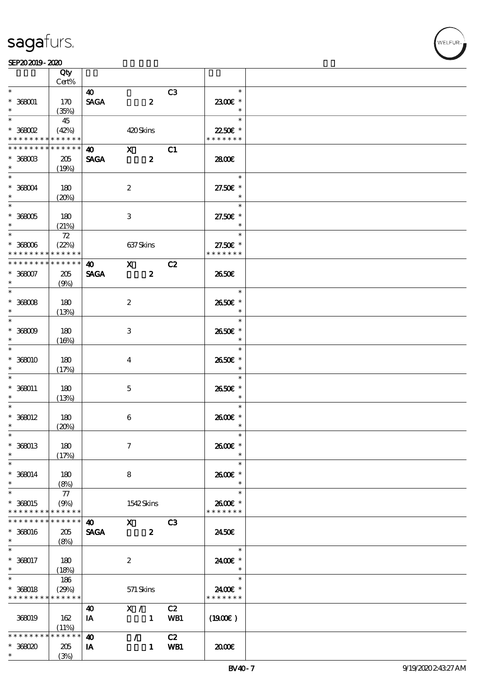|                      | Qty<br>Cert% |                                      |                           |                |                   |  |
|----------------------|--------------|--------------------------------------|---------------------------|----------------|-------------------|--|
| $\ast$               |              |                                      |                           |                | $\ast$            |  |
| $* 368001$<br>$\ast$ | 170<br>(35%) | $\boldsymbol{\omega}$<br><b>SAGA</b> | $\boldsymbol{z}$          | C3             | 2300E *<br>$\ast$ |  |
| $\ast$               | 45           |                                      |                           |                | $\ast$            |  |
| $*36802$             | (42%)        |                                      | 420Skins                  |                | 22.50€ *          |  |
|                      | * * * * * *  |                                      |                           |                | * * * * * * *     |  |
| * * * * * * * *      |              |                                      |                           |                |                   |  |
| * * * * * * * *      | * * * * * *  | $\boldsymbol{40}$                    | $\mathbf{x}$              | C1             |                   |  |
| $*$ 368003           | 205          | <b>SAGA</b>                          | $\boldsymbol{z}$          |                | 2800€             |  |
| $\ast$               | (19%)        |                                      |                           |                |                   |  |
| $\ast$               |              |                                      |                           |                | $\ast$            |  |
|                      |              |                                      |                           |                |                   |  |
| $* 36004$            | 180          |                                      | $\boldsymbol{2}$          |                | 27.50€ *          |  |
|                      | (20%)        |                                      |                           |                | $\ast$            |  |
| $\overline{\ast}$    |              |                                      |                           |                | $\ast$            |  |
| $*$ 368005           | 180          |                                      | 3                         |                | 27.50€ *          |  |
|                      | (21%)        |                                      |                           |                | $\ast$            |  |
|                      |              |                                      |                           |                | $\ast$            |  |
|                      | $72\,$       |                                      |                           |                |                   |  |
| $*368006$            | (22%)        |                                      | 637Skins                  |                | 27.50€ *          |  |
| * * * * * * * *      | * * * * * *  |                                      |                           |                | * * * * * * *     |  |
| * * * * * * * *      | * * * * * *  | $\boldsymbol{\omega}$                | $\mathbf{X}$              | C2             |                   |  |
| $*368007$            | 205          | <b>SAGA</b>                          | $\boldsymbol{z}$          |                | 2650E             |  |
| $\ast$               |              |                                      |                           |                |                   |  |
|                      | (9%)         |                                      |                           |                |                   |  |
|                      |              |                                      |                           |                | $\ast$            |  |
| $* 36008$            | 180          |                                      | $\boldsymbol{2}$          |                | 2650E *           |  |
| $\ast$               | (13%)        |                                      |                           |                | $\ast$            |  |
| $\ast$               |              |                                      |                           |                | $\ast$            |  |
| $* 36009$            | 180          |                                      | $\ensuremath{\mathsf{3}}$ |                | 2650€ *           |  |
| $\ast$               |              |                                      |                           |                | $\ast$            |  |
| $\ast$               | (16%)        |                                      |                           |                |                   |  |
|                      |              |                                      |                           |                | $\ast$            |  |
| $*36000$             | 180          |                                      | $\bf{4}$                  |                | 2650E *           |  |
| $\ast$               | (17%)        |                                      |                           |                | $\ast$            |  |
| $\ast$               |              |                                      |                           |                | $\ast$            |  |
| $* 368011$           | 180          |                                      | $\mathbf{5}$              |                | 2650€ *           |  |
| $\ast$               |              |                                      |                           |                | $\ast$            |  |
| $\ast$               | (13%)        |                                      |                           |                | $\ast$            |  |
|                      |              |                                      |                           |                |                   |  |
| $* 368012$           | 180          |                                      | $\boldsymbol{6}$          |                | 2600E *           |  |
| $\ast$               | (20%)        |                                      |                           |                | $\ast$            |  |
| $\ast$               |              |                                      |                           |                |                   |  |
| * 368013             | 180          |                                      | $\tau$                    |                | 2600€ *           |  |
| $\ast$               | (17%)        |                                      |                           |                |                   |  |
| $\ast$               |              |                                      |                           |                | $\ast$            |  |
|                      |              |                                      |                           |                |                   |  |
| $* 368014$           | 180          |                                      | 8                         |                | 2600E *           |  |
| $\ast$               | (8%)         |                                      |                           |                | $\ast$            |  |
| $\ast$               | 77           |                                      |                           |                | $\ast$            |  |
| * 368015             | (9%)         |                                      | 1542Skins                 |                | 2600E *           |  |
| * * * * * * * *      | * * * * * *  |                                      |                           |                | * * * * * * *     |  |
| * * * * * * *        | * * * * * *  | 40                                   | $\mathbf{X}$              | C <sub>3</sub> |                   |  |
|                      |              |                                      |                           |                |                   |  |
| $* 368016$           | 205          | <b>SAGA</b>                          | $\boldsymbol{z}$          |                | 2450E             |  |
| $\ast$               | (8%)         |                                      |                           |                |                   |  |
| $\ast$               |              |                                      |                           |                | $\ast$            |  |
| $* 368017$           | 180          |                                      | $\boldsymbol{2}$          |                | 2400 £*           |  |
| $\ast$               | (18%)        |                                      |                           |                | $\ast$            |  |
| $\ast$               | 186          |                                      |                           |                | $\ast$            |  |
|                      |              |                                      |                           |                |                   |  |
| $* 368018$           | (29%)        |                                      | 571 Skins                 |                | 2400€ *           |  |
| * * * * * * * *      | * * * * * *  |                                      |                           |                | * * * * * * *     |  |
|                      |              | 40                                   | X /                       | C2             |                   |  |
| 368019               | 162          | IA                                   | $\mathbf{1}$              | WB1            | $(1900\epsilon)$  |  |
|                      | (11%)        |                                      |                           |                |                   |  |
| * * * * * * * *      | * * * * * *  | $\boldsymbol{\omega}$                | $\mathcal{L}$             | C2             |                   |  |
| $*36800$             | 205          | IA                                   | $\mathbf{1}$              | WB1            | 2000              |  |
| $\ast$               |              |                                      |                           |                |                   |  |
|                      | (3%)         |                                      |                           |                |                   |  |

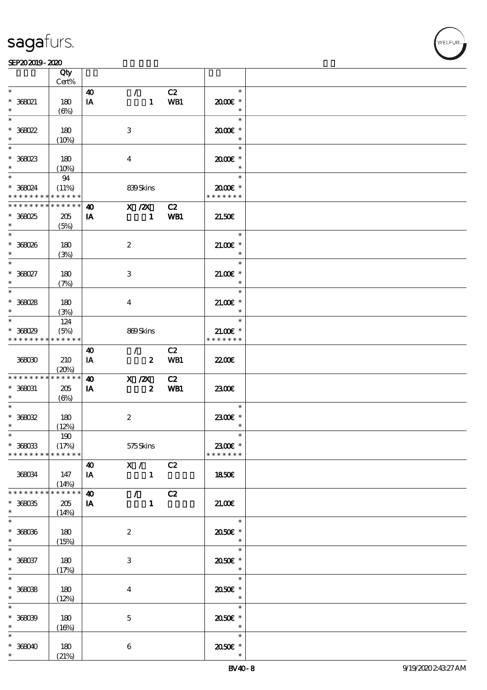#### SEP202019-2020

|                   | Qty<br>Cert%    |                        |                           |     |                        |  |
|-------------------|-----------------|------------------------|---------------------------|-----|------------------------|--|
|                   |                 |                        |                           |     |                        |  |
| $\ast$            |                 | 40                     | $\mathcal{L}$             | C2  | $\ast$                 |  |
| * 368021          | 180             | IA                     | $\mathbf{1}$              | WB1 | $2000$ $*$             |  |
| $\ast$            | $(\Theta)$      |                        |                           |     | $\ast$                 |  |
|                   |                 |                        |                           |     |                        |  |
| $\ast$            |                 |                        |                           |     | $\ast$                 |  |
| $*368022$         | 180             |                        | $\ensuremath{\mathsf{3}}$ |     | 2000E*                 |  |
| $\ast$            | (10%)           |                        |                           |     | $\ast$                 |  |
|                   |                 |                        |                           |     |                        |  |
| $\ast$            |                 |                        |                           |     | $\ast$                 |  |
| $*368023$         | 180             |                        | $\boldsymbol{4}$          |     | 2000E*                 |  |
| $\ast$            |                 |                        |                           |     | $\ast$                 |  |
|                   | (10%)           |                        |                           |     |                        |  |
| $\ast$            | 94              |                        |                           |     | $\ast$                 |  |
| * 368024          | (11%)           |                        | 839Skins                  |     | $2000$ $\varepsilon$ * |  |
| * * * * * * * *   | * * * * * *     |                        |                           |     | * * * * * * *          |  |
| * * * * * * * *   | $* * * * * * *$ |                        |                           |     |                        |  |
|                   |                 | 40                     | $X$ / $ZX$                | C2  |                        |  |
| $*368025$         | 205             | IA                     | $\mathbf{1}$              | WB1 | 21.50E                 |  |
|                   | (5%)            |                        |                           |     |                        |  |
| $\ast$            |                 |                        |                           |     | $\ast$                 |  |
|                   |                 |                        |                           |     |                        |  |
| $*368026$         | 180             |                        | $\boldsymbol{2}$          |     | $21.005*$              |  |
| $\ast$            | (3%)            |                        |                           |     | $\ast$                 |  |
| $*$               |                 |                        |                           |     | $\ast$                 |  |
|                   |                 |                        |                           |     |                        |  |
| * 368027          | 180             |                        | 3                         |     | $21.00$ $*$            |  |
| $\ast$            | (7%)            |                        |                           |     | $\ast$                 |  |
| $\ast$            |                 |                        |                           |     | $\ast$                 |  |
|                   |                 |                        |                           |     |                        |  |
| $*368028$         | 180             |                        | $\bf{4}$                  |     | $21.00E$ *             |  |
| $\ast$            | (3%)            |                        |                           |     | $\ast$                 |  |
| $\ast$            | 124             |                        |                           |     | $\ast$                 |  |
|                   |                 |                        |                           |     |                        |  |
| $*36029$          | (5%)            |                        | 869Skins                  |     | $21.00E*$              |  |
| * * * * * * * *   | * * * * * *     |                        |                           |     | * * * * * * *          |  |
|                   |                 | $\boldsymbol{\omega}$  | $\mathcal{L}$             | C2  |                        |  |
| 368030            | 210             | IA                     | $\boldsymbol{z}$          | WB1 | 2200                   |  |
|                   |                 |                        |                           |     |                        |  |
|                   | (20%)           |                        |                           |     |                        |  |
| * * * * * * * *   | * * * * * *     | $\boldsymbol{\omega}$  | X / ZX                    | C2  |                        |  |
| $\,^*$ 368031     | 205             | IA                     | $\boldsymbol{z}$          | WB1 | 2300E                  |  |
|                   |                 |                        |                           |     |                        |  |
| $\ast$            | (6%)            |                        |                           |     |                        |  |
| $\ast$            |                 |                        |                           |     | $\ast$                 |  |
| $* 36002$         | 180             |                        | $\boldsymbol{2}$          |     | 2300E *                |  |
| $\ast$            |                 |                        |                           |     |                        |  |
|                   | (12%)           |                        |                           |     |                        |  |
| $\ast$            | 190             |                        |                           |     |                        |  |
| $* 36003$         | (17%)           |                        | 575Skins                  |     | 2300€ *                |  |
| * * * * * * * *   | * * * * * *     |                        |                           |     | * * * * * * *          |  |
|                   |                 |                        |                           |     |                        |  |
|                   |                 | 40                     | X /                       | C2  |                        |  |
| 368034            | 147             | IA                     | $\mathbf{1}$              |     | 1850E                  |  |
|                   | (14%)           |                        |                           |     |                        |  |
| * * * * * * * *   | * * * * * *     | $\boldsymbol{\Lambda}$ | $\mathcal{L}$             |     |                        |  |
|                   |                 |                        |                           | C2  |                        |  |
| $* 368035$        | 205             | IA                     | $\mathbf{1}$              |     | 21.00E                 |  |
| $\ast$            | (14%)           |                        |                           |     |                        |  |
| $\overline{\ast}$ |                 |                        |                           |     | $\ast$                 |  |
|                   |                 |                        |                           |     |                        |  |
| $* 36006$         | 180             |                        | $\boldsymbol{2}$          |     | 2050E *                |  |
| $*$               | (15%)           |                        |                           |     | $\ast$                 |  |
|                   |                 |                        |                           |     | $\ast$                 |  |
| $* 368037$        |                 |                        |                           |     |                        |  |
|                   | 180             |                        | 3                         |     | 2050E *                |  |
| $\ast$            | (17%)           |                        |                           |     | $\ast$                 |  |
| $\overline{\ast}$ |                 |                        |                           |     | $\ast$                 |  |
| $*36008$          | 180             |                        | $\bf{4}$                  |     | 2050E *                |  |
| $\ast$            |                 |                        |                           |     | $\ast$                 |  |
|                   | (12%)           |                        |                           |     |                        |  |
| $\overline{\ast}$ |                 |                        |                           |     | $\ast$                 |  |
| $* 368039$        | 180             |                        | $\mathbf{5}$              |     | 2050E *                |  |
| $\ast$            |                 |                        |                           |     | $\ast$                 |  |
|                   | (16%)           |                        |                           |     |                        |  |
| $\ast$            |                 |                        |                           |     | $\ast$                 |  |
| $*368040$         | 180             |                        | $\bf 6$                   |     | 2050E *                |  |
|                   |                 |                        |                           |     |                        |  |
| $\ast$            | (21%)           |                        |                           |     |                        |  |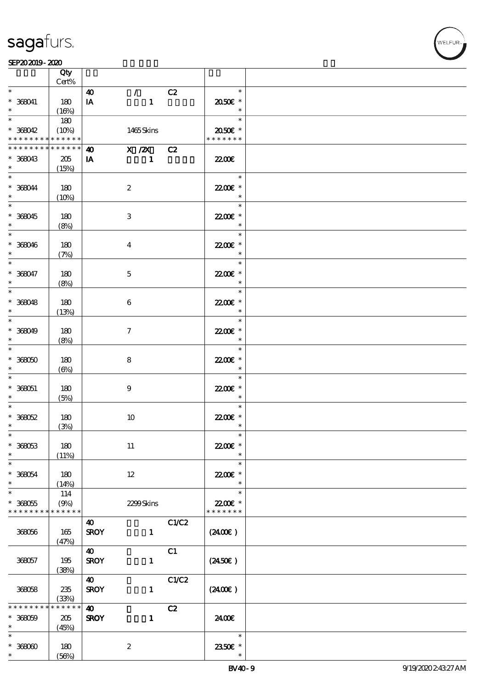|                                                          | Qty<br>$Cert\%$             |                                                      |       |                                     |  |
|----------------------------------------------------------|-----------------------------|------------------------------------------------------|-------|-------------------------------------|--|
| $\ast$                                                   |                             | $\mathcal{T}^{\mathcal{A}}$<br>$\boldsymbol{\omega}$ | C2    | $\ast$                              |  |
| $* 368041$<br>$\ast$                                     | 180<br>(16%)                | IA<br>$\mathbf{1}$                                   |       | 2050€ *<br>$\ast$                   |  |
| $\overline{\ast}$                                        | 180                         |                                                      |       | $\ast$                              |  |
| $* 368042$<br>* * * * * * * * <mark>* * * * * * *</mark> | (10%)                       | 1465Skins                                            |       | 2050E *<br>* * * * * * *            |  |
| * * * * * * * *                                          | * * * * * *                 | $X / ZX$ C <sub>2</sub><br>$\boldsymbol{\omega}$     |       |                                     |  |
| $* 368043$<br>$\ast$                                     | 205<br>(15%)                | IA<br>$\mathbf{1}$                                   |       | <b>2200</b> €                       |  |
| $\ast$<br>$* 368044$<br>$\ast$                           | 180<br>(10%)                | $\boldsymbol{2}$                                     |       | $\ast$<br>22.00€ *<br>$\ast$        |  |
| $\overline{\phantom{0}}$<br>$* 368045$<br>$\ast$         | 180<br>(8%)                 | $\ensuremath{\mathbf{3}}$                            |       | $\ast$<br>22.00€ *<br>$\ast$        |  |
| $\overline{\ast}$<br>$* 368046$<br>$\ast$                | 180<br>(7%)                 | $\boldsymbol{4}$                                     |       | $\ast$<br>22.00E *<br>$\ast$        |  |
| $\ast$<br>$* 368047$<br>$\ast$                           | 180<br>(8%)                 | $\mathbf 5$                                          |       | $\ast$<br>22.00 £*<br>$\ast$        |  |
| $\overline{\ast}$<br>$* 368048$<br>$\ast$                | 180<br>(13%)                | $\boldsymbol{6}$                                     |       | $\ast$<br>22.00€ *<br>$\ast$        |  |
| $\overline{\ast}$<br>$* 368049$<br>$\ast$                | 180<br>(8%)                 | $\tau$                                               |       | $\ast$<br>22.00€ *<br>$\ast$        |  |
| $\ast$<br>$* 368050$<br>$\ast$                           | 180<br>$(\Theta)$           | $\bf 8$                                              |       | $\ast$<br>22.00€ *<br>$\ast$        |  |
| $\ast$<br>$* 368051$<br>$\ast$                           | 180<br>(5%)                 | $\boldsymbol{9}$                                     |       | $\ast$<br>22.00€ *<br>$\ast$        |  |
| $\ast$<br>$* 368052$<br>$\ast$                           | 180<br>(3%)                 | $10$                                                 |       | $\ast$<br>22.00 £*<br>$\ast$        |  |
| $*$<br>$* 36053$<br>$\ast$                               | 180<br>(11%)                | $11\,$                                               |       | $\ast$<br>22.00€ *                  |  |
| $\ast$<br>$* 368054$<br>$\ast$                           | 180<br>(14%)                | $12\,$                                               |       | $\ast$<br>$2200$ £ *<br>$\ast$      |  |
| $\ast$<br>$* 368055$<br>* * * * * * * * * * * * * *      | 114<br>(9%)                 | 2299Skins                                            |       | $\ast$<br>22.00 £*<br>* * * * * * * |  |
| 368056                                                   | 165<br>(47%)                | 40<br><b>SROY</b><br>$\mathbf{1}$                    | C1/C2 | $(2400\varepsilon)$                 |  |
| 368057                                                   | 195<br>(38%)                | $\boldsymbol{\omega}$<br><b>SROY</b><br>$\mathbf{1}$ | C1    | $(2450\epsilon)$                    |  |
| 368058                                                   | 235<br>(33%)                | $\boldsymbol{\omega}$<br><b>SROY</b><br>$\mathbf{1}$ | C1/C2 | $(2400\varepsilon)$                 |  |
| * * * * * * *<br>$* 36059$<br>$\ast$                     | * * * * * *<br>205<br>(45%) | $\boldsymbol{\omega}$<br><b>SROY</b><br>$\mathbf{1}$ | C2    | 2400€                               |  |
| $\ast$<br>$* 36000$<br>$\ast$                            | 180<br>(56%)                | $\boldsymbol{2}$                                     |       | $\ast$<br>2350E *                   |  |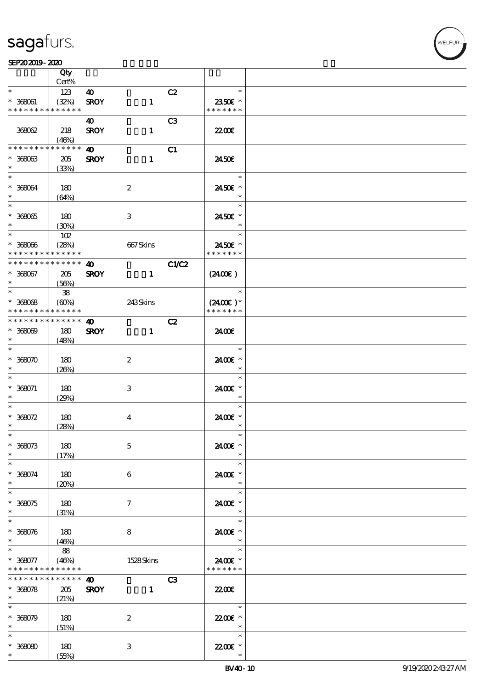$\top$ 

#### $SEP202019 - 2020$

|                          | Qty<br>Cert%         |                       |                  |                |                      |  |
|--------------------------|----------------------|-----------------------|------------------|----------------|----------------------|--|
| $\ast$                   |                      |                       |                  |                | $\ast$               |  |
|                          | 123                  | $\boldsymbol{\omega}$ |                  | C2             |                      |  |
| $* 36001$                | (32%)                | <b>SROY</b>           | $\mathbf{1}$     |                | 2350€ *              |  |
| * * * * * * * *          | * * * * * *          |                       |                  |                | * * * * * * *        |  |
|                          |                      | 40                    |                  | C <sub>3</sub> |                      |  |
| 368062                   | 218                  | <b>SROY</b>           | $\mathbf{1}$     |                | <b>2200</b> €        |  |
|                          | (46%)                |                       |                  |                |                      |  |
| * * * * * * * *          | * * * * * *          | $\boldsymbol{\omega}$ |                  | C1             |                      |  |
| $* 36003$                | 205                  | <b>SROY</b>           | $\mathbf{1}$     |                | 2450E                |  |
| $\ast$                   | (33%)                |                       |                  |                |                      |  |
| $\overline{\phantom{0}}$ |                      |                       |                  |                | $\ast$               |  |
|                          | 180                  |                       |                  |                | 2450€ *              |  |
| $* 368064$<br>$\ast$     |                      |                       | $\boldsymbol{2}$ |                | $\ast$               |  |
| $\overline{\phantom{0}}$ | (64%)                |                       |                  |                |                      |  |
|                          |                      |                       |                  |                | $\ast$               |  |
| $* 36805$                | 180                  |                       | 3                |                | 2450€ *              |  |
| $*$                      | (30%)                |                       |                  |                | $\ast$               |  |
| $\overline{\phantom{a}}$ | 102                  |                       |                  |                | $\ast$               |  |
| $* 36006$                | (28%)                |                       | 667Skins         |                | 2450E *              |  |
| * * * * * * * *          | * * * * * *          |                       |                  |                | * * * * * * *        |  |
| * * * * * * * *          | * * * * * *          | $\boldsymbol{\omega}$ |                  | <b>C1/C2</b>   |                      |  |
| $* 368067$               | 205                  | <b>SROY</b>           | $\mathbf{1}$     |                | (2400)               |  |
| $\ast$                   | (56%)                |                       |                  |                |                      |  |
| $\ast$                   | ${\bf 38}$           |                       |                  |                | $\ast$               |  |
| $* 36008$                |                      |                       |                  |                | $(2400E)*$           |  |
| * * * * * * * *          | (60%)<br>* * * * * * |                       | 243Skins         |                | * * * * * * *        |  |
| * * * * * * * *          | * * * * * *          |                       |                  |                |                      |  |
|                          |                      | $\boldsymbol{\omega}$ |                  | C2             |                      |  |
| $* 368009$               | 180                  | <b>SROY</b>           | $\mathbf{1}$     |                | 2400€                |  |
| $\ast$                   | (48%)                |                       |                  |                |                      |  |
| $\ast$                   |                      |                       |                  |                | $\ast$               |  |
| $* 368070$               | 180                  |                       | $\boldsymbol{2}$ |                | 2400€ *              |  |
| $\ast$                   | (20%)                |                       |                  |                | $\ast$               |  |
| $\ast$                   |                      |                       |                  |                | $\ast$               |  |
| $* 368071$               | 180                  |                       | 3                |                | 2400€ *              |  |
| $\ast$                   | (29%)                |                       |                  |                | $\ast$               |  |
| $\ast$                   |                      |                       |                  |                | $\ast$               |  |
| $* 368072$               | 180                  |                       | $\bf{4}$         |                | 24.00 £*             |  |
| $\ast$                   | (28%)                |                       |                  |                | $\ast$               |  |
| $\ast$                   |                      |                       |                  |                | $\ast$               |  |
| $* 368073$               | 180                  |                       | $\mathbf 5$      |                | 2400€ *              |  |
| $\ast$                   |                      |                       |                  |                | $\ast$               |  |
| $\ast$                   | (17%)                |                       |                  |                | $\ast$               |  |
|                          |                      |                       |                  |                |                      |  |
| $* 368074$               | 180                  |                       | 6                |                | 2400E *              |  |
| $\ast$                   | (20%)                |                       |                  |                | $\ast$               |  |
|                          |                      |                       |                  |                | $\ast$               |  |
| $* 368075$               | 180                  |                       | $\tau$           |                | 2400€ *              |  |
| $\ast$                   | (31%)                |                       |                  |                | $\ast$               |  |
| $\ast$                   |                      |                       |                  |                | $\ast$               |  |
| $* 368076$               | 180                  |                       | 8                |                | 2400€ *              |  |
| $*$                      | (46%)                |                       |                  |                | $\ast$               |  |
| $\ast$                   | 88                   |                       |                  |                | $\ast$               |  |
| $* 368077$               | (46%)                |                       | 1528Skins        |                | 2400€ *              |  |
| * * * * * * * *          | * * * * * *          |                       |                  |                | * * * * * * *        |  |
| * * * * * * * *          | * * * * * *          | $\boldsymbol{\omega}$ |                  | C3             |                      |  |
| $* 368078$               | 205                  | <b>SROY</b>           | $\mathbf{1}$     |                | 2200                 |  |
| $*$                      | (21%)                |                       |                  |                |                      |  |
| $\ast$                   |                      |                       |                  |                | $\ast$               |  |
| $* 368079$               | 180                  |                       | $\boldsymbol{z}$ |                | 22.00€ *             |  |
| $\ast$                   | (51%)                |                       |                  |                | $\ast$               |  |
| $\ast$                   |                      |                       |                  |                | $\ast$               |  |
|                          |                      |                       |                  |                |                      |  |
| $* 36000$<br>$\ast$      | 180                  |                       | 3                |                | $2200$ £ *<br>$\ast$ |  |
|                          | (55%)                |                       |                  |                |                      |  |

 $\overline{\mathbf{r}}$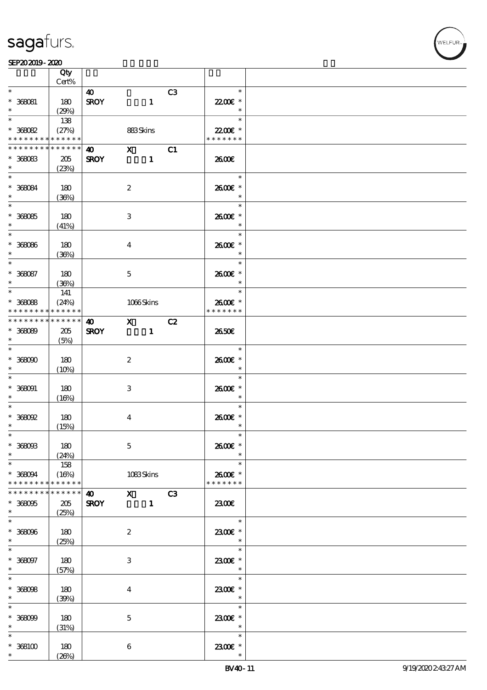|                                                          | Qty<br>Cert%                |                                      |                                                                                                                                                                                                                                                                                                                                                 |                |                                    |  |
|----------------------------------------------------------|-----------------------------|--------------------------------------|-------------------------------------------------------------------------------------------------------------------------------------------------------------------------------------------------------------------------------------------------------------------------------------------------------------------------------------------------|----------------|------------------------------------|--|
| $\ast$                                                   |                             | $\boldsymbol{\omega}$                |                                                                                                                                                                                                                                                                                                                                                 | C <sub>3</sub> | $\ast$                             |  |
| $* 360001$<br>$\ast$                                     | 180<br>(29%)                | <b>SROY</b>                          | $\mathbf{1}$                                                                                                                                                                                                                                                                                                                                    |                | 22.00€ *<br>$\ast$                 |  |
| $\ast$                                                   | 138                         |                                      |                                                                                                                                                                                                                                                                                                                                                 |                | $\ast$                             |  |
| $* 368082$<br>* * * * * * * * <mark>* * * * * * *</mark> | (27%)                       |                                      | 883Skins                                                                                                                                                                                                                                                                                                                                        |                | 22.00€ *<br>* * * * * * *          |  |
| * * * * * * * *                                          | $\ast\ast\ast\ast\ast\ast$  | $\boldsymbol{\omega}$                | $\mathbf{X}$                                                                                                                                                                                                                                                                                                                                    | C1             |                                    |  |
| $* 368083$<br>$\ast$                                     | 205<br>(23%)                | <b>SROY</b>                          | $\mathbf{1}$                                                                                                                                                                                                                                                                                                                                    |                | 2600E                              |  |
| $\overline{\ast}$<br>$* 368084$<br>$\ast$                | 180<br>(36%)                |                                      | $\boldsymbol{2}$                                                                                                                                                                                                                                                                                                                                |                | $\ast$<br>2600€ *<br>$\ast$        |  |
| $\overline{\ast}$<br>$* 368085$<br>$\ast$                | 180<br>(41%)                |                                      | $\,3\,$                                                                                                                                                                                                                                                                                                                                         |                | $\ast$<br>2600€ *<br>$\ast$        |  |
| $* 36006$<br>$\ast$                                      | 180<br>(36%)                |                                      | $\boldsymbol{4}$                                                                                                                                                                                                                                                                                                                                |                | $\ast$<br>2600€ *<br>$\ast$        |  |
| $\ast$<br>$* 368087$<br>$\ast$                           | 180<br>(36%)                |                                      | $\mathbf 5$                                                                                                                                                                                                                                                                                                                                     |                | $\ast$<br>2600€ *<br>$\ast$        |  |
| $\ast$<br>$* 36068$<br>* * * * * * * *                   | 141<br>(24%)<br>* * * * * * |                                      | 1066Skins                                                                                                                                                                                                                                                                                                                                       |                | $\ast$<br>2600€ *<br>* * * * * * * |  |
| * * * * * * * *                                          | ******                      |                                      |                                                                                                                                                                                                                                                                                                                                                 |                |                                    |  |
| $* 368089$<br>$\ast$                                     | 205<br>(5%)                 | <b>SROY</b>                          | $\bullet$ X<br>$\mathbf{1}$                                                                                                                                                                                                                                                                                                                     | C2             | 2650E                              |  |
| $\overline{\ast}$<br>$* 36000$<br>$\ast$                 | 180<br>(10%)                |                                      | $\boldsymbol{2}$                                                                                                                                                                                                                                                                                                                                |                | $\ast$<br>2600E *<br>$\ast$        |  |
| $\overline{\phantom{0}}$<br>$^*$ 368091 $\,$<br>$\ast$   | 180<br>(16%)                |                                      | 3                                                                                                                                                                                                                                                                                                                                               |                | $\ast$<br>2600€ *<br>$\ast$        |  |
| $\ast$<br>$\hspace{0.1cm}^*$ 368092<br>$\ast$            | 180<br>(15%)                |                                      | $\boldsymbol{4}$                                                                                                                                                                                                                                                                                                                                |                | $\ast$<br>2600E *<br>$\ast$        |  |
| $*$<br>$* 368003$<br>$\ast$                              | 180<br>(24%)                |                                      | $\mathbf 5$                                                                                                                                                                                                                                                                                                                                     |                | $\ast$<br>2600€ *                  |  |
| $\ast$<br>$* 36004$<br>* * * * * * * *                   | 158<br>(16%)<br>* * * * * * |                                      | 1083Skins                                                                                                                                                                                                                                                                                                                                       |                | $\ast$<br>2600E *<br>* * * * * * * |  |
| * * * * * * *<br>$* 368005$<br>$\ast$                    | * * * * * *<br>205<br>(25%) | $\boldsymbol{\omega}$<br><b>SROY</b> | $\mathbf X$ and $\mathbf X$ and $\mathbf X$ and $\mathbf X$ and $\mathbf X$ and $\mathbf X$ and $\mathbf X$ and $\mathbf X$ and $\mathbf X$ and $\mathbf X$ and $\mathbf X$ and $\mathbf X$ and $\mathbf X$ and $\mathbf X$ and $\mathbf X$ and $\mathbf X$ and $\mathbf X$ and $\mathbf X$ and $\mathbf X$ and $\mathbf X$ and<br>$\mathbf{1}$ | C3             | 2300E                              |  |
| $\ast$<br>$* 36006$<br>$\ast$                            | 180<br>(25%)                |                                      | $\boldsymbol{2}$                                                                                                                                                                                                                                                                                                                                |                | $\ast$<br>2300€ *<br>$\ast$        |  |
| $\ast$<br>$^*$ 368097 $\,$<br>$\ast$                     | 180<br>(57%)                |                                      | $\,3\,$                                                                                                                                                                                                                                                                                                                                         |                | $\ast$<br>2300E *<br>$\ast$        |  |
| $\ast$<br>$* 36808$<br>$\ast$                            | 180<br>(39%)                |                                      | $\boldsymbol{4}$                                                                                                                                                                                                                                                                                                                                |                | $\ast$<br>2300E *<br>$\ast$        |  |
| $\ast$<br>$* 36809$<br>$\ast$                            | 180<br>(31%)                |                                      | $\bf 5$                                                                                                                                                                                                                                                                                                                                         |                | $\ast$<br>2300€ *<br>$\ast$        |  |
| $\ast$<br>$*368100$<br>$\ast$                            | 180<br>(20%)                |                                      | 6                                                                                                                                                                                                                                                                                                                                               |                | $\ast$<br>2300 £*                  |  |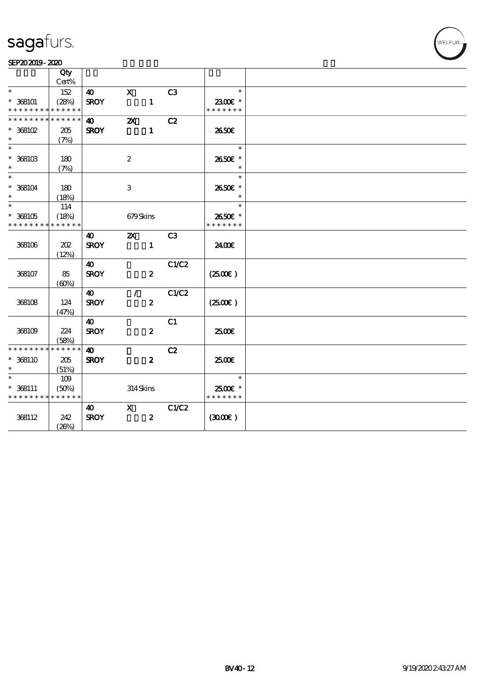#### SEP202019-2020

|                                          | Qty         |                       |                           |                |               |  |
|------------------------------------------|-------------|-----------------------|---------------------------|----------------|---------------|--|
|                                          | Cert%       |                       |                           |                |               |  |
| $\ast$                                   | 152         | 40                    | $\mathbf X$               | C3             | $\ast$        |  |
| $* 368101$                               | (28%)       | <b>SROY</b>           | $\mathbf{1}$              |                | 2300€ *       |  |
| * * * * * * * * <mark>* * * * * *</mark> |             |                       |                           |                | * * * * * * * |  |
| * * * * * * * *                          | * * * * * * | $\boldsymbol{\omega}$ | $\boldsymbol{\mathsf{z}}$ | C2             |               |  |
| $*$ 368102                               | 205         | <b>SROY</b>           | $\mathbf{1}$              |                | 2650E         |  |
| $\ast$                                   | (7%)        |                       |                           |                |               |  |
| $\ast$                                   |             |                       |                           |                | $\ast$        |  |
| $^*$ 368103 $\,$                         | $180$       |                       | $\boldsymbol{2}$          |                | 2650€ *       |  |
| $\ast$                                   | (7%)        |                       |                           |                | $\ast$        |  |
| $\ast$                                   |             |                       |                           |                | $\ast$        |  |
| $* 368104$                               | 180         |                       | $\ensuremath{\mathbf{3}}$ |                | 2650€ *       |  |
| $\ast$                                   | (18%)       |                       |                           |                | $\ast$        |  |
| $\ast$                                   | 114         |                       |                           |                | $\ast$        |  |
| $* 368105$                               | (18%)       |                       | 679Skins                  |                | 2650€ *       |  |
| * * * * * * * *                          | * * * * * * |                       |                           |                | * * * * * * * |  |
|                                          |             | 40                    | $\boldsymbol{\mathsf{X}}$ | C <sub>3</sub> |               |  |
| 368106                                   | 202         | <b>SROY</b>           | $\mathbf{1}$              |                | 2400€         |  |
|                                          | (12%)       |                       |                           |                |               |  |
|                                          |             | $\boldsymbol{\omega}$ |                           | C1/C2          |               |  |
| 368107                                   | 85          | <b>SROY</b>           | $\boldsymbol{z}$          |                | (2500)        |  |
|                                          | (60%)       |                       |                           |                |               |  |
|                                          |             | 40                    | $\mathcal{L}$             | C1/C2          |               |  |
| 368108                                   | 124         | <b>SROY</b>           | $\boldsymbol{z}$          |                | (2500)        |  |
|                                          | (47%)       |                       |                           |                |               |  |
|                                          |             | 40                    |                           | C1             |               |  |
| 368109                                   | 224         | <b>SROY</b>           | $\boldsymbol{z}$          |                | 2500€         |  |
|                                          | (58%)       |                       |                           |                |               |  |
| * * * * * * * *                          | * * * * * * | $\boldsymbol{\omega}$ |                           | C2             |               |  |
| $* 368110$                               | 205         | <b>SROY</b>           | $\boldsymbol{z}$          |                | 2500          |  |
| $\ast$                                   | (51%)       |                       |                           |                |               |  |
| $\ast$                                   | 109         |                       |                           |                | $\ast$        |  |
| $* 368111$                               | (50%)       |                       | 314Skins                  |                | 2500€ *       |  |
| * * * * * * * * * * * * * *              |             |                       |                           |                | * * * * * * * |  |
|                                          |             | $\boldsymbol{\omega}$ | $\mathbf{x}$              | C1/C2          |               |  |
| 368112                                   | 242         | <b>SROY</b>           | $\boldsymbol{2}$          |                | (300)         |  |
|                                          | (20%)       |                       |                           |                |               |  |

WELFUR-<br>NELFUR-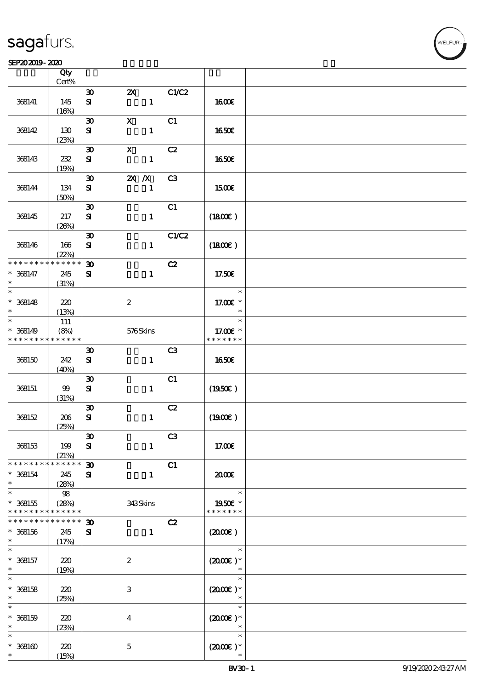#### SEP202019-2020

|                      | Qty<br>$Cert\%$ |                                          |                                           |                |                      |  |
|----------------------|-----------------|------------------------------------------|-------------------------------------------|----------------|----------------------|--|
|                      |                 |                                          |                                           |                |                      |  |
| 368141               | 145             | $\boldsymbol{\mathfrak{D}}$<br>${\bf s}$ | $\boldsymbol{\mathsf{Z}}$<br>$\mathbf{1}$ | C1/C2          | <b>1600€</b>         |  |
|                      | (16%)           |                                          |                                           |                |                      |  |
| 368142               | 130             | $\boldsymbol{\mathfrak{D}}$<br>${\bf s}$ | $\mathbf X$<br>$\mathbf{1}$               | C1             | 1650€                |  |
|                      | (23%)           |                                          |                                           |                |                      |  |
|                      |                 | $\boldsymbol{\mathfrak{D}}$              | $\boldsymbol{\mathsf{X}}$                 | C2             |                      |  |
| 368143               | 232<br>(19%)    | ${\bf S\hspace{-.075ex}I}$               | $\mathbf{1}$                              |                | 1650€                |  |
|                      |                 | $\boldsymbol{\mathfrak{D}}$              | $X$ $X$                                   | C3             |                      |  |
| 368144               | 134<br>(50%)    | ${\bf s}$                                | $\mathbf{1}$                              |                | 1500€                |  |
|                      |                 | $\boldsymbol{\mathfrak{D}}$              |                                           | C1             |                      |  |
| 368145               | 217             | ${\bf S}$                                | $\mathbf{1}$                              |                | (1800)               |  |
|                      | (20%)           |                                          |                                           |                |                      |  |
|                      |                 | $\boldsymbol{\mathfrak{D}}$              |                                           | C1/C2          |                      |  |
| 368146               | 166<br>(22%)    | ${\bf s}$                                | $\mathbf{1}$                              |                | (1800E)              |  |
| * * * * * * * *      | * * * * * *     | $\boldsymbol{\mathfrak{D}}$              |                                           | C2             |                      |  |
| $* 368147$<br>$\ast$ | 245<br>(31%)    | ${\bf s}$                                | $\mathbf{1}$                              |                | 17.50€               |  |
| $\ast$               |                 |                                          |                                           |                | $\ast$               |  |
| $* 368148$           | 220             |                                          | $\boldsymbol{2}$                          |                | 17.00€ *             |  |
| $\ast$               | (13%)           |                                          |                                           |                | $\ast$               |  |
| $\ast$               | $111\,$         |                                          |                                           |                | $\ast$               |  |
| $* 368149$           | (8%)            |                                          | 576Skins                                  |                | 17.00 £*             |  |
| * * * * * * * *      | * * * * * *     |                                          |                                           |                | * * * * * * *        |  |
|                      |                 | $\boldsymbol{\mathfrak{D}}$              |                                           | C3             |                      |  |
| 368150               | 242             | ${\bf s}$                                | $\mathbf{1}$                              |                | <b>1650€</b>         |  |
|                      | (40%)           |                                          |                                           |                |                      |  |
|                      |                 | $\boldsymbol{\mathfrak{D}}$              |                                           | C1             |                      |  |
| 368151               | 99              | ${\bf S}$                                | $\mathbf{1}$                              |                | $(1950\epsilon)$     |  |
|                      | (31%)           |                                          |                                           |                |                      |  |
|                      |                 | $\boldsymbol{\mathfrak{D}}$              |                                           | C2             |                      |  |
| 368152               | 206             | ${\bf s}$                                | $\mathbf{1}$                              |                | (1900)               |  |
|                      | (25%)           |                                          |                                           |                |                      |  |
|                      |                 | $\boldsymbol{\mathfrak{D}}$              |                                           | C <sub>3</sub> |                      |  |
| 368153               | 199<br>(21%)    | ${\bf s}$                                | $\mathbf{1}$                              |                | 17.00€               |  |
| * * * * * * * *      | * * * * * *     | $\boldsymbol{\mathfrak{D}}$              |                                           | C1             |                      |  |
| $* 368154$           | 245             | ${\bf s}$                                | $\mathbf{1}$                              |                | 2000€                |  |
| $\ast$               | (28%)           |                                          |                                           |                |                      |  |
| $\ast$               | $98\,$          |                                          |                                           |                | $\ast$               |  |
| $* 368155$           | (28%)           |                                          | 343Skins                                  |                | 1950E *              |  |
| * * * * * * * *      | * * * * * *     |                                          |                                           |                | * * * * * * *        |  |
| * * * * * * *        | * * * * * *     | $\boldsymbol{\mathfrak{D}}$              |                                           | C2             |                      |  |
| $* 368156$           | 245             | ${\bf s}$                                | $\mathbf{1}$                              |                | (200E)               |  |
| $\ast$               | (17%)           |                                          |                                           |                |                      |  |
| $\ast$               |                 |                                          |                                           |                | $\ast$               |  |
| $* 368157$           | 220             |                                          | $\boldsymbol{2}$                          |                | $(2000\varepsilon)*$ |  |
| $\ast$               | (19%)           |                                          |                                           |                |                      |  |
| $\ast$               |                 |                                          |                                           |                | $\ast$               |  |
| $* 368158$           | 220             |                                          | $\,3$                                     |                | $(2000)$ *           |  |
| $\ast$               | (25%)           |                                          |                                           |                |                      |  |
| $\ast$               |                 |                                          |                                           |                | $\ast$               |  |
| $* 368159$           | 220             |                                          | $\boldsymbol{4}$                          |                | $(2000)$ *           |  |
| $\ast$               | (23%)           |                                          |                                           |                |                      |  |
| $\ast$               |                 |                                          |                                           |                | $\ast$               |  |
| $* 368160$           | 220             |                                          | $\bf 5$                                   |                | $(200E)*$            |  |
| $\ast$               | (15%)           |                                          |                                           |                |                      |  |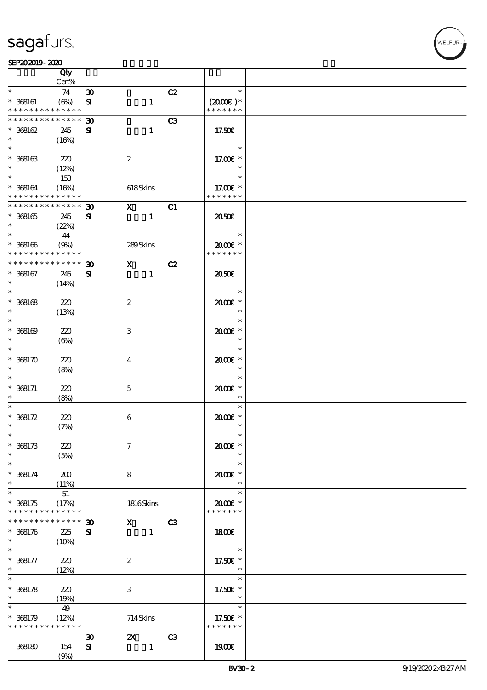#### $SEP202019 - 2020$

|                                            | Qty<br>Cert%    |                             |                                                                                                                                                                                                                                                                                                                                 |              |                |                      |  |
|--------------------------------------------|-----------------|-----------------------------|---------------------------------------------------------------------------------------------------------------------------------------------------------------------------------------------------------------------------------------------------------------------------------------------------------------------------------|--------------|----------------|----------------------|--|
| $\ast$                                     |                 |                             |                                                                                                                                                                                                                                                                                                                                 |              |                | $\ast$               |  |
|                                            | 74              | $\boldsymbol{\mathfrak{D}}$ |                                                                                                                                                                                                                                                                                                                                 |              | C2             |                      |  |
| $* 368161$                                 | (6%)            | ${\bf s}$                   |                                                                                                                                                                                                                                                                                                                                 | $\mathbf{1}$ |                | $(2000\varepsilon)*$ |  |
| * * * * * * * * <mark>* * * * * * *</mark> |                 |                             |                                                                                                                                                                                                                                                                                                                                 |              |                | * * * * * * *        |  |
| * * * * * * * *                            | $* * * * * * *$ | $\boldsymbol{\mathfrak{D}}$ |                                                                                                                                                                                                                                                                                                                                 |              | C <sub>3</sub> |                      |  |
| $*368162$                                  | 245             | ${\bf s}$                   |                                                                                                                                                                                                                                                                                                                                 | $\mathbf{1}$ |                | 17.50€               |  |
| $\ast$                                     | (16%)           |                             |                                                                                                                                                                                                                                                                                                                                 |              |                |                      |  |
|                                            |                 |                             |                                                                                                                                                                                                                                                                                                                                 |              |                | $\ast$               |  |
|                                            |                 |                             |                                                                                                                                                                                                                                                                                                                                 |              |                |                      |  |
| $* 368163$                                 | 220             |                             | $\boldsymbol{2}$                                                                                                                                                                                                                                                                                                                |              |                | 17.00 £*             |  |
| $\ast$                                     | (12%)           |                             |                                                                                                                                                                                                                                                                                                                                 |              |                | $\ast$               |  |
| $*$                                        | 153             |                             |                                                                                                                                                                                                                                                                                                                                 |              |                | $\ast$               |  |
| $* 368164$                                 | (16%)           |                             | 618Skins                                                                                                                                                                                                                                                                                                                        |              |                | 17.00€ *             |  |
| * * * * * * * * <mark>* * * * * * *</mark> |                 |                             |                                                                                                                                                                                                                                                                                                                                 |              |                | * * * * * * *        |  |
|                                            |                 |                             |                                                                                                                                                                                                                                                                                                                                 |              |                |                      |  |
| * * * * * * * * * * * * * * *              |                 | $\boldsymbol{\mathfrak{D}}$ | $\boldsymbol{\mathrm{X}}$ and $\boldsymbol{\mathrm{X}}$ and $\boldsymbol{\mathrm{X}}$                                                                                                                                                                                                                                           |              | C1             |                      |  |
| $* 368165$                                 | 245             | ${\bf s}$                   |                                                                                                                                                                                                                                                                                                                                 | $\mathbf{1}$ |                | 2050E                |  |
| $\ast$                                     | (22%)           |                             |                                                                                                                                                                                                                                                                                                                                 |              |                |                      |  |
|                                            | 44              |                             |                                                                                                                                                                                                                                                                                                                                 |              |                | $\ast$               |  |
| $* 368166$                                 | (9%)            |                             | 289Skins                                                                                                                                                                                                                                                                                                                        |              |                | 2000E*               |  |
| * * * * * * * *                            | * * * * * *     |                             |                                                                                                                                                                                                                                                                                                                                 |              |                | * * * * * * *        |  |
|                                            |                 |                             |                                                                                                                                                                                                                                                                                                                                 |              |                |                      |  |
| * * * * * * * *                            | $* * * * * * *$ | $\boldsymbol{\mathfrak{D}}$ | $\mathbf x$ and $\mathbf x$ and $\mathbf x$ and $\mathbf x$ and $\mathbf x$ and $\mathbf x$ and $\mathbf x$ and $\mathbf x$ and $\mathbf x$ and $\mathbf x$ and $\mathbf x$ and $\mathbf x$ and $\mathbf x$ and $\mathbf x$ and $\mathbf x$ and $\mathbf x$ and $\mathbf x$ and $\mathbf x$ and $\mathbf x$ and $\mathbf x$ and |              | C2             |                      |  |
| $* 368167$                                 | 245             | ${\bf z}$                   |                                                                                                                                                                                                                                                                                                                                 | $\mathbf{1}$ |                | ææ                   |  |
| $\ast$                                     | (14%)           |                             |                                                                                                                                                                                                                                                                                                                                 |              |                |                      |  |
| $\overline{\ast}$                          |                 |                             |                                                                                                                                                                                                                                                                                                                                 |              |                | $\ast$               |  |
| $* 368168$                                 | 220             |                             | $\boldsymbol{2}$                                                                                                                                                                                                                                                                                                                |              |                | 2000E *              |  |
|                                            |                 |                             |                                                                                                                                                                                                                                                                                                                                 |              |                |                      |  |
| $\ast$                                     | (13%)           |                             |                                                                                                                                                                                                                                                                                                                                 |              |                | $\ast$               |  |
| $\overline{\ast}$                          |                 |                             |                                                                                                                                                                                                                                                                                                                                 |              |                | $\ast$               |  |
| $* 368169$                                 | 220             |                             | 3                                                                                                                                                                                                                                                                                                                               |              |                | $2000$ $*$           |  |
| $\ast$                                     | $(\Theta)$      |                             |                                                                                                                                                                                                                                                                                                                                 |              |                | $\ast$               |  |
| $\ast$                                     |                 |                             |                                                                                                                                                                                                                                                                                                                                 |              |                | $\ast$               |  |
|                                            |                 |                             |                                                                                                                                                                                                                                                                                                                                 |              |                |                      |  |
| $*368170$                                  | 220             |                             | $\bf{4}$                                                                                                                                                                                                                                                                                                                        |              |                | $2000$ $*$           |  |
| $\ast$                                     | (8%)            |                             |                                                                                                                                                                                                                                                                                                                                 |              |                | $\ast$               |  |
| $\ast$                                     |                 |                             |                                                                                                                                                                                                                                                                                                                                 |              |                | $\ast$               |  |
| $* 368171$                                 | 220             |                             | $\mathbf 5$                                                                                                                                                                                                                                                                                                                     |              |                | 2000E *              |  |
| $\ast$                                     | (8%)            |                             |                                                                                                                                                                                                                                                                                                                                 |              |                | $\ast$               |  |
| $\ast$                                     |                 |                             |                                                                                                                                                                                                                                                                                                                                 |              |                | $\ast$               |  |
| $* 368172$                                 | 220             |                             |                                                                                                                                                                                                                                                                                                                                 |              |                | $2000$ $*$           |  |
|                                            |                 |                             | $\boldsymbol{6}$                                                                                                                                                                                                                                                                                                                |              |                |                      |  |
| $\ast$                                     | (7%)            |                             |                                                                                                                                                                                                                                                                                                                                 |              |                | $\ast$               |  |
| $\ast$                                     |                 |                             |                                                                                                                                                                                                                                                                                                                                 |              |                | $\ast$               |  |
| $* 368173$                                 | 220             |                             | $\tau$                                                                                                                                                                                                                                                                                                                          |              |                | 2000E*               |  |
| $\ast$                                     | (5%)            |                             |                                                                                                                                                                                                                                                                                                                                 |              |                | $\ast$               |  |
| $\ast$                                     |                 |                             |                                                                                                                                                                                                                                                                                                                                 |              |                | $\ast$               |  |
|                                            |                 |                             |                                                                                                                                                                                                                                                                                                                                 |              |                |                      |  |
| $* 368174$                                 | 200             |                             | 8                                                                                                                                                                                                                                                                                                                               |              |                | $2000$ $*$           |  |
| $\ast$                                     | (11%)           |                             |                                                                                                                                                                                                                                                                                                                                 |              |                | $\ast$               |  |
| $\overline{\ast}$                          | 51              |                             |                                                                                                                                                                                                                                                                                                                                 |              |                | $\ast$               |  |
| $*368175$                                  | (17%)           |                             | 1816Skins                                                                                                                                                                                                                                                                                                                       |              |                | 2000E *              |  |
| * * * * * * * *                            | * * * * * *     |                             |                                                                                                                                                                                                                                                                                                                                 |              |                | * * * * * * *        |  |
| * * * * * * * *                            | * * * * * *     | $\boldsymbol{\mathfrak{D}}$ | $\mathbf x$                                                                                                                                                                                                                                                                                                                     |              | C3             |                      |  |
|                                            |                 |                             |                                                                                                                                                                                                                                                                                                                                 |              |                |                      |  |
| $* 368176$                                 | 225             | ${\bf s}$                   |                                                                                                                                                                                                                                                                                                                                 | $\mathbf{1}$ |                | 1800E                |  |
| $\ast$                                     | (10%)           |                             |                                                                                                                                                                                                                                                                                                                                 |              |                |                      |  |
| $\ast$                                     |                 |                             |                                                                                                                                                                                                                                                                                                                                 |              |                | $\ast$               |  |
| $* 368177$                                 | 220             |                             | $\boldsymbol{2}$                                                                                                                                                                                                                                                                                                                |              |                | 17.50€ *             |  |
| $\ast$                                     | (12%)           |                             |                                                                                                                                                                                                                                                                                                                                 |              |                | $\ast$               |  |
| $\overline{\ast}$                          |                 |                             |                                                                                                                                                                                                                                                                                                                                 |              |                | $\ast$               |  |
| $* 368178$                                 |                 |                             |                                                                                                                                                                                                                                                                                                                                 |              |                |                      |  |
|                                            | 220             |                             | 3                                                                                                                                                                                                                                                                                                                               |              |                | 17.50€ *             |  |
| $\ast$                                     | (19%)           |                             |                                                                                                                                                                                                                                                                                                                                 |              |                | $\ast$               |  |
| $\ast$                                     | 49              |                             |                                                                                                                                                                                                                                                                                                                                 |              |                | $\ast$               |  |
| $* 368179$                                 | (12%)           |                             | 714Skins                                                                                                                                                                                                                                                                                                                        |              |                | 17.50€ *             |  |
| * * * * * * * *                            | * * * * * *     |                             |                                                                                                                                                                                                                                                                                                                                 |              |                | * * * * * * *        |  |
|                                            |                 | $\boldsymbol{\mathfrak{D}}$ | $\mathbf{Z}$                                                                                                                                                                                                                                                                                                                    |              | C <sub>3</sub> |                      |  |
|                                            |                 |                             |                                                                                                                                                                                                                                                                                                                                 |              |                |                      |  |
| 368180                                     | 154             | ${\bf s}$                   |                                                                                                                                                                                                                                                                                                                                 | $\mathbf{1}$ |                | 1900E                |  |
|                                            | (9%)            |                             |                                                                                                                                                                                                                                                                                                                                 |              |                |                      |  |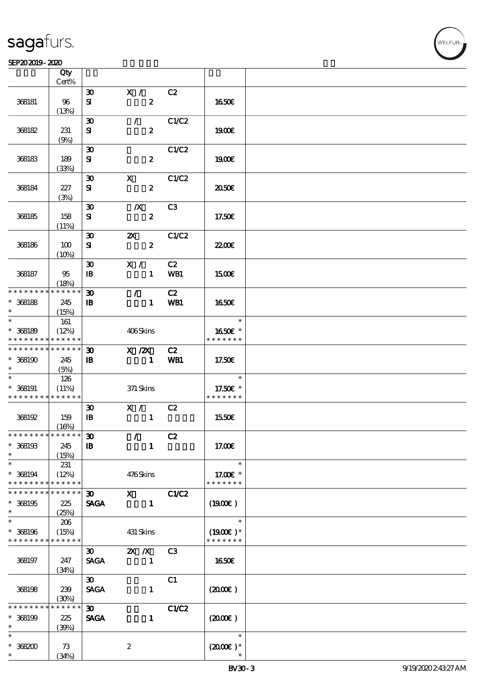#### $SEP202019 - 2020$

|                                            | Qty<br>Cert%         |                                             |                                                                                                                                                                                                                                                                                                                               |                |                      |  |
|--------------------------------------------|----------------------|---------------------------------------------|-------------------------------------------------------------------------------------------------------------------------------------------------------------------------------------------------------------------------------------------------------------------------------------------------------------------------------|----------------|----------------------|--|
|                                            |                      |                                             |                                                                                                                                                                                                                                                                                                                               |                |                      |  |
| 368181                                     | 96                   | $\boldsymbol{\mathfrak{D}}$<br>${\bf s}$    | X /<br>$\boldsymbol{z}$                                                                                                                                                                                                                                                                                                       | C2             | 1650E                |  |
|                                            | (13%)                |                                             |                                                                                                                                                                                                                                                                                                                               |                |                      |  |
| 368182                                     | 231                  | $\boldsymbol{\mathfrak{D}}$<br>${\bf s}$    | $\mathcal{F}$<br>$\boldsymbol{2}$                                                                                                                                                                                                                                                                                             | C1/C2          | 1900E                |  |
|                                            | (9%)                 |                                             |                                                                                                                                                                                                                                                                                                                               |                |                      |  |
| 368183                                     | 189                  | $\boldsymbol{\mathfrak{D}}$<br>${\bf s}$    | $\boldsymbol{z}$                                                                                                                                                                                                                                                                                                              | C1/C2          | 1900E                |  |
|                                            | (33%)                |                                             |                                                                                                                                                                                                                                                                                                                               |                |                      |  |
|                                            |                      | $\boldsymbol{\mathfrak{D}}$                 | $\mathbf{x}$                                                                                                                                                                                                                                                                                                                  | C1/C2          |                      |  |
| 368184                                     | 227<br>(3%)          | ${\bf s}$                                   | $\boldsymbol{z}$                                                                                                                                                                                                                                                                                                              |                | ææ                   |  |
|                                            |                      | $\boldsymbol{\mathfrak{D}}$                 | $\boldsymbol{X}$                                                                                                                                                                                                                                                                                                              | C <sub>3</sub> |                      |  |
| 368185                                     | 158                  | ${\bf s}$                                   | $\pmb{2}$                                                                                                                                                                                                                                                                                                                     |                | 17.50€               |  |
|                                            | (11%)                |                                             |                                                                                                                                                                                                                                                                                                                               |                |                      |  |
| 368186                                     | 100                  | $\boldsymbol{\mathfrak{D}}$<br>${\bf s}$    | $\boldsymbol{\alpha}$<br>$\boldsymbol{z}$                                                                                                                                                                                                                                                                                     | C1/C2          | <b>22006</b>         |  |
|                                            | (10%)                |                                             |                                                                                                                                                                                                                                                                                                                               |                |                      |  |
| 368187                                     | 95                   | $\boldsymbol{\mathfrak{D}}$<br>$\mathbf{B}$ | X /<br>$\mathbf{1}$                                                                                                                                                                                                                                                                                                           | C2<br>WB1      | 1500€                |  |
|                                            | (18%)                |                                             |                                                                                                                                                                                                                                                                                                                               |                |                      |  |
| * * * * * * * *                            | * * * * * *          | $\boldsymbol{\mathfrak{D}}$                 | $\mathcal{L}$                                                                                                                                                                                                                                                                                                                 | C2             |                      |  |
| $* 368188$                                 | 245                  | $\mathbf{B}$                                | $\mathbf{1}$                                                                                                                                                                                                                                                                                                                  | WB1            | 1650E                |  |
| $\ast$                                     | (15%)                |                                             |                                                                                                                                                                                                                                                                                                                               |                |                      |  |
| $\overline{\ast}$                          | 161                  |                                             |                                                                                                                                                                                                                                                                                                                               |                | $\ast$               |  |
| $* 368189$                                 | (12%)                |                                             | 406Skins                                                                                                                                                                                                                                                                                                                      |                | 1650E *              |  |
| * * * * * * * *                            | * * * * * *          |                                             |                                                                                                                                                                                                                                                                                                                               |                | * * * * * * *        |  |
| * * * * * * * * <mark>* * * * * * *</mark> |                      | $\boldsymbol{\mathfrak{D}}$                 | $X$ / $ZX$                                                                                                                                                                                                                                                                                                                    | C2             |                      |  |
|                                            |                      |                                             |                                                                                                                                                                                                                                                                                                                               |                |                      |  |
| $*368190$                                  | 245                  | $\mathbf{B}$                                | $\mathbf 1$                                                                                                                                                                                                                                                                                                                   | WB1            | 17.50€               |  |
| $\ast$<br>$\ast$                           | (5%)                 |                                             |                                                                                                                                                                                                                                                                                                                               |                |                      |  |
|                                            | 126                  |                                             |                                                                                                                                                                                                                                                                                                                               |                | $\ast$               |  |
| $* 368191$                                 | (11%)                |                                             | 371 Skins                                                                                                                                                                                                                                                                                                                     |                | 17.50€ *             |  |
| * * * * * * * * <mark>* * * * * *</mark>   |                      |                                             |                                                                                                                                                                                                                                                                                                                               |                | * * * * * * *        |  |
|                                            |                      | $\boldsymbol{\mathfrak{D}}$                 | X /                                                                                                                                                                                                                                                                                                                           | C2             |                      |  |
| 368192                                     | 159                  | $\mathbf{B}$                                | $\mathbf{1}$                                                                                                                                                                                                                                                                                                                  |                | 1550E                |  |
|                                            | (16%)                |                                             |                                                                                                                                                                                                                                                                                                                               |                |                      |  |
| * * * * * * * * * * * * * * *              |                      | $\boldsymbol{\mathfrak{D}}$                 | $\mathcal{L}$                                                                                                                                                                                                                                                                                                                 | C2             |                      |  |
| $* 368193$                                 | 245                  | $\mathbf{B}$                                | $\mathbf{1}$                                                                                                                                                                                                                                                                                                                  |                | 17.00E               |  |
| $\ast$                                     | (15%)                |                                             |                                                                                                                                                                                                                                                                                                                               |                |                      |  |
| $\ast$                                     | 231                  |                                             |                                                                                                                                                                                                                                                                                                                               |                | $\ast$               |  |
| * 368194                                   | (12%)                |                                             | 476Skins                                                                                                                                                                                                                                                                                                                      |                | 17.00 £*             |  |
| * * * * * * * *                            | * * * * * *          |                                             |                                                                                                                                                                                                                                                                                                                               |                | * * * * * * *        |  |
| * * * * * * *                              | * * * * * *          | 30                                          | $\mathbf{x}$ and $\mathbf{x}$ and $\mathbf{x}$ and $\mathbf{x}$ and $\mathbf{x}$ and $\mathbf{x}$ and $\mathbf{x}$ and $\mathbf{x}$ and $\mathbf{x}$ and $\mathbf{x}$ and $\mathbf{x}$ and $\mathbf{x}$ and $\mathbf{x}$ and $\mathbf{x}$ and $\mathbf{x}$ and $\mathbf{x}$ and $\mathbf{x}$ and $\mathbf{x}$ and $\mathbf{x$ | <b>C1/C2</b>   |                      |  |
| * 368195                                   | 225                  | <b>SAGA</b>                                 | $\mathbf{1}$                                                                                                                                                                                                                                                                                                                  |                | $(1900\epsilon)$     |  |
| $\ast$                                     | (25%)                |                                             |                                                                                                                                                                                                                                                                                                                               |                |                      |  |
| $\ast$                                     | 206                  |                                             |                                                                                                                                                                                                                                                                                                                               |                | $\ast$               |  |
| * 368196                                   | (15%)                |                                             | 431 Skins                                                                                                                                                                                                                                                                                                                     |                | $(1900E)*$           |  |
| * * * * * * * *                            | * * * * * *          |                                             |                                                                                                                                                                                                                                                                                                                               |                | * * * * * * *        |  |
|                                            |                      | $\boldsymbol{\mathfrak{D}}$                 | $X$ $N$                                                                                                                                                                                                                                                                                                                       | C <sub>3</sub> |                      |  |
| 368197                                     | 247                  | <b>SAGA</b>                                 | $\blacksquare$                                                                                                                                                                                                                                                                                                                |                | 1650€                |  |
|                                            | (34%)                |                                             |                                                                                                                                                                                                                                                                                                                               |                |                      |  |
|                                            |                      | $\boldsymbol{\mathfrak{D}}$                 |                                                                                                                                                                                                                                                                                                                               | C1             |                      |  |
| 368198                                     | 239                  |                                             |                                                                                                                                                                                                                                                                                                                               |                |                      |  |
|                                            |                      | <b>SAGA</b>                                 | $\mathbf{1}$                                                                                                                                                                                                                                                                                                                  |                | $(2000\varepsilon)$  |  |
| * * * * * *                                | (30%)<br>$***$ * * * |                                             |                                                                                                                                                                                                                                                                                                                               |                |                      |  |
|                                            |                      | $\boldsymbol{\mathfrak{D}}$                 |                                                                                                                                                                                                                                                                                                                               | C1/C2          |                      |  |
| * 368199                                   | 225                  | <b>SAGA</b>                                 | $\mathbf{1}$                                                                                                                                                                                                                                                                                                                  |                | $(2000\varepsilon)$  |  |
| $\ast$                                     | (30%)                |                                             |                                                                                                                                                                                                                                                                                                                               |                |                      |  |
| $\ast$                                     |                      |                                             |                                                                                                                                                                                                                                                                                                                               |                | $\ast$               |  |
| $*368200$                                  | 73                   |                                             | $\boldsymbol{z}$                                                                                                                                                                                                                                                                                                              |                | $(2000\varepsilon)*$ |  |
| $\ast$                                     | (34%)                |                                             |                                                                                                                                                                                                                                                                                                                               |                |                      |  |

**NELFUR**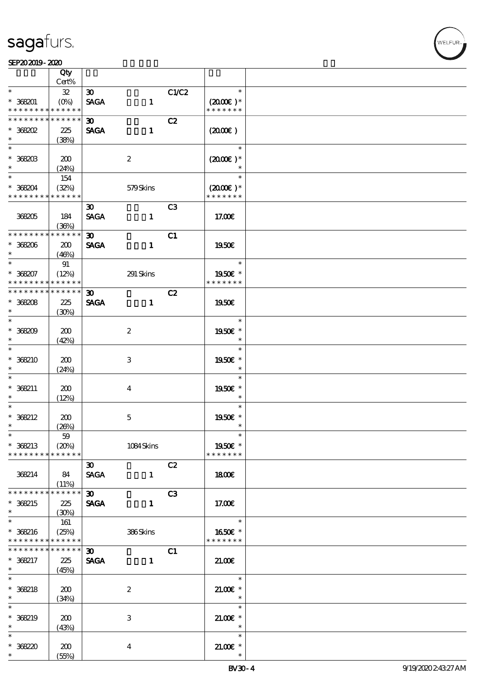#### SEP202019-2020

|                              | Qty<br>Cert%         |                             |                  |                |                                       |  |
|------------------------------|----------------------|-----------------------------|------------------|----------------|---------------------------------------|--|
| $\ast$                       |                      |                             |                  | C1/C2          | $\ast$                                |  |
|                              | ${\bf 3\!}$          | $\infty$                    |                  |                |                                       |  |
| $* 368201$                   |                      | <b>SAGA</b>                 | $\mathbf{1}$     |                | $(2000\varepsilon)*$                  |  |
| * * * * * * * *              | * * * * * *          |                             |                  |                | * * * * * * *                         |  |
| * * * * * * * *              | * * * * * *          | $\infty$                    |                  | C2             |                                       |  |
| $*$ 368202                   | 225                  | <b>SAGA</b>                 | $\mathbf{1}$     |                | (200E)                                |  |
| $\ast$                       | (38%)                |                             |                  |                |                                       |  |
|                              |                      |                             |                  |                | $\ast$                                |  |
| $*$ 368203                   | 200                  |                             | $\boldsymbol{2}$ |                | $(2000\varepsilon)*$                  |  |
| $\ast$                       | (24%)                |                             |                  |                |                                       |  |
| $*$                          | 154                  |                             |                  |                | $\ast$                                |  |
|                              |                      |                             |                  |                |                                       |  |
| $*368204$<br>* * * * * * * * | (32%)<br>* * * * * * |                             | 579Skins         |                | $(2000\varepsilon)*$<br>* * * * * * * |  |
|                              |                      |                             |                  |                |                                       |  |
|                              |                      | $\boldsymbol{\mathfrak{D}}$ |                  | C <sub>3</sub> |                                       |  |
| 368205                       | 184                  | <b>SAGA</b>                 | $\mathbf{1}$     |                | 17.00E                                |  |
|                              | (36%)                |                             |                  |                |                                       |  |
| * * * * * * * *              | * * * * * *          | $\boldsymbol{\mathfrak{D}}$ |                  | C1             |                                       |  |
| $*368206$                    | 200                  | <b>SAGA</b>                 | $\mathbf{1}$     |                | 1950E                                 |  |
| $\ast$                       | (46%)                |                             |                  |                |                                       |  |
| $\ast$                       | 91                   |                             |                  |                | $\ast$                                |  |
| $* 368207$                   | (12%)                |                             | 291 Skins        |                | 1950€ *                               |  |
| * * * * * * * *              | * * * * * *          |                             |                  |                | * * * * * * *                         |  |
| * * * * * * * * * * * * * *  |                      |                             |                  |                |                                       |  |
|                              |                      | 30 <sub>o</sub>             |                  | C2             |                                       |  |
| $* 368208$                   | 225                  | <b>SAGA</b>                 | $\mathbf{1}$     |                | 1950E                                 |  |
| $\ast$                       | (30%)                |                             |                  |                |                                       |  |
|                              |                      |                             |                  |                | $\ast$                                |  |
| $*36800$                     | 200                  |                             | $\boldsymbol{2}$ |                | 1950E *                               |  |
| $\ast$                       | (42%)                |                             |                  |                | $\ast$                                |  |
| $\overline{\ast}$            |                      |                             |                  |                | $\ast$                                |  |
| $*368210$                    | 200                  |                             | 3                |                | 1950E *                               |  |
| $\ast$                       | (24%)                |                             |                  |                | $\ast$                                |  |
| $\ast$                       |                      |                             |                  |                | $\ast$                                |  |
|                              |                      |                             |                  |                |                                       |  |
| $* 368211$                   | 200                  |                             | $\bf{4}$         |                | 1950E *                               |  |
| $\ast$                       | (12%)                |                             |                  |                | $\ast$                                |  |
| $\ast$                       |                      |                             |                  |                | $\ast$                                |  |
| $* 368212$                   | 200                  |                             | $\mathbf 5$      |                | 1950E *                               |  |
| $\ast$                       | (20%)                |                             |                  |                | $\ast$                                |  |
| $\ast$                       | $59\,$               |                             |                  |                | $\ast$                                |  |
| * 368213                     | (20%)                |                             | 1084Skins        |                | 1950E *                               |  |
| * * * * * * * *              | * * * * * *          |                             |                  |                | * * * * * * *                         |  |
|                              |                      | $\boldsymbol{\mathfrak{D}}$ |                  | C2             |                                       |  |
| 368214                       | - 84                 | <b>SAGA</b>                 | $\mathbf{1}$     |                | 1800E                                 |  |
|                              | (11%)                |                             |                  |                |                                       |  |
| * * * * * * * *              | * * * * * *          | $\infty$                    |                  | C3             |                                       |  |
|                              |                      |                             |                  |                |                                       |  |
| * 368215                     | 225                  | <b>SAGA</b>                 | $\mathbf{1}$     |                | 17.00E                                |  |
| $\ast$                       | (30%)                |                             |                  |                |                                       |  |
|                              | 161                  |                             |                  |                | $\ast$                                |  |
| * 368216                     | (25%)                |                             | 386Skins         |                | 1650€ *                               |  |
| * * * * * * * *              | * * * * * *          |                             |                  |                | * * * * * * *                         |  |
| * * * * * * * *              | * * * * * *          | $\boldsymbol{\mathfrak{D}}$ |                  | C1             |                                       |  |
| * 368217                     | 225                  | <b>SAGA</b>                 | $\mathbf{1}$     |                | 21.00                                 |  |
| $*$                          | (45%)                |                             |                  |                |                                       |  |
| $\overline{\ast}$            |                      |                             |                  |                | $\ast$                                |  |
| $* 368218$                   | 200                  |                             | $\boldsymbol{2}$ |                | $21.00$ $*$                           |  |
| $\ast$                       |                      |                             |                  |                | $\ast$                                |  |
| $\ast$                       | (34%)                |                             |                  |                |                                       |  |
|                              |                      |                             |                  |                | $\ast$                                |  |
| * 368219                     | 200                  |                             | 3                |                | $21.00$ $*$                           |  |
| $\ast$                       | (43%)                |                             |                  |                | $\ast$                                |  |
| $\ast$                       |                      |                             |                  |                | $\ast$                                |  |
| $* 36820$                    | 200                  |                             | 4                |                | $21.005*$                             |  |
| $\ast$                       | (55%)                |                             |                  |                | $\ast$                                |  |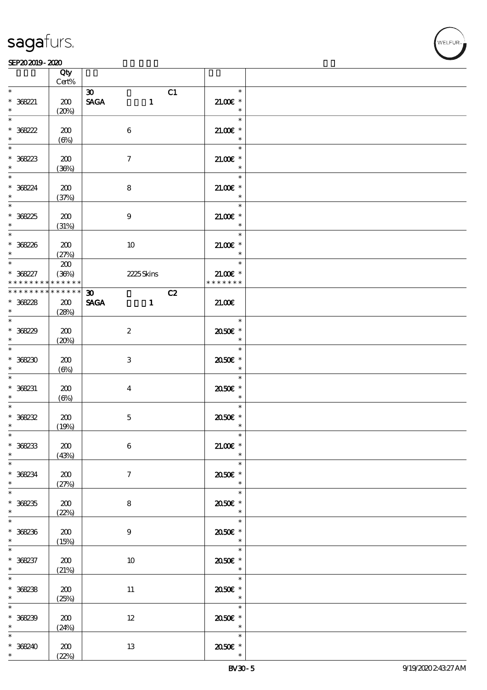#### $SEP202019 - 2020$

|                            | Qty<br>Cert%    |                             |                  |    |                                                   |  |
|----------------------------|-----------------|-----------------------------|------------------|----|---------------------------------------------------|--|
| $\ast$                     |                 |                             |                  |    | $\ast$                                            |  |
| $* 368221$                 | 200             | $\infty$<br><b>SAGA</b>     | $\mathbf{1}$     | C1 | $21.00E$ *                                        |  |
|                            | (20%)           |                             |                  |    | $\ast$                                            |  |
|                            |                 |                             |                  |    | $\ast$                                            |  |
|                            | 200             |                             | $\boldsymbol{6}$ |    | $21.00E$ *                                        |  |
| * 368222                   | $(\Theta)$      |                             |                  |    | $\ast$                                            |  |
| $*$                        |                 |                             |                  |    | $\ast$                                            |  |
| $* 38223$                  | 200             |                             | $\tau$           |    | $21.005*$                                         |  |
|                            | (36%)           |                             |                  |    | $\ast$                                            |  |
|                            |                 |                             |                  |    | $\ast$                                            |  |
| * 36824                    | 200             |                             | 8                |    | $21.00E$ *                                        |  |
| $\ast$                     | (37%)           |                             |                  |    | $\ast$                                            |  |
|                            |                 |                             |                  |    | $\ast$                                            |  |
| * 36825<br>$\ast$          | 200             |                             | $\boldsymbol{9}$ |    | $21.00E$ *<br>$\overline{\phantom{a}}$            |  |
|                            | (31%)           |                             |                  |    | $\ast$                                            |  |
| * 368226                   | 200             |                             | 10               |    | $21.005*$                                         |  |
| $\ast$ . The set of $\ast$ | (27%)           |                             |                  |    | $\overline{\phantom{a}}$                          |  |
| $*$                        | 200             |                             |                  |    | $\ast$                                            |  |
| $* 368227$                 | (36%)           |                             | 2225Skins        |    | $21.005*$                                         |  |
| * * * * * * * *            | * * * * * *     |                             |                  |    | * * * * * * *                                     |  |
| * * * * * * * *            | $* * * * * * *$ | $\boldsymbol{\mathfrak{D}}$ |                  | C2 |                                                   |  |
| $* 368228$                 | 200             | <b>SAGA</b>                 | $\mathbf{1}$     |    | 21.00E                                            |  |
| $*$                        | (28%)           |                             |                  |    |                                                   |  |
|                            |                 |                             |                  |    | $\overline{\phantom{a}}$                          |  |
| $*36829$<br>$\ast$         | 200             |                             | $\boldsymbol{2}$ |    | 2050E *<br>$\overline{\phantom{a}}$               |  |
|                            | (20%)           |                             |                  |    | $\ast$                                            |  |
| $*368230$                  | 200             |                             | 3                |    | 2050E *                                           |  |
| $\ast$                     | $(\Theta_0)$    |                             |                  |    | $\ast$                                            |  |
| $\ast$                     |                 |                             |                  |    | $\ast$                                            |  |
| $* 368231$                 | 200             |                             | $\bf{4}$         |    | 2050E *                                           |  |
| $\ast$                     | $(\Theta)$      |                             |                  |    | $\overline{\phantom{a}}$ $\overline{\phantom{a}}$ |  |
| $\ast$                     |                 |                             |                  |    | $\ast$                                            |  |
| * 368232                   | 200             |                             | $\mathbf 5$      |    | 2050E *                                           |  |
| $\ast$                     | (19%)           |                             |                  |    | $\ast$                                            |  |
| $\ast$                     |                 |                             |                  |    | $\ast$                                            |  |
| $* 368233$<br>$*$          | 200<br>(43%)    |                             | $\boldsymbol{6}$ |    | $21.00E$ *<br>$\ast$                              |  |
| $\overline{\ast}$          |                 |                             |                  |    | $\ast$                                            |  |
| $* 368234$                 | 200             |                             | $\tau$           |    | 2050E *                                           |  |
| $\ast$                     | (27%)           |                             |                  |    | $\ast$                                            |  |
|                            |                 |                             |                  |    | $\ast$                                            |  |
| $* 36235$                  | 200             |                             | 8                |    | 2050E *                                           |  |
| $\ast$                     | (22%)           |                             |                  |    | $*$                                               |  |
|                            |                 |                             |                  |    | $\ast$                                            |  |
| $* 368236$<br>$\ast$       | 200             |                             | 9                |    | 2050E *<br>$\star$                                |  |
| $\ast$                     | (15%)           |                             |                  |    | $\ast$                                            |  |
| $* 368237$                 | 200             |                             | 10               |    | 2050E *                                           |  |
| $*$                        | (21%)           |                             |                  |    | $\overline{\phantom{a}}$                          |  |
| $*$                        |                 |                             |                  |    | $\ast$                                            |  |
| $* 36238$                  | 200             |                             | $11\,$           |    | 2050E *                                           |  |
| $\ast$                     | (25%)           |                             |                  |    | $\overline{\phantom{a}}$                          |  |
|                            |                 |                             |                  |    | $\ast$                                            |  |
| * 368239                   | 200             |                             | $12\,$           |    | 2050E *                                           |  |
| $\ast$<br>$\ast$           | (24%)           |                             |                  |    | $\overline{\phantom{a}}$<br>$\ast$                |  |
| $* 368240$                 | 200             |                             | 13               |    | 2050E *                                           |  |
| $\ast$                     | (22%)           |                             |                  |    | $\ast$                                            |  |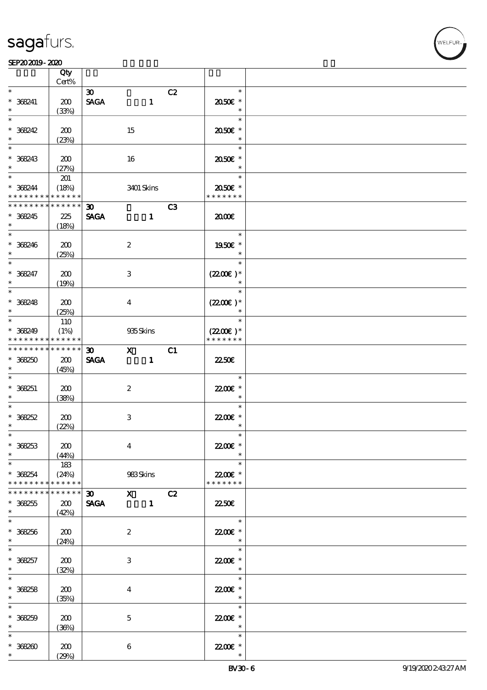VELEUR

|                                                        | Qty<br>$Cert\%$             |                                            |                  |                                                                                                                                                                                                                                                                                                                                 |    |                                       |  |
|--------------------------------------------------------|-----------------------------|--------------------------------------------|------------------|---------------------------------------------------------------------------------------------------------------------------------------------------------------------------------------------------------------------------------------------------------------------------------------------------------------------------------|----|---------------------------------------|--|
| $\ast$                                                 |                             |                                            |                  |                                                                                                                                                                                                                                                                                                                                 |    | $\ast$                                |  |
| $* 368241$<br>$\ast$                                   | 200<br>(33%)                | $\boldsymbol{\mathfrak{D}}$<br><b>SAGA</b> |                  | $\mathbf{1}$                                                                                                                                                                                                                                                                                                                    | C2 | 2050€ *<br>$\ast$                     |  |
| $\overline{\ast}$                                      |                             |                                            |                  |                                                                                                                                                                                                                                                                                                                                 |    | $\ast$                                |  |
| $* 368242$<br>$\ast$                                   | 200<br>(23%)                |                                            | 15               |                                                                                                                                                                                                                                                                                                                                 |    | 2050E *<br>$\ast$                     |  |
| $\ast$                                                 |                             |                                            |                  |                                                                                                                                                                                                                                                                                                                                 |    | $\ast$                                |  |
| $* 368243$<br>$\ast$                                   | 200<br>(27%)                |                                            | 16               |                                                                                                                                                                                                                                                                                                                                 |    | 2050E *<br>$\ast$                     |  |
| $\ast$                                                 | 201                         |                                            |                  |                                                                                                                                                                                                                                                                                                                                 |    | $\ast$                                |  |
| $* 368244$<br>* * * * * * * * <mark>* * * * * *</mark> | (18%)                       |                                            |                  | 3401 Skins                                                                                                                                                                                                                                                                                                                      |    | 2050E *<br>* * * * * * *              |  |
| * * * * * * * * * * * * * *                            |                             | $30-1$                                     |                  |                                                                                                                                                                                                                                                                                                                                 | C3 |                                       |  |
| * 368245<br>$\ast$                                     | 225<br>(18%)                | <b>SAGA</b>                                |                  | $\mathbf{1}$                                                                                                                                                                                                                                                                                                                    |    | 2000                                  |  |
| $\overline{\phantom{0}}$                               |                             |                                            |                  |                                                                                                                                                                                                                                                                                                                                 |    | $\ast$                                |  |
| $* 368246$<br>$\ast$                                   | 200<br>(25%)                |                                            | $\boldsymbol{2}$ |                                                                                                                                                                                                                                                                                                                                 |    | 1950E *<br>$\ast$                     |  |
| $\ast$                                                 |                             |                                            |                  |                                                                                                                                                                                                                                                                                                                                 |    | $\ast$                                |  |
| $* 368247$<br>$\ast$                                   | 200<br>(19%)                |                                            | $\,3$            |                                                                                                                                                                                                                                                                                                                                 |    | $(2200\varepsilon)*$<br>$\ast$        |  |
| $\overline{\ast}$                                      |                             |                                            |                  |                                                                                                                                                                                                                                                                                                                                 |    | $\ast$                                |  |
| $* 368248$<br>$\ast$                                   | 200<br>(25%)                |                                            | $\bf{4}$         |                                                                                                                                                                                                                                                                                                                                 |    | $(2200\varepsilon)*$<br>$\ast$        |  |
| $\ast$                                                 | 110                         |                                            |                  |                                                                                                                                                                                                                                                                                                                                 |    | $\ast$                                |  |
| $* 368249$<br>* * * * * * * * <mark>* * * * * *</mark> | (1%)                        |                                            | 935Skins         |                                                                                                                                                                                                                                                                                                                                 |    | $(2200\varepsilon)*$<br>* * * * * * * |  |
| * * * * * * * *                                        | * * * * * *                 | 30 <sub>o</sub>                            |                  | $\mathbf x$ and $\mathbf x$ and $\mathbf x$ and $\mathbf x$ and $\mathbf x$ and $\mathbf x$ and $\mathbf x$ and $\mathbf x$ and $\mathbf x$ and $\mathbf x$ and $\mathbf x$ and $\mathbf x$ and $\mathbf x$ and $\mathbf x$ and $\mathbf x$ and $\mathbf x$ and $\mathbf x$ and $\mathbf x$ and $\mathbf x$ and $\mathbf x$ and | C1 |                                       |  |
| $* 368250$<br>$\ast$                                   | 200<br>(45%)                | <b>SAGA</b>                                |                  | $\mathbf{1}$                                                                                                                                                                                                                                                                                                                    |    | <b>2250€</b>                          |  |
| $\ast$<br>$* 368251$                                   | 200                         |                                            | $\boldsymbol{2}$ |                                                                                                                                                                                                                                                                                                                                 |    | $\ast$<br>22.00 £*                    |  |
| $\ast$                                                 | (38%)                       |                                            |                  |                                                                                                                                                                                                                                                                                                                                 |    | $\ast$                                |  |
| $\overline{\phantom{0}}$                               |                             |                                            |                  |                                                                                                                                                                                                                                                                                                                                 |    | $\ast$                                |  |
| $* 368252$                                             | 200                         |                                            | $\,3$            |                                                                                                                                                                                                                                                                                                                                 |    | 22.00 £*                              |  |
| $\ast$                                                 | (22%)                       |                                            |                  |                                                                                                                                                                                                                                                                                                                                 |    | $\ast$                                |  |
| $*$<br>$* 36253$<br>$\ast$                             | 200                         |                                            | $\boldsymbol{4}$ |                                                                                                                                                                                                                                                                                                                                 |    | $\ast$<br>22.00E *<br>$\ast$          |  |
| $\ast$                                                 | (44%)                       |                                            |                  |                                                                                                                                                                                                                                                                                                                                 |    | $\ast$                                |  |
| $* 368254$<br>* * * * * * * *                          | 183<br>(24%)<br>* * * * * * |                                            | 983Skins         |                                                                                                                                                                                                                                                                                                                                 |    | 22.00€ *<br>* * * * * * *             |  |
| * * * * * * *                                          | * * * * * *                 | 30 X C2                                    |                  |                                                                                                                                                                                                                                                                                                                                 |    |                                       |  |
| $* 368255$<br>$\ast$                                   | 200<br>(42%)                | <b>SAGA</b>                                |                  | $\blacksquare$                                                                                                                                                                                                                                                                                                                  |    | <b>22.50E</b>                         |  |
| $\ast$                                                 |                             |                                            |                  |                                                                                                                                                                                                                                                                                                                                 |    | $\ast$                                |  |
| $* 368256$<br>$*$                                      | 200<br>(24%)                |                                            | $\boldsymbol{2}$ |                                                                                                                                                                                                                                                                                                                                 |    | 22.00 £*<br>$\ast$                    |  |
| $\ast$                                                 |                             |                                            |                  |                                                                                                                                                                                                                                                                                                                                 |    | $\ast$                                |  |
| $* 368257$<br>$*$                                      | 200<br>(32%)                |                                            | 3                |                                                                                                                                                                                                                                                                                                                                 |    | 22.00 £*<br>$\ast$                    |  |
| $\overline{\ast}$<br>$* 368258$                        | 200                         |                                            | $\bf{4}$         |                                                                                                                                                                                                                                                                                                                                 |    | $\ast$<br>22.00E *                    |  |
| $\ast$                                                 | (35%)                       |                                            |                  |                                                                                                                                                                                                                                                                                                                                 |    | $\ast$                                |  |
| $\ast$                                                 |                             |                                            |                  |                                                                                                                                                                                                                                                                                                                                 |    | $\ast$                                |  |
| $* 368259$<br>$\ast$                                   | 200<br>(36%)                |                                            | $\mathbf 5$      |                                                                                                                                                                                                                                                                                                                                 |    | 22.00€ *<br>$\ast$                    |  |
| $\ast$                                                 |                             |                                            |                  |                                                                                                                                                                                                                                                                                                                                 |    | $\ast$                                |  |
| $* 368200$<br>$\ast$                                   | 200<br>(29%)                |                                            | 6                |                                                                                                                                                                                                                                                                                                                                 |    | 22.00 £*                              |  |
|                                                        |                             |                                            |                  |                                                                                                                                                                                                                                                                                                                                 |    |                                       |  |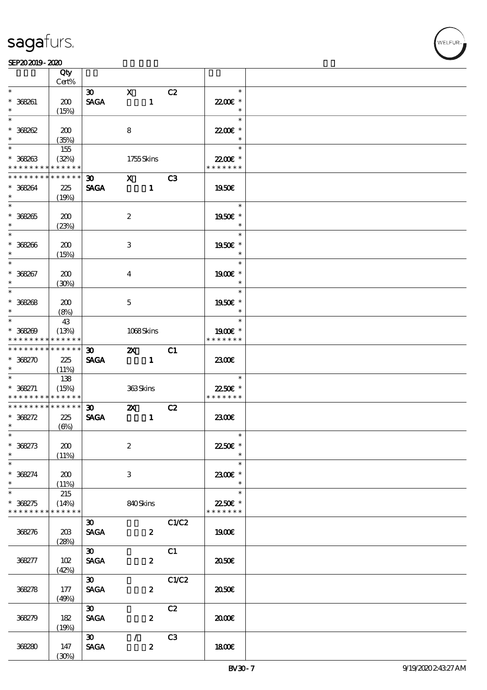|                                          | Qty<br>Cert% |                             |                         |                  |                |                  |  |
|------------------------------------------|--------------|-----------------------------|-------------------------|------------------|----------------|------------------|--|
| $\ast$                                   |              |                             |                         |                  |                | $\ast$           |  |
|                                          |              | 30                          | $\mathbf{X}$            |                  | C2             |                  |  |
| $* 368261$                               | 200          | <b>SAGA</b>                 |                         | $\mathbf{1}$     |                | 22.00€ *         |  |
| $\ast$                                   | (15%)        |                             |                         |                  |                | $\ast$           |  |
| $\overline{\ast}$                        |              |                             |                         |                  |                | $\ast$           |  |
| $* 368262$                               | 200          |                             | 8                       |                  |                | 22.00€ *         |  |
| $\ast$                                   | (35%)        |                             |                         |                  |                | $\ast$           |  |
| $\overline{\ast}$                        | 155          |                             |                         |                  |                | $\ast$           |  |
| $* 368263$                               | (32%)        |                             | 1755Skins               |                  |                | 22.00 £*         |  |
| * * * * * * * * * * * * * *              |              |                             |                         |                  |                | * * * * * * *    |  |
|                                          |              |                             |                         |                  |                |                  |  |
| * * * * * * * * <mark>* * * * * *</mark> |              | 30 <sub>o</sub>             | $X$ $C3$                |                  |                |                  |  |
| * 368264                                 | 225          | <b>SAGA</b>                 |                         | $\mathbf{1}$     |                | 1950E            |  |
| $\ast$                                   | (19%)        |                             |                         |                  |                |                  |  |
| $\overline{\phantom{0}}$                 |              |                             |                         |                  |                | an T<br>$\ast$   |  |
| $* 368265$                               | 200          |                             | $\boldsymbol{2}$        |                  |                | 1950€ *          |  |
| $\ast$                                   | (23%)        |                             |                         |                  |                | $\ast$           |  |
| $*$                                      |              |                             |                         |                  |                | $\ast$           |  |
| $* 368266$                               | 200          |                             | 3                       |                  |                | 1950E *          |  |
| $\ast$                                   |              |                             |                         |                  |                | $\ast$           |  |
| $\ast$                                   | (15%)        |                             |                         |                  |                |                  |  |
|                                          |              |                             |                         |                  |                | $\ast$           |  |
| $* 368267$                               | 200          |                             | $\overline{\mathbf{4}}$ |                  |                | 1900E *          |  |
| $\ast$                                   | (30%)        |                             |                         |                  |                | $\ast$           |  |
| $\overline{\phantom{0}}$                 |              |                             |                         |                  |                | $\ast$           |  |
| $* 368268$                               | 200          |                             | $\mathbf{5}$            |                  |                | 1950E *          |  |
| $\ast$                                   | (8%)         |                             |                         |                  |                | $\ast$           |  |
| $\ast$                                   | 43           |                             |                         |                  |                | $\ast$           |  |
| $* 368809$                               | (13%)        |                             | 1068Skins               |                  |                | 1900E *          |  |
| * * * * * * * *                          | * * * * * *  |                             |                         |                  |                | * * * * * * *    |  |
| * * * * * * * * <mark>* * * * * *</mark> |              |                             |                         |                  |                |                  |  |
|                                          |              | 30 <sub>o</sub>             | $\mathbf{z}$            |                  | C1             |                  |  |
| $* 368270$                               | 225          | <b>SAGA</b>                 | $\blacksquare$          |                  |                | 2300€            |  |
| $\ast$<br>$\overline{\phantom{a}^*}$     | (11%)        |                             |                         |                  |                |                  |  |
|                                          | 138          |                             |                         |                  |                | a sa T<br>$\ast$ |  |
| $* 368271$                               | (15%)        |                             | 363Skins                |                  |                | 22.50€ *         |  |
| * * * * * * * * * * * * * *              |              |                             |                         |                  |                | * * * * * * *    |  |
| * * * * * * * * * * * * * *              |              | $\infty$                    | $\mathbf{x}$            |                  | C2             |                  |  |
| $* 368272$                               | 225          | <b>SAGA</b>                 |                         | $\mathbf{1}$     |                | 2300E            |  |
| $*$                                      | $(\Theta)$   |                             |                         |                  |                |                  |  |
| $*$ $*$                                  |              |                             |                         |                  |                | $\ast$           |  |
| $* 368273$                               | 200          |                             | $\boldsymbol{2}$        |                  |                | 22.50€ *         |  |
| $\ast$                                   | (11%)        |                             |                         |                  |                | $\ast$           |  |
| $\ast$                                   |              |                             |                         |                  |                | $\ast$           |  |
|                                          |              |                             |                         |                  |                |                  |  |
| $* 368274$                               | 200          |                             | 3                       |                  |                | 2300€ *          |  |
| $\ast$                                   | (11%)        |                             |                         |                  |                | $\ast$           |  |
| $\ast$                                   | 215          |                             |                         |                  |                | $\ast$           |  |
| $* 368275$                               | (14%)        |                             | 840Skins                |                  |                | 22.50€ *         |  |
| * * * * * * * * * * * * * *              |              |                             |                         |                  |                | * * * * * * *    |  |
|                                          |              | $30-1$                      |                         |                  | C1/C2          |                  |  |
| 368276                                   | 203          | <b>SAGA</b>                 |                         | $\boldsymbol{2}$ |                | 1900E            |  |
|                                          | (28%)        |                             |                         |                  |                |                  |  |
|                                          |              | $\infty$                    |                         |                  | C1             |                  |  |
| 368277                                   | 102          | <b>SAGA</b>                 |                         | $\boldsymbol{z}$ |                | 2050             |  |
|                                          | (42%)        |                             |                         |                  |                |                  |  |
|                                          |              | $\infty$                    |                         |                  | C1/C2          |                  |  |
|                                          |              |                             |                         |                  |                |                  |  |
| 368278                                   | 177          | <b>SAGA</b>                 |                         | $\boldsymbol{z}$ |                | ææ               |  |
|                                          | (49%)        |                             |                         |                  |                |                  |  |
|                                          |              | $\boldsymbol{\mathfrak{D}}$ |                         |                  | C2             |                  |  |
| 368279                                   | $182$        | <b>SAGA</b>                 |                         | $\boldsymbol{z}$ |                | 2000€            |  |
|                                          | (19%)        |                             |                         |                  |                |                  |  |
|                                          |              | $\infty$                    | $\mathcal{L}$           |                  | C <sub>3</sub> |                  |  |
| 368280                                   | 147          | <b>SAGA</b>                 |                         | $\boldsymbol{z}$ |                | 1800E            |  |
|                                          | (30%)        |                             |                         |                  |                |                  |  |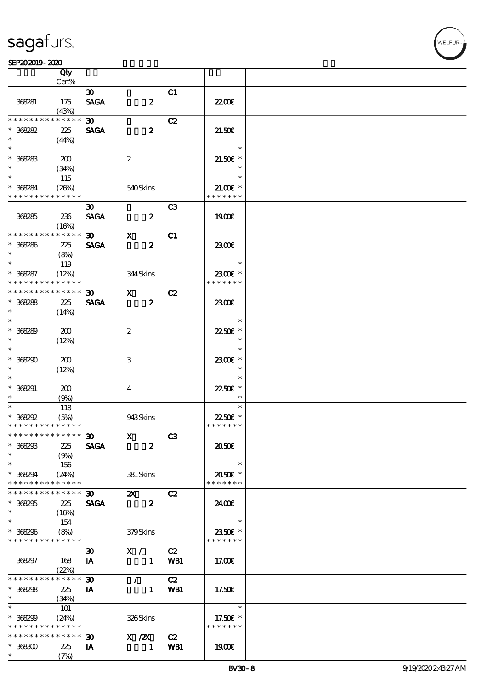#### $SEP202019 - 2020$  $\frac{\text{SEP202019 - 2020}}{\text{C}}$

|                                | Qty                  |                             |                                  |                |                              |  |
|--------------------------------|----------------------|-----------------------------|----------------------------------|----------------|------------------------------|--|
|                                | Cert%                |                             |                                  |                |                              |  |
|                                |                      | $\boldsymbol{\mathfrak{D}}$ |                                  | C1             |                              |  |
| 368281                         | 175                  | <b>SAGA</b>                 | $\boldsymbol{z}$                 |                | 2200                         |  |
| * * * * * * * *                | (43%)<br>* * * * * * | $\boldsymbol{\mathfrak{D}}$ |                                  |                |                              |  |
| $* 368282$                     |                      |                             |                                  | C2             |                              |  |
| $\ast$                         | 225                  | <b>SAGA</b>                 | $\boldsymbol{z}$                 |                | 21.50E                       |  |
|                                | (44%)                |                             |                                  |                | $\ast$                       |  |
|                                |                      |                             |                                  |                |                              |  |
| $* 368283$<br>$\ast$           | 200                  |                             | $\boldsymbol{2}$                 |                | $21.50E$ *<br>$\ast$         |  |
| $\ast$                         | (34%)                |                             |                                  |                | $\ast$                       |  |
|                                | 115                  |                             |                                  |                |                              |  |
| $* 368284$<br>* * * * * * * *  | (20%)<br>* * * * * * |                             | 540Skins                         |                | $21.00$ $*$<br>* * * * * * * |  |
|                                |                      |                             |                                  |                |                              |  |
|                                |                      | $\boldsymbol{\mathfrak{D}}$ |                                  | C <sub>3</sub> |                              |  |
| 368285                         | 236                  | <b>SAGA</b>                 | $\boldsymbol{z}$                 |                | <b>1900€</b>                 |  |
| * * * * * * * *                | (16%)<br>* * * * * * |                             |                                  |                |                              |  |
|                                |                      | 30 <sub>2</sub>             | $\mathbf{X}$                     | C1             |                              |  |
| $* 368286$<br>$\ast$           | 225                  | <b>SAGA</b>                 | $\boldsymbol{z}$                 |                | 2300E                        |  |
| $\ast$                         | (8%)                 |                             |                                  |                | $\ast$                       |  |
| $* 368287$                     | 119<br>(12%)         |                             | 344Skins                         |                | 2300€ *                      |  |
| * * * * * * * *                | * * * * * *          |                             |                                  |                | * * * * * * *                |  |
| * * * * * * * *                | * * * * * *          | $\boldsymbol{\mathfrak{D}}$ |                                  | C2             |                              |  |
| $* 368288$                     |                      | <b>SAGA</b>                 | $\mathbf{X}$<br>$\boldsymbol{z}$ |                | 2300E                        |  |
| $\ast$                         | 225                  |                             |                                  |                |                              |  |
|                                | (14%)                |                             |                                  |                | $\ast$                       |  |
| $* 368289$                     | 200                  |                             | $\boldsymbol{2}$                 |                | 22.50€ *                     |  |
| $\ast$                         | (12%)                |                             |                                  |                | $\ast$                       |  |
| $\ast$                         |                      |                             |                                  |                | $\ast$                       |  |
| $* 36820$                      | 200                  |                             | 3                                |                | 2300E *                      |  |
| $\ast$                         | (12%)                |                             |                                  |                | $\ast$                       |  |
| $\ast$                         |                      |                             |                                  |                | $\ast$                       |  |
| $* 368291$                     | 200                  |                             |                                  |                | 22.50€ *                     |  |
| $\ast$                         | (9%)                 |                             | $\overline{\mathbf{4}}$          |                | $\ast$                       |  |
| $*$                            | 118                  |                             |                                  |                | $\ast$                       |  |
| $*368292$                      | (5%)                 |                             | 943Skins                         |                | 22.50€ *                     |  |
| * * * * * * * * * * * * * *    |                      |                             |                                  |                | * * * * * * *                |  |
| *************** 30             |                      |                             | $X$ C3                           |                |                              |  |
| $* 368293$                     | 225                  | <b>SAGA</b>                 | $\boldsymbol{z}$                 |                | ææ                           |  |
| $\ast$                         | (9%)                 |                             |                                  |                |                              |  |
| $\ast$                         | 156                  |                             |                                  |                | $\ast$                       |  |
| * 368294                       | (24%)                |                             | 381 Skins                        |                | 2050E *                      |  |
| * * * * * * * *                | * * * * * *          |                             |                                  |                | * * * * * * *                |  |
| * * * * * * * *                | * * * * * *          | $\infty$                    | $\boldsymbol{\mathsf{Z}}$        | C2             |                              |  |
| $* 368295$                     | 225                  | <b>SAGA</b>                 | $\boldsymbol{z}$                 |                | 2400€                        |  |
| $\ast$                         | (16%)                |                             |                                  |                |                              |  |
| $\ast$                         | 154                  |                             |                                  |                | $\ast$                       |  |
| $* 368296$                     | (8%)                 |                             | 379Skins                         |                | 2350€ *                      |  |
| * * * * * * * * * * * * * *    |                      |                             |                                  |                | * * * * * * *                |  |
|                                |                      | $\boldsymbol{\mathfrak{D}}$ | X /                              | C2             |                              |  |
| 368297                         | 168                  | IA                          | $\blacksquare$                   | WB1            | 17.00E                       |  |
|                                | (22%)                |                             |                                  |                |                              |  |
| * * * * * * * *                | * * * * * *          | $\boldsymbol{\mathfrak{D}}$ | $\mathcal{T}^{\pm}$              | C2             |                              |  |
| $* 368298$                     | 225                  | IA                          | $\mathbf{1}$                     | WB1            | 17.50E                       |  |
| $\ast$                         | (34%)                |                             |                                  |                |                              |  |
| $\ast$                         | 101                  |                             |                                  |                | $\ast$                       |  |
| $* 368299$                     | (24%)                |                             | 326Skins                         |                | 17.50€ *                     |  |
| * * * * * * * * <mark>*</mark> | * * * * * *          |                             |                                  |                | * * * * * * *                |  |
| * * * * * * * *                | $* * * * * * *$      | $\boldsymbol{\mathfrak{D}}$ | $X \, /ZX$                       | C2             |                              |  |
| $* 368300$                     | 225                  | IA                          | $\mathbf{1}$                     | WB1            | 1900E                        |  |
| $\ast$                         | (7%)                 |                             |                                  |                |                              |  |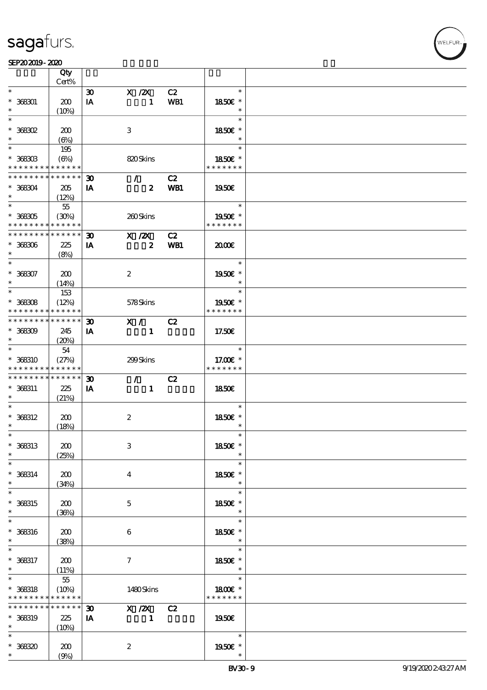#### $SEP202019 - 2020$

|                                            | Qty<br>Cert%    |                             |                  |     |                      |  |
|--------------------------------------------|-----------------|-----------------------------|------------------|-----|----------------------|--|
|                                            |                 |                             |                  |     |                      |  |
| $\ast$                                     |                 | $\boldsymbol{\mathfrak{D}}$ | $X$ / $ZX$       | C2  | $\ast$               |  |
| $* 368001$                                 | 200             | IA                          | $\mathbf{1}$     | WB1 | 1850E *              |  |
|                                            | $(10\%)$        |                             |                  |     | $\ast$               |  |
| $\ast$                                     |                 |                             |                  |     | $\ast$               |  |
|                                            |                 |                             |                  |     |                      |  |
| $*$ 368302                                 | 200             |                             | 3                |     | 1850 $\varepsilon$ * |  |
| $\ast$                                     | $(\Theta)$      |                             |                  |     | $\ast$               |  |
|                                            | 195             |                             |                  |     | $\ast$               |  |
|                                            |                 |                             |                  |     |                      |  |
| $* 368303$                                 | (6%)            |                             | 820Skins         |     | 1850E *              |  |
| * * * * * * * *                            | * * * * * *     |                             |                  |     | * * * * * * *        |  |
| * * * * * * * *                            | $* * * * * * *$ | $\boldsymbol{\mathfrak{D}}$ | $\mathcal{F}$    | C2  |                      |  |
| $* 368304$                                 | 205             | IA                          | $\boldsymbol{z}$ | WB1 | 1950E                |  |
| $*$                                        |                 |                             |                  |     |                      |  |
|                                            | (12%)           |                             |                  |     |                      |  |
| $*$                                        | $55\,$          |                             |                  |     | $\ast$               |  |
| $* 368305$                                 | (30%)           |                             | 260Skins         |     | 1950€ *              |  |
| * * * * * * * * <mark>* * * * * * *</mark> |                 |                             |                  |     | * * * * * * *        |  |
| * * * * * * * *                            | * * * * * *     |                             |                  |     |                      |  |
|                                            |                 | $\boldsymbol{\mathfrak{D}}$ | $X$ / $ZX$       | C2  |                      |  |
| $* 368306$                                 | 225             | IA                          | $\boldsymbol{z}$ | WB1 | 2000                 |  |
| $\ast$                                     | (8%)            |                             |                  |     |                      |  |
| $\ast$                                     |                 |                             |                  |     | $\ast$               |  |
|                                            |                 |                             |                  |     |                      |  |
| $* 368307$                                 | 200             |                             | $\boldsymbol{2}$ |     | 1950€ *              |  |
| $\ast$                                     | (14%)           |                             |                  |     | $\ast$               |  |
| $\ast$                                     | 153             |                             |                  |     | $\ast$               |  |
| $* 368308$                                 | (12%)           |                             |                  |     | 1950 $\varepsilon$ * |  |
|                                            |                 |                             | 578Skins         |     |                      |  |
| * * * * * * * *                            | * * * * * *     |                             |                  |     | * * * * * * *        |  |
| * * * * * * * *                            | * * * * * *     | $\boldsymbol{\mathfrak{D}}$ | X /              | C2  |                      |  |
| $* 368309$                                 | 245             | IA                          | $\mathbf{1}$     |     | 17.50E               |  |
| $\ast$                                     |                 |                             |                  |     |                      |  |
|                                            | (20%)           |                             |                  |     |                      |  |
|                                            | 54              |                             |                  |     | $\ast$               |  |
| * 368310                                   | (27%)           |                             | 299Skins         |     | 17.00€ *             |  |
| * * * * * * * *                            | * * * * * *     |                             |                  |     | * * * * * * *        |  |
| * * * * * * * *                            | * * * * * *     |                             |                  |     |                      |  |
|                                            |                 | $\boldsymbol{\mathfrak{D}}$ | $\mathcal{F}$    | C2  |                      |  |
| * 368311                                   | 225             | IA                          | $\mathbf{1}$     |     | 1850E                |  |
| $\ast$                                     | (21%)           |                             |                  |     |                      |  |
| $\ast$                                     |                 |                             |                  |     | $\ast$               |  |
| $* 368312$                                 | 200             |                             | $\boldsymbol{2}$ |     | 1850E *              |  |
|                                            |                 |                             |                  |     |                      |  |
| $\ast$                                     | (18%)           |                             |                  |     | $\ast$               |  |
| $\ast$                                     |                 |                             |                  |     | $\ast$               |  |
| * 368313                                   | 200             |                             | $\,3$            |     | 1850€ *              |  |
| $\ast$                                     |                 |                             |                  |     | $\ast$               |  |
| $\ast$                                     | (25%)           |                             |                  |     | $\ast$               |  |
|                                            |                 |                             |                  |     |                      |  |
| $* 368314$                                 | 200             |                             | 4                |     | 1850E *              |  |
| $\ast$                                     | (34%)           |                             |                  |     | $\ast$               |  |
| $\ast$                                     |                 |                             |                  |     | $\ast$               |  |
|                                            |                 |                             |                  |     |                      |  |
| * 368315                                   | 200             |                             | $\mathbf{5}$     |     | 1850E *              |  |
| $\ast$                                     | (36%)           |                             |                  |     | $\ast$               |  |
| $\ast$                                     |                 |                             |                  |     | $\ast$               |  |
| $* 368316$                                 | 200             |                             | 6                |     | 1850E *              |  |
|                                            |                 |                             |                  |     | $\ast$               |  |
| $*$                                        | (38%)           |                             |                  |     |                      |  |
| $\ast$                                     |                 |                             |                  |     | $\ast$               |  |
| * 368317                                   | 200             |                             | $\tau$           |     | 1850E *              |  |
| $\ast$                                     | (11%)           |                             |                  |     | $\ast$               |  |
| $\ast$                                     |                 |                             |                  |     | $\ast$               |  |
|                                            | $5\!5$          |                             |                  |     |                      |  |
| $* 368318$                                 | (10%)           |                             | 1480Skins        |     | 1800E *              |  |
| * * * * * * * *                            | * * * * * *     |                             |                  |     | * * * * * * *        |  |
| * * * * * * * *                            | * * * * * *     | $\boldsymbol{\mathfrak{D}}$ | X / ZX           | C2  |                      |  |
|                                            |                 |                             |                  |     |                      |  |
| * 368319                                   | 225             | IA                          | $\mathbf{1}$     |     | 1950E                |  |
| $*$ and $*$                                | (10%)           |                             |                  |     |                      |  |
| $\ast$                                     |                 |                             |                  |     | $\ast$               |  |
|                                            |                 |                             |                  |     |                      |  |
|                                            |                 |                             |                  |     |                      |  |
| $* 36830$<br>$\ast$                        | 200<br>(9%)     |                             | $\boldsymbol{z}$ |     | 1950E *<br>$\ast$    |  |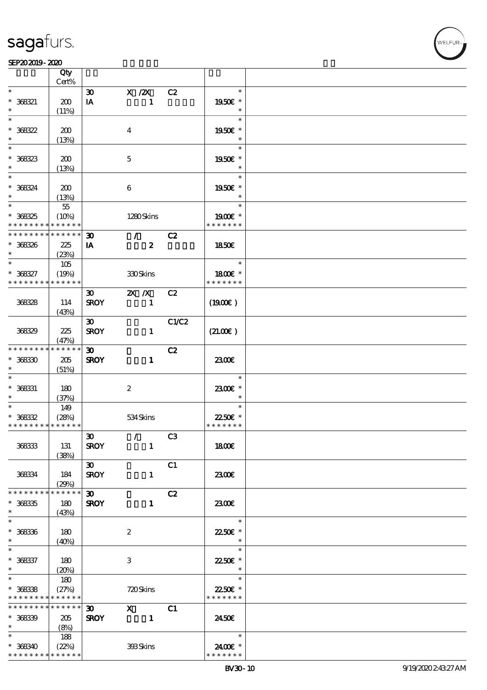#### $SEP202019 - 2020$  $\frac{\text{SEP202019-2020}}{\text{CUV}}$

|                             | Qty<br>Cert%               |                             |                                                                                                                                                                                                                                                                                                                                                                                                                                                               |       |               |  |
|-----------------------------|----------------------------|-----------------------------|---------------------------------------------------------------------------------------------------------------------------------------------------------------------------------------------------------------------------------------------------------------------------------------------------------------------------------------------------------------------------------------------------------------------------------------------------------------|-------|---------------|--|
| $\ast$                      |                            |                             |                                                                                                                                                                                                                                                                                                                                                                                                                                                               |       | $\ast$        |  |
|                             |                            | $\boldsymbol{\mathfrak{D}}$ | X / ZX                                                                                                                                                                                                                                                                                                                                                                                                                                                        | C2    |               |  |
| $* 368321$                  | 200                        | IA                          | $\mathbf{1}$                                                                                                                                                                                                                                                                                                                                                                                                                                                  |       | 1950E *       |  |
|                             | (11%)                      |                             |                                                                                                                                                                                                                                                                                                                                                                                                                                                               |       | $\ast$        |  |
| $\ast$                      |                            |                             |                                                                                                                                                                                                                                                                                                                                                                                                                                                               |       | $\ast$        |  |
| $* 368322$                  | 200                        |                             | $\bf{4}$                                                                                                                                                                                                                                                                                                                                                                                                                                                      |       | 1950E *       |  |
| $\ast$                      | (13%)                      |                             |                                                                                                                                                                                                                                                                                                                                                                                                                                                               |       | $\ast$        |  |
|                             |                            |                             |                                                                                                                                                                                                                                                                                                                                                                                                                                                               |       | $\ast$        |  |
| $* 368323$                  | 200                        |                             | $\mathbf 5$                                                                                                                                                                                                                                                                                                                                                                                                                                                   |       | 1950E *       |  |
| $\ast$                      | (13%)                      |                             |                                                                                                                                                                                                                                                                                                                                                                                                                                                               |       | $\ast$        |  |
| $*$                         |                            |                             |                                                                                                                                                                                                                                                                                                                                                                                                                                                               |       | $\ast$        |  |
|                             |                            |                             |                                                                                                                                                                                                                                                                                                                                                                                                                                                               |       |               |  |
| $* 368324$                  | 200                        |                             | 6                                                                                                                                                                                                                                                                                                                                                                                                                                                             |       | 1950E *       |  |
| $\ast$                      | (13%)                      |                             |                                                                                                                                                                                                                                                                                                                                                                                                                                                               |       | $\ast$        |  |
| $*$                         | $5\!5$                     |                             |                                                                                                                                                                                                                                                                                                                                                                                                                                                               |       | $\ast$        |  |
| $* 368325$                  | (10%)                      |                             | 1280Skins                                                                                                                                                                                                                                                                                                                                                                                                                                                     |       | $1900E$ *     |  |
| * * * * * * * *             | $* * * * * * *$            |                             |                                                                                                                                                                                                                                                                                                                                                                                                                                                               |       | * * * * * * * |  |
| * * * * * * * *             | * * * * * *                | $\boldsymbol{\mathfrak{D}}$ | $\mathcal{F}$                                                                                                                                                                                                                                                                                                                                                                                                                                                 | C2    |               |  |
| $* 368326$                  | 225                        | IA                          | $\boldsymbol{z}$                                                                                                                                                                                                                                                                                                                                                                                                                                              |       | 1850E         |  |
| $\ast$                      | (23%)                      |                             |                                                                                                                                                                                                                                                                                                                                                                                                                                                               |       |               |  |
| $\ast$                      | 105                        |                             |                                                                                                                                                                                                                                                                                                                                                                                                                                                               |       | $\ast$        |  |
| $* 368327$                  | (19%)                      |                             | 330Skins                                                                                                                                                                                                                                                                                                                                                                                                                                                      |       | 1800E *       |  |
| * * * * * * * *             | * * * * * *                |                             |                                                                                                                                                                                                                                                                                                                                                                                                                                                               |       | * * * * * * * |  |
|                             |                            |                             |                                                                                                                                                                                                                                                                                                                                                                                                                                                               |       |               |  |
|                             |                            | $\boldsymbol{\mathfrak{D}}$ | $X$ $X$                                                                                                                                                                                                                                                                                                                                                                                                                                                       | C2    |               |  |
| 36828                       | 114                        | <b>SROY</b>                 | $\mathbf{1}$                                                                                                                                                                                                                                                                                                                                                                                                                                                  |       | (1900E)       |  |
|                             | (43%)                      |                             |                                                                                                                                                                                                                                                                                                                                                                                                                                                               |       |               |  |
|                             |                            | $\boldsymbol{\mathfrak{D}}$ |                                                                                                                                                                                                                                                                                                                                                                                                                                                               | C1/C2 |               |  |
| 368329                      | 225                        | <b>SROY</b>                 | $\mathbf{1}$                                                                                                                                                                                                                                                                                                                                                                                                                                                  |       | (21.00)       |  |
|                             | (47%)                      |                             |                                                                                                                                                                                                                                                                                                                                                                                                                                                               |       |               |  |
| * * * * * * * *             | * * * * * *                | $\boldsymbol{\mathfrak{D}}$ |                                                                                                                                                                                                                                                                                                                                                                                                                                                               | C2    |               |  |
| $* 36830$                   | $205\,$                    | <b>SROY</b>                 | $\mathbf{1}$                                                                                                                                                                                                                                                                                                                                                                                                                                                  |       | 2300E         |  |
| $\ast$                      | (51%)                      |                             |                                                                                                                                                                                                                                                                                                                                                                                                                                                               |       |               |  |
| $\ast$                      |                            |                             |                                                                                                                                                                                                                                                                                                                                                                                                                                                               |       | $\ast$        |  |
|                             |                            |                             |                                                                                                                                                                                                                                                                                                                                                                                                                                                               |       |               |  |
| $* 368331$                  | 180                        |                             | $\boldsymbol{2}$                                                                                                                                                                                                                                                                                                                                                                                                                                              |       | 2300€ *       |  |
| $\ast$                      | (37%)                      |                             |                                                                                                                                                                                                                                                                                                                                                                                                                                                               |       | $\ast$        |  |
| $\ast$                      | 149                        |                             |                                                                                                                                                                                                                                                                                                                                                                                                                                                               |       | $\ast$        |  |
| $* 36832$                   | (28%)                      |                             | 534Skins                                                                                                                                                                                                                                                                                                                                                                                                                                                      |       | 22.50€ *      |  |
| * * * * * * * * * * * * * * |                            |                             |                                                                                                                                                                                                                                                                                                                                                                                                                                                               |       | * * * * * * * |  |
|                             |                            | $\boldsymbol{\mathfrak{D}}$ | $\mathcal{L}$ and $\mathcal{L}$                                                                                                                                                                                                                                                                                                                                                                                                                               | C3    |               |  |
| 36833                       | 131                        | <b>SROY</b>                 | $\mathbf{1}$                                                                                                                                                                                                                                                                                                                                                                                                                                                  |       | 1800E         |  |
|                             | (38%)                      |                             |                                                                                                                                                                                                                                                                                                                                                                                                                                                               |       |               |  |
|                             |                            | $\infty$                    |                                                                                                                                                                                                                                                                                                                                                                                                                                                               | C1    |               |  |
| 36834                       | 184                        | <b>SROY</b>                 | $\mathbf{1}$                                                                                                                                                                                                                                                                                                                                                                                                                                                  |       | 2300E         |  |
|                             | (29%)                      |                             |                                                                                                                                                                                                                                                                                                                                                                                                                                                               |       |               |  |
| * * * * * * * *             | * * * * * *                | $\boldsymbol{\mathfrak{D}}$ |                                                                                                                                                                                                                                                                                                                                                                                                                                                               | C2    |               |  |
|                             |                            |                             |                                                                                                                                                                                                                                                                                                                                                                                                                                                               |       |               |  |
| $* 36835$                   | 180                        | <b>SROY</b>                 | $\mathbf{1}$                                                                                                                                                                                                                                                                                                                                                                                                                                                  |       | 2300E         |  |
| $\ast$                      | (43%)                      |                             |                                                                                                                                                                                                                                                                                                                                                                                                                                                               |       |               |  |
| $\ast$                      |                            |                             |                                                                                                                                                                                                                                                                                                                                                                                                                                                               |       | $\ast$        |  |
| $* 368336$                  | 180                        |                             | $\boldsymbol{2}$                                                                                                                                                                                                                                                                                                                                                                                                                                              |       | 2250€ *       |  |
| $*$                         | (40%)                      |                             |                                                                                                                                                                                                                                                                                                                                                                                                                                                               |       | $\ast$        |  |
| $\ast$                      |                            |                             |                                                                                                                                                                                                                                                                                                                                                                                                                                                               |       | $\ast$        |  |
| $* 368337$                  | 180                        |                             | 3                                                                                                                                                                                                                                                                                                                                                                                                                                                             |       | 22.50€ *      |  |
| $\ast$                      | (20%)                      |                             |                                                                                                                                                                                                                                                                                                                                                                                                                                                               |       | $\ast$        |  |
| $\ast$                      | 180                        |                             |                                                                                                                                                                                                                                                                                                                                                                                                                                                               |       | $\ast$        |  |
| $* 36838$                   | (27%)                      |                             | 720Skins                                                                                                                                                                                                                                                                                                                                                                                                                                                      |       | 22.50€ *      |  |
| * * * * * * * *             | * * * * * *                |                             |                                                                                                                                                                                                                                                                                                                                                                                                                                                               |       | * * * * * * * |  |
| * * * * * * * *             | $\ast\ast\ast\ast\ast\ast$ |                             |                                                                                                                                                                                                                                                                                                                                                                                                                                                               |       |               |  |
|                             |                            | $\boldsymbol{\mathfrak{D}}$ | $\boldsymbol{\mathrm{X}}$ and $\boldsymbol{\mathrm{X}}$ and $\boldsymbol{\mathrm{X}}$ and $\boldsymbol{\mathrm{X}}$ and $\boldsymbol{\mathrm{X}}$ and $\boldsymbol{\mathrm{X}}$ and $\boldsymbol{\mathrm{X}}$ and $\boldsymbol{\mathrm{X}}$ and $\boldsymbol{\mathrm{X}}$ and $\boldsymbol{\mathrm{X}}$ and $\boldsymbol{\mathrm{X}}$ and $\boldsymbol{\mathrm{X}}$ and $\boldsymbol{\mathrm{X}}$ and $\boldsymbol{\mathrm{X}}$ and $\boldsymbol{\mathrm{X}}$ | C1    |               |  |
| $* 36839$                   | 205                        | <b>SROY</b>                 | $\sim$ $-1$                                                                                                                                                                                                                                                                                                                                                                                                                                                   |       | 2450E         |  |
| $*$                         | (8%)                       |                             |                                                                                                                                                                                                                                                                                                                                                                                                                                                               |       |               |  |
| $*$ and $*$                 | 188                        |                             |                                                                                                                                                                                                                                                                                                                                                                                                                                                               |       | $\ast$        |  |
| $* 368340$                  | (22%)                      |                             | 398Skins                                                                                                                                                                                                                                                                                                                                                                                                                                                      |       | 2400€ *       |  |
| * * * * * * * *             | * * * * * *                |                             |                                                                                                                                                                                                                                                                                                                                                                                                                                                               |       | * * * * * * * |  |

,<br>WELFUR: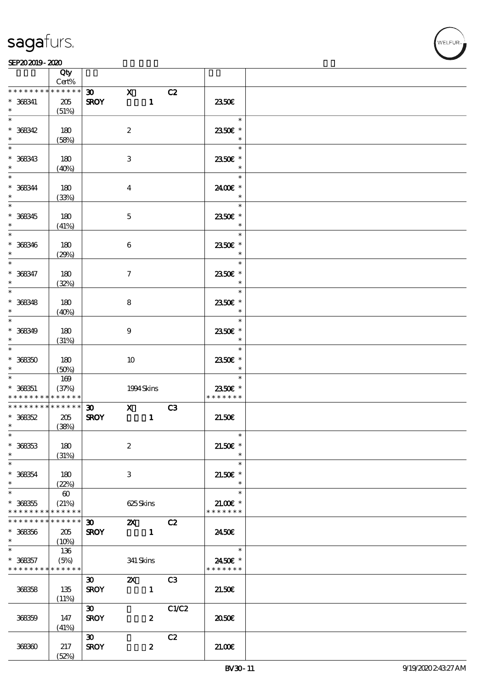

|                                                          | Qty<br>Cert%          |                                            |                           |                  |       |                             |  |
|----------------------------------------------------------|-----------------------|--------------------------------------------|---------------------------|------------------|-------|-----------------------------|--|
| * * * * * * * *                                          | * * * * * *           |                                            |                           |                  |       |                             |  |
| $* 368341$<br>$\ast$                                     | 205                   | $\boldsymbol{\mathfrak{D}}$<br><b>SROY</b> | $\mathbf{x}$              | $\mathbf{1}$     | C2    | 2350E                       |  |
|                                                          | (51%)                 |                                            |                           |                  |       |                             |  |
| $\ast$<br>$* 368342$<br>$\ast$                           | $180$                 |                                            | $\boldsymbol{2}$          |                  |       | $\ast$<br>2350€ *<br>$\ast$ |  |
|                                                          | (58%)                 |                                            |                           |                  |       |                             |  |
| $\ast$<br>$* 368343$<br>$\ast$                           | 180<br>(40%)          |                                            | $\,3$                     |                  |       | $\ast$<br>2350E *<br>$\ast$ |  |
| $\ast$                                                   |                       |                                            |                           |                  |       | $\ast$                      |  |
| $* 368344$<br>$\ast$                                     | 180<br>(33%)          |                                            | $\boldsymbol{4}$          |                  |       | 2400€ *<br>$\ast$           |  |
| $\overline{\ast}$                                        |                       |                                            |                           |                  |       | $\ast$                      |  |
| $* 368345$<br>$\ast$                                     | 180<br>(41%)          |                                            | $\mathbf 5$               |                  |       | 2350E *<br>$\ast$           |  |
| $\ast$                                                   |                       |                                            |                           |                  |       | $\ast$                      |  |
| $* 368346$<br>$\ast$                                     | 180<br>(29%)          |                                            | $\boldsymbol{6}$          |                  |       | 2350E *<br>$\ast$           |  |
| $\ast$                                                   |                       |                                            |                           |                  |       | $\ast$                      |  |
| $* 368347$<br>$\ast$                                     | 180<br>(32%)          |                                            | $\boldsymbol{7}$          |                  |       | 2350E *<br>$\ast$           |  |
| $\overline{\ast}$                                        |                       |                                            |                           |                  |       | $\ast$                      |  |
| $* 368348$<br>$\ast$                                     | 180<br>(40%)          |                                            | 8                         |                  |       | 2350E *<br>$\ast$           |  |
| $\ast$                                                   |                       |                                            |                           |                  |       | $\ast$                      |  |
| $* 368349$<br>$\ast$                                     | 180<br>(31%)          |                                            | $\boldsymbol{9}$          |                  |       | 2350E *<br>$\ast$           |  |
| $\ast$                                                   |                       |                                            |                           |                  |       | $\ast$                      |  |
| $* 368350$<br>$\ast$                                     | 180<br>(50%)          |                                            | $10\,$                    |                  |       | 2350€ *<br>$\ast$           |  |
| $\ast$                                                   | $169$                 |                                            |                           |                  |       | $\ast$                      |  |
| $* 368351$                                               | (37%)                 |                                            | 1994 Skins                |                  |       | 2350E *                     |  |
| * * * * * * * * <mark>* * * * * *</mark> *               |                       |                                            |                           |                  |       | * * * * * * *               |  |
|                                                          |                       |                                            |                           |                  |       |                             |  |
| * * * * * * * *                                          | * * * * * *           | $\boldsymbol{\mathfrak{D}}$                | $\mathbf{x}$              |                  | C3    |                             |  |
| $* 368352$                                               | 205                   | <b>SROY</b>                                |                           | $\mathbf{1}$     |       | 21.50E                      |  |
| $\ast$                                                   | (38%)                 |                                            |                           |                  |       |                             |  |
| $*$                                                      |                       |                                            |                           |                  |       | $\ast$                      |  |
| $* 368353$<br>$\ast$                                     | 180<br>(31%)          |                                            | $\boldsymbol{2}$          |                  |       | $21.50E$ *<br>$\ast$        |  |
| $\ast$                                                   |                       |                                            |                           |                  |       | $\ast$                      |  |
| $* 368354$<br>$\ast$                                     | 180<br>(22%)          |                                            | 3                         |                  |       | $21.50E$ *<br>$\ast$        |  |
| $\ast$                                                   | $\boldsymbol{\omega}$ |                                            |                           |                  |       | $\ast$                      |  |
|                                                          |                       |                                            |                           |                  |       |                             |  |
| $* 368355$                                               | (21%)                 |                                            | 625Skins                  |                  |       | $21.00$ $*$                 |  |
| * * * * * * * *                                          | * * * * * *           |                                            |                           |                  |       | * * * * * * *               |  |
| * * * * * * * *                                          | * * * * * *           | $\boldsymbol{\mathfrak{D}}$                | $\mathbf{x}$              |                  | C2    |                             |  |
| $* 368356$<br>$\ast$                                     | 205<br>(10%)          | <b>SROY</b>                                |                           | $\blacksquare$   |       | 2450E                       |  |
| $\ast$                                                   | 136                   |                                            |                           |                  |       | $\ast$                      |  |
|                                                          |                       |                                            |                           |                  |       |                             |  |
| $* 368357$<br>* * * * * * * * <mark>* * * * * *</mark> * | (5%)                  |                                            | 341 Skins                 |                  |       | 2450€ *<br>* * * * * * *    |  |
|                                                          |                       | $\boldsymbol{\mathfrak{D}}$                | $\boldsymbol{\mathsf{Z}}$ |                  | C3    |                             |  |
| 368358                                                   | 135<br>(11%)          | <b>SROY</b>                                |                           | $\mathbf{1}$     |       | 21.50E                      |  |
|                                                          |                       | $\boldsymbol{\mathfrak{D}}$                |                           |                  | C1/C2 |                             |  |
| 368359                                                   | 147<br>(41%)          | <b>SROY</b>                                |                           | $\boldsymbol{z}$ |       | 2050E                       |  |
|                                                          |                       |                                            |                           |                  |       |                             |  |
| 368360                                                   | 217<br>(52%)          | $\boldsymbol{\mathfrak{D}}$<br><b>SROY</b> |                           | $\boldsymbol{z}$ | C2    | 21.00                       |  |
|                                                          |                       |                                            |                           |                  |       |                             |  |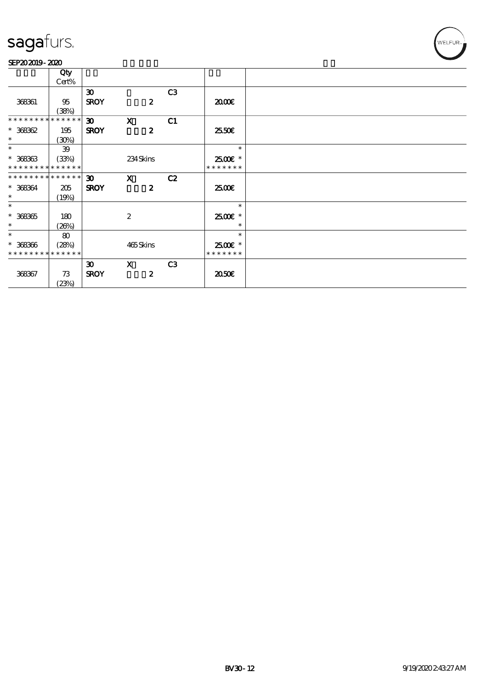#### SEP202019-2020

|                             | Qty         |                             |                  |                  |    |               |
|-----------------------------|-------------|-----------------------------|------------------|------------------|----|---------------|
|                             | Cert%       |                             |                  |                  |    |               |
|                             |             | $\boldsymbol{\mathfrak{D}}$ |                  |                  | C3 |               |
| 368361                      | 95          | <b>SROY</b>                 |                  | $\boldsymbol{z}$ |    | 2000          |
|                             |             |                             |                  |                  |    |               |
| * * * * * * * *             | (38%)       |                             |                  |                  |    |               |
|                             | * * * * * * | $\boldsymbol{\mathfrak{D}}$ | $\mathbf{x}$     |                  | C1 |               |
| $* 368362$                  | 195         | <b>SROY</b>                 |                  | $\boldsymbol{z}$ |    | 25.50€        |
| $\ast$                      | (30%)       |                             |                  |                  |    |               |
| $\ast$                      | 39          |                             |                  |                  |    | $\ast$        |
| $* 368363$                  | (33%)       |                             | 234Skins         |                  |    | $2500$ $*$    |
| * * * * * * * * * * * * * * |             |                             |                  |                  |    | * * * * * * * |
| * * * * * * * * * * * * * * |             | $\boldsymbol{\mathfrak{D}}$ | $\mathbf{x}$     |                  | C2 |               |
| $* 368364$                  | 205         | <b>SROY</b>                 |                  | $\boldsymbol{z}$ |    | 2500E         |
| $\ast$                      | (19%)       |                             |                  |                  |    |               |
| $\ast$                      |             |                             |                  |                  |    | $\ast$        |
|                             |             |                             |                  |                  |    |               |
| $* 368365$                  | 180         |                             | $\boldsymbol{2}$ |                  |    | 2500€ *       |
| $\ast$                      | (20%)       |                             |                  |                  |    | $\ast$        |
| $\ast$                      | 80          |                             |                  |                  |    | $\ast$        |
| $* 368366$                  | (28%)       |                             | 465Skins         |                  |    | 2500€*        |
| * * * * * * * *             | * * * * * * |                             |                  |                  |    | * * * * * * * |
|                             |             | $\boldsymbol{\mathfrak{D}}$ | $\mathbf{x}$     |                  | C3 |               |
| 368367                      | 73          | <b>SROY</b>                 |                  | $\boldsymbol{z}$ |    | 2050€         |
|                             | (23%)       |                             |                  |                  |    |               |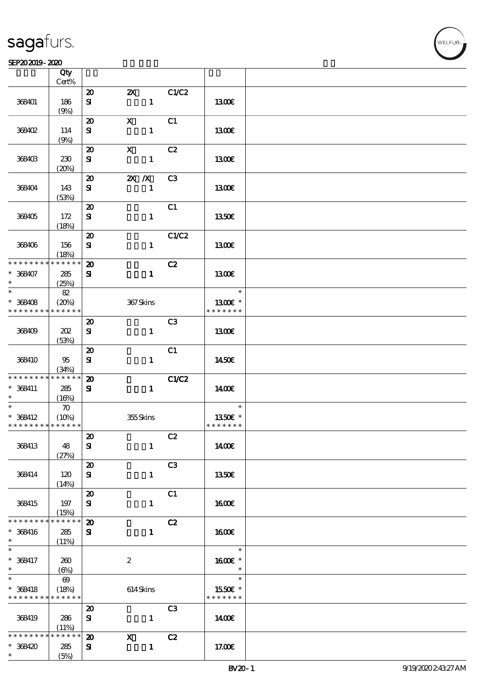#### $SEP202019 - 2020$  $\frac{\text{SEP202019-2020}}{\text{Ctv}}$

|                             | Qty<br>Cert%          |                                                  |                                           |                |               |  |
|-----------------------------|-----------------------|--------------------------------------------------|-------------------------------------------|----------------|---------------|--|
|                             |                       |                                                  |                                           |                |               |  |
| 368401                      | 186<br>(9%)           | $\boldsymbol{\mathfrak{D}}$<br>${\bf s}$         | $\boldsymbol{\mathsf{Z}}$<br>$\mathbf{1}$ | C1/C2          | 1300E         |  |
|                             |                       |                                                  |                                           |                |               |  |
| 368402                      | 114                   | $\boldsymbol{\boldsymbol{\lambda}}$<br>${\bf s}$ | $\mathbf x$<br>$\mathbf{1}$               | C1             | 1300E         |  |
|                             | (9%)                  |                                                  |                                           |                |               |  |
| 368403                      | 230                   | $\boldsymbol{\mathbf{z}}$<br>${\bf s}$           | $\mathbf x$<br>$\mathbf{1}$               | C2             | 1300E         |  |
|                             | (20%)                 |                                                  |                                           |                |               |  |
|                             |                       | $\boldsymbol{\mathbf{z}}$                        | $X$ $N$                                   | C3             |               |  |
| 368404                      | 143<br>(53%)          | ${\bf s}$                                        | $\mathbf{1}$                              |                | 1300€         |  |
|                             |                       | $\boldsymbol{\mathfrak{D}}$                      |                                           | C1             |               |  |
| 368405                      | 172<br>(18%)          | ${\bf s}$                                        | $\mathbf{1}$                              |                | <b>1350€</b>  |  |
|                             |                       | $\boldsymbol{\mathbf{z}}$                        |                                           | C1/C2          |               |  |
| 368406                      | 156                   | ${\bf s}$                                        | $\mathbf{1}$                              |                | 1300E         |  |
| * * * * * * * *             | (18%)<br>* * * * * *  |                                                  |                                           |                |               |  |
|                             |                       | $\boldsymbol{\mathbf{z}}$                        |                                           | C2             |               |  |
| $* 368407$<br>$\ast$        | 285<br>(25%)          | ${\bf s}$                                        | $\mathbf{1}$                              |                | <b>1300€</b>  |  |
| $\ast$                      | $8\!2$                |                                                  |                                           |                | $\ast$        |  |
| $* 368408$                  | (20%)                 |                                                  | $367\mathrm{S}$ kins                      |                | 13 $00E$ *    |  |
| * * * * * * * *             | * * * * * *           |                                                  |                                           |                | * * * * * * * |  |
|                             |                       | $\boldsymbol{\mathbf{z}}$                        |                                           | C <sub>3</sub> |               |  |
| 368409                      | 202                   | ${\bf s}$                                        | $\mathbf{1}$                              |                | 1300E         |  |
|                             | (53%)                 |                                                  |                                           |                |               |  |
|                             |                       | $\boldsymbol{\mathsf{20}}$                       |                                           | C1             |               |  |
| 368410                      | 95                    | ${\bf s}$                                        | $\mathbf{1}$                              |                | 1450€         |  |
|                             | (34%)                 |                                                  |                                           |                |               |  |
| * * * * * * * *             | * * * * * *           | $\boldsymbol{\mathbf{z}}$                        |                                           | <b>C1/C2</b>   |               |  |
| $* 368411$                  | 285                   | ${\bf s}$                                        | $\mathbf{1}$                              |                | 1400E         |  |
| $\ast$                      | (16%)                 |                                                  |                                           |                |               |  |
| $\overline{\ast}$           | $\boldsymbol{\pi}$    |                                                  |                                           |                | $\ast$        |  |
| $* 368412$                  | (10%)                 |                                                  | 355Skins                                  |                | 1350E *       |  |
| * * * * * * * * * * * * * * |                       |                                                  |                                           |                | * * * * * * * |  |
|                             |                       | $\pmb{\mathcal{Z}}$                              |                                           | C2             |               |  |
| 368413                      | 48                    | ${\bf s}$                                        | $\mathbf{1}$                              |                | 1400E         |  |
|                             | (27%)                 |                                                  |                                           |                |               |  |
|                             |                       | $\boldsymbol{\mathsf{20}}$                       |                                           | C <sub>3</sub> |               |  |
| 368414                      | 120                   | ${\bf s}$                                        | $\mathbf{1}$                              |                | 1350E         |  |
|                             | (14%)                 |                                                  |                                           |                |               |  |
|                             |                       | $\boldsymbol{\mathsf{20}}$                       |                                           | C1             |               |  |
| 368415                      | 197                   | ${\bf s}$                                        | $\mathbf{1}$                              |                | 1600€         |  |
|                             | (15%)                 |                                                  |                                           |                |               |  |
| * * * * * * * *             | * * * * * *           | $\boldsymbol{\mathbf{z}}$                        |                                           | C2             |               |  |
| * 368416                    | 285                   | ${\bf s}$                                        | $\mathbf{1}$                              |                | <b>1600€</b>  |  |
| $*$                         | (11%)                 |                                                  |                                           |                |               |  |
| $\ast$                      |                       |                                                  |                                           |                | $\ast$        |  |
| * 368417                    | 260                   |                                                  | $\boldsymbol{z}$                          |                | 1600E *       |  |
| $\ast$                      | (6%)                  |                                                  |                                           |                | $\ast$        |  |
| $\overline{\ast}$           | $\boldsymbol{\omega}$ |                                                  |                                           |                | $\ast$        |  |
| $* 368418$                  | (18%)                 |                                                  | 614Skins                                  |                | 1550€ *       |  |
| * * * * * * * *             | * * * * * *           |                                                  |                                           |                | * * * * * * * |  |
|                             |                       | $\boldsymbol{\mathfrak{D}}$                      |                                           | C <sub>3</sub> |               |  |
| 368419                      | 286                   | ${\bf s}$                                        | $\mathbf{1}$                              |                | 1400          |  |
|                             | (11%)                 |                                                  |                                           |                |               |  |
| * * * * * * *               | * * * * * *           | $\boldsymbol{\mathbf{z}}$                        | $\mathbf{x}$                              | C2             |               |  |
| $*368420$                   | 285                   | ${\bf s}$                                        | $\mathbf{1}$                              |                | 17.00E        |  |
| $\ast$                      | (5%)                  |                                                  |                                           |                |               |  |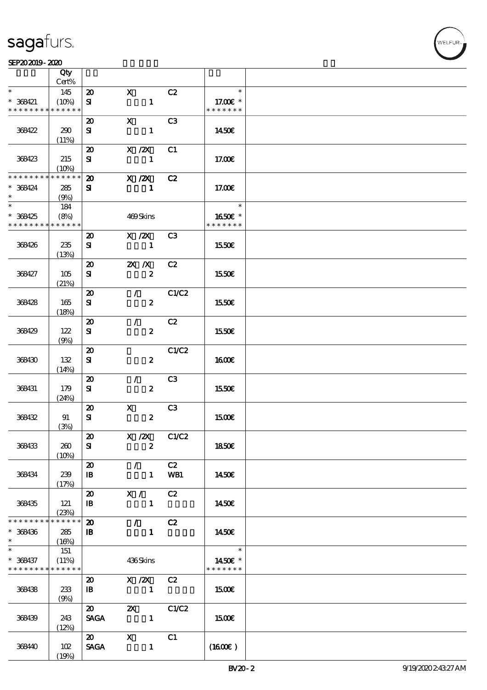#### $SEP202019 - 2020$

|                                                          | Qty<br>Cert%         |                             |                                 |                |                           |  |
|----------------------------------------------------------|----------------------|-----------------------------|---------------------------------|----------------|---------------------------|--|
| $\ast$                                                   |                      |                             | $\mathbf{x}$                    | C2             | $\ast$                    |  |
|                                                          | 145                  | $\boldsymbol{\mathfrak{D}}$ |                                 |                |                           |  |
| $* 368421$<br>* * * * * * * *                            | (10%)<br>* * * * * * | ${\bf s}$                   | $\mathbf{1}$                    |                | 17.00 £*<br>* * * * * * * |  |
|                                                          |                      |                             |                                 |                |                           |  |
|                                                          |                      | $\boldsymbol{\mathfrak{D}}$ | $\mathbf{x}$                    | C <sub>3</sub> |                           |  |
| 368422                                                   | 290                  | ${\bf s}$                   | $\mathbf{1}$                    |                | 1450E                     |  |
|                                                          | (11%)                |                             |                                 |                |                           |  |
|                                                          |                      | $\boldsymbol{\mathbf{z}}$   | $X$ / $ZX$                      | C <sub>1</sub> |                           |  |
| 368423                                                   | 215                  | ${\bf s}$                   | $\mathbf{1}$                    |                | 17.00E                    |  |
|                                                          | (10%)                |                             |                                 |                |                           |  |
| * * * * * * * *                                          | * * * * * *          | $\boldsymbol{\mathfrak{D}}$ | $X$ / $ZX$                      | C2             |                           |  |
| $* 368424$                                               | 285                  | ${\bf s}$                   | $\mathbf{1}$                    |                | 17.00€                    |  |
| $\ast$                                                   | (9%)                 |                             |                                 |                |                           |  |
| $\overline{\ast}$                                        | 184                  |                             |                                 |                | $\ast$                    |  |
| $*368425$                                                | (8%)                 |                             | 469Skins                        |                | 1650€ *                   |  |
| * * * * * * * *                                          | $* * * * * * *$      |                             |                                 |                | * * * * * * *             |  |
|                                                          |                      | $\boldsymbol{\mathbf{z}}$   | $X$ / $ZX$                      | C <sub>3</sub> |                           |  |
| 368426                                                   | 235                  | ${\bf s}$                   | $\blacksquare$                  |                | 1550E                     |  |
|                                                          | (13%)                |                             |                                 |                |                           |  |
|                                                          |                      | $\boldsymbol{\mathbf{z}}$   | $X$ $X$                         | C2             |                           |  |
| 368427                                                   | 105                  | ${\bf s}$                   | $\pmb{2}$                       |                | 1550€                     |  |
|                                                          | (21%)                |                             |                                 |                |                           |  |
|                                                          |                      | $\boldsymbol{\mathfrak{D}}$ | $\mathcal{L}$                   | C1/C2          |                           |  |
| 368428                                                   | 165                  | ${\bf s}$                   | $\boldsymbol{z}$                |                | 1550€                     |  |
|                                                          | (18%)                |                             |                                 |                |                           |  |
|                                                          |                      | $\boldsymbol{\mathbf{z}}$   | $\mathcal{L}_{\mathbb{R}}$      | C2             |                           |  |
| 368429                                                   | 122                  | ${\bf s}$                   | $\boldsymbol{z}$                |                | 1550E                     |  |
|                                                          | (9%)                 |                             |                                 |                |                           |  |
|                                                          |                      | $\boldsymbol{\mathsf{20}}$  |                                 | C1/C2          |                           |  |
| 368430                                                   | 132                  | ${\bf s}$                   | $\boldsymbol{z}$                |                | <b>1600€</b>              |  |
|                                                          | (14%)                |                             |                                 |                |                           |  |
|                                                          |                      | $\boldsymbol{\mathbf{z}}$   | $\mathcal{L}$                   | C <sub>3</sub> |                           |  |
| 368431                                                   | 179                  | ${\bf s}$                   | $\boldsymbol{2}$                |                | 1550€                     |  |
|                                                          | (24%)                |                             |                                 |                |                           |  |
|                                                          |                      | $\boldsymbol{\mathfrak{D}}$ | $\mathbf{x}$                    | C <sub>3</sub> |                           |  |
| 368432                                                   | 91                   | ${\bf s}$                   | $\boldsymbol{2}$                |                | 1500E                     |  |
|                                                          | (3%)                 |                             |                                 |                |                           |  |
|                                                          |                      | $\boldsymbol{\mathfrak{D}}$ | $X$ / $ZX$ $C1/C2$              |                |                           |  |
| 368433                                                   | 260                  | ${\bf s}$                   | $\boldsymbol{z}$                |                | 1850€                     |  |
|                                                          | (10%)                |                             |                                 |                |                           |  |
|                                                          |                      | $\boldsymbol{\mathfrak{D}}$ | $\mathcal{F}$                   | C2             |                           |  |
| 368434                                                   | 239                  | $\mathbf{B}$                | $\mathbf{1}$                    | WB1            | 1450€                     |  |
|                                                          |                      |                             |                                 |                |                           |  |
|                                                          | (17%)                | $\boldsymbol{\mathsf{20}}$  | X /                             | C2             |                           |  |
| 368435                                                   | 121                  | $\mathbf{B}$                | $\mathbf{1}$                    |                | 1450E                     |  |
|                                                          |                      |                             |                                 |                |                           |  |
| * * * * * * * *                                          | (23%)<br>* * * * * * | $\boldsymbol{\mathfrak{D}}$ |                                 |                |                           |  |
|                                                          |                      |                             | $\mathcal{F}$ and $\mathcal{F}$ | C2             |                           |  |
| $* 368436$<br>$*$                                        | 285                  | $\mathbf{B}$                | $\mathbf{1}$                    |                | 1450€                     |  |
| $\ast$                                                   | (16%)                |                             |                                 |                | $\overline{\phantom{a}}$  |  |
|                                                          | 151                  |                             |                                 |                |                           |  |
| $* 368437$<br>* * * * * * * * <mark>* * * * * * *</mark> | (11%)                |                             | 436Skins                        |                | 1450€ *<br>* * * * * * *  |  |
|                                                          |                      |                             |                                 |                |                           |  |
|                                                          |                      | $\boldsymbol{\mathsf{20}}$  | $X \, / ZX$                     | C2             |                           |  |
| 368438                                                   | 233                  | $\mathbf{B}$                | $\sim$ 1                        |                | 1500E                     |  |
|                                                          | (9%)                 |                             |                                 |                |                           |  |
|                                                          |                      | $\boldsymbol{\mathfrak{D}}$ | $\mathbf{x}$                    | C1/C2          |                           |  |
| 368439                                                   | 243                  | <b>SAGA</b>                 | $\sim$ $\sim$ 1                 |                | 1500E                     |  |
|                                                          | (12%)                |                             |                                 |                |                           |  |
|                                                          |                      | $\boldsymbol{\mathsf{20}}$  | $\mathbf{X}$                    | C1             |                           |  |
| 36840                                                    | 102                  | <b>SAGA</b>                 | $\mathbf{1}$                    |                | (1600)                    |  |
|                                                          | (19%)                |                             |                                 |                |                           |  |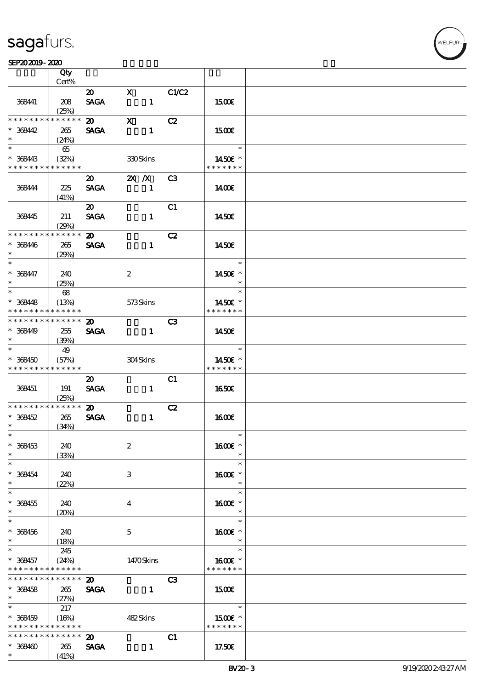|                                                                    | Qty<br>Cert%                |                                            |                              |                |                                      |  |
|--------------------------------------------------------------------|-----------------------------|--------------------------------------------|------------------------------|----------------|--------------------------------------|--|
|                                                                    |                             |                                            |                              |                |                                      |  |
| 368441                                                             | 208<br>(25%)                | $\boldsymbol{\mathfrak{D}}$<br><b>SAGA</b> | $\mathbf{x}$<br>$\mathbf{1}$ | C1/C2          | <b>1500€</b>                         |  |
| * * * * * * * *                                                    | * * * * * *                 | $\boldsymbol{\mathsf{20}}$                 | $\mathbf{x}$                 | C2             |                                      |  |
| $* 368442$<br>$\ast$                                               | 265<br>(24%)                | <b>SAGA</b>                                | $\mathbf{1}$                 |                | 1500E                                |  |
| $\ast$<br>$* 368443$<br>* * * * * * * * * * * * * *                | 65<br>(32%)                 |                                            | 330Skins                     |                | $\ast$<br>1450€ *<br>* * * * * * *   |  |
| 368444                                                             | 225<br>(41%)                | $\boldsymbol{\mathfrak{D}}$<br><b>SAGA</b> | $X$ $N$<br>$\mathbf{1}$      | C3             | 1400E                                |  |
| 368445                                                             | 211<br>(29%)                | $\boldsymbol{\mathfrak{D}}$<br><b>SAGA</b> | $\mathbf{1}$                 | C1             | 1450E                                |  |
| * * * * * * * *<br>$* 368446$<br>$\ast$                            | * * * * * *<br>265<br>(29%) | $\boldsymbol{\mathfrak{D}}$<br><b>SAGA</b> | $\mathbf{1}$                 | C2             | 1450E                                |  |
| $\ast$<br>$* 368447$<br>$\ast$                                     | 240<br>(25%)                |                                            | $\boldsymbol{z}$             |                | $\ast$<br>1450€ *<br>$\ast$          |  |
| $\overline{\ast}$<br>$* 368448$<br>* * * * * * * *                 | 68<br>(13%)<br>* * * * * *  |                                            | 573Skins                     |                | $\ast$<br>1450€ *<br>* * * * * * *   |  |
| * * * * * * * *                                                    | * * * * * *                 | $\boldsymbol{\mathfrak{D}}$                |                              | C <sub>3</sub> |                                      |  |
| $* 368449$<br>$\ast$                                               | 255<br>(39%)                | <b>SAGA</b>                                | $\mathbf{1}$                 |                | 1450E                                |  |
| $\overline{\ast}$<br>$* 368450$<br>* * * * * * * * * * * * * *     | 49<br>(57%)                 |                                            | 304Skins                     |                | $\ast$<br>1450€ *<br>* * * * * * *   |  |
| 368451                                                             | 191<br>(25%)                | $\boldsymbol{\mathfrak{D}}$<br><b>SAGA</b> | $\mathbf{1}$                 | C1             | 1650E                                |  |
| * * * * * * * * * * * * * *                                        |                             | $\boldsymbol{\mathfrak{D}}$                |                              | C2             |                                      |  |
| $* 368452$<br>$\ast$                                               | 265<br>(34%)                | <b>SAGA</b>                                | $\mathbf{1}$                 |                | 1600E                                |  |
| $*$<br>$* 368453$<br>$\ast$                                        | 240<br>(33%)                |                                            | $\boldsymbol{2}$             |                | $\ast$<br>1600€ *<br>$\ast$          |  |
| $\ast$<br>$* 368454$<br>$\ast$                                     | 240<br>(22%)                |                                            | $\ensuremath{\mathbf{3}}$    |                | $\ast$<br>1600€ *<br>$\ast$          |  |
| $\ast$<br>$* 368455$<br>$\ast$                                     | 240<br>(20%)                |                                            | 4                            |                | $\ast$<br>1600E *<br>$\ast$          |  |
| $\ast$<br>$* 368456$<br>$\ast$                                     | 240<br>(18%)                |                                            | $\mathbf{5}$                 |                | $\ast$<br>1600€ *<br>$\ast$          |  |
| $\ast$<br>$* 368457$<br>* * * * * * * * <mark>* * * * * *</mark> * | 245<br>(24%)                |                                            | 1470Skins                    |                | $\ast$<br>1600€ *<br>* * * * * * *   |  |
| * * * * * * * * * * * * * *<br>$* 368458$<br>$\ast$                | 265<br>(27%)                | $\boldsymbol{\mathfrak{D}}$<br><b>SAGA</b> | $\mathbf{1}$                 | C3             | 1500                                 |  |
| $\ast$<br>$* 368459$<br>* * * * * * * * <mark>* * * * * *</mark> * | 217<br>(16%)                |                                            | 482Skins                     |                | $\ast$<br>$1500E$ *<br>* * * * * * * |  |
| * * * * * * * * <mark>* * * * * *</mark><br>$* 368400$<br>$\ast$   | 265<br>(41%)                | $\boldsymbol{\mathfrak{D}}$<br><b>SAGA</b> | $\mathbf{1}$                 | C1             | 17.50E                               |  |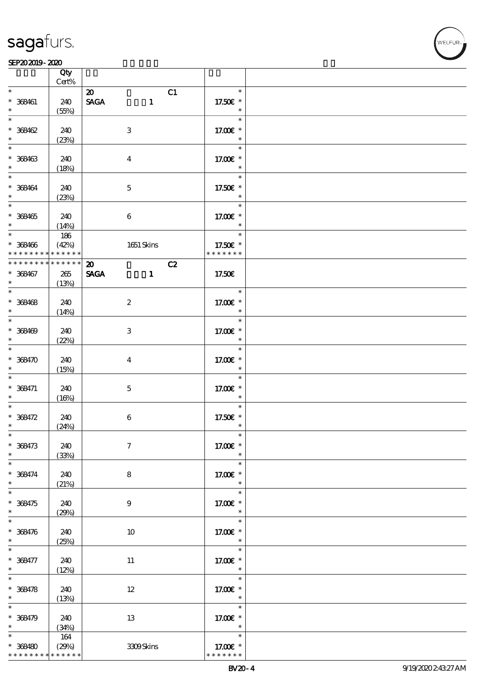#### SEP202019-2020

|                          | Qty<br>$Cert\%$ |                                              |                       |  |
|--------------------------|-----------------|----------------------------------------------|-----------------------|--|
| $\ast$                   |                 |                                              |                       |  |
|                          |                 | C1<br>$\boldsymbol{\mathfrak{D}}$            | $\ast$                |  |
| $* 368461$               | 240             | $\ensuremath{\mathsf{SAGA}}$<br>$\mathbf{1}$ | 17.50€ *              |  |
| $\ast$                   | (55%)           |                                              | $\ast$                |  |
| $\ast$                   |                 |                                              | $\ast$                |  |
|                          |                 |                                              |                       |  |
| $* 368462$               | 240             | $\ensuremath{\mathbf{3}}$                    | 17.00€ *              |  |
| $\ast$                   | (23%)           |                                              | $\ast$                |  |
| $\ast$                   |                 |                                              | $\ast$                |  |
|                          |                 |                                              |                       |  |
| $* 368463$               | 240             | $\boldsymbol{4}$                             | 17.00 £*              |  |
| $\ast$                   | (18%)           |                                              | $\ast$                |  |
| $\ast$                   |                 |                                              | $\ast$                |  |
|                          |                 |                                              |                       |  |
| $* 368464$               | 240             | $\mathbf 5$                                  | 17.50€ *              |  |
| $\ast$                   | (23%)           |                                              | $\ast$                |  |
| $\overline{\ast}$        |                 |                                              | $\ast$                |  |
| $* 368465$               | 240             | $\bf 6$                                      | 17.00 £*              |  |
| $\ast$                   |                 |                                              |                       |  |
|                          | (14%)           |                                              | $\ast$                |  |
|                          | 186             |                                              | $\ast$                |  |
| $* 368466$               | (42%)           | $1651$ Skins                                 | 17.50€ *              |  |
| * * * * * * * *          | * * * * * *     |                                              | * * * * * * *         |  |
|                          |                 |                                              |                       |  |
| * * * * * * * *          | $******$        | C2<br>$\boldsymbol{\mathfrak{D}}$            |                       |  |
| $* 368467$               | $265\,$         | <b>SAGA</b><br>$\mathbf{I}$                  | 17.50€                |  |
| $*$                      | (13%)           |                                              |                       |  |
| $\overline{\ast}$        |                 |                                              | $\ast$                |  |
|                          |                 |                                              |                       |  |
| $* 368468$               | 240             | $\boldsymbol{2}$                             | 17.00 £*              |  |
| $\ast$                   | (14%)           |                                              | $\ast$                |  |
| $\overline{\phantom{0}}$ |                 |                                              | $\ast$                |  |
|                          |                 |                                              |                       |  |
| $* 368469$               | 240             | $\ensuremath{\mathbf{3}}$                    | 17.00 £*              |  |
| $\ast$                   | (22%)           |                                              | $\ast$                |  |
| $\overline{\ast}$        |                 |                                              | $\ast$                |  |
| $* 368470$               | 240             |                                              | 17.00 £*              |  |
|                          |                 | $\bf{4}$                                     |                       |  |
| $\ast$                   | (15%)           |                                              | $\ast$                |  |
|                          |                 |                                              | $\ast$                |  |
| $* 368471$               | 240             | $\mathbf 5$                                  | 17.00 £*              |  |
| $\ast$                   | (16%)           |                                              | $\ast$                |  |
| $\ast$                   |                 |                                              | $\ast$                |  |
|                          |                 |                                              |                       |  |
| * 368472                 | 240             | $\bf 6$                                      | 17.50€ *              |  |
| $\ast$                   | (24%)           |                                              | $\ast$                |  |
| $\ast$                   |                 |                                              |                       |  |
|                          |                 |                                              |                       |  |
| $* 368473$               | 240             | $\boldsymbol{\tau}$                          | 17.00€ *              |  |
| $\ast$                   | (33%)           |                                              | $\ast$                |  |
| $\frac{1}{*}$            |                 |                                              | $\ast$                |  |
| $* 368474$               | 240             | ${\bf 8}$                                    | 17.00 £*              |  |
|                          |                 |                                              |                       |  |
| $*$                      | (21%)           |                                              | $\ast$                |  |
| $\ast$                   |                 |                                              | $\ast$                |  |
| $* 368475$               | 240             | 9                                            | 17.00 £*              |  |
| $\ast$                   | (29%)           |                                              | $\ast$                |  |
| $\overline{\phantom{0}}$ |                 |                                              |                       |  |
|                          |                 |                                              | $\ast$                |  |
| $* 368476$               | 240             | 10                                           | 17.00 $\varepsilon$ * |  |
| $*$                      | (25%)           |                                              | $\ast$                |  |
|                          |                 |                                              | $\ast$                |  |
|                          |                 |                                              |                       |  |
| $* 368477$               | 240             | $11\,$                                       | 17.00 £*              |  |
| $\ast$                   | (12%)           |                                              | $\ast$                |  |
| $\overline{\ast}$        |                 |                                              | $\ast$                |  |
| $* 368478$               | 240             | $12\,$                                       | 17.00 £*              |  |
|                          |                 |                                              |                       |  |
| $\ast$                   | (13%)           |                                              | $\ast$                |  |
| $\overline{\ast}$        |                 |                                              | $\ast$                |  |
| $* 368479$               | 240             | $13\,$                                       | 17.00 £*              |  |
| $\ast$                   | (34%)           |                                              | $\ast$                |  |
| $\ast$                   |                 |                                              | $\ast$                |  |
|                          | $164\,$         |                                              |                       |  |
| $* 368480$               | (29%)           | 3309Skins                                    | 17.00 £*              |  |
| * * * * * * * *          | * * * * * *     |                                              | * * * * * * *         |  |

.<br>FUR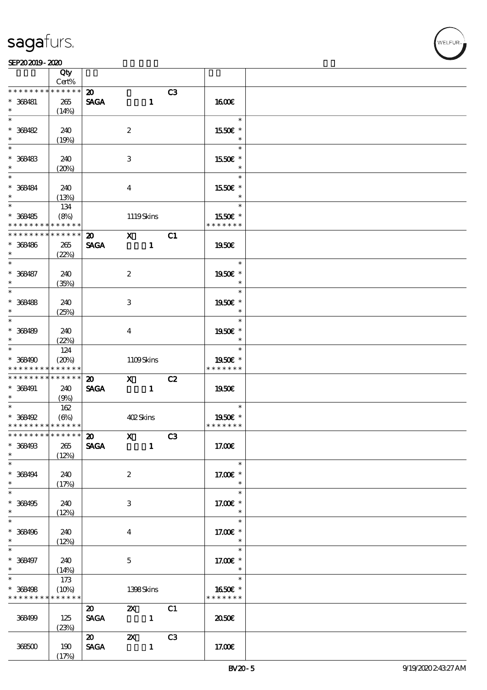|                                                           | Qty<br>Cert%                        |                                            |                                                                                                                                                                                                                                                                                                                                                                                                                                                                             |              |    |                                       |  |
|-----------------------------------------------------------|-------------------------------------|--------------------------------------------|-----------------------------------------------------------------------------------------------------------------------------------------------------------------------------------------------------------------------------------------------------------------------------------------------------------------------------------------------------------------------------------------------------------------------------------------------------------------------------|--------------|----|---------------------------------------|--|
| * * * * * * * *                                           | * * * * * *                         |                                            |                                                                                                                                                                                                                                                                                                                                                                                                                                                                             |              |    |                                       |  |
| $* 368481$<br>$\ast$                                      | 265<br>(14%)                        | $\boldsymbol{\mathfrak{D}}$<br><b>SAGA</b> |                                                                                                                                                                                                                                                                                                                                                                                                                                                                             | $\mathbf{1}$ | C3 | <b>1600€</b>                          |  |
| $\ast$<br>$* 368482$<br>$\ast$                            | 240<br>(19%)                        |                                            | $\boldsymbol{2}$                                                                                                                                                                                                                                                                                                                                                                                                                                                            |              |    | $\ast$<br>1550€ *<br>$\ast$           |  |
| $\ast$<br>$* 368483$<br>$\ast$                            | 240                                 |                                            | $\ensuremath{\mathbf{3}}$                                                                                                                                                                                                                                                                                                                                                                                                                                                   |              |    | $\ast$<br>1550E *<br>$\ast$           |  |
| $\ast$<br>* 368484<br>$\ast$                              | (20%)<br>240                        |                                            | $\bf{4}$                                                                                                                                                                                                                                                                                                                                                                                                                                                                    |              |    | $\ast$<br>1550€ *<br>$\ast$           |  |
| $\overline{\phantom{0}}$<br>$* 368485$<br>* * * * * * * * | (13%)<br>134<br>(8%)<br>* * * * * * |                                            | 1119Skins                                                                                                                                                                                                                                                                                                                                                                                                                                                                   |              |    | $\ast$<br>1550E *<br>* * * * * * *    |  |
| ********<br>$* 368486$                                    | * * * * * *<br>265                  | $\boldsymbol{\mathfrak{D}}$<br><b>SAGA</b> | $X$ C1                                                                                                                                                                                                                                                                                                                                                                                                                                                                      | $\mathbf{1}$ |    | 1950€                                 |  |
| $\ast$<br>$\ast$<br>$* 368487$                            | (22%)<br>240                        |                                            | $\boldsymbol{2}$                                                                                                                                                                                                                                                                                                                                                                                                                                                            |              |    | $\ast$<br>1950E *                     |  |
| $\ast$<br>$\overline{\ast}$<br>$* 368488$                 | (35%)<br>240                        |                                            | 3                                                                                                                                                                                                                                                                                                                                                                                                                                                                           |              |    | $\ast$<br>$\ast$<br>1950E *           |  |
| $\ast$<br>$\ast$<br>$* 368489$<br>$\ast$                  | (25%)<br>240                        |                                            | $\overline{\mathbf{4}}$                                                                                                                                                                                                                                                                                                                                                                                                                                                     |              |    | $\ast$<br>$\ast$<br>1950E *<br>$\ast$ |  |
| $\ast$<br>$* 368490$<br>* * * * * * * * * * * * * *       | (22%)<br>124<br>(20%)               |                                            | 1109Skins                                                                                                                                                                                                                                                                                                                                                                                                                                                                   |              |    | $\ast$<br>1950E *<br>* * * * * * *    |  |
| * * * * * * * * * * * * * *                               |                                     | $\boldsymbol{\mathfrak{D}}$                | $X$ C <sub>2</sub>                                                                                                                                                                                                                                                                                                                                                                                                                                                          |              |    |                                       |  |
| $* 368491$<br>$*$                                         | 240<br>(9%)                         | <b>SAGA</b>                                | $\sim$ 1                                                                                                                                                                                                                                                                                                                                                                                                                                                                    |              |    | 1950€                                 |  |
| $* 368492$<br>* * * * * * * * <mark>* * * * * *</mark>    | 162<br>$(\Theta)$                   |                                            | 402Skins                                                                                                                                                                                                                                                                                                                                                                                                                                                                    |              |    | $\ast$<br>1950E *<br>* * * * * * *    |  |
| ************** 20<br>$* 368493$<br>$\ast$                 | $265\,$<br>(12%)                    | <b>SAGA</b>                                | $\mathbf{X}$ $\overline{\phantom{1}}$ $\overline{\phantom{1}}$ $\overline{\phantom{1}}$ $\overline{\phantom{1}}$ $\overline{\phantom{1}}$ $\overline{\phantom{1}}$ $\overline{\phantom{1}}$ $\overline{\phantom{1}}$ $\overline{\phantom{1}}$ $\overline{\phantom{1}}$ $\overline{\phantom{1}}$ $\overline{\phantom{1}}$ $\overline{\phantom{1}}$ $\overline{\phantom{1}}$ $\overline{\phantom{1}}$ $\overline{\phantom{1}}$ $\overline{\phantom{1}}$ $\overline{\phantom{$ | $\mathbf{1}$ |    | 17.00E                                |  |
| $\ast$<br>$* 368494$<br>$\ast$                            | 240<br>(17%)                        |                                            | $\boldsymbol{z}$                                                                                                                                                                                                                                                                                                                                                                                                                                                            |              |    | $\ast$<br>17.00 £*<br>$\ast$          |  |
| $\ast$<br>$* 368495$<br>$\ast$                            | 240<br>(12%)                        |                                            | 3                                                                                                                                                                                                                                                                                                                                                                                                                                                                           |              |    | $\ast$<br>17.00 £*<br>$\ast$          |  |
| $\ast$<br>$* 368496$<br>$\ast$                            | 240<br>(12%)                        |                                            | $\bf{4}$                                                                                                                                                                                                                                                                                                                                                                                                                                                                    |              |    | $\ast$<br>17.00 £*<br>$\ast$          |  |
| $\overline{\phantom{a}^*}$<br>$* 368497$<br>$*$           | 240<br>(14%)                        |                                            | $\mathbf{5}$                                                                                                                                                                                                                                                                                                                                                                                                                                                                |              |    | $\ast$<br>17.00 £*<br>$\ast$          |  |
| $\overline{\ast}$<br>$* 368498$<br>* * * * * * * *        | 173<br>(10%)<br>* * * * * *         |                                            | 1398Skins                                                                                                                                                                                                                                                                                                                                                                                                                                                                   |              |    | $\ast$<br>1650€ *<br>* * * * * * *    |  |
| 368499                                                    | 125<br>(23%)                        | $\boldsymbol{\mathfrak{D}}$<br><b>SAGA</b> | $\mathbf{x}$<br>$\sim$ $\sim$ 1                                                                                                                                                                                                                                                                                                                                                                                                                                             |              | C1 | 2050E                                 |  |
| 368500                                                    | 190<br>(17%)                        | $\boldsymbol{\mathsf{20}}$<br><b>SAGA</b>  | $\mathbf{X}$                                                                                                                                                                                                                                                                                                                                                                                                                                                                | $\mathbf{1}$ | C3 | 17.00E                                |  |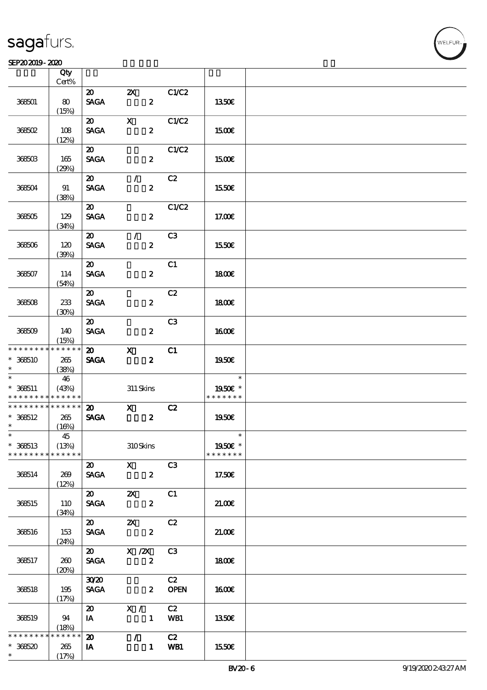#### $SEP202019 - 2020$

|                                            | Qty<br>Cert% |                             |                                 |                         |                |               |  |
|--------------------------------------------|--------------|-----------------------------|---------------------------------|-------------------------|----------------|---------------|--|
|                                            |              |                             |                                 |                         |                |               |  |
|                                            |              | $\boldsymbol{\mathsf{20}}$  | $\mathbf{X}$                    |                         | C1/C2          |               |  |
| 368501                                     | 80           | <b>SAGA</b>                 |                                 | $\boldsymbol{z}$        |                | 1350€         |  |
|                                            | (15%)        |                             |                                 |                         |                |               |  |
|                                            |              | $\boldsymbol{\omega}$       | $\mathbf{x}$                    |                         | C1/C2          |               |  |
| 368502                                     | 108          | <b>SAGA</b>                 |                                 | $\boldsymbol{z}$        |                | 1500€         |  |
|                                            | (12%)        |                             |                                 |                         |                |               |  |
|                                            |              | $\boldsymbol{\mathfrak{D}}$ |                                 |                         | C1/C2          |               |  |
| 368503                                     | 165          | <b>SAGA</b>                 |                                 | $\boldsymbol{z}$        |                | <b>1500€</b>  |  |
|                                            | (29%)        |                             |                                 |                         |                |               |  |
|                                            |              | $\boldsymbol{\mathfrak{D}}$ | $\mathcal{L}$                   |                         | C2             |               |  |
| 368504                                     | 91           | <b>SAGA</b>                 |                                 | $\boldsymbol{z}$        |                | 1550€         |  |
|                                            | (38%)        |                             |                                 |                         |                |               |  |
|                                            |              | $\boldsymbol{\omega}$       |                                 |                         | C1/C2          |               |  |
| 368505                                     | 129          | <b>SAGA</b>                 |                                 | $\boldsymbol{z}$        |                | 17.00E        |  |
|                                            | (34%)        |                             |                                 |                         |                |               |  |
|                                            |              | $\boldsymbol{\omega}$       | $\mathcal{L}$                   |                         | C3             |               |  |
|                                            |              |                             |                                 |                         |                |               |  |
| 368506                                     | 120          | <b>SAGA</b>                 |                                 | $\boldsymbol{z}$        |                | 1550€         |  |
|                                            | (30%)        |                             |                                 |                         |                |               |  |
|                                            |              | $\boldsymbol{\mathfrak{D}}$ |                                 |                         | C1             |               |  |
| 368507                                     | 114          | <b>SACA</b>                 |                                 | $\boldsymbol{z}$        |                | <b>1800€</b>  |  |
|                                            | (54%)        |                             |                                 |                         |                |               |  |
|                                            |              | $\boldsymbol{\mathfrak{D}}$ |                                 |                         | C2             |               |  |
| 368508                                     | 233          | <b>SAGA</b>                 |                                 | $\boldsymbol{z}$        |                | 1800E         |  |
|                                            | (30%)        |                             |                                 |                         |                |               |  |
|                                            |              | $\boldsymbol{\mathfrak{D}}$ |                                 |                         | C <sub>3</sub> |               |  |
| 368509                                     | 140          | <b>SAGA</b>                 |                                 | $\boldsymbol{z}$        |                | 1600E         |  |
|                                            | (15%)        |                             |                                 |                         |                |               |  |
| * * * * * * * *                            | * * * * * *  | $\boldsymbol{\mathfrak{D}}$ | $\mathbf{x}$                    |                         | C1             |               |  |
| $* 368510$                                 | 265          | <b>SAGA</b>                 |                                 | $\boldsymbol{z}$        |                | 1950€         |  |
| $\ast$                                     | (38%)        |                             |                                 |                         |                |               |  |
|                                            | 46           |                             |                                 |                         |                | $\ast$        |  |
| $* 368511$                                 | (43%)        |                             | 311 Skins                       |                         |                | 1950E *       |  |
| * * * * * * * * * * * * * *                |              |                             |                                 |                         |                | * * * * * * * |  |
| * * * * * * * * <mark>* * * * * * *</mark> |              | $\boldsymbol{\mathfrak{D}}$ | $\boldsymbol{\mathrm{X}}$       |                         | C2             |               |  |
| $* 368512$                                 | 265          | <b>SAGA</b>                 |                                 | $\boldsymbol{z}$        |                | 1950E         |  |
| $\ast$                                     | (16%)        |                             |                                 |                         |                |               |  |
| $*$ $*$                                    | 45           |                             |                                 |                         |                | $\ast$        |  |
| $* 368513$                                 | (13%)        |                             | 310Skins                        |                         |                | 1950€ *       |  |
| * * * * * * * *                            | * * * * * *  |                             |                                 |                         |                | * * * * * * * |  |
|                                            |              | $\boldsymbol{\mathfrak{D}}$ | $\mathbf{x}$                    |                         | C <sub>3</sub> |               |  |
| 368514                                     | 269          | <b>SAGA</b>                 |                                 | $\boldsymbol{2}$        |                | 17.50€        |  |
|                                            | (12%)        |                             |                                 |                         |                |               |  |
|                                            |              |                             |                                 |                         | C1             |               |  |
| 368515                                     | 110          | <b>SAGA</b>                 |                                 | $\boldsymbol{z}$        |                | 21.00E        |  |
|                                            | (34%)        |                             |                                 |                         |                |               |  |
|                                            |              | $\boldsymbol{\mathsf{20}}$  | $\mathbf{x}$                    |                         | C2             |               |  |
|                                            |              | <b>SAGA</b>                 |                                 | $\boldsymbol{z}$        |                | 21.006        |  |
| 368516                                     | 153          |                             |                                 |                         |                |               |  |
|                                            | (24%)        |                             |                                 |                         |                |               |  |
|                                            |              | $\boldsymbol{\mathfrak{D}}$ | $\overline{X}$ / $\overline{X}$ |                         | C3             |               |  |
| 368517                                     | 260          | <b>SAGA</b>                 |                                 | $\boldsymbol{z}$        |                | 1800E         |  |
|                                            | (20%)        |                             |                                 |                         |                |               |  |
|                                            |              | 3020                        |                                 |                         | C2             |               |  |
| 368518                                     | 195          | <b>SAGA</b>                 |                                 | $\overline{\mathbf{z}}$ | <b>OPEN</b>    | <b>1600€</b>  |  |
|                                            | (17%)        |                             |                                 |                         |                |               |  |
|                                            |              | $\boldsymbol{\omega}$       | X /                             |                         | C2             |               |  |
| 368519                                     | 94           | IA                          |                                 | $\mathbf{1}$            | WB1            | 1350€         |  |
|                                            | (18%)        |                             |                                 |                         |                |               |  |
| * * * * * * * *                            | * * * * * *  | $\boldsymbol{\mathsf{20}}$  |                                 | $\mathcal{L}$           | C2             |               |  |
| $*368520$                                  | 265          | IA                          |                                 | $\mathbf{1}$            | WB1            | 1550€         |  |
| $\ast$                                     | (17%)        |                             |                                 |                         |                |               |  |

**NELFUR**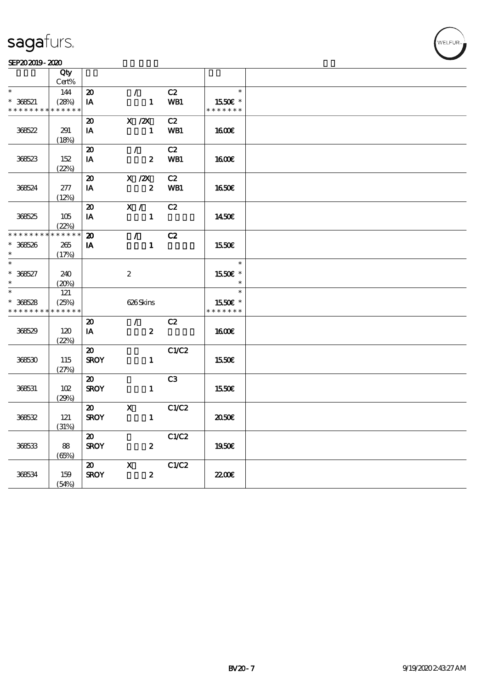#### SEP202019-2020

|                 | Qty         |                             |                                 |       |               |  |
|-----------------|-------------|-----------------------------|---------------------------------|-------|---------------|--|
|                 | Cert%       |                             |                                 |       |               |  |
| $\ast$          | 144         | $\boldsymbol{\mathfrak{D}}$ | $\mathcal{L}$                   | C2    | $\ast$        |  |
| $* 368521$      | (28%)       | IA                          | $\mathbf{1}$                    | WB1   | 1550E *       |  |
| * * * * * * * * | * * * * * * |                             |                                 |       | * * * * * * * |  |
|                 |             | $\boldsymbol{\mathfrak{D}}$ | $X$ / $ZX$                      | C2    |               |  |
| 36622           | 291         | IA                          | $\mathbf{1}$                    | WB1   | 1600          |  |
|                 |             |                             |                                 |       |               |  |
|                 | (18%)       |                             |                                 |       |               |  |
|                 |             | $\boldsymbol{\mathbf{z}}$   | $\mathcal{L}$                   | C2    |               |  |
| 368523          | 152         | IA                          | $\boldsymbol{z}$                | WB1   | 1600          |  |
|                 | (22%)       |                             |                                 |       |               |  |
|                 |             | $\boldsymbol{\mathsf{20}}$  | $X$ / $ZX$                      | C2    |               |  |
| 36624           | 277         | $\mathbf{I} \mathbf{A}$     | $\boldsymbol{2}$                | WB1   | <b>1650€</b>  |  |
|                 | (12%)       |                             |                                 |       |               |  |
|                 |             | $\boldsymbol{\mathfrak{D}}$ | $\mathbf{X}$ /                  | C2    |               |  |
| 368525          | 105         | IA                          | $\mathbf{1}$                    |       | 1450E         |  |
|                 | (22%)       |                             |                                 |       |               |  |
| * * * * * * * * | * * * * * * | $\boldsymbol{\mathbf{z}}$   | $\mathcal{F}$ and $\mathcal{F}$ | C2    |               |  |
| $* 368526$      | 265         | IA                          | $\mathbf{1}$                    |       | 1550E         |  |
| $\ast$          | (17%)       |                             |                                 |       |               |  |
| $\ast$          |             |                             |                                 |       | $\ast$        |  |
| $* 36627$       | 240         |                             | $\boldsymbol{2}$                |       | 1550€ *       |  |
| $*$             | (20%)       |                             |                                 |       | $\ast$        |  |
| $\ast$          | 121         |                             |                                 |       | $\ast$        |  |
| $* 368528$      | (25%)       |                             | 626Skins                        |       | 1550€ *       |  |
| * * * * * * * * | * * * * * * |                             |                                 |       | * * * * * * * |  |
|                 |             | $\boldsymbol{\mathfrak{D}}$ | $\mathcal{L}$                   | C2    |               |  |
| 368529          | 120         | IA                          | $\boldsymbol{z}$                |       | 1600          |  |
|                 | (22%)       |                             |                                 |       |               |  |
|                 |             | $\boldsymbol{\mathfrak{D}}$ |                                 | C1/C2 |               |  |
| 368530          | 115         | <b>SROY</b>                 | $\mathbf{1}$                    |       | 1550€         |  |
|                 | (27%)       |                             |                                 |       |               |  |
|                 |             | $\boldsymbol{\omega}$       |                                 | C3    |               |  |
| 368531          | 102         | <b>SROY</b>                 | $\mathbf{1}$                    |       | 1550E         |  |
|                 |             |                             |                                 |       |               |  |
|                 | (29%)       | $\boldsymbol{\mathsf{20}}$  | $\mathbf{x}$                    | C1/C2 |               |  |
|                 |             | <b>SROY</b>                 | $\mathbf{1}$                    |       |               |  |
| 368532          | 121         |                             |                                 |       | 2050€         |  |
|                 | (31%)       |                             |                                 |       |               |  |
|                 |             | $\boldsymbol{\mathfrak{D}}$ |                                 | C1/C2 |               |  |
| 368533          | 88          | <b>SROY</b>                 | $\boldsymbol{z}$                |       | 1950E         |  |
|                 | (65%)       |                             |                                 |       |               |  |
|                 |             | $\boldsymbol{\mathfrak{D}}$ | $\mathbf{x}$                    | C1/C2 |               |  |
| 368534          | 159         | <b>SROY</b>                 | $\boldsymbol{z}$                |       | 2200          |  |
|                 | (54%)       |                             |                                 |       |               |  |

WELFUR-<br>
VELFUR-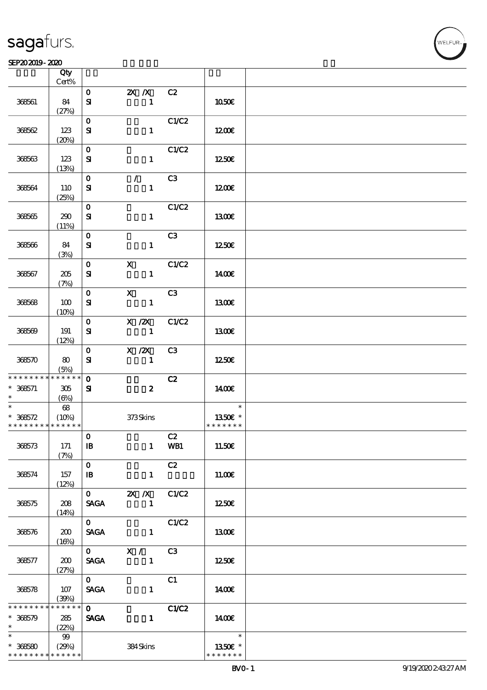|                                                        | Qty<br>Cert%    |                           |                         |                |               |  |
|--------------------------------------------------------|-----------------|---------------------------|-------------------------|----------------|---------------|--|
|                                                        |                 |                           |                         |                |               |  |
| 368561                                                 | 84              | $\mathbf{O}$<br>${\bf s}$ | $X$ $X$<br>$\mathbf{1}$ | C2             | 1050E         |  |
|                                                        | (27%)           |                           |                         |                |               |  |
| 368562                                                 | 123             | $\mathbf{O}$<br>${\bf s}$ | $\mathbf{1}$            | C1/C2          | 1200E         |  |
|                                                        |                 |                           |                         |                |               |  |
|                                                        | (20%)           |                           |                         |                |               |  |
|                                                        |                 | $\mathbf{O}$              |                         | C1/C2          |               |  |
| 368563                                                 | 123             | ${\bf S}$                 | $\mathbf{1}$            |                | 1250E         |  |
|                                                        | (13%)           |                           |                         |                |               |  |
|                                                        |                 | $\mathbf{O}$              | $\mathcal{L}$           | C3             |               |  |
| 368564                                                 | 110             |                           | $\mathbf{1}$            |                | 1200E         |  |
|                                                        |                 | ${\bf s}$                 |                         |                |               |  |
|                                                        | (25%)           |                           |                         |                |               |  |
|                                                        |                 | $\mathbf{O}$              |                         | C1/C2          |               |  |
| 368565                                                 | 290             | ${\bf s}$                 | $\mathbf{1}$            |                | 1300E         |  |
|                                                        | (11%)           |                           |                         |                |               |  |
|                                                        |                 | $\mathbf{O}$              |                         | C <sub>3</sub> |               |  |
| 368566                                                 | 84              | ${\bf s}$                 | $\mathbf{1}$            |                | 1250E         |  |
|                                                        | (3%)            |                           |                         |                |               |  |
|                                                        |                 |                           |                         |                |               |  |
|                                                        |                 | $\mathbf{O}$              | $\mathbf{x}$            | C1/C2          |               |  |
| 368567                                                 | 205             | ${\bf s}$                 | $\mathbf{1}$            |                | 1400€         |  |
|                                                        | (7%)            |                           |                         |                |               |  |
|                                                        |                 | $\mathbf{O}$              | $\mathbf{x}$            | C3             |               |  |
| 368568                                                 | 100             | ${\bf s}$                 | $\mathbf{1}$            |                | 1300E         |  |
|                                                        | (10%)           |                           |                         |                |               |  |
|                                                        |                 | $\mathbf{O}$              | $X$ / $ZX$              | C1/C2          |               |  |
|                                                        |                 |                           |                         |                |               |  |
| 368569                                                 | 191             | ${\bf s}$                 | $\blacksquare$          |                | 1300E         |  |
|                                                        | (12%)           |                           |                         |                |               |  |
|                                                        |                 | $\mathbf{O}$              | $X$ / $ZX$              | C3             |               |  |
| 368570                                                 | 80              | ${\bf s}$                 | $\mathbf{1}$            |                | 1250E         |  |
|                                                        | (5%)            |                           |                         |                |               |  |
| * * * * * * * * * * * * * *                            |                 | $\mathbf 0$               |                         | C2             |               |  |
| $* 368571$                                             | 305             | ${\bf s}$                 | $\boldsymbol{2}$        |                | 1400E         |  |
| $\ast$                                                 |                 |                           |                         |                |               |  |
| $*$                                                    | (6%)            |                           |                         |                | $\ast$        |  |
|                                                        | $68$            |                           |                         |                |               |  |
| $* 368572$                                             | (10%)           |                           | 373Skins                |                | 1350E *       |  |
| * * * * * * * * * * * * * *                            |                 |                           |                         |                | * * * * * * * |  |
|                                                        |                 | $\bf{0}$                  |                         | C2             |               |  |
| 368573                                                 | 171             | $\mathbf{B}$              | $\mathbf{1}$            | WB1            | 11.50E        |  |
|                                                        | (7%)            |                           |                         |                |               |  |
|                                                        |                 | $\mathbf{O}$              |                         | C2             |               |  |
|                                                        |                 |                           |                         |                |               |  |
| 368574                                                 | 157             | $\mathbf{B}$              | $\mathbf{1}$            |                | 11.00E        |  |
|                                                        | (12%)           |                           |                         |                |               |  |
|                                                        |                 | $\mathbf{O}$              | $2X$ /X                 | C1/C2          |               |  |
| 368575                                                 | 208             | <b>SAGA</b>               |                         |                | 1250E         |  |
|                                                        | (14%)           |                           |                         |                |               |  |
|                                                        |                 | $\overline{\mathbf{o}}$   |                         | C1/C2          |               |  |
| 368576                                                 | 200             | <b>SAGA</b>               | $\mathbf{1}$            |                | <b>1300€</b>  |  |
|                                                        | (16%)           |                           |                         |                |               |  |
|                                                        |                 |                           |                         |                |               |  |
|                                                        |                 |                           | 0 X / C3                |                |               |  |
| 368577                                                 | 200             | <b>SAGA</b>               | $\mathbf{1}$            |                | 1250€         |  |
|                                                        | (27%)           |                           |                         |                |               |  |
|                                                        |                 | $0-1$                     |                         | C1             |               |  |
| 368578                                                 | 107             | <b>SAGA</b>               | $\mathbf{1}$            |                | 1400E         |  |
|                                                        | (30%)           |                           |                         |                |               |  |
| * * * * * * *                                          | ******          | $\mathbf{O}$              |                         | C1/C2          |               |  |
| $* 368579$                                             | 285             | <b>SAGA</b>               | $\mathbf{1}$            |                | 1400          |  |
|                                                        |                 |                           |                         |                |               |  |
| $\ast$ . The set of $\ast$<br>$\overline{\phantom{0}}$ | (22%)           |                           |                         |                |               |  |
|                                                        | 99              |                           |                         |                | $\ast$        |  |
| $* 366580$                                             | (29%)           |                           | 384Skins                |                | 1350€ *       |  |
| * * * * * * * *                                        | $* * * * * * *$ |                           |                         |                | * * * * * * * |  |

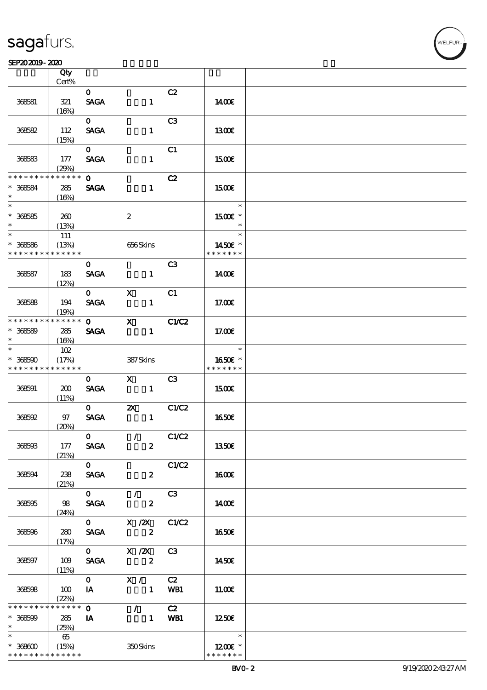#### SEP202019-2020  $\overline{\phantom{a}}$  Qty  $\overline{\phantom{a}}$

|                               | Qty<br>Cert%         |                             |                                                                                                                                                                                                                                                                                                                                 |                |                          |  |
|-------------------------------|----------------------|-----------------------------|---------------------------------------------------------------------------------------------------------------------------------------------------------------------------------------------------------------------------------------------------------------------------------------------------------------------------------|----------------|--------------------------|--|
|                               |                      |                             |                                                                                                                                                                                                                                                                                                                                 |                |                          |  |
| 368581                        | 321                  | $\mathbf{O}$<br><b>SAGA</b> | $\mathbf{1}$                                                                                                                                                                                                                                                                                                                    | C2             | 1400E                    |  |
|                               | (16%)                |                             |                                                                                                                                                                                                                                                                                                                                 |                |                          |  |
| 368582                        | 112                  | $\mathbf{O}$<br><b>SAGA</b> | $\mathbf{1}$                                                                                                                                                                                                                                                                                                                    | C <sub>3</sub> | 1300                     |  |
|                               | (15%)                | $\mathbf{O}$                |                                                                                                                                                                                                                                                                                                                                 | C1             |                          |  |
| 368583                        | 177<br>(29%)         | <b>SAGA</b>                 | $\mathbf{1}$                                                                                                                                                                                                                                                                                                                    |                | 1500E                    |  |
| * * * * * * * *               | * * * * * *          | $\mathbf{O}$                |                                                                                                                                                                                                                                                                                                                                 | C2             |                          |  |
| $* 36664$<br>$\ast$           | 285<br>(16%)         | <b>SAGA</b>                 | $\mathbf{1}$                                                                                                                                                                                                                                                                                                                    |                | 1500€                    |  |
| $\overline{\ast}$             |                      |                             |                                                                                                                                                                                                                                                                                                                                 |                | $\ast$                   |  |
| $* 368585$<br>$\ast$          | 260<br>(13%)         |                             | $\boldsymbol{2}$                                                                                                                                                                                                                                                                                                                |                | 1500€ *<br>$\ast$        |  |
| $*$                           | 111                  |                             |                                                                                                                                                                                                                                                                                                                                 |                | $\ast$                   |  |
| $* 36666$<br>* * * * * * * *  | (13%)<br>* * * * * * |                             | 656Skins                                                                                                                                                                                                                                                                                                                        |                | 1450€ *<br>* * * * * * * |  |
|                               |                      | $\mathbf{o}$                |                                                                                                                                                                                                                                                                                                                                 | C <sub>3</sub> |                          |  |
| 368587                        | 183<br>(12%)         | <b>SAGA</b>                 | $\mathbf{1}$                                                                                                                                                                                                                                                                                                                    |                | 1400E                    |  |
|                               |                      | $\mathbf{O}$                | $\mathbf{X}$                                                                                                                                                                                                                                                                                                                    | C1             |                          |  |
| 368588                        | 194<br>(19%)         | <b>SAGA</b>                 | $\mathbf{1}$                                                                                                                                                                                                                                                                                                                    |                | 17.00E                   |  |
| * * * * * * * *               | $*******$            | $\mathbf{O}$                | $\mathbf X$ and $\mathbf X$ and $\mathbf X$ and $\mathbf X$ and $\mathbf X$ and $\mathbf X$ and $\mathbf X$ and $\mathbf X$ and $\mathbf X$ and $\mathbf X$ and $\mathbf X$ and $\mathbf X$ and $\mathbf X$ and $\mathbf X$ and $\mathbf X$ and $\mathbf X$ and $\mathbf X$ and $\mathbf X$ and $\mathbf X$ and $\mathbf X$ and | C1/C2          |                          |  |
| $* 368589$<br>$\ast$          | 285<br>(16%)         | <b>SAGA</b>                 | $\mathbf{1}$                                                                                                                                                                                                                                                                                                                    |                | 17.00E                   |  |
| $\ast$                        | 102                  |                             |                                                                                                                                                                                                                                                                                                                                 |                | $\ast$                   |  |
| $* 368500$<br>* * * * * * * * | (17%)<br>* * * * * * |                             | 387Skins                                                                                                                                                                                                                                                                                                                        |                | 1650€ *<br>* * * * * * * |  |
|                               |                      | $\mathbf{0}$                | $\boldsymbol{\mathrm{X}}$ and $\boldsymbol{\mathrm{X}}$ and $\boldsymbol{\mathrm{X}}$                                                                                                                                                                                                                                           | C3             |                          |  |
| 368591                        | 200<br>(11%)         | <b>SAGA</b>                 | $\blacksquare$                                                                                                                                                                                                                                                                                                                  |                | 1500€                    |  |
|                               |                      | $\mathbf{o}$                | $\mathbf{X}$                                                                                                                                                                                                                                                                                                                    | C1/C2          |                          |  |
| 368592                        | 97<br>(20%)          | <b>SAGA</b>                 | $\mathbf{1}$                                                                                                                                                                                                                                                                                                                    |                | <b>1650€</b>             |  |
|                               |                      | $\mathbf{O}$                | $\sqrt{C1/C2}$                                                                                                                                                                                                                                                                                                                  |                |                          |  |
| 368593                        | 177<br>(21%)         | <b>SAGA</b>                 | $\boldsymbol{z}$                                                                                                                                                                                                                                                                                                                |                | <b>1350€</b>             |  |
|                               |                      | $\overline{0}$              |                                                                                                                                                                                                                                                                                                                                 | C1/C2          |                          |  |
| 368594                        | 238<br>(21%)         | <b>SAGA</b>                 | $\mathbf{2}$                                                                                                                                                                                                                                                                                                                    |                | 1600E                    |  |
|                               |                      | $\overline{\mathbf{0}}$     | $\mathcal{L} = \mathcal{L}$                                                                                                                                                                                                                                                                                                     | C3             |                          |  |
| 368595                        | 98<br>(24%)          |                             | <b>SAGA</b><br>$\boldsymbol{z}$                                                                                                                                                                                                                                                                                                 |                | 1400E                    |  |
|                               |                      |                             | $0 \qquad X \quad ZX \quad CLC2$                                                                                                                                                                                                                                                                                                |                |                          |  |
| 368596                        | 280<br>(17%)         |                             | SAGA 2                                                                                                                                                                                                                                                                                                                          |                | 1650€                    |  |
|                               |                      |                             | 0 $X / ZX$ C3                                                                                                                                                                                                                                                                                                                   |                |                          |  |
| 368597                        | 109<br>(11%)         | <b>SAGA</b>                 | $\sim$ 2                                                                                                                                                                                                                                                                                                                        |                | 1450€                    |  |
|                               |                      | $\mathbf{O}$                | X / C2                                                                                                                                                                                                                                                                                                                          |                |                          |  |
| 368598                        | 100<br>(22%)         | <b>IA</b>                   | 1 WB1                                                                                                                                                                                                                                                                                                                           |                | 11.00E                   |  |
| * * * * * * * *               | * * * * * *          | $\mathbf{O}$                | $\mathcal{L}$ and $\mathcal{L}$                                                                                                                                                                                                                                                                                                 | C2             |                          |  |
| $* 368599$<br>$\ast$          | 285<br>(25%)         | IA                          | 1 WB1                                                                                                                                                                                                                                                                                                                           |                | 1250€                    |  |
| $\ast$                        | 65                   |                             |                                                                                                                                                                                                                                                                                                                                 |                | $\ast$                   |  |
| $* 36800$                     | (15%)                |                             | 350Skins                                                                                                                                                                                                                                                                                                                        |                | 1200E *                  |  |
| * * * * * * * * * * * * * *   |                      |                             |                                                                                                                                                                                                                                                                                                                                 |                | * * * * * * *            |  |

 $\overline{\mathsf{T}}$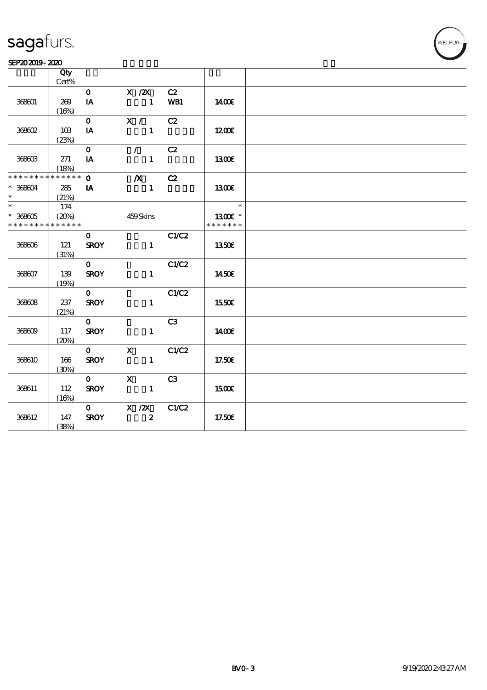#### SEP202019-2020

|                   | Qty         |                         |                           |                |               |  |
|-------------------|-------------|-------------------------|---------------------------|----------------|---------------|--|
|                   | $Cert\%$    |                         |                           |                |               |  |
|                   |             | $\mathbf{O}$            | $X$ / $ZX$                | C2             |               |  |
| 368601            | 269         | $\mathbf{I} \mathbf{A}$ | $\mathbf{1}$              | WB1            | 1400E         |  |
|                   | (16%)       |                         |                           |                |               |  |
|                   |             | $\mathbf{O}$            | X /                       | C2             |               |  |
| 368602            | 10B         | $I\!\!A$                | $\mathbf{1}$              |                | 1200E         |  |
|                   | (23%)       |                         |                           |                |               |  |
|                   |             | $\mathbf{o}$            | $\mathcal{F}$             | C2             |               |  |
| 368603            | 271         | IA                      | $\mathbf{1}$              |                | 1300E         |  |
|                   | (18%)       |                         |                           |                |               |  |
| * * * * * * * *   | $******$    | $\mathbf{o}$            | $\boldsymbol{X}$          | C2             |               |  |
| $* 36804$         | 285         | IA                      | $\mathbf{1}$              |                | 1300E         |  |
| $\ast$            | (21%)       |                         |                           |                |               |  |
| $\overline{\ast}$ | 174         |                         |                           |                | $\ast$        |  |
| $* 36805$         | (20%)       |                         | 459Skins                  |                | 1300€ *       |  |
| * * * * * * * *   | * * * * * * |                         |                           |                | * * * * * * * |  |
|                   |             | $\mathbf{o}$            |                           | C1/C2          |               |  |
| 368606            | 121         | <b>SROY</b>             | $\mathbf{1}$              |                | 1350E         |  |
|                   | (31%)       |                         |                           |                |               |  |
|                   |             | $\mathbf{O}$            |                           | C1/C2          |               |  |
| 368607            | 139         | <b>SROY</b>             | $\mathbf{1}$              |                | 1450E         |  |
|                   | (19%)       |                         |                           |                |               |  |
|                   |             | $\mathbf{O}$            |                           | C1/C2          |               |  |
| 368608            | 237         | <b>SROY</b>             | $\mathbf{1}$              |                | 1550€         |  |
|                   | (21%)       |                         |                           |                |               |  |
|                   |             | $\mathbf{O}$            |                           | C <sub>3</sub> |               |  |
| 368609            | 117         | <b>SROY</b>             | $\mathbf{1}$              |                | 1400E         |  |
|                   | (20%)       |                         |                           |                |               |  |
|                   |             | $\mathbf{O}$            | $\mathbf X$               | C1/C2          |               |  |
| 368610            | 166         | <b>SROY</b>             | $\mathbf{1}$              |                | 17.50€        |  |
|                   | (30%)       |                         |                           |                |               |  |
|                   |             | $\mathbf{O}$            | $\boldsymbol{\mathsf{X}}$ | C <sub>3</sub> |               |  |
| 368611            | 112         | <b>SROY</b>             | $\mathbf{1}$              |                | 1500€         |  |
|                   | (16%)       |                         |                           |                |               |  |
|                   |             | $\mathbf{O}$            | $X$ / $ZX$                | C1/C2          |               |  |
| 368612            | 147         | <b>SROY</b>             | $\boldsymbol{2}$          |                | 17.50€        |  |
|                   | (38%)       |                         |                           |                |               |  |
|                   |             |                         |                           |                |               |  |

WELFUR-<br>
.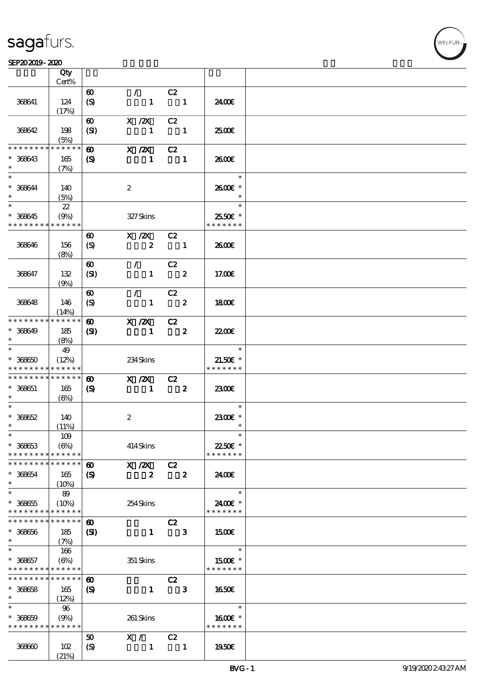#### $SEP202019 - 2020$

|                                            | Qty                        |                             |                  |                         |                         |                          |  |
|--------------------------------------------|----------------------------|-----------------------------|------------------|-------------------------|-------------------------|--------------------------|--|
|                                            | Cert%                      |                             |                  |                         |                         |                          |  |
|                                            |                            | $\boldsymbol{\omega}$       | $\mathcal{L}$    | C2                      |                         |                          |  |
| 368641                                     | 124                        | $\boldsymbol{S}$            | $\mathbf{1}$     |                         | $\blacksquare$          | 2400€                    |  |
|                                            | (17%)                      |                             |                  |                         |                         |                          |  |
|                                            |                            | $\boldsymbol{\omega}$       | $X$ / $ZX$       | C2                      |                         |                          |  |
| 368642                                     | 198                        | (SI)                        | $\mathbf{1}$     |                         | $\blacksquare$          | æœ                       |  |
| * * * * * * * *                            | (5%)<br>******             |                             |                  |                         |                         |                          |  |
|                                            |                            | $\boldsymbol{\omega}$       | X / ZX           | C2                      |                         |                          |  |
| $* 368643$<br>$\ast$                       | 165                        | $\boldsymbol{\mathcal{S}}$  | $\mathbf{1}$     |                         | $\blacksquare$          | 2600E                    |  |
| $\ast$                                     | (7%)                       |                             |                  |                         |                         | $\ast$                   |  |
|                                            |                            |                             |                  |                         |                         |                          |  |
| $* 366644$<br>$\ast$                       | 140                        |                             | $\boldsymbol{2}$ |                         |                         | 2600€ *<br>$\ast$        |  |
| $\overline{\ast}$                          | (5%)                       |                             |                  |                         |                         | $\ast$                   |  |
|                                            | $22\,$                     |                             |                  |                         |                         |                          |  |
| $* 36645$<br>* * * * * * * *               | (9%)<br>* * * * * *        |                             | 327Skins         |                         |                         | 2550€ *<br>* * * * * * * |  |
|                                            |                            |                             |                  |                         |                         |                          |  |
|                                            |                            | $\boldsymbol{\omega}$       | $X$ / $ZX$       | C2                      |                         |                          |  |
| 368646                                     | 156                        | $\boldsymbol{S}$            | $\boldsymbol{z}$ | $\blacksquare$          |                         | 2600€                    |  |
|                                            | (8%)                       |                             |                  |                         |                         |                          |  |
|                                            |                            | $\boldsymbol{\omega}$       | $\mathcal{F}$    | C2                      |                         |                          |  |
| 368647                                     | 132                        | (SI)                        | $\mathbf{1}$     |                         | $\overline{\mathbf{2}}$ | 17.00E                   |  |
|                                            | (9%)                       |                             |                  |                         |                         |                          |  |
|                                            |                            | $\boldsymbol{\omega}$       | $\mathcal{F}$    | C2                      | $\overline{\mathbf{2}}$ |                          |  |
| 368648                                     | 146                        | $\boldsymbol{S}$            | $\mathbf{1}$     |                         |                         | 1800E                    |  |
| * * * * * * * *                            | (14%)<br>* * * * * *       |                             |                  |                         |                         |                          |  |
|                                            |                            | $\boldsymbol{\omega}$       | $X$ / $ZX$       | C2                      |                         |                          |  |
| $* 36649$<br>$\ast$                        | 185                        | $\mathbf{S}$                | $\mathbf{1}$     | $\overline{\mathbf{2}}$ |                         | <b>22006</b>             |  |
| $\ast$                                     | (8%)                       |                             |                  |                         |                         | $\ast$                   |  |
| $* 36650$                                  | 49<br>(12%)                |                             | 234Skins         |                         |                         | $21.50E$ *               |  |
| * * * * * * * *                            | * * * * * *                |                             |                  |                         |                         | * * * * * * *            |  |
| * * * * * * * *                            | $* * * * * * *$            | $\boldsymbol{\omega}$       | $X$ / $ZX$       | C2                      |                         |                          |  |
| $* 368651$                                 | 165                        | $\boldsymbol{\mathrm{(S)}}$ | $\blacksquare$   | $\overline{\mathbf{2}}$ |                         | 2300                     |  |
| $\ast$                                     | (6%)                       |                             |                  |                         |                         |                          |  |
| $\ast$                                     |                            |                             |                  |                         |                         | $\ast$                   |  |
| $* 36662$                                  | 140                        |                             | $\boldsymbol{2}$ |                         |                         | 2300E *                  |  |
| $\ast$                                     | (11%)                      |                             |                  |                         |                         | $\ast$                   |  |
| $*$                                        | 109                        |                             |                  |                         |                         | $\ast$                   |  |
| $* 36663$                                  | $(\Theta)$                 |                             | 414Skins         |                         |                         | 22.50€ *                 |  |
| * * * * * * * *                            | * * * * * *                |                             |                  |                         |                         | * * * * * * *            |  |
| * * * * * * * *                            | * * * * * *                | $\boldsymbol{\omega}$       | X / ZX           | C2                      |                         |                          |  |
| $* 368654$                                 | 165                        | $\boldsymbol{\mathcal{S}}$  | $\boldsymbol{z}$ |                         | $\overline{\mathbf{2}}$ | 2400€                    |  |
| $\ast$                                     | $(10\%)$                   |                             |                  |                         |                         |                          |  |
| $\ast$                                     | 89                         |                             |                  |                         |                         | $\ast$                   |  |
| $* 36665$                                  | $(10\%)$                   |                             | 254Skins         |                         |                         | 2400€ *                  |  |
| * * * * * * * *                            | * * * * * *                |                             |                  |                         |                         | * * * * * * *            |  |
| * * * * * * * *                            | * * * * * *                | $\boldsymbol{\omega}$       |                  | C2                      |                         |                          |  |
| $* 36666$                                  | 185                        | (S)                         | $\mathbf{1}$     |                         | 3                       | 1500E                    |  |
| $\ast$                                     | (7%)                       |                             |                  |                         |                         |                          |  |
| $\ast$                                     | 166                        |                             |                  |                         |                         | $\ast$                   |  |
| $* 366657$                                 | $(\Theta)$                 |                             | 351 Skins        |                         |                         | 1500€ *                  |  |
| * * * * * * * * <mark>* * * * * *</mark> * |                            |                             |                  |                         |                         | * * * * * * *            |  |
| * * * * * * * *                            | $\ast\ast\ast\ast\ast\ast$ | $\boldsymbol{\omega}$       |                  | C2                      |                         |                          |  |
| $* 36658$                                  | 165                        | $\boldsymbol{\mathrm{(S)}}$ | $\mathbf{1}$     |                         | $\mathbf{3}$            | 1650E                    |  |
| $\ast$                                     | (12%)                      |                             |                  |                         |                         |                          |  |
| $\ast$                                     | 96                         |                             |                  |                         |                         | $\ast$                   |  |
| $* 36659$                                  | (9%)                       |                             | 261 Skins        |                         |                         | 1600€ *                  |  |
| * * * * * * * * * * * * * *                |                            |                             |                  |                         |                         | * * * * * * *            |  |
|                                            |                            | 50                          | X /              | C2                      |                         |                          |  |
| 36860                                      | 102                        | $\boldsymbol{\mathcal{S}}$  | $\mathbf{1}$     |                         | $\blacksquare$          | 1950€                    |  |
|                                            | (21%)                      |                             |                  |                         |                         |                          |  |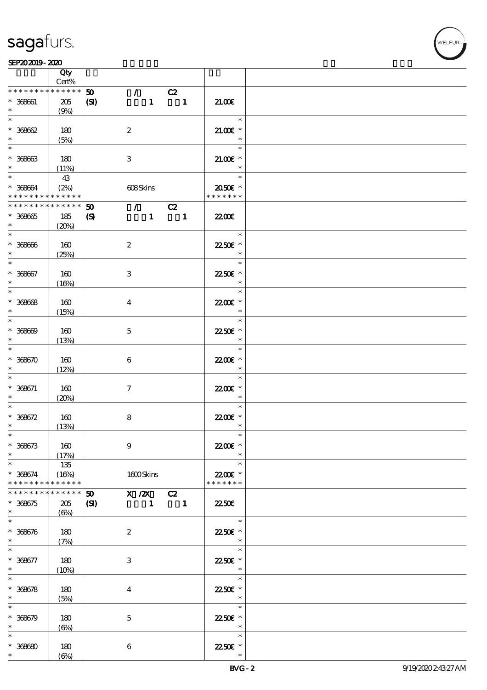$\top$ 



|                                                         | Qty<br>Cert%                |                             |                           |                                 |                                                                                                                                                                                                                                                                                                                                                                                      |                                                          |  |
|---------------------------------------------------------|-----------------------------|-----------------------------|---------------------------|---------------------------------|--------------------------------------------------------------------------------------------------------------------------------------------------------------------------------------------------------------------------------------------------------------------------------------------------------------------------------------------------------------------------------------|----------------------------------------------------------|--|
| * * * * * * * *                                         | * * * * * *                 | 50                          |                           | $\mathcal{L}$ and $\mathcal{L}$ |                                                                                                                                                                                                                                                                                                                                                                                      |                                                          |  |
| $* 36661$<br>$\ast$                                     | 205<br>(9%)                 | (S)                         |                           | $\mathbf{1}$                    | C2<br>$\overline{\phantom{a}}$                                                                                                                                                                                                                                                                                                                                                       | 21.00E                                                   |  |
| $\ast$<br>$* 36862$                                     | 180                         |                             | $\boldsymbol{2}$          |                                 |                                                                                                                                                                                                                                                                                                                                                                                      | $\ast$<br>$21.00E$ *                                     |  |
| $\ast$                                                  | (5%)                        |                             |                           |                                 |                                                                                                                                                                                                                                                                                                                                                                                      | $\ast$                                                   |  |
| $\overline{\ast}$<br>$* 36663$<br>$\ast$                | 180<br>(11%)                |                             | 3                         |                                 |                                                                                                                                                                                                                                                                                                                                                                                      | $\ast$<br>$21.005*$<br>$\ast$                            |  |
| $* 36664$<br>* * * * * * * * <mark>* * * * * * *</mark> | 43<br>(2%)                  |                             | 608Skins                  |                                 |                                                                                                                                                                                                                                                                                                                                                                                      | $\ast$<br>2050E *<br>* * * * * * *                       |  |
| * * * * * * * * * * * * * * *                           |                             | $\boldsymbol{\mathfrak{D}}$ |                           |                                 | $\overline{C}$ $\overline{C}$ $\overline{C}$ $\overline{C}$ $\overline{C}$ $\overline{C}$ $\overline{C}$ $\overline{C}$ $\overline{C}$ $\overline{C}$ $\overline{C}$ $\overline{C}$ $\overline{C}$ $\overline{C}$ $\overline{C}$ $\overline{C}$ $\overline{C}$ $\overline{C}$ $\overline{C}$ $\overline{C}$ $\overline{C}$ $\overline{C}$ $\overline{C}$ $\overline{C}$ $\overline{$ |                                                          |  |
| $* 36865$<br>$\ast$                                     | 185<br>(20%)                | $\boldsymbol{\mathcal{S}}$  |                           |                                 | $1 \quad 1$                                                                                                                                                                                                                                                                                                                                                                          | 2200                                                     |  |
| $^\ast$ 36866<br>$\ast$                                 | 160<br>(25%)                |                             | $\boldsymbol{2}$          |                                 |                                                                                                                                                                                                                                                                                                                                                                                      | $\overline{\phantom{a}}$<br>$\ast$<br>22.50€ *<br>$\ast$ |  |
| $\ast$<br>$* 368667$<br>$\ast$                          | 160                         |                             | $\ensuremath{\mathsf{3}}$ |                                 |                                                                                                                                                                                                                                                                                                                                                                                      | $\ast$<br>22.50€ *<br>$\ast$                             |  |
|                                                         | (16%)                       |                             |                           |                                 |                                                                                                                                                                                                                                                                                                                                                                                      |                                                          |  |
| $\overline{\ast}$<br>$* 36668$<br>$\ast$                | 160<br>(15%)                |                             | $\bf{4}$                  |                                 |                                                                                                                                                                                                                                                                                                                                                                                      | $\ast$<br>22.00€ *<br>$\ast$                             |  |
| $\ast$<br>$* 36669$<br>$\ast$                           | 160<br>(13%)                |                             | $\mathbf{5}$              |                                 |                                                                                                                                                                                                                                                                                                                                                                                      | $\ast$<br>22.50€ *<br>$\ast$                             |  |
| $\ast$<br>$* 368670$<br>$\ast$                          | 160<br>(12%)                |                             | $\bf 6$                   |                                 |                                                                                                                                                                                                                                                                                                                                                                                      | $\ast$<br>22.00 £*<br>$\ast$                             |  |
| $\ast$<br>$* 368671$<br>$\ast$                          | 160                         |                             | $\tau$                    |                                 |                                                                                                                                                                                                                                                                                                                                                                                      | $\ast$<br>22.00€ *<br>$\ast$                             |  |
| $\ast$<br>$* 36672$                                     | (20%)<br>160                |                             | $\bf 8$                   |                                 |                                                                                                                                                                                                                                                                                                                                                                                      | $\ast$<br>22.00 £*                                       |  |
| $\ast$                                                  | (13%)                       |                             |                           |                                 |                                                                                                                                                                                                                                                                                                                                                                                      | $\ast$                                                   |  |
| $*$<br>$* 368673$<br>$\ast$                             | 160<br>(17%)                |                             | $\boldsymbol{9}$          |                                 |                                                                                                                                                                                                                                                                                                                                                                                      | $\ast$<br>22.00€ *                                       |  |
| $\ast$<br>$* 366674$<br>* * * * * * * *                 | 135<br>(16%)<br>* * * * * * |                             | 1600Skins                 |                                 |                                                                                                                                                                                                                                                                                                                                                                                      | $\ast$<br>22.00€ *<br>* * * * * * *                      |  |
| * * * * * *                                             | * * * * * *                 | 50                          | $X / ZX$ C <sub>2</sub>   |                                 |                                                                                                                                                                                                                                                                                                                                                                                      |                                                          |  |
| $* 368675$<br>$\ast$                                    | 205<br>$(\Theta)$           | (S)                         |                           | $\mathbf{1}$                    | $\blacksquare$                                                                                                                                                                                                                                                                                                                                                                       | <b>22.50E</b>                                            |  |
| $\ast$<br>$* 368676$<br>$\ast$                          | 180<br>(7%)                 |                             | $\boldsymbol{z}$          |                                 |                                                                                                                                                                                                                                                                                                                                                                                      | $\ast$<br>22.50€ *                                       |  |
| $\ast$<br>$* 368677$<br>$\ast$                          | 180<br>(10%)                |                             | $\ensuremath{\mathsf{3}}$ |                                 |                                                                                                                                                                                                                                                                                                                                                                                      | $\ast$<br>22.50€ *<br>$\ast$                             |  |
| $\ast$<br>$* 36678$<br>$\ast$                           | 180<br>(5%)                 |                             | $\overline{\mathbf{4}}$   |                                 |                                                                                                                                                                                                                                                                                                                                                                                      | $\ast$<br>22.50€ *<br>$\ast$                             |  |
| $\ast$<br>$* 36679$<br>$\ast$                           | 180<br>$(\Theta)$           |                             | $\mathbf 5$               |                                 |                                                                                                                                                                                                                                                                                                                                                                                      | $\ast$<br>22.50€ *<br>$\ast$                             |  |
| $\ast$<br>$* 368680$<br>$\ast$                          | 180<br>$(\Theta)$           |                             | $\bf 6$                   |                                 |                                                                                                                                                                                                                                                                                                                                                                                      | $\ast$<br>22.50€ *                                       |  |

 $\overline{\mathbf{r}}$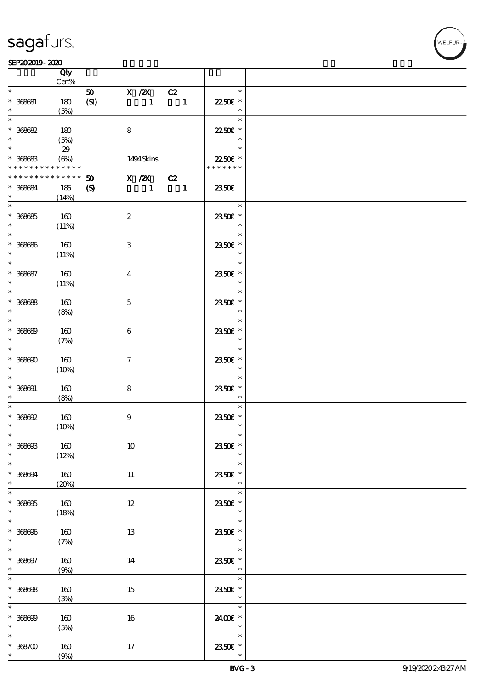$\top$ 

#### $SEP202019 - 2020$

|                            | Qty<br>Cert%    |                                                                           |                                                   |  |
|----------------------------|-----------------|---------------------------------------------------------------------------|---------------------------------------------------|--|
| $\ast$                     |                 |                                                                           | $\ast$                                            |  |
|                            |                 | $X$ / $ZX$<br>$\boldsymbol{\mathfrak{D}}$<br>C2                           |                                                   |  |
| $* 366681$                 | 180             | (SI)<br>$\mathbf{1}$<br>$\blacksquare$                                    | 22.50€ *                                          |  |
|                            | (5%)            |                                                                           | $\ast$                                            |  |
| $\ast$                     |                 |                                                                           | $\ast$                                            |  |
| $* 36662$                  | 180             | 8                                                                         | 22.50€ *                                          |  |
| $\ast$                     | (5%)            |                                                                           | $\ast$                                            |  |
| $*$                        | 29              |                                                                           | $\ast$                                            |  |
| $* 36663$                  | $(\Theta_0)$    | 1494 Skins                                                                | 22.50€ *                                          |  |
| * * * * * * * *            | $* * * * * * *$ |                                                                           | * * * * * * *                                     |  |
| * * * * * * * *            | * * * * * *     | $X / ZX$ $C2$<br>50                                                       |                                                   |  |
| $* 366694$                 | 185             | $\boldsymbol{\mathrm{(S)}}$<br>$\blacksquare$<br>$\overline{\phantom{a}}$ | 2350E                                             |  |
| $\ast$                     | (14%)           |                                                                           |                                                   |  |
|                            |                 |                                                                           | $\ast$                                            |  |
|                            |                 |                                                                           | 2350E *                                           |  |
| $* 36665$<br>$\ast$        | 160             | $\boldsymbol{2}$                                                          | $\ast$                                            |  |
|                            | (11%)           |                                                                           | $\ast$                                            |  |
|                            |                 |                                                                           |                                                   |  |
| $* 36666$                  | 160             | 3                                                                         | 2350€ *                                           |  |
| $\ast$                     | (11%)           |                                                                           | $\overline{\phantom{a}}$                          |  |
| $\overline{\ast}$          |                 |                                                                           | $\ast$                                            |  |
| $* 366687$                 | 160             | $\bf{4}$                                                                  | 2350€ *                                           |  |
| $\ast$                     | (11%)           |                                                                           | $\ast$                                            |  |
| $\overline{\ast}$          |                 |                                                                           | $\ast$                                            |  |
| $* 36668$                  | 160             | $\mathbf{5}$                                                              | 2350€ *                                           |  |
| $\ast$                     | (8%)            |                                                                           | $\ast$                                            |  |
|                            |                 |                                                                           | $\ast$                                            |  |
| $* 36669$                  | 160             | $\boldsymbol{6}$                                                          | 2350€ *                                           |  |
| $\ast$                     | (7%)            |                                                                           | $\ast$                                            |  |
| $*$                        |                 |                                                                           | $\ast$                                            |  |
| $* 368600$                 |                 |                                                                           |                                                   |  |
|                            | 160             | $\tau$                                                                    | 2350€ *<br>$\ast$                                 |  |
| $\ast$                     | (10%)           |                                                                           |                                                   |  |
| $\ast$                     |                 |                                                                           | $\ast$                                            |  |
| $* 368091$                 | 160             | 8                                                                         | 2350E *                                           |  |
| $\ast$                     | (8%)            |                                                                           | $\ast$                                            |  |
| $\ast$                     |                 |                                                                           | $\ast$                                            |  |
| $*$ 368692                 | 160             | $\boldsymbol{9}$                                                          | 2350E *                                           |  |
| $\ast$                     | (10%)           |                                                                           | $\ast$                                            |  |
| $*$                        |                 |                                                                           | $\ast$                                            |  |
| $* 368603$                 | 160             | $10\,$                                                                    | 2350€ *                                           |  |
| $*$                        | (12%)           |                                                                           | $\ast$                                            |  |
| $\overline{\phantom{0}}$   |                 |                                                                           | $\ast$                                            |  |
| $* 368694$                 | 160             | 11                                                                        | 2350E *                                           |  |
| $\ast$                     | (20%)           |                                                                           | $\ast$                                            |  |
|                            |                 |                                                                           | $\ast$                                            |  |
| $* 368605$                 | 160             | 12                                                                        | 2350E *                                           |  |
| $*$                        | (18%)           |                                                                           | $*$                                               |  |
|                            |                 |                                                                           | $\ast$                                            |  |
| $* 368606$                 | 160             | 13                                                                        | 2350€ *                                           |  |
| $\ast$                     |                 |                                                                           | $\overline{\phantom{a}}$ $\overline{\phantom{a}}$ |  |
| $\ast$                     | (7%)            |                                                                           | $\ast$                                            |  |
|                            |                 |                                                                           |                                                   |  |
| $* 368697$                 | 160             | 14                                                                        | 2350E *                                           |  |
| $*$<br>$\overline{\ast}$   | (9%)            |                                                                           | $\overline{\phantom{a}}$<br>$\ast$                |  |
|                            |                 |                                                                           |                                                   |  |
| $* 36608$                  | 160             | 15                                                                        | 2350E *                                           |  |
| $\ast$ . The set of $\ast$ | (3%)            |                                                                           | $\overline{\phantom{a}}$                          |  |
|                            |                 |                                                                           | $\ast$                                            |  |
| $* 36869$                  | 160             | 16                                                                        | 2400€ *                                           |  |
| $\ast$                     | (5%)            |                                                                           | $\overline{\phantom{a}}$                          |  |
| $\ast$                     |                 |                                                                           | $\ast$                                            |  |
| $* 368700$                 | 160             | 17                                                                        | 2350E *                                           |  |
| $\ast$                     | (9%)            |                                                                           | $\ast$                                            |  |
|                            |                 |                                                                           |                                                   |  |

 $\overline{\mathbf{r}}$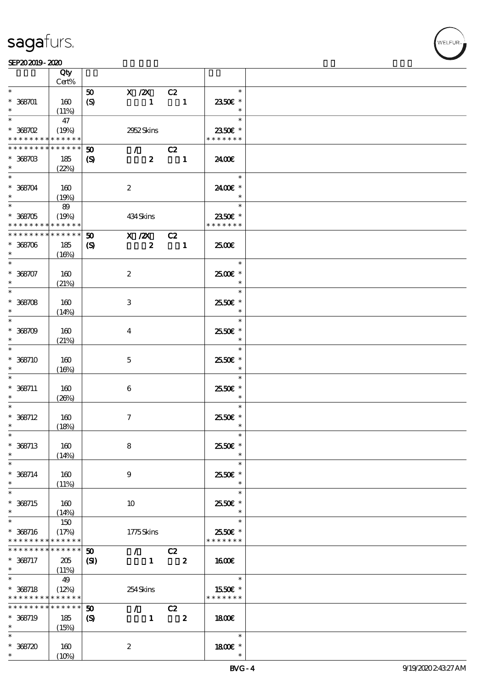┯

#### $SEP202019 - 2020$

|                                            | Qty<br>Cert%    |                             |                                 |                  |                   |  |
|--------------------------------------------|-----------------|-----------------------------|---------------------------------|------------------|-------------------|--|
| $\ast$                                     |                 |                             |                                 |                  | $\ast$            |  |
|                                            |                 | 50                          | $X$ / $ZX$                      | C2               |                   |  |
| $* 368701$                                 | 160             | $\boldsymbol{S}$            | $\mathbf{1}$                    | $\blacksquare$   | 2350€ *           |  |
|                                            | (11%)           |                             |                                 |                  | $\ast$            |  |
| $\overline{\ast}$                          | 47              |                             |                                 |                  | $\ast$            |  |
| $*$ 368702                                 | (19%)           |                             | 2952 Skins                      |                  | 2350€ *           |  |
| * * * * * * * * <mark>* * * * * *</mark>   |                 |                             |                                 |                  | * * * * * * *     |  |
| * * * * * * * *                            | * * * * * *     | $\boldsymbol{\mathfrak{D}}$ | $\sqrt{C^2}$                    |                  |                   |  |
|                                            |                 |                             |                                 |                  |                   |  |
| $*368703$                                  | 185             | $\boldsymbol{\mathrm{(S)}}$ | $\mathbf{2}$                    | $\blacksquare$   | 2400€             |  |
| $\ast$                                     | (22%)           |                             |                                 |                  |                   |  |
| $\overline{\phantom{0}}$                   |                 |                             |                                 |                  | $\ast$            |  |
| $* 368704$                                 | 160             |                             | $\boldsymbol{2}$                |                  | 2400€ *           |  |
| $\ast$                                     | (19%)           |                             |                                 |                  | $\ast$            |  |
|                                            | 89              |                             |                                 |                  | $\ast$            |  |
|                                            |                 |                             |                                 |                  |                   |  |
| $*368705$                                  | (19%)           |                             | 434 Skins                       |                  | 2350€ *           |  |
| * * * * * * * * <mark>* * * * * * *</mark> |                 |                             |                                 |                  | * * * * * * *     |  |
| * * * * * * * *                            | $* * * * * * *$ | $\boldsymbol{\mathfrak{D}}$ | X / ZX                          | C2               |                   |  |
| $* 368706$                                 | 185             | $\boldsymbol{\mathcal{S}}$  | $\overline{\mathbf{2}}$         | $\blacksquare$   | 2500€             |  |
| $\ast$                                     | (16%)           |                             |                                 |                  |                   |  |
| $\ast$                                     |                 |                             |                                 |                  | $\ast$            |  |
| $* 368707$                                 | 160             |                             | $\boldsymbol{2}$                |                  | 2500€ *           |  |
|                                            |                 |                             |                                 |                  | $\ast$            |  |
| $\ast$                                     | (21%)           |                             |                                 |                  |                   |  |
|                                            |                 |                             |                                 |                  | $\ast$            |  |
| $* 368708$                                 | 160             |                             | 3                               |                  | 2550€ *           |  |
| $\ast$                                     | (14%)           |                             |                                 |                  | $\ast$            |  |
| $\overline{\ast}$                          |                 |                             |                                 |                  | $\ast$            |  |
| $* 368709$                                 | 160             |                             | $\bf{4}$                        |                  | 25.50€ *          |  |
| $\ast$                                     |                 |                             |                                 |                  | $\ast$            |  |
| $\ast$                                     | (21%)           |                             |                                 |                  |                   |  |
|                                            |                 |                             |                                 |                  | $\ast$            |  |
| $* 368710$                                 | 160             |                             | $\mathbf{5}$                    |                  | 2550€ *           |  |
| $\ast$                                     | (16%)           |                             |                                 |                  | $\ast$            |  |
| $\ast$                                     |                 |                             |                                 |                  | $\ast$            |  |
| $* 368711$                                 | 160             |                             | 6                               |                  | 2550€ *           |  |
| $\ast$                                     | (20%)           |                             |                                 |                  | $\ast$            |  |
| $\ast$                                     |                 |                             |                                 |                  | $\ast$            |  |
|                                            |                 |                             |                                 |                  |                   |  |
| $* 368712$                                 | 160             |                             | $\tau$                          |                  | 2550€ *<br>$\ast$ |  |
| $\ast$                                     | (18%)           |                             |                                 |                  |                   |  |
| $\ast$                                     |                 |                             |                                 |                  | $\ast$            |  |
| $* 368713$                                 | 160             |                             | 8                               |                  | 25.50€ *          |  |
| $\ast$                                     | (14%)           |                             |                                 |                  |                   |  |
| $\ast$                                     |                 |                             |                                 |                  | $\ast$            |  |
| $* 368714$                                 | 160             |                             | 9                               |                  | 2550€ *           |  |
| $\ast$                                     | (11%)           |                             |                                 |                  | $\ast$            |  |
| $\overline{\ast}$                          |                 |                             |                                 |                  | $\ast$            |  |
|                                            |                 |                             |                                 |                  |                   |  |
| $* 368715$                                 | 160             |                             | 10                              |                  | 25.50€ *          |  |
| $\ast$                                     | (14%)           |                             |                                 |                  | $\ast$            |  |
| $\ast$                                     | 150             |                             |                                 |                  | $\ast$            |  |
| $* 368716$                                 | (17%)           |                             | 1775Skins                       |                  | 2550€ *           |  |
| * * * * * * * *                            | * * * * * *     |                             |                                 |                  | * * * * * * *     |  |
| * * * * * * * *                            | * * * * * *     | $\boldsymbol{\mathfrak{D}}$ | $\mathcal{F}$ and $\mathcal{F}$ | C2               |                   |  |
| * 368717                                   |                 |                             | $\mathbf{1}$                    | $\boldsymbol{z}$ | 1600E             |  |
|                                            | 205             | $\mathbf{C}$                |                                 |                  |                   |  |
| $\ast$<br>$\overline{\ast}$                | (11%)           |                             |                                 |                  |                   |  |
|                                            | 49              |                             |                                 |                  | $\ast$            |  |
| $* 368718$                                 | (12%)           |                             | 254Skins                        |                  | 1550€ *           |  |
| * * * * * * * * <mark>* * * * * * *</mark> |                 |                             |                                 |                  | * * * * * * *     |  |
| * * * * * * * *                            | * * * * * *     | 50                          | $\mathcal{L}$ and $\mathcal{L}$ | C2               |                   |  |
| * 368719                                   | 185             | $\boldsymbol{\mathrm{(S)}}$ | $\mathbf{1}$                    | $\boldsymbol{z}$ | 1800              |  |
| $\ast$                                     |                 |                             |                                 |                  |                   |  |
| $\ast$                                     | (15%)           |                             |                                 |                  |                   |  |
|                                            |                 |                             |                                 |                  | $\ast$            |  |
| $* 368720$                                 | 160             |                             | $\boldsymbol{z}$                |                  | 1800 £*           |  |
| $\ast$                                     | $(10\%)$        |                             |                                 |                  |                   |  |

 $\overline{\mathbf{r}}$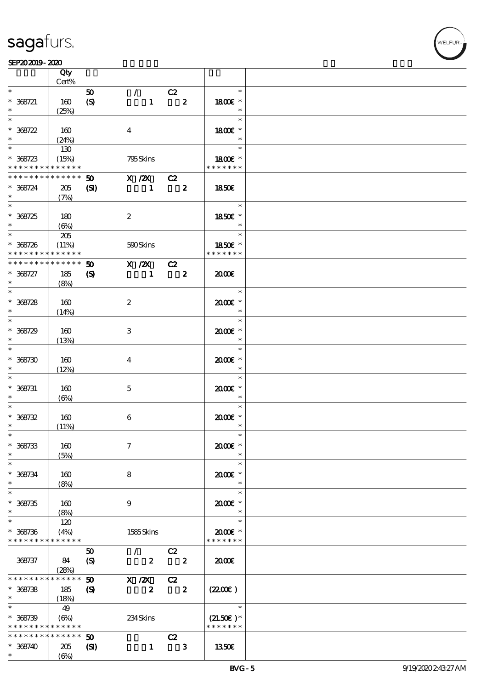T

|                   | Qty<br>Cert%      |                             |                         |                  |                            |                         |               |  |
|-------------------|-------------------|-----------------------------|-------------------------|------------------|----------------------------|-------------------------|---------------|--|
| $\ast$            |                   | 50                          |                         | $\mathcal{L}$    | C2                         |                         | $\ast$        |  |
|                   |                   |                             |                         |                  |                            |                         |               |  |
| $* 368721$        | 160               | $\boldsymbol{S}$            |                         | $\mathbf{1}$     |                            | $\overline{\mathbf{2}}$ | 1800E *       |  |
|                   | (25%)             |                             |                         |                  |                            |                         | $\ast$        |  |
| $\ast$            |                   |                             |                         |                  |                            |                         | $\ast$        |  |
| $* 368722$        | 160               |                             | $\overline{4}$          |                  |                            |                         | 1800€ *       |  |
|                   | (24%)             |                             |                         |                  |                            |                         | $\ast$        |  |
| $*$               | 130               |                             |                         |                  |                            |                         | $\ast$        |  |
| $* 368723$        | (15%)             |                             |                         | 795Skins         |                            |                         | 1800 £*       |  |
| * * * * * * * *   | * * * * * *       |                             |                         |                  |                            |                         | * * * * * * * |  |
|                   |                   |                             |                         |                  |                            |                         |               |  |
| * * * * * * * *   | $* * * * * * *$   | 50                          |                         | $X / ZX$ $C2$    |                            |                         |               |  |
| $* 368724$        | $205\,$           | (S)                         |                         | $\mathbf{1}$     | $\overline{\mathbf{z}}$    |                         | <b>1850€</b>  |  |
| $\ast$            | (7%)              |                             |                         |                  |                            |                         |               |  |
|                   |                   |                             |                         |                  |                            |                         | $\ast$        |  |
| $* 368725$        | 180               |                             | $\boldsymbol{z}$        |                  |                            |                         | 1850€ *       |  |
| $\ast$            | $(\Theta_0)$      |                             |                         |                  |                            |                         | $\ast$        |  |
|                   | 205               |                             |                         |                  |                            |                         | $\ast$        |  |
|                   |                   |                             |                         |                  |                            |                         |               |  |
| $* 368726$        | (11%)             |                             |                         | 500Skins         |                            |                         | 1850E *       |  |
| * * * * * * * *   | * * * * * *       |                             |                         |                  |                            |                         | * * * * * * * |  |
| * * * * * * * *   | $* * * * * * *$   | 50                          |                         | X / ZX           | C2                         |                         |               |  |
| $* 368727$        | 185               | $\boldsymbol{\mathrm{(S)}}$ |                         | $\mathbf{1}$     | $\overline{\phantom{a}}$ 2 |                         | 2000E         |  |
| $\ast$            | (8%)              |                             |                         |                  |                            |                         |               |  |
| $\overline{\ast}$ |                   |                             |                         |                  |                            |                         | $\ast$        |  |
| $* 368728$        | 160               |                             | $\boldsymbol{2}$        |                  |                            |                         | $2000$ $*$    |  |
| $\ast$            |                   |                             |                         |                  |                            |                         | $\ast$        |  |
|                   | (14%)             |                             |                         |                  |                            |                         | $\ast$        |  |
|                   |                   |                             |                         |                  |                            |                         |               |  |
| $* 368729$        | 160               |                             | 3                       |                  |                            |                         | 2000E *       |  |
| $\ast$            | (13%)             |                             |                         |                  |                            |                         | $\ast$        |  |
| $\overline{\ast}$ |                   |                             |                         |                  |                            |                         | $\ast$        |  |
| $* 368730$        | 160               |                             | $\overline{\mathbf{4}}$ |                  |                            |                         | 2000€*        |  |
| $\ast$            | (12%)             |                             |                         |                  |                            |                         | $\ast$        |  |
| $\ast$            |                   |                             |                         |                  |                            |                         | $\ast$        |  |
| $* 368731$        | 160               |                             | $\mathbf{5}$            |                  |                            |                         | $2000$ $*$    |  |
| $\ast$            |                   |                             |                         |                  |                            |                         | $\ast$        |  |
| $\ast$            | $(\Theta)$        |                             |                         |                  |                            |                         | $\ast$        |  |
|                   |                   |                             |                         |                  |                            |                         |               |  |
| $* 368732$        | 160               |                             | 6                       |                  |                            |                         | $2000$ $*$    |  |
| $\ast$            | (11%)             |                             |                         |                  |                            |                         | $\ast$        |  |
| $\ast$            |                   |                             |                         |                  |                            |                         | $\ast$        |  |
| $* 368733$        | 160               |                             | $\tau$                  |                  |                            |                         | 2000E*        |  |
| $\ast$            | (5%)              |                             |                         |                  |                            |                         | $\ast$        |  |
| $\ast$            |                   |                             |                         |                  |                            |                         | $\ast$        |  |
| $* 368734$        | 160               |                             | 8                       |                  |                            |                         | $2000$ $*$    |  |
| $\ast$            |                   |                             |                         |                  |                            |                         | $\ast$        |  |
| $\ast$            | (8%)              |                             |                         |                  |                            |                         |               |  |
|                   |                   |                             |                         |                  |                            |                         | $\ast$        |  |
| $* 368735$        | 160               |                             | 9                       |                  |                            |                         | 2000E*        |  |
| $\ast$            | (8%)              |                             |                         |                  |                            |                         | $\ast$        |  |
| $\ast$            | 120               |                             |                         |                  |                            |                         | $\ast$        |  |
| $* 368736$        | (4%)              |                             |                         | 1585Skins        |                            |                         | 2000E *       |  |
| * * * * * * * *   | * * * * * *       |                             |                         |                  |                            |                         | * * * * * * * |  |
|                   |                   | 50                          |                         | $\mathcal{L}$    | C2                         |                         |               |  |
| 368737            | 84                |                             |                         | $\boldsymbol{z}$ |                            | $\mathbf{2}$            | 2000          |  |
|                   |                   | $\boldsymbol{\mathrm{(S)}}$ |                         |                  |                            |                         |               |  |
| * * * * * * * *   | (28%)<br>$******$ |                             |                         |                  |                            |                         |               |  |
|                   |                   | 50                          |                         | $X \, /ZX$       | C2                         |                         |               |  |
| $* 368738$        | 185               | $\boldsymbol{S}$            |                         | $\boldsymbol{z}$ |                            | $\overline{\mathbf{2}}$ | (220)         |  |
| $\ast$            | (18%)             |                             |                         |                  |                            |                         |               |  |
| $\ast$            | 49                |                             |                         |                  |                            |                         | $\ast$        |  |
| $* 368739$        | $(\Theta)$        |                             |                         | 234Skins         |                            |                         | $(21.50)$ *   |  |
| * * * * * * * *   | * * * * * *       |                             |                         |                  |                            |                         | * * * * * * * |  |
| * * * * * * * *   | * * * * * *       | 50                          |                         |                  | C2                         |                         |               |  |
| $* 368740$        | 205               |                             |                         | $\mathbf{1}$     | $\overline{\mathbf{3}}$    |                         | 1350E         |  |
| $\ast$            |                   | $\mathbf{C}$                |                         |                  |                            |                         |               |  |
|                   | $(\Theta)$        |                             |                         |                  |                            |                         |               |  |

т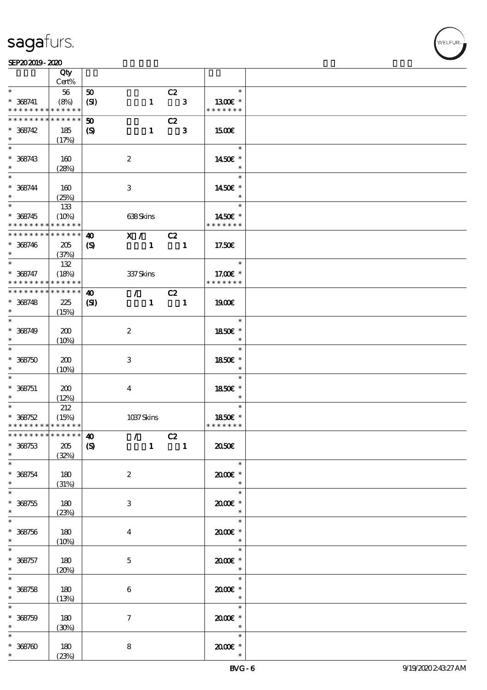#### $SEP202019 - 2020$

|                                            | Qty<br>Cert%        |                             |                  |                                 |                            |              |                          |  |
|--------------------------------------------|---------------------|-----------------------------|------------------|---------------------------------|----------------------------|--------------|--------------------------|--|
| $\ast$                                     | 56                  | 50                          |                  |                                 | C2                         |              | $\ast$                   |  |
| $* 368741$<br>* * * * * * * *              | (8%)<br>* * * * * * | (SI)                        |                  | $\mathbf{1}$                    | $\overline{\phantom{a}}$ 3 |              | 1300E *<br>* * * * * * * |  |
|                                            |                     |                             |                  |                                 |                            |              |                          |  |
| * * * * * * * *                            | * * * * * *         | $\boldsymbol{\mathfrak{D}}$ |                  |                                 | C2                         |              |                          |  |
| $* 368742$                                 | 185                 | $\boldsymbol{\mathrm{(S)}}$ |                  | $\mathbf{1}$                    |                            | $\mathbf{3}$ | 1500€                    |  |
| $\ast$                                     | (17%)               |                             |                  |                                 |                            |              |                          |  |
|                                            |                     |                             |                  |                                 |                            |              | $\ast$                   |  |
| $* 368743$                                 | 160                 |                             | $\boldsymbol{2}$ |                                 |                            |              | 1450€ *                  |  |
| $\ast$                                     | (28%)               |                             |                  |                                 |                            |              | $\ast$                   |  |
| $\overline{\ast}$                          |                     |                             |                  |                                 |                            |              | $\ast$                   |  |
|                                            |                     |                             |                  |                                 |                            |              |                          |  |
| $* 368744$<br>$\ast$                       | 160                 |                             | 3                |                                 |                            |              | 1450€ *<br>$\ast$        |  |
|                                            | (25%)               |                             |                  |                                 |                            |              |                          |  |
|                                            | 133                 |                             |                  |                                 |                            |              | $\ast$                   |  |
| $* 368745$                                 | (10%)               |                             | 638Skins         |                                 |                            |              | 1450€ *                  |  |
| * * * * * * * * <mark>*</mark>             | * * * * * *         |                             |                  |                                 |                            |              | * * * * * * *            |  |
| * * * * * * * *                            | $******$            | $\boldsymbol{\omega}$       | $\mathbf{X}$ /   |                                 | C2                         |              |                          |  |
| $* 368746$                                 | 205                 | $\boldsymbol{\mathrm{(S)}}$ |                  | $\mathbf{1}$                    | $\blacksquare$             |              | 17.50E                   |  |
| $\ast$                                     | (37%)               |                             |                  |                                 |                            |              |                          |  |
| $\ast$                                     | 132                 |                             |                  |                                 |                            |              | $\ast$                   |  |
| $* 368747$                                 | (18%)               |                             | 337 Skins        |                                 |                            |              | 17.00€ *                 |  |
| * * * * * * * *                            | * * * * * *         |                             |                  |                                 |                            |              | * * * * * * *            |  |
| * * * * * * * * <mark>* * * * * * *</mark> |                     | $\boldsymbol{\omega}$       | $\mathcal{T}$    |                                 | C2                         |              |                          |  |
| $* 368748$                                 | 225                 | (S)                         |                  | $\mathbf{1}$                    | $\blacksquare$             |              | 1900E                    |  |
| $\ast$                                     | (15%)               |                             |                  |                                 |                            |              |                          |  |
| $\overline{\ast}$                          |                     |                             |                  |                                 |                            |              | $\ast$                   |  |
| $* 368749$                                 | 200                 |                             | $\boldsymbol{2}$ |                                 |                            |              | 1850E *                  |  |
| $\ast$                                     |                     |                             |                  |                                 |                            |              | $\ast$                   |  |
| $\overline{\ast}$                          | (10%)               |                             |                  |                                 |                            |              | $\ast$                   |  |
|                                            |                     |                             |                  |                                 |                            |              |                          |  |
| $* 368750$                                 | 200                 |                             | 3                |                                 |                            |              | 1850€ *                  |  |
| $\ast$                                     | (10%)               |                             |                  |                                 |                            |              | $\ast$                   |  |
| $\ast$                                     |                     |                             |                  |                                 |                            |              | $\ast$                   |  |
| $* 368751$                                 | 200                 |                             | $\bf{4}$         |                                 |                            |              | 1850E *                  |  |
| $\ast$                                     | (12%)               |                             |                  |                                 |                            |              | $\ast$                   |  |
| $\overline{\ast}$                          | 212                 |                             |                  |                                 |                            |              | $\ast$                   |  |
| $* 368752$                                 | (15%)               |                             | 1037Skins        |                                 |                            |              | 1850€ *                  |  |
| * * * * * * * * <mark>* * * * * * *</mark> |                     |                             |                  |                                 |                            |              | * * * * * * *            |  |
| ************** 10                          |                     |                             |                  | $\mathcal{L}$ and $\mathcal{L}$ | C2                         |              |                          |  |
| $* 368753$                                 | $205\,$             | $\boldsymbol{\mathrm{(S)}}$ |                  | $\mathbf{1}$                    | $\overline{\phantom{a}}$   |              | ææ                       |  |
| $\ast$                                     | (32%)               |                             |                  |                                 |                            |              |                          |  |
| $\ast$                                     |                     |                             |                  |                                 |                            |              | $\ast$                   |  |
| $* 368754$                                 | 180                 |                             | $\boldsymbol{2}$ |                                 |                            |              | $2000$ $*$               |  |
| $\ast$                                     | (31%)               |                             |                  |                                 |                            |              | $\ast$                   |  |
| $\overline{\ast}$                          |                     |                             |                  |                                 |                            |              | $\ast$                   |  |
| $* 368755$                                 | 180                 |                             | 3                |                                 |                            |              | 2000E *                  |  |
| $\ast$                                     | (23%)               |                             |                  |                                 |                            |              | $\ast$                   |  |
| $\ast$                                     |                     |                             |                  |                                 |                            |              | $\ast$                   |  |
| $* 368756$                                 | 180                 |                             |                  |                                 |                            |              | 2000E *                  |  |
| $\ast$                                     |                     |                             | $\boldsymbol{4}$ |                                 |                            |              | $\ast$                   |  |
| $\ast$                                     | (10%)               |                             |                  |                                 |                            |              | $\ast$                   |  |
|                                            |                     |                             |                  |                                 |                            |              |                          |  |
| $* 368757$                                 | 180                 |                             | $\mathbf 5$      |                                 |                            |              | $2000$ $*$               |  |
| $\ast$<br>$\overline{\ast}$                | $(20\%)$            |                             |                  |                                 |                            |              | $\ast$<br>$\ast$         |  |
|                                            |                     |                             |                  |                                 |                            |              |                          |  |
| $* 368758$                                 | 180                 |                             | 6                |                                 |                            |              | $2000$ $*$               |  |
| $\ast$                                     | (13%)               |                             |                  |                                 |                            |              | $\ast$                   |  |
| $\ast$                                     |                     |                             |                  |                                 |                            |              | $\ast$                   |  |
| $* 368759$                                 | 180                 |                             | $\tau$           |                                 |                            |              | 2000E *                  |  |
|                                            | (30%)               |                             |                  |                                 |                            |              | $\ast$                   |  |
| $\ast$                                     |                     |                             |                  |                                 |                            |              | $\ast$                   |  |
| $* 368700$                                 | 180                 |                             | 8                |                                 |                            |              | $2000$ $*$               |  |
|                                            | (23%)               |                             |                  |                                 |                            |              |                          |  |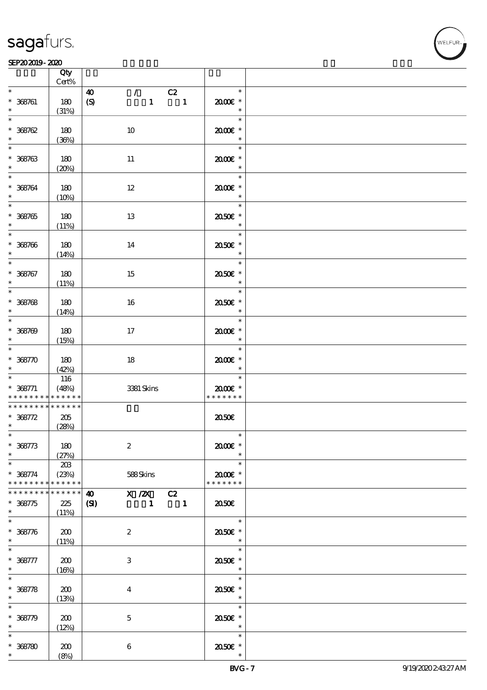#### $SEP202019 - 2020$

|                                           | Qty<br>Cert%                |                                                                                                         |                                       |  |
|-------------------------------------------|-----------------------------|---------------------------------------------------------------------------------------------------------|---------------------------------------|--|
| $\ast$                                    |                             |                                                                                                         | $\ast$                                |  |
| $* 368761$<br>$\ast$                      | 180<br>(31%)                | $\mathcal{F}$ and $\mathcal{F}$<br>C2<br>$\boldsymbol{\omega}$<br>(S)<br>$\mathbf{1}$<br>$\blacksquare$ | 2000E*<br>$\ast$                      |  |
| $\overline{\ast}$<br>$* 368762$           | 180                         | 10                                                                                                      | $\ast$<br>2000E *                     |  |
| $\ast$<br>$* 368763$                      | (36%)<br>180                | 11                                                                                                      | $\ast$<br>$\ast$<br>2000E *           |  |
| $\ast$<br>$\ast$                          | (20%)                       |                                                                                                         | $\ast$<br>$\ast$                      |  |
| $* 368764$<br>$\ast$                      | 180<br>(10%)                | 12                                                                                                      | $2000$ $*$<br>$\ast$<br>$\ast$        |  |
| $* 388765$<br>$\ast$<br>$\overline{\ast}$ | 180<br>(11%)                | 13                                                                                                      | 2050E *<br>$\ast$<br>$\ast$           |  |
| $* 368766$<br>$\ast$                      | 180<br>(14%)                | 14                                                                                                      | 2050E *<br>$\ast$                     |  |
| $\overline{\ast}$<br>$* 368767$<br>$\ast$ | 180<br>(11%)                | 15                                                                                                      | $\ast$<br>2050E *<br>$\ast$           |  |
| $* 368768$<br>$\ast$                      | 180<br>(14%)                | 16                                                                                                      | $\ast$<br>2050E *<br>$\ast$           |  |
| $\overline{\ast}$<br>$* 368709$<br>$\ast$ | 180<br>(15%)                | 17                                                                                                      | $\ast$<br>$2000$ $*$<br>$\ast$        |  |
| $\overline{\ast}$<br>$* 368770$<br>$\ast$ | 180<br>(42%)                | 18                                                                                                      | $\ast$<br>2000€*<br>$\ast$            |  |
| $* 368771$<br>* * * * * * * *             | 116<br>(48%)<br>* * * * * * | 3381 Skins                                                                                              | $\ast$<br>2000E *<br>* * * * * * *    |  |
| * * * * * * * *                           | * * * * * *                 |                                                                                                         |                                       |  |
| $* 368772$<br>$\ast$                      | 205<br>(28%)                |                                                                                                         | 2050E                                 |  |
| $\ast$<br>$* 368773$<br>$\ast$            | 180<br>(27%)                | $\boldsymbol{2}$                                                                                        | $\ast$<br>2000€*                      |  |
| $\ast$<br>$* 368774$<br>* * * * * * * *   | 203<br>(23%)<br>* * * * * * | 588Skins                                                                                                | $\ast$<br>$2000$ $*$<br>* * * * * * * |  |
| * * * * * * *<br>$* 368775$<br>$\ast$     | * * * * * *<br>225<br>(11%) | $X / ZX$ $C2$<br>$\boldsymbol{\omega}$<br>(S)<br>$\mathbf{1}$<br>$\blacksquare$                         | 2050                                  |  |
| $\ast$<br>$* 368776$<br>$\ast$            | 200<br>(11%)                | $\boldsymbol{2}$                                                                                        | $\ast$<br>2050E *<br>$\ast$           |  |
| $\ast$<br>$* 368777$<br>$\ast$            | 200<br>(16%)                | 3                                                                                                       | $\ast$<br>2050E *<br>$\ast$           |  |
| $\ast$<br>$* 368778$<br>$\ast$            | 200<br>(13%)                | $\bf{4}$                                                                                                | $\ast$<br>2050E *<br>$\ast$           |  |
| $\ast$<br>$* 368779$                      | 200<br>(12%)                | $\mathbf{5}$                                                                                            | $\ast$<br>2050E *<br>$\ast$           |  |
| $\ast$<br>$* 368780$                      | 200<br>(8%)                 | $\boldsymbol{6}$                                                                                        | $\ast$<br>2050E *                     |  |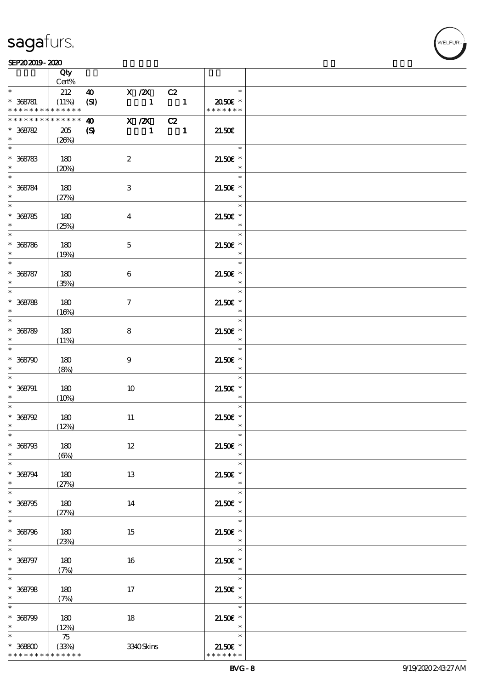#### $SEP202019 - 2020$  $\frac{\text{SEPAO 2019 - 2020}}{\text{Cty}}$

|                                                     | Qty<br>Cert%                |                                           |                        |                                  |                                          |  |
|-----------------------------------------------------|-----------------------------|-------------------------------------------|------------------------|----------------------------------|------------------------------------------|--|
| $\ast$                                              | 212                         | $\boldsymbol{\omega}$                     | $X$ / $ZX$             |                                  | $\ast$                                   |  |
| $* 368781$<br>* * * * * * * * * * * * * *           | (11%)                       | (SI)                                      | $\blacksquare$         | C2<br>$\overline{\phantom{a}}$ 1 | 2050 $\varepsilon$ *<br>* * * * * * *    |  |
| ********<br>$* 368782$<br>$\ast$                    | * * * * * *<br>205<br>(20%) | $\boldsymbol{\omega}$<br>$\boldsymbol{S}$ | X / ZX<br>$\mathbf{1}$ | C2<br>$\overline{\phantom{a}}$ 1 | 21.50E                                   |  |
| $* 368783$<br>$\ast$                                | 180<br>(20%)                | $\boldsymbol{2}$                          |                        |                                  | $\ast$<br>$21.50E$ *<br>$\ast$           |  |
| $*$<br>$* 368784$<br>$*$                            | 180<br>(27%)                | $\,3$                                     |                        |                                  | $\ast$<br>$21.50E$ *<br>$\ast$           |  |
| $* 368785$<br>$*$                                   | 180<br>(25%)                | $\bf{4}$                                  |                        |                                  | $\ast$<br>$21.50E$ *<br>$\ast$           |  |
| $* 368786$<br>$\ast$                                | 180<br>(19%)                | $\mathbf{5}$                              |                        |                                  | $\ast$<br>$21.50E$ *<br>$\ast$           |  |
| $\ast$<br>$* 368787$<br>$\ast$                      | 180<br>(35%)                | $\bf 6$                                   |                        |                                  | $\ast$<br>$21.50E$ *<br>$\ast$           |  |
| $\overline{\ast}$<br>$* 368788$<br>$\ast$           | 180<br>(16%)                | $\tau$                                    |                        |                                  | $\ast$<br>$21.50E$ *<br>$\ast$           |  |
| $* 368789$<br>$\ast$                                | 180<br>(11%)                | 8                                         |                        |                                  | $\ast$<br>$21.50E$ *<br>$\ast$           |  |
| $\ast$<br>$* 368790$<br>$\ast$                      | 180<br>(8%)                 | 9                                         |                        |                                  | $\ast$<br>$21.50E$ *<br>$\ast$           |  |
| $\ast$<br>$* 368791$<br>$\ast$                      | 180<br>(10%)                | 10                                        |                        |                                  | $\ast$<br>$21.50E$ *<br>$\ast$           |  |
| $\ast$<br>$*368792$<br>$\ast$                       | 180<br>(12%)                | $11\,$                                    |                        |                                  | $\ast$<br>$21.50E$ *<br>$\ast$           |  |
| $*$<br>$* 368793$<br>$\ast$                         | 180<br>$(\Theta)$           | $12\,$                                    |                        |                                  | $\ast$<br>$21.50E$ *<br>$\ast$           |  |
| $\ast$<br>$* 368794$<br>$\ast$<br>$\overline{\ast}$ | $180\,$<br>(27%)            | 13                                        |                        |                                  | $\ast$<br>$21.50E$ *<br>$\ast$           |  |
| $* 368795$<br>$\ast$<br>$\ast$                      | $180\,$<br>(27%)            | 14                                        |                        |                                  | $\ast$<br>$21.50E$ *<br>$\ast$<br>$\ast$ |  |
| $* 368796$<br>$\ast$<br>$\ast$                      | $180\,$<br>(23%)            | 15                                        |                        |                                  | $21.50E$ *<br>$\ast$<br>$\ast$           |  |
| $* 368797$<br>$\ast$<br>$\overline{\ast}$           | 180<br>(7%)                 | 16                                        |                        |                                  | $21.50E$ *<br>$\ast$<br>$\ast$           |  |
| $* 368798$<br>$\ast$<br>$\ast$                      | 180<br>(7%)                 | 17                                        |                        |                                  | $21.50E$ *<br>$\ast$<br>$\ast$           |  |
| $* 368799$<br>$\ast$<br>$\ast$                      | 180<br>(12%)                | $18\,$                                    |                        |                                  | $21.50E$ *<br>$\ast$<br>$\ast$           |  |
| $* 36800$<br>* * * * * * * *                        | 75<br>(33%)<br>* * * * * *  |                                           | 3340Skins              |                                  | $21.50E$ *<br>* * * * * * *              |  |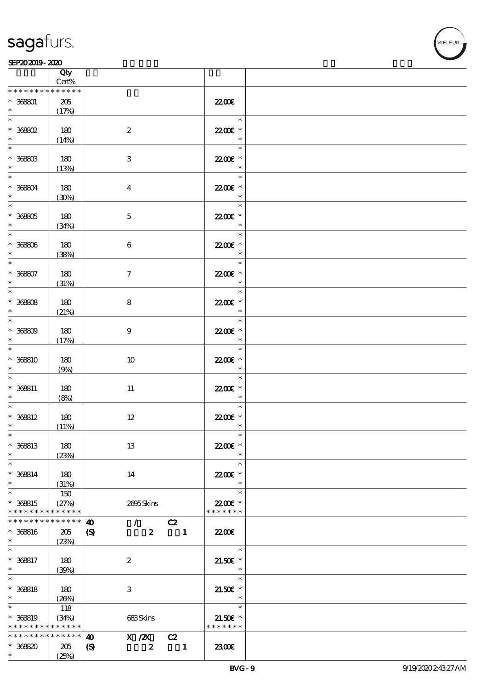|                                                | Qty<br>Cert%                |                                                                      |                  |                      |                                                |  |
|------------------------------------------------|-----------------------------|----------------------------------------------------------------------|------------------|----------------------|------------------------------------------------|--|
| * * * * * * *                                  | * * * * *                   |                                                                      |                  |                      |                                                |  |
| $* 36801$<br>$\ast$                            | $205\,$<br>(17%)            |                                                                      |                  |                      | 2200                                           |  |
| $\overline{\ast}$<br>$*$ 368602                | 180                         | $\boldsymbol{z}$                                                     |                  |                      | $\ast$<br>22.00€ *<br>$\overline{\phantom{a}}$ |  |
| $\ast$<br>$* 3680B$                            | (14%)<br>180                | $\,3$                                                                |                  |                      | $\ast$<br>22.00€ *<br>$\overline{\phantom{a}}$ |  |
| $\ast$<br>$* 36804$                            | (13%)<br>180                | $\boldsymbol{4}$                                                     |                  |                      | $\ast$<br>22.00 £*<br>$\ast$                   |  |
| $* 36805$                                      | (30%)<br>180                | $\mathbf 5$                                                          |                  |                      | $\ast$<br>22.00€ *                             |  |
| $\ast$<br>$* 36800$                            | (34%)<br>180                | $\bf 6$                                                              |                  |                      | $\ast$<br>$\ast$<br>22.00E *                   |  |
| $\ast$<br>$\overline{\mathbf{r}}$<br>$* 36807$ | (38%)<br>180                | $\boldsymbol{\tau}$                                                  |                  |                      | $\ast$<br>$\ast$<br>22.00 £*                   |  |
| $\ast$<br>$* 36808$                            | (31%)<br>180                | $\bf 8$                                                              |                  |                      | $\ast$<br>$\ast$<br>22.00 £*                   |  |
| $\ast$<br>$\ast$<br>$* 36809$                  | (21%)<br>180                | $\boldsymbol{9}$                                                     |                  |                      | $\overline{\phantom{a}}$<br>$\ast$<br>22.00€ * |  |
| $\ast$<br>$\ast$<br>$* 368810$                 | (17%)<br>180                | 10                                                                   |                  |                      | $\ast$<br>$\ast$<br>22.00 £*                   |  |
| $\ast$<br>$\ast$<br>$* 368811$                 | (9%)<br>180                 | $11\,$                                                               |                  |                      | $\ast$<br>$\ast$<br>22.00€ *                   |  |
| $\ast$<br>$* 368812$                           | (8%)<br>180                 | $12 \,$                                                              |                  |                      | $\ast$<br>$\ast$<br>22.00 £*                   |  |
| $\ast$<br>$\ast$<br>* 368813                   | (11%)<br>180                | 13                                                                   |                  |                      | $\ast$<br>22.00€ *                             |  |
| $\ast$<br>$\ast$<br>$* 368814$                 | (23%)<br>180                | 14                                                                   |                  |                      | $\ast$<br>$\ast$<br>22.00€ *                   |  |
| $\ast$<br>$\ast$<br>* 368815                   | (31%)<br>150<br>(27%)       | 2695Skins                                                            |                  |                      | $\ast$<br>$\ast$<br>22.00 £*                   |  |
| * * * * * * * *                                | * * * * * *                 |                                                                      |                  |                      | * * * * * * *                                  |  |
| * * * * * * *<br>$* 368816$<br>$\ast$          | * * * * * *<br>205<br>(23%) | $\mathcal{F}$<br>$\boldsymbol{\omega}$<br>$\boldsymbol{\mathcal{S}}$ | $\boldsymbol{z}$ | C2<br>$\blacksquare$ | 2200                                           |  |
| $\ast$<br>* 368817<br>$\ast$                   | 180<br>(39%)                | $\boldsymbol{2}$                                                     |                  |                      | $\ast$<br>$21.50E$ *<br>$\ast$                 |  |
| $\ast$<br>$* 368818$<br>$\ast$                 | 180<br>(20%)                | 3                                                                    |                  |                      | $\ast$<br>$21.50E$ *<br>$\ast$                 |  |
| $\ast$<br>* 368819<br>* * * * * * * *          | 118<br>(34%)<br>* * * * * * | 683Skins                                                             |                  |                      | $\ast$<br>$21.50E$ *<br>* * * * * * *          |  |
| * * * * * * * *<br>$*36880$<br>$\ast$          | ******<br>$205\,$<br>(25%)  | $\boldsymbol{\omega}$<br>X / ZX<br>$\boldsymbol{\mathcal{S}}$        | $\boldsymbol{z}$ | C2<br>$\blacksquare$ | 2300E                                          |  |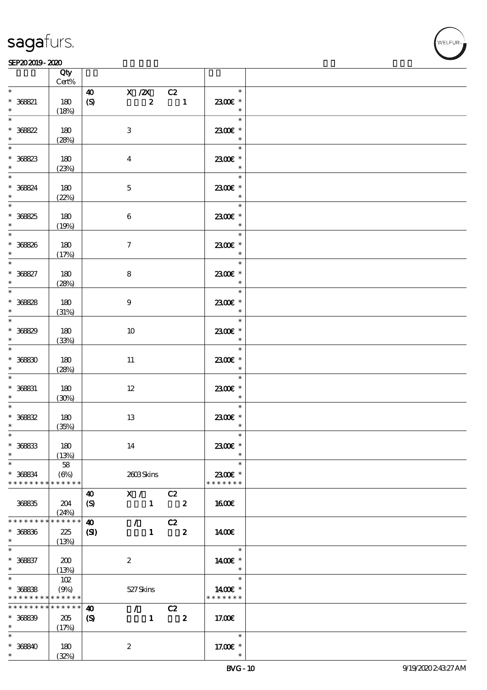$\top$ 

#### $SEP202019 - 2020$

|                                                 | Qty<br>$Cert\%$                 |                                           |                                                                           |                                         |  |
|-------------------------------------------------|---------------------------------|-------------------------------------------|---------------------------------------------------------------------------|-----------------------------------------|--|
| $\ast$                                          |                                 |                                           |                                                                           | $\ast$                                  |  |
| $* 368821$<br>$\ast$                            | 180<br>(18%)                    | $\boldsymbol{\omega}$<br>(S)              | $X / 2X$ $C2$<br>$\overline{\phantom{a}}$<br>$\boldsymbol{z}$             | 2300E *<br>$\ast$                       |  |
| $\overline{\ast}$<br>* 36822                    | 180<br>(28%)                    | $\mathbf{3}$                              |                                                                           | $\ast$<br>2300€ *<br>$\ast$             |  |
| $* 36823$                                       | 180<br>(23%)                    | $\overline{4}$                            |                                                                           | $\ast$<br>2300€ *<br>$\ast$             |  |
| $*$<br>* 368824<br>$\ast$                       | 180                             | $\mathbf 5$                               |                                                                           | $\ast$<br>$2300$ $\epsilon$ *<br>$\ast$ |  |
| $\overline{\phantom{0}}$<br>$* 36825$<br>$\ast$ | (22%)<br>180<br>(19%)           | $\bf 6$                                   |                                                                           | $\overline{\ast}$<br>2300€ *<br>$\ast$  |  |
| $*$<br>$* 368826$<br>$\ast$                     | 180<br>(17%)                    | $\boldsymbol{\tau}$                       |                                                                           | $\overline{\ast}$<br>2300€ *<br>$\ast$  |  |
| $\overline{\ast}$<br>$* 368827$<br>$\ast$       | 180<br>(28%)                    | ${\bf 8}$                                 |                                                                           | $\ast$<br>2300€ *<br>$\ast$             |  |
| $\overline{\phantom{0}}$<br>$* 36888$<br>$\ast$ | 180<br>(31%)                    | 9                                         |                                                                           | $\ast$<br>2300€ *<br>$\ast$             |  |
| $* 368829$<br>$\ast$                            | 180<br>(33%)                    | 10                                        |                                                                           | $\ast$<br>2300€ *<br>$\ast$             |  |
| $\ast$<br>$* 36830$<br>$\ast$                   | 180<br>(28%)                    | 11                                        |                                                                           | $\ast$<br>2300€ *<br>$\ast$             |  |
| $\overline{\phantom{0}}$<br>$* 36831$<br>$\ast$ | 180<br>(30%)                    | $12\,$                                    |                                                                           | $\ast$<br>2300E *<br>$\ast$             |  |
| $\ast$<br>$* 36832$<br>$\ast$                   | 180<br>(35%)                    | $13\,$                                    |                                                                           | $\ast$<br>2300€ *<br>$\ast$             |  |
| $*$<br>$* 36833$<br>$\ast$                      | 180<br>(13%)                    | 14                                        |                                                                           | $\ast$<br>2300€ *<br>$\ast$             |  |
| $\ast$<br>* 368834<br>* * * * * * * *           | 58<br>$(\Theta)$<br>* * * * * * |                                           | 2603Skins                                                                 | $\ast$<br>2300€ *<br>* * * * * * *      |  |
| 36835                                           | 204<br>(24%)                    | $\boldsymbol{\omega}$<br>(S)              | X / C2<br>$1 \t 2$                                                        | 1600E                                   |  |
| * * * * * * *<br>$* 36836$<br>$*$               | * * * * * *<br>225<br>(13%)     | $\boldsymbol{\omega}$<br>(S)              | $\sqrt{C^2}$<br>$1 \t 2$                                                  | 1400                                    |  |
| $\ast$<br>$* 368637$<br>$*$                     | 200<br>(13%)                    | $\boldsymbol{z}$                          |                                                                           | $\ast$<br>1400€ *<br>$\ast$             |  |
| $\ast$<br>$* 36838$<br>* * * * * * * *          | 102<br>(9%)<br>* * * * * *      | 527 Skins                                 |                                                                           | $\ast$<br>1400€ *<br>* * * * * * *      |  |
| * * * * * * * *<br>$* 36839$<br>$\ast$          | * * * * * *<br>205<br>(17%)     | $\boldsymbol{\omega}$<br>$\boldsymbol{S}$ | $\mathcal{F}$ and $\mathcal{F}$<br>C2<br>$\boldsymbol{z}$<br>$\mathbf{1}$ | 17.00€                                  |  |
| $\ast$<br>$* 368840$<br>$*$                     | 180<br>(32%)                    | $\boldsymbol{z}$                          |                                                                           | $\ast$<br>17.00 $\epsilon$ *<br>$\ast$  |  |

 $\overline{\mathbf{r}}$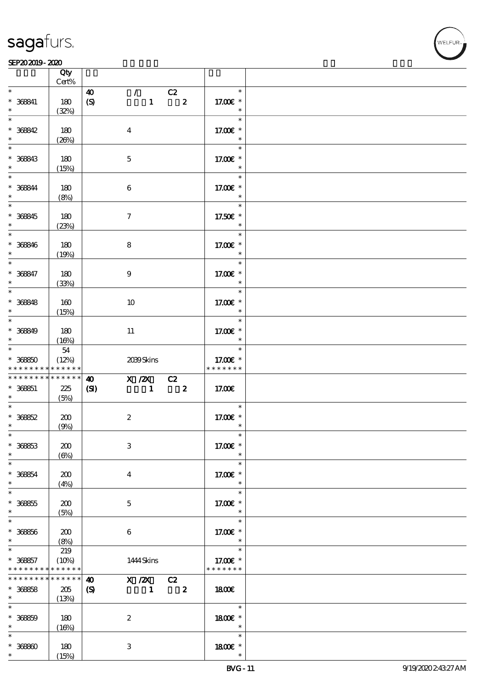#### $SEP202019 - 2020$  $\overline{\phantom{a}}$  Qty  $\overline{\phantom{a}}$

| $\ast$<br>$\mathcal{L}$ and $\mathcal{L}$<br>$\overline{c}z$<br>$\ast$<br>$\boldsymbol{\omega}$<br>$\overline{\mathbf{2}}$<br>$\boldsymbol{S}$<br>$\mathbf{1}$<br>180<br>17.00 £*<br>$\ast$<br>(32%)<br>$\ast$<br>180<br>17.00€ *<br>$\boldsymbol{4}$<br>$\ast$<br>(20%)<br>$\ast$<br>180<br>17.00 £*<br>$\mathbf 5$<br>$\ast$<br>(15%)<br>$\ast$<br>180<br>17.00 £*<br>$\boldsymbol{6}$<br>$\ast$<br>(8%)<br>$\ast$<br>17.50€ *<br>180<br>$\boldsymbol{\tau}$<br>$\ast$<br>(23%)<br>$\ast$<br>180<br>17.00 £*<br>8<br>$\overline{\phantom{a}}$<br>(19%)<br>$\ast$<br>180<br>17.00 £*<br>$\boldsymbol{9}$<br>$\ast$<br>(33%)<br>$\ast$<br>17.00 £*<br>160<br>10<br>$\ast$<br>(15%)<br>$\ast$<br>$* 368849$<br>180<br>17.00 £*<br>11<br>$\ast$<br>$\ast$<br>(16%)<br>$\ast$<br>$54\,$<br>$* 36850$<br>17.00€ *<br>(12%)<br>2039Skins<br>* * * * * * *<br>* * * * * *<br>* * * * * * * *<br>* * * * * *<br>$\begin{array}{c cc}\n\hline\nX & /ZX & C2 \\ 1 & 2\n\end{array}$<br>$\boldsymbol{\omega}$<br>$\mathbf{C}$<br>17.00€<br>225<br>(5%)<br>$\ast$<br>200<br>$\boldsymbol{2}$<br>17.00 £*<br>$\ast$<br>(9%)<br>$\ast$<br>$\,3$<br>17.00€ *<br>200<br>$\ast$<br>$(\Theta)$<br>$\ast$<br>200<br>17.00 $\mathbf{E}$ *<br>$\bf{4}$<br>$\ast$<br>(4%)<br>$\ast$<br>200<br>$\mathbf{5}$<br>17.00 $\varepsilon$ *<br>$\ast$<br>(5%)<br>$\ast$<br>17.00 £*<br>200<br>6<br>$\ast$<br>(8%)<br>$\ast$<br>219<br>(10%)<br>17.00 £*<br>1444 Skins<br>* * * * * * *<br>* * * * * *<br>$* * * * * * *$<br>$\overline{X}/\overline{ZX}$ $\overline{CZ}$ $\overline{CZ}$ $\overline{Z}$<br>$\boldsymbol{\omega}$<br>205<br>$\boldsymbol{\mathrm{(S)}}$<br>1800<br>(13%)<br>$\ast$<br>1800€ *<br>180<br>$\boldsymbol{2}$<br>$\ast$<br>(16%)<br>$\ast$<br>$* 36860$<br>180<br>3<br>1800 £*<br>$\ast$<br>$\ast$<br>(15%) |                      | Qty<br>Cert% |  |  |  |
|----------------------------------------------------------------------------------------------------------------------------------------------------------------------------------------------------------------------------------------------------------------------------------------------------------------------------------------------------------------------------------------------------------------------------------------------------------------------------------------------------------------------------------------------------------------------------------------------------------------------------------------------------------------------------------------------------------------------------------------------------------------------------------------------------------------------------------------------------------------------------------------------------------------------------------------------------------------------------------------------------------------------------------------------------------------------------------------------------------------------------------------------------------------------------------------------------------------------------------------------------------------------------------------------------------------------------------------------------------------------------------------------------------------------------------------------------------------------------------------------------------------------------------------------------------------------------------------------------------------------------------------------------------------------------------------------------------------------------------------------------------------------------------------------------------|----------------------|--------------|--|--|--|
|                                                                                                                                                                                                                                                                                                                                                                                                                                                                                                                                                                                                                                                                                                                                                                                                                                                                                                                                                                                                                                                                                                                                                                                                                                                                                                                                                                                                                                                                                                                                                                                                                                                                                                                                                                                                          |                      |              |  |  |  |
|                                                                                                                                                                                                                                                                                                                                                                                                                                                                                                                                                                                                                                                                                                                                                                                                                                                                                                                                                                                                                                                                                                                                                                                                                                                                                                                                                                                                                                                                                                                                                                                                                                                                                                                                                                                                          | $* 368841$<br>$\ast$ |              |  |  |  |
|                                                                                                                                                                                                                                                                                                                                                                                                                                                                                                                                                                                                                                                                                                                                                                                                                                                                                                                                                                                                                                                                                                                                                                                                                                                                                                                                                                                                                                                                                                                                                                                                                                                                                                                                                                                                          | $\overline{\ast}$    |              |  |  |  |
|                                                                                                                                                                                                                                                                                                                                                                                                                                                                                                                                                                                                                                                                                                                                                                                                                                                                                                                                                                                                                                                                                                                                                                                                                                                                                                                                                                                                                                                                                                                                                                                                                                                                                                                                                                                                          | $* 368842$<br>$\ast$ |              |  |  |  |
|                                                                                                                                                                                                                                                                                                                                                                                                                                                                                                                                                                                                                                                                                                                                                                                                                                                                                                                                                                                                                                                                                                                                                                                                                                                                                                                                                                                                                                                                                                                                                                                                                                                                                                                                                                                                          |                      |              |  |  |  |
|                                                                                                                                                                                                                                                                                                                                                                                                                                                                                                                                                                                                                                                                                                                                                                                                                                                                                                                                                                                                                                                                                                                                                                                                                                                                                                                                                                                                                                                                                                                                                                                                                                                                                                                                                                                                          | $* 368843$<br>$\ast$ |              |  |  |  |
|                                                                                                                                                                                                                                                                                                                                                                                                                                                                                                                                                                                                                                                                                                                                                                                                                                                                                                                                                                                                                                                                                                                                                                                                                                                                                                                                                                                                                                                                                                                                                                                                                                                                                                                                                                                                          | $*$                  |              |  |  |  |
|                                                                                                                                                                                                                                                                                                                                                                                                                                                                                                                                                                                                                                                                                                                                                                                                                                                                                                                                                                                                                                                                                                                                                                                                                                                                                                                                                                                                                                                                                                                                                                                                                                                                                                                                                                                                          | $* 368844$<br>$*$    |              |  |  |  |
|                                                                                                                                                                                                                                                                                                                                                                                                                                                                                                                                                                                                                                                                                                                                                                                                                                                                                                                                                                                                                                                                                                                                                                                                                                                                                                                                                                                                                                                                                                                                                                                                                                                                                                                                                                                                          |                      |              |  |  |  |
|                                                                                                                                                                                                                                                                                                                                                                                                                                                                                                                                                                                                                                                                                                                                                                                                                                                                                                                                                                                                                                                                                                                                                                                                                                                                                                                                                                                                                                                                                                                                                                                                                                                                                                                                                                                                          | $* 368845$<br>$\ast$ |              |  |  |  |
|                                                                                                                                                                                                                                                                                                                                                                                                                                                                                                                                                                                                                                                                                                                                                                                                                                                                                                                                                                                                                                                                                                                                                                                                                                                                                                                                                                                                                                                                                                                                                                                                                                                                                                                                                                                                          |                      |              |  |  |  |
|                                                                                                                                                                                                                                                                                                                                                                                                                                                                                                                                                                                                                                                                                                                                                                                                                                                                                                                                                                                                                                                                                                                                                                                                                                                                                                                                                                                                                                                                                                                                                                                                                                                                                                                                                                                                          | $* 368916$<br>$\ast$ |              |  |  |  |
|                                                                                                                                                                                                                                                                                                                                                                                                                                                                                                                                                                                                                                                                                                                                                                                                                                                                                                                                                                                                                                                                                                                                                                                                                                                                                                                                                                                                                                                                                                                                                                                                                                                                                                                                                                                                          | $\overline{\ast}$    |              |  |  |  |
|                                                                                                                                                                                                                                                                                                                                                                                                                                                                                                                                                                                                                                                                                                                                                                                                                                                                                                                                                                                                                                                                                                                                                                                                                                                                                                                                                                                                                                                                                                                                                                                                                                                                                                                                                                                                          | $* 368847$<br>$*$    |              |  |  |  |
|                                                                                                                                                                                                                                                                                                                                                                                                                                                                                                                                                                                                                                                                                                                                                                                                                                                                                                                                                                                                                                                                                                                                                                                                                                                                                                                                                                                                                                                                                                                                                                                                                                                                                                                                                                                                          |                      |              |  |  |  |
|                                                                                                                                                                                                                                                                                                                                                                                                                                                                                                                                                                                                                                                                                                                                                                                                                                                                                                                                                                                                                                                                                                                                                                                                                                                                                                                                                                                                                                                                                                                                                                                                                                                                                                                                                                                                          | $* 368848$           |              |  |  |  |
|                                                                                                                                                                                                                                                                                                                                                                                                                                                                                                                                                                                                                                                                                                                                                                                                                                                                                                                                                                                                                                                                                                                                                                                                                                                                                                                                                                                                                                                                                                                                                                                                                                                                                                                                                                                                          | $\ast$               |              |  |  |  |
|                                                                                                                                                                                                                                                                                                                                                                                                                                                                                                                                                                                                                                                                                                                                                                                                                                                                                                                                                                                                                                                                                                                                                                                                                                                                                                                                                                                                                                                                                                                                                                                                                                                                                                                                                                                                          |                      |              |  |  |  |
|                                                                                                                                                                                                                                                                                                                                                                                                                                                                                                                                                                                                                                                                                                                                                                                                                                                                                                                                                                                                                                                                                                                                                                                                                                                                                                                                                                                                                                                                                                                                                                                                                                                                                                                                                                                                          |                      |              |  |  |  |
|                                                                                                                                                                                                                                                                                                                                                                                                                                                                                                                                                                                                                                                                                                                                                                                                                                                                                                                                                                                                                                                                                                                                                                                                                                                                                                                                                                                                                                                                                                                                                                                                                                                                                                                                                                                                          |                      |              |  |  |  |
|                                                                                                                                                                                                                                                                                                                                                                                                                                                                                                                                                                                                                                                                                                                                                                                                                                                                                                                                                                                                                                                                                                                                                                                                                                                                                                                                                                                                                                                                                                                                                                                                                                                                                                                                                                                                          |                      |              |  |  |  |
|                                                                                                                                                                                                                                                                                                                                                                                                                                                                                                                                                                                                                                                                                                                                                                                                                                                                                                                                                                                                                                                                                                                                                                                                                                                                                                                                                                                                                                                                                                                                                                                                                                                                                                                                                                                                          |                      |              |  |  |  |
|                                                                                                                                                                                                                                                                                                                                                                                                                                                                                                                                                                                                                                                                                                                                                                                                                                                                                                                                                                                                                                                                                                                                                                                                                                                                                                                                                                                                                                                                                                                                                                                                                                                                                                                                                                                                          |                      |              |  |  |  |
|                                                                                                                                                                                                                                                                                                                                                                                                                                                                                                                                                                                                                                                                                                                                                                                                                                                                                                                                                                                                                                                                                                                                                                                                                                                                                                                                                                                                                                                                                                                                                                                                                                                                                                                                                                                                          |                      |              |  |  |  |
|                                                                                                                                                                                                                                                                                                                                                                                                                                                                                                                                                                                                                                                                                                                                                                                                                                                                                                                                                                                                                                                                                                                                                                                                                                                                                                                                                                                                                                                                                                                                                                                                                                                                                                                                                                                                          | * * * * * * * *      |              |  |  |  |
|                                                                                                                                                                                                                                                                                                                                                                                                                                                                                                                                                                                                                                                                                                                                                                                                                                                                                                                                                                                                                                                                                                                                                                                                                                                                                                                                                                                                                                                                                                                                                                                                                                                                                                                                                                                                          | $* 36851$            |              |  |  |  |
|                                                                                                                                                                                                                                                                                                                                                                                                                                                                                                                                                                                                                                                                                                                                                                                                                                                                                                                                                                                                                                                                                                                                                                                                                                                                                                                                                                                                                                                                                                                                                                                                                                                                                                                                                                                                          | $\ast$               |              |  |  |  |
|                                                                                                                                                                                                                                                                                                                                                                                                                                                                                                                                                                                                                                                                                                                                                                                                                                                                                                                                                                                                                                                                                                                                                                                                                                                                                                                                                                                                                                                                                                                                                                                                                                                                                                                                                                                                          |                      |              |  |  |  |
|                                                                                                                                                                                                                                                                                                                                                                                                                                                                                                                                                                                                                                                                                                                                                                                                                                                                                                                                                                                                                                                                                                                                                                                                                                                                                                                                                                                                                                                                                                                                                                                                                                                                                                                                                                                                          | $* 36862$<br>$\ast$  |              |  |  |  |
|                                                                                                                                                                                                                                                                                                                                                                                                                                                                                                                                                                                                                                                                                                                                                                                                                                                                                                                                                                                                                                                                                                                                                                                                                                                                                                                                                                                                                                                                                                                                                                                                                                                                                                                                                                                                          | $\ast$               |              |  |  |  |
|                                                                                                                                                                                                                                                                                                                                                                                                                                                                                                                                                                                                                                                                                                                                                                                                                                                                                                                                                                                                                                                                                                                                                                                                                                                                                                                                                                                                                                                                                                                                                                                                                                                                                                                                                                                                          | $* 36863$            |              |  |  |  |
|                                                                                                                                                                                                                                                                                                                                                                                                                                                                                                                                                                                                                                                                                                                                                                                                                                                                                                                                                                                                                                                                                                                                                                                                                                                                                                                                                                                                                                                                                                                                                                                                                                                                                                                                                                                                          | $\ast$               |              |  |  |  |
|                                                                                                                                                                                                                                                                                                                                                                                                                                                                                                                                                                                                                                                                                                                                                                                                                                                                                                                                                                                                                                                                                                                                                                                                                                                                                                                                                                                                                                                                                                                                                                                                                                                                                                                                                                                                          | $\ast$               |              |  |  |  |
|                                                                                                                                                                                                                                                                                                                                                                                                                                                                                                                                                                                                                                                                                                                                                                                                                                                                                                                                                                                                                                                                                                                                                                                                                                                                                                                                                                                                                                                                                                                                                                                                                                                                                                                                                                                                          | $* 36864$            |              |  |  |  |
|                                                                                                                                                                                                                                                                                                                                                                                                                                                                                                                                                                                                                                                                                                                                                                                                                                                                                                                                                                                                                                                                                                                                                                                                                                                                                                                                                                                                                                                                                                                                                                                                                                                                                                                                                                                                          | $\ast$               |              |  |  |  |
|                                                                                                                                                                                                                                                                                                                                                                                                                                                                                                                                                                                                                                                                                                                                                                                                                                                                                                                                                                                                                                                                                                                                                                                                                                                                                                                                                                                                                                                                                                                                                                                                                                                                                                                                                                                                          | $\overline{\ast}$    |              |  |  |  |
|                                                                                                                                                                                                                                                                                                                                                                                                                                                                                                                                                                                                                                                                                                                                                                                                                                                                                                                                                                                                                                                                                                                                                                                                                                                                                                                                                                                                                                                                                                                                                                                                                                                                                                                                                                                                          | $* 36865$<br>$\ast$  |              |  |  |  |
|                                                                                                                                                                                                                                                                                                                                                                                                                                                                                                                                                                                                                                                                                                                                                                                                                                                                                                                                                                                                                                                                                                                                                                                                                                                                                                                                                                                                                                                                                                                                                                                                                                                                                                                                                                                                          | $\ast$               |              |  |  |  |
|                                                                                                                                                                                                                                                                                                                                                                                                                                                                                                                                                                                                                                                                                                                                                                                                                                                                                                                                                                                                                                                                                                                                                                                                                                                                                                                                                                                                                                                                                                                                                                                                                                                                                                                                                                                                          |                      |              |  |  |  |
|                                                                                                                                                                                                                                                                                                                                                                                                                                                                                                                                                                                                                                                                                                                                                                                                                                                                                                                                                                                                                                                                                                                                                                                                                                                                                                                                                                                                                                                                                                                                                                                                                                                                                                                                                                                                          | $* 36866$<br>$*$     |              |  |  |  |
|                                                                                                                                                                                                                                                                                                                                                                                                                                                                                                                                                                                                                                                                                                                                                                                                                                                                                                                                                                                                                                                                                                                                                                                                                                                                                                                                                                                                                                                                                                                                                                                                                                                                                                                                                                                                          | $\ast$               |              |  |  |  |
|                                                                                                                                                                                                                                                                                                                                                                                                                                                                                                                                                                                                                                                                                                                                                                                                                                                                                                                                                                                                                                                                                                                                                                                                                                                                                                                                                                                                                                                                                                                                                                                                                                                                                                                                                                                                          | $* 36867$            |              |  |  |  |
|                                                                                                                                                                                                                                                                                                                                                                                                                                                                                                                                                                                                                                                                                                                                                                                                                                                                                                                                                                                                                                                                                                                                                                                                                                                                                                                                                                                                                                                                                                                                                                                                                                                                                                                                                                                                          | * * * * * * * *      |              |  |  |  |
|                                                                                                                                                                                                                                                                                                                                                                                                                                                                                                                                                                                                                                                                                                                                                                                                                                                                                                                                                                                                                                                                                                                                                                                                                                                                                                                                                                                                                                                                                                                                                                                                                                                                                                                                                                                                          | * * * * * * * *      |              |  |  |  |
|                                                                                                                                                                                                                                                                                                                                                                                                                                                                                                                                                                                                                                                                                                                                                                                                                                                                                                                                                                                                                                                                                                                                                                                                                                                                                                                                                                                                                                                                                                                                                                                                                                                                                                                                                                                                          | $* 36858$            |              |  |  |  |
|                                                                                                                                                                                                                                                                                                                                                                                                                                                                                                                                                                                                                                                                                                                                                                                                                                                                                                                                                                                                                                                                                                                                                                                                                                                                                                                                                                                                                                                                                                                                                                                                                                                                                                                                                                                                          | $\ast$               |              |  |  |  |
|                                                                                                                                                                                                                                                                                                                                                                                                                                                                                                                                                                                                                                                                                                                                                                                                                                                                                                                                                                                                                                                                                                                                                                                                                                                                                                                                                                                                                                                                                                                                                                                                                                                                                                                                                                                                          | $\ast$               |              |  |  |  |
|                                                                                                                                                                                                                                                                                                                                                                                                                                                                                                                                                                                                                                                                                                                                                                                                                                                                                                                                                                                                                                                                                                                                                                                                                                                                                                                                                                                                                                                                                                                                                                                                                                                                                                                                                                                                          | $* 36859$            |              |  |  |  |
|                                                                                                                                                                                                                                                                                                                                                                                                                                                                                                                                                                                                                                                                                                                                                                                                                                                                                                                                                                                                                                                                                                                                                                                                                                                                                                                                                                                                                                                                                                                                                                                                                                                                                                                                                                                                          | $\ast$               |              |  |  |  |
|                                                                                                                                                                                                                                                                                                                                                                                                                                                                                                                                                                                                                                                                                                                                                                                                                                                                                                                                                                                                                                                                                                                                                                                                                                                                                                                                                                                                                                                                                                                                                                                                                                                                                                                                                                                                          | $\ast$               |              |  |  |  |

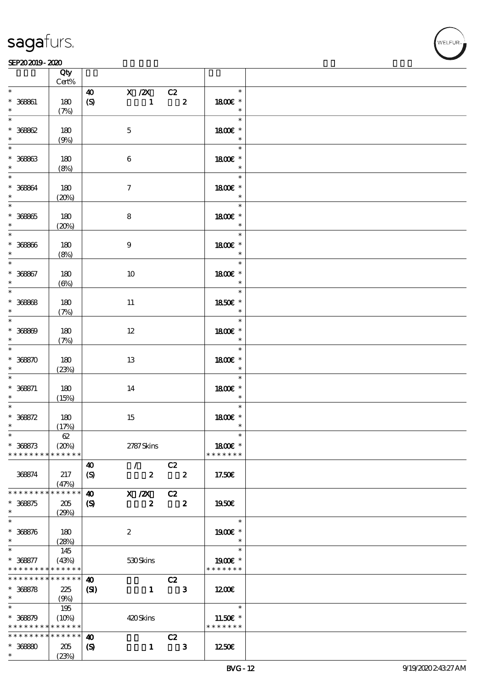#### $SEP202019 - 2020$

|                                                        | Qty<br>$Cert\%$                |                                                                                        |                                                                             |                                               |  |
|--------------------------------------------------------|--------------------------------|----------------------------------------------------------------------------------------|-----------------------------------------------------------------------------|-----------------------------------------------|--|
| $\ast$                                                 |                                |                                                                                        |                                                                             | $\ast$                                        |  |
| $* 36861$<br>$\ast$                                    | 180<br>(7%)                    | $\boldsymbol{\omega}$<br>$\pmb{\text{(S)}}$                                            | $\begin{array}{c cc}\n\hline\nX & /ZX & CZ \\ \hline\n1 & & Z\n\end{array}$ | 1800E *<br>$\ast$                             |  |
| $\overline{\ast}$<br>$* 36862$                         | 180                            | $\mathbf 5$                                                                            |                                                                             | $\ast$<br>1800€ *<br>$\ast$                   |  |
| $* 36863$                                              | (9%)<br>180                    | $\bf 6$                                                                                |                                                                             | $\ast$<br>1800E *                             |  |
| $\ast$<br>$\overline{\ast}$<br>$* 36864$               | (8%)<br>180                    | $\tau$                                                                                 |                                                                             | $\ast$<br>$\ast$<br>1800 £*                   |  |
| $\ast$<br>$\overline{\ast}$<br>$^\ast$ 36865           | (20%)<br>180                   | ${\bf 8}$                                                                              |                                                                             | $\ast$<br>$\overline{\ast}$<br>1800 £*        |  |
| $\ast$                                                 | (20%)                          |                                                                                        |                                                                             | $\overline{\phantom{a}}$<br>$\ast$            |  |
| $* 36866$<br>$*$<br>$\overline{\ast}$                  | 180<br>(8%)                    | 9                                                                                      |                                                                             | 1800 £*<br>$\overline{\phantom{a}}$<br>$\ast$ |  |
| $* 36867$<br>$\ast$<br>$\overline{\ast}$               | 180<br>$(\Theta)$              | 10                                                                                     |                                                                             | 1800€ *<br>$\ast$                             |  |
| $* 36868$<br>$\ast$                                    | 180<br>(7%)                    | $11\,$                                                                                 |                                                                             | $\ast$<br>1850E *<br>$\ast$                   |  |
| $\overline{\phantom{0}}$<br>$* 36860$<br>$\ast$        | 180<br>(7%)                    | $12\,$                                                                                 |                                                                             | $\ast$<br>1800 £*<br>$\ast$                   |  |
| $\ast$<br>$* 36850$<br>$\ast$                          | 180<br>(23%)                   | 13                                                                                     |                                                                             | $\ast$<br>1800 £*<br>$\ast$                   |  |
| $\ast$<br>$* 368871$<br>$\ast$                         | 180<br>(15%)                   | 14                                                                                     |                                                                             | $\ast$<br>1800 £*<br>$\ast$                   |  |
| $\ast$<br>$* 368572$<br>$\ast$                         | 180<br>(17%)                   | 15                                                                                     |                                                                             | $\ast$<br>1800 £*<br>$\ast$                   |  |
| $*$<br>$* 368873$<br>* * * * * * * *                   | $62\,$<br>(20%)<br>* * * * * * | 2787Skins                                                                              |                                                                             | $\ast$<br>1800€ *<br>* * * * * * *            |  |
| 368874                                                 | 217<br>(47%)                   | $\mathcal{F}$<br>40<br>$\boldsymbol{z}$<br>$\boldsymbol{S}$                            | C2<br>$\overline{\mathbf{2}}$                                               | 17.50€                                        |  |
| * * * * * * * *<br>$* 368875$<br>$\ast$                | * * * * * *<br>205             | $\boldsymbol{\omega}$<br>$X$ / $ZX$<br>$\boldsymbol{z}$<br>$\boldsymbol{\mathrm{(S)}}$ | C2<br>$\overline{\mathbf{z}}$                                               | 1950E                                         |  |
| $\ast$<br>$* 3685/6$                                   | (29%)<br>180                   | $\boldsymbol{2}$                                                                       |                                                                             | $\ast$<br>1900E *                             |  |
| $\ast$<br>$\ast$<br>$* 368877$                         | (28%)<br>145<br>(43%)          | 530Skins                                                                               |                                                                             | $\ast$<br>$\ast$<br>1900E *                   |  |
| * * * * * * * *<br>* * * * * * * *                     | * * * * * *<br>$* * * * * * *$ | $\boldsymbol{\omega}$                                                                  | C2                                                                          | * * * * * * *                                 |  |
| $* 368878$<br>$\ast$<br>$\ast$                         | 225<br>(9%)<br>195             | (S)<br>$\mathbf{1}$                                                                    | $\mathbf{3}$                                                                | 1200E<br>$\ast$                               |  |
| $* 368879$<br>* * * * * * * * <mark>* * * * * *</mark> | (10%)                          | 420Skins                                                                               |                                                                             | 11.50€ *<br>* * * * * * *                     |  |
| * * * * * * * *<br>$* 36880$<br>$\ast$                 | * * * * * *<br>205<br>(23%)    | $\boldsymbol{\omega}$<br>$\boldsymbol{\mathcal{S}}$<br>$\mathbf{1}$                    | C2<br>$\mathbf{3}$                                                          | 1250E                                         |  |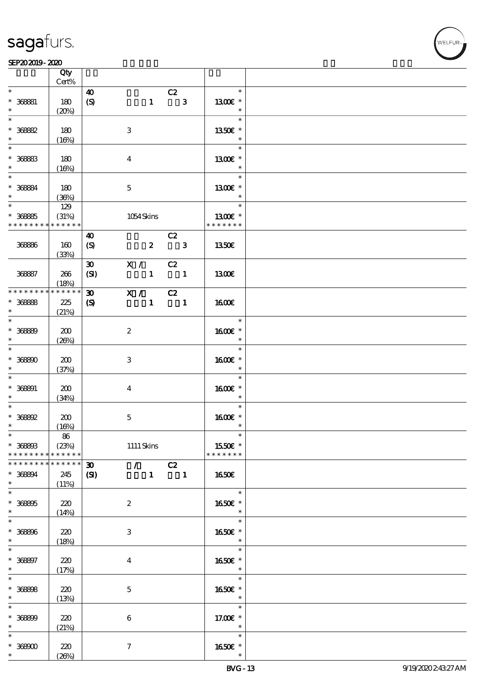#### SEP202019-2020

|                                                           | Qty<br>Cert%                |                                           |                             |                                             |                                        |  |
|-----------------------------------------------------------|-----------------------------|-------------------------------------------|-----------------------------|---------------------------------------------|----------------------------------------|--|
| $\ast$                                                    |                             |                                           |                             |                                             | $\ast$                                 |  |
| $* 368881$<br>$\ast$                                      | 180<br>(20%)                | $\boldsymbol{\omega}$<br>$\boldsymbol{S}$ |                             | C2<br>$1 \qquad 3$                          | 1300E *<br>$\ast$                      |  |
| $\ast$<br>$* 36882$<br>$\ast$                             | 180                         |                                           | $\,3\,$                     |                                             | $\ast$<br>1350€ *<br>$\ast$            |  |
| $\ast$<br>$* 36883$                                       | (16%)<br>180                |                                           | $\boldsymbol{4}$            |                                             | $\ast$<br>1300E *                      |  |
| $\ast$<br>$\ast$                                          | (16%)                       |                                           |                             |                                             | $\ast$<br>$\ast$                       |  |
| $* 36884$<br>$\ast$                                       | 180<br>(36%)                |                                           | $\mathbf 5$                 |                                             | $1300E$ *<br>$\ast$                    |  |
| $\ast$<br>$* 36885$<br>* * * * * * * *                    | 129<br>(31%)<br>* * * * * * |                                           | 1054Skins                   |                                             | $\ast$<br>1300E *<br>* * * * * * *     |  |
|                                                           |                             | $\boldsymbol{\omega}$                     |                             | C2                                          |                                        |  |
| 36886                                                     | 160<br>(33%)                | $\boldsymbol{S}$                          |                             | $2 \qquad 3$                                | 1350€                                  |  |
| 36887                                                     | 266<br>(18%)                | $\boldsymbol{\mathfrak{D}}$<br>(SI)       | X / C2                      | $1 \quad 1$                                 | 1300E                                  |  |
| * * * * * * * *                                           | * * * * * *                 | $\boldsymbol{\mathfrak{D}}$               | $\overline{X}$ / C2         |                                             |                                        |  |
| $* 36888$<br>$\ast$                                       | 225<br>(21%)                | $\boldsymbol{\mathcal{S}}$                |                             | $1 \quad 1$                                 | 1600E                                  |  |
| $\ast$<br>$* 36889$<br>$\ast$                             | 200<br>(20%)                |                                           | $\boldsymbol{2}$            |                                             | $\ast$<br>1600 *<br>$\ast$             |  |
| $\ast$<br>$* 368800$<br>$\ast$                            | 200<br>(37%)                |                                           | 3                           |                                             | $\ast$<br>1600€ *<br>$\ast$            |  |
| $\ast$<br>$* 368891$<br>$\ast$                            | 200<br>(34%)                |                                           | $\bf{4}$                    |                                             | $\ast$<br>1600E *<br>$\ast$            |  |
| $\ast$<br>$*$ 368692<br>$\ast$                            | 200<br>(16%)                |                                           | $\mathbf 5$                 |                                             | $\ast$<br>1600E *<br>$\ast$            |  |
| $\ast$<br>$^*$ 368803 $\,$<br>* * * * * * * * * * * * * * | $8\!6$<br>(23%)             |                                           | $1111$ Skins                |                                             | 1550 $\varepsilon$ *<br>* * * * * * *  |  |
| * * * * * * * * * * * * * * *                             |                             | $\boldsymbol{\mathfrak{D}}$               | $\mathcal{T} = \mathcal{I}$ | C2                                          |                                        |  |
| $* 368894$<br>$\ast$<br>$\overline{\phantom{0}}$          | 245<br>(11%)                | $\mathbf{C}$                              |                             | $\begin{array}{cccc} 1 & & & 1 \end{array}$ | <b>1650€</b>                           |  |
| $* 368805$<br>$\ast$                                      | 220<br>(14%)                |                                           | $\boldsymbol{2}$            |                                             | $\ast$<br>1650E *<br>$\ast$            |  |
| $\overline{\ast}$<br>$* 368806$<br>$\ast$                 | 220<br>(18%)                |                                           | $\,3$                       |                                             | $\ast$<br>1650€ *<br>$\ast$            |  |
| $\overline{\ast}$<br>$* 368897$<br>$\ast$                 | 220<br>(17%)                |                                           | $\boldsymbol{4}$            |                                             | $\ast$<br>1650E *<br>$\ast$            |  |
| $\overline{\ast}$<br>$* 36868$<br>$\ast$                  | 220<br>(13%)                |                                           | $\mathbf 5$                 |                                             | $\ast$<br>1650E *<br>$\ast$            |  |
| $\ast$<br>$* 368809$<br>$\ast$                            | 220<br>(21%)                |                                           | $\bf 6$                     |                                             | $\ast$<br>17.00 $\epsilon$ *<br>$\ast$ |  |
| $\ast$<br>$^\ast$ 368000<br>$\ast$                        | 220<br>(20%)                |                                           | $\boldsymbol{7}$            |                                             | $\ast$<br>1650E *                      |  |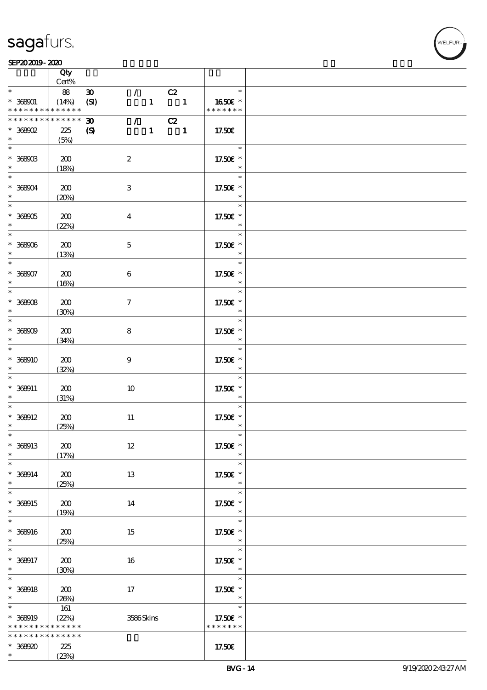#### $SEP202019 - 2020$

|                               | Qty<br>Cert%             |                             |                  |              |                |                         |  |
|-------------------------------|--------------------------|-----------------------------|------------------|--------------|----------------|-------------------------|--|
| $\ast$                        | 88                       | $\boldsymbol{\mathfrak{D}}$ | $\mathcal{F}$    |              | C2             | $\ast$                  |  |
| $* 368001$<br>* * * * * * * * | (14%)<br>$* * * * * * *$ | (SI)                        |                  | $\mathbf{1}$ | $\blacksquare$ | 1650€*<br>* * * * * * * |  |
| * * * * * * * *               | * * * * * *              | $\boldsymbol{\mathfrak{D}}$ | $\mathcal{L}$    |              | C2             |                         |  |
| $*$ 368902                    | 225                      | $\boldsymbol{S}$            |                  | $\mathbf{1}$ | $\blacksquare$ | 17.50€                  |  |
| $\ast$                        | (5%)                     |                             |                  |              |                |                         |  |
|                               |                          |                             |                  |              |                | $\ast$                  |  |
| $* 368003$                    | 200                      |                             | $\boldsymbol{2}$ |              |                | 17.50€ *                |  |
| $*$                           | (18%)                    |                             |                  |              |                | $\ast$                  |  |
|                               |                          |                             |                  |              |                | $\ast$                  |  |
| $* 36804$<br>$\ast$           | 200                      |                             | 3                |              |                | 17.50€ *<br>$\ast$      |  |
|                               | (20%)                    |                             |                  |              |                | $\ast$                  |  |
| $* 36905$                     | 200                      |                             | $\overline{4}$   |              |                | 17.50€ *                |  |
| $\ast$                        | (22%)                    |                             |                  |              |                | $\ast$                  |  |
|                               |                          |                             |                  |              |                | $\ast$                  |  |
| $* 36906$                     | 200                      |                             | $\mathbf 5$      |              |                | 17.50€ *                |  |
| $\ast$                        | (13%)                    |                             |                  |              |                | $\ast$                  |  |
| $\overline{\ast}$             |                          |                             |                  |              |                | $\ast$                  |  |
| $* 368007$                    | 200                      |                             | $\boldsymbol{6}$ |              |                | 17.50€ *                |  |
| $\ast$                        | (16%)                    |                             |                  |              |                | $\ast$                  |  |
| $\overline{\phantom{0}}$      |                          |                             |                  |              |                | $\ast$                  |  |
| $* 36908$                     | 200                      |                             | $\tau$           |              |                | 17.50€ *                |  |
| $\ast$                        | (30%)                    |                             |                  |              |                | $\ast$                  |  |
|                               |                          |                             |                  |              |                | $\ast$                  |  |
| $* 36800$<br>$\ast$           | 200                      |                             | 8                |              |                | 17.50€ *<br>$\ast$      |  |
| $\overline{\ast}$             | (34%)                    |                             |                  |              |                | $\ast$                  |  |
| $*36900$                      | 200                      |                             | $9\phantom{.0}$  |              |                | 17.50€ *                |  |
| $\ast$                        | (32%)                    |                             |                  |              |                | $\ast$                  |  |
| $\ast$                        |                          |                             |                  |              |                | $\ast$                  |  |
| $* 368911$                    | 200                      |                             | 10               |              |                | 17.50€ *                |  |
| $\ast$                        | (31%)                    |                             |                  |              |                | $\ast$                  |  |
| $\ast$                        |                          |                             |                  |              |                | $\ast$                  |  |
| $* 368012$                    | 200                      |                             | $11\,$           |              |                | 17.50€ *                |  |
| $\ast$                        | (25%)                    |                             |                  |              |                | $\ast$                  |  |
| $\ast$                        |                          |                             |                  |              |                | $\ast$                  |  |
| * 368913<br>$\ast$            | 200                      |                             | $12\,$           |              |                | 17.50€ *<br>$\ast$      |  |
| $\ast$                        | (17%)                    |                             |                  |              |                | $\ast$                  |  |
| $* 368914$                    | 200                      |                             | 13               |              |                | 17.50€ *                |  |
| $\ast$                        | (25%)                    |                             |                  |              |                | $\ast$                  |  |
| $\overline{\ast}$             |                          |                             |                  |              |                | $\ast$                  |  |
| * 368915                      | 200                      |                             | 14               |              |                | 17.50€ *                |  |
| $\ast$                        | (19%)                    |                             |                  |              |                | $\ast$                  |  |
| $\ast$                        |                          |                             |                  |              |                | $\ast$                  |  |
| $* 369016$                    | 200                      |                             | 15               |              |                | 17.50€ *                |  |
| $\ast$                        | (25%)                    |                             |                  |              |                | $\ast$                  |  |
| $\ast$                        |                          |                             |                  |              |                | $\ast$                  |  |
| * 368917<br>$\ast$            | 200                      |                             | 16               |              |                | 17.50€ *<br>$\ast$      |  |
| $\overline{\ast}$             | (30%)                    |                             |                  |              |                | $\ast$                  |  |
| $* 369018$                    | 200                      |                             | 17               |              |                | 17.50€ *                |  |
| $\ast$                        | (20%)                    |                             |                  |              |                | $\ast$                  |  |
| $\ast$                        | 161                      |                             |                  |              |                | $\ast$                  |  |
| * 368919                      | (22%)                    |                             | 3586Skins        |              |                | 17.50€ *                |  |
| * * * * * * * *               | * * * * * *              |                             |                  |              |                | * * * * * * *           |  |
| * * * * * * * *               | * * * * * *              |                             |                  |              |                |                         |  |
| $*368920$                     | 225                      |                             |                  |              |                | 17.50€                  |  |
| $\ast$                        | (23%)                    |                             |                  |              |                |                         |  |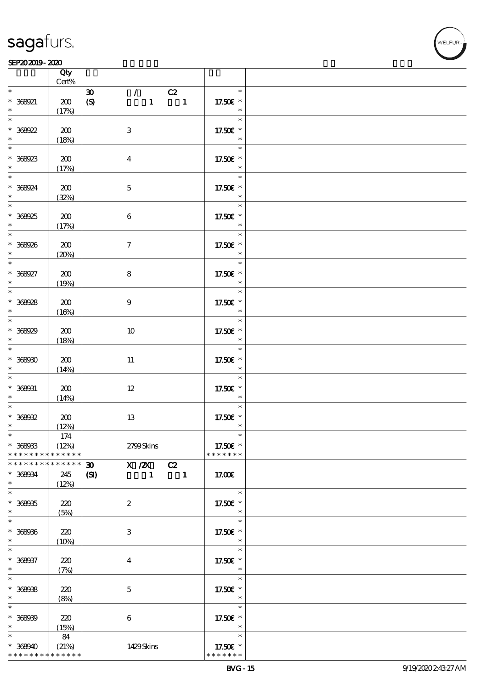|                                                                  | Qty<br>Cert%                |                                                                                                                               |                                     |  |
|------------------------------------------------------------------|-----------------------------|-------------------------------------------------------------------------------------------------------------------------------|-------------------------------------|--|
| $\ast$                                                           |                             |                                                                                                                               | $\ast$                              |  |
| * 368921<br>$\ast$                                               | 200<br>(17%)                | C2<br>$\boldsymbol{\mathfrak{D}}$<br>$\mathcal{F}_\mathbb{C}$<br>$\mathbf{1}$<br>$\overline{\phantom{a}}$<br>$\boldsymbol{S}$ | 17.50€ *<br>$\ast$                  |  |
| $\overline{\ast}$<br>$* 368022$                                  | 200                         | $\ensuremath{\mathbf{3}}$                                                                                                     | $\ast$<br>17.50€ *<br>$\ast$        |  |
| $\ast$<br>$* 36923$                                              | (18%)<br>200                | $\boldsymbol{4}$                                                                                                              | $\ast$<br>17.50€ *                  |  |
| $*$<br>* 368924                                                  | (17%)<br>200                | $\mathbf 5$                                                                                                                   | $\ast$<br>$\ast$<br>17.50€ *        |  |
| $\ast$<br>$\overline{\phantom{0}}$                               | (32%)                       |                                                                                                                               | $\ast$<br>$\ast$                    |  |
| * 368925                                                         | 200<br>(17%)                | $\bf 6$                                                                                                                       | 17.50€ *<br>$\ast$<br>$\ast$        |  |
| * 368926<br>$\ast$<br>$\ddot{x}$                                 | 200<br>(20%)                | $\boldsymbol{\tau}$                                                                                                           | 17.50€ *                            |  |
| $* 366027$<br>$\ast$                                             | 200<br>(19%)                | $\bf 8$                                                                                                                       | $\ast$<br>17.50€ *<br>$\ast$        |  |
| $\overline{\ast}$<br>$* 369028$<br>$\ast$                        | $200$<br>(16%)              | $\boldsymbol{9}$                                                                                                              | $\ast$<br>17.50£ *<br>$\ast$        |  |
| $\overline{\ast}$<br>* 368929<br>$\ast$                          | 200<br>(18%)                | $10\,$                                                                                                                        | $\ast$<br>17.50€ *<br>$\ast$        |  |
| $\overline{\ast}$<br>$* 36900$<br>$\ast$                         | 200<br>(14%)                | 11                                                                                                                            | $\ast$<br>17.50€ *<br>$\ast$        |  |
| $\overline{\ast}$<br>$* 368031$<br>$\ast$                        | 200<br>(14%)                | $12\,$                                                                                                                        | $\ast$<br>17.50€ *<br>$\ast$        |  |
| $\ast$<br>$* 36902$<br>$\ast$                                    | 200<br>(12%)                | 13                                                                                                                            | $\ast$<br>17.50€ *<br>$\ast$        |  |
| $*$ and $*$<br>$* 36903$<br>* * * * * * * *                      | 174<br>(12%)<br>* * * * * * | 2799Skins                                                                                                                     | ∗<br>17.50€ *<br>* * * * * * *      |  |
| * * * * * * * * <mark>* * * * * * *</mark><br>* 368934<br>$\ast$ | 245<br>(12%)                | X / ZX<br>$\boldsymbol{\mathfrak{D}}$<br>C2<br>$\mathbf{C}$<br>$\mathbf{1}$<br>$\blacksquare$                                 | 17.00€                              |  |
| $\ast$<br>$* 36905$<br>$\ast$                                    | 220<br>(5%)                 | $\boldsymbol{z}$                                                                                                              | $\ast$<br>17.50€ *<br>$\ast$        |  |
| $\ast$<br>$* 36900$<br>$\ast$                                    | 220<br>(10%)                | 3                                                                                                                             | $\ast$<br>17.50€ *<br>$\ast$        |  |
| $\ast$<br>* 368937<br>$\ast$                                     | 220<br>(7%)                 | $\bf{4}$                                                                                                                      | $\ast$<br>17.50 £*<br>$\ast$        |  |
| $\ast$<br>$* 36908$<br>$\ast$                                    | 220<br>(8%)                 | $\mathbf{5}$                                                                                                                  | $\ast$<br>17.50€ *<br>$\ast$        |  |
| $\ast$<br>$* 36900$<br>$\ast$                                    | 220<br>(15%)                | $\boldsymbol{6}$                                                                                                              | $\ast$<br>17.50€ *<br>$\ast$        |  |
| $\ast$<br>$* 368940$<br>* * * * * * * *                          | 84<br>(21%)<br>* * * * * *  | 1429Skins                                                                                                                     | $\ast$<br>17.50€ *<br>* * * * * * * |  |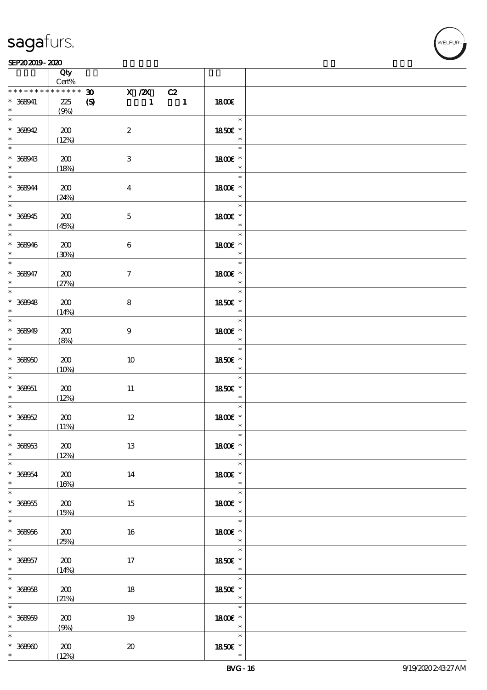

|                                                                      | Qty<br>Cert%          |                                                                                          |                                                         |  |
|----------------------------------------------------------------------|-----------------------|------------------------------------------------------------------------------------------|---------------------------------------------------------|--|
| * * * * * * * *                                                      | * * * * * *           | $\boldsymbol{\mathfrak{D}}$                                                              |                                                         |  |
| $* 368941$<br>$\ast$                                                 | 225<br>(9%)           | $\begin{array}{c cc}\n & X \ & /ZX & C2 \\ \hline\n & 1 & 1\n\end{array}$<br>$\pmb{\in}$ | 1800E                                                   |  |
| $\ast$<br>$* 368942$<br>$\ast$                                       | 200<br>(12%)          | $\boldsymbol{2}$                                                                         | $\ast$<br>1850 £*<br>$\ast$                             |  |
| $\overline{\ast}$<br>$* 368943$                                      | 200                   | $\,3$                                                                                    | $\ast$<br>1800 £*<br>$\ast$                             |  |
| $\ddot{\phantom{0}}$<br>$\ast$<br>$* 368944$<br>$\ast$               | (18%)<br>200          | $\boldsymbol{4}$                                                                         | $\ast$<br>1800 £*<br>$\ast$                             |  |
| $\overline{\phantom{0}}$<br>$* 368945$                               | (24%)<br>200          | $\mathbf 5$                                                                              | $\overline{\ast}$<br>1800 £*<br>$\ast$                  |  |
| $*$<br>$\overline{\phantom{0}}$<br>$* 368946$                        | (45%)<br>200          | $\bf 6$                                                                                  | $\ast$<br>1800 £*                                       |  |
| $*$<br>$\overline{\ast}$<br>$* 368947$<br>$\ast$                     | (30%)<br>200          | $\tau$                                                                                   | $\overline{\phantom{a}}$<br>$\ast$<br>1800€ *<br>$\ast$ |  |
| $\overline{\phantom{0}}$<br>$* 368948$                               | (27%)<br>200          | 8                                                                                        | $\ast$<br>1850E *                                       |  |
| $\begin{array}{c}\n* \\ \hline\n\end{array}$<br>$* 368949$<br>$\ast$ | (14%)<br>200          | $\boldsymbol{9}$                                                                         | $\ast$<br>$\ast$<br>1800 £*<br>$\ast$                   |  |
| $\ast$<br>$* 36950$<br>$\ast$                                        | (8%)<br>200           | 10                                                                                       | $\ast$<br>1850 £*<br>$\ast$                             |  |
| $\ast$<br>$* 368051$<br>$*$                                          | (10%)<br>200<br>(12%) | 11                                                                                       | $\ast$<br>$1850E$ $^{\ast}$<br>$\ast$                   |  |
| $\ast$<br>$* 368052$<br>$\ast$                                       | 200<br>(11%)          | $12\,$                                                                                   | $\ast$<br>1800E *<br>$\ast$                             |  |
| $*$<br>$* 368053$<br>$\ast$                                          | 200<br>(12%)          | 13                                                                                       | $\ast$<br>1800€ *<br>$\ast$                             |  |
| $\overline{\phantom{0}}$<br>$* 368054$<br>$\ast$                     | 200<br>(16%)          | 14                                                                                       | $\ast$<br>1800 £*<br>$\ast$                             |  |
| $\overline{\ast}$<br>$* 368055$<br>$\ast$                            | 200<br>(15%)          | 15                                                                                       | $\ast$<br>1800 £*<br>$\ast$                             |  |
| $\ast$<br>$* 368056$<br>$\ast$                                       | $200\,$<br>(25%)      | 16                                                                                       | $\ast$<br>1800 £*<br>$\ast$                             |  |
| $\ast$<br>$* 368057$<br>$*$                                          | 200<br>(14%)          | 17                                                                                       | $\ast$<br>1850E *<br>$\ast$                             |  |
| $\ast$<br>$* 36958$<br>$\ast$                                        | 200<br>(21%)          | $18\,$                                                                                   | e a T<br>$\ast$<br>1850E *<br>$\overline{\phantom{a}}$  |  |
| $\ast$<br>$* 36800$<br>$\ast$                                        | 200<br>(9%)           | 19                                                                                       | $\ast$<br>1800 £*<br>$\ast$                             |  |
| $\ast$<br>$^\ast$ 36890<br>$\ast$                                    | 200<br>(12%)          | $\boldsymbol{\mathfrak{D}}$                                                              | $\ast$<br>1850E *<br>$\ast$                             |  |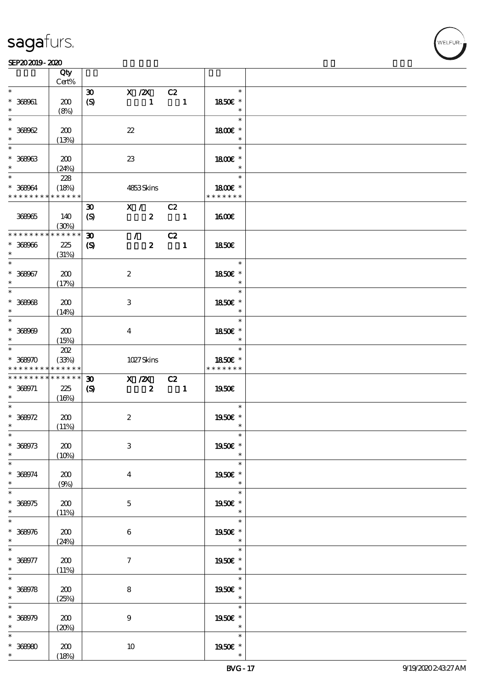|                                                     | Qty<br>Cert%     |                                                 |                  |                  |                                |                             |  |
|-----------------------------------------------------|------------------|-------------------------------------------------|------------------|------------------|--------------------------------|-----------------------------|--|
| $\ast$                                              |                  |                                                 |                  |                  |                                | $\ast$                      |  |
| $* 368001$<br>$\ast$                                | 200<br>(8%)      | $\boldsymbol{\mathfrak{D}}$<br>$\boldsymbol{S}$ | X / ZX           | $\mathbf{1}$     | C2<br>$\overline{\phantom{a}}$ | 1850E *<br>$\ast$           |  |
| $\ast$                                              |                  |                                                 |                  |                  |                                | $\ast$                      |  |
| $* 36802$<br>$\ast$                                 | 200<br>(13%)     |                                                 | $2\!2$           |                  |                                | 1800€ *<br>$\ast$           |  |
| $\overline{\ast}$                                   |                  |                                                 |                  |                  |                                | $\ast$                      |  |
| $* 36963$<br>$\ast$                                 | 200<br>(24%)     |                                                 | 23               |                  |                                | 1800E *<br>$\ast$           |  |
| $\ast$                                              | 228              |                                                 |                  |                  |                                | $\ast$                      |  |
| $* 368064$<br>* * * * * * * * * * * * * *           | (18%)            |                                                 | 4853Skins        |                  |                                | 1800E *<br>* * * * * * *    |  |
|                                                     |                  | $\boldsymbol{\mathfrak{D}}$                     |                  | X / C2           |                                |                             |  |
| 368965                                              | 140<br>(30%)     | $\boldsymbol{\mathcal{S}}$                      |                  | $\boldsymbol{2}$ | $\blacksquare$                 | 1600                        |  |
| * * * * * * * *                                     | ******           | $\boldsymbol{\mathfrak{D}}$                     | $\mathcal{F}$    |                  | C2                             |                             |  |
| $* 36906$<br>$\ast$                                 | 225<br>(31%)     | $\boldsymbol{\mathcal{S}}$                      |                  | $\boldsymbol{z}$ | $\overline{\phantom{a}}$       | 1850E                       |  |
| $\ast$                                              |                  |                                                 |                  |                  |                                | $\ast$                      |  |
| $* 368067$<br>$\ast$                                | 200<br>(17%)     |                                                 | $\boldsymbol{2}$ |                  |                                | 1850€ *<br>$\ast$           |  |
| $\ast$                                              |                  |                                                 |                  |                  |                                | $\ast$                      |  |
| $* 36908$<br>$\ast$                                 | 200<br>(14%)     |                                                 | 3                |                  |                                | 1850E *<br>$\ast$           |  |
| $\overline{\ast}$                                   |                  |                                                 |                  |                  |                                | $\ast$                      |  |
| $* 36800$<br>$\ast$                                 | 200<br>(15%)     |                                                 | $\overline{4}$   |                  |                                | 1850E *<br>$\ast$           |  |
| $*$                                                 | 202              |                                                 |                  |                  |                                | $\ast$                      |  |
| $* 368970$                                          | (33%)            |                                                 | 1027Skins        |                  |                                | 1850E *                     |  |
| * * * * * * * * <mark>* * * * * * *</mark>          |                  |                                                 |                  |                  |                                | * * * * * * *               |  |
|                                                     | * * * * * *      | $\boldsymbol{\mathfrak{D}}$                     |                  |                  |                                |                             |  |
| * * * * * * * *<br>$* 368971$<br>$\ast$             | 225<br>(16%)     | $\boldsymbol{\mathcal{S}}$                      | X / ZX           | $\boldsymbol{z}$ | C2<br>$\sim$ 1                 | 1950E                       |  |
| $\ast$                                              |                  |                                                 |                  |                  |                                | $\ast$                      |  |
|                                                     |                  |                                                 |                  |                  |                                |                             |  |
|                                                     | 200              |                                                 | $\boldsymbol{2}$ |                  |                                | 1950E *<br>$\ast$           |  |
|                                                     | (11%)            |                                                 |                  |                  |                                | $\ast$                      |  |
| $* 368072$<br>$\ast$<br>$*$<br>$* 368973$<br>$\ast$ | 200              |                                                 | $\,3\,$          |                  |                                | 1950€ *<br>$\ast$           |  |
| $\ast$                                              | (10%)            |                                                 |                  |                  |                                |                             |  |
| $* 368974$<br>$\ast$                                | 200<br>(9%)      |                                                 | $\boldsymbol{4}$ |                  |                                | $\ast$<br>1950E *<br>$\ast$ |  |
| $\ast$                                              |                  |                                                 |                  |                  |                                | $\ast$                      |  |
| $* 368975$<br>$\ast$                                | 200<br>(11%)     |                                                 | $\mathbf 5$      |                  |                                | 1950E *<br>$\ast$           |  |
| $\ast$                                              |                  |                                                 |                  |                  |                                | $\ast$                      |  |
| $* 368976$<br>$\ast$                                | 200<br>(24%)     |                                                 | $\bf 6$          |                  |                                | 1950€ *<br>$\ast$           |  |
|                                                     |                  |                                                 |                  |                  |                                | $\ast$                      |  |
| $\ast$<br>$* 368077$<br>$\ast$                      | $200\,$<br>(11%) |                                                 | $\boldsymbol{7}$ |                  |                                | 1950E *<br>$\ast$           |  |
|                                                     |                  |                                                 |                  |                  |                                | $\ast$                      |  |
|                                                     | 200              |                                                 | $\bf 8$          |                  |                                | 1950E *<br>$\ast$           |  |
|                                                     | (25%)            |                                                 |                  |                  |                                | $\ast$                      |  |
| $\ast$<br>$* 369078$<br>$\ast$<br>$\ast$            |                  |                                                 |                  |                  |                                |                             |  |
| $* 368979$                                          | 200              |                                                 | $\boldsymbol{9}$ |                  |                                | 1950E *<br>$\ast$           |  |
| $\ast$                                              | (20%)            |                                                 |                  |                  |                                |                             |  |
| $\ast$                                              |                  |                                                 |                  |                  |                                | $\ast$                      |  |
| $* 36980$<br>$\ast$                                 | 200<br>(18%)     |                                                 | $10\,$           |                  |                                | 1950E *<br>$\ast$           |  |

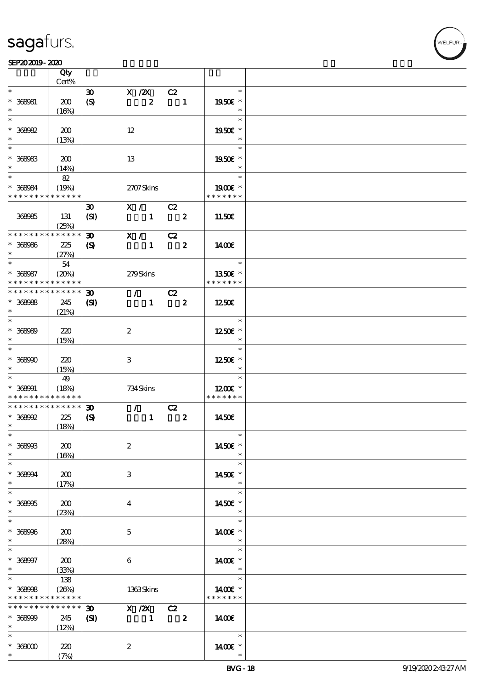#### $SEP202019 - 2020$

|                                | Qty<br>Cert%         |                                                 |                                |                            |                            |  |
|--------------------------------|----------------------|-------------------------------------------------|--------------------------------|----------------------------|----------------------------|--|
| $\ast$                         |                      |                                                 |                                |                            | $\ast$                     |  |
| $* 366081$                     | 200                  | $\boldsymbol{\mathfrak{D}}$<br>$\boldsymbol{S}$ | $X$ / $ZX$<br>$\boldsymbol{z}$ | C2<br>$\blacksquare$       | 1950E *                    |  |
| $\ast$                         | (16%)                |                                                 |                                |                            | $\ast$                     |  |
| $\ast$                         |                      |                                                 |                                |                            | $\ast$                     |  |
| $* 368082$                     | 200                  |                                                 | 12                             |                            | 1950€ *                    |  |
| $\ast$                         | (13%)                |                                                 |                                |                            | $\ast$                     |  |
| $\overline{\ast}$              |                      |                                                 |                                |                            | $\ast$                     |  |
| $* 368083$                     | 200                  |                                                 | 13                             |                            | 1950E *                    |  |
| $\ast$<br>$\ast$               | (14%)                |                                                 |                                |                            | $\ast$<br>$\ast$           |  |
|                                | 82                   |                                                 |                                |                            |                            |  |
| $* 368084$<br>* * * * * * * *  | (19%)<br>* * * * * * |                                                 | 2707Skins                      |                            | $1900E$ *<br>* * * * * * * |  |
|                                |                      | $\boldsymbol{\mathfrak{D}}$                     | X / C2                         |                            |                            |  |
| 368985                         | 131                  | (SI)                                            | $1 \t 2$                       |                            | 11.50€                     |  |
|                                | (25%)                |                                                 |                                |                            |                            |  |
| * * * * * * * *                | $******$             | $\boldsymbol{\mathfrak{D}}$                     | X /                            | C2                         |                            |  |
| $* 36996$                      | 225                  | $\boldsymbol{\mathcal{S}}$                      | $\mathbf{1}$                   | $\overline{\mathbf{z}}$    | 1400E                      |  |
| $\ast$                         | (27%)                |                                                 |                                |                            |                            |  |
| $\ast$                         | 54                   |                                                 |                                |                            | $\ast$                     |  |
| $* 368087$                     | (20%)                |                                                 | 279Skins                       |                            | 1350€ *                    |  |
| * * * * * * * *                | * * * * * *          |                                                 |                                |                            | * * * * * * *              |  |
| * * * * * * * *                | * * * * * *          | $\boldsymbol{\mathfrak{D}}$                     | $\mathcal{L}$                  | C2                         |                            |  |
| $* 366068$                     | 245                  | (S)                                             | $\mathbf{1}$                   | $\overline{\phantom{a}}$ 2 | 1250€                      |  |
| $\ast$                         | (21%)                |                                                 |                                |                            |                            |  |
| $*$                            |                      |                                                 |                                |                            | $\ast$                     |  |
| $* 36600$                      | 220                  |                                                 | $\boldsymbol{2}$               |                            | 1250E *                    |  |
| $\ast$                         | (15%)                |                                                 |                                |                            | $\ast$                     |  |
| $\ast$                         |                      |                                                 |                                |                            | $\ast$                     |  |
| $* 36800$                      | 220                  |                                                 | 3                              |                            | 1250E *                    |  |
| $\ast$<br>$\ast$               | (15%)                |                                                 |                                |                            | $\ast$<br>$\ast$           |  |
|                                | 49                   |                                                 |                                |                            |                            |  |
| $* 368001$<br>* * * * * * * *  | (18%)<br>* * * * * * |                                                 | 734 Skins                      |                            | 1200E *<br>* * * * * * *   |  |
| * * * * * * * *                | $* * * * * * *$      | $\boldsymbol{\mathfrak{D}}$                     | $\mathcal{T}^{\mathcal{A}}$    | C2                         |                            |  |
| $* 368992$                     | 225                  | $\boldsymbol{\mathrm{(S)}}$                     | $\mathbf{1}$                   | $\boldsymbol{z}$           | 1450E                      |  |
| $\ast$                         | (18%)                |                                                 |                                |                            |                            |  |
| $*$                            |                      |                                                 |                                |                            | $\ast$                     |  |
| $* 368903$                     | 200                  |                                                 | $\boldsymbol{2}$               |                            | 1450€ *                    |  |
| $\ast$                         | (16%)                |                                                 |                                |                            |                            |  |
| $\ast$                         |                      |                                                 |                                |                            | $\ast$                     |  |
| $* 36804$                      | 200                  |                                                 | 3                              |                            | 1450E *                    |  |
| $\ast$                         | (17%)                |                                                 |                                |                            | $\ast$                     |  |
| $\ast$                         |                      |                                                 |                                |                            | $\ast$                     |  |
| $* 36895$                      | 200                  |                                                 | $\overline{4}$                 |                            | 1450E *                    |  |
| $\ast$<br>$\ast$               | (23%)                |                                                 |                                |                            | $\ast$                     |  |
|                                |                      |                                                 |                                |                            | $\ast$                     |  |
| $* 368006$<br>$\ast$           | 200                  |                                                 | $\mathbf{5}$                   |                            | 1400€ *<br>$\ast$          |  |
| $\ast$                         | (28%)                |                                                 |                                |                            | $\ast$                     |  |
| $* 368007$                     | 200                  |                                                 | $\bf 6$                        |                            | 1400€ *                    |  |
| $\ast$                         | (33%)                |                                                 |                                |                            | $\ast$                     |  |
| $\ast$                         | 138                  |                                                 |                                |                            | $\ast$                     |  |
| $* 368008$                     | (20%)                |                                                 | 1363Skins                      |                            | 14 $00E$ *                 |  |
| * * * * * * * * <mark>*</mark> | * * * * * *          |                                                 |                                |                            | * * * * * * *              |  |
| * * * * * * * *                | * * * * * *          | $\boldsymbol{\mathfrak{D}}$                     | X / ZX                         | C2                         |                            |  |
| $* 36800$                      | 245                  | (S)                                             | $\blacksquare$                 | $\overline{\mathbf{2}}$    | 1400€                      |  |
| $\ast$                         | (12%)                |                                                 |                                |                            |                            |  |
| $\ast$                         |                      |                                                 |                                |                            | $\ast$                     |  |
| $*$ 369000                     | 220                  |                                                 | $\boldsymbol{2}$               |                            | 14 $00E$ *                 |  |
| $\ast$                         | (7%)                 |                                                 |                                |                            |                            |  |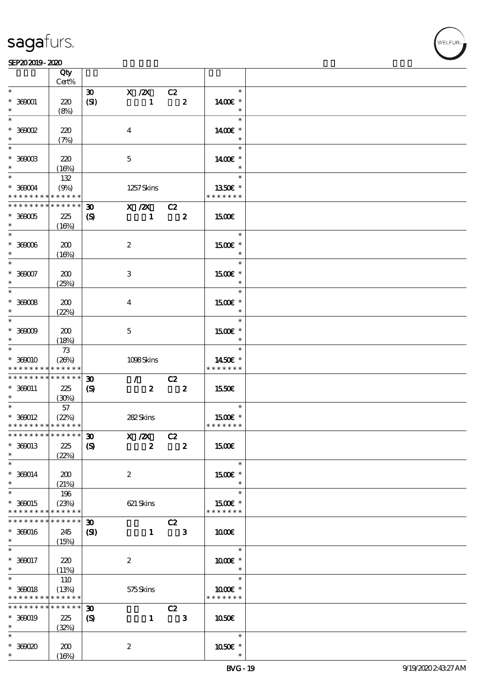#### $SEP202019 - 2020$

|                                              | Qty<br>Cert%               |                                     |                            |                         |                         |                          |  |
|----------------------------------------------|----------------------------|-------------------------------------|----------------------------|-------------------------|-------------------------|--------------------------|--|
| $\ast$                                       |                            |                                     |                            |                         |                         | $\ast$                   |  |
| $* 360001$<br>$\ast$                         | 220<br>(8%)                | $\boldsymbol{\mathfrak{D}}$<br>(SI) | $X \, /ZX$<br>$\mathbf{1}$ | C2                      | $\overline{\mathbf{2}}$ | 1400€ *<br>$\ast$        |  |
| $\ast$                                       |                            |                                     |                            |                         |                         | $\ast$                   |  |
| $*36002$<br>$\ast$                           | 220<br>(7%)                |                                     | $\boldsymbol{4}$           |                         |                         | 1400€ *<br>$\ast$        |  |
| $\overline{\ast}$                            |                            |                                     |                            |                         |                         | $\ast$                   |  |
| $*$ 369003<br>$\ast$                         | 220<br>(16%)               |                                     | $\mathbf 5$                |                         |                         | 1400€ *<br>$\ast$        |  |
| $*$                                          | 132                        |                                     |                            |                         |                         | $\ast$                   |  |
| $\,^*$ 360004<br>* * * * * * * * * * * * * * | (9%)                       |                                     | 1257Skins                  |                         |                         | 1350€ *<br>* * * * * * * |  |
| * * * * * * * *                              | $\ast\ast\ast\ast\ast\ast$ | $\boldsymbol{\mathfrak{D}}$         | $X$ / $ZX$                 | C2                      |                         |                          |  |
| $*$ 369005<br>$\ast$                         | 225<br>(16%)               | $\boldsymbol{\mathcal{S}}$          | $\mathbf{1}$               | $\overline{\mathbf{2}}$ |                         | 1500€                    |  |
| $\overline{\ast}$                            |                            |                                     |                            |                         |                         | $\ast$                   |  |
| $^\ast$ 36006<br>$\ast$                      | 200<br>(16%)               |                                     | $\boldsymbol{2}$           |                         |                         | 1500€ *<br>$\ast$        |  |
| $\ast$                                       |                            |                                     |                            |                         |                         | $\ast$                   |  |
| $* 36007$<br>$\ast$                          | 200<br>(25%)               |                                     | 3                          |                         |                         | 1500€ *<br>$\ast$        |  |
| $\ast$                                       |                            |                                     |                            |                         |                         | $\ast$                   |  |
| $^*$ 36008 $\,$<br>$\ast$                    | 200<br>(22%)               |                                     | $\bf{4}$                   |                         |                         | 1500€ *<br>$\ast$        |  |
| $\ast$                                       |                            |                                     |                            |                         |                         | $\ast$                   |  |
| $^*$ 360009 $\,$<br>$\ast$                   | 200<br>(18%)               |                                     | $\mathbf{5}$               |                         |                         | 1500E *<br>$\ast$        |  |
| $\ast$                                       | 73                         |                                     |                            |                         |                         | $\ast$                   |  |
| $* 360010$                                   | (20%)                      |                                     | 1098Skins                  |                         |                         | 1450€ *                  |  |
| * * * * * * * *                              | * * * * * *                |                                     |                            |                         |                         | * * * * * * *            |  |
| * * * * * * * *                              | $* * * * * * *$            | $\boldsymbol{\mathfrak{D}}$         | $\mathcal{F}$              | C2                      |                         |                          |  |
| $* 360011$                                   | 225                        | $\boldsymbol{\mathcal{S}}$          | $\boldsymbol{z}$           | $\overline{\mathbf{2}}$ |                         | 1550€                    |  |
| $*$                                          | (30%)                      |                                     |                            |                         |                         |                          |  |
| $\begin{array}{c c}\n\ast \\ \end{array}$    | $57\,$                     |                                     |                            |                         |                         | $\ast$                   |  |
| $* 360012$                                   | (22%)                      |                                     | 282Skins                   |                         |                         | 1500E *                  |  |
| * * * * * * * * * * * * * *                  |                            |                                     |                            |                         |                         | * * * * * * *            |  |
| *************** 30                           |                            |                                     | $X$ / $ZX$                 | C2                      |                         |                          |  |
| * 369013                                     | 225                        | $\boldsymbol{S}$                    | $\boldsymbol{z}$           |                         | $\boldsymbol{2}$        | 1500€                    |  |
| $\ast$                                       | (22%)                      |                                     |                            |                         |                         |                          |  |
| $\ast$                                       |                            |                                     |                            |                         |                         | $\ast$                   |  |
| $* 360014$                                   | 200                        |                                     | $\boldsymbol{2}$           |                         |                         | 1500€ *                  |  |
| $\ast$                                       | (21%)                      |                                     |                            |                         |                         | $\ast$                   |  |
| $\ast$                                       | 196                        |                                     |                            |                         |                         | $\ast$                   |  |
| * 369015                                     | (23%)                      |                                     | 621 Skins                  |                         |                         | 1500E *                  |  |
| * * * * * * * *                              | * * * * * *                |                                     |                            |                         |                         | * * * * * * *            |  |
| * * * * * * *                                | * * * * * *                | $\boldsymbol{\mathfrak{D}}$         |                            | C2                      |                         |                          |  |
| $* 360016$                                   | 245                        | (S)                                 | $\mathbf{1}$               |                         | $\mathbf{3}$            | 1000E                    |  |
| $\ast$                                       | (15%)                      |                                     |                            |                         |                         |                          |  |
| $\ast$                                       |                            |                                     |                            |                         |                         | $\ast$                   |  |
| $* 360017$                                   | 220                        |                                     | $\boldsymbol{2}$           |                         |                         | 1000 *                   |  |
| $\ast$                                       | (11%)                      |                                     |                            |                         |                         | $\ast$                   |  |
| $\ast$                                       | 110                        |                                     |                            |                         |                         | $\ast$                   |  |
| $* 360018$                                   | (13%)                      |                                     | 575Skins                   |                         |                         | 1000€ *                  |  |
| * * * * * * * * <mark>*</mark>               | * * * * * *                |                                     |                            |                         |                         | * * * * * * *            |  |
| * * * * * * *                                | * * * * * *                | $\boldsymbol{\mathfrak{D}}$         |                            | C2                      |                         |                          |  |
| * 360019                                     | 225                        | $\boldsymbol{\mathcal{S}}$          | $\mathbf{1}$               |                         | $\mathbf{3}$            | 1050€                    |  |
| $\ast$                                       | (32%)                      |                                     |                            |                         |                         |                          |  |
| $\ast$                                       |                            |                                     |                            |                         |                         | $\ast$                   |  |
| $*36000$                                     | 200                        |                                     | $\boldsymbol{2}$           |                         |                         | 1050E *                  |  |
| $\ast$                                       | (16%)                      |                                     |                            |                         |                         | $\ast$                   |  |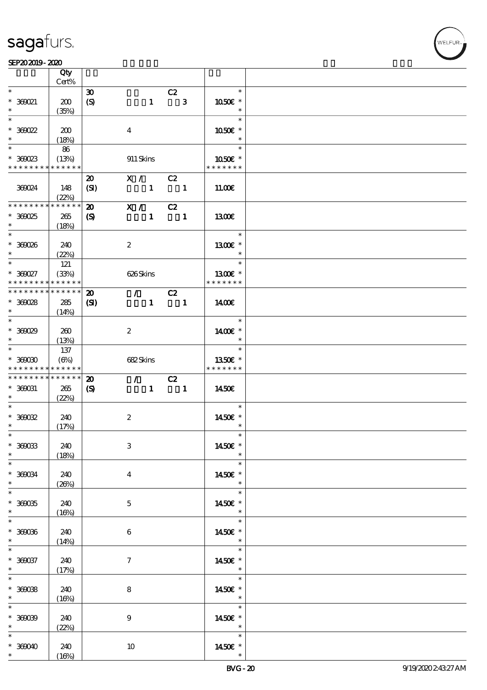$\overline{\mathsf{T}}$ 

#### $SEP202019 - 2020$

|                                                                                      | Qty<br>Cert%         |                                                 |                                             |                                 |                                                          |              |                          |  |
|--------------------------------------------------------------------------------------|----------------------|-------------------------------------------------|---------------------------------------------|---------------------------------|----------------------------------------------------------|--------------|--------------------------|--|
| $\ast$                                                                               |                      |                                                 |                                             |                                 |                                                          |              | $\ast$                   |  |
| $* 360021$<br>$\ast$                                                                 | 200<br>(35%)         | $\boldsymbol{\mathfrak{D}}$<br>$\boldsymbol{S}$ |                                             | $\mathbf{1}$                    | C2                                                       | $\mathbf{3}$ | 1050E *<br>$\ast$        |  |
| $\overline{\ast}$                                                                    |                      |                                                 |                                             |                                 |                                                          |              | $\ast$                   |  |
| $*36022$<br>$\ast$                                                                   | 200<br>(18%)         |                                                 | $\bf{4}$                                    |                                 |                                                          |              | 1050€ *<br>$\ast$        |  |
|                                                                                      | 86                   |                                                 |                                             |                                 |                                                          |              | $\ast$                   |  |
| $*36023$<br>* * * * * * * *                                                          | (13%)<br>* * * * * * |                                                 | 911 Skins                                   |                                 |                                                          |              | 1050E *<br>* * * * * * * |  |
|                                                                                      |                      | $\boldsymbol{\mathfrak{D}}$                     | X / C2                                      |                                 |                                                          |              |                          |  |
| 369024                                                                               | 148<br>(22%)         | (SI)                                            | $\begin{array}{cccc} 1 & 1 & 1 \end{array}$ |                                 |                                                          |              | 11.00E                   |  |
| * * * * * * * *                                                                      | * * * * * *          | $\boldsymbol{\mathfrak{D}}$                     | X / C2                                      |                                 |                                                          |              |                          |  |
| $*36025$<br>$*$                                                                      | 265<br>(18%)         | $\boldsymbol{\mathcal{S}}$                      |                                             |                                 | $1 \quad 1$                                              |              | 1300                     |  |
| $\ast$                                                                               |                      |                                                 |                                             |                                 |                                                          |              | $\ast$                   |  |
| $* 360006$<br>$\ast$                                                                 | 240<br>(22%)         |                                                 | $\boldsymbol{2}$                            |                                 |                                                          |              | 1300E *<br>$\ast$        |  |
|                                                                                      | 121                  |                                                 |                                             |                                 |                                                          |              | $\ast$                   |  |
| $* 360027$<br>* * * * * * * *                                                        | (33%)<br>* * * * * * |                                                 | 626Skins                                    |                                 |                                                          |              | 1300€ *<br>* * * * * * * |  |
| * * * * * * * *                                                                      | * * * * * *          | $\boldsymbol{\mathfrak{D}}$                     |                                             | $\mathcal{L}$ and $\mathcal{L}$ | C2                                                       |              |                          |  |
| $*360028$                                                                            | 285                  | $\mathbf{C}$                                    |                                             | $\mathbf{1}$                    | $\blacksquare$                                           |              | 1400E                    |  |
| $\ast$                                                                               |                      |                                                 |                                             |                                 |                                                          |              |                          |  |
|                                                                                      | (14%)                |                                                 |                                             |                                 |                                                          |              | $\ast$                   |  |
|                                                                                      |                      |                                                 |                                             |                                 |                                                          |              |                          |  |
| $*36029$                                                                             | 260                  |                                                 | $\boldsymbol{2}$                            |                                 |                                                          |              | 1400€ *                  |  |
| $\ast$                                                                               | (13%)                |                                                 |                                             |                                 |                                                          |              | $\ast$                   |  |
|                                                                                      | 137                  |                                                 |                                             |                                 |                                                          |              | $\ast$                   |  |
| $*$ 360000                                                                           | $(\Theta\%)$         |                                                 | 682Skins                                    |                                 |                                                          |              | 1350€ *                  |  |
|                                                                                      |                      |                                                 |                                             |                                 |                                                          |              |                          |  |
| * * * * * * * *                                                                      | * * * * * *          |                                                 |                                             |                                 |                                                          |              | * * * * * * *            |  |
| * * * * * * * *                                                                      | * * * * * *          | $\boldsymbol{\mathbf{z}}$                       |                                             | $\mathcal{F}$ and $\mathcal{F}$ |                                                          |              |                          |  |
|                                                                                      |                      |                                                 |                                             |                                 | C2                                                       |              | 1450€                    |  |
| $* 360031$<br>$*$                                                                    | 265                  | $\boldsymbol{\mathrm{(S)}}$                     |                                             |                                 | $\begin{array}{cccc} 1 & \hspace{1.5cm} & 1 \end{array}$ |              |                          |  |
| $\ast$                                                                               | (22%)                |                                                 |                                             |                                 |                                                          |              | $\ast$                   |  |
|                                                                                      |                      |                                                 |                                             |                                 |                                                          |              |                          |  |
| $* 36002$<br>$\ast$                                                                  | 240                  |                                                 | $\boldsymbol{z}$                            |                                 |                                                          |              | 1450€ *<br>$\ast$        |  |
| $\ast$                                                                               | (17%)                |                                                 |                                             |                                 |                                                          |              | $\ast$                   |  |
|                                                                                      |                      |                                                 |                                             |                                 |                                                          |              |                          |  |
| $* 360033$<br>$\ast$                                                                 | 240                  |                                                 | $\,3$                                       |                                 |                                                          |              | 1450€ *                  |  |
|                                                                                      | (18%)                |                                                 |                                             |                                 |                                                          |              |                          |  |
| $*$                                                                                  |                      |                                                 |                                             |                                 |                                                          |              | $\ast$                   |  |
| $* 360034$                                                                           | 240                  |                                                 | $\bf{4}$                                    |                                 |                                                          |              | 1450E *                  |  |
|                                                                                      | (20%)                |                                                 |                                             |                                 |                                                          |              | $\ast$                   |  |
| $*$                                                                                  |                      |                                                 |                                             |                                 |                                                          |              | $\ast$                   |  |
| $* 36005$                                                                            | 240                  |                                                 | $\mathbf{5}$                                |                                 |                                                          |              | 1450€ *                  |  |
| $\ast$                                                                               | (16%)                |                                                 |                                             |                                 |                                                          |              | $*$                      |  |
| $\ast$                                                                               |                      |                                                 |                                             |                                 |                                                          |              | $\ast$                   |  |
|                                                                                      | 240                  |                                                 | 6                                           |                                 |                                                          |              | 1450€ *                  |  |
| $* 36006$<br>$*$                                                                     | (14%)                |                                                 |                                             |                                 |                                                          |              | $\ast$                   |  |
|                                                                                      |                      |                                                 |                                             |                                 |                                                          |              | $\ast$                   |  |
|                                                                                      | 240                  |                                                 | $\boldsymbol{\tau}$                         |                                 |                                                          |              | 1450E *                  |  |
|                                                                                      | (17%)                |                                                 |                                             |                                 |                                                          |              | $\star$                  |  |
|                                                                                      |                      |                                                 |                                             |                                 |                                                          |              | $\ast$                   |  |
|                                                                                      | 240                  |                                                 | 8                                           |                                 |                                                          |              | 1450€ *                  |  |
|                                                                                      | (16%)                |                                                 |                                             |                                 |                                                          |              | $\ast$                   |  |
| $\ast$<br>$* 360037$<br>$\ast$<br>$\overline{\ast}$<br>$* 36008$<br>$\ast$<br>$\ast$ |                      |                                                 |                                             |                                 |                                                          |              | $\ast$                   |  |
|                                                                                      | 240                  |                                                 | $\boldsymbol{9}$                            |                                 |                                                          |              | 1450€ *                  |  |
| $* 36009$<br>$\ast$                                                                  | (22%)                |                                                 |                                             |                                 |                                                          |              | $\ast$                   |  |
| $\ast$                                                                               |                      |                                                 |                                             |                                 |                                                          |              | $\ast$                   |  |
| $* 36000$                                                                            | 240                  |                                                 | 10                                          |                                 |                                                          |              | 1450€ *                  |  |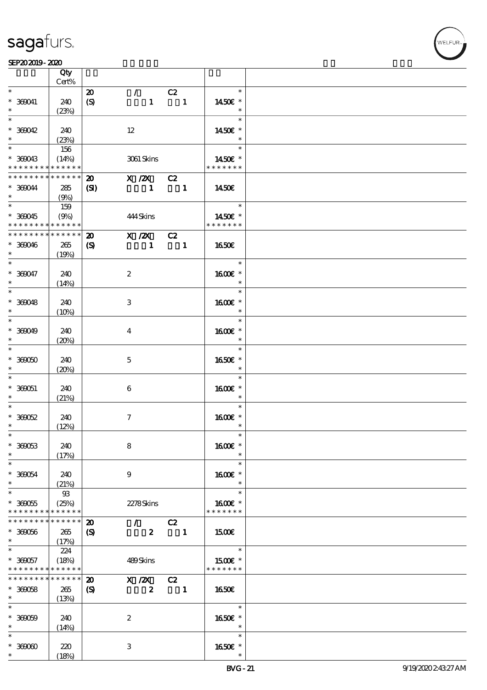|                                            | Qty<br>Cert%  |                             |                         |                  |                          |                |                      |  |
|--------------------------------------------|---------------|-----------------------------|-------------------------|------------------|--------------------------|----------------|----------------------|--|
|                                            |               |                             |                         |                  |                          |                |                      |  |
| $\ast$                                     |               | $\boldsymbol{\mathfrak{D}}$ | $\mathcal{L}$           |                  | C2                       |                | $*$                  |  |
| $* 360041$                                 | 240           | $\boldsymbol{S}$            |                         | $\mathbf{1}$     | $\blacksquare$           |                | 1450E *              |  |
| $\ast$                                     | (23%)         |                             |                         |                  |                          |                | $\ast$               |  |
| $\ast$                                     |               |                             |                         |                  |                          |                | $\ast$               |  |
|                                            |               |                             |                         |                  |                          |                |                      |  |
| $* 360042$                                 | 240           |                             | 12                      |                  |                          |                | 1450€ *              |  |
|                                            | (23%)         |                             |                         |                  |                          |                | $\ast$               |  |
| $\ast$                                     | 156           |                             |                         |                  |                          |                | $\ast$               |  |
|                                            |               |                             |                         |                  |                          |                | 1450 $\varepsilon$ * |  |
| * 360043                                   | (14%)         |                             |                         | 3061 Skins       |                          |                |                      |  |
| * * * * * * * *                            | * * * * * *   |                             |                         |                  |                          |                | * * * * * * *        |  |
| * * * * * * * *                            | $***$ * * * * | $\boldsymbol{\mathfrak{D}}$ |                         | $X$ / $ZX$       | C2                       |                |                      |  |
| * 369044                                   | 285           | (S)                         | $\sim$ 1                |                  | $\blacksquare$           |                | 1450€                |  |
| $\ast$                                     |               |                             |                         |                  |                          |                |                      |  |
|                                            | (9%)          |                             |                         |                  |                          |                |                      |  |
| $\overline{\phantom{0}}$                   | 159           |                             |                         |                  |                          |                | $\ast$               |  |
| $* 360045$                                 | (9%)          |                             | 444Skins                |                  |                          |                | 1450€ *              |  |
| * * * * * * * * <mark>* * * * * * *</mark> |               |                             |                         |                  |                          |                | * * * * * * *        |  |
| * * * * * * * *                            | * * * * * *   |                             |                         |                  |                          |                |                      |  |
|                                            |               | $\boldsymbol{\mathfrak{D}}$ |                         | X / ZX           | C2                       |                |                      |  |
| $* 360046$                                 | 265           | $\boldsymbol{\mathcal{S}}$  |                         | $\blacksquare$   | $\blacksquare$           |                | 1650E                |  |
| $\ast$                                     | (19%)         |                             |                         |                  |                          |                |                      |  |
| $*$                                        |               |                             |                         |                  |                          |                | $\ast$               |  |
|                                            |               |                             |                         |                  |                          |                |                      |  |
| $* 360047$                                 | 240           |                             | $\boldsymbol{2}$        |                  |                          |                | 1600€ *              |  |
| $\ast$                                     | (14%)         |                             |                         |                  |                          |                | $\ast$               |  |
|                                            |               |                             |                         |                  |                          |                | $\ast$               |  |
| $* 360048$                                 | 240           |                             | 3                       |                  |                          |                | 1600E *              |  |
|                                            |               |                             |                         |                  |                          |                |                      |  |
| $\ast$                                     | (10%)         |                             |                         |                  |                          |                | $\ast$               |  |
| $\ast$                                     |               |                             |                         |                  |                          |                | $\ast$               |  |
| * 360049                                   | 240           |                             | $\overline{\mathbf{4}}$ |                  |                          |                | 1600E *              |  |
| $\ast$                                     | (20%)         |                             |                         |                  |                          |                | $\ast$               |  |
| $\overline{\ast}$                          |               |                             |                         |                  |                          |                | $\ast$               |  |
|                                            |               |                             |                         |                  |                          |                |                      |  |
| $* 36000$                                  | 240           |                             | $\mathbf{5}$            |                  |                          |                | 1650€ *              |  |
| $\ast$                                     | (20%)         |                             |                         |                  |                          |                | $\ast$               |  |
| $\overline{\phantom{0}}$                   |               |                             |                         |                  |                          |                | $\ast$               |  |
|                                            |               |                             |                         |                  |                          |                |                      |  |
| $* 360051$                                 | 240           |                             | 6                       |                  |                          |                | 1600E *              |  |
| $\ast$                                     | (21%)         |                             |                         |                  |                          |                | $\ast$               |  |
| $\ast$                                     |               |                             |                         |                  |                          |                | $\ast$               |  |
| $*36052$                                   | 240           |                             | $\tau$                  |                  |                          |                | 1600€ *              |  |
| $\ast$                                     |               |                             |                         |                  |                          |                | $\ast$               |  |
|                                            | (12%)         |                             |                         |                  |                          |                |                      |  |
| $\ast$                                     |               |                             |                         |                  |                          |                |                      |  |
| $* 360053$                                 | 240           |                             | 8                       |                  |                          |                | 1600€ *              |  |
| $\ast$                                     | (17%)         |                             |                         |                  |                          |                | $\ast$               |  |
| $\ast$                                     |               |                             |                         |                  |                          |                | $\ast$               |  |
|                                            |               |                             |                         |                  |                          |                |                      |  |
| $* 360054$                                 | 240           |                             | 9                       |                  |                          |                | 1600E *              |  |
| $\ast$                                     | (21%)         |                             |                         |                  |                          |                | $\ast$               |  |
| $\ast$                                     | $93$          |                             |                         |                  |                          |                | $\ast$               |  |
| $* 360055$                                 | (25%)         |                             |                         | 2278Skins        |                          |                | 1600E *              |  |
|                                            |               |                             |                         |                  |                          |                |                      |  |
| * * * * * * * *                            | * * * * * *   |                             |                         |                  |                          |                | * * * * * * *        |  |
| * * * * * * * *                            | * * * * * *   | $\boldsymbol{\mathbf{z}}$   | $\mathcal{L}$           |                  | C2                       |                |                      |  |
| $* 360056$                                 | 265           | $\boldsymbol{\mathcal{S}}$  |                         | $\boldsymbol{z}$ |                          | $\blacksquare$ | <b>150€</b>          |  |
| $\ast$                                     | (17%)         |                             |                         |                  |                          |                |                      |  |
| $\ast$                                     |               |                             |                         |                  |                          |                | $\ast$               |  |
|                                            | 224           |                             |                         |                  |                          |                |                      |  |
| $* 360057$                                 | (18%)         |                             | 489Skins                |                  |                          |                | 1500E *              |  |
| * * * * * * * *                            | * * * * * *   |                             |                         |                  |                          |                | * * * * * * *        |  |
| * * * * * * * *                            | * * * * * *   | $\boldsymbol{\mathfrak{D}}$ | $X \, /ZX$              |                  | C2                       |                |                      |  |
|                                            |               |                             |                         |                  |                          |                |                      |  |
| $* 360058$                                 | 265           | $\boldsymbol{\mathrm{(S)}}$ |                         | $\boldsymbol{z}$ | $\overline{\phantom{0}}$ |                | 1650E                |  |
| $\ast$                                     | (13%)         |                             |                         |                  |                          |                |                      |  |
| $\ast$                                     |               |                             |                         |                  |                          |                | $\ast$               |  |
| $* 36000$                                  | 240           |                             | $\boldsymbol{2}$        |                  |                          |                | 1650E *              |  |
| $\ast$                                     |               |                             |                         |                  |                          |                | $\ast$               |  |
|                                            | (14%)         |                             |                         |                  |                          |                |                      |  |
| $\ast$                                     |               |                             |                         |                  |                          |                | $\ast$               |  |
| $* 36000$                                  | 220           |                             | 3                       |                  |                          |                | 1650E *              |  |
| $\ast$                                     | (18%)         |                             |                         |                  |                          |                | $\ast$               |  |
|                                            |               |                             |                         |                  |                          |                |                      |  |

**VELFUR**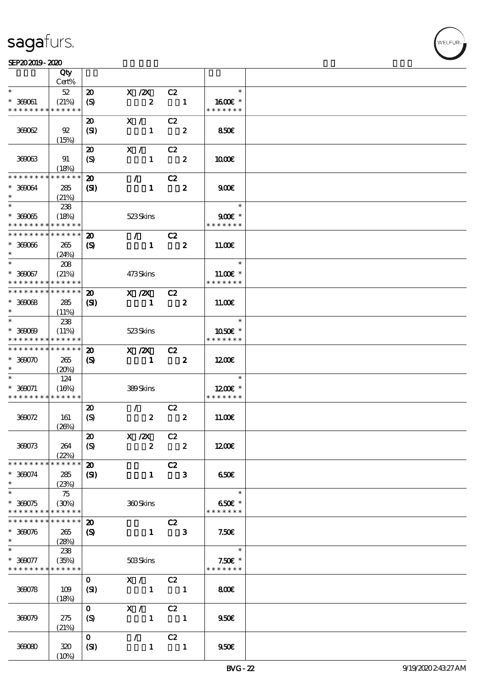#### $SEP202019 - 2020$

|                                            | Qty<br>Cert%               |                             |                  |                            |                  |               |  |
|--------------------------------------------|----------------------------|-----------------------------|------------------|----------------------------|------------------|---------------|--|
| $\ast$                                     | $52\,$                     | $\boldsymbol{\mathfrak{D}}$ | $X$ / $ZX$       | C2                         |                  | $\ast$        |  |
|                                            |                            |                             |                  |                            |                  |               |  |
| $* 360001$<br>* * * * * * * *              | (21%)                      | $\boldsymbol{\mathrm{(S)}}$ | $\boldsymbol{z}$ | $\blacksquare$             |                  | 1600E *       |  |
|                                            | * * * * * *                |                             |                  |                            |                  | * * * * * * * |  |
|                                            |                            | 20                          | X /              | C2                         |                  |               |  |
| 36062                                      | 92                         | (SI)                        | $\mathbf{1}$     | $\overline{\mathbf{2}}$    |                  | <b>850€</b>   |  |
|                                            | (15%)                      |                             |                  |                            |                  |               |  |
|                                            |                            | $\boldsymbol{\mathfrak{D}}$ | X /              | C2                         |                  |               |  |
|                                            |                            |                             |                  | $\overline{\mathbf{2}}$    |                  |               |  |
| 360063                                     | 91                         | $\boldsymbol{\mathrm{(S)}}$ | $\mathbf{1}$     |                            |                  | 1000E         |  |
|                                            | (18%)                      |                             |                  |                            |                  |               |  |
| * * * * * * * *                            | * * * * * *                | $\boldsymbol{\mathfrak{D}}$ | $\mathcal{L}$    | C2                         |                  |               |  |
| * 369064                                   | 285                        | (S)                         | $\mathbf{1}$     |                            | $\boldsymbol{2}$ | 900           |  |
| $\ast$                                     | (21%)                      |                             |                  |                            |                  |               |  |
|                                            |                            |                             |                  |                            |                  | $\ast$        |  |
|                                            | 238                        |                             |                  |                            |                  |               |  |
| $* 36005$                                  | (18%)                      |                             | 523Skins         |                            |                  | $900E$ *      |  |
| * * * * * * * *                            | $\ast\ast\ast\ast\ast\ast$ |                             |                  |                            |                  | * * * * * * * |  |
| * * * * * * * *                            | * * * * * *                | $\boldsymbol{\mathfrak{D}}$ | $\mathcal{L}$    | C2                         |                  |               |  |
| $* 36006$                                  | 265                        | $\boldsymbol{\mathrm{(S)}}$ | $\mathbf{1}$     | $\mathbf{2}$               |                  | 11.00E        |  |
| $\ast$                                     |                            |                             |                  |                            |                  |               |  |
| $\ast$                                     | (24%)                      |                             |                  |                            |                  | $\ast$        |  |
|                                            | 208                        |                             |                  |                            |                  |               |  |
| $* 360057$                                 | (21%)                      |                             | 473Skins         |                            |                  | $11.00E*$     |  |
| * * * * * * * *                            | * * * * * *                |                             |                  |                            |                  | * * * * * * * |  |
| * * * * * * * * <mark>* * * * * * *</mark> |                            | $\boldsymbol{\mathfrak{D}}$ | $X$ / $ZX$       | C2                         |                  |               |  |
| $* 36008$                                  | 285                        | $\mathbf{C}$                | $\mathbf{1}$     | $\overline{\mathbf{2}}$    |                  | 11.00E        |  |
| $\ast$                                     |                            |                             |                  |                            |                  |               |  |
| $\overline{\phantom{0}}$                   | (11%)                      |                             |                  |                            |                  |               |  |
|                                            | 238                        |                             |                  |                            |                  | $\ast$        |  |
| $* 36000$                                  | (11%)                      |                             | 523Skins         |                            |                  | 1050E *       |  |
| * * * * * * * *                            | * * * * * *                |                             |                  |                            |                  | * * * * * * * |  |
| * * * * * * * * * * * * * *                |                            | $\boldsymbol{\mathfrak{D}}$ | $X \, /ZX$       | C2                         |                  |               |  |
| $*$ 360070                                 | 265                        |                             | $\mathbf{1}$     | $\overline{\mathbf{2}}$    |                  | 1200E         |  |
|                                            |                            | $\boldsymbol{\mathrm{(S)}}$ |                  |                            |                  |               |  |
| $\ast$                                     | (20%)                      |                             |                  |                            |                  |               |  |
| $\ast$                                     | 124                        |                             |                  |                            |                  | $\ast$        |  |
| $* 360071$                                 | (16%)                      |                             | 389Skins         |                            |                  | $1200E$ *     |  |
| * * * * * * * *                            | * * * * * *                |                             |                  |                            |                  | * * * * * * * |  |
|                                            |                            | $\boldsymbol{\mathbf{z}}$   | $\mathcal{L}$    | C2                         |                  |               |  |
| 369072                                     | 161                        | $\boldsymbol{\mathrm{(S)}}$ | $\boldsymbol{z}$ |                            | $\boldsymbol{z}$ | 11.00E        |  |
|                                            | (20%)                      |                             |                  |                            |                  |               |  |
|                                            |                            |                             |                  |                            |                  |               |  |
|                                            |                            | $\pmb{\mathcal{Z}}$         | $X$ / $ZX$       | C2                         |                  |               |  |
| 369073                                     | 264                        | (S)                         | $\boldsymbol{2}$ | $\overline{\mathbf{2}}$    |                  | 1200E         |  |
|                                            | (22%)                      |                             |                  |                            |                  |               |  |
| * * * * * * * *                            | * * * * * *                | $\boldsymbol{\mathbf{z}}$   |                  | C2                         |                  |               |  |
| $* 360074$                                 | 285                        | $\mathbf{C}$                | $\mathbf{1}$     |                            | $\mathbf{3}$     | 650€          |  |
| $\ast$                                     | (23%)                      |                             |                  |                            |                  |               |  |
| $\overline{\ast}$                          | 75                         |                             |                  |                            |                  | $\ast$        |  |
|                                            |                            |                             |                  |                            |                  |               |  |
| $* 360075$                                 | (30%)                      |                             | 360Skins         |                            |                  | 650€ *        |  |
| * * * * * * * *                            | * * * * * *                |                             |                  |                            |                  | * * * * * * * |  |
| * * * * * * * *                            | * * * * * *                | $\boldsymbol{\mathfrak{D}}$ |                  | C2                         |                  |               |  |
| $* 360076$                                 | 265                        | $\boldsymbol{\mathrm{(S)}}$ | $\mathbf{1}$     | $\overline{\phantom{a}}$ 3 |                  | 7.50E         |  |
| $\ast$                                     | (28%)                      |                             |                  |                            |                  |               |  |
| $\ast$                                     |                            |                             |                  |                            |                  | $\ast$        |  |
|                                            | 238                        |                             |                  |                            |                  |               |  |
| $* 360077$                                 | (35%)                      |                             | 503Skins         |                            |                  | $7.50E$ *     |  |
| * * * * * * * * <mark>*</mark>             | * * * * * *                |                             |                  |                            |                  | * * * * * * * |  |
|                                            |                            | $\mathbf{O}$                | X /              | C2                         |                  |               |  |
| 36078                                      | 109                        | (SI)                        |                  | $1 \quad 1$                |                  | 800           |  |
|                                            | (18%)                      |                             |                  |                            |                  |               |  |
|                                            |                            |                             |                  |                            |                  |               |  |
|                                            |                            | $\mathbf{O}$                | X /              | C2                         |                  |               |  |
| 360079                                     | 275                        | (S)                         | $\mathbf{1}$     | $\blacksquare$             |                  | 950E          |  |
|                                            | (21%)                      |                             |                  |                            |                  |               |  |
|                                            |                            | $\mathbf{O}$                | $\mathcal{L}$    | C2                         |                  |               |  |
| 36080                                      | 320                        | (SI)                        | $\mathbf{1}$     | $\blacksquare$             |                  | 950E          |  |
|                                            | $(10\%)$                   |                             |                  |                            |                  |               |  |
|                                            |                            |                             |                  |                            |                  |               |  |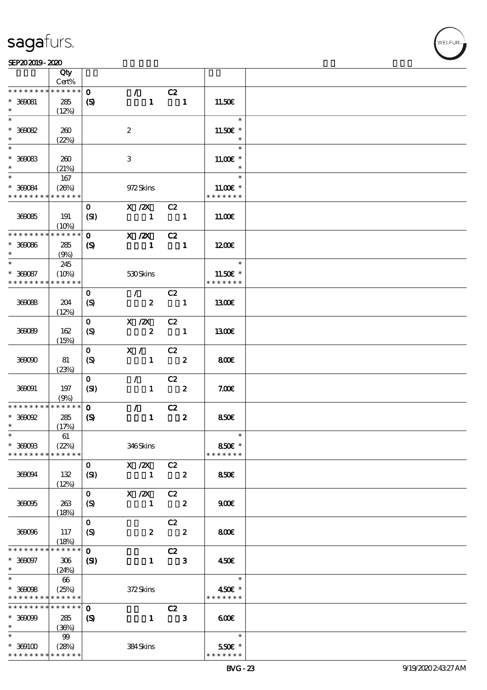#### SEP202019-2020  $\overline{\phantom{a}}$

|                               | Qty                  |                             |                                 |                            |                         |                           |  |
|-------------------------------|----------------------|-----------------------------|---------------------------------|----------------------------|-------------------------|---------------------------|--|
|                               | Cert%<br>* * * * * * |                             |                                 |                            |                         |                           |  |
| * * * * * * * *               |                      | $\mathbf{O}$                | $\mathcal{T}$                   | C2                         |                         |                           |  |
| $* 360081$<br>$\ast$          | 285                  | $\boldsymbol{\mathrm{(S)}}$ | $\mathbf{1}$                    | $\blacksquare$             |                         | 11.50E                    |  |
| $\overline{\ast}$             | (12%)                |                             |                                 |                            |                         | $\ast$                    |  |
| $* 36002$                     | 260                  |                             | $\boldsymbol{2}$                |                            |                         | 11.50€ *                  |  |
|                               | (22%)                |                             |                                 |                            |                         | $\ast$                    |  |
|                               |                      |                             |                                 |                            |                         | $\ast$                    |  |
| $* 36003$                     | 260                  |                             | $\ensuremath{\mathbf{3}}$       |                            |                         | $11.00E$ *                |  |
| $\ast$                        | (21%)                |                             |                                 |                            |                         | $\ast$                    |  |
| $\ast$                        | 167                  |                             |                                 |                            |                         | $\ast$                    |  |
| $* 360084$                    | (20%)                |                             | 972Skins                        |                            |                         | 11.00 $\varepsilon$ *     |  |
| * * * * * * * *               | * * * * * *          |                             |                                 |                            |                         | * * * * * * *             |  |
|                               |                      | $\mathbf{O}$                | $X \, /ZX$                      | C2                         |                         |                           |  |
| 360085                        | 191                  | (SI)                        | $\sim$ 1                        | $\blacksquare$             |                         | 11.00E                    |  |
|                               | (10%)                |                             |                                 |                            |                         |                           |  |
| * * * * * * * *               | <b>******</b>        | $\mathbf{O}$                | $X$ / $ZX$                      | C2                         |                         |                           |  |
| $* 360066$                    | 285                  | $\boldsymbol{\mathcal{S}}$  | $\sim$ 1                        | $\overline{\phantom{a}}$   |                         | 1200                      |  |
| $\ast$<br>$\ast$              | (9%)                 |                             |                                 |                            |                         |                           |  |
|                               | 245                  |                             |                                 |                            |                         | $\ast$                    |  |
| $* 360087$<br>* * * * * * * * | (10%)<br>* * * * * * |                             | 530Skins                        |                            |                         | 11.50€ *<br>* * * * * * * |  |
|                               |                      | $\mathbf{O}$                | $\mathcal{L}$                   | C2                         |                         |                           |  |
| 36088                         | 204                  | (S)                         | $\boldsymbol{2}$                | $\overline{\phantom{a}}$ 1 |                         | 1300E                     |  |
|                               | (12%)                |                             |                                 |                            |                         |                           |  |
|                               |                      | $\mathbf{O}$                | $X \, /ZX$                      | C2                         |                         |                           |  |
| 36089                         | 162                  | (S)                         | $\overline{\mathbf{2}}$         | $\blacksquare$             |                         | 1300E                     |  |
|                               | (15%)                |                             |                                 |                            |                         |                           |  |
|                               |                      | $\mathbf{O}$                | X / C2                          |                            |                         |                           |  |
| 36000                         | 81                   | (S)                         |                                 | $1 \t 2$                   |                         | 800E                      |  |
|                               | (23%)                |                             |                                 |                            |                         |                           |  |
|                               |                      | $\mathbf{O}$                | $\mathcal{L}$ and $\mathcal{L}$ | $\overline{C}2$            |                         |                           |  |
| 360091                        | 197                  | (SI)                        |                                 | $1 \t 2$                   |                         | 7.00E                     |  |
|                               | (9%)                 |                             |                                 |                            |                         |                           |  |
| * * * * * * * *               | ******               | $\mathbf{o}$                | $\mathcal{F}^{\mathcal{F}}$     | $\overline{c}z$            |                         |                           |  |
| $*$ 360092<br>$\ast$          | 285                  | $\boldsymbol{\mathcal{S}}$  | $\mathbf{1}$                    | $\overline{\mathbf{z}}$    |                         | 850E                      |  |
| $\ast$                        | (17%)<br>61          |                             |                                 |                            |                         | $\ast$                    |  |
| $* 3600B$                     | (22%)                |                             | 346Skins                        |                            |                         | 850€ *                    |  |
| * * * * * * * *               | * * * * * *          |                             |                                 |                            |                         | * * * * * * *             |  |
|                               |                      | $\mathbf{o}$                | X / ZX                          | C2                         |                         |                           |  |
| 36004                         | 132                  | (SI)                        | $\mathbf{1}$                    | $\overline{\phantom{a}}$   |                         | <b>850€</b>               |  |
|                               | (12%)                |                             |                                 |                            |                         |                           |  |
|                               |                      | $\mathbf{O}$                | $X$ / $ZX$                      | C2                         |                         |                           |  |
| 36005                         | 263                  | $\boldsymbol{S}$            | $\mathbf{1}$                    | $\overline{\phantom{a}}$ 2 |                         | 900                       |  |
|                               | (18%)                |                             |                                 |                            |                         |                           |  |
|                               |                      | $\mathbf{O}$                |                                 | C2                         |                         |                           |  |
| 36006                         | 117                  | $\boldsymbol{S}$            | $\boldsymbol{z}$                |                            | $\overline{\mathbf{2}}$ | 800€                      |  |
|                               | (18%)                |                             |                                 |                            |                         |                           |  |
| * * * * * * *                 | * * * * * *          | $\mathbf 0$                 |                                 | C2                         |                         |                           |  |
| $* 360097$                    | 306                  | $\mathbf{C}$                | $\mathbf{1}$                    |                            | $\mathbf{3}$            | 450€                      |  |
| $*$<br>$\overline{\ast}$      | (24%)                |                             |                                 |                            |                         | $\ast$                    |  |
| $* 36008$                     | 66<br>(25%)          |                             | 372Skins                        |                            |                         | 450€ *                    |  |
| * * * * * * * *               | * * * * * *          |                             |                                 |                            |                         | * * * * * * *             |  |
| * * * * * * * *               | * * * * * *          | $\mathbf 0$                 |                                 | C2                         |                         |                           |  |
| $* 30009$                     | 285                  | $\boldsymbol{S}$            | $\mathbf{1}$                    |                            | $\mathbf{3}$            | 600                       |  |
| $\ast$                        | (36%)                |                             |                                 |                            |                         |                           |  |
| $\ast$                        | 99                   |                             |                                 |                            |                         | $\ast$                    |  |
| $* 369100$                    | (28%)                |                             | 384Skins                        |                            |                         | 550€ *                    |  |
| * * * * * * * *               | * * * * * *          |                             |                                 |                            |                         | * * * * * * *             |  |

.<br>FLEUR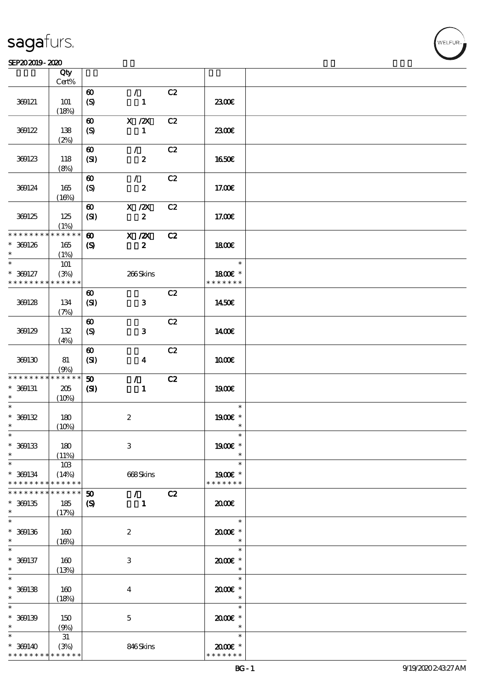|                   | Qty<br>$Cert\%$ |                             |                           |    |               |  |
|-------------------|-----------------|-----------------------------|---------------------------|----|---------------|--|
|                   |                 |                             |                           |    |               |  |
|                   |                 | $\boldsymbol{\omega}$       | $\mathcal{L}$             | C2 |               |  |
| 369121            | <b>101</b>      | $\boldsymbol{S}$            | $\mathbf{1}$              |    | 2300E         |  |
|                   | (18%)           |                             |                           |    |               |  |
|                   |                 |                             |                           |    |               |  |
|                   |                 | $\boldsymbol{\omega}$       | $X$ / $ZX$                | C2 |               |  |
| 369122            | 138             | (S)                         | $\mathbf{1}$              |    | 2300E         |  |
|                   | (2%)            |                             |                           |    |               |  |
|                   |                 |                             |                           |    |               |  |
|                   |                 | $\boldsymbol{\omega}$       | $\mathcal{L}$             | C2 |               |  |
| 369123            | 118             | (SI)                        | $\pmb{2}$                 |    | 1650E         |  |
|                   | (8%)            |                             |                           |    |               |  |
|                   |                 |                             | $\mathcal{L}$             |    |               |  |
|                   |                 | $\boldsymbol{\omega}$       |                           | C2 |               |  |
| 369124            | 165             | (S)                         | $\pmb{2}$                 |    | 17.00E        |  |
|                   | (16%)           |                             |                           |    |               |  |
|                   |                 | $\boldsymbol{\omega}$       | $X$ / $ZX$                | C2 |               |  |
|                   |                 |                             |                           |    |               |  |
| 369125            | 125             | (SI)                        | $\boldsymbol{z}$          |    | 17.00E        |  |
|                   | (1%)            |                             |                           |    |               |  |
| * * * * * * * *   | * * * * * *     | $\boldsymbol{\omega}$       | $X$ / $ZX$                | C2 |               |  |
|                   |                 |                             |                           |    |               |  |
| $* 369126$        | 165             | $\boldsymbol{\mathcal{S}}$  | $\boldsymbol{z}$          |    | 1800E         |  |
| $\ast$            | (1%)            |                             |                           |    |               |  |
| $\overline{\ast}$ | 101             |                             |                           |    | $\ast$        |  |
| $* 369127$        | (3%)            |                             | 266Skins                  |    | 1800 £*       |  |
|                   |                 |                             |                           |    |               |  |
| * * * * * * * *   | * * * * * *     |                             |                           |    | * * * * * * * |  |
|                   |                 | $\boldsymbol{\omega}$       |                           | C2 |               |  |
| 369128            | 134             | (SI)                        | ${\bf 3}$                 |    | 1450€         |  |
|                   |                 |                             |                           |    |               |  |
|                   | (7%)            |                             |                           |    |               |  |
|                   |                 | $\boldsymbol{\omega}$       |                           | C2 |               |  |
| 369129            | 132             | $\boldsymbol{S}$            | $\mathbf 3$               |    | 1400E         |  |
|                   |                 |                             |                           |    |               |  |
|                   | (4%)            |                             |                           |    |               |  |
|                   |                 | $\boldsymbol{\omega}$       |                           | C2 |               |  |
| 369130            | 81              | (SI)                        | $\boldsymbol{4}$          |    | 1000E         |  |
|                   | (9%)            |                             |                           |    |               |  |
| * * * * * * * *   | * * * * * *     |                             |                           |    |               |  |
|                   |                 | $\boldsymbol{\mathfrak{w}}$ | $\mathcal{L}$             | C2 |               |  |
| $* 369131$        | 205             | (SI)                        | $\mathbf{1}$              |    | 1900E         |  |
| $\ast$            | (10%)           |                             |                           |    |               |  |
| $\ast$            |                 |                             |                           |    | $\ast$        |  |
|                   |                 |                             |                           |    |               |  |
| $* 300132$        | 180             |                             | $\boldsymbol{2}$          |    | 1900E *       |  |
| $\ast$            | (10%)           |                             |                           |    | $\ast$        |  |
| $\ast$            |                 |                             |                           |    |               |  |
| $* 369133$        | 180             |                             | $\ensuremath{\mathbf{3}}$ |    | 1900€ *       |  |
| $\ast$            |                 |                             |                           |    | $\ast$        |  |
|                   | (11%)           |                             |                           |    |               |  |
| $\ast$            | 10B             |                             |                           |    | $\ast$        |  |
| $* 369134$        | (14%)           |                             | 668Skins                  |    | 1900E *       |  |
| * * * * * * * *   | * * * * * *     |                             |                           |    | * * * * * * * |  |
|                   |                 |                             |                           |    |               |  |
| * * * * * * * *   | * * * * * *     | 50                          | $\mathcal{L}$             | C2 |               |  |
| $* 369135$        | 185             | $\boldsymbol{S}$            | $\mathbf{1}$              |    | 2000          |  |
| $\ast$            | (17%)           |                             |                           |    |               |  |
| $\ast$            |                 |                             |                           |    | $\ast$        |  |
|                   |                 |                             |                           |    |               |  |
| $* 369136$        | 160             |                             | $\boldsymbol{2}$          |    | 2000E*        |  |
| $\ast$            | (16%)           |                             |                           |    | $\ast$        |  |
| $\ast$            |                 |                             |                           |    | $\ast$        |  |
|                   |                 |                             |                           |    |               |  |
| $* 369137$        | 160             |                             | $\,3$                     |    | $2000$ $*$    |  |
| $\ast$            | (13%)           |                             |                           |    | $\ast$        |  |
| $\ast$            |                 |                             |                           |    | $\ast$        |  |
| $* 369138$        | 160             |                             | $\overline{4}$            |    | $2000$ $*$    |  |
|                   |                 |                             |                           |    |               |  |
| $\ast$            | (18%)           |                             |                           |    | $\ast$        |  |
| $\ast$            |                 |                             |                           |    | $\ast$        |  |
| $* 369139$        | 150             |                             | $\mathbf 5$               |    | 2000E*        |  |
| $\ast$            |                 |                             |                           |    | $\ast$        |  |
|                   | (9%)            |                             |                           |    |               |  |
| $\ast$            | $31\,$          |                             |                           |    | $\ast$        |  |
| $* 369140$        | (3%)            |                             | 846Skins                  |    | 2000E *       |  |
|                   |                 |                             |                           |    | * * * * * * * |  |
| * * * * * * * *   | * * * * * *     |                             |                           |    |               |  |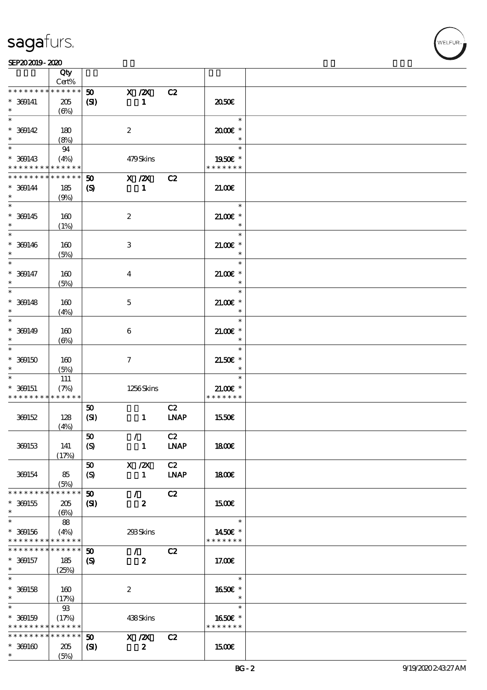|                                                                    | Qty                                 |                                          |                               |                   |                                       |  |
|--------------------------------------------------------------------|-------------------------------------|------------------------------------------|-------------------------------|-------------------|---------------------------------------|--|
|                                                                    | Cert%                               |                                          |                               |                   |                                       |  |
| * * * * * * *<br>$* 369141$<br>$\ast$                              | * * * * * *<br>205<br>$(\Theta\% )$ | 50<br>(S)                                | $X$ / $ZX$<br>$\mathbf{1}$    | C2                | 2050€                                 |  |
| $\ast$<br>$* 369142$                                               | 180                                 |                                          | $\boldsymbol{2}$              |                   | $\ast$<br>2000E*                      |  |
| $\ast$<br>$\ast$<br>$* 369143$                                     | (8%)<br>94<br>(4%)                  |                                          | 479Skins                      |                   | $\ast$<br>$\ast$<br>1950E *           |  |
| * * * * * * * * <mark>* * * * * *</mark> *                         |                                     |                                          |                               |                   | * * * * * * *                         |  |
| * * * * * * * *                                                    | * * * * * *                         | 50                                       | X / ZX                        | C2                |                                       |  |
| $* 369144$<br>$\ast$                                               | 185<br>(9%)                         | $\boldsymbol{\mathsf{(S)}}$              | $\mathbf{1}$                  |                   | 21.00E                                |  |
| $\overline{\ast}$<br>$* 369145$<br>$\ast$                          | 160<br>(1%)                         |                                          | $\boldsymbol{2}$              |                   | $\ast$<br>$21.00E$ *<br>$\ast$        |  |
| $\ast$<br>$* 369146$<br>$\ast$                                     | 160<br>(5%)                         |                                          | $\,3$                         |                   | $\ast$<br>$21.005*$<br>$\ast$         |  |
| $\ast$<br>$* 369147$<br>$\ast$                                     | 160<br>(5%)                         |                                          | $\overline{\mathbf{4}}$       |                   | $\ast$<br>$21.00$ $*$<br>$\ast$       |  |
| $\ast$<br>$* 369148$<br>$\ast$                                     | 160<br>(4%)                         |                                          | $\mathbf{5}$                  |                   | $\ast$<br>$21.00E$ *<br>$\ast$        |  |
| $\ast$<br>$* 369149$<br>$\ast$                                     | 160<br>$(\Theta)$                   |                                          | $\boldsymbol{6}$              |                   | $\ast$<br>$21.005*$<br>$\ast$         |  |
| $\ast$<br>$* 309150$                                               | 160<br>(5%)                         |                                          | $\tau$                        |                   | $\ast$<br>$21.50E$ *<br>$\ast$        |  |
| $* 369151$<br>* * * * * * * * <mark>* * * * * *</mark> *           | 111<br>(7%)                         |                                          | 1256Skins                     |                   | $\ast$<br>$21.00E$ *<br>* * * * * * * |  |
| 369152                                                             | 128<br>(4%)                         | 50<br>(SI)                               | $\mathbf{1}$                  | C2<br><b>LNAP</b> | 1550€                                 |  |
| 369153                                                             | 141<br>(17%)                        | $\pmb{\mathfrak{w}}$<br>$\boldsymbol{S}$ | $\mathcal{L}$<br>$\mathbf{1}$ | C2<br><b>LNAP</b> | 1800E                                 |  |
| 369154                                                             | 85<br>(5%)                          | 50<br>$\boldsymbol{S}$                   | $X$ / $ZX$<br>$\mathbf{1}$    | C2<br><b>LNAP</b> | 1800E                                 |  |
| * * * * * * * * * * * * * *                                        |                                     | 50                                       | $\mathcal{L}$                 | C2                |                                       |  |
| $* 309155$<br>$\ast$                                               | 205<br>$(\Theta)$                   | (S)                                      | $\boldsymbol{z}$              |                   | 1500€                                 |  |
| $\ast$<br>$* 369156$<br>* * * * * * * * * * * * * *                | 88<br>(4%)                          |                                          | 293Skins                      |                   | $\ast$<br>1450€ *<br>* * * * * * *    |  |
| * * * * * * * *                                                    | * * * * * *                         | 50                                       | $\mathcal{L}$                 | C2                |                                       |  |
| $* 369157$<br>$\ast$                                               | 185<br>(25%)                        | $\boldsymbol{\mathcal{S}}$               | $\boldsymbol{z}$              |                   | 17.00E                                |  |
| $\overline{\ast}$<br>$*$ 369158<br>$\ast$                          | 160<br>(17%)                        |                                          | $\boldsymbol{z}$              |                   | $\ast$<br>1650€ *<br>$\ast$           |  |
| $\ast$<br>$* 369159$<br>* * * * * * * * <mark>* * * * * * *</mark> | $93$<br>(17%)                       |                                          | 438Skins                      |                   | $\ast$<br>1650E *<br>* * * * * * *    |  |
| * * * * * * * *                                                    | $* * * * * * *$                     | 50                                       | X / ZX                        | C2                |                                       |  |
|                                                                    |                                     |                                          |                               |                   |                                       |  |
| $* 300100$<br>$\ast$                                               | 205<br>(5%)                         | $\mathbf{C}$                             | $\boldsymbol{z}$              |                   | <b>1500€</b>                          |  |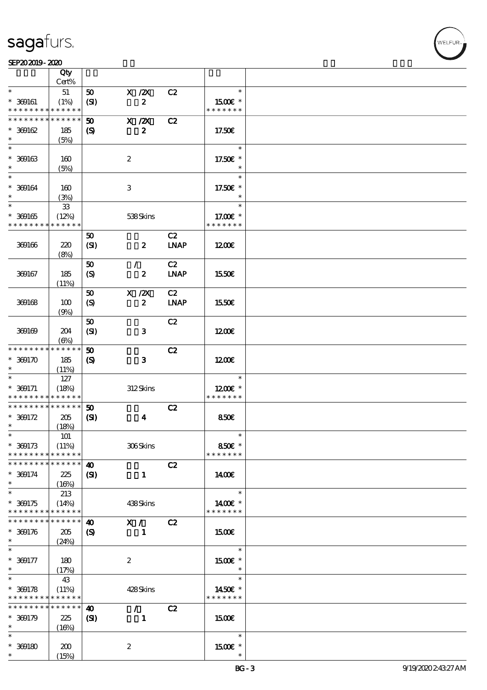$\top$ 

#### SEP202019-2020 UNIVERSITY OF THE SEPERATOR SEPERATOR SEPERATOR SEPERATOR SEPERATOR SEPERATOR SEPERATOR SEPERATOR SEP

|                                           | Qty                  |                             |                  |                  |             |                          |  |
|-------------------------------------------|----------------------|-----------------------------|------------------|------------------|-------------|--------------------------|--|
|                                           | Cert%                |                             |                  |                  |             |                          |  |
| $\ast$                                    | $51\,$               | 50                          | $X$ / $ZX$       |                  | C2          | $\ast$                   |  |
| $* 300161$<br>* * * * * * * * * * * * * * | (1%)                 | (SI)                        |                  | $\boldsymbol{z}$ |             | 1500E *<br>* * * * * * * |  |
| * * * * * * * *                           | * * * * * *          | 50                          | $X$ / $ZX$       |                  | C2          |                          |  |
| $* 300162$                                | 185                  | $\boldsymbol{S}$            |                  | $\boldsymbol{z}$ |             | 17.50E                   |  |
| $\ast$                                    | (5%)                 |                             |                  |                  |             |                          |  |
| $\ast$                                    |                      |                             |                  |                  |             | $\ast$                   |  |
| $* 309163$                                | 160                  |                             | $\boldsymbol{2}$ |                  |             | 17.50€ *                 |  |
| $\ast$                                    | (5%)                 |                             |                  |                  |             | $\ast$                   |  |
| $\ast$                                    |                      |                             |                  |                  |             | $\ast$                   |  |
| $* 369164$                                | 160                  |                             | 3                |                  |             | 17.50€ *                 |  |
| $\ast$                                    | (3%)                 |                             |                  |                  |             | $\ast$                   |  |
| $\ast$                                    | ${\bf 33}$           |                             |                  |                  |             | $\ast$                   |  |
| $* 309165$                                | (12%)                |                             |                  | 538Skins         |             | 17.00 $\varepsilon$ *    |  |
| * * * * * * * *                           | * * * * * *          |                             |                  |                  |             | * * * * * * *            |  |
|                                           |                      | 50                          |                  |                  | C2          |                          |  |
| 369166                                    | 220                  | (SI)                        |                  | $\boldsymbol{z}$ | <b>INAP</b> | 1200E                    |  |
|                                           | (8%)                 |                             |                  |                  |             |                          |  |
|                                           |                      | 50                          | $\mathcal{L}$    |                  | C2          |                          |  |
| 369167                                    | 185                  | (S)                         |                  | $\boldsymbol{z}$ | <b>LNAP</b> | 1550€                    |  |
|                                           | (11%)                |                             |                  |                  |             |                          |  |
|                                           |                      | 50                          | $X$ / $ZX$       |                  | C2          |                          |  |
| 369168                                    | 100                  | (S)                         |                  | $\boldsymbol{z}$ | <b>LNAP</b> | 1550€                    |  |
|                                           | (9%)                 | 50                          |                  |                  | C2          |                          |  |
| 369169                                    | 204                  | (SI)                        |                  | 3                |             | 1200                     |  |
|                                           | $(\Theta)$           |                             |                  |                  |             |                          |  |
| * * * * * * * *                           | * * * * * *          | 50                          |                  |                  | C2          |                          |  |
| $* 369170$                                | 185                  | $\boldsymbol{\mathrm{(S)}}$ |                  | $\mathbf{3}$     |             | 1200                     |  |
| $\ast$                                    | (11%)                |                             |                  |                  |             |                          |  |
| $\ast$                                    | 127                  |                             |                  |                  |             | $\ast$                   |  |
| $* 369171$                                | (18%)                |                             |                  | 312Skins         |             | 1200E *                  |  |
| * * * * * * * * * * * * * *               |                      |                             |                  |                  |             | * * * * * * *            |  |
| * * * * * * * * * * * * * *               |                      | 50                          |                  |                  | C2          |                          |  |
| $* 369172$                                | 205                  | $\mathbf{S}$                |                  | $\boldsymbol{4}$ |             | 850E                     |  |
| $\ast$                                    | (18%)                |                             |                  |                  |             |                          |  |
| $*$                                       | 101                  |                             |                  |                  |             | $\ast$                   |  |
| $* 369173$<br>* * * * * * * *             | (11%)<br>* * * * * * |                             |                  | 306Skins         |             | 850€ *<br>* * * * * * *  |  |
| * * * * * * * *                           | * * * * * *          | $\boldsymbol{\omega}$       |                  |                  | C2          |                          |  |
| $* 369174$                                | 225                  | $\mathbf{C}$                |                  | $\mathbf{1}$     |             | 1400E                    |  |
| $\ast$                                    | (16%)                |                             |                  |                  |             |                          |  |
| $\overline{\ast}$                         | 213                  |                             |                  |                  |             | $\ast$                   |  |
| $* 369175$                                | (14%)                |                             |                  | 438Skins         |             | 1400€ *                  |  |
| * * * * * * * *                           | * * * * * *          |                             |                  |                  |             | * * * * * * *            |  |
| * * * * * * * *                           | * * * * * *          | $\boldsymbol{\omega}$       | X /              |                  | C2          |                          |  |
| $* 369176$                                | 205                  | $\boldsymbol{S}$            |                  | 1                |             | 1500€                    |  |
| $\ast$                                    | (24%)                |                             |                  |                  |             |                          |  |
| $\ast$                                    |                      |                             |                  |                  |             | $\ast$                   |  |
| $* 369177$                                | 180                  |                             | $\boldsymbol{2}$ |                  |             | 1500 £*                  |  |
| $\ast$<br>$\ast$                          | (17%)                |                             |                  |                  |             | $\ast$<br>$\ast$         |  |
|                                           | 43                   |                             |                  |                  |             |                          |  |
| $* 369178$<br>* * * * * * * * * * * * * * | (11%)                |                             |                  | 428Skins         |             | 1450€ *<br>* * * * * * * |  |
| * * * * * * * *                           | * * * * * *          | $\boldsymbol{\omega}$       | $\mathcal{L}$    |                  | C2          |                          |  |
| $* 369179$                                | 225                  | (S)                         |                  | 1                |             | 1500€                    |  |
| $\ast$                                    | (16%)                |                             |                  |                  |             |                          |  |
| $\ast$                                    |                      |                             |                  |                  |             | $\ast$                   |  |
| $* 300180$                                | 200                  |                             | $\boldsymbol{z}$ |                  |             | 1500E *                  |  |
| $\ast$                                    | (15%)                |                             |                  |                  |             | $\ast$                   |  |

 $\overline{\mathbf{r}}$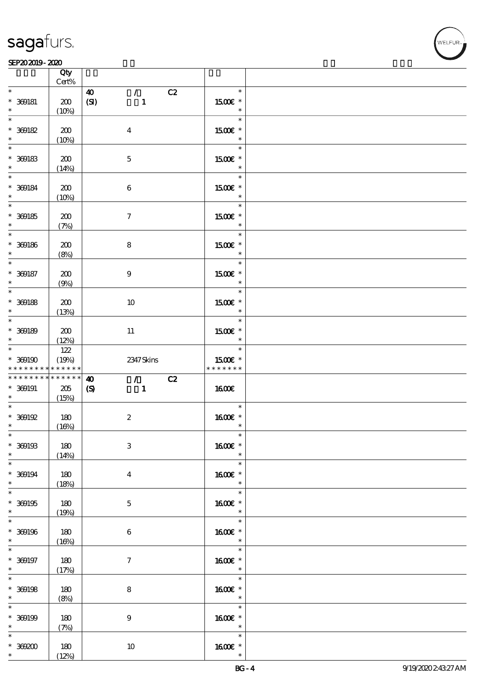#### SEP202019-2020 UNIVERSITY OF THE SEPERATOR SEPERATOR SEPERATOR SEPERATOR SEPERATOR SEPERATOR SEPERATOR SEPERATOR SEP

|                                                  | Qty<br>Cert%                    |                                                                                                                |                                                            |  |
|--------------------------------------------------|---------------------------------|----------------------------------------------------------------------------------------------------------------|------------------------------------------------------------|--|
| $\ast$<br>$* 369181$<br>$\ast$                   | 200<br>(10%)                    | $\mathcal{L}$<br>$\boldsymbol{\Lambda}$<br>C2<br>(SI)<br>$\mathbf{1}$                                          | $\ast$<br>1500E *<br>$\ast$                                |  |
| $\ast$<br>$* 300182$<br>$\ast$                   | 200<br>(10%)                    | $\boldsymbol{4}$                                                                                               | $\ast$<br>1500€ *<br>$\ast$                                |  |
| $* 300183$<br>$\ast$                             | 200<br>(14%)                    | $\mathbf{5}$                                                                                                   | $\ast$<br>1500€ *<br>$\ast$                                |  |
| $* 300184$<br>$\ast$                             | 200<br>(10%)                    | $\,6\,$                                                                                                        | $\ast$<br>1500 £*<br>$\ast$                                |  |
| $\overline{\phantom{0}}$<br>$* 300185$<br>$\ast$ | 200<br>(7%)                     | $\boldsymbol{\tau}$                                                                                            | $\ast$<br>1500 £*<br>$\ast$                                |  |
| $\overline{\ast}$<br>$* 300186$<br>$\ast$        | 200<br>(8%)                     | 8                                                                                                              | $\ast$<br>1500E *<br>$\ast$                                |  |
| $\overline{\ast}$<br>$* 300187$<br>$\ast$        | 200<br>(9%)                     | $\boldsymbol{9}$                                                                                               | $\ast$<br>1500€ *<br>$\ast$                                |  |
| $\overline{\phantom{0}}$<br>$*$ 369188<br>$\ast$ | 200<br>(13%)                    | 10                                                                                                             | $\ast$<br>1500E *<br>$\ast$                                |  |
| $* 300180$<br>$\ast$                             | 200<br>(12%)                    | 11                                                                                                             | $\ast$<br>1500E *<br>$\ast$                                |  |
| $* 300190$<br>* * * * * * * *                    | 122<br>(19%)<br>* * * * * *     | 2347 Skins                                                                                                     | $\ast$<br>1500€ *<br>* * * * * * *                         |  |
| * * * * * * * *<br>$* 369191$<br>$\ast$          | * * * * * *<br>$205\,$<br>(15%) | $\mathcal{L}$ and $\mathcal{L}$<br>C2<br>$\boldsymbol{\omega}$<br>$\boldsymbol{\mathcal{S}}$<br>$\blacksquare$ | 1600E                                                      |  |
| $\ast$<br>$* 300192$                             |                                 |                                                                                                                | $\ast$                                                     |  |
| $\ast$                                           | 180<br>(16%)                    | $\boldsymbol{2}$                                                                                               | 1600 £*<br>$\ast$                                          |  |
| $\ast$<br>$* 309193$<br>$\ast$                   | 180<br>(14%)                    | $\,3$                                                                                                          | $\ast$<br>1600€ *<br>$\ast$                                |  |
| $\overline{\ast}$<br>$* 369194$<br>$\ast$        | 180<br>(18%)                    | $\bf{4}$                                                                                                       | $\ast$<br>1600€ *<br>$\ast$                                |  |
| $\overline{\ast}$<br>$* 309195$<br>$\ast$        | 180<br>(19%)                    | $\mathbf{5}$                                                                                                   | $\ast$<br>1600E *<br>$*$                                   |  |
| $\overline{\ast}$<br>$* 309196$<br>$\ast$        | 180<br>(16%)                    | $\boldsymbol{6}$                                                                                               | $\ast$<br>1600€ *<br>$\ast$                                |  |
| $\ast$<br>$* 369197$<br>$*$                      | 180<br>(17%)                    | $\tau$                                                                                                         | $\ast$<br>$1600E$ $^{\ast}$<br>$\rightarrow$ $\rightarrow$ |  |
| $\overline{\ast}$<br>$*$ 369198<br>$*$           | 180<br>(8%)                     | $\bf8$                                                                                                         | $\ast$<br>1600E *<br>$\overline{\phantom{a}}$              |  |
| $\ast$<br>$* 300199$<br>$*$                      | 180<br>(7%)                     | $\boldsymbol{9}$                                                                                               | $\ast$<br>1600E *<br>$\ast$                                |  |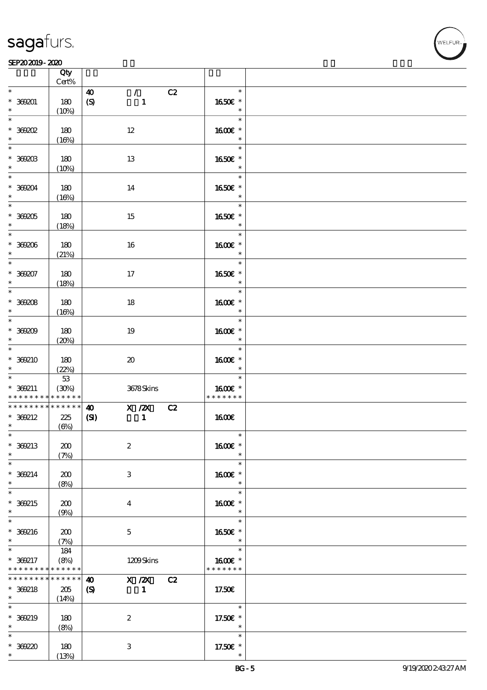|                                            | Qty<br>Cert%            |                                     |                            |    |                          |  |
|--------------------------------------------|-------------------------|-------------------------------------|----------------------------|----|--------------------------|--|
| $\ast$                                     |                         | 40                                  | $\mathcal{L}$              | C2 | $\ast$                   |  |
| $* 369001$<br>$\ast$                       | 180<br>(10%)            | $\boldsymbol{\mathrm{(S)}}$         | $\mathbf{1}$               |    | 1650E *<br>$\ast$        |  |
| $\overline{\ast}$                          |                         |                                     |                            |    | $\ast$                   |  |
| $*369002$<br>$\ast$                        | 180<br>(16%)            | $12\,$                              |                            |    | 1600€ *<br>$\ast$        |  |
|                                            |                         |                                     |                            |    | $\ast$                   |  |
| $*$ 369203<br>$\ast$                       | 180<br>(10%)            | 13                                  |                            |    | 1650E *<br>$\ast$        |  |
| $\overline{\mathbf{r}}$                    |                         |                                     |                            |    | $\ast$                   |  |
| $* 36904$<br>$\ast$                        | 180<br>(16%)            | 14                                  |                            |    | 1650E *<br>$\ast$        |  |
|                                            |                         |                                     |                            |    | $\ast$                   |  |
| $*$ 369205                                 | 180                     | 15                                  |                            |    | 1650€ *                  |  |
| $\ast$<br>$*$                              | (18%)                   |                                     |                            |    | $\ast$<br>$\ast$         |  |
| $*369206$                                  | 180                     | 16                                  |                            |    | 1600E *                  |  |
| $\ast$                                     | (21%)                   |                                     |                            |    | $\ast$                   |  |
| $\overline{\ast}$                          |                         |                                     |                            |    | $\ast$                   |  |
| $* 369207$<br>$\ast$                       | 180<br>(18%)            | 17                                  |                            |    | 1650€ *<br>$\ast$        |  |
|                                            |                         |                                     |                            |    | $\ast$                   |  |
| $* 369208$                                 | 180                     | 18                                  |                            |    | 1600 £*                  |  |
| $\ast$                                     | (16%)                   |                                     |                            |    | $\ast$<br>$\ast$         |  |
| $*369209$                                  | 180                     | 19                                  |                            |    | 1600 *                   |  |
| $\ast$                                     | (20%)                   |                                     |                            |    | $\ast$                   |  |
| $\overline{\ast}$                          |                         |                                     |                            |    | $\ast$                   |  |
| * 369210<br>$\ast$                         | 180                     | $\boldsymbol{\boldsymbol{\lambda}}$ |                            |    | 1600€ *<br>$\ast$        |  |
| $\ast$                                     | (22%)<br>$5\!3$         |                                     |                            |    | $\ast$                   |  |
| $* 360211$                                 | (30%)                   |                                     | 3678Skins                  |    | 1600€ *                  |  |
| * * * * * * * *<br>* * * * * * * *         | * * * * * *<br>$******$ |                                     |                            |    | * * * * * * *            |  |
| $* 369212$                                 | 225                     | $\boldsymbol{\omega}$<br>(S)        | $X \, /ZX$<br>$\mathbf{1}$ | C2 | <b>1600€</b>             |  |
| $\ast$                                     | $(\Theta)$              |                                     |                            |    |                          |  |
| $\ast$                                     |                         |                                     |                            |    | $\ast$                   |  |
| * 369213                                   | 200                     | $\boldsymbol{2}$                    |                            |    | 1600€ *                  |  |
| $\ast$<br>$\ast$                           | (7%)                    |                                     |                            |    | $\ast$<br>$\ast$         |  |
| $* 369214$                                 | 200                     | 3                                   |                            |    | 1600E *                  |  |
| $\ast$                                     | (8%)                    |                                     |                            |    | $\ast$                   |  |
| $\overline{\ast}$                          |                         |                                     |                            |    | $\ast$                   |  |
| $* 369215$<br>$\ast$                       | 200                     | $\bf{4}$                            |                            |    | 1600E *<br>$\ast$        |  |
| $\ast$                                     | (9%)                    |                                     |                            |    | $\ast$                   |  |
| $* 369216$                                 | 200                     | $\mathbf{5}$                        |                            |    | 1650E *                  |  |
| $\ast$                                     | (7%)                    |                                     |                            |    | $\ast$                   |  |
| $\ast$                                     | 184                     |                                     |                            |    | $\ast$                   |  |
| * 369217<br>* * * * * * * * <mark>*</mark> | (8%)<br>* * * * * *     |                                     | 1209Skins                  |    | 1600E *<br>* * * * * * * |  |
| * * * * * * * *                            | * * * * * *             | $\boldsymbol{\omega}$               | $X \, /ZX$                 | C2 |                          |  |
| * 369218                                   | 205                     | $\boldsymbol{\mathsf{(S)}}$         | $\mathbf{1}$               |    | 17.50€                   |  |
| $\ast$<br>$\ast$                           | (14%)                   |                                     |                            |    |                          |  |
| * 369219                                   | 180                     | $\boldsymbol{2}$                    |                            |    | $\ast$<br>17.50€ *       |  |
| $\ast$                                     | (8%)                    |                                     |                            |    | $\ast$                   |  |
| $\ast$                                     |                         |                                     |                            |    | $\ast$                   |  |
| $* 30220$                                  | 180                     | 3                                   |                            |    | 17.50€ *                 |  |
| $\ast$                                     | (13%)                   |                                     |                            |    |                          |  |

,<br>WELFUR: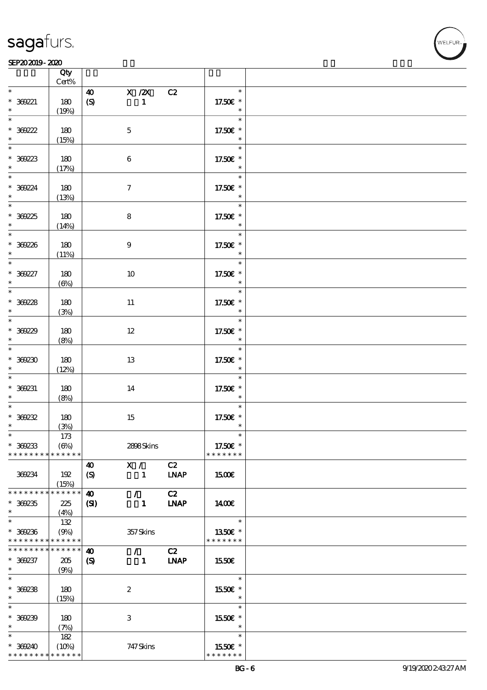# VELEUR

#### SEP202019-2020  $\overline{\mathbf{Q}}$

|                                                           | Qty<br>$Cert\%$      |                             |               |             |                              |  |
|-----------------------------------------------------------|----------------------|-----------------------------|---------------|-------------|------------------------------|--|
| $\ast$                                                    |                      | 40 X /2X C2                 |               |             | $\ast$                       |  |
| $* 369221$                                                | 180                  | $\pmb{\in}$                 | $\mathbf{1}$  |             | 17.50€ *<br>$\ast$           |  |
| $\ast$<br>$\overline{\ast}$                               | (19%)                |                             |               |             | $\ast$                       |  |
| $* 369222$                                                | 180                  | $\mathbf 5$                 |               |             | 17.50€ *                     |  |
| $\begin{array}{c}\n* \\ \hline\n* \\ \hline\n\end{array}$ | (15%)                |                             |               |             |                              |  |
| $*369223$                                                 | 180                  | $\boldsymbol{6}$            |               |             | $\ast$<br>$17.50E$ $^{\ast}$ |  |
|                                                           | (17%)                |                             |               |             |                              |  |
| $\begin{array}{c}\n* \\ \hline\n* \\ \end{array}$         |                      |                             |               |             | $\ast$                       |  |
| $* 369224$<br>$\ast$                                      | 180<br>(13%)         | $\boldsymbol{\tau}$         |               |             | 17.50€ *                     |  |
| $\overline{\phantom{0}}$                                  |                      |                             |               |             | $\ast$                       |  |
| $* 36925$                                                 | 180                  | ${\bf 8}$                   |               |             | 17.50€ *                     |  |
| $\ast$                                                    | (14%)                |                             |               |             | $\ast$                       |  |
| $* 369226$<br>$*$                                         | 180<br>(11%)         | $9\phantom{.0}$             |               |             | $\ast$<br>17.50€ *<br>$\ast$ |  |
| $\overline{\phantom{0}}$                                  |                      |                             |               |             | $\ast$                       |  |
| $* 369227$<br>$\ast$                                      | 180<br>$(\Theta)$    | 10                          |               |             | 17.50€ *<br>$\ast$           |  |
| $\overline{\phantom{0}}$                                  |                      |                             |               |             | $\ast$                       |  |
| $* 36228$                                                 | 180                  | 11                          |               |             | 17.50£ *                     |  |
| $\ast$                                                    | (3%)                 |                             |               |             | $\ast$                       |  |
|                                                           |                      |                             |               |             | $\ast$                       |  |
| $* 369229$                                                | 180                  | $12\,$                      |               |             | 17.50€ *                     |  |
| $\ast$                                                    | (8%)                 |                             |               |             | $\ast$                       |  |
| $\ast$                                                    |                      |                             |               |             | $\ast$                       |  |
| $^*$ 369230                                               | 180                  | 13                          |               |             | 17.50€ *                     |  |
| $\ast$                                                    | (12%)                |                             |               |             |                              |  |
| $\overline{\phantom{a}}$                                  |                      |                             |               |             | $\ast$                       |  |
| $* 369231$                                                | 180                  | 14                          |               |             | 17.50€ *                     |  |
| $\ast$                                                    | (8%)                 |                             |               |             | $\ast$                       |  |
| $\ast$                                                    |                      |                             |               |             | $\ast$                       |  |
| $* 369232$                                                | 180                  | 15                          |               |             | 17.50€ *                     |  |
| $\ast$                                                    | (3%)                 |                             |               |             | $\ast$                       |  |
| $\ast$                                                    | $173$                |                             |               |             | $\ast$                       |  |
| $*369233$                                                 | $(\Theta)$           |                             | 2898Skins     |             | 17.50€ *                     |  |
| * * * * * * * *                                           | * * * * * *          |                             |               |             | * * * * * * *                |  |
|                                                           |                      | 40                          | X /           | C2          |                              |  |
| 369234                                                    | 192                  | $\boldsymbol{\mathrm{(S)}}$ | $\mathbf{1}$  | <b>LNAP</b> | 1500E                        |  |
|                                                           | (15%)                |                             |               |             |                              |  |
| * * * * * * *                                             | * * * * * *          | $\boldsymbol{\omega}$       | $\mathcal{L}$ | C2          |                              |  |
| $* 30235$                                                 | 225                  | $\mathbf{S}$                | $\mathbf{1}$  | <b>INAP</b> | 1400E                        |  |
| $\ast$                                                    | (4%)                 |                             |               |             |                              |  |
| $\ast$                                                    | 132                  |                             |               |             | $\ast$                       |  |
| $* 30236$                                                 | (9%)                 |                             | 357Skins      |             | 1350€ *                      |  |
| * * * * * * * * * * * * * *                               |                      |                             |               |             | * * * * * * *                |  |
| * * * * * * *                                             | * * * * * *          | $\boldsymbol{\omega}$       | $\mathcal{L}$ | C2          |                              |  |
| $* 369237$                                                | 205                  | $\boldsymbol{\mathcal{S}}$  | $\mathbf{1}$  | <b>LNAP</b> | 1550€                        |  |
| $\ast$<br>$\ast$                                          | (9%)                 |                             |               |             |                              |  |
|                                                           |                      |                             |               |             | $\ast$                       |  |
| $*369238$                                                 | 180                  | $\boldsymbol{2}$            |               |             | 1550€ *<br>$\ast$            |  |
| $\ast$<br>$\ast$                                          | (15%)                |                             |               |             | $\ast$                       |  |
|                                                           |                      |                             |               |             |                              |  |
| $* 369239$                                                | 180                  | $\,3$                       |               |             | 1550E *                      |  |
| $\ast$<br>$\ast$                                          | (7%)                 |                             |               |             | $\ast$<br>$\ast$             |  |
|                                                           | 182                  |                             |               |             |                              |  |
| $* 369240$<br>* * * * * * * *                             | (10%)<br>* * * * * * |                             | 747 Skins     |             | 1550E *<br>* * * * * * *     |  |
|                                                           |                      |                             |               |             |                              |  |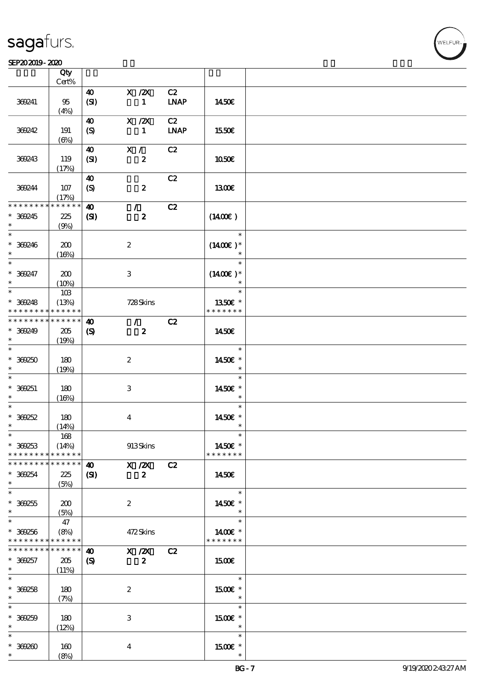#### SEP202019-2020  $\overline{\mathbf{Q}}$

|                                                          | Qty<br>$Cert\%$             |                                           |                            |                   |                                    |  |
|----------------------------------------------------------|-----------------------------|-------------------------------------------|----------------------------|-------------------|------------------------------------|--|
|                                                          |                             |                                           |                            |                   |                                    |  |
| 369241                                                   | 95<br>(4%)                  | 40<br>(SI)                                | $X$ / $ZX$<br>$\mathbf{1}$ | C2<br><b>LNAP</b> | 1450E                              |  |
| 369242                                                   | 191                         | 40<br>(S)                                 | $X$ / $ZX$<br>$\mathbf{1}$ | C2<br><b>LNAP</b> | 1550€                              |  |
|                                                          | $(\Theta)$                  |                                           |                            |                   |                                    |  |
| 369243                                                   | 119<br>(17%)                | 40<br>(SI)                                | X /<br>$\boldsymbol{z}$    | C2                | 1050E                              |  |
| 369244                                                   | 107<br>(17%)                | $\boldsymbol{\omega}$<br>$\boldsymbol{S}$ | $\boldsymbol{z}$           | C2                | 1300E                              |  |
| * * * * * * * *                                          | * * * * * *                 | $\boldsymbol{\omega}$                     | $\mathcal{L}$              | C2                |                                    |  |
| $* 369245$<br>$\ast$                                     | $225\,$<br>(9%)             | (S)                                       | $\boldsymbol{z}$           |                   | $(1400\varepsilon)$                |  |
| $\ast$<br>$* 369246$<br>$\ast$                           | 200<br>(16%)                |                                           | $\boldsymbol{2}$           |                   | $\ast$<br>$(1400E)*$<br>$\ast$     |  |
| $\ast$<br>$* 369247$<br>$\ast$                           | 200<br>(10%)                |                                           | 3                          |                   | $\ast$<br>$(1400E)^*$<br>$\ast$    |  |
| $\ast$                                                   | 10B                         |                                           |                            |                   | $\ast$                             |  |
| $* 369248$                                               | (13%)                       |                                           | 728Skins                   |                   | 1350E *                            |  |
| * * * * * * * *                                          | * * * * * *                 |                                           |                            |                   | * * * * * * *                      |  |
| * * * * * * * *                                          | * * * * * *                 | $\boldsymbol{\omega}$                     | $\mathcal{L}$              | C2                |                                    |  |
| $* 369249$<br>$\ast$<br>$\ast$                           | 205<br>(19%)                | $\boldsymbol{\mathcal{S}}$                | $\boldsymbol{z}$           |                   | 1450E<br>$\ast$                    |  |
| $* 369250$<br>$\ast$                                     | 180<br>(19%)                |                                           | $\boldsymbol{2}$           |                   | 1450€ *<br>$\ast$                  |  |
| $\ast$<br>$* 369251$<br>$\ast$                           | 180<br>(16%)                |                                           | $\ensuremath{\mathbf{3}}$  |                   | $\ast$<br>1450 £*<br>$\ast$        |  |
| $\ast$                                                   |                             |                                           |                            |                   | $\ast$                             |  |
| $* 369252$                                               | 180                         |                                           | $\boldsymbol{4}$           |                   | 1450€ *                            |  |
| $\ast$                                                   | (14%)                       |                                           |                            |                   | $\ast$                             |  |
| $*$<br>$* 369253$<br>* * * * * * * *                     | 168<br>(14%)<br>* * * * * * |                                           | 913Skins                   |                   | $\ast$<br>1450€ *<br>* * * * * * * |  |
| * * * * * * * *                                          | * * * * * *                 | $\boldsymbol{\omega}$                     | $X$ / $ZX$                 | C2                |                                    |  |
| $* 369254$                                               | 225                         | $\mathbf{C}$                              | $\boldsymbol{z}$           |                   | 1450E                              |  |
| $\ast$                                                   | (5%)                        |                                           |                            |                   |                                    |  |
| $\overline{\ast}$                                        |                             |                                           |                            |                   | $\ast$                             |  |
| $* 369255$<br>$\ast$                                     | 200<br>(5%)                 |                                           | $\boldsymbol{2}$           |                   | 1450€ *<br>$\ast$                  |  |
| $\ast$                                                   | 47                          |                                           |                            |                   | $\ast$                             |  |
| $* 369256$<br>* * * * * * * * <mark>* * * * * * *</mark> | (8%)                        |                                           | 472Skins                   |                   | 1400€ *<br>* * * * * * *           |  |
| * * * * * * * *                                          | * * * * * *                 | $\boldsymbol{\omega}$                     | X / ZX                     | C2                |                                    |  |
| $* 369257$                                               | 205                         | $\boldsymbol{\mathcal{S}}$                | $\boldsymbol{z}$           |                   | <b>1500€</b>                       |  |
| $*$                                                      | (11%)                       |                                           |                            |                   |                                    |  |
| $\overline{\ast}$<br>$* 369258$<br>$\ast$                | 180<br>(7%)                 |                                           | $\boldsymbol{2}$           |                   | $\ast$<br>1500E *<br>$\ast$        |  |
| $\ast$                                                   |                             |                                           |                            |                   | $\ast$                             |  |
| $* 369259$                                               | 180                         |                                           | $\ensuremath{\mathbf{3}}$  |                   | 1500E *                            |  |
| $\ast$                                                   | (12%)                       |                                           |                            |                   | $\ast$                             |  |
| $\ast$                                                   |                             |                                           |                            |                   | $\ast$                             |  |
| $* 369200$                                               | 160                         |                                           | $\boldsymbol{4}$           |                   | 1500 £*                            |  |
| $\ast$                                                   | (8%)                        |                                           |                            |                   | $\ast$                             |  |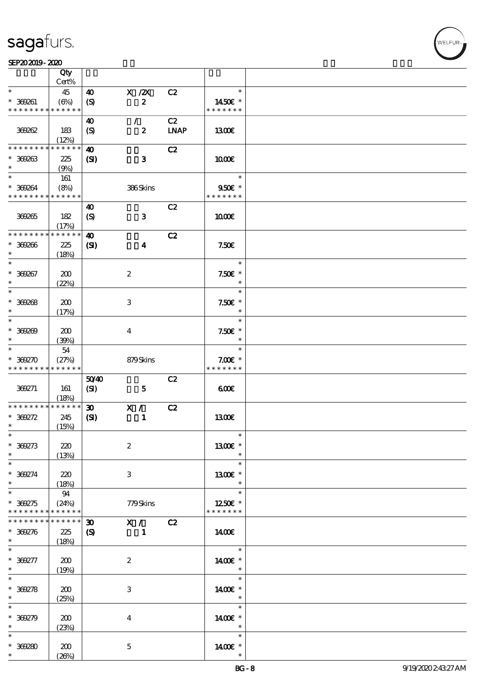#### SEP202019-2020 UNIVERSITY OF THE SEPERATOR SEPERATOR SEPERATOR SEPERATOR SEPERATOR SEPERATOR SEPERATOR SEPERATOR SEP

|                                                        | Qty          |                             |                                |             |                   |  |
|--------------------------------------------------------|--------------|-----------------------------|--------------------------------|-------------|-------------------|--|
| $\ast$                                                 | Cert%        |                             |                                |             | $\ast$            |  |
| $* 369261$                                             | 45<br>(6%)   | 40<br>$\boldsymbol{S}$      | $X$ / $ZX$<br>$\boldsymbol{z}$ | C2          | 1450€ *           |  |
| * * * * * * * *                                        | * * * * * *  |                             |                                |             | * * * * * * *     |  |
|                                                        |              | 40                          | $\mathcal{L}$                  | C2          |                   |  |
| 369262                                                 | 183          | (S)                         | $\boldsymbol{z}$               | <b>LNAP</b> | 1300              |  |
|                                                        | (12%)        |                             |                                |             |                   |  |
| * * * * * * * *                                        | * * * * * *  | $\boldsymbol{\omega}$       |                                | C2          |                   |  |
| $* 300033$                                             | 225          | $\mathbf{C}$                | $\mathbf{3}$                   |             | 1000E             |  |
| $\ast$<br>$\ast$                                       | (9%)         |                             |                                |             | $\ast$            |  |
| $* 369264$                                             | 161<br>(8%)  |                             | 386Skins                       |             | 950€ *            |  |
| * * * * * * * * * * * * * *                            |              |                             |                                |             | * * * * * * *     |  |
|                                                        |              | 40                          |                                | C2          |                   |  |
| 369265                                                 | 182          | $\boldsymbol{S}$            | $\mathbf{3}$                   |             | 1000E             |  |
|                                                        | (17%)        |                             |                                |             |                   |  |
| * * * * * * * *                                        | * * * * * *  | $\boldsymbol{\omega}$       |                                | C2          |                   |  |
| $* 300006$                                             | 225          | $\mathbf{C}$                | $\boldsymbol{4}$               |             | 7.50E             |  |
| $\ast$<br>$\ast$                                       | (18%)        |                             |                                |             | $\ast$            |  |
| $* 369267$                                             | 200          |                             | $\boldsymbol{2}$               |             | $7.50E$ *         |  |
| $\ast$                                                 | (22%)        |                             |                                |             | $\ast$            |  |
| $\ast$                                                 |              |                             |                                |             | $\ast$            |  |
| $* 369268$                                             | 200          |                             | 3                              |             | $7.50E$ *         |  |
| $\ast$                                                 | (17%)        |                             |                                |             | $\ast$            |  |
| $\ast$                                                 |              |                             |                                |             | $\ast$            |  |
| $* 369209$                                             | 200          |                             | $\bf{4}$                       |             | $7.50E$ *         |  |
| $\ast$                                                 | (30%)        |                             |                                |             | $\ast$            |  |
| $\ast$                                                 | 54           |                             |                                |             | $\ast$            |  |
| $* 300270$                                             | (27%)        |                             | 879Skins                       |             | $7.00E$ *         |  |
|                                                        |              |                             |                                |             |                   |  |
| * * * * * * * *                                        | * * * * * *  |                             |                                |             | * * * * * * *     |  |
|                                                        |              | 5040                        |                                | C2          | 600               |  |
| 369271                                                 | 161<br>(18%) | (SI)                        | $\mathbf{5}$                   |             |                   |  |
| * * * * * * * *                                        | ******       | $\boldsymbol{\mathfrak{D}}$ | X /                            | C2          |                   |  |
| $* 369272$                                             | 245          | $\mathbf{S}$                | $\mathbf{1}$                   |             | 1300E             |  |
| $\ast$                                                 | (15%)        |                             |                                |             |                   |  |
| $\ast$                                                 |              |                             |                                |             | $\ast$            |  |
| $* 369273$<br>$\ast$                                   | 220          |                             | $\boldsymbol{2}$               |             | 1300€ *           |  |
| $\ast$                                                 | (13%)        |                             |                                |             | $\ast$            |  |
| $* 369274$                                             | 220          |                             | 3                              |             | $1300E$ *         |  |
| $\ast$                                                 | (18%)        |                             |                                |             | $\ast$            |  |
| $\ast$                                                 | 94           |                             |                                |             | $\ast$            |  |
| $* 369275$                                             | (24%)        |                             | 779Skins                       |             | 1250E *           |  |
| * * * * * * * *                                        | * * * * * *  |                             |                                |             | * * * * * * *     |  |
| * * * * * * * *                                        | * * * * * *  | $\boldsymbol{\mathfrak{D}}$ | X /                            | C2          |                   |  |
| $* 369276$<br>$\ast$                                   | 225          | $\boldsymbol{S}$            | $\mathbf{1}$                   |             | 140E              |  |
| $\ast$                                                 | (18%)        |                             |                                |             | $\ast$            |  |
| $* 369277$                                             | 200          |                             | $\boldsymbol{2}$               |             | 1400€ *           |  |
| $\ast$                                                 | (19%)        |                             |                                |             | $\ast$            |  |
| $\ast$                                                 |              |                             |                                |             | $\ast$            |  |
|                                                        | 200          |                             | $\,3$                          |             | 1400€ *           |  |
|                                                        | (25%)        |                             |                                |             | $\ast$<br>$\ast$  |  |
|                                                        |              |                             |                                |             |                   |  |
| $* 369278$<br>$\ast$<br>$\ast$<br>$* 369279$<br>$\ast$ | 200          |                             | $\boldsymbol{4}$               |             | 1400€ *<br>$\ast$ |  |
| $\ast$                                                 | (23%)        |                             |                                |             | $\ast$            |  |
| $* 369280$                                             | 200          |                             | $\mathbf 5$                    |             | 14 $00E$ *        |  |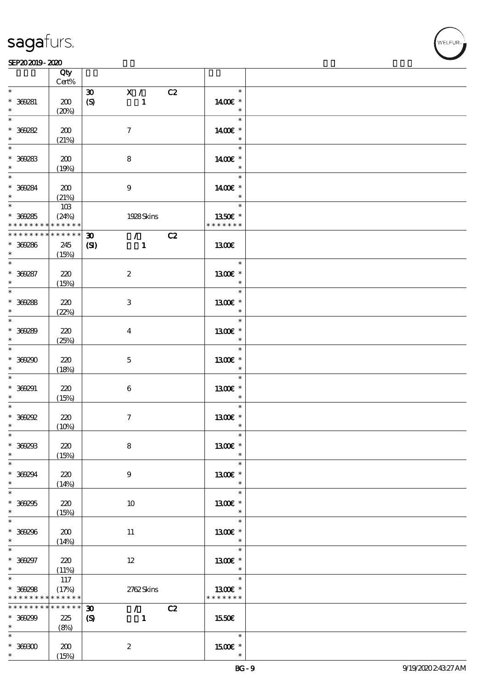#### SEP202019-2020 UNIVERSITY OF THE SEPERATOR SEPERATOR SEPERATOR SEPERATOR SEPERATOR SEPERATOR SEPERATOR SEPERATOR SEP

|                                      | Qty<br>Cert%                |                                                                        |                                                              |  |
|--------------------------------------|-----------------------------|------------------------------------------------------------------------|--------------------------------------------------------------|--|
| $\ast$                               |                             |                                                                        | $\ast$                                                       |  |
| $* 369281$<br>$\ast$                 | 200<br>(20%)                | X /<br>$\boldsymbol{\mathfrak{D}}$<br>$\boldsymbol{S}$<br>$\mathbf{1}$ | C2<br>1400€ *<br>$\ast$                                      |  |
| $\ast$<br>$* 369282$<br>$\ast$       | 200                         | $\tau$                                                                 | $\ast$<br>1400€ *<br>$\ast$                                  |  |
| * 36283                              | (21%)<br>200                | 8                                                                      | $\ast$<br>1400€ *                                            |  |
| $*$<br>$* 369284$                    | (19%)<br>200                | $9\,$                                                                  | $\ast$<br>$\ast$<br>1400€ *                                  |  |
| $\ast$<br>$*$<br>$* 369285$          | (21%)<br>10B<br>(24%)       | 1928Skins                                                              | $\ast$<br>$\ast$<br>1350€ *                                  |  |
| * * * * * * * *                      | $\ast\ast\ast\ast\ast\ast$  |                                                                        | * * * * * * *                                                |  |
| * * * * * * * *<br>$* 369286$<br>$*$ | $******$<br>245<br>(15%)    | $\mathcal{L} = \mathcal{L}$<br>30<br>$\mathbf{C}$<br>$\blacksquare$    | C2<br>1300E                                                  |  |
| $\ast$<br>$* 369287$<br>$\ast$       | 220<br>(15%)                | $\boldsymbol{z}$                                                       | $\ast$<br>1300€ *<br>$\ast$                                  |  |
| $* 30288$<br>$\ast$                  | 220<br>(22%)                | 3                                                                      | $\ast$<br>1300E *<br>$\ast$                                  |  |
| $* 369289$<br>$\ast$                 | 220<br>(25%)                | $\bf{4}$                                                               | $\ast$<br>1300E *<br>$\ast$                                  |  |
| $*369290$<br>$\ast$                  | 220<br>(18%)                | $\mathbf{5}$                                                           | $\ast$<br>1300€ *<br>$\ast$                                  |  |
| $\ast$<br>$* 369291$<br>$\ast$       | 220<br>(15%)                | $\boldsymbol{6}$                                                       | $\ast$<br>1300E *<br>$\ast$                                  |  |
| $\ast$<br>$*$ 369292<br>$\ast$       | 220<br>(10%)                | $\boldsymbol{\tau}$                                                    | $\ast$<br>1300E *<br>$\ast$                                  |  |
| $\ast$<br>$* 369293$<br>$\ast$       | 220<br>(15%)                | 8                                                                      | $\ast$<br>1300€ *<br>$\ast$                                  |  |
| $\ast$<br>$* 369294$<br>$\ast$       | 220<br>(14%)                | 9                                                                      | $\ast$<br>1300E *<br>$\ast$                                  |  |
| $* 369255$<br>$*$                    | 220<br>(15%)                | 10                                                                     | $\ast$<br>$1300E$ *<br>$*$                                   |  |
| $\ast$<br>$* 369296$<br>$\ast$       | 200<br>(14%)                | 11                                                                     | $\ast$<br>1300€ *<br>$\ast$                                  |  |
| $\ast$<br>$* 369297$<br>$\ast$       | 220<br>(11%)                | $12 \,$                                                                | $\ast$<br>1300E *<br>$\bullet$ $\bullet$ $\bullet$ $\bullet$ |  |
| $*$<br>$* 369298$<br>* * * * * * * * | 117<br>(17%)<br>* * * * * * | 2762Skins                                                              | $\ast$<br>1300€ *<br>* * * * * * *                           |  |
| * * * * * * * *                      | * * * * * *                 | $\mathcal{L}$ and $\mathcal{L}$<br>$\boldsymbol{\mathfrak{D}}$         | C2                                                           |  |
| $* 369299$<br>$*$ and $*$            | 225<br>(8%)                 | $\boldsymbol{S}$<br>$\mathbf{1}$                                       | 1550€                                                        |  |
| $\ast$<br>$*$ 369300<br>$*$ $*$      | 200<br>(15%)                | $\boldsymbol{z}$                                                       | $\ast$<br>$1500E$ *<br>$\ast$                                |  |

**VELFUR**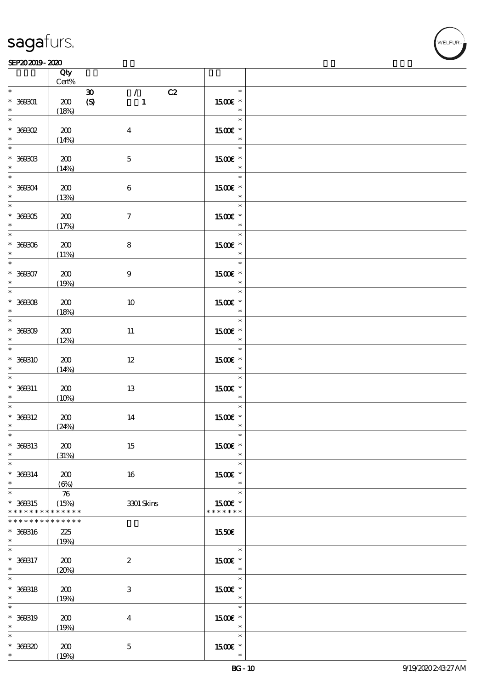#### SEP202019-2020 UNIVERSITY OF THE SEPERATOR SEPERATOR SEPERATOR SEPERATOR SEPERATOR SEPERATOR SEPERATOR SEPERATOR SEP

|                                                             | Qty<br>$Cert\%$                            |                                                                                   |                                               |  |
|-------------------------------------------------------------|--------------------------------------------|-----------------------------------------------------------------------------------|-----------------------------------------------|--|
| $\ast$<br>$* 36001$<br>$\ast$                               | 200<br>(18%)                               | $\mathcal{L}$<br>C2<br>$\boldsymbol{\mathfrak{D}}$<br>$\pmb{\in}$<br>$\mathbf{1}$ | $\ast$<br>1500E *<br>$\ast$                   |  |
| $*369302$<br>$\ast$                                         | 200<br>(14%)                               | $\boldsymbol{4}$                                                                  | $\ast$<br>1500€ *<br>$\ast$                   |  |
| $*$ 369303<br>$\ast$                                        | 200<br>(14%)                               | $\mathbf 5$                                                                       | $\ast$<br>1500E *<br>$\ast$                   |  |
| $* 36004$<br>$\ast$                                         | 200<br>(13%)                               | $\,6\,$                                                                           | $*$<br>1500E *<br>$\ast$                      |  |
| $* 36005$<br>$\ast$                                         | 200<br>(17%)                               | $\boldsymbol{\tau}$                                                               | $\overline{\phantom{0}}$<br>1500 £*<br>$\ast$ |  |
| $* 369306$<br>$\ast$ . The set of $\ast$                    | 200<br>(11%)                               | 8                                                                                 | $\overline{\ast}$<br>1500 £*<br>$\ast$        |  |
| $\overline{\phantom{0}}$<br>$* 36007$<br>$\ast$ and $\ast$  | 200<br>(19%)                               | $\boldsymbol{9}$                                                                  | $\ast$<br>1500€ *<br>$\ast$                   |  |
| $\overline{\phantom{0}}$<br>$* 369308$<br>$\ast$ and $\ast$ | 200<br>(18%)                               | 10                                                                                | $\ast$<br>1500 £*<br>$\ast$                   |  |
| $* 36000$<br>$\ast$                                         | 200<br>(12%)                               | $11\,$                                                                            | $\ast$<br>1500 £*<br>$\overline{\phantom{a}}$ |  |
| $*$<br>* 369310<br>$\ast$                                   | 200<br>(14%)                               | $12\,$                                                                            | $\ast$<br>1500€ *<br>$\ast$                   |  |
| $\ast$<br>$* 360311$<br>$\ast$                              | 200<br>(10%)                               | 13                                                                                | $\ast$<br>1500 £*<br>$\overline{\phantom{a}}$ |  |
| $\ast$<br>$* 360312$<br>$\ast$                              | 200<br>(24%)                               | 14                                                                                | $\ast$<br>1500E *<br>$\ast$                   |  |
| $\ast$<br>* 369313<br>$\ast$                                | 200<br>(31%)                               | 15                                                                                | $\ast$<br>1500€ *<br>$\ast$                   |  |
| $\ast$<br>$* 360314$<br>$\ast$                              | 200<br>$(\Theta)$                          | 16                                                                                | $\ast$<br>$1500E$ *<br>$\ast$                 |  |
| $*$<br>* 369315<br>* * * * * * * *                          | $\boldsymbol{\pi}$<br>(15%)<br>* * * * * * | 3301 Skins                                                                        | $\ast$<br>1500E *<br>* * * * * * *            |  |
| * * * * * * *<br>* 369316<br>$*$                            | * * * * * *<br>225<br>(19%)                |                                                                                   | <b>1550€</b>                                  |  |
| $\ast$<br>* 369317<br>$\ast$                                | 200<br>(20%)                               | $\boldsymbol{2}$                                                                  | $\ast$<br>1500 £*<br>$\ast$                   |  |
| $\ast$<br>$* 360318$<br>$\ast$                              | 200<br>(19%)                               | $\,3$                                                                             | $\ast$<br>$1500E$ *<br>$\ast$                 |  |
| $\ast$<br>* 368819<br>$\ast$                                | 200<br>(19%)                               | $\boldsymbol{4}$                                                                  | $\ast$<br>1500E *<br>$\ast$                   |  |
| $\ast$<br>$* 30030$<br>$\ast$                               | 200<br>(19%)                               | $\mathbf 5$                                                                       | $\ast$<br>$1500E$ *<br>$\ast$                 |  |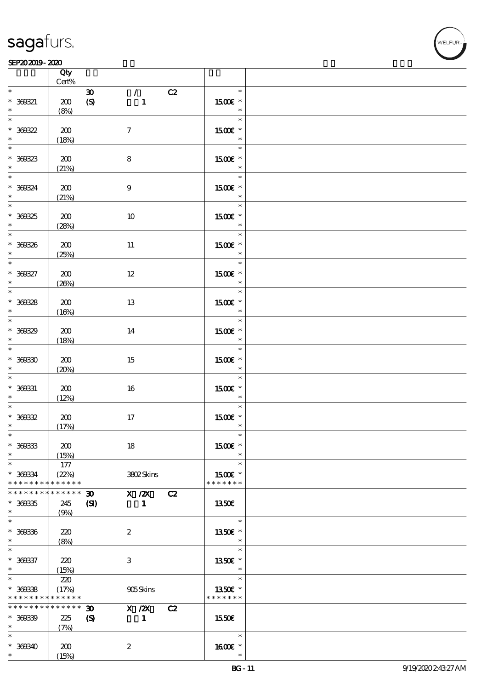#### SEP202019-2020 UNIVERSITY OF THE SEPERATOR SEPERATOR SEPERATOR SEPERATOR SEPERATOR SEPERATOR SEPERATOR SEPERATOR SEP

|                                                  | Qty<br>$Cert\%$             |                                                                                           |                                    |  |
|--------------------------------------------------|-----------------------------|-------------------------------------------------------------------------------------------|------------------------------------|--|
| $\ast$                                           |                             | $\mathcal{L}$<br>C2<br>$\boldsymbol{\mathfrak{D}}$                                        | $\ast$                             |  |
| $* 360321$<br>$\ast$                             | 200<br>(8%)                 | $\boldsymbol{S}$<br>$\mathbf{1}$                                                          | 1500E *<br>$\ast$                  |  |
| * 360322<br>$\ddot{\phantom{0}}$                 | 200<br>(18%)                | $\tau$                                                                                    | $\ast$<br>1500€ *<br>$\ast$        |  |
| $* 30023$                                        | 200<br>(21%)                | 8                                                                                         | $\ast$<br>1500E *<br>$\ast$        |  |
| $* 360324$<br>$\ast$                             | 200<br>(21%)                | $9\,$                                                                                     | $\ast$<br>1500E *<br>$\ast$        |  |
| $* 36025$<br>$\ast$                              | 200<br>(28%)                | 10                                                                                        | $\ast$<br>1500 £*<br>$\ast$        |  |
| $* 360336$<br>$\ast$ . The set of $\ast$         | 200<br>(25%)                | $11\,$                                                                                    | $\ast$<br>1500E *<br>$\ast$        |  |
| $* 360327$<br>$\ast$                             | 200<br>(20%)                | $12\,$                                                                                    | $\ast$<br>1500€ *<br>$\ast$        |  |
| $\overline{\phantom{0}}$<br>$* 360328$<br>$\ast$ | 200<br>(16%)                | 13                                                                                        | $\ast$<br>1500E *<br>$\ast$        |  |
| $* 30039$<br>$\ast$                              | 200<br>(18%)                | 14                                                                                        | $\ast$<br>1500 £*<br>$\ast$        |  |
| $*$<br>$* 36030$<br>$\ast$                       | 200<br>(20%)                | 15                                                                                        | $\ast$<br>1500 £*<br>$\ast$        |  |
| $\ast$<br>$* 360331$<br>$\ast$                   | 200<br>(12%)                | 16                                                                                        | $\ast$<br>1500 £*<br>$\star$       |  |
| $\ast$<br>$* 30032$<br>$\ast$                    | 200<br>(17%)                | 17                                                                                        | $\ast$<br>1500 £*<br>$\ast$        |  |
| $\ast$<br>$* 36033$<br>$\ast$                    | 200<br>(15%)                | 18                                                                                        | $\ast$<br>1500€ *<br>$\ast$        |  |
| $\ast$<br>* 360334<br>* * * * * * * *            | 177<br>(22%)<br>* * * * * * | 3802Skins                                                                                 | $\ast$<br>1500E *<br>* * * * * * * |  |
| * * * * * * *<br>$* 30035$<br>$\ast$             | * * * * * *<br>245<br>(9%)  | X / ZX<br>$\boldsymbol{\mathfrak{D}}$<br>C2<br>$\mathbf{C}$<br>$\mathbf{1}$               | <b>1350€</b>                       |  |
| $\ast$<br>$* 360336$<br>$*$                      | 220<br>(8%)                 | $\boldsymbol{2}$                                                                          | $\ast$<br>1350E *<br>$\ast$        |  |
| $\ast$<br>$* 360337$<br>$\ast$                   | 220<br>(15%)                | 3                                                                                         | $\ast$<br>1350E *<br>$\ast$        |  |
| $\ast$<br>$* 360338$<br>* * * * * * * *          | 220<br>(17%)<br>* * * * * * | 905Skins                                                                                  | $\ast$<br>1350E *<br>* * * * * * * |  |
| * * * * * * * *<br>$* 36039$<br>$\ast$           | * * * * * *<br>225<br>(7%)  | $\boldsymbol{\mathfrak{D}}$<br>X / ZX<br>C2<br>$\boldsymbol{\mathcal{S}}$<br>$\mathbf{1}$ | 1550€                              |  |
| $\ast$<br>$* 360340$<br>$\ast$                   | 200<br>(15%)                | $\boldsymbol{2}$                                                                          | $\ast$<br>$1600E$ *<br>$\ast$      |  |

**VELFUR**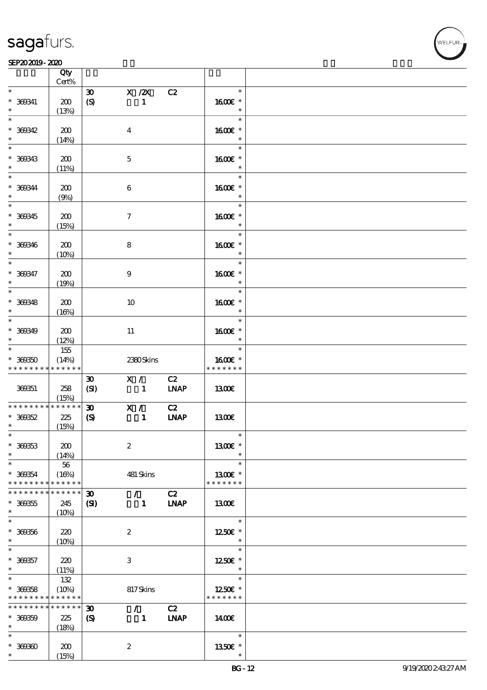#### SEP202019-2020 UNIVERSITY OF THE SEPERATOR SEPERATOR SEPERATOR SEPERATOR SEPERATOR SEPERATOR SEPERATOR SEPERATOR SEP

|                                                  | Qty<br>$Cert\%$                |                                                            |                               |                   |                                       |  |
|--------------------------------------------------|--------------------------------|------------------------------------------------------------|-------------------------------|-------------------|---------------------------------------|--|
| $\ast$                                           |                                |                                                            |                               |                   | $\ast$                                |  |
| $* 360341$                                       | 200<br>(13%)                   | $\boldsymbol{\mathfrak{D}}$<br>$\boldsymbol{S}$            | $X$ / $ZX$<br>$\mathbf{1}$    | C2                | 1600E *<br>$\ast$                     |  |
| $\ast$<br>$* 360342$                             | 200                            |                                                            | $\boldsymbol{4}$              |                   | $\ast$<br>1600€ *                     |  |
| $\ast$                                           | (14%)                          |                                                            |                               |                   | $\ast$<br>$\ast$                      |  |
| $* 360343$<br>$\ast$                             | 200<br>(11%)                   |                                                            | $\mathbf 5$                   |                   | 1600E *<br>$\ast$                     |  |
| $*$<br>$* 360344$<br>$\ast$                      | 200<br>(9%)                    |                                                            | $\bf 6$                       |                   | $\ast$<br>1600€ *<br>$\ast$           |  |
| $\overline{\phantom{0}}$<br>$* 360345$<br>$*$    | 200<br>(15%)                   |                                                            | $\boldsymbol{\tau}$           |                   | $\ast$<br>1600 £*<br>$\ast$           |  |
| $\overline{\ast}$<br>$* 360346$<br>$\ast$        | 200<br>(10%)                   |                                                            | 8                             |                   | $\ast$<br>1600E *<br>$\ast$           |  |
| $\overline{\ast}$<br>$* 360347$<br>$\ast$        | 200<br>(19%)                   |                                                            | $\boldsymbol{9}$              |                   | $\ast$<br>1600€ *<br>$\ast$           |  |
| $* 360348$<br>$\ast$                             | 200<br>(16%)                   |                                                            | 10                            |                   | $\ast$<br>1600E *<br>$\ast$           |  |
| $\overline{\phantom{0}}$<br>$* 360349$<br>$\ast$ | 200<br>(12%)                   |                                                            | $11\,$                        |                   | $\ast$<br>1600E *<br>$\ast$           |  |
| $* 30050$<br>* * * * * * * *                     | 155<br>(14%)<br>* * * * * *    |                                                            | 2380Skins                     |                   | $\ast$<br>1600€ *<br>* * * * * * *    |  |
| 369351                                           | 258<br>(15%)                   | $\boldsymbol{\mathfrak{D}}$<br>(SI)                        | X /<br>$\frac{1}{2}$          | C2<br><b>LNAP</b> | 1300E                                 |  |
| * * * * * * * *<br>$* 36052$<br>$\ast$           | * * * * * *<br>$2\!2$<br>(15%) | $\boldsymbol{\mathfrak{D}}$<br>$\boldsymbol{\mathrm{(S)}}$ | X /<br>$\mathbf{1}$           | C2<br><b>INAP</b> | 1300E                                 |  |
| $\ast$<br>$* 36033$<br>$\ast$                    | 200<br>(14%)                   |                                                            | $\boldsymbol{2}$              |                   | $\ast$<br>1300€ *<br>$\ast$           |  |
| $\ast$<br>* 369354<br>* * * * * * * *            | 56<br>(16%)<br>* * * * * *     |                                                            | 481 Skins                     |                   | $\ast$<br>1300E *<br>* * * * * * *    |  |
| * * * * * * *<br>$* 300355$<br>$\ast$            | * * * * * *<br>245<br>(10%)    | $\boldsymbol{\mathfrak{D}}$<br>$\mathbf{S}$                | $\mathcal{F}$<br>$\mathbf{1}$ | C2<br><b>LNAP</b> | 1300                                  |  |
| $\ast$<br>$* 360356$<br>$*$                      | 220<br>(10%)                   |                                                            | $\boldsymbol{2}$              |                   | $\ast$<br>1250€ *<br>$\ast$           |  |
| $\ast$<br>$* 360357$<br>$\ast$                   | 220<br>(11%)                   |                                                            | 3                             |                   | $\ast$<br>1250E *<br>$\ast$           |  |
| $\ast$<br>$* 36058$<br>* * * * * * * *           | 132<br>(10%)<br>* * * * * *    |                                                            | 817Skins                      |                   | $\ast$<br>$1250$ £ *<br>* * * * * * * |  |
| * * * * * * * *<br>$* 360359$<br>$\ast$          | * * * * * *<br>225<br>(18%)    | $\boldsymbol{\mathfrak{D}}$<br>$\boldsymbol{\mathcal{S}}$  | $\mathcal{L}$<br>$\mathbf{1}$ | C2<br><b>LNAP</b> | 1400                                  |  |
| $\ast$<br>$* 36000$<br>$\ast$                    | 200<br>(15%)                   |                                                            | $\boldsymbol{z}$              |                   | $\ast$<br>1350E *<br>$\ast$           |  |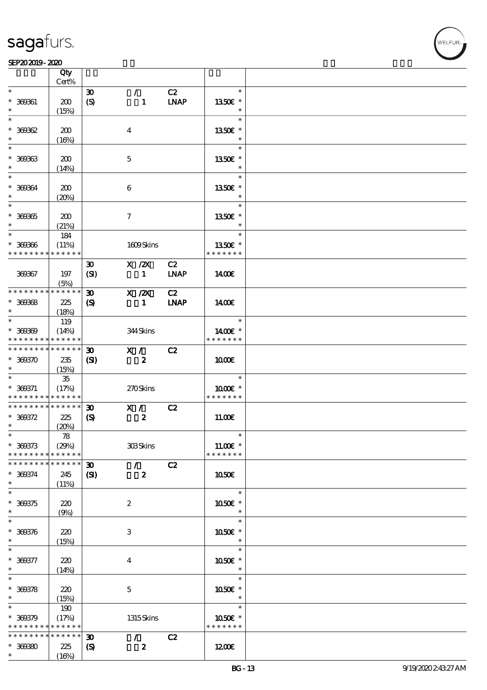$\top$ 

#### SEP202019-2020 UNIVERSITY OF THE SEPERATOR SEPERATOR SEPERATOR SEPERATOR SEPERATOR SEPERATOR SEPERATOR SEPERATOR SEP

|                          | Qty<br>Cert%               |                             |                  |             |               |  |
|--------------------------|----------------------------|-----------------------------|------------------|-------------|---------------|--|
| $\ast$                   |                            |                             |                  |             | $\ast$        |  |
|                          |                            | $\boldsymbol{\mathfrak{D}}$ | $\mathcal{L}$    | C2          |               |  |
| $* 360001$               | 200                        | $\boldsymbol{S}$            | $\mathbf{1}$     | <b>INAP</b> | 1350€ *       |  |
| $\ast$                   | (15%)                      |                             |                  |             | $\ast$        |  |
| $\ast$                   |                            |                             |                  |             | $\ast$        |  |
| $* 36062$                | 200                        |                             | $\bf{4}$         |             | 1350€ *       |  |
| $\ast$                   | (16%)                      |                             |                  |             | $\ast$        |  |
| $\overline{\phantom{0}}$ |                            |                             |                  |             | $\ast$        |  |
|                          |                            |                             |                  |             |               |  |
| $* 36933$                | 200                        |                             | $\mathbf{5}$     |             | 1350E *       |  |
| $\ast$                   | (14%)                      |                             |                  |             | $\ast$        |  |
|                          |                            |                             |                  |             | $\ast$        |  |
| $* 36064$                | 200                        |                             | 6                |             | 1350E *       |  |
| $\ast$                   | (20%)                      |                             |                  |             | $\ast$        |  |
| $\overline{\ast}$        |                            |                             |                  |             | $\ast$        |  |
|                          |                            |                             |                  |             |               |  |
| $* 369365$               | 200                        |                             | $\tau$           |             | 1350E *       |  |
| $\ast$                   | (21%)                      |                             |                  |             | $\ast$        |  |
| $\ast$                   | 184                        |                             |                  |             | $\ast$        |  |
| $* 369366$               | (11%)                      |                             | 1609Skins        |             | 1350E *       |  |
| * * * * * * * *          | * * * * * *                |                             |                  |             | * * * * * * * |  |
|                          |                            | $\boldsymbol{\mathfrak{D}}$ | $X$ / $ZX$       | C2          |               |  |
| 369367                   |                            |                             |                  |             |               |  |
|                          | 197                        | (SI)                        | $\mathbf{1}$     | <b>LNAP</b> | 1400E         |  |
|                          | (5%)                       |                             |                  |             |               |  |
| * * * * * * * *          | * * * * * *                | $\boldsymbol{\mathfrak{D}}$ | $X$ / $ZX$       | C2          |               |  |
| $* 360008$               | 225                        | $\boldsymbol{\mathcal{S}}$  | $\mathbf{1}$     | <b>LNAP</b> | 1400E         |  |
| $\ast$                   | (18%)                      |                             |                  |             |               |  |
|                          | 119                        |                             |                  |             | $\ast$        |  |
|                          |                            |                             |                  |             |               |  |
| $* 36000$                | (14%)                      |                             | 344Skins         |             | 1400€ *       |  |
| * * * * * * * *          | * * * * * *                |                             |                  |             | * * * * * * * |  |
| * * * * * * * *          | $* * * * * * *$            | $\boldsymbol{\mathfrak{D}}$ | X /              | C2          |               |  |
| $* 369370$               | 235                        | (S)                         | $\boldsymbol{z}$ |             | 1000E         |  |
| $\ast$                   | (15%)                      |                             |                  |             |               |  |
| $\ast$                   | $35\,$                     |                             |                  |             | $\ast$        |  |
| $* 360371$               | (17%)                      |                             | 270Skins         |             | 1000 ±        |  |
| * * * * * * * *          | $* * * * * * *$            |                             |                  |             | * * * * * * * |  |
| * * * * * * * *          | * * * * * *                |                             |                  |             |               |  |
|                          |                            | $\boldsymbol{\mathfrak{D}}$ | X /              | C2          |               |  |
| $* 369372$               | 225                        | $\boldsymbol{\mathrm{(S)}}$ | $\boldsymbol{2}$ |             | 11.00E        |  |
| $\ast$                   | (20%)                      |                             |                  |             |               |  |
| $\ast$                   | 78                         |                             |                  |             | $\ast$        |  |
| $* 360373$               | (29%)                      |                             | 308Skins         |             | 11.00€ *      |  |
| * * * * * * * *          | * * * * * *                |                             |                  |             | * * * * * * * |  |
| * * * * * * * *          | * * * * * *                | 30 <sub>o</sub>             |                  |             |               |  |
|                          |                            |                             | $\mathcal{L}$    | C2          |               |  |
| * 369374                 | 245                        | $\mathbf{C}$                | $\boldsymbol{z}$ |             | <b>1050€</b>  |  |
| $\ast$                   | (11%)                      |                             |                  |             |               |  |
| $\overline{\ast}$        |                            |                             |                  |             | $\ast$        |  |
| $* 360375$               | 220                        |                             | $\boldsymbol{2}$ |             | 1050E *       |  |
| $\ast$                   | (9%)                       |                             |                  |             | $\ast$        |  |
| $\ast$                   |                            |                             |                  |             | $\ast$        |  |
|                          |                            |                             |                  |             |               |  |
| $* 360376$               | 220                        |                             | 3                |             | 1050E *       |  |
| $\ast$                   | (15%)                      |                             |                  |             | $\ast$        |  |
| $\ast$                   |                            |                             |                  |             | $\ast$        |  |
| $* 360377$               | 220                        |                             | $\bf{4}$         |             | 1050E *       |  |
| $\ast$                   | (14%)                      |                             |                  |             | $\ast$        |  |
| $\overline{\ast}$        |                            |                             |                  |             | $\ast$        |  |
| $* 300378$               | 220                        |                             | $\mathbf{5}$     |             | 1050€ *       |  |
| $\ast$                   |                            |                             |                  |             | $\ast$        |  |
|                          | (15%)                      |                             |                  |             |               |  |
| $\ast$                   | 190                        |                             |                  |             | $\ast$        |  |
| $* 360379$               | (17%)                      |                             | 1315Skins        |             | 1050E *       |  |
| * * * * * * * *          | * * * * * *                |                             |                  |             | * * * * * * * |  |
| * * * * * * * *          | $\ast\ast\ast\ast\ast\ast$ | $\boldsymbol{\mathfrak{D}}$ | $\mathcal{F}$    | C2          |               |  |
| $* 36080$                | 225                        | $\boldsymbol{\mathcal{S}}$  | $\boldsymbol{z}$ |             | 1200E         |  |
| $\ast$                   |                            |                             |                  |             |               |  |
|                          | (16%)                      |                             |                  |             |               |  |

 $\top$ 

,<br>WELFUR: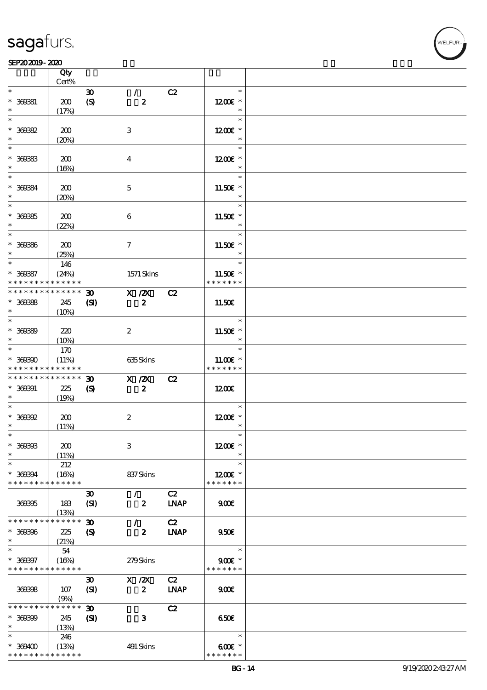#### SEP202019-2020

|                          | Qty<br>Cert%  |                             |                  |             |                       |  |
|--------------------------|---------------|-----------------------------|------------------|-------------|-----------------------|--|
|                          |               |                             |                  |             |                       |  |
| $\ast$                   |               | $\boldsymbol{\mathfrak{D}}$ | $\mathcal{F}$    | C2          | $\ast$                |  |
| $* 360081$               | 200           | $\boldsymbol{S}$            | $\boldsymbol{z}$ |             | $1200E$ *             |  |
| $\ast$                   | (17%)         |                             |                  |             |                       |  |
| $\ast$                   |               |                             |                  |             | $\ast$                |  |
|                          |               |                             |                  |             |                       |  |
| $* 30082$                | 200           |                             | $\,3\,$          |             | $1200E$ *             |  |
| $\ast$                   | (20%)         |                             |                  |             | $\ast$                |  |
| $\ast$                   |               |                             |                  |             | $\ast$                |  |
|                          |               |                             |                  |             |                       |  |
| $* 30083$                | 200           |                             | $\boldsymbol{4}$ |             | $1200E$ *             |  |
| $\ast$                   | (16%)         |                             |                  |             | $\ast$                |  |
| $\ast$                   |               |                             |                  |             | $\ast$                |  |
| $* 360334$               | 200           |                             | $\mathbf 5$      |             | 11.50 $\varepsilon$ * |  |
|                          |               |                             |                  |             | $\ast$                |  |
|                          | (20%)         |                             |                  |             |                       |  |
| $\ast$                   |               |                             |                  |             | $\ast$                |  |
| $* 30085$                | 200           |                             | $\bf 6$          |             | 11.50 $\varepsilon$ * |  |
| $\ast$                   | (22%)         |                             |                  |             | $\ast$                |  |
| $\overline{\phantom{0}}$ |               |                             |                  |             | $\ast$                |  |
|                          |               |                             |                  |             |                       |  |
| $* 30036$                | 200           |                             | $\tau$           |             | 11.50 $\varepsilon$ * |  |
| $\ast$                   | (25%)         |                             |                  |             | $\ast$                |  |
| $*$                      | 146           |                             |                  |             | $\ast$                |  |
| $* 30087$                | (24%)         |                             | $1571$ Skins     |             | 11.50€ *              |  |
| * * * * * * * *          | * * * * * *   |                             |                  |             | * * * * * * *         |  |
|                          |               |                             |                  |             |                       |  |
| * * * * * * * *          | * * * * * *   | $\boldsymbol{\mathfrak{D}}$ | X / ZX           | C2          |                       |  |
| $* 30088$                | 245           | $\mathbf{S}$                | $\boldsymbol{z}$ |             | 11.50€                |  |
| $*$                      | (10%)         |                             |                  |             |                       |  |
| $\overline{\phantom{0}}$ |               |                             |                  |             | $\ast$                |  |
|                          |               |                             |                  |             |                       |  |
| $* 30080$                | 220           |                             | $\boldsymbol{2}$ |             | 11.50 $\varepsilon$ * |  |
| $\ast$                   | (10%)         |                             |                  |             | $\ast$                |  |
| $\overline{\ast}$        | 170           |                             |                  |             | $\ast$                |  |
| $* 30000$                | (11%)         |                             | 635Skins         |             | $11.00E*$             |  |
| * * * * * * * *          | * * * * * *   |                             |                  |             | * * * * * * *         |  |
|                          |               |                             |                  |             |                       |  |
| * * * * * * * *          | * * * * * *   | $\boldsymbol{\mathfrak{D}}$ | $X$ / $ZX$       | C2          |                       |  |
| $* 360001$               | 225           | $\boldsymbol{\mathcal{S}}$  | $\boldsymbol{z}$ |             | 1200E                 |  |
| $\ast$                   | (19%)         |                             |                  |             |                       |  |
| $\overline{\phantom{0}}$ |               |                             |                  |             | $\ast$                |  |
|                          |               |                             |                  |             |                       |  |
| $*$ 369392               | 200           |                             | $\boldsymbol{2}$ |             | 1200E *               |  |
| $\ast$                   | (11%)         |                             |                  |             | $\ast$                |  |
| $\ast$                   |               |                             |                  |             |                       |  |
| $* 360003$               | 200           |                             | 3                |             | 1200E *               |  |
| $\ast$                   |               |                             |                  |             | $\ast$                |  |
| $\ast$                   | (11%)         |                             |                  |             |                       |  |
|                          | 212           |                             |                  |             | $\ast$                |  |
| * 369394                 | (16%)         |                             | 837Skins         |             | $1200E$ *             |  |
| * * * * * * * *          | * * * * * *   |                             |                  |             | * * * * * * *         |  |
|                          |               | $\boldsymbol{\mathfrak{D}}$ | $\prime$         | C2          |                       |  |
| 369395                   | 183           |                             | $\boldsymbol{z}$ | <b>LNAP</b> | 900E                  |  |
|                          |               | (SI)                        |                  |             |                       |  |
|                          | (13%)         |                             |                  |             |                       |  |
| * * * * * * * *          | * * * * * *   | $\boldsymbol{\mathfrak{D}}$ | $\mathcal{L}$    | C2          |                       |  |
| $* 360006$               | 225           | $\boldsymbol{\mathcal{S}}$  | $\boldsymbol{z}$ | <b>INAP</b> | 950E                  |  |
| $\ast$                   | (21%)         |                             |                  |             |                       |  |
| $\ast$                   |               |                             |                  |             | $\ast$                |  |
|                          | 54            |                             |                  |             |                       |  |
| $* 300007$               | (16%)         |                             | 279Skins         |             | $900$ $\epsilon$ *    |  |
| * * * * * * * *          | * * * * * *   |                             |                  |             | * * * * * * *         |  |
|                          |               | $\boldsymbol{\mathfrak{D}}$ | $X$ / $ZX$       | C2          |                       |  |
| 369398                   | 107           | (SI)                        | $\boldsymbol{z}$ | <b>LNAP</b> | 900E                  |  |
|                          |               |                             |                  |             |                       |  |
|                          | (9%)          |                             |                  |             |                       |  |
| * * * * * * * *          | $***$ * * * * | $\boldsymbol{\mathfrak{D}}$ |                  | C2          |                       |  |
| $* 30000$                | 245           | $\mathbf{C}$                | $\mathbf{3}$     |             | 650E                  |  |
| $\ast$                   | (13%)         |                             |                  |             |                       |  |
| $\ast$                   | 246           |                             |                  |             | $\ast$                |  |
|                          |               |                             |                  |             |                       |  |
| $* 309400$               | (13%)         |                             | 491 Skins        |             | $600$ $*$             |  |
| * * * * * * * *          | * * * * * *   |                             |                  |             | * * * * * * *         |  |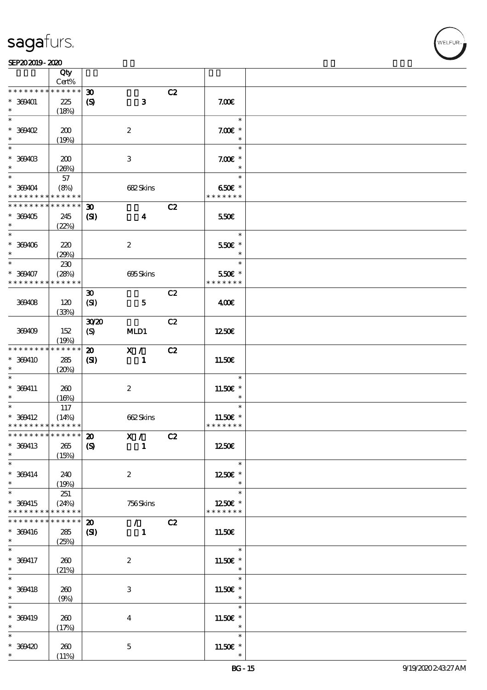

#### SEP202019-2020

|                                           | Qty                  |                             |                           |    |                           |  |
|-------------------------------------------|----------------------|-----------------------------|---------------------------|----|---------------------------|--|
|                                           | Cert%<br>* * * * * * |                             |                           |    |                           |  |
| * * * * * * * *                           |                      | $\boldsymbol{\mathfrak{D}}$ |                           | C2 |                           |  |
| $* 369401$                                | 225                  | $\boldsymbol{\mathrm{(S)}}$ | $\mathbf{3}$              |    | 7.00E                     |  |
| $\ast$                                    | (18%)                |                             |                           |    |                           |  |
| $\ast$                                    |                      |                             |                           |    | $\ast$                    |  |
| $*$ 369402                                | 200                  |                             | $\boldsymbol{2}$          |    | $7.00E$ *                 |  |
| $\ast$                                    | (19%)                |                             |                           |    | $\ast$                    |  |
| $\ast$                                    |                      |                             |                           |    | $\ast$                    |  |
| $* 369403$                                | 200                  |                             | $\ensuremath{\mathbf{3}}$ |    | $7.00E$ *                 |  |
| $\ast$                                    | (20%)                |                             |                           |    | $\ast$                    |  |
| $\overline{\ast}$                         | 57                   |                             |                           |    | $\ast$                    |  |
| $* 369404$                                | (8%)                 |                             | 682Skins                  |    | 650€ *                    |  |
| * * * * * * * *                           | * * * * * *          |                             |                           |    | * * * * * * *             |  |
| * * * * * * * *                           | * * * * * *          | $\boldsymbol{\mathfrak{D}}$ |                           | C2 |                           |  |
| $* 369405$                                | 245                  | (S)                         | $\boldsymbol{4}$          |    | 550€                      |  |
| $\ast$<br>$\overline{\ast}$               | (22%)                |                             |                           |    |                           |  |
|                                           |                      |                             |                           |    | $\ast$                    |  |
| $* 309406$                                | 220                  |                             | $\boldsymbol{2}$          |    | 550€ *                    |  |
| $\ast$                                    | (29%)                |                             |                           |    | $\ast$                    |  |
| $\ast$                                    | 230                  |                             |                           |    | $\ast$                    |  |
| $* 369407$                                | (28%)<br>* * * * * * |                             | 695Skins                  |    | 550€ *<br>* * * * * * *   |  |
| * * * * * * * *                           |                      |                             |                           |    |                           |  |
|                                           |                      | $\boldsymbol{\mathfrak{D}}$ |                           | C2 |                           |  |
| 369408                                    | 120                  | (SI)                        | $\mathbf{5}$              |    | 400€                      |  |
|                                           | (33%)                |                             |                           |    |                           |  |
|                                           |                      | 3020                        |                           | C2 |                           |  |
| 369409                                    | 152                  | (S)                         | MLD1                      |    | 1250E                     |  |
|                                           | (19%)<br>* * * * * * |                             |                           |    |                           |  |
| * * * * * * * *                           |                      | $\boldsymbol{\mathfrak{D}}$ | X /                       | C2 |                           |  |
| * 369410                                  | 285                  | (S)                         | $\mathbf{1}$              |    | 11.50E                    |  |
| $\ast$<br>$\ast$                          | (20%)                |                             |                           |    |                           |  |
|                                           |                      |                             |                           |    | $\ast$                    |  |
| $* 369411$                                | 260                  |                             | $\boldsymbol{2}$          |    | 11.50 $\varepsilon$ *     |  |
| $\ast$<br>$\ast$                          | (16%)                |                             |                           |    | $\ast$<br>$\ast$          |  |
|                                           | 117                  |                             |                           |    |                           |  |
| $* 369412$<br>* * * * * * * * * * * * * * | (14%)                |                             | 662Skins                  |    | 11.50€ *<br>* * * * * * * |  |
| * * * * * * * * * * * * * * *             |                      |                             |                           |    |                           |  |
|                                           |                      | $\boldsymbol{\mathfrak{D}}$ | X /                       | C2 |                           |  |
| * 369413<br>$\ast$                        | $265\,$              | $\boldsymbol{\mathrm{(S)}}$ | $\blacksquare$            |    | 1250E                     |  |
| $\ast$                                    | (15%)                |                             |                           |    | $\ast$                    |  |
|                                           |                      |                             |                           |    |                           |  |
| $* 369414$<br>$\ast$                      | 240                  |                             | $\boldsymbol{z}$          |    | 1250E *<br>$\ast$         |  |
| $\ast$                                    | (19%)<br>251         |                             |                           |    | $\ast$                    |  |
| * 369415                                  | (24%)                |                             | 756Skins                  |    | 1250E *                   |  |
| * * * * * * * *                           | * * * * * *          |                             |                           |    | * * * * * * *             |  |
| * * * * * * *                             | * * * * * *          | $\boldsymbol{\mathfrak{D}}$ | $\mathcal{L}$             | C2 |                           |  |
| $* 369416$                                | 285                  | (S)                         | $\mathbf{1}$              |    | 11.50E                    |  |
| $*$ $*$                                   |                      |                             |                           |    |                           |  |
| $\ast$                                    | (25%)                |                             |                           |    | $\ast$                    |  |
| $* 369417$                                | 260                  |                             | $\boldsymbol{2}$          |    | 11.50 $\varepsilon$ *     |  |
| $*$                                       | (21%)                |                             |                           |    | $\ast$                    |  |
| $\overline{\ast}$                         |                      |                             |                           |    | $\ast$                    |  |
| $* 369418$                                | 260                  |                             | 3                         |    | $11.50E$ *                |  |
| $\ast$                                    | (9%)                 |                             |                           |    | $\ast$                    |  |
| $\ast$                                    |                      |                             |                           |    | $\ast$                    |  |
| $* 369419$                                | 260                  |                             | $\boldsymbol{4}$          |    | 11.50E *                  |  |
| $\ast$                                    | (17%)                |                             |                           |    | $\ast$                    |  |
| $\ast$                                    |                      |                             |                           |    | $\ast$                    |  |
| $* 369420$                                | 260                  |                             | $\mathbf 5$               |    | 11.50 $\varepsilon$ *     |  |
| $\ast$                                    | (11%)                |                             |                           |    | $\ast$                    |  |
|                                           |                      |                             |                           |    |                           |  |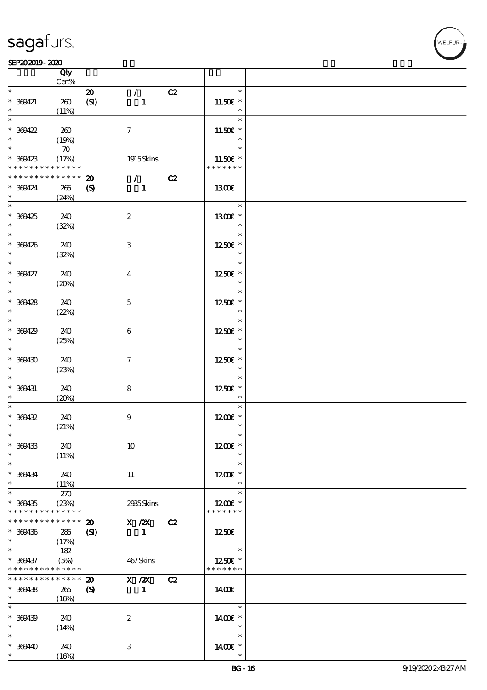### SEP202019-2020

|                                | Qty<br>Cert%       |                             |                                 |    |               |  |
|--------------------------------|--------------------|-----------------------------|---------------------------------|----|---------------|--|
| $\ast$                         |                    |                             |                                 |    | $\ast$        |  |
|                                |                    | $\boldsymbol{\mathsf{20}}$  | $\mathcal{L}$                   | C2 |               |  |
| $* 369421$                     | 260                | (SI)                        | $\mathbf{1}$                    |    | 11.50€ *      |  |
|                                | (11%)              |                             |                                 |    | $\ast$        |  |
| $\overline{\ast}$              |                    |                             |                                 |    | $\ast$        |  |
| $* 300422$                     | 260                |                             | $\tau$                          |    | 11.50€ *      |  |
| $\ast$                         | (19%)              |                             |                                 |    | $\ast$        |  |
|                                |                    |                             |                                 |    | $\ast$        |  |
|                                | $\boldsymbol{\pi}$ |                             |                                 |    |               |  |
| $* 309423$                     | (17%)              |                             | 1915Skins                       |    | 11.50€ *      |  |
| * * * * * * * * <mark>*</mark> | * * * * * *        |                             |                                 |    | * * * * * * * |  |
| * * * * * * * *                | * * * * * *        | $\boldsymbol{\mathfrak{D}}$ | $\mathcal{L}$ and $\mathcal{L}$ | C2 |               |  |
| $* 309424$                     | $265\,$            | $\boldsymbol{\mathrm{(S)}}$ | $\blacksquare$                  |    | 1300€         |  |
| $\ast$                         | (24%)              |                             |                                 |    |               |  |
|                                |                    |                             |                                 |    | $\ast$        |  |
|                                |                    |                             |                                 |    |               |  |
| * 369425                       | 240                |                             | $\boldsymbol{2}$                |    | 1300E *       |  |
| $\ast$                         | (32%)              |                             |                                 |    | $\ast$        |  |
| $\ast$                         |                    |                             |                                 |    | $\ast$        |  |
| $* 309426$                     | 240                |                             | $\,3$                           |    | 1250E *       |  |
| $\ast$                         | (32%)              |                             |                                 |    | $\ast$        |  |
| $\ast$                         |                    |                             |                                 |    | $\ast$        |  |
|                                |                    |                             |                                 |    |               |  |
| $* 300427$                     | 240                |                             | $\overline{\mathbf{4}}$         |    | 1250E *       |  |
| $\ast$                         | (20%)              |                             |                                 |    | $\ast$        |  |
| $\overline{\ast}$              |                    |                             |                                 |    | $\ast$        |  |
| $* 309428$                     | 240                |                             | $\mathbf 5$                     |    | 1250E *       |  |
| $\ast$                         |                    |                             |                                 |    | $\ast$        |  |
| $\overline{\ast}$              | (22%)              |                             |                                 |    |               |  |
|                                |                    |                             |                                 |    | $\ast$        |  |
| $* 309429$                     | 240                |                             | $\boldsymbol{6}$                |    | 1250E *       |  |
| $\ast$                         | (25%)              |                             |                                 |    | $\ast$        |  |
| $\ast$                         |                    |                             |                                 |    | $\ast$        |  |
| $* 309430$                     | 240                |                             | $\mathcal I$                    |    | 1250E *       |  |
| $\ast$                         |                    |                             |                                 |    | $\ast$        |  |
|                                | (23%)              |                             |                                 |    |               |  |
| $\ast$                         |                    |                             |                                 |    | $\ast$        |  |
| $* 369431$                     | 240                |                             | ${\bf 8}$                       |    | 1250E *       |  |
| $\ast$                         | (20%)              |                             |                                 |    | $\ast$        |  |
| $*$                            |                    |                             |                                 |    | $\ast$        |  |
| $* 309432$                     | 240                |                             | $\boldsymbol{9}$                |    | $1200E$ *     |  |
| $\ast$                         |                    |                             |                                 |    | $\ast$        |  |
| $\ast$                         | (21%)              |                             |                                 |    | $\ast$        |  |
|                                |                    |                             |                                 |    |               |  |
| * 369433                       | 240                |                             | 10                              |    | $1200E$ *     |  |
| $\ast$                         | (11%)              |                             |                                 |    | $\ast$        |  |
| $\ast$                         |                    |                             |                                 |    | $\ast$        |  |
| $* 300434$                     | 240                |                             | 11                              |    | $1200E$ *     |  |
| $\ast$                         | (11%)              |                             |                                 |    | $\ast$        |  |
| $\overline{\ast}$              |                    |                             |                                 |    | $\ast$        |  |
|                                | 270                |                             |                                 |    |               |  |
| $* 369435$                     | (23%)              |                             | 2935Skins                       |    | $1200E$ *     |  |
| * * * * * * * *                | * * * * * *        |                             |                                 |    | * * * * * * * |  |
| * * * * * * * *                | $* * * * * * *$    | $\boldsymbol{\mathbf{z}}$   | $X$ / $ZX$                      | C2 |               |  |
| $* 369436$                     | 285                | (S)                         | $\mathbf{1}$                    |    | 1250          |  |
| $\ast$                         | (17%)              |                             |                                 |    |               |  |
| $\ast$                         | 182                |                             |                                 |    | $\ast$        |  |
|                                |                    |                             |                                 |    |               |  |
| $* 309437$                     | (5%)               |                             | 467Skins                        |    | 1250E *       |  |
| * * * * * * * *                | * * * * * *        |                             |                                 |    | * * * * * * * |  |
| * * * * * * * *                | $* * * * * * *$    | $\boldsymbol{\mathfrak{D}}$ | $X$ / $ZX$                      | C2 |               |  |
| $* 369438$                     | 265                | $\boldsymbol{\mathrm{(S)}}$ | $\mathbf{1}$                    |    | 1400          |  |
| $\ast$                         | (16%)              |                             |                                 |    |               |  |
| $\ast$                         |                    |                             |                                 |    | $\ast$        |  |
|                                |                    |                             |                                 |    |               |  |
| $* 309439$                     | 240                |                             | $\boldsymbol{2}$                |    | 14 $00E$ *    |  |
| $\ast$                         | (14%)              |                             |                                 |    | $\ast$        |  |
| $\ast$                         |                    |                             |                                 |    | $\ast$        |  |
| $* 36940$                      | 240                |                             | 3                               |    | 1400 £*       |  |
|                                |                    |                             |                                 |    |               |  |
| $\ast$                         | (16%)              |                             |                                 |    |               |  |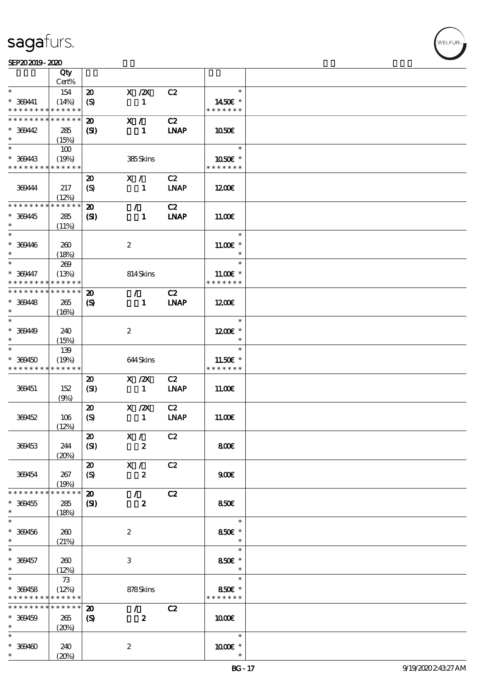#### SEP202019-2020 UNIVERSITY OF THE SEPERATOR SEPERATOR SEPERATOR SEPERATOR SEPERATOR SEPERATOR SEPERATOR SEPERATOR SEP

|                               | Qty                  |                             |                            |                   |                          |  |
|-------------------------------|----------------------|-----------------------------|----------------------------|-------------------|--------------------------|--|
|                               | Cert%                |                             |                            |                   |                          |  |
| $\ast$                        | 154                  | $\boldsymbol{\mathfrak{D}}$ | $X$ / $ZX$                 | C2                | $\ast$                   |  |
| $* 369441$<br>* * * * * * * * | (14%)<br>* * * * * * | $\boldsymbol{\mathrm{(S)}}$ | $\mathbf{1}$               |                   | 1450€ *<br>* * * * * * * |  |
| * * * * * * * *               | * * * * * *          | $\boldsymbol{\mathfrak{D}}$ | X /                        | C2                |                          |  |
| $* 30042$                     | 285                  | (S)                         | $\mathbf{1}$               | <b>LNAP</b>       | 1050E                    |  |
| $\ast$                        | (15%)                |                             |                            |                   |                          |  |
|                               | 100                  |                             |                            |                   | $\ast$                   |  |
| * 369443                      | (19%)                |                             | 385Skins                   |                   | 1050E *                  |  |
| * * * * * * * *               | * * * * * *          |                             |                            |                   | * * * * * * *            |  |
|                               |                      | $\boldsymbol{\mathfrak{D}}$ | X /                        | C2                |                          |  |
| 369444                        | 217                  | $\boldsymbol{\mathrm{(S)}}$ | $\mathbf{1}$               | <b>LNAP</b>       | 1200E                    |  |
|                               | (12%)                |                             |                            |                   |                          |  |
| * * * * * * * *               | * * * * * *          | $\boldsymbol{\mathbf{z}}$   | $\mathcal{L}$              | C2                |                          |  |
| * 369445                      | 285                  | $\mathbf{S}$                | $\mathbf{1}$               | <b>LNAP</b>       | 11.00E                   |  |
| $\ast$                        | (11%)                |                             |                            |                   |                          |  |
| $\ast$                        |                      |                             |                            |                   | $\ast$                   |  |
| $* 300446$                    | 260                  |                             | $\boldsymbol{2}$           |                   | $11.00E$ *               |  |
| $\ast$                        | (18%)                |                             |                            |                   | $\ast$                   |  |
| $\ast$                        | 269                  |                             |                            |                   | $\ast$                   |  |
| $* 300447$                    | (13%)                |                             | 814Skins                   |                   | $11.00E*$                |  |
| * * * * * * * *               | * * * * * *          |                             |                            |                   | * * * * * * *            |  |
| * * * * * * * *               | * * * * * *          | $\boldsymbol{\mathbf{z}}$   | $\mathcal{T}$              | C2                |                          |  |
| $* 369448$                    | 265                  | $\boldsymbol{\mathcal{S}}$  | $\mathbf{1}$               | <b>LNAP</b>       | 1200                     |  |
| $\ast$                        | (16%)                |                             |                            |                   |                          |  |
| $\overline{\phantom{0}}$      |                      |                             |                            |                   | $\ast$                   |  |
| * 369449                      | 240                  |                             | $\boldsymbol{2}$           |                   | $1200E$ *                |  |
| $\ast$                        | (15%)                |                             |                            |                   | $\ast$                   |  |
| $\ast$                        | 139                  |                             |                            |                   | $\ast$                   |  |
| $* 309450$                    | (19%)                |                             | 644Skins                   |                   | 11.50 $\varepsilon$ *    |  |
| * * * * * * * *               | * * * * * *          |                             |                            |                   | * * * * * * *            |  |
|                               |                      | $\boldsymbol{\mathbf{z}}$   | $X$ / $ZX$                 | C2                |                          |  |
| 369451                        | 152                  | (SI)                        | $\mathbf{1}$               | <b>INAP</b>       | 11.00E                   |  |
|                               | (9%)                 |                             |                            |                   |                          |  |
|                               |                      | $\boldsymbol{\mathfrak{D}}$ | $X$ / $ZX$<br>$\mathbf{1}$ | C2<br><b>LNAP</b> |                          |  |
| 369452                        | 106<br>(12%)         | $\boldsymbol{S}$            |                            |                   | 11.00E                   |  |
|                               |                      | $\boldsymbol{\omega}$       | X /                        | C2                |                          |  |
| 369453                        | 244                  | (SI)                        | $\boldsymbol{z}$           |                   | 800€                     |  |
|                               | (20%)                |                             |                            |                   |                          |  |
|                               |                      | $\boldsymbol{\mathfrak{D}}$ | X /                        | C2                |                          |  |
| 369454                        | 267                  | $\boldsymbol{\mathcal{S}}$  | $\boldsymbol{z}$           |                   | 900E                     |  |
|                               | (19%)                |                             |                            |                   |                          |  |
| * * * * * * * *               | * * * * * *          | $\boldsymbol{\mathfrak{D}}$ | $\mathcal{F}$              | C2                |                          |  |
| $* 369455$                    | 285                  | $\mathbf{S}$                | $\boldsymbol{z}$           |                   | 850E                     |  |
| $\ast$                        | (18%)                |                             |                            |                   |                          |  |
| $\ast$                        |                      |                             |                            |                   | $\ast$                   |  |
| $* 309456$                    | 260                  |                             | $\boldsymbol{2}$           |                   | 850€ *                   |  |
| $*$                           | (21%)                |                             |                            |                   | $\ast$                   |  |
| $\ast$                        |                      |                             |                            |                   | $\ast$                   |  |
| $* 309457$                    | 260                  |                             | 3                          |                   | 850€ *                   |  |
| $\ast$<br>$\overline{\ast}$   | (12%)                |                             |                            |                   | $\ast$<br>$\ast$         |  |
|                               | 73                   |                             |                            |                   |                          |  |
| $* 309458$<br>* * * * * * * * | (12%)<br>* * * * * * |                             | 878Skins                   |                   | 850€ *<br>* * * * * * *  |  |
| * * * * * * * *               | * * * * * *          | $\boldsymbol{\mathfrak{D}}$ | $\mathcal{L}$              | C2                |                          |  |
| $* 369459$                    | 265                  | $\boldsymbol{\mathcal{S}}$  | $\boldsymbol{z}$           |                   | 1000                     |  |
| $*$                           | (20%)                |                             |                            |                   |                          |  |
| $\ast$                        |                      |                             |                            |                   | $\ast$                   |  |
| $* 309400$                    | 240                  |                             | $\boldsymbol{z}$           |                   | $1000E$ *                |  |
| $\ast$                        | (20%)                |                             |                            |                   | $\ast$                   |  |
|                               |                      |                             |                            |                   |                          |  |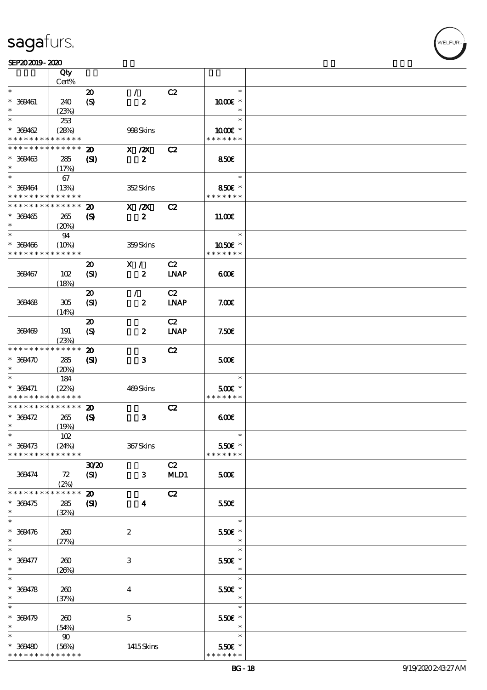|                                          | Qty<br>Cert%               |                             |                         |                              |                         |  |
|------------------------------------------|----------------------------|-----------------------------|-------------------------|------------------------------|-------------------------|--|
|                                          |                            |                             |                         |                              |                         |  |
| $\ast$                                   |                            | $\boldsymbol{\mathsf{20}}$  | $\mathcal{L}$           | C2                           | $\ast$                  |  |
| $* 309461$                               | 240                        | $\boldsymbol{\mathrm{(S)}}$ | $\boldsymbol{z}$        |                              | $1000E$ *               |  |
| $\ast$                                   | (23%)                      |                             |                         |                              | $\ast$                  |  |
| $\ast$                                   | 253                        |                             |                         |                              | $\ast$                  |  |
|                                          |                            |                             |                         |                              |                         |  |
| $* 309462$                               | (28%)                      |                             | 998Skins                |                              | 1000 *                  |  |
| * * * * * * * *                          | * * * * * *                |                             |                         |                              | * * * * * * *           |  |
| * * * * * * * *                          | * * * * * *                | $\boldsymbol{\mathbf{z}}$   | $X$ / $ZX$              | C2                           |                         |  |
|                                          |                            |                             |                         |                              |                         |  |
| $* 309463$                               | 285                        | (S)                         | $\boldsymbol{z}$        |                              | 850E                    |  |
| $\ast$                                   | (17%)                      |                             |                         |                              |                         |  |
| $\ast$                                   | 67                         |                             |                         |                              | $\ast$                  |  |
| $* 309464$                               | (13%)                      |                             | 352Skins                |                              | 850€ *                  |  |
| * * * * * * * * <mark>* * * * * *</mark> |                            |                             |                         |                              | * * * * * * *           |  |
|                                          |                            |                             |                         |                              |                         |  |
| * * * * * * * *                          | $\ast\ast\ast\ast\ast\ast$ | $\boldsymbol{\mathfrak{D}}$ | X / ZX                  | C2                           |                         |  |
| $* 369465$                               | 265                        | $\boldsymbol{\mathrm{(S)}}$ | $\boldsymbol{z}$        |                              | 11.00E                  |  |
|                                          | (20%)                      |                             |                         |                              |                         |  |
| $\ast$                                   |                            |                             |                         |                              | $\ast$                  |  |
|                                          | 94                         |                             |                         |                              |                         |  |
| $* 309406$                               | (10%)                      |                             | 359Skins                |                              | 1050E *                 |  |
| * * * * * * * *                          | * * * * * *                |                             |                         |                              | * * * * * * *           |  |
|                                          |                            | $\boldsymbol{\mathfrak{D}}$ | X /                     | C2                           |                         |  |
|                                          |                            |                             |                         |                              |                         |  |
| 369467                                   | 102                        | (SI)                        | $\boldsymbol{z}$        | $\ensuremath{\mathbf{INAP}}$ | 600                     |  |
|                                          | (18%)                      |                             |                         |                              |                         |  |
|                                          |                            | $\boldsymbol{\mathfrak{D}}$ | $\mathcal{L}$           | C2                           |                         |  |
| 369468                                   | 305                        | (SI)                        | $\boldsymbol{z}$        | <b>LNAP</b>                  | 7.00E                   |  |
|                                          |                            |                             |                         |                              |                         |  |
|                                          | (14%)                      |                             |                         |                              |                         |  |
|                                          |                            | $\boldsymbol{\mathfrak{D}}$ |                         | C2                           |                         |  |
| 369469                                   | 191                        | $\boldsymbol{S}$            | $\boldsymbol{z}$        | $\ensuremath{\mathbf{INAP}}$ | 7.50E                   |  |
|                                          | (23%)                      |                             |                         |                              |                         |  |
| * * * * * * * *                          | * * * * * *                | $\boldsymbol{\mathfrak{D}}$ |                         | C2                           |                         |  |
|                                          |                            |                             |                         |                              |                         |  |
| $* 369470$                               | 285                        | $\mathbf{S}$                | $\mathbf{3}$            |                              | 500                     |  |
| $\ast$                                   | (20%)                      |                             |                         |                              |                         |  |
| $\ast$                                   | 184                        |                             |                         |                              | $\ast$                  |  |
| $* 309471$                               |                            |                             | 469Skins                |                              | $500E$ *                |  |
|                                          | (22%)<br>* * * * * *       |                             |                         |                              | * * * * * * *           |  |
| * * * * * * * *                          |                            |                             |                         |                              |                         |  |
| * * * * * * * *                          | * * * * * *                | $\boldsymbol{\mathfrak{D}}$ |                         | C2                           |                         |  |
| $* 309472$                               | 265                        | $\boldsymbol{\mathrm{(S)}}$ | $\mathbf{3}$            |                              | 600                     |  |
| $\ast$                                   | (19%)                      |                             |                         |                              |                         |  |
| $\ast$                                   |                            |                             |                         |                              | $\ast$                  |  |
|                                          | $102$                      |                             |                         |                              |                         |  |
| $* 309473$                               | (24%)                      |                             | 367Skins                |                              | 550€ *                  |  |
| * * * * * * * *                          | * * * * * *                |                             |                         |                              | * * * * * * *           |  |
|                                          |                            | 3020                        |                         | C2                           |                         |  |
| 369474                                   | ${\bf Z}$                  | (SI)                        | $\mathbf{3}$            | MLD1                         | 500                     |  |
|                                          |                            |                             |                         |                              |                         |  |
|                                          | (2%)                       |                             |                         |                              |                         |  |
| * * * * * * * *                          | * * * * * *                | $\boldsymbol{\mathbf{z}}$   |                         | C2                           |                         |  |
| $* 309475$                               | 285                        | (S)                         | $\overline{\mathbf{4}}$ |                              | 550€                    |  |
| $\ast$                                   | (32%)                      |                             |                         |                              |                         |  |
| $\ast$                                   |                            |                             |                         |                              | $\ast$                  |  |
|                                          |                            |                             |                         |                              |                         |  |
| $* 309476$                               | 260                        |                             | $\boldsymbol{2}$        |                              | 550€ *                  |  |
| $\ast$                                   | (27%)                      |                             |                         |                              | $\ast$                  |  |
| $\ast$                                   |                            |                             |                         |                              | $\ast$                  |  |
| $* 309477$                               | 260                        |                             | 3                       |                              | 550€ *                  |  |
| $\ast$                                   |                            |                             |                         |                              |                         |  |
|                                          | (20%)                      |                             |                         |                              | $\ast$                  |  |
| $\ast$                                   |                            |                             |                         |                              | $\ast$                  |  |
| $* 309478$                               | 260                        |                             | $\bf{4}$                |                              | $550E$ *                |  |
| $\ast$                                   | (37%)                      |                             |                         |                              |                         |  |
| $\ast$                                   |                            |                             |                         |                              | $\ast$                  |  |
|                                          |                            |                             |                         |                              |                         |  |
| $* 309479$                               | 260                        |                             | $\mathbf{5}$            |                              | 550€ *                  |  |
| $\ast$                                   | (54%)                      |                             |                         |                              | $\ast$                  |  |
| $\ast$                                   | $90^{\circ}$               |                             |                         |                              | $\ast$                  |  |
|                                          |                            |                             |                         |                              |                         |  |
|                                          |                            |                             |                         |                              |                         |  |
| $* 309480$<br>* * * * * * * *            | (56%)<br>* * * * * *       |                             | 1415Skins               |                              | 550€ *<br>* * * * * * * |  |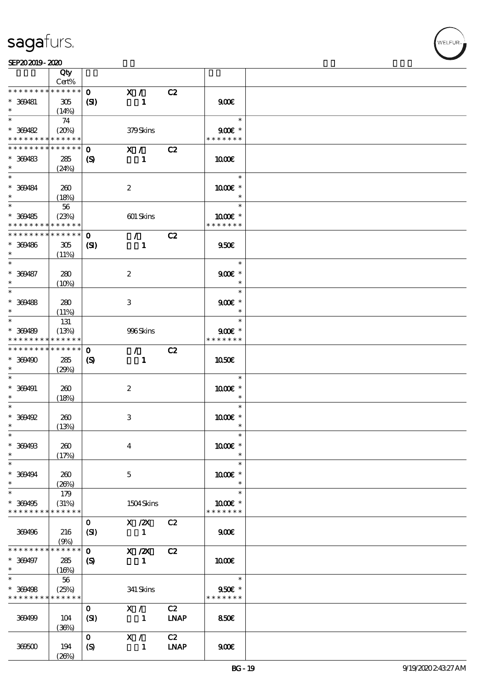⊤

|                   | Qty<br>Cert%    |                             |                           |             |                       |  |
|-------------------|-----------------|-----------------------------|---------------------------|-------------|-----------------------|--|
| * * * * * * * *   | $******$        |                             |                           |             |                       |  |
|                   |                 | $\mathbf{O}$                | X /                       | C2          |                       |  |
| * 369481          | 305             | (S)                         | $\mathbf{1}$              |             | 900                   |  |
|                   | (14%)           |                             |                           |             |                       |  |
| $\ast$            | 74              |                             |                           |             | $\ast$                |  |
| $* 309482$        | (20%)           |                             | 379Skins                  |             | $900$ $\varepsilon$ * |  |
| * * * * * * * *   | * * * * * *     |                             |                           |             | * * * * * * *         |  |
| * * * * * * * *   | * * * * * *     | $\mathbf{o}$                | X /                       | C2          |                       |  |
|                   |                 |                             |                           |             |                       |  |
| $* 369483$        | 285             | (S)                         | 1                         |             | 1000E                 |  |
| $\ast$            | (24%)           |                             |                           |             |                       |  |
| $\ast$            |                 |                             |                           |             | $\ast$                |  |
| * 369484          | 260             |                             | $\boldsymbol{2}$          |             | 1000 *                |  |
| $\ast$            | (18%)           |                             |                           |             | $\ast$                |  |
|                   | 56              |                             |                           |             | $\ast$                |  |
| $* 309485$        |                 |                             |                           |             | $1000E$ *             |  |
|                   | (23%)           |                             | 601 Skins                 |             | * * * * * * *         |  |
| * * * * * * * *   | * * * * * *     |                             |                           |             |                       |  |
| * * * * * * * *   | $* * * * * * *$ | $\mathbf{o}$                | $\mathcal{T}$             | C2          |                       |  |
| * 369486          | 305             | $\mathbf{C}$                | $\mathbf{1}$              |             | 950E                  |  |
| $\ast$            | (11%)           |                             |                           |             |                       |  |
| $\ast$            |                 |                             |                           |             | $\ast$                |  |
| $* 309487$        | 280             |                             | $\boldsymbol{2}$          |             | $900E$ *              |  |
| $\ast$            | $(10\%)$        |                             |                           |             | $\ast$                |  |
| $\overline{\ast}$ |                 |                             |                           |             | $\ast$                |  |
|                   |                 |                             |                           |             |                       |  |
| $* 309488$        | 280             |                             | 3                         |             | $900E$ *              |  |
| $\ast$            | (11%)           |                             |                           |             | $\ast$                |  |
| $\overline{\ast}$ | 131             |                             |                           |             | $\ast$                |  |
| * 369489          | (13%)           |                             | 996Skins                  |             | $900E$ *              |  |
| * * * * * * * *   | * * * * * *     |                             |                           |             | * * * * * * *         |  |
| * * * * * * * *   | ******          | $\mathbf{o}$                | $\mathcal{L}$             | C2          |                       |  |
| $*369490$         | 285             | $\boldsymbol{\mathrm{(S)}}$ | $\mathbf{1}$              |             | <b>1050€</b>          |  |
| $\ast$            |                 |                             |                           |             |                       |  |
| $\ast$            | (29%)           |                             |                           |             |                       |  |
|                   |                 |                             |                           |             | $\ast$                |  |
| $* 300491$        | 260             |                             | $\boldsymbol{2}$          |             | 1000 *                |  |
| $^{\ast}$         | (18%)           |                             |                           |             | $\ast$                |  |
| $\ast$            |                 |                             |                           |             | $\ast$                |  |
| $* 309492$        | 260             |                             | $\ensuremath{\mathbf{3}}$ |             | 1000 ±                |  |
| $\ast$            | (13%)           |                             |                           |             | $\ast$                |  |
| $\ast$            |                 |                             |                           |             | $\ast$                |  |
| * 369493          | 260             |                             | $\boldsymbol{4}$          |             | 1000€ *               |  |
| $\ast$            |                 |                             |                           |             | $\ast$                |  |
|                   | (17%)           |                             |                           |             |                       |  |
| $\ast$            |                 |                             |                           |             | $\ast$                |  |
| $* 300494$        | 260             |                             | $\mathbf{5}$              |             | $1000E$ *             |  |
| $\ast$            | (20%)           |                             |                           |             | $\ast$                |  |
| $\ast$            | 179             |                             |                           |             | $\ast$                |  |
| * 369495          | (31%)           |                             | 1504Skins                 |             | $1000E$ *             |  |
| * * * * * * * *   | * * * * * *     |                             |                           |             | * * * * * * *         |  |
|                   |                 | $\mathbf{O}$                | $X$ / $ZX$                | C2          |                       |  |
| 369496            | 216             |                             | $\mathbf{1}$              |             | 900E                  |  |
|                   |                 | (SI)                        |                           |             |                       |  |
|                   | (9%)            |                             |                           |             |                       |  |
| * * * * * * * *   | *****           | $\mathbf{o}$                | $X \, /ZX$                | C2          |                       |  |
| * 369497          | 285             | $\boldsymbol{\mathcal{S}}$  | $\mathbf{1}$              |             | 1000E                 |  |
| $\ast$            | (16%)           |                             |                           |             |                       |  |
| $\ast$            | 56              |                             |                           |             | $\ast$                |  |
| * 369498          | (25%)           |                             | 341 Skins                 |             | $950E$ *              |  |
| * * * * * * * *   | * * * * * *     |                             |                           |             | * * * * * * *         |  |
|                   |                 | $\mathbf{O}$                | X /                       | C2          |                       |  |
|                   |                 |                             | $\sim$ 1                  | <b>LNAP</b> |                       |  |
| 369499            | 104             | (SI)                        |                           |             | <b>850€</b>           |  |
|                   | (36%)           |                             |                           |             |                       |  |
|                   |                 | $\mathbf{o}$                | X /                       | C2          |                       |  |
| 36600             | 194             | $\boldsymbol{S}$            | $\mathbf{1}$              | <b>LNAP</b> | 900 <sub>E</sub>      |  |
|                   | (20%)           |                             |                           |             |                       |  |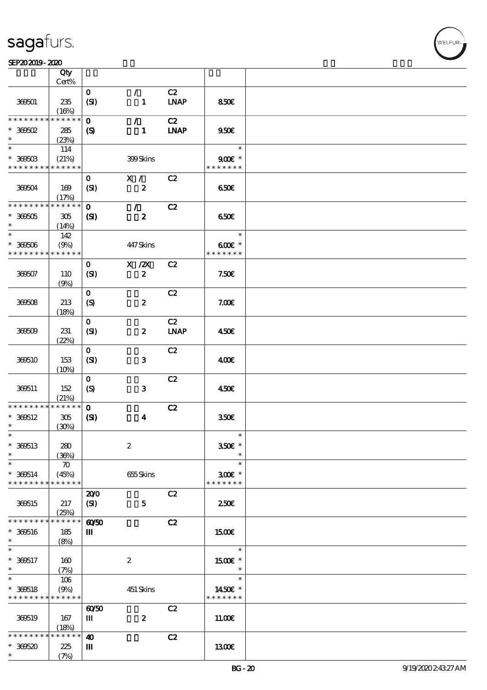#### SEP202019-2020  $\overline{\mathbf{Q}}$

|                                           | Qty<br>Cert%         |                            |                               |                   |                                     |  |
|-------------------------------------------|----------------------|----------------------------|-------------------------------|-------------------|-------------------------------------|--|
|                                           |                      |                            |                               |                   |                                     |  |
| 369501                                    | 235<br>(16%)         | $\mathbf{O}$<br>(SI)       | $\mathcal{L}$<br>$\mathbf{1}$ | C2<br><b>LNAP</b> | 850€                                |  |
| * * * * * * * *                           | * * * * * *          | $\mathbf 0$                | $\mathcal{L}$                 | C2                |                                     |  |
| $*$ 369502<br>$\ast$                      | 285<br>(23%)         | $\boldsymbol{\mathcal{S}}$ | $\mathbf{1}$                  | <b>LNAP</b>       | 950E                                |  |
| $\ast$                                    | 114                  |                            |                               |                   | $\ast$                              |  |
| $*$ 369503<br>* * * * * * * * * * * * * * | (21%)                |                            | 399Skins                      |                   | $900E$ *<br>* * * * * * *           |  |
|                                           |                      | $\mathbf{o}$               | $X / \sqrt{2}$                | C2                |                                     |  |
| 369504                                    | 169<br>(17%)         | (SI)                       | $\boldsymbol{z}$              |                   | 650E                                |  |
| * * * * * * * * * * * * * *               |                      | $\mathbf{0}$               | $\mathcal{L}$                 | C2                |                                     |  |
| $* 300005$<br>$\ast$                      | 305<br>(14%)         | (S)                        | $\boldsymbol{z}$              |                   | 650E                                |  |
| $\ast$                                    | 142                  |                            |                               |                   | $\ast$                              |  |
| $* 30000$<br>* * * * * * * *              | (9%)<br>* * * * * *  |                            | 447Skins                      |                   | $600E$ *<br>* * * * * * *           |  |
|                                           |                      | $\mathbf{o}$               | $X$ / $ZX$                    | C2                |                                     |  |
| 366607                                    | 110<br>(9%)          | (SI)                       | $\boldsymbol{z}$              |                   | 7.50E                               |  |
|                                           |                      | $\mathbf{O}$               |                               | C2                |                                     |  |
| 366608                                    | 213<br>(18%)         | (S)                        | $\boldsymbol{z}$              |                   | 7.00E                               |  |
|                                           |                      | $\mathbf{O}$               |                               | C2                |                                     |  |
| 36609                                     | 231<br>(22%)         | (SI)                       | $\boldsymbol{z}$              | <b>LNAP</b>       | 450€                                |  |
|                                           |                      | $\mathbf{O}$               |                               | C2                |                                     |  |
| 339510                                    | 153<br>(10%)         | (SI)                       | 3                             |                   | 400                                 |  |
|                                           |                      | $\mathbf{O}$               |                               | C2                |                                     |  |
| 369511                                    | 152<br>(21%)         | $\boldsymbol{S}$           | $\mathbf{3}$                  |                   | 450E                                |  |
| * * * * * * * *                           | * * * * * *          | $\mathbf{o}$               |                               | C2                |                                     |  |
| $* 366512$                                | $305\,$              | (S)                        | $\boldsymbol{4}$              |                   | 350 <sup>2</sup>                    |  |
| $\ast$                                    | (30%)                |                            |                               |                   |                                     |  |
| $\ast$                                    |                      |                            |                               |                   | $\ast$                              |  |
| $*360513$<br>$\ast$                       | 280<br>(36%)         |                            | $\boldsymbol{2}$              |                   | 350€ *<br>$\ast$                    |  |
| $\ast$                                    | $\boldsymbol{\pi}$   |                            |                               |                   | $\ast$                              |  |
| $* 366514$<br>* * * * * * * *             | (45%)<br>* * * * * * |                            | 655Skins                      |                   | $300$ $\epsilon$ *<br>* * * * * * * |  |
|                                           |                      | 200                        |                               | C2                |                                     |  |
| 366515                                    | 217<br>(25%)         | (SI)                       | $\mathbf{5}$                  |                   | 250 <sup>2</sup>                    |  |
| * * * * * * * *                           | * * * * * *          | $\omega$                   |                               | C2                |                                     |  |
| $* 360516$                                | 185                  | Ш                          |                               |                   | 1500€                               |  |
| $\ast$                                    | (8%)                 |                            |                               |                   |                                     |  |
|                                           |                      |                            |                               |                   | $\ast$                              |  |
| $* 360517$<br>$\ast$                      | 160<br>(7%)          |                            | $\boldsymbol{2}$              |                   | 1500 £*<br>$\ast$                   |  |
| $\overline{\ast}$                         | 106                  |                            |                               |                   | $\ast$                              |  |
| $* 360518$                                | (9%)                 |                            | 451 Skins                     |                   | 1450€ *                             |  |
| * * * * * * * *                           | * * * * * *          |                            |                               |                   | * * * * * * *                       |  |
|                                           |                      | $\omega\omega$             |                               | C2                |                                     |  |
| 369519                                    | 167                  | Ш                          | $\boldsymbol{2}$              |                   | 11.00E                              |  |
|                                           | (18%)                |                            |                               |                   |                                     |  |
| * * * * * * * *                           | * * * * * *          | $\boldsymbol{\omega}$      |                               | C2                |                                     |  |
| $*300520$                                 | 225                  | Ш                          |                               |                   | 1300E                               |  |
| $\ast$                                    | (7%)                 |                            |                               |                   |                                     |  |

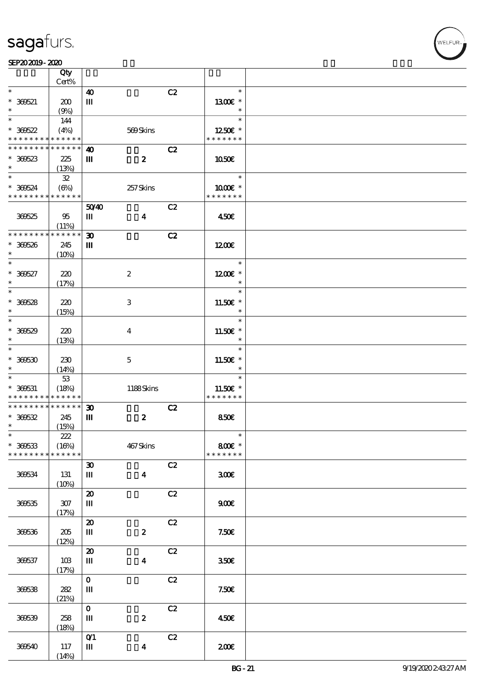|                 | Qty<br>Cert% |                                    |                  |    |               |  |
|-----------------|--------------|------------------------------------|------------------|----|---------------|--|
|                 |              |                                    |                  |    |               |  |
| $\ast$          |              | $\boldsymbol{\omega}$              |                  | C2 | $\ast$        |  |
| $* 300521$      | 200          | $\mathbf{m}$                       |                  |    | $1300E$ *     |  |
| $\ast$          | (9%)         |                                    |                  |    | $\ast$        |  |
| $\ast$          |              |                                    |                  |    | $\ast$        |  |
|                 | 144          |                                    |                  |    |               |  |
| $* 300522$      | (4%)         |                                    | 569Skins         |    | 1250€ *       |  |
| * * * * * * * * | * * * * * *  |                                    |                  |    | * * * * * * * |  |
| * * * * * * * * | * * * * * *  | $\boldsymbol{\omega}$              |                  | C2 |               |  |
|                 |              |                                    |                  |    |               |  |
| $*36623$        | 225          | Ш                                  | $\boldsymbol{z}$ |    | 1050E         |  |
| $\ast$          | (13%)        |                                    |                  |    |               |  |
| $\ast$          | 32           |                                    |                  |    | $\ast$        |  |
| $* 366624$      | (6%)         |                                    | 257Skins         |    | 1000 *        |  |
| * * * * * * * * | * * * * * *  |                                    |                  |    | * * * * * * * |  |
|                 |              |                                    |                  |    |               |  |
|                 |              | 5040                               |                  | C2 |               |  |
| 36625           | 95           | Ш                                  | $\boldsymbol{4}$ |    | 450€          |  |
|                 | (11%)        |                                    |                  |    |               |  |
| * * * * * * *   | * * * * * *  | $\boldsymbol{\mathfrak{D}}$        |                  | C2 |               |  |
|                 |              |                                    |                  |    |               |  |
| * 360526        | 245          | Ш                                  |                  |    | 1200          |  |
| $\ast$          | (10%)        |                                    |                  |    |               |  |
| $\ast$          |              |                                    |                  |    | $\ast$        |  |
| $* 300527$      | 220          |                                    | $\boldsymbol{2}$ |    | $1200E$ *     |  |
| $\ast$          |              |                                    |                  |    | $\ast$        |  |
| $\ast$          | (17%)        |                                    |                  |    |               |  |
|                 |              |                                    |                  |    | $\ast$        |  |
| $* 300528$      | 220          |                                    | $\,3\,$          |    | $11.50E$ *    |  |
| $\ast$          | (15%)        |                                    |                  |    | $\ast$        |  |
| $\ast$          |              |                                    |                  |    | $\ast$        |  |
|                 |              |                                    |                  |    |               |  |
| $* 300529$      | 220          |                                    | $\bf{4}$         |    | 11.50€ *      |  |
| $\ast$          | (13%)        |                                    |                  |    | $\ast$        |  |
| $\ast$          |              |                                    |                  |    | $\ast$        |  |
| $* 36630$       | 230          |                                    | $\mathbf 5$      |    | 11.50€ *      |  |
| $\ast$          |              |                                    |                  |    | $\ast$        |  |
|                 | (14%)        |                                    |                  |    |               |  |
| $\ast$          | $53\,$       |                                    |                  |    | $\ast$        |  |
| $* 360531$      | (18%)        |                                    | 1188Skins        |    | 11.50€ *      |  |
| * * * * * * * * | * * * * * *  |                                    |                  |    | * * * * * * * |  |
| * * * * * * * * | * * * * * *  | $\boldsymbol{\mathfrak{D}}$        |                  | C2 |               |  |
| $* 36652$       | 245          | Ш                                  | $\boldsymbol{z}$ |    | 850E          |  |
|                 |              |                                    |                  |    |               |  |
| $\ast$          | (15%)        |                                    |                  |    |               |  |
| $\ast$          | 222          |                                    |                  |    |               |  |
| $* 366533$      | (16%)        |                                    | 467Skins         |    | 800€ *        |  |
| * * * * * * * * | * * * * * *  |                                    |                  |    | * * * * * * * |  |
|                 |              | $\boldsymbol{\mathfrak{D}}$        |                  | C2 |               |  |
|                 |              |                                    |                  |    |               |  |
| 366534          | 131          | Ш                                  | $\boldsymbol{4}$ |    | 300E          |  |
|                 | (10%)        |                                    |                  |    |               |  |
|                 |              | $\pmb{\mathcal{Z}}$                |                  | C2 |               |  |
| 36635           | 307          | Ш                                  |                  |    | 900E          |  |
|                 |              |                                    |                  |    |               |  |
|                 | (17%)        |                                    |                  |    |               |  |
|                 |              | $\boldsymbol{\mathfrak{D}}$        |                  | C2 |               |  |
| 36636           | $205\,$      | Ш                                  | $\pmb{2}$        |    | 7.50E         |  |
|                 | (12%)        |                                    |                  |    |               |  |
|                 |              | $\pmb{\mathcal{Z}}$                |                  | C2 |               |  |
|                 |              |                                    |                  |    |               |  |
| 366537          | 10B          | Ш                                  | $\boldsymbol{4}$ |    | 350E          |  |
|                 | (17%)        |                                    |                  |    |               |  |
|                 |              | $\mathbf{o}$                       |                  | C2 |               |  |
| 36658           | 282          | Ш                                  |                  |    | 7.506         |  |
|                 | (21%)        |                                    |                  |    |               |  |
|                 |              | $\mathbf{o}$                       |                  | C2 |               |  |
|                 |              |                                    |                  |    |               |  |
| 36639           | 258          | Ш                                  | $\boldsymbol{2}$ |    | 450E          |  |
|                 | (18%)        |                                    |                  |    |               |  |
|                 |              | $O$ <sup><math>\prime</math></sup> |                  | C2 |               |  |
| 36640           | 117          | Ш                                  | $\boldsymbol{4}$ |    | 200E          |  |
|                 |              |                                    |                  |    |               |  |
|                 | (14%)        |                                    |                  |    |               |  |

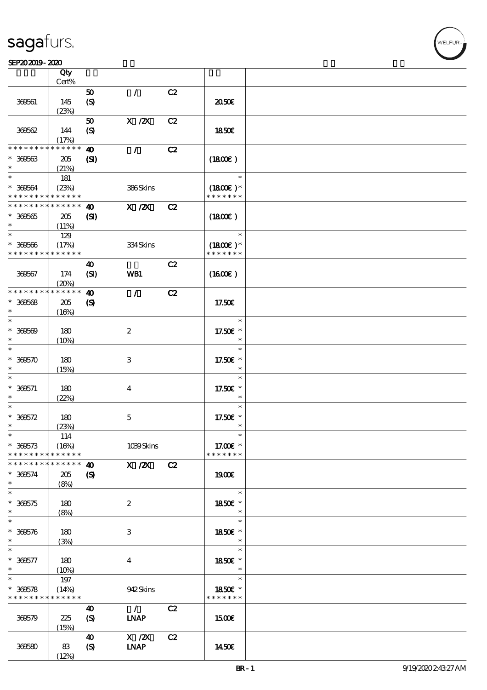### SEP202019-2020

|                                            | Qty<br>Cert% |                            |                                                                              |    |                                        |  |
|--------------------------------------------|--------------|----------------------------|------------------------------------------------------------------------------|----|----------------------------------------|--|
|                                            |              |                            |                                                                              |    |                                        |  |
|                                            |              | 50                         | $\mathcal{L}$                                                                | C2 |                                        |  |
| 369561                                     | 145          | $\boldsymbol{S}$           |                                                                              |    | 2050€                                  |  |
|                                            | (23%)        |                            |                                                                              |    |                                        |  |
|                                            |              | 50                         | $X$ / $ZX$                                                                   | C2 |                                        |  |
| 360562                                     | 144          | (S)                        |                                                                              |    | <b>1850€</b>                           |  |
|                                            | (17%)        |                            |                                                                              |    |                                        |  |
| * * * * * * * *                            | ******       | $\boldsymbol{\omega}$      | $\mathcal{L}$                                                                | C2 |                                        |  |
| $* 36663$                                  | 205          | $\mathbf{C}$               |                                                                              |    | (1800)                                 |  |
| $\ast$                                     | (21%)        |                            |                                                                              |    |                                        |  |
| $\ast$                                     |              |                            |                                                                              |    | $\ast$                                 |  |
|                                            | 181          |                            |                                                                              |    |                                        |  |
| $* 36664$                                  | (23%)        |                            | 386Skins                                                                     |    | $(1800)$ *                             |  |
| * * * * * * * * * * * * * *                |              |                            |                                                                              |    | * * * * * * *                          |  |
| * * * * * * * * <mark>* * * * * * *</mark> |              | 40                         | $X$ / $ZX$                                                                   | C2 |                                        |  |
| $* 300665$                                 | 205          | (S)                        |                                                                              |    | (1800)                                 |  |
| $\ast$                                     | (11%)        |                            |                                                                              |    |                                        |  |
| $\ast$                                     | 129          |                            |                                                                              |    | $\ast$                                 |  |
| $* 300566$                                 | (17%)        |                            | 334Skins                                                                     |    | $(1800)$ *                             |  |
| * * * * * * * * <mark>* * * * * * *</mark> |              |                            |                                                                              |    | * * * * * * *                          |  |
|                                            |              | 40                         |                                                                              | C2 |                                        |  |
| 36667                                      | 174          | (SI)                       | WB1                                                                          |    | (1600)                                 |  |
|                                            | (20%)        |                            |                                                                              |    |                                        |  |
| * * * * * * * *                            | $******$     | $\boldsymbol{\omega}$      | $\mathcal{L}$                                                                | C2 |                                        |  |
|                                            |              |                            |                                                                              |    |                                        |  |
| $* 300568$                                 | $205\,$      | $\boldsymbol{\mathcal{S}}$ |                                                                              |    | 17.50€                                 |  |
| $\ast$                                     | (16%)        |                            |                                                                              |    |                                        |  |
| $\ast$                                     |              |                            |                                                                              |    | $\ast$                                 |  |
| $* 30000$                                  | 180          |                            | $\boldsymbol{2}$                                                             |    | 17.50€ *                               |  |
| $\ast$                                     | (10%)        |                            |                                                                              |    | $\ast$                                 |  |
| $\ast$                                     |              |                            |                                                                              |    | $\ast$                                 |  |
| $* 36650$                                  | 180          |                            | 3                                                                            |    | 17.50€ *                               |  |
| $\ast$                                     | (15%)        |                            |                                                                              |    | $\ast$                                 |  |
| $\ast$                                     |              |                            |                                                                              |    | $\ast$                                 |  |
| $* 300571$                                 | 180          |                            | $\boldsymbol{4}$                                                             |    | 17.50€ *                               |  |
| $\ast$                                     | (22%)        |                            |                                                                              |    | $\ast$                                 |  |
| $\ast$                                     |              |                            |                                                                              |    | $\ast$                                 |  |
| $* 300572$                                 | 180          |                            | $\mathbf 5$                                                                  |    | 17.50€ *                               |  |
| $\ast$                                     | (23%)        |                            |                                                                              |    | $\ast$                                 |  |
| $\ast$                                     |              |                            |                                                                              |    |                                        |  |
| $* 366573$                                 | 114          |                            | 1039Skins                                                                    |    |                                        |  |
| * * * * * * * * * * * * * *                | (16%)        |                            |                                                                              |    | 17.00 $\varepsilon$ *<br>* * * * * * * |  |
|                                            |              |                            |                                                                              |    |                                        |  |
| * * * * * * * * * * * * * * *              |              | 40                         | $X$ / $ZX$                                                                   | C2 |                                        |  |
| $* 300574$                                 | 205          | $\boldsymbol{\mathcal{S}}$ |                                                                              |    | 1900E                                  |  |
| $\ast$                                     | (8%)         |                            |                                                                              |    |                                        |  |
| $\ast$                                     |              |                            |                                                                              |    | $\ast$                                 |  |
| $* 300575$                                 | 180          |                            | $\boldsymbol{z}$                                                             |    | 1850E *                                |  |
| $\ast$                                     | (8%)         |                            |                                                                              |    | $\ast$                                 |  |
| $\ast$                                     |              |                            |                                                                              |    | $\ast$                                 |  |
| $* 300576$                                 | 180          |                            | $\ensuremath{\mathbf{3}}$                                                    |    | 1850€ *                                |  |
| $\ast$                                     | (3%)         |                            |                                                                              |    | $\ast$                                 |  |
| $\ast$                                     |              |                            |                                                                              |    | $\ast$                                 |  |
| $* 300577$                                 | 180          |                            | $\boldsymbol{4}$                                                             |    | 1850E *                                |  |
| $\ast$                                     | (10%)        |                            |                                                                              |    | $\ast$                                 |  |
| $\ast$                                     | 197          |                            |                                                                              |    | $\ast$                                 |  |
| $* 366578$                                 | (14%)        |                            | 942Skins                                                                     |    | 1850E *                                |  |
| * * * * * * * * * * * * * *                |              |                            |                                                                              |    | * * * * * * *                          |  |
|                                            |              | 40                         | $\mathcal{L}$                                                                | C2 |                                        |  |
| 366579                                     | 225          | $\boldsymbol{S}$           | <b>INAP</b>                                                                  |    | <b>1500€</b>                           |  |
|                                            |              |                            |                                                                              |    |                                        |  |
|                                            | (15%)        |                            | $\boldsymbol{\mathrm{X}}$ / $\boldsymbol{\mathrm{Z}}\boldsymbol{\mathrm{X}}$ |    |                                        |  |
|                                            |              | 40                         |                                                                              | C2 |                                        |  |
| 369580                                     | 83           | $\boldsymbol{S}$           | <b>INAP</b>                                                                  |    | 1450€                                  |  |
|                                            | (12%)        |                            |                                                                              |    |                                        |  |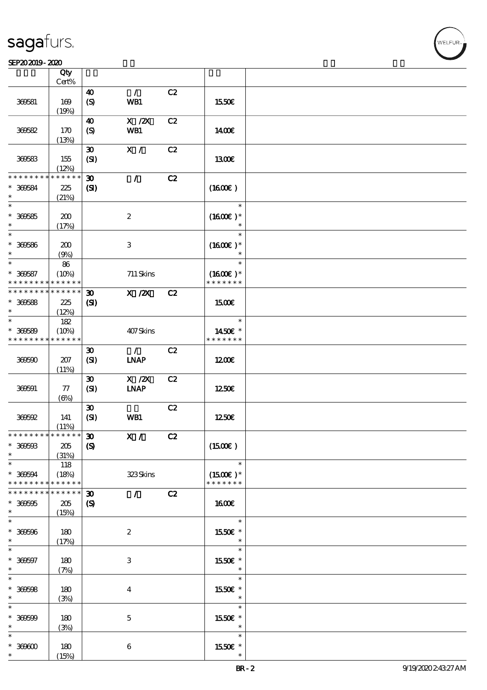#### SEP202019-2020

|                               | Qty<br>$Cert\%$      |                                           |                              |    |                             |  |
|-------------------------------|----------------------|-------------------------------------------|------------------------------|----|-----------------------------|--|
|                               |                      |                                           |                              |    |                             |  |
| 369581                        | 169<br>(19%)         | $\boldsymbol{\omega}$<br>$\boldsymbol{S}$ | $\mathcal{L}$<br>WB1         | C2 | 1550€                       |  |
|                               |                      | $\boldsymbol{\omega}$                     | $X$ / $ZX$                   | C2 |                             |  |
| 366582                        | 170<br>(13%)         | (S)                                       | WB1                          |    | <b>140€</b>                 |  |
|                               |                      | $\boldsymbol{\mathfrak{D}}$               | X /                          | C2 |                             |  |
| 36683                         | 155<br>(12%)         | (SI)                                      |                              |    | 1300E                       |  |
| * * * * * * * *               | * * * * * *          | $\boldsymbol{\mathfrak{D}}$               | $\mathcal{L}$                | C2 |                             |  |
| * 369584<br>$\ast$            | 225<br>(21%)         | (S)                                       |                              |    | $(1600\varepsilon)$         |  |
| $\ast$                        |                      |                                           |                              |    | $\ast$                      |  |
| $* 300585$<br>$\ast$          | 200<br>(17%)         |                                           | $\boldsymbol{2}$             |    | $(1600E)*$<br>$\ast$        |  |
| $\ast$                        |                      |                                           |                              |    | $\ast$                      |  |
| $* 300586$<br>$\ast$          | 200<br>(9%)          |                                           | $\,3\,$                      |    | $(1600E)*$<br>$\ast$        |  |
| $\ast$                        | 86                   |                                           |                              |    | $\ast$                      |  |
| $* 300587$<br>* * * * * * * * | (10%)<br>* * * * * * |                                           | 711 Skins                    |    | $(1600E)*$<br>* * * * * * * |  |
| * * * * * * * * * * * * * *   |                      | $\boldsymbol{\mathfrak{D}}$               | $X$ / $ZX$                   | C2 |                             |  |
| $* 300588$                    | 225                  | (S)                                       |                              |    | 1500€                       |  |
| $\ast$                        | (12%)                |                                           |                              |    |                             |  |
| $\ast$                        | 182                  |                                           |                              |    | $\ast$                      |  |
| $* 366589$                    | (10%)                |                                           | 407Skins                     |    | 1450€ *                     |  |
| * * * * * * * * * * * * * *   |                      |                                           |                              |    | * * * * * * *               |  |
| 36660                         | 207                  | $\boldsymbol{\mathfrak{D}}$<br>(SI)       | $\mathcal{L}$<br><b>INAP</b> | C2 | 1200                        |  |
|                               | (11%)                |                                           |                              |    |                             |  |
|                               |                      | $\boldsymbol{\mathfrak{D}}$               | $X \, /ZX$                   | C2 |                             |  |
| 366691                        | 77<br>$(\Theta)$     | (SI)                                      | <b>INAP</b>                  |    | 1250E                       |  |
|                               |                      | $\boldsymbol{\mathfrak{D}}$               |                              | C2 |                             |  |
| 366692                        | 141                  | (SI)                                      | WB1                          |    | 1250E                       |  |
|                               | (11%)                |                                           |                              |    |                             |  |
| * * * * * * * * * * * * * * * |                      | $\boldsymbol{\mathfrak{D}}$               | X /                          | C2 |                             |  |
| $* 30000$                     | 205                  | $\boldsymbol{S}$                          |                              |    | (1500E)                     |  |
| $\ast$                        | (31%)                |                                           |                              |    |                             |  |
| $\ast$<br>$* 366694$          | 118<br>(18%)         |                                           | 323Skins                     |    | $\ast$<br>$(1500E)*$        |  |
| * * * * * * * *               | * * * * * *          |                                           |                              |    | * * * * * * *               |  |
| * * * * * * * *               | * * * * * *          | $\boldsymbol{\mathfrak{D}}$               | $\mathcal{L}$                | C2 |                             |  |
| $* 300005$                    | 205                  | $\boldsymbol{\mathrm{(S)}}$               |                              |    | <b>1600€</b>                |  |
| $\ast$                        | (15%)                |                                           |                              |    |                             |  |
| $\ast$                        |                      |                                           |                              |    | $\ast$                      |  |
| $* 30000$<br>$\ast$           | $180$<br>(17%)       |                                           | $\boldsymbol{2}$             |    | 1550€ *<br>$\ast$           |  |
| $\ast$                        |                      |                                           |                              |    | $\ast$                      |  |
| $* 30007$                     | 180                  |                                           | $\,3\,$                      |    | 1550E *                     |  |
| $\ast$<br>$\ast$              | (7%)                 |                                           |                              |    | $\ast$                      |  |
|                               |                      |                                           |                              |    | $\ast$                      |  |
| $* 30008$<br>$\ast$           | 180<br>(3%)          |                                           | $\boldsymbol{4}$             |    | 1550E *<br>$\ast$           |  |
| $\ast$                        |                      |                                           |                              |    | $\ast$                      |  |
| $* 30000$                     | 180                  |                                           | $\mathbf 5$                  |    | 1550€ *                     |  |
| $\ast$                        | (3%)                 |                                           |                              |    | $\ast$                      |  |
| $\ast$                        |                      |                                           |                              |    | $\ast$                      |  |
| $*$ 369600                    | 180                  |                                           | $\bf 6$                      |    | 1550E *                     |  |
| $\ast$                        | (15%)                |                                           |                              |    | $\ast$                      |  |

**VELFUR**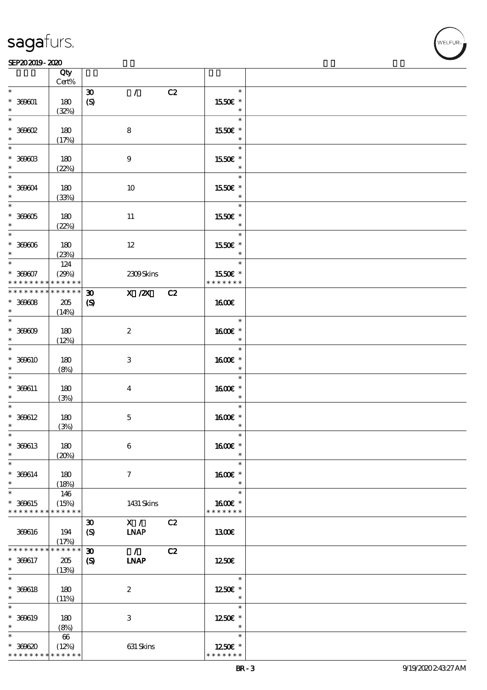\* \* \* \* \* \* \* \* \* \* \* \*

|                                 | Qty<br>Cert%         |                             |                          |    |                          |  |
|---------------------------------|----------------------|-----------------------------|--------------------------|----|--------------------------|--|
| $\ast$                          |                      | $\boldsymbol{\mathfrak{D}}$ | $\mathcal{L}$            | C2 | $\ast$                   |  |
| $* 30001$                       | 180<br>(32%)         | $\boldsymbol{S}$            |                          |    | 1550E *<br>$\ast$        |  |
| $\ast$<br>$*369602$             | 180                  |                             | 8                        |    | $\ast$<br>1550€ *        |  |
|                                 | (17%)                |                             |                          |    | $\ast$                   |  |
| $\overline{\ast}$<br>$*$ 369603 | 180                  |                             | $\boldsymbol{9}$         |    | $\ast$<br>1550E *        |  |
| $\ast$<br>$\ast$                | (22%)                |                             |                          |    | $\ast$<br>$\ast$         |  |
| $* 360004$                      | 180                  |                             | 10                       |    | 1550€ *                  |  |
| $\ast$<br>$\overline{\ast}$     | (33%)                |                             |                          |    | $\ast$<br>$\ast$         |  |
| $* 30005$                       | 180                  |                             | 11                       |    | 1550E *                  |  |
| $\ast$<br>$*$                   | (22%)                |                             |                          |    | $\ast$<br>$\ast$         |  |
| $* 30000$<br>$\ast$             | 180<br>(23%)         |                             | 12                       |    | 1550E *<br>$\ast$        |  |
| $\ast$                          | 124                  |                             |                          |    | $\ast$                   |  |
| $* 30007$<br>* * * * * * * *    | (29%)<br>* * * * * * |                             | 2309Skins                |    | 1550E *<br>* * * * * * * |  |
| * * * * * * * *                 | ******               | $\boldsymbol{\mathfrak{D}}$ | $X$ / $ZX$               | C2 |                          |  |
| $* 30008$<br>$\ast$             | 205<br>(14%)         | $\boldsymbol{\mathcal{S}}$  |                          |    | <b>160€</b>              |  |
| $\overline{\ast}$               |                      |                             |                          |    | $\ast$                   |  |
| $* 30000$<br>$\ast$             | 180<br>(12%)         |                             | $\boldsymbol{2}$         |    | 1600E *<br>$\ast$        |  |
| $\ast$<br>$* 360610$            | 180                  |                             | $\,3$                    |    | $\ast$<br>1600 *         |  |
| $\ast$                          | (8%)                 |                             |                          |    | $\ast$                   |  |
| $\ast$<br>$* 360611$            | 180                  |                             | $\boldsymbol{4}$         |    | $\ast$<br>1600 £*        |  |
| $\ast$<br>$\ast$                | (3%)                 |                             |                          |    | $\ast$<br>$\ast$         |  |
| $* 360612$                      | 180                  |                             | $\mathbf 5$              |    | 1600 *                   |  |
| $\ast$<br>$\ast$                | (3%)                 |                             |                          |    | $\ast$<br>$\ast$         |  |
| * 360613                        | 180                  |                             | 6                        |    | 1600€ *                  |  |
| $\ast$<br>$\ast$                | (20%)                |                             |                          |    | $\ast$<br>$\ast$         |  |
| $* 360614$                      | 180                  |                             | 7                        |    | 1600E *                  |  |
| $\ast$<br>$\ast$                | (18%)<br>146         |                             |                          |    | $\ast$<br>$\ast$         |  |
| * 369615<br>* * * * * * * *     | (15%)<br>* * * * * * |                             | 1431 Skins               |    | 1600E *<br>* * * * * * * |  |
|                                 |                      | $\boldsymbol{\mathfrak{D}}$ | X /                      | C2 |                          |  |
| 369616                          | 194<br>(17%)         | $\boldsymbol{S}$            | <b>INAP</b>              |    | <b>1300€</b>             |  |
| * * * * * * * *                 | $* * * * * *$        | $\boldsymbol{\mathfrak{D}}$ | $\overline{\phantom{a}}$ | C2 |                          |  |
| * 369617<br>$\ast$              | 205<br>(13%)         | $\boldsymbol{\mathcal{S}}$  | <b>INAP</b>              |    | 1250E                    |  |
| $\ast$<br>$* 360618$            | 180                  |                             | $\boldsymbol{2}$         |    | $\ast$<br>1250E *        |  |
| $\ast$                          | (11%)                |                             |                          |    | $\ast$                   |  |
| $\ast$<br>* 369619              | 180                  |                             | 3                        |    | $\ast$<br>1250€ *        |  |
| $\ast$                          | (8%)                 |                             |                          |    | $\ast$                   |  |
| $\ast$<br>$*36620$              | 66<br>(12%)          |                             | 631 Skins                |    | $\ast$<br>1250E *        |  |

\* \* \* \* \* \*

WELFUR<br>
VELFUR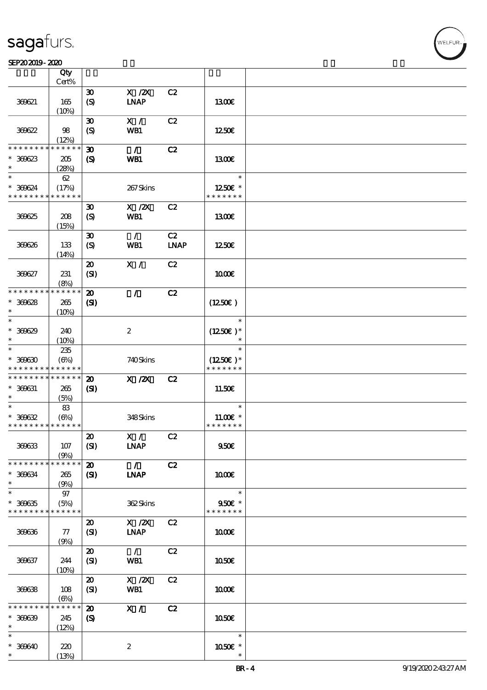$\top$ 

#### SEP202019-2020 UNIVERSITY OF THE CONTROL OF THE CONTROL OF THE CONTROL OF THE CONTROL OF THE CONTROL OF THE CO

|                                            | Qty<br>Cert%              |                             |                  |             |                          |  |
|--------------------------------------------|---------------------------|-----------------------------|------------------|-------------|--------------------------|--|
|                                            |                           |                             |                  |             |                          |  |
|                                            |                           | $\boldsymbol{\mathfrak{D}}$ | $X$ / $ZX$       | C2          |                          |  |
| 369621                                     | 165                       | (S)                         | <b>INAP</b>      |             | 1300E                    |  |
|                                            | (10%)                     |                             |                  |             |                          |  |
|                                            |                           | $\boldsymbol{\mathfrak{D}}$ | X /              | C2          |                          |  |
| 36622                                      | 98                        | (S)                         | WB1              |             | 1250                     |  |
|                                            | (12%)                     |                             |                  |             |                          |  |
| * * * * * * * *                            | * * * * * *               | 30                          | $\mathcal{L}$    | C2          |                          |  |
| $* 300623$<br>$\ast$                       | 205                       | $\boldsymbol{\mathcal{S}}$  | <b>WB1</b>       |             | 1300E                    |  |
| $\ast$                                     | (28%)                     |                             |                  |             |                          |  |
|                                            | 62                        |                             |                  |             | $\ast$                   |  |
| $* 36624$<br>* * * * * * * *               | (17%)<br>* * * * * *      |                             | 267Skins         |             | 1250E *<br>* * * * * * * |  |
|                                            |                           |                             |                  |             |                          |  |
|                                            |                           | $\boldsymbol{\mathfrak{D}}$ | $X$ / $ZX$       | C2          |                          |  |
| 36625                                      | 208                       | $\boldsymbol{S}$            | WB1              |             | 1300E                    |  |
|                                            | (15%)                     |                             |                  |             |                          |  |
|                                            |                           | $\boldsymbol{\mathfrak{D}}$ | $\mathcal{L}$    | C2          |                          |  |
| 36626                                      | 133                       | $\boldsymbol{S}$            | WB1              | <b>LNAP</b> | 1250E                    |  |
|                                            | (14%)                     |                             |                  |             |                          |  |
| 36627                                      | 231                       | $\boldsymbol{\mathfrak{D}}$ | X /              | C2          |                          |  |
|                                            | (8%)                      | (SI)                        |                  |             | 1000E                    |  |
| * * * * * * * *                            | * * * * * *               | $\boldsymbol{\mathbf{z}}$   | $\mathcal{L}$    | C2          |                          |  |
| $* 30028$                                  | 265                       | (S)                         |                  |             | $(1250\varepsilon)$      |  |
| $\ast$                                     | (10%)                     |                             |                  |             |                          |  |
| $\ast$                                     |                           |                             |                  |             | $\ast$                   |  |
| $* 300029$                                 | 240                       |                             | $\boldsymbol{2}$ |             | $(1250\epsilon)*$        |  |
| $\ast$                                     | (10%)                     |                             |                  |             | $\ast$                   |  |
| $\ast$                                     | 235                       |                             |                  |             | $\ast$                   |  |
| $* 30000$                                  | $(\Theta)$                |                             | 740Skins         |             | $(1250E)^*$              |  |
| * * * * * * * * <mark>* * * * * *</mark>   |                           |                             |                  |             | * * * * * * *            |  |
| * * * * * * * *                            | * * * * * *               | $\boldsymbol{\mathbf{z}}$   | $X$ / $ZX$       | C2          |                          |  |
| $* 369631$                                 | 265                       | $\mathbf{C}$                |                  |             | 11.50€                   |  |
| $\ast$                                     | (5%)                      |                             |                  |             |                          |  |
| $\ast$                                     | 83                        |                             |                  |             | $\ast$                   |  |
| $* 300632$                                 | (6%)                      |                             | 348Skins         |             | $11.00E$ *               |  |
| * * * * * * * * * * * * * *                |                           |                             |                  |             | * * * * * * *            |  |
|                                            |                           | $\pmb{\mathcal{Z}}$         | X /              | C2          |                          |  |
| 36633                                      | 107                       | (SI)                        | <b>LNAP</b>      |             | 950E                     |  |
|                                            | (9%)                      |                             |                  |             |                          |  |
| * * * * * * * *                            | * * * * * *               | $\boldsymbol{\mathbf{z}}$   | $\mathcal{L}$    | C2          |                          |  |
| $* 300634$                                 | 265                       | (S)                         | <b>INAP</b>      |             | 1000E                    |  |
| $\ast$                                     | (9%)                      |                             |                  |             |                          |  |
| $\ast$                                     | $97\,$                    |                             |                  |             | $\ast$                   |  |
| $* 30035$                                  | (5%)                      |                             | 362Skins         |             | 950€ *                   |  |
| * * * * * * * * <mark>* * * * * * *</mark> |                           |                             |                  |             | * * * * * * *            |  |
|                                            |                           | $\boldsymbol{\mathfrak{D}}$ | $X$ / $ZX$       | C2          |                          |  |
| 36636                                      | 77                        | (SI)                        | <b>INAP</b>      |             | 1000E                    |  |
|                                            | (9%)                      |                             |                  |             |                          |  |
|                                            |                           | $\boldsymbol{\mathfrak{D}}$ | $\mathcal{L}$    | C2          |                          |  |
| 369637                                     | 244                       | (SI)                        | WB1              |             | 1050E                    |  |
|                                            | (10%)                     |                             |                  |             |                          |  |
|                                            |                           | $\boldsymbol{\mathsf{20}}$  | $X$ / $ZX$       | C2          |                          |  |
| 36638                                      | 108                       | (SI)                        | WB1              |             | 1000E                    |  |
|                                            | $(\Theta)$<br>* * * * * * |                             |                  |             |                          |  |
| $* * * * * * *$                            |                           | $\boldsymbol{\mathbf{z}}$   | X /              | C2          |                          |  |
| $* 300009$<br>$\ast$                       | 245                       | $\boldsymbol{\mathcal{S}}$  |                  |             | 1050€                    |  |
| $\ast$                                     | (12%)                     |                             |                  |             | $\ast$                   |  |
|                                            |                           |                             |                  |             |                          |  |
| $* 300640$<br>$\ast$                       | 220                       |                             | $\boldsymbol{z}$ |             | 1050 £*<br>$\ast$        |  |
|                                            | (13%)                     |                             |                  |             |                          |  |

 $\overline{\mathbf{r}}$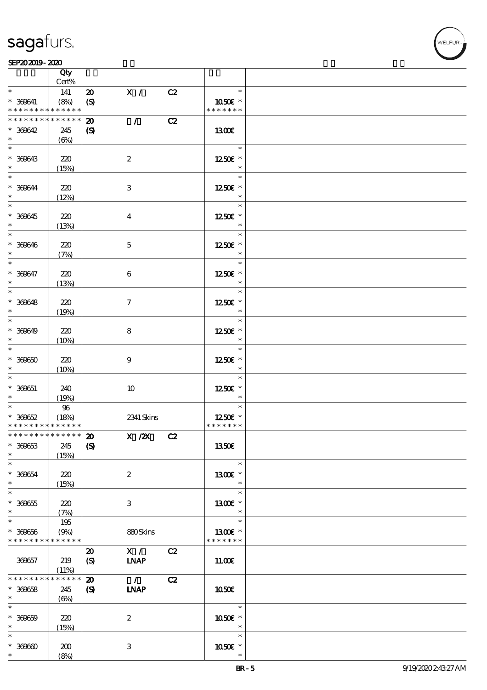#### SEP202019-2020 UNIVERSITY OF THE CONTROL OF THE CONTROL OF THE CONTROL OF THE CONTROL OF THE CONTROL OF THE CO

|                                            | Qty<br>Cert% |                             |                  |    |                   |  |
|--------------------------------------------|--------------|-----------------------------|------------------|----|-------------------|--|
| $\ast$                                     |              |                             | X /              | C2 | $\ast$            |  |
|                                            | 141          | $\boldsymbol{\mathfrak{D}}$ |                  |    |                   |  |
| $* 360641$                                 | (8%)         | $\boldsymbol{\mathrm{(S)}}$ |                  |    | 1050€ *           |  |
| * * * * * * * *                            | * * * * * *  |                             |                  |    | * * * * * * *     |  |
| * * * * * * * *                            | * * * * * *  | $\boldsymbol{\mathbf{z}}$   | $\mathcal{L}$    | C2 |                   |  |
| $* 300642$                                 | 245          | $\boldsymbol{S}$            |                  |    | 1300E             |  |
| $\ast$                                     | $(\Theta)$   |                             |                  |    |                   |  |
|                                            |              |                             |                  |    | $\ast$            |  |
| * 360643                                   | 220          |                             | $\boldsymbol{2}$ |    | 1250E *           |  |
| $\ast$                                     | (15%)        |                             |                  |    | $\ast$            |  |
| $\overline{\mathbf{r}}$                    |              |                             |                  |    | $\ast$            |  |
| * 360644                                   | 220          |                             | 3                |    | 1250E *           |  |
| $\ast$                                     | (12%)        |                             |                  |    | $\ast$            |  |
| $\overline{\phantom{0}}$                   |              |                             |                  |    | $\ast$            |  |
|                                            |              |                             |                  |    |                   |  |
| $* 300645$                                 | 220          |                             | $\boldsymbol{4}$ |    | 1250E *           |  |
| $\ast$                                     | (13%)        |                             |                  |    | $\ast$            |  |
| $*$                                        |              |                             |                  |    | $\ast$            |  |
| $* 366646$                                 | 220          |                             | $\mathbf 5$      |    | 1250E *           |  |
| $\ast$                                     | (7%)         |                             |                  |    | $\ast$            |  |
| $\overline{\ast}$                          |              |                             |                  |    | $\ast$            |  |
| $* 300647$                                 | 220          |                             | $\boldsymbol{6}$ |    | 1250E *           |  |
| $\ast$                                     | (13%)        |                             |                  |    | $\ast$            |  |
|                                            |              |                             |                  |    | $\ast$            |  |
| $* 36648$                                  | 220          |                             | $\tau$           |    | 1250E *           |  |
| $\ast$                                     | (19%)        |                             |                  |    | $\ast$            |  |
| $\overline{\phantom{0}}$                   |              |                             |                  |    | $\ast$            |  |
| $* 300649$                                 |              |                             |                  |    |                   |  |
| $\ast$                                     | 220          |                             | 8                |    | 1250E *<br>$\ast$ |  |
| $\overline{\phantom{0}}$                   | (10%)        |                             |                  |    |                   |  |
|                                            |              |                             |                  |    | $\ast$            |  |
| $* 30000$                                  | 220          |                             | $\boldsymbol{9}$ |    | 1250E *           |  |
| $\ast$                                     | (10%)        |                             |                  |    | $\ast$            |  |
| $\ast$                                     |              |                             |                  |    | $\ast$            |  |
| $* 300051$                                 | 240          |                             | 10               |    | 1250E *           |  |
| $\ast$                                     | (19%)        |                             |                  |    | $\ast$            |  |
| $\overline{\phantom{0}}$                   | $96\,$       |                             |                  |    | $\ast$            |  |
| $* 30062$                                  | (18%)        |                             | 2341 Skins       |    | 1250E *           |  |
| * * * * * * * * <mark>* * * * * * *</mark> |              |                             |                  |    | * * * * * * *     |  |
| ************** 20                          |              |                             | X /2X C2         |    |                   |  |
| $* 300653$                                 | 245          | $\boldsymbol{\mathrm{(S)}}$ |                  |    | 1350E             |  |
| $\ast$                                     | (15%)        |                             |                  |    |                   |  |
| $\ast$                                     |              |                             |                  |    | $\ast$            |  |
| $* 30054$                                  | 220          |                             | $\boldsymbol{2}$ |    | 1300E *           |  |
| $\ast$                                     |              |                             |                  |    | $\ast$            |  |
| $\overline{\ast}$                          | (15%)        |                             |                  |    | $\ast$            |  |
|                                            |              |                             |                  |    |                   |  |
| $* 300055$                                 | 220          |                             | 3                |    | 1300E *           |  |
| $\ast$                                     | (7%)         |                             |                  |    | $\ast$            |  |
| $\ast$                                     | 195          |                             |                  |    | $\ast$            |  |
| $* 369656$                                 | (9%)         |                             | 880Skins         |    | 1300€ *           |  |
| * * * * * * * *                            | * * * * * *  |                             |                  |    | * * * * * * *     |  |
|                                            |              | $\boldsymbol{\mathfrak{D}}$ | $X / \sqrt{2}$   | C2 |                   |  |
| 369657                                     | 219          | $\boldsymbol{S}$            | <b>INAP</b>      |    | 11.00E            |  |
|                                            | (11%)        |                             |                  |    |                   |  |
| * * * * * * * *                            | $******$     | $\boldsymbol{\mathfrak{D}}$ | $\mathcal{L}$    | C2 |                   |  |
| $* 300658$                                 | 245          | $\boldsymbol{S}$            | <b>INAP</b>      |    | 1050E             |  |
| $\ast$                                     | $(\Theta)$   |                             |                  |    |                   |  |
| $\ast$                                     |              |                             |                  |    | $\ast$            |  |
| $* 30000$                                  | 220          |                             | $\boldsymbol{2}$ |    | 1050€ *           |  |
| $\ast$                                     |              |                             |                  |    | $\ast$            |  |
| $\ast$                                     | (15%)        |                             |                  |    |                   |  |
|                                            |              |                             |                  |    | $\ast$            |  |
| $* 30000$                                  | 200          |                             | 3                |    | 1050E *           |  |
| $\ast$                                     | (8%)         |                             |                  |    |                   |  |

**NELFUR**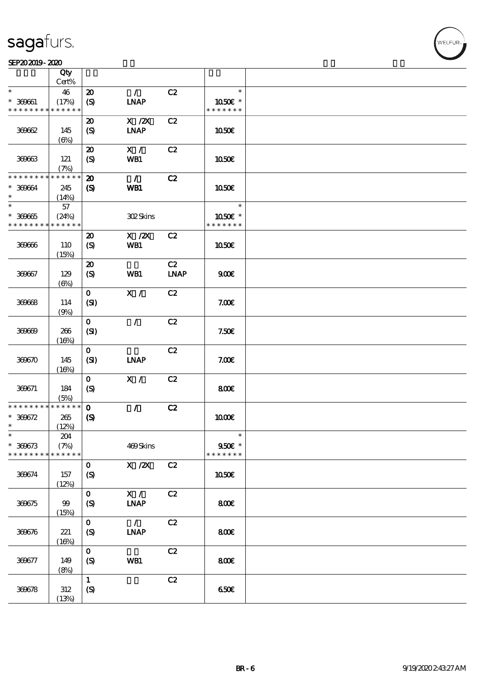#### SEP202019-2020

|                               | Qty                  |                             |                |             |                          |  |
|-------------------------------|----------------------|-----------------------------|----------------|-------------|--------------------------|--|
|                               | Cert%                |                             |                |             | $\ast$                   |  |
| $\ast$                        | 46                   | $\boldsymbol{\mathfrak{D}}$ | $\mathcal{L}$  | C2          |                          |  |
| $* 369661$<br>* * * * * * * * | (17%)<br>* * * * * * | (S)                         | <b>INAP</b>    |             | 1050E *<br>* * * * * * * |  |
|                               |                      | $\boldsymbol{\mathfrak{D}}$ | $X$ / $ZX$     | C2          |                          |  |
| 36062                         | 145                  | (S)                         | <b>LNAP</b>    |             | 1050E                    |  |
|                               | $(\Theta)$           |                             |                |             |                          |  |
|                               |                      | $\boldsymbol{\mathbf{z}}$   | X /            | C2          |                          |  |
| 36063                         | 121                  | $\boldsymbol{S}$            | WB1            |             | 1050E                    |  |
|                               | (7%)                 |                             |                |             |                          |  |
| * * * * * * * *               | * * * * * *          | $\boldsymbol{\mathfrak{D}}$ | $\mathcal{L}$  | C2          |                          |  |
| $* 30064$                     | 245                  | $\boldsymbol{\mathrm{(S)}}$ | WB1            |             | 1050E                    |  |
| $\ast$                        | (14%)                |                             |                |             |                          |  |
| $\ast$                        | 57                   |                             |                |             | $\ast$                   |  |
| $* 30005$                     | (24%)                |                             | 302Skins       |             | 1050E *                  |  |
| * * * * * * * *               | * * * * * *          |                             |                |             | * * * * * * *            |  |
|                               |                      | $\boldsymbol{\mathbf{z}}$   | $X$ / $ZX$     | C2          |                          |  |
| 36066                         | 110                  | $\boldsymbol{S}$            | WB1            |             | 1050E                    |  |
|                               | (15%)                |                             |                |             |                          |  |
|                               |                      | $\boldsymbol{\mathbf{z}}$   |                | C2          |                          |  |
| 360657                        | 129                  | (S)                         | WB1            | <b>LNAP</b> | 900E                     |  |
|                               | $(\Theta)$           |                             |                |             |                          |  |
|                               |                      | $\mathbf{O}$                | $\mathbf{X}$ / | C2          |                          |  |
| 36068                         | 114                  | (SI)                        |                |             | 7.00E                    |  |
|                               | (9%)                 | $\mathbf{o}$                | $\mathcal{L}$  | C2          |                          |  |
| 36069                         | 266                  | (SI)                        |                |             | 7.50E                    |  |
|                               | (16%)                |                             |                |             |                          |  |
|                               |                      | $\mathbf{O}$                |                | C2          |                          |  |
| 369670                        | 145                  | (SI)                        | <b>LNAP</b>    |             | 7.00E                    |  |
|                               | (16%)                |                             |                |             |                          |  |
|                               |                      | $\mathbf{O}$                | X /            | C2          |                          |  |
| 369671                        | 184                  | $\boldsymbol{S}$            |                |             | 800E                     |  |
|                               | (5%)                 |                             |                |             |                          |  |
| * * * * * * * *               | ******               | $\mathbf{o}$                | $\mathcal{L}$  | C2          |                          |  |
| $* 300672$                    | 265                  | $\boldsymbol{\mathrm{(S)}}$ |                |             | 1000E                    |  |
| $\ast$                        | (12%)                |                             |                |             |                          |  |
| $\ast$                        | $204\,$              |                             |                |             | $\ast$                   |  |
| $* 300673$<br>* * * * * * * * | (7%)<br>* * * * * *  |                             | 469Skins       |             | 950€ *<br>* * * * * * *  |  |
|                               |                      | $\mathbf{O}$                | $X$ / $ZX$     | C2          |                          |  |
| 369674                        | 157                  | $\boldsymbol{S}$            |                |             | 1050E                    |  |
|                               | (12%)                |                             |                |             |                          |  |
|                               |                      | $\mathbf{o}$                | X /            | C2          |                          |  |
| 369675                        | 99                   | (S)                         | $INAP$         |             | 800€                     |  |
|                               | (15%)                |                             |                |             |                          |  |
|                               |                      | $\mathbf{o}$                | $\mathcal{F}$  | C2          |                          |  |
| 369676                        | 221                  | (S)                         | <b>LNAP</b>    |             | 800€                     |  |
|                               | (16%)                |                             |                |             |                          |  |
|                               |                      | $\mathbf{o}$                |                | C2          |                          |  |
| 369677                        | 149                  | $\boldsymbol{S}$            | WB1            |             | 800                      |  |
|                               | (8%)                 |                             |                |             |                          |  |
|                               |                      | $\mathbf{1}$                |                | C2          |                          |  |
| 369678                        | $312\,$              | (S)                         |                |             | 650€                     |  |
|                               | (13%)                |                             |                |             |                          |  |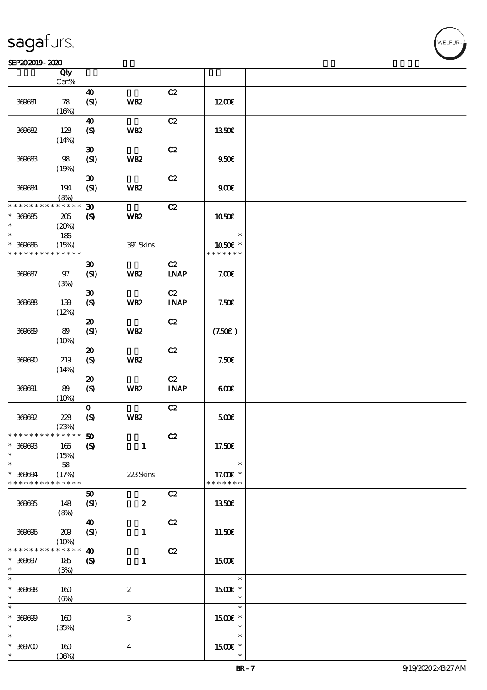$\top$ 

#### SEP202019-2020 USD 2020 USD 2020 USD 2020 USD 2020 USD 2020 USD 2020 USD 2020 USD 2020 USD 2020 USD 2020 USD 2

|                                            | Qty<br>$Cert\%$ |                             |                           |             |               |  |
|--------------------------------------------|-----------------|-----------------------------|---------------------------|-------------|---------------|--|
|                                            |                 |                             |                           |             |               |  |
|                                            |                 | 40                          |                           | C2          |               |  |
| 360681                                     | 78              | (S)                         | WB <sub>2</sub>           |             | 1200E         |  |
|                                            | (16%)           |                             |                           |             |               |  |
|                                            |                 | 40                          |                           | C2          |               |  |
| 360682                                     | 128             | (S)                         | WB <sub>2</sub>           |             | 1350€         |  |
|                                            |                 |                             |                           |             |               |  |
|                                            | (14%)           |                             |                           |             |               |  |
|                                            |                 | $\boldsymbol{\mathfrak{D}}$ |                           | C2          |               |  |
| 360683                                     | 98              | (SI)                        | <b>WB2</b>                |             | 950E          |  |
|                                            | (19%)           |                             |                           |             |               |  |
|                                            |                 | $\boldsymbol{\mathfrak{D}}$ |                           | C2          |               |  |
| 360684                                     | 194             | (SI)                        | WB <sub>2</sub>           |             | 900E          |  |
|                                            | (8%)            |                             |                           |             |               |  |
| * * * * * * * * <mark>* * * * * * *</mark> |                 |                             |                           |             |               |  |
|                                            |                 | $\boldsymbol{\mathfrak{D}}$ |                           | C2          |               |  |
| $* 300005$                                 | 205             | $\boldsymbol{\mathrm{(S)}}$ | WB <sub>2</sub>           |             | 1050E         |  |
| $\ast$                                     | (20%)           |                             |                           |             |               |  |
| $\ast$                                     | 186             |                             |                           |             | $\ast$        |  |
| $* 30000$                                  | (15%)           |                             | 391 Skins                 |             | 1050E *       |  |
| * * * * * * * *                            | * * * * * *     |                             |                           |             | * * * * * * * |  |
|                                            |                 | $\boldsymbol{\mathfrak{D}}$ |                           | C2          |               |  |
|                                            |                 |                             |                           |             |               |  |
| 360687                                     | $97$            | (SI)                        | WB <sub>2</sub>           | <b>LNAP</b> | 7.00E         |  |
|                                            | (3%)            |                             |                           |             |               |  |
|                                            |                 | $\boldsymbol{\mathfrak{D}}$ |                           | C2          |               |  |
| 360688                                     | 139             | (S)                         | WB <sub>2</sub>           | <b>LNAP</b> | 7.50E         |  |
|                                            | (12%)           |                             |                           |             |               |  |
|                                            |                 | $\boldsymbol{\mathfrak{D}}$ |                           | C2          |               |  |
| 36689                                      | 89              | (SI)                        | <b>WB2</b>                |             | (7.50)        |  |
|                                            |                 |                             |                           |             |               |  |
|                                            | (10%)           |                             |                           |             |               |  |
|                                            |                 | $\boldsymbol{\mathfrak{D}}$ |                           | C2          |               |  |
| 360600                                     | 219             | (S)                         | WB <sub>2</sub>           |             | 7.50E         |  |
|                                            | (14%)           |                             |                           |             |               |  |
|                                            |                 | $\boldsymbol{\mathsf{20}}$  |                           | C2          |               |  |
| 360691                                     | 89              | (S)                         | WB <sub>2</sub>           | <b>LNAP</b> | 60E           |  |
|                                            | (10%)           |                             |                           |             |               |  |
|                                            |                 | $\mathbf{o}$                |                           | C2          |               |  |
| 360692                                     |                 |                             |                           |             |               |  |
|                                            | 228             | $\boldsymbol{S}$            | WB <sub>2</sub>           |             | 500€          |  |
|                                            | (23%)           |                             |                           |             |               |  |
| * * * * * * * * * * * * * * *              |                 | ${\bf 50}$                  |                           | C2          |               |  |
| $* 300003$                                 | 165             | $\boldsymbol{\mathrm{(S)}}$ | $\mathbf{1}$              |             | 17.50€        |  |
| $\ast$                                     | (15%)           |                             |                           |             |               |  |
| $\ast$                                     | 58              |                             |                           |             | $\ast$        |  |
| * 369694                                   | (17%)           |                             | 223Skins                  |             | 17.00 £*      |  |
| * * * * * * * *                            | * * * * * *     |                             |                           |             | * * * * * * * |  |
|                                            |                 | 50                          |                           | C2          |               |  |
|                                            |                 |                             |                           |             |               |  |
| 360605                                     | 148             | (SI)                        | $\boldsymbol{z}$          |             | <b>1350€</b>  |  |
|                                            | (8%)            |                             |                           |             |               |  |
|                                            |                 | $\boldsymbol{40}$           |                           | C2          |               |  |
| 369696                                     | 209             | (SI)                        | $\mathbf{1}$              |             | 11.50€        |  |
|                                            | (10%)           |                             |                           |             |               |  |
| * * * * * * * *                            | $* * * * * *$   | $\boldsymbol{\omega}$       |                           | C2          |               |  |
| $* 300007$                                 | $185\,$         | $\boldsymbol{\mathrm{(S)}}$ | $\mathbf{1}$              |             | <b>1500€</b>  |  |
| $\ast$                                     | (3%)            |                             |                           |             |               |  |
| $\ast$                                     |                 |                             |                           |             | $\ast$        |  |
|                                            |                 |                             |                           |             |               |  |
| $* 30008$                                  | 160             |                             | $\boldsymbol{2}$          |             | 1500€ *       |  |
| $\ast$                                     | $(\Theta)$      |                             |                           |             | $\ast$        |  |
| $\ast$                                     |                 |                             |                           |             | $\ast$        |  |
| $* 30000$                                  | 160             |                             | $\ensuremath{\mathbf{3}}$ |             | 1500E *       |  |
| $\ast$                                     | (35%)           |                             |                           |             | $\ast$        |  |
| $\ast$                                     |                 |                             |                           |             | $\ast$        |  |
| $* 30000$                                  | 160             |                             | $\boldsymbol{4}$          |             | 1500E *       |  |
| $\ast$                                     | (36%)           |                             |                           |             |               |  |
|                                            |                 |                             |                           |             |               |  |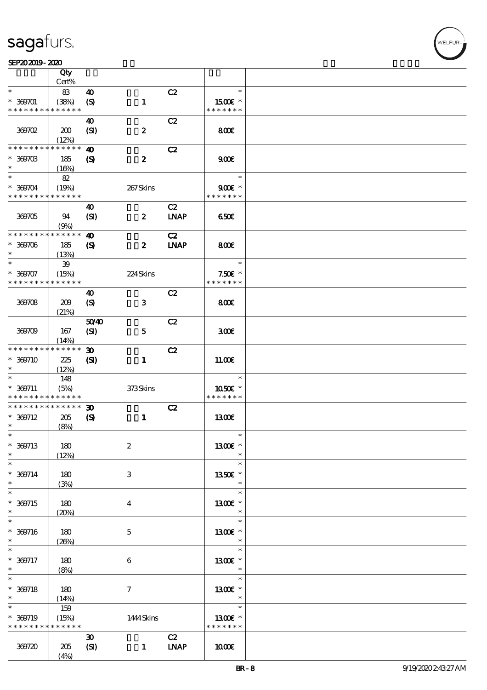#### SEP202019-2020

|                                            | Qty                 |                             |                  |                              |                           |  |
|--------------------------------------------|---------------------|-----------------------------|------------------|------------------------------|---------------------------|--|
|                                            | Cert%               |                             |                  |                              |                           |  |
| $\ast$                                     | 83                  | $\boldsymbol{\omega}$       |                  | C2                           | $\ast$                    |  |
| $* 369701$                                 | (38%)               | $\boldsymbol{S}$            | $\mathbf{1}$     |                              | 1500E *                   |  |
| * * * * * * * *                            | * * * * * *         |                             |                  |                              | * * * * * * *             |  |
|                                            |                     | 40                          |                  | C2                           |                           |  |
| 369702                                     | 200                 | (SI)                        | $\pmb{2}$        |                              | 800E                      |  |
|                                            | (12%)               |                             |                  |                              |                           |  |
| * * * * * * * *                            | * * * * * *         | $\boldsymbol{\omega}$       |                  | C2                           |                           |  |
| $* 30070B$<br>$\ast$                       | 185                 | $\boldsymbol{\mathcal{S}}$  | $\boldsymbol{z}$ |                              | 900E                      |  |
| $\ast$                                     | (16%)               |                             |                  |                              |                           |  |
|                                            | 82                  |                             |                  |                              | $\ast$                    |  |
| $* 369704$<br>* * * * * * * * * * * * * *  | (19%)               |                             | 267Skins         |                              | $900E$ *<br>* * * * * * * |  |
|                                            |                     |                             |                  |                              |                           |  |
|                                            |                     | 40                          |                  | C2                           |                           |  |
| 369705                                     | 94                  | (SI)                        | $\boldsymbol{z}$ | $\ensuremath{\mathbf{INAP}}$ | 650                       |  |
| * * * * * * * *                            | (9%)<br>* * * * * * | $\boldsymbol{\omega}$       |                  | C2                           |                           |  |
| $* 30000$                                  | 185                 |                             | $\boldsymbol{z}$ | <b>INAP</b>                  | 800                       |  |
| $\ast$                                     | (13%)               | $\boldsymbol{\mathcal{S}}$  |                  |                              |                           |  |
| $\ast$                                     | 39                  |                             |                  |                              | $\ast$                    |  |
| $* 30007$                                  | (15%)               |                             | 224Skins         |                              | $7.50E$ *                 |  |
| * * * * * * * *                            | * * * * * *         |                             |                  |                              | * * * * * * *             |  |
|                                            |                     | 40                          |                  | C2                           |                           |  |
| 369708                                     | 209                 | $\boldsymbol{S}$            | $\mathbf{3}$     |                              | 800                       |  |
|                                            | (21%)               |                             |                  |                              |                           |  |
|                                            |                     | 5040                        |                  | C2                           |                           |  |
| 369709                                     | 167                 | (SI)                        | $\mathbf{5}$     |                              | 300E                      |  |
|                                            | (14%)               |                             |                  |                              |                           |  |
| * * * * * * * *                            | * * * * * *         | $\boldsymbol{\mathfrak{D}}$ |                  | C2                           |                           |  |
| $* 300710$                                 | 225                 | $\mathbf{S}$                | $\mathbf{1}$     |                              | 1100E                     |  |
| $\ast$                                     | (12%)               |                             |                  |                              |                           |  |
| $\ast$                                     | 148                 |                             |                  |                              | $\ast$                    |  |
| $* 369711$                                 | (5%)                |                             | 373Skins         |                              | 1050E *                   |  |
| * * * * * * * * <mark>* * * * * *</mark> * |                     |                             |                  |                              | * * * * * * *             |  |
| * * * * * * * *                            | * * * * * *         | 30                          |                  | C2                           |                           |  |
| $* 369712$                                 | 205                 | $\boldsymbol{\mathcal{S}}$  | $\mathbf{1}$     |                              | 1300E                     |  |
| $\ast$                                     | (8%)                |                             |                  |                              |                           |  |
| $\ast$                                     |                     |                             |                  |                              | $\ast$                    |  |
| $* 369713$                                 | 180                 |                             | $\boldsymbol{2}$ |                              | 1300€ *                   |  |
| $\ast$                                     | (12%)               |                             |                  |                              | $\ast$                    |  |
| $\ast$                                     |                     |                             |                  |                              | $\ast$                    |  |
| $* 369714$                                 | 180                 |                             | 3                |                              | 1350E *                   |  |
| $\ast$                                     | (3%)                |                             |                  |                              | $\ast$                    |  |
| $\ast$                                     |                     |                             |                  |                              | $\ast$                    |  |
| $* 369715$<br>$\ast$                       | 180                 |                             | $\bf{4}$         |                              | 1300E *                   |  |
| $\ast$                                     | (20%)               |                             |                  |                              | $\ast$<br>$\ast$          |  |
|                                            |                     |                             |                  |                              |                           |  |
| $* 300716$<br>$\ast$                       | $180$               |                             | $\mathbf 5$      |                              | 1300€ *<br>$\ast$         |  |
| $\ast$                                     | (20%)               |                             |                  |                              | $\ast$                    |  |
| $* 300717$                                 |                     |                             | $\,6\,$          |                              | 1300E *                   |  |
| $\ast$                                     | 180<br>(8%)         |                             |                  |                              | $\ast$                    |  |
| $\ast$                                     |                     |                             |                  |                              | $\ast$                    |  |
| $* 300718$                                 | 180                 |                             | $\boldsymbol{7}$ |                              | $1300E$ *                 |  |
| $\ast$                                     | (14%)               |                             |                  |                              | $\ast$                    |  |
| $\ast$                                     | 159                 |                             |                  |                              | $\ast$                    |  |
| $* 369719$                                 | (15%)               |                             | 1444 Skins       |                              | $1300E$ *                 |  |
| * * * * * * * *                            | * * * * * *         |                             |                  |                              | * * * * * * *             |  |
|                                            |                     | $\boldsymbol{\mathfrak{D}}$ |                  | C2                           |                           |  |
| 369720                                     | 205                 | (SI)                        | $\mathbf{1}$     | <b>LNAP</b>                  | 1000                      |  |
|                                            | (4%)                |                             |                  |                              |                           |  |

VELFUR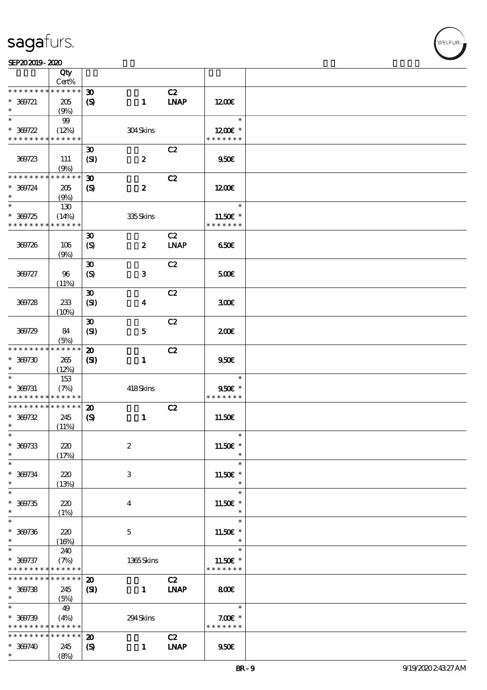

|                                           | Qty<br>Cert%         |                                                           |                  |                              |                                        |  |
|-------------------------------------------|----------------------|-----------------------------------------------------------|------------------|------------------------------|----------------------------------------|--|
| * * * * * * * *                           | * * * * * *          |                                                           |                  |                              |                                        |  |
| $* 300721$<br>$\ast$                      | 205<br>(9%)          | $\boldsymbol{\mathfrak{D}}$<br>$\boldsymbol{\mathcal{S}}$ | $\mathbf{1}$     | C2<br><b>INAP</b>            | 1200E                                  |  |
| $\ast$                                    | 99                   |                                                           |                  |                              | $\ast$                                 |  |
| $* 300722$<br>* * * * * * * *             | (12%)<br>* * * * * * |                                                           | 304Skins         |                              | $1200E$ *<br>* * * * * * *             |  |
|                                           |                      | $\boldsymbol{\mathfrak{D}}$                               |                  | C2                           |                                        |  |
| 369723                                    | 111<br>(9%)          | (SI)                                                      | $\boldsymbol{z}$ |                              | 950E                                   |  |
| * * * * * * * *                           | * * * * * *          | $\boldsymbol{\mathfrak{D}}$                               |                  | C2                           |                                        |  |
| $* 300724$<br>$\ast$                      | 205<br>(9%)          | $\boldsymbol{S}$                                          | $\boldsymbol{z}$ |                              | $1200E$                                |  |
| $\overline{\ast}$                         | 130                  |                                                           |                  |                              | $\ast$                                 |  |
| $* 300725$<br>* * * * * * * *             | (14%)<br>* * * * * * |                                                           | 335Skins         |                              | 11.50 $\varepsilon$ *<br>* * * * * * * |  |
|                                           |                      | $\boldsymbol{\mathfrak{D}}$                               |                  | C2                           |                                        |  |
| 369726                                    | 106<br>(9%)          | $\boldsymbol{S}$                                          | $\boldsymbol{z}$ | <b>LNAP</b>                  | 650                                    |  |
|                                           |                      | $\boldsymbol{\mathfrak{D}}$                               |                  | C2                           |                                        |  |
| 369727                                    | 96<br>(11%)          | (S)                                                       | ${\bf 3}$        |                              | 500                                    |  |
|                                           |                      | $\boldsymbol{\mathfrak{D}}$                               |                  | C2                           |                                        |  |
| 369728                                    | 233                  | (SI)                                                      | $\boldsymbol{4}$ |                              | 300E                                   |  |
|                                           | (10%)                |                                                           |                  |                              |                                        |  |
| 369729                                    | 84                   | $\boldsymbol{\mathfrak{D}}$<br>(SI)                       | ${\bf 5}$        | C2                           | 200                                    |  |
| * * * * * * * *                           | (5%)<br>* * * * * *  |                                                           |                  |                              |                                        |  |
| $* 300730$<br>$\ast$                      | 265<br>(12%)         | $\boldsymbol{\mathbf{z}}$<br>(S)                          | $\mathbf{1}$     | C2                           | 950E                                   |  |
| $\ast$                                    | 153                  |                                                           |                  |                              | $\ast$                                 |  |
| $* 300731$<br>* * * * * * * * * * * * * * | (7%)                 |                                                           | 418Skins         |                              | 950€ *<br>* * * * * * *                |  |
| * * * * * * * *                           | * * * * * *          | $\boldsymbol{\mathbf{z}}$                                 |                  | C2                           |                                        |  |
| $* 300732$<br>$\ast$                      | 245<br>(11%)         | $\boldsymbol{\mathrm{(S)}}$                               | $\mathbf{1}$     |                              | 11.50E                                 |  |
| $*$                                       |                      |                                                           |                  |                              | $\ast$                                 |  |
| $* 300733$<br>$\ast$                      | 220<br>(17%)         |                                                           | $\boldsymbol{2}$ |                              | 11.50 $\varepsilon$ *<br>$\ast$        |  |
| $\ast$                                    |                      |                                                           |                  |                              | $\ast$                                 |  |
| $* 300734$<br>$\ast$                      | 220<br>(13%)         |                                                           | 3                |                              | $11.50E$ *<br>$\ast$                   |  |
| $\ast$                                    |                      |                                                           |                  |                              | $\ast$                                 |  |
| $* 300735$<br>$\ast$                      | 220<br>(1%)          |                                                           | 4                |                              | 11.50 $\varepsilon$ *<br>$\ast$        |  |
| $\ast$                                    |                      |                                                           |                  |                              | $\ast$                                 |  |
| $* 300736$<br>$\ast$                      | 220<br>(16%)         |                                                           | $\mathbf{5}$     |                              | 11.50€ *<br>$\ast$                     |  |
| $\ast$                                    | 240                  |                                                           |                  |                              | $\ast$                                 |  |
| $* 300737$<br>* * * * * * * *             | (7%)<br>* * * * * *  |                                                           | 1365Skins        |                              | 11.50 $\varepsilon$ *<br>* * * * * * * |  |
| * * * * * * * *                           | $* * * * * * *$      | $\boldsymbol{\mathfrak{D}}$                               |                  | C2                           |                                        |  |
| $* 300738$<br>$\ast$                      | 245<br>(5%)          | (SI)                                                      | $\mathbf{1}$     | $\ensuremath{\mathbf{INAP}}$ | 800€                                   |  |
| $\ast$                                    | 49                   |                                                           |                  |                              | $\ast$                                 |  |
| $* 300739$                                | (4%)                 |                                                           | 294Skins         |                              | $7.00E$ *                              |  |
| * * * * * * * *                           | * * * * * *          |                                                           |                  |                              | * * * * * * *                          |  |
| * * * * * * * *                           | * * * * * *          | $\boldsymbol{\mathsf{20}}$                                |                  | C2                           |                                        |  |
| $* 369740$                                | 245                  | $\boldsymbol{\mathcal{S}}$                                | $\mathbf{1}$     | <b>LNAP</b>                  | 950E                                   |  |
| $\ast$                                    | (8%)                 |                                                           |                  |                              |                                        |  |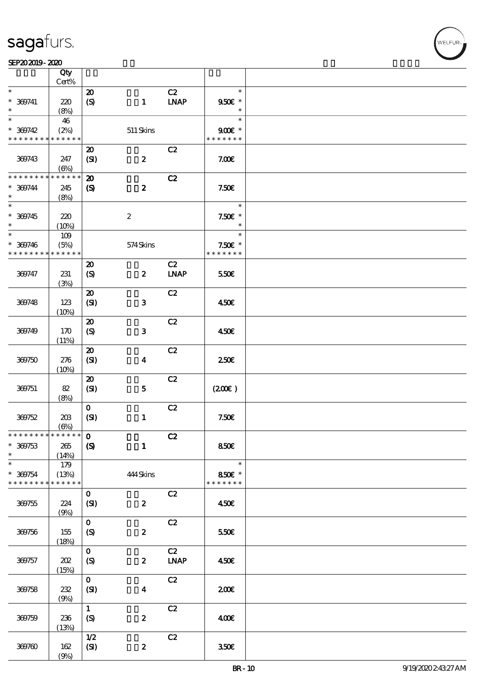

|                                           | Qty<br>$Cert\%$       |                                                 |                         |                                    |                                     |  |
|-------------------------------------------|-----------------------|-------------------------------------------------|-------------------------|------------------------------------|-------------------------------------|--|
|                                           |                       |                                                 |                         |                                    | $\ast$                              |  |
| $\ast$<br>$* 369741$<br>$\ast$            | 220<br>(8%)           | $\boldsymbol{\mathfrak{D}}$<br>$\boldsymbol{S}$ | $\mathbf{1}$            | C2<br><b>LNAP</b>                  | 950€ *<br>$\ast$                    |  |
| $\ast$                                    | 46                    |                                                 |                         |                                    | $\ast$                              |  |
| $* 369742$<br>* * * * * * * * * * * * * * | (2%)                  |                                                 | $511$ Skins             |                                    | $900$ $\epsilon$ *<br>* * * * * * * |  |
|                                           |                       |                                                 |                         |                                    |                                     |  |
| 369743                                    | 247<br>$(\Theta)$     | $\boldsymbol{\mathsf{20}}$<br>(SI)              | $\boldsymbol{z}$        | C2                                 | 7.00E                               |  |
| * * * * * * * *                           | * * * * * *           | $\boldsymbol{\mathfrak{D}}$                     |                         | C2                                 |                                     |  |
| $* 369744$<br>$\ast$                      | 245<br>(8%)           | $\boldsymbol{S}$                                | $\boldsymbol{z}$        |                                    | 7.50E                               |  |
| $\overline{\ast}$                         |                       |                                                 |                         |                                    | $\ast$                              |  |
| $* 369745$<br>$\ast$                      | 220<br>(10%)          |                                                 | $\boldsymbol{2}$        |                                    | $7.50E$ *<br>$\ast$                 |  |
| $\ast$                                    | $109$                 |                                                 |                         |                                    | $\ast$                              |  |
| $* 369746$<br>* * * * * * * *             | (5%)<br>* * * * * *   |                                                 | 574Skins                |                                    | $7.50E$ *<br>* * * * * * *          |  |
|                                           |                       | $\boldsymbol{\mathsf{20}}$                      |                         | C2                                 |                                     |  |
| 369747                                    | 231<br>(3%)           | (S)                                             | $\boldsymbol{z}$        | <b>LNAP</b>                        | 550€                                |  |
|                                           |                       | $\boldsymbol{\mathfrak{D}}$                     |                         | C2                                 |                                     |  |
| 369748                                    | 123<br>(10%)          | (SI)                                            | $\mathbf{3}$            |                                    | 450€                                |  |
|                                           |                       | $\boldsymbol{\boldsymbol{\mathrm{20}}}$         |                         | C2                                 |                                     |  |
| 369749                                    | 170<br>(11%)          | $\boldsymbol{S}$                                | 3                       |                                    | 450€                                |  |
|                                           |                       | $\boldsymbol{\mathfrak{D}}$                     |                         | C2                                 |                                     |  |
| 369750                                    | 276<br>(10%)          | (SI)                                            | $\overline{\mathbf{4}}$ |                                    | $250$ £                             |  |
|                                           |                       | $\boldsymbol{\mathsf{20}}$                      |                         | C2                                 |                                     |  |
| 369751                                    | 82<br>(8%)            | (SI)                                            | $\bf 5$                 |                                    | (200)                               |  |
|                                           |                       | $\mathbf{O}$                                    |                         | C2                                 |                                     |  |
| 369752                                    | $203\,$<br>$(\Theta)$ | (SI)                                            | $\mathbf{1}$            |                                    | 7.50E                               |  |
| *************** 0                         |                       |                                                 |                         | C2                                 |                                     |  |
| $* 309753$<br>$\ast$                      | 265<br>(14%)          | $\boldsymbol{S}$                                | $\mathbf{1}$            |                                    | 850€                                |  |
| $\ast$                                    | 179                   |                                                 |                         |                                    | $\ast$                              |  |
| $* 369754$<br>* * * * * * * *             | (13%)<br>* * * * * *  |                                                 | 444Skins                |                                    | 850€ *<br>* * * * * * *             |  |
| 369755                                    | 224                   | $\mathbf{o}$<br>(SI)                            | $\boldsymbol{z}$        | C2                                 | 450E                                |  |
|                                           | (9%)                  |                                                 |                         |                                    |                                     |  |
| 369756                                    | 155                   | $\mathbf{o}$<br>$\boldsymbol{S}$                | $\boldsymbol{z}$        | C2                                 | 550€                                |  |
|                                           | (18%)                 |                                                 |                         |                                    |                                     |  |
| 369757                                    | 202                   | $\mathbf{o}$<br>$\boldsymbol{S}$                | $\boldsymbol{z}$        | C2<br>$\ensuremath{\mathbf{INAP}}$ | 450E                                |  |
|                                           | (15%)                 |                                                 |                         |                                    |                                     |  |
| 369758                                    | $2\!2$<br>(9%)        | $\mathbf{o}$<br>(SI)                            | $\boldsymbol{4}$        | C2                                 | 200                                 |  |
|                                           |                       | $\mathbf{1}$                                    |                         | C2                                 |                                     |  |
| 369759                                    | 236<br>(13%)          | (S)                                             | $\boldsymbol{2}$        |                                    | 400€                                |  |
|                                           |                       | $1/2$                                           |                         | C2                                 |                                     |  |
| 369760                                    | 162<br>(9%)           | (SI)                                            | $\boldsymbol{z}$        |                                    | 350 <sup>2</sup>                    |  |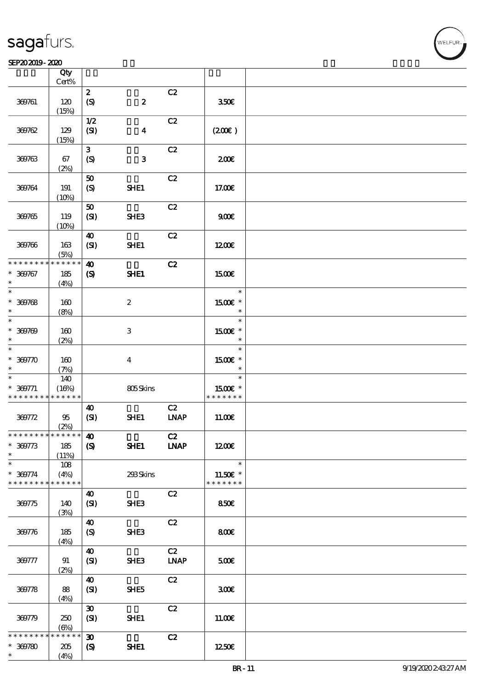#### SEP202019-2020 USD 2020 USD 2020 USD 2020 USD 2020 USD 2020 USD 2020 USD 2020 USD 2020 USD 2020 USD 2020 USD 2

|                               | Qty<br>$Cert\%$     |                                                      |                         |                   |                           |  |
|-------------------------------|---------------------|------------------------------------------------------|-------------------------|-------------------|---------------------------|--|
|                               |                     | $\boldsymbol{z}$                                     |                         | C2                |                           |  |
| 369761                        | 120<br>(15%)        | $\boldsymbol{\mathrm{(S)}}$                          | $\pmb{2}$               |                   | 350€                      |  |
|                               |                     | 1/2                                                  |                         | C2                |                           |  |
| 369762                        | 129<br>(15%)        | (SI)                                                 | $\overline{\mathbf{4}}$ |                   | (200)                     |  |
|                               |                     | $\mathbf{3}$                                         |                         | C2                |                           |  |
| 369763                        | 67<br>(2%)          | $\boldsymbol{S}$                                     | ${\bf 3}$               |                   | 200                       |  |
|                               |                     | ${\bf 50}$                                           |                         | C2                |                           |  |
| 369764                        | 191<br>(10%)        | $\boldsymbol{\mathrm{(S)}}$                          | SHE1                    |                   | 17.00€                    |  |
|                               |                     | 50                                                   |                         | C2                |                           |  |
| 369765                        | 119<br>(10%)        | (SI)                                                 | SHE3                    |                   | 900E                      |  |
|                               |                     | $\boldsymbol{\omega}$                                |                         | C2                |                           |  |
| 369766                        | 163<br>(5%)         | (SI)                                                 | SHE1                    |                   | 1200E                     |  |
| * * * * * * * *               | * * * * * *         | $\boldsymbol{\omega}$                                |                         | C2                |                           |  |
| $* 300767$<br>$\ast$          | 185<br>(4%)         | $\pmb{\infty}$                                       | SHE1                    |                   | 1500€                     |  |
| $\ast$                        |                     |                                                      |                         |                   | $\ast$                    |  |
| $* 300768$<br>$\ast$          | 160<br>(8%)         |                                                      | $\boldsymbol{z}$        |                   | 1500€ *<br>$\ast$         |  |
| $\overline{\ast}$             |                     |                                                      |                         |                   | $\ast$                    |  |
| $* 300709$<br>$\ast$          | 160<br>(2%)         |                                                      | $\,3$                   |                   | 1500 £*<br>$\ast$         |  |
| $\ast$                        |                     |                                                      |                         |                   | $\ast$                    |  |
| $* 300770$<br>$\ast$          | 160<br>(7%)         |                                                      | $\bf{4}$                |                   | 1500€ *<br>$\ast$         |  |
| $\overline{\ast}$             | 140                 |                                                      |                         |                   | $\ast$                    |  |
| $* 300771$                    | (16%)               |                                                      | 805Skins                |                   | 1500E *                   |  |
| * * * * * * * *               | $* * * * * * *$     |                                                      |                         |                   | * * * * * * *             |  |
|                               |                     | $\boldsymbol{\omega}$                                |                         | C2                |                           |  |
| 369772                        | 95                  | (SI)                                                 | SHE1                    | <b>LNAP</b>       | 11.00E                    |  |
| * * * * * * * * * * * * * * * | (2%)                |                                                      |                         |                   |                           |  |
| $* 309773$<br>$\ast$          | 185<br>(11%)        | $\boldsymbol{\omega}$<br>$\boldsymbol{\mathrm{(S)}}$ | SHE1                    | C2<br><b>INAP</b> | 1200                      |  |
| $\ast$                        | 108                 |                                                      |                         |                   | $\ast$                    |  |
| $* 369774$<br>* * * * * * * * | (4%)<br>* * * * * * |                                                      | 293Skins                |                   | 11.50€ *<br>* * * * * * * |  |
|                               |                     |                                                      |                         |                   |                           |  |
| 369775                        | 140<br>(3%)         | $\boldsymbol{\omega}$<br>(SI)                        | SHE <sub>3</sub>        | C2                | 850E                      |  |
|                               |                     | 40                                                   |                         | C2                |                           |  |
| 369776                        | 185<br>(4%)         | $\boldsymbol{S}$                                     | SHE3                    |                   | 800€                      |  |
|                               |                     | $\boldsymbol{\omega}$                                |                         | C2                |                           |  |
| 369777                        | 91<br>(2%)          | (SI)                                                 | SHE3                    | <b>LNAP</b>       | 500                       |  |
|                               |                     | $\boldsymbol{\omega}$                                |                         | C2                |                           |  |
| 369778                        | 88<br>(4%)          | (SI)                                                 | SHE5                    |                   | 300                       |  |
|                               |                     | $\boldsymbol{\mathfrak{D}}$                          |                         | C2                |                           |  |
| 369779                        | 250<br>$(\Theta)$   | (SI)                                                 | SHE1                    |                   | 11.00E                    |  |
| * * * * * * *                 | * * * * * *         | $\boldsymbol{\mathfrak{D}}$                          |                         | C2                |                           |  |
| $* 300780$                    | 205                 | $\boldsymbol{\mathcal{S}}$                           | SHE1                    |                   | 1250E                     |  |
| $\ast$                        | (4%)                |                                                      |                         |                   |                           |  |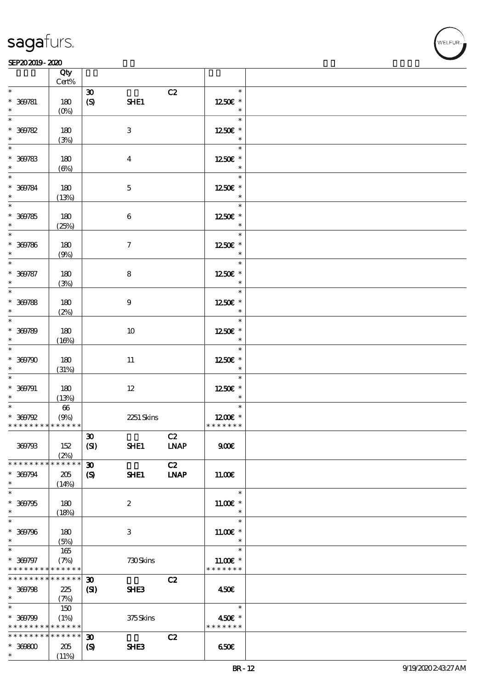### SEP202019-2020

|                                                          | Qty<br>Cert%                  |                             |                  |             |                             |  |
|----------------------------------------------------------|-------------------------------|-----------------------------|------------------|-------------|-----------------------------|--|
| $\ast$                                                   |                               | $\boldsymbol{\mathfrak{D}}$ |                  | C2          | $\ast$                      |  |
| $* 300781$                                               | 180                           | $\pmb{\in}$                 | SHE1             |             | 1250E *                     |  |
| $\ast$<br>$\ast$                                         | $(0\%)$                       |                             |                  |             | $\ast$<br>$\ast$            |  |
| $* 300782$                                               | 180                           |                             | $\,3$            |             | 1250€ *                     |  |
| $\ast$                                                   | (3%)                          |                             |                  |             | $\ast$                      |  |
| $\ast$                                                   |                               |                             |                  |             | $\ast$                      |  |
| $* 300783$<br>$\ast$                                     | 180<br>$(\Theta)$             |                             | $\boldsymbol{4}$ |             | 1250E *<br>$\ast$           |  |
| $\ast$                                                   |                               |                             |                  |             | $\ast$                      |  |
| $* 300784$                                               | 180                           |                             | $\mathbf 5$      |             | 1250E *                     |  |
| $\ast$<br>$\overline{\phantom{0}}$                       | (13%)                         |                             |                  |             | $\ast$<br>$\ast$            |  |
| $* 300785$                                               | 180                           |                             | $\,6$            |             | 1250E *                     |  |
| $\ast$                                                   | (25%)                         |                             |                  |             | $\ast$                      |  |
| $\overline{\ast}$                                        |                               |                             |                  |             | $\ast$                      |  |
| $* 300786$<br>$\ast$                                     | 180<br>(9%)                   |                             | $\boldsymbol{7}$ |             | 1250E *<br>$\ast$           |  |
| $\ast$                                                   |                               |                             |                  |             | $\ast$                      |  |
| $* 300787$<br>$\ast$                                     | 180                           |                             | $\bf 8$          |             | 1250E *<br>$\ast$           |  |
| $\overline{\phantom{0}}$                                 | (3%)                          |                             |                  |             | $\ast$                      |  |
| $* 300788$                                               | 180                           |                             | $\boldsymbol{9}$ |             | 1250E *                     |  |
| $\ast$<br>$\ast$                                         | (2%)                          |                             |                  |             | $\ast$                      |  |
| $* 300789$                                               | 180                           |                             | 10               |             | $\ast$<br>1250E *           |  |
| $\ast$                                                   | (16%)                         |                             |                  |             | $\ast$                      |  |
| $\ast$                                                   |                               |                             |                  |             | $\ast$                      |  |
| $* 300790$<br>$\ast$                                     | 180<br>(31%)                  |                             | $11\,$           |             | 1250E *<br>$\ast$           |  |
| $\ast$                                                   |                               |                             |                  |             | $\ast$                      |  |
| $* 300791$                                               | 180                           |                             | $12\,$           |             | 1250E *                     |  |
| $\ast$<br>$*$                                            | (13%)<br>$\pmb{\mathfrak{G}}$ |                             |                  |             | $\ast$<br>$\ast$            |  |
| $* 300792$                                               | (9%)                          |                             | 2251 Skins       |             | 1200E *                     |  |
| * * * * * * * * * * * * * *                              |                               |                             |                  |             | * * * * * * *               |  |
| 369793                                                   | 152                           | $\pmb{\mathfrak{D}}$        | SHE1             | C2          | 900E                        |  |
|                                                          | (2%)                          | (SI)                        |                  | <b>LNAP</b> |                             |  |
| * * * * * * * *                                          | * * * * * *                   | $\boldsymbol{\mathfrak{D}}$ |                  | C2          |                             |  |
| $* 369794$<br>$\ast$                                     | 205                           | $\boldsymbol{\mathcal{S}}$  | SHE1             | <b>LNAP</b> | 11.00E                      |  |
| $\overline{\ast}$                                        | (14%)                         |                             |                  |             | $\ast$                      |  |
| $* 300795$                                               | 180                           |                             | $\boldsymbol{2}$ |             | $11.00E$ *                  |  |
| $\ast$<br>$\ast$                                         | (18%)                         |                             |                  |             | $\ast$<br>$\ast$            |  |
| $* 300796$                                               | 180                           |                             | 3                |             | $11.00E$ *                  |  |
| $\ast$                                                   | (5%)                          |                             |                  |             | $\ast$                      |  |
| $\overline{\phantom{0}}$                                 | 165                           |                             |                  |             | $\ast$                      |  |
| $* 369797$<br>* * * * * * * * <mark>* * * * * * *</mark> | (7%)                          |                             | 730Skins         |             | $11.00E$ *<br>* * * * * * * |  |
| * * * * * * * * * * * * * *                              |                               | $\boldsymbol{\mathfrak{D}}$ |                  | C2          |                             |  |
| $* 300798$                                               | 225                           | (S)                         | SHE <sub>3</sub> |             | 450E                        |  |
| $*$ $*$<br>$\ast$                                        | (7%)<br>150                   |                             |                  |             | $\ast$                      |  |
| $* 300799$                                               | (1%)                          |                             | 375Skins         |             | 450€ *                      |  |
| * * * * * * * * * * * * * *                              |                               |                             |                  |             | * * * * * * *               |  |
| * * * * * * * * * * * * * *<br>$^\ast$ 369800            |                               | $\boldsymbol{\mathfrak{D}}$ | SHE3             | C2          |                             |  |
| $\ast$                                                   | 205<br>(11%)                  | $\boldsymbol{\mathcal{S}}$  |                  |             | 650E                        |  |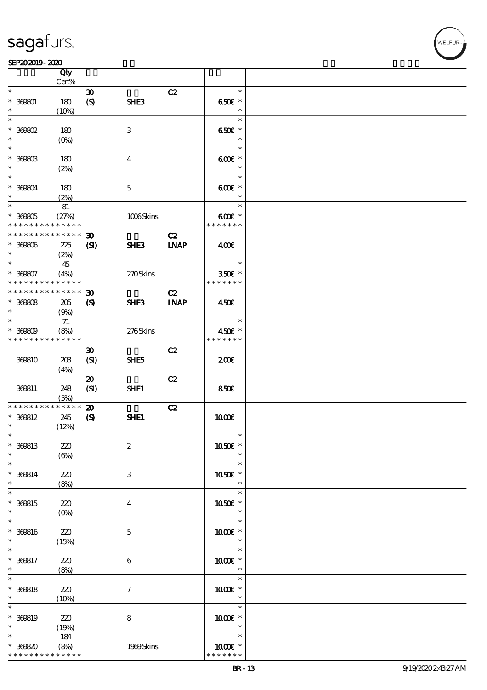### SEP202019-2020

|                                            | Qty                 |                             |                  |             |                  |  |
|--------------------------------------------|---------------------|-----------------------------|------------------|-------------|------------------|--|
|                                            | Cert%               |                             |                  |             |                  |  |
| $\ast$                                     |                     | $\boldsymbol{\mathfrak{D}}$ |                  | C2          | $\ast$           |  |
|                                            |                     |                             |                  |             |                  |  |
| $* 369601$<br>$\ast$                       | 180                 | $\boldsymbol{S}$            | SHE3             |             | 650€ *<br>$\ast$ |  |
|                                            | (10%)               |                             |                  |             |                  |  |
| $\ast$                                     |                     |                             |                  |             | $\ast$           |  |
| $*$ 369802                                 | 180                 |                             | $\,3$            |             | 650€ *           |  |
| $\ast$                                     | $(0\%)$             |                             |                  |             | $\ast$           |  |
| $\ast$                                     |                     |                             |                  |             | $\ast$           |  |
| $^*$ 369803 $\,$                           | 180                 |                             | $\boldsymbol{4}$ |             | $600$ $*$        |  |
| $\ast$                                     | (2%)                |                             |                  |             | $\ast$           |  |
| $\ast$                                     |                     |                             |                  |             | $\ast$           |  |
|                                            |                     |                             |                  |             |                  |  |
| $* 369804$                                 | 180                 |                             | $\mathbf 5$      |             | $600E$ *         |  |
| $\ast$                                     | (2%)                |                             |                  |             | $\ast$           |  |
| $\ast$                                     | 81                  |                             |                  |             | $\ast$           |  |
| $* 30005$                                  | (27%)               |                             | 1006Skins        |             | $600E$ *         |  |
| * * * * * * * * <mark>* * * * * *</mark>   |                     |                             |                  |             | * * * * * * *    |  |
| * * * * * * * *                            | * * * * * *         | $\boldsymbol{\mathfrak{D}}$ |                  | C2          |                  |  |
| $* 30000$                                  |                     |                             | SHE <sub>3</sub> | <b>LNAP</b> | 400              |  |
| $\ast$                                     | 225                 | $\mathbf{C}$                |                  |             |                  |  |
|                                            | (2%)                |                             |                  |             |                  |  |
| $\ast$                                     | 45                  |                             |                  |             | $\ast$           |  |
| $* 30007$                                  | (4%)                |                             | 270Skins         |             | 350€ *           |  |
| * * * * * * * * * * * * * *                |                     |                             |                  |             | * * * * * * *    |  |
| * * * * * * * * <mark>* * * * * * *</mark> |                     | $\boldsymbol{\mathfrak{D}}$ |                  | C2          |                  |  |
| $* 30008$                                  | 205                 | $\boldsymbol{\mathcal{S}}$  | SHE3             | <b>INAP</b> | 450€             |  |
| $\ast$                                     | (9%)                |                             |                  |             |                  |  |
| $\ast$                                     |                     |                             |                  |             | $\ast$           |  |
|                                            | $71\,$              |                             |                  |             |                  |  |
| $* 30000$                                  | (8%)                |                             | 276Skins         |             | 450€ *           |  |
| * * * * * * * * * * * * * *                |                     |                             |                  |             | * * * * * * *    |  |
|                                            |                     | $\boldsymbol{\mathfrak{D}}$ |                  | C2          |                  |  |
| 369810                                     | 20B                 | (SI)                        | SHE5             |             | 200E             |  |
|                                            | (4%)                |                             |                  |             |                  |  |
|                                            |                     | $\boldsymbol{\mathbf{z}}$   |                  | C2          |                  |  |
| 369811                                     | 248                 | (SI)                        | SHE1             |             | 850E             |  |
|                                            |                     |                             |                  |             |                  |  |
| * * * * * * * *                            | (5%)<br>* * * * * * |                             |                  |             |                  |  |
|                                            |                     | $\boldsymbol{\mathfrak{D}}$ |                  | C2          |                  |  |
| $* 360812$                                 | 245                 | $\boldsymbol{\mathcal{S}}$  | SHE1             |             | 1000E            |  |
| $\ast$                                     | (12%)               |                             |                  |             |                  |  |
| $\ast$                                     |                     |                             |                  |             |                  |  |
| $* 360813$                                 | 220                 |                             | $\boldsymbol{2}$ |             | 1050E *          |  |
| $\ast$                                     | $(\Theta)$          |                             |                  |             | $\ast$           |  |
| $\overline{\ast}$                          |                     |                             |                  |             | $\ast$           |  |
| $* 360814$                                 | 220                 |                             | $\,3$            |             | 1050E *          |  |
| $\ast$                                     |                     |                             |                  |             | $\ast$           |  |
| $\ast$                                     | (8%)                |                             |                  |             |                  |  |
|                                            |                     |                             |                  |             | $\ast$           |  |
| $* 360815$                                 | 220                 |                             | $\boldsymbol{4}$ |             | 1050E *          |  |
| $\ast$                                     | $(0\%)$             |                             |                  |             | $\ast$           |  |
| $\ast$                                     |                     |                             |                  |             | $\ast$           |  |
| $* 360816$                                 | 220                 |                             | $\mathbf 5$      |             | 1000 *           |  |
| $\ast$                                     | (15%)               |                             |                  |             | $\ast$           |  |
| $\ast$                                     |                     |                             |                  |             | $\ast$           |  |
|                                            |                     |                             |                  |             |                  |  |
| $* 360817$<br>$\ast$                       | 220                 |                             | 6                |             | 1000 *           |  |
|                                            | (8%)                |                             |                  |             | $\ast$           |  |
| $\ast$                                     |                     |                             |                  |             | $\ast$           |  |
| $* 360818$                                 | 220                 |                             | $\tau$           |             | 1000 *           |  |
| $\ast$                                     | (10%)               |                             |                  |             | $\ast$           |  |
| $\ast$                                     |                     |                             |                  |             | $\ast$           |  |
| $* 360819$                                 | 220                 |                             | $\bf 8$          |             | 1000€ *          |  |
| $\ast$                                     | (19%)               |                             |                  |             | $\ast$           |  |
| $\ast$                                     |                     |                             |                  |             | $\ast$           |  |
|                                            | 184                 |                             |                  |             |                  |  |
| $* 30000$                                  | (8%)                |                             | 1999Skins        |             | 1000 *           |  |
| * * * * * * * * <mark>* * * * * * *</mark> |                     |                             |                  |             | * * * * * * *    |  |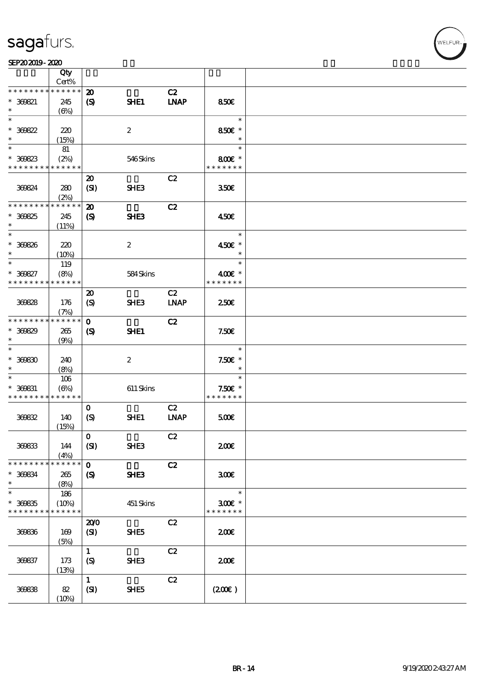|                                          | Qty                 |                             |                  |                              |                  |  |
|------------------------------------------|---------------------|-----------------------------|------------------|------------------------------|------------------|--|
|                                          | Cert%               |                             |                  |                              |                  |  |
| * * * * * * * *                          | * * * * * *         | $\boldsymbol{\mathbf{z}}$   |                  | C2                           |                  |  |
| $* 300821$                               | 245                 | $\boldsymbol{\mathrm{(S)}}$ | SHE1             | <b>INAP</b>                  | 850€             |  |
| $\ast$                                   | $(\Theta)$          |                             |                  |                              |                  |  |
| $\ast$                                   |                     |                             |                  |                              | $\ast$           |  |
| $* 300822$                               | 220                 |                             | $\boldsymbol{2}$ |                              | 850€ *           |  |
| $\ast$                                   |                     |                             |                  |                              | $\ast$           |  |
|                                          | (15%)               |                             |                  |                              |                  |  |
| $\ast$                                   | 81                  |                             |                  |                              | $\ast$           |  |
| $* 300823$                               | (2%)                |                             | 546Skins         |                              | 800€ *           |  |
| * * * * * * * * * * * * * *              |                     |                             |                  |                              | * * * * * * *    |  |
|                                          |                     | $\boldsymbol{\mathfrak{D}}$ |                  | C2                           |                  |  |
| 369824                                   | 280                 | (SI)                        | SHE <sub>3</sub> |                              | 350 <sup>2</sup> |  |
|                                          |                     |                             |                  |                              |                  |  |
| * * * * * * * *                          | (2%)<br>* * * * * * |                             |                  |                              |                  |  |
|                                          |                     | $\boldsymbol{\mathbf{z}}$   |                  | C2                           |                  |  |
| $* 300825$                               | 245                 | $\boldsymbol{\mathcal{S}}$  | SHE <sub>3</sub> |                              | 450€             |  |
| $\ast$                                   | (11%)               |                             |                  |                              |                  |  |
| $\ast$                                   |                     |                             |                  |                              | $\ast$           |  |
| $* 300826$                               | 220                 |                             | $\boldsymbol{z}$ |                              | 450€ *           |  |
| $\ast$                                   | (10%)               |                             |                  |                              | $\ast$           |  |
| $\ast$                                   |                     |                             |                  |                              | $\ast$           |  |
|                                          | 119                 |                             |                  |                              |                  |  |
| $* 300827$                               | (8%)                |                             | 584Skins         |                              | 400€ *           |  |
| * * * * * * * *                          | * * * * * *         |                             |                  |                              | * * * * * * *    |  |
|                                          |                     | $\boldsymbol{\mathfrak{D}}$ |                  | C2                           |                  |  |
| 36828                                    | 176                 | (S)                         | <b>SHE3</b>      | <b>LNAP</b>                  | 250 <sup>2</sup> |  |
|                                          | (7%)                |                             |                  |                              |                  |  |
| * * * * * * * *                          | * * * * * *         | $\mathbf 0$                 |                  | C2                           |                  |  |
|                                          |                     |                             |                  |                              |                  |  |
| $* 300829$                               | 265                 | $\boldsymbol{\mathcal{S}}$  | SHE1             |                              | 7.50E            |  |
| $\ast$                                   | (9%)                |                             |                  |                              |                  |  |
| $\ast$                                   |                     |                             |                  |                              | $\ast$           |  |
| $* 30000$                                | 240                 |                             | $\boldsymbol{2}$ |                              | $7.50E$ *        |  |
| $\ast$                                   | (8%)                |                             |                  |                              | $\ast$           |  |
| $\ast$                                   | 106                 |                             |                  |                              | $\ast$           |  |
| $* 300831$                               |                     |                             |                  |                              | $7.50E$ *        |  |
|                                          | $(\Theta)$          |                             | $611$ Skins      |                              | * * * * * * *    |  |
| * * * * * * * * * * * * * *              |                     |                             |                  |                              |                  |  |
|                                          |                     | $\mathbf{o}$                |                  | C2                           |                  |  |
| 369832                                   | 140                 | $\boldsymbol{S}$            | SHE1             | $\ensuremath{\mathbf{INAP}}$ | 500              |  |
|                                          | (15%)               |                             |                  |                              |                  |  |
|                                          |                     | $\mathbf 0$                 |                  | C2                           |                  |  |
| 36833                                    | 144                 | (SI)                        | SHE3             |                              | 200E             |  |
|                                          |                     |                             |                  |                              |                  |  |
| * * * * * * * *                          | (4%)<br>* * * * * * |                             |                  |                              |                  |  |
|                                          |                     | $\mathbf{o}$                |                  | C2                           |                  |  |
| $* 300834$                               | 265                 | $\boldsymbol{\mathcal{S}}$  | SHE3             |                              | 300 <sup>2</sup> |  |
| $\ast$                                   | (8%)                |                             |                  |                              |                  |  |
| $\ast$                                   | 186                 |                             |                  |                              | $\ast$           |  |
| $* 300835$                               | (10%)               |                             | 451 Skins        |                              | $300$ £ *        |  |
| * * * * * * * * <mark>* * * * * *</mark> |                     |                             |                  |                              | * * * * * * *    |  |
|                                          |                     | 200                         |                  | C2                           |                  |  |
|                                          |                     |                             |                  |                              |                  |  |
| 36836                                    | 169                 | (SI)                        | SHE5             |                              | 200E             |  |
|                                          | (5%)                |                             |                  |                              |                  |  |
|                                          |                     | $\mathbf{1}$                |                  | C2                           |                  |  |
| 36837                                    | 173                 | $\boldsymbol{S}$            | SHE3             |                              | 200E             |  |
|                                          | (13%)               |                             |                  |                              |                  |  |
|                                          |                     | $\mathbf{1}$                |                  | C2                           |                  |  |
|                                          |                     |                             |                  |                              |                  |  |
| 36838                                    | 82                  | (SI)                        | SHE5             |                              | (200)            |  |
|                                          | (10%)               |                             |                  |                              |                  |  |

WELFUR<sub>2</sub>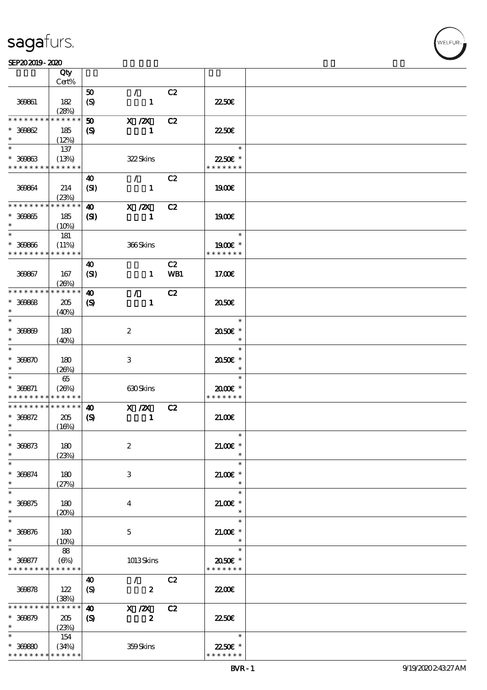#### $SEP202019 - 2020$  $\frac{\text{SEPAO 2019 - 2020}}{\text{Cty}}$

|                                            | Qty                  |                            |                               |     |                           |  |
|--------------------------------------------|----------------------|----------------------------|-------------------------------|-----|---------------------------|--|
|                                            | Cert%                |                            |                               |     |                           |  |
| 369861                                     | 182                  | 50<br>$\boldsymbol{S}$     | $\mathcal{L}$<br>$\mathbf{1}$ | C2  | 2250E                     |  |
| * * * * * * * *                            | (28%)<br>* * * * * * |                            |                               |     |                           |  |
|                                            |                      | 50                         | $X$ / $ZX$                    | C2  |                           |  |
| $* 30002$<br>$\ast$                        | 185<br>(12%)         | $\boldsymbol{S}$           | $\mathbf{1}$                  |     | 2250E                     |  |
| $\ast$                                     | 137                  |                            |                               |     | $\ast$                    |  |
| $* 30063$<br>* * * * * * * * * * * * * *   | (13%)                |                            | 322Skins                      |     | 22.50€ *<br>* * * * * * * |  |
|                                            |                      | 40                         | $\mathcal{F}$                 | C2  |                           |  |
| 369864                                     | 214<br>(23%)         | (SI)                       | $\mathbf{1}$                  |     | 1900E                     |  |
| * * * * * * * *                            | * * * * * *          | $\boldsymbol{\omega}$      | $X$ / $ZX$                    | C2  |                           |  |
| $* 30005$                                  | 185                  | $\mathbf{S}$               | $\mathbf{1}$                  |     | 1900E                     |  |
| $\ast$                                     | (10%)                |                            |                               |     |                           |  |
| $\ast$                                     | 181                  |                            |                               |     | $\ast$                    |  |
| $* 30000$                                  | (11%)                |                            | 366Skins                      |     | 1900E *                   |  |
| * * * * * * * *                            | * * * * * *          |                            |                               |     | * * * * * * *             |  |
|                                            |                      | $\boldsymbol{\omega}$      |                               | C2  |                           |  |
| 369867                                     | 167                  | (SI)                       | $\mathbf{1}$                  | WB1 | 17.00E                    |  |
|                                            | (20%)                |                            |                               |     |                           |  |
| * * * * * * * *                            | * * * * * *          | $\boldsymbol{\omega}$      | $\mathcal{T}$                 | C2  |                           |  |
| $* 30008$                                  | 205                  | $\boldsymbol{\mathcal{S}}$ | $\mathbf{1}$                  |     | 2050E                     |  |
| $\ast$                                     | (40%)                |                            |                               |     |                           |  |
| $\ast$                                     |                      |                            |                               |     | $\ast$                    |  |
| $* 30000$                                  | 180                  |                            | $\boldsymbol{2}$              |     | 2050E *                   |  |
| $\ast$                                     | (40%)                |                            |                               |     | $\ast$                    |  |
| $\ast$                                     |                      |                            |                               |     | $\ast$                    |  |
| $* 30000$                                  | 180                  |                            | 3                             |     | 2050E *                   |  |
| $\ast$                                     | (20%)                |                            |                               |     | $\ast$                    |  |
| $\ast$                                     | 65                   |                            |                               |     | $\ast$                    |  |
| $* 300871$                                 | (20%)                |                            | 630Skins                      |     | 2000€*                    |  |
| * * * * * * * *                            | * * * * * *          |                            |                               |     | * * * * * * *             |  |
| * * * * * * * *                            | * * * * * *          | $\boldsymbol{\omega}$      | $X$ / $ZX$                    | C2  |                           |  |
| $* 300872$                                 | 205                  | $\boldsymbol{\mathcal{S}}$ | $\mathbf{1}$                  |     | 21.006                    |  |
| $\ast$                                     | (16%)                |                            |                               |     |                           |  |
| $\ast$                                     |                      |                            |                               |     | $\ast$                    |  |
| $* 300873$                                 | 180                  |                            | $\boldsymbol{2}$              |     | $21.00E$ *                |  |
| $\ast$                                     | (23%)                |                            |                               |     |                           |  |
| $\ast$                                     |                      |                            |                               |     | $\ast$                    |  |
| $* 300874$                                 | 180                  |                            | $\ensuremath{\mathbf{3}}$     |     | $21.005*$                 |  |
| $\ast$                                     | (27%)                |                            |                               |     | $\ast$                    |  |
| $\ast$                                     |                      |                            |                               |     | $\ast$                    |  |
| $* 300875$                                 | 180                  |                            | $\overline{4}$                |     | $21.00$ $\varepsilon$ *   |  |
| $\ast$                                     | (20%)                |                            |                               |     | $\ast$                    |  |
| $\ast$                                     |                      |                            |                               |     | $\ast$                    |  |
| $* 300876$                                 | 180                  |                            | $\mathbf{5}$                  |     | $21.00E$ *                |  |
| $\ast$                                     | (10%)                |                            |                               |     | $\ast$                    |  |
| $\ast$                                     | 88                   |                            |                               |     | $\ast$                    |  |
| $* 300877$                                 | $(\Theta)$           |                            | 1013Skins                     |     | 2050E *                   |  |
| * * * * * * * * <mark>* * * * * *</mark> * |                      |                            |                               |     | * * * * * * *             |  |
|                                            |                      | $\boldsymbol{\omega}$      | $\mathcal{L}$                 | C2  |                           |  |
| 369878                                     | 122                  | (S)                        | $\boldsymbol{z}$              |     | 2200                      |  |
|                                            | (38%)                |                            |                               |     |                           |  |
| * * * * * * *                              | * * * * * *          | $\boldsymbol{\omega}$      | X / ZX                        | C2  |                           |  |
| $* 300879$                                 | 205                  | $\boldsymbol{\mathcal{S}}$ | $\boldsymbol{2}$              |     | 2250E                     |  |
| $\ast$                                     | (23%)                |                            |                               |     |                           |  |
| $\ast$                                     | 154                  |                            |                               |     | $\ast$                    |  |
| $* 30080$                                  | (34%)                |                            | 359Skins                      |     | 22.50€ *                  |  |
| * * * * * * * *                            | * * * * * *          |                            |                               |     | * * * * * * *             |  |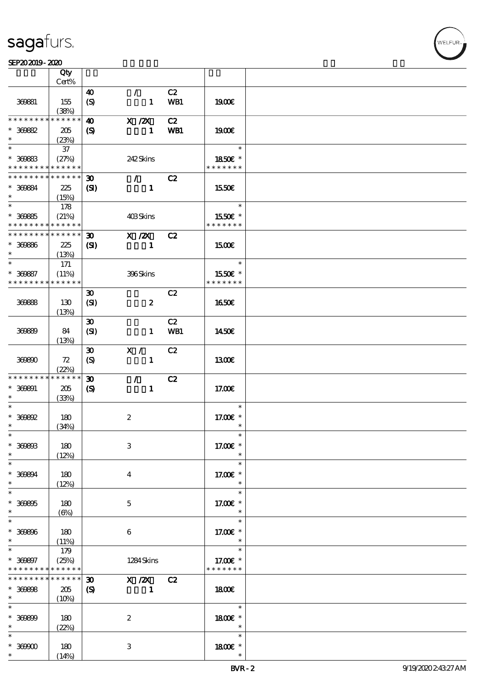### $SEP202019 - 2020$

|                   | Qty<br>Cert%               |                             |                  |            |                          |  |
|-------------------|----------------------------|-----------------------------|------------------|------------|--------------------------|--|
|                   |                            |                             |                  |            |                          |  |
|                   |                            | 40                          | $\mathcal{L}$    | C2         |                          |  |
| 369881            | 155                        | $\boldsymbol{S}$            | $\mathbf{1}$     | WB1        | 1900E                    |  |
|                   | (38%)                      |                             |                  |            |                          |  |
| * * * * * * * *   | * * * * * *                | $\boldsymbol{\omega}$       | $X$ / $ZX$       | C2         |                          |  |
| $* 30082$         | 205                        | $\boldsymbol{\mathrm{(S)}}$ | $\mathbf{1}$     | <b>WB1</b> | 1900E                    |  |
| $\ast$            | (23%)                      |                             |                  |            |                          |  |
| $\ast$            |                            |                             |                  |            | $\ast$                   |  |
|                   | $37\,$                     |                             |                  |            |                          |  |
| $* 30083$         | (27%)                      |                             | 242Skins         |            | 1850E *                  |  |
| * * * * * * * *   | * * * * * *                |                             |                  |            | * * * * * * *            |  |
| * * * * * * * *   | $\ast\ast\ast\ast\ast\ast$ | $\boldsymbol{\mathfrak{D}}$ | $\mathcal{F}$    | C2         |                          |  |
| * 369884          | 225                        | (S)                         | $\mathbf{1}$     |            | 1550E                    |  |
| $\ast$            | (15%)                      |                             |                  |            |                          |  |
| $\ast$            |                            |                             |                  |            | $\overline{\phantom{a}}$ |  |
|                   | 178                        |                             |                  |            |                          |  |
| $* 30085$         | (21%)                      |                             | 403Skins         |            | 1550E *                  |  |
| * * * * * * * *   | * * * * * *                |                             |                  |            | * * * * * * *            |  |
| * * * * * * * *   | $* * * * * * *$            | $\boldsymbol{\mathfrak{D}}$ | X / ZX           | C2         |                          |  |
| $* 30000$         | 225                        | $\mathbf{C}$                | $\mathbf{1}$     |            | 1500E                    |  |
| $\ast$            | (13%)                      |                             |                  |            |                          |  |
| $*$               |                            |                             |                  |            | $\ast$                   |  |
|                   | 171                        |                             |                  |            |                          |  |
| * 369887          | (11%)                      |                             | 396Skins         |            | 1550€ *                  |  |
| * * * * * * * *   | * * * * * *                |                             |                  |            | * * * * * * *            |  |
|                   |                            | $\boldsymbol{\mathfrak{D}}$ |                  | C2         |                          |  |
| 36988             | 130                        | (SI)                        | $\boldsymbol{z}$ |            | 1650E                    |  |
|                   | (13%)                      |                             |                  |            |                          |  |
|                   |                            | $\boldsymbol{\mathfrak{D}}$ |                  | C2         |                          |  |
|                   |                            |                             |                  |            |                          |  |
| 36889             | 84                         | (SI)                        | $\mathbf{1}$     | WB1        | 1450E                    |  |
|                   | (13%)                      |                             |                  |            |                          |  |
|                   |                            | $\boldsymbol{\mathfrak{D}}$ | X /              | C2         |                          |  |
| 369890            | 72                         | (S)                         | $\mathbf{1}$     |            | 1300                     |  |
|                   | (22%)                      |                             |                  |            |                          |  |
| * * * * * * * *   | * * * * * *                |                             |                  | C2         |                          |  |
|                   |                            | $\boldsymbol{\mathfrak{D}}$ | $\mathcal{L}$    |            |                          |  |
| $* 30001$         | 205                        | $\boldsymbol{\mathcal{S}}$  | $\mathbf{1}$     |            | 17.00E                   |  |
| $\ast$            | (33%)                      |                             |                  |            |                          |  |
| $\ast$            |                            |                             |                  |            | $\ast$                   |  |
| $*$ 369892        | 180                        |                             | $\boldsymbol{2}$ |            | 17.00 £*                 |  |
| $\ast$            | (34%)                      |                             |                  |            | $\ast$                   |  |
| $\ast$            |                            |                             |                  |            |                          |  |
| $* 300003$        | 180                        |                             | 3                |            | 17.00 $\varepsilon$ *    |  |
|                   |                            |                             |                  |            |                          |  |
| $\ast$            | (12%)                      |                             |                  |            | $\ast$                   |  |
| $\ast$            |                            |                             |                  |            | $\ast$                   |  |
| * 368894          | 180                        |                             | $\bf{4}$         |            | 17.00 £*                 |  |
| $*$               | (12%)                      |                             |                  |            | $\ast$                   |  |
| $\ast$            |                            |                             |                  |            | $\ast$                   |  |
| $* 30005$         | 180                        |                             | $\mathbf 5$      |            | 17.00 £*                 |  |
| $\ast$            |                            |                             |                  |            | $\ast$                   |  |
| $\overline{\ast}$ | (6%)                       |                             |                  |            | $\ast$                   |  |
|                   |                            |                             |                  |            |                          |  |
| $* 30000$         | 180                        |                             | $\boldsymbol{6}$ |            | 17.00 $\varepsilon$ *    |  |
| $*$               | (11%)                      |                             |                  |            | $\ast$                   |  |
| $\ast$            | 179                        |                             |                  |            | $\ast$                   |  |
| $* 30007$         | (25%)                      |                             | 1284 Skins       |            | 17.00 £*                 |  |
| * * * * * * * *   | * * * * * *                |                             |                  |            | * * * * * * *            |  |
| * * * * * * *     | * * * * * *                | $\boldsymbol{\mathfrak{D}}$ |                  |            |                          |  |
|                   |                            |                             | $X$ / $ZX$       | C2         |                          |  |
| $* 300008$        | 205                        | $\boldsymbol{\mathrm{(S)}}$ | $\mathbf{1}$     |            | 1800E                    |  |
| $\ast$            | (10%)                      |                             |                  |            |                          |  |
| $\overline{\ast}$ |                            |                             |                  |            | $\ast$                   |  |
| $* 30000$         | 180                        |                             | $\boldsymbol{2}$ |            | 1800E *                  |  |
| $\ast$            | (22%)                      |                             |                  |            | $\ast$                   |  |
| $\ast$            |                            |                             |                  |            | $\ast$                   |  |
|                   |                            |                             |                  |            |                          |  |
| $*$ 369900        | 180                        |                             | 3                |            | 1800 £*                  |  |
| $\ast$            | (14%)                      |                             |                  |            | $\ast$                   |  |

**NELFUR**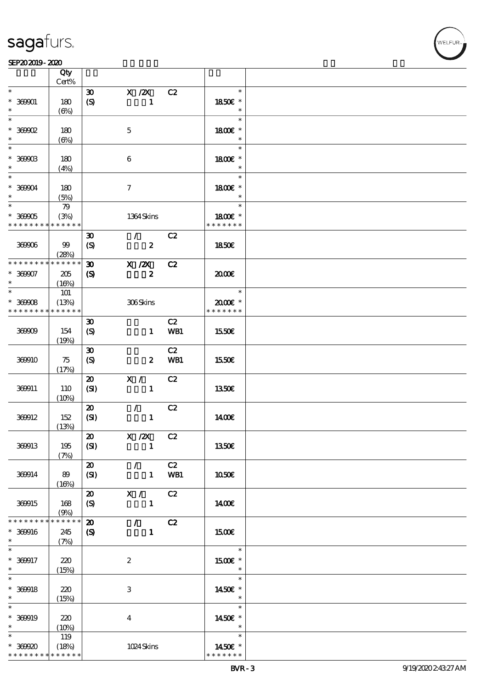### SEP202019-2020

|                   | Qty         |                             |                             |            |               |  |
|-------------------|-------------|-----------------------------|-----------------------------|------------|---------------|--|
|                   | $Cert\%$    |                             |                             |            |               |  |
| $\ast$            |             | $\boldsymbol{\mathfrak{D}}$ | $X$ / $ZX$                  | C2         | $\ast$        |  |
| $* 369001$        | 180         | (S)                         | $\mathbf{1}$                |            | 1850E *       |  |
| $\ast$            | $(\Theta)$  |                             |                             |            | $\ast$        |  |
| $\ast$            |             |                             |                             |            | $\ast$        |  |
| $*$ 369902        | 180         |                             | $\mathbf 5$                 |            | 1800€ *       |  |
| $\ast$            | $(\Theta)$  |                             |                             |            | $\ast$        |  |
| $\ast$            |             |                             |                             |            | $\ast$        |  |
| $^\ast$ 369903    | 180         |                             | $\bf 6$                     |            | 1800 £*       |  |
| $\ast$            | (4%)        |                             |                             |            | $\ast$        |  |
| $\ast$            |             |                             |                             |            | $\ast$        |  |
| $* 36904$         | 180         |                             | $\boldsymbol{7}$            |            | 1800E *       |  |
| $\ast$            | (5%)        |                             |                             |            | $\ast$        |  |
| $\ast$            | 79          |                             |                             |            | $\ast$        |  |
| $* 36905$         | (3%)        |                             | 1364Skins                   |            | 1800E *       |  |
| * * * * * * * *   | * * * * * * |                             |                             |            | * * * * * * * |  |
|                   |             |                             |                             |            |               |  |
|                   |             | $\boldsymbol{\mathfrak{D}}$ | $\mathcal{T} = \mathcal{I}$ | C2         |               |  |
| 369906            | 99          | $\boldsymbol{S}$            | $\boldsymbol{z}$            |            | 1850E         |  |
| * * * * * * * *   | (28%)       |                             |                             |            |               |  |
|                   | * * * * * * | $\boldsymbol{\mathfrak{D}}$ | $X$ / $ZX$                  | C2         |               |  |
| $* 369007$        | 205         | $\boldsymbol{S}$            | $\boldsymbol{z}$            |            | 2000          |  |
| $\ast$            | (16%)       |                             |                             |            |               |  |
| $\overline{\ast}$ | <b>101</b>  |                             |                             |            | $\ast$        |  |
| $* 36908$         | (13%)       |                             | 306Skins                    |            | 2000E *       |  |
| * * * * * * * *   | * * * * * * |                             |                             |            | * * * * * * * |  |
|                   |             | $\boldsymbol{\mathfrak{D}}$ |                             | C2         |               |  |
| 36909             | 154         | $\boldsymbol{S}$            | $\mathbf{1}$                | <b>WB1</b> | 1550€         |  |
|                   | (19%)       |                             |                             |            |               |  |
|                   |             | $\boldsymbol{\mathfrak{D}}$ |                             | C2         |               |  |
| 369910            | 75          | (S)                         | $\boldsymbol{z}$            | WB1        | 1550€         |  |
|                   | (17%)       |                             |                             |            |               |  |
|                   |             | $\boldsymbol{\mathsf{20}}$  | X /                         | C2         |               |  |
| 369911            | 110         | (SI)                        | $\mathbf{1}$                |            | 1350E         |  |
|                   | (10%)       |                             |                             |            |               |  |
|                   |             | $\boldsymbol{\mathfrak{D}}$ | $\mathcal{L}$               | C2         |               |  |
| 369912            | 152         | (SI)                        | $\mathbf{1}$                |            | 1400E         |  |
|                   | (13%)       |                             |                             |            |               |  |
|                   |             | $\vert x \vert$             | $X / ZX$ C2                 |            |               |  |
| 369913            | 195         |                             | -1                          |            | 1350€         |  |
|                   |             | (SI)                        |                             |            |               |  |
|                   | (7%)        |                             |                             |            |               |  |
|                   |             | $\boldsymbol{\mathfrak{D}}$ | $\mathcal{L}$               | C2         |               |  |
| 369914            | 89          | (SI)                        | $\mathbf{1}$                | WB1        | 1050E         |  |
|                   | (16%)       |                             |                             |            |               |  |
|                   |             | $\boldsymbol{\mathfrak{D}}$ | X /                         | C2         |               |  |
| 369915            | 168         | (S)                         | $\mathbf{1}$                |            | 1400E         |  |
|                   | (9%)        |                             |                             |            |               |  |
| * * * * * * *     | * * * * * * | $\boldsymbol{\mathbf{z}}$   | $\mathcal{L}$               | C2         |               |  |
| $* 360016$        | 245         | $\boldsymbol{S}$            | $\mathbf{1}$                |            | <b>1500€</b>  |  |
| $\ast$            | (7%)        |                             |                             |            |               |  |
| $\ast$            |             |                             |                             |            | $\ast$        |  |
| $* 360917$        | 220         |                             | $\boldsymbol{2}$            |            | 1500 £*       |  |
| $\ast$            | (15%)       |                             |                             |            | $\ast$        |  |
| $\ast$            |             |                             |                             |            | $\ast$        |  |
| $* 369918$        | 220         |                             | $\ensuremath{\mathbf{3}}$   |            | 1450€ *       |  |
| $\ast$            | (15%)       |                             |                             |            | $\ast$        |  |
| $\ast$            |             |                             |                             |            | $\ast$        |  |
| $* 360019$        | 220         |                             | $\boldsymbol{4}$            |            | 1450€ *       |  |
| $\ast$            | (10%)       |                             |                             |            | $\ast$        |  |
| $\ast$            | 119         |                             |                             |            | $\ast$        |  |
| $* 369920$        | (18%)       |                             | 1024Skins                   |            | 1450€ *       |  |
| * * * * * * * *   | * * * * * * |                             |                             |            | * * * * * * * |  |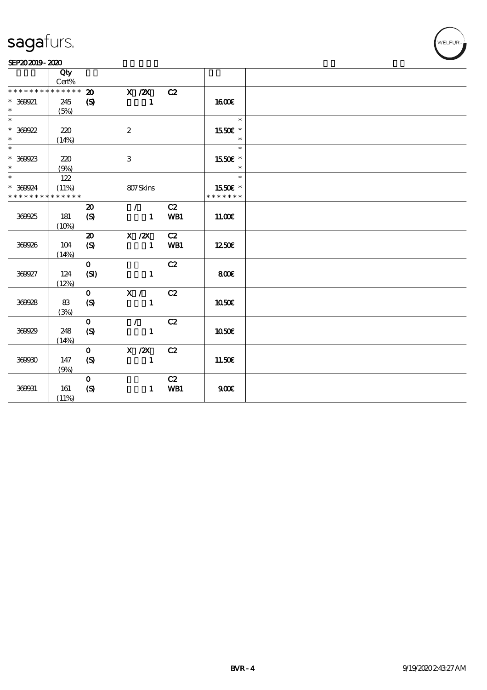### SEP202019-2020

|                             | Qty      |                             |                  |     |                   |  |
|-----------------------------|----------|-----------------------------|------------------|-----|-------------------|--|
|                             | $Cert\%$ |                             |                  |     |                   |  |
| * * * * * * * * * * * * * * |          | $\boldsymbol{\mathfrak{D}}$ | $X$ / $ZX$       | C2  |                   |  |
| $* 369921$                  | 245      | $\boldsymbol{\mathrm{(S)}}$ | $\mathbf{1}$     |     | <b>1600€</b>      |  |
| $\ast$                      | (5%)     |                             |                  |     |                   |  |
| $\overline{\ast}$           |          |                             |                  |     | $\ast$            |  |
| $* 369922$                  | 220      |                             | $\boldsymbol{2}$ |     | 1550E *           |  |
| $\ast$                      | (14%)    |                             |                  |     | $\ast$            |  |
| $\overline{\phantom{0}}$    |          |                             |                  |     | $\ast$            |  |
|                             |          |                             |                  |     |                   |  |
| $* 369923$<br>$\ast$        | 220      |                             | $\,3$            |     | 1550€ *<br>$\ast$ |  |
| $\overline{\phantom{0}}$    | (9%)     |                             |                  |     |                   |  |
|                             | 122      |                             |                  |     | $\ast$            |  |
| * 369924                    | (11%)    |                             | 807Skins         |     | 1550€ *           |  |
| * * * * * * * * * * * * * * |          |                             |                  |     | * * * * * * *     |  |
|                             |          | 20                          | $\mathcal{L}$    | C2  |                   |  |
| 369925                      | 181      | $\boldsymbol{S}$            | $\mathbf{1}$     | WB1 | 11.00E            |  |
|                             | (10%)    |                             |                  |     |                   |  |
|                             |          | $\boldsymbol{\mathfrak{D}}$ | $X$ / $ZX$       | C2  |                   |  |
| 369926                      | 104      | $\boldsymbol{S}$            | $\mathbf{1}$     | WB1 | 1250€             |  |
|                             | (14%)    |                             |                  |     |                   |  |
|                             |          | $\mathbf{o}$                |                  | C2  |                   |  |
|                             |          |                             |                  |     |                   |  |
| 369927                      | 124      | (SI)                        | $\mathbf{1}$     |     | 800               |  |
|                             | (12%)    |                             |                  |     |                   |  |
|                             |          | $\mathbf{O}$                | X /              | C2  |                   |  |
| 369928                      | 83       | (S)                         | $\mathbf{1}$     |     | 1050€             |  |
|                             | (3%)     |                             |                  |     |                   |  |
|                             |          | $\mathbf{o}$                | $\mathcal{L}$    | C2  |                   |  |
| 360029                      | 248      | $\pmb{\text{(S)}}$          | $\mathbf{1}$     |     | 1050€             |  |
|                             | (14%)    |                             |                  |     |                   |  |
|                             |          | $\mathbf{o}$                | X / ZX           | C2  |                   |  |
| 36990                       | 147      | (S)                         | $\mathbf{1}$     |     | 11.50€            |  |
|                             | (9%)     |                             |                  |     |                   |  |
|                             |          | $\mathbf 0$                 |                  | C2  |                   |  |
|                             |          |                             |                  |     |                   |  |
| 369931                      | 161      | (S)                         | $\mathbf{1}$     | WB1 | 900E              |  |
|                             | (11%)    |                             |                  |     |                   |  |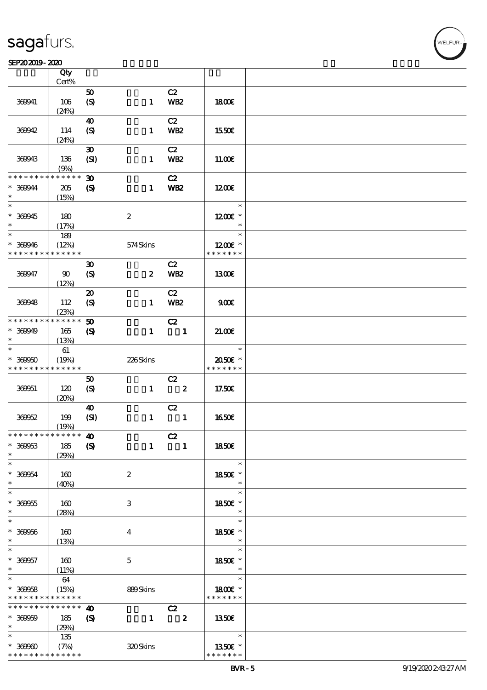### $SEP202019 - 2020$

|                               | $\overline{Q}$ ty          |                             |                  |                            |               |  |
|-------------------------------|----------------------------|-----------------------------|------------------|----------------------------|---------------|--|
|                               | Cert%                      |                             |                  |                            |               |  |
|                               |                            | 50                          |                  | C2                         |               |  |
| 369941                        | 106                        | $\boldsymbol{S}$            | $\mathbf{1}$     | <b>WB2</b>                 | 1800E         |  |
|                               | (24%)                      |                             |                  |                            |               |  |
|                               |                            | $\boldsymbol{\omega}$       |                  | C2                         |               |  |
| 369942                        | 114                        | $\boldsymbol{S}$            | $\mathbf{1}$     | <b>WB2</b>                 | 1550E         |  |
|                               |                            |                             |                  |                            |               |  |
|                               | (24%)                      |                             |                  |                            |               |  |
|                               |                            | $\boldsymbol{\mathfrak{D}}$ |                  | C2                         |               |  |
| 369943                        | 136                        | (SI)                        | $\mathbf{1}$     | <b>WB2</b>                 | 11.00E        |  |
|                               | (9%)                       |                             |                  |                            |               |  |
| * * * * * * * *               | * * * * * *                | $\boldsymbol{\mathfrak{D}}$ |                  | C2                         |               |  |
| * 369944                      | 205                        | $\boldsymbol{\mathrm{(S)}}$ | $\mathbf{1}$     | WB <sub>2</sub>            | 1200E         |  |
| $\ast$                        |                            |                             |                  |                            |               |  |
| $\ast$                        | (15%)                      |                             |                  |                            | $\ast$        |  |
|                               |                            |                             |                  |                            |               |  |
| $* 369945$                    | 180                        |                             | $\boldsymbol{2}$ |                            | $1200E$ *     |  |
| $\ast$                        | (17%)                      |                             |                  |                            | $\ast$        |  |
| $\ast$                        | 189                        |                             |                  |                            | $\ast$        |  |
| * 369946                      | (12%)                      |                             | 574Skins         |                            | $1200E$ *     |  |
| * * * * * * * *               | * * * * * *                |                             |                  |                            | * * * * * * * |  |
|                               |                            |                             |                  | C2                         |               |  |
|                               |                            | $\boldsymbol{\mathfrak{D}}$ |                  |                            |               |  |
| 369947                        | $\boldsymbol{\omega}$      | $\boldsymbol{S}$            | $\boldsymbol{z}$ | <b>WB2</b>                 | 1300E         |  |
|                               | (12%)                      |                             |                  |                            |               |  |
|                               |                            | $\boldsymbol{\mathfrak{D}}$ |                  | C2                         |               |  |
| 369948                        | 112                        | $\boldsymbol{S}$            | $\mathbf{1}$     | <b>WB2</b>                 | 900E          |  |
|                               | (23%)                      |                             |                  |                            |               |  |
| * * * * * * * *               | * * * * * *                | 50                          |                  | C2                         |               |  |
|                               |                            |                             |                  |                            |               |  |
| * 369949                      | 165                        | $\boldsymbol{\mathcal{S}}$  | $\mathbf{1}$     | $\blacksquare$             | 21.006        |  |
| $\ast$                        | (13%)                      |                             |                  |                            |               |  |
|                               | $61\,$                     |                             |                  |                            | $\ast$        |  |
| $* 36950$                     | (19%)                      |                             | 226Skins         |                            | 2050E *       |  |
| * * * * * * * *               | * * * * * *                |                             |                  |                            | * * * * * * * |  |
|                               |                            | 50                          |                  | C2                         |               |  |
| 369951                        | 120                        | $\boldsymbol{S}$            | $\mathbf{1}$     | $\overline{\mathbf{2}}$    | 17.50E        |  |
|                               |                            |                             |                  |                            |               |  |
|                               | (20%)                      |                             |                  |                            |               |  |
|                               |                            | $\boldsymbol{\omega}$       |                  | C2                         |               |  |
| 36962                         | 199                        | (SI)                        | $\mathbf{1}$     | $\overline{\phantom{a}}$   | <b>1650€</b>  |  |
|                               | (19%)                      |                             |                  |                            |               |  |
| * * * * * * * * * * * * * * * |                            | $\boldsymbol{\omega}$       |                  | C2                         |               |  |
| $* 369653$                    | 185                        | $\boldsymbol{S}$            | $\mathbf{1}$     | $\overline{\phantom{0}}$ 1 | 1850E         |  |
| $\ast$                        | (29%)                      |                             |                  |                            |               |  |
|                               |                            |                             |                  |                            | $\ast$        |  |
| $* 36954$                     |                            |                             |                  |                            | 1850E *       |  |
| $\ast$                        | 160                        |                             | $\boldsymbol{2}$ |                            | $\ast$        |  |
|                               | (40%)                      |                             |                  |                            |               |  |
| $\overline{\phantom{0}}$      |                            |                             |                  |                            | $\ast$        |  |
| $* 36955$                     | 160                        |                             | 3                |                            | 1850E *       |  |
| $\ast$                        | (28%)                      |                             |                  |                            | $\ast$        |  |
| $\overline{\phantom{0}}$      |                            |                             |                  |                            | $\ast$        |  |
| $* 36956$                     | 160                        |                             | $\bf{4}$         |                            | 1850E *       |  |
| $\ast$                        |                            |                             |                  |                            | $\ast$        |  |
| $\overline{\phantom{0}}$      | (13%)                      |                             |                  |                            | $\ast$        |  |
|                               |                            |                             |                  |                            |               |  |
| $* 369657$                    | 160                        |                             | $\mathbf{5}$     |                            | 1850E *       |  |
| $\ast$                        | (11%)                      |                             |                  |                            | $\ast$        |  |
| $\ast$                        | 64                         |                             |                  |                            | $\ast$        |  |
| $* 36958$                     | (15%)                      |                             | 889Skins         |                            | 1800€ *       |  |
| * * * * * * * *               | * * * * * *                |                             |                  |                            | * * * * * * * |  |
| * * * * * * * *               | * * * * * *                | $\boldsymbol{\omega}$       |                  | C2                         |               |  |
|                               |                            |                             |                  |                            |               |  |
| $* 30000$                     | 185                        | $\boldsymbol{\mathcal{S}}$  | $\mathbf{1}$     | $\overline{\mathbf{z}}$    | <b>1350€</b>  |  |
| $\ast$                        | (29%)                      |                             |                  |                            |               |  |
| $\ast$                        | 135                        |                             |                  |                            | $\ast$        |  |
| $* 36960$                     | (7%)                       |                             | 320Skins         |                            | 1350E *       |  |
| * * * * * * * *               | $\ast\ast\ast\ast\ast\ast$ |                             |                  |                            | * * * * * * * |  |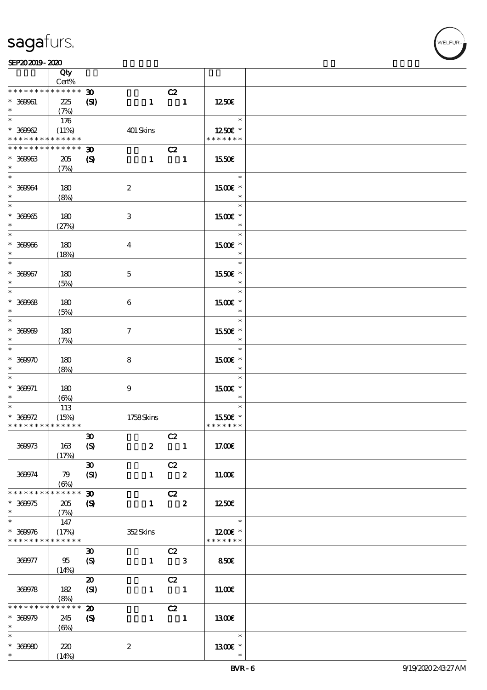VELFUR

#### SEP202019-2020

|                                                  | Qty<br>Cert%                            |                                                           |                                                               |                |                                    |  |
|--------------------------------------------------|-----------------------------------------|-----------------------------------------------------------|---------------------------------------------------------------|----------------|------------------------------------|--|
| * * * * * * * *                                  | $******$                                |                                                           |                                                               |                |                                    |  |
| $* 36961$<br>$\ast$                              | 225<br>(7%)                             | $\boldsymbol{\mathfrak{D}}$<br>(SI)<br>$\mathbf{1}$       | C2<br>$\blacksquare$                                          |                | 1250E                              |  |
| $\ast$                                           | 176                                     |                                                           |                                                               |                | $\ast$                             |  |
| $* 30002$<br>* * * * * * * *                     | (11%)<br>******                         | 401 Skins                                                 |                                                               |                | 1250E *<br>* * * * * * *           |  |
| * * * * * * * *                                  | * * * * * *                             | $\boldsymbol{\mathfrak{D}}$                               | C2                                                            |                |                                    |  |
| $* 30003$<br>$\ast$                              | 205<br>(7%)                             | $\boldsymbol{\mathcal{S}}$                                | $1 \quad 1$                                                   |                | 1550E                              |  |
| $\ast$<br>$* 36964$<br>$\ast$                    | 180<br>(8%)                             | $\boldsymbol{2}$                                          |                                                               |                | $\ast$<br>1500E *<br>$\ast$        |  |
| $\overline{\phantom{0}}$<br>$* 369965$<br>$\ast$ | 180<br>(27%)                            | $\ensuremath{\mathbf{3}}$                                 |                                                               |                | $\ast$<br>1500 £*<br>$\ast$        |  |
| $\ast$<br>$* 36966$<br>$\ast$                    | 180<br>(18%)                            | $\boldsymbol{4}$                                          |                                                               |                | $\ast$<br>1500 £*<br>$\ast$        |  |
| $\ast$<br>$* 369667$<br>$\ast$                   | 180<br>(5%)                             | $\mathbf 5$                                               |                                                               |                | $\ast$<br>1550E *<br>$\ast$        |  |
| $\ast$<br>$* 36968$<br>$\ast$                    | 180<br>(5%)                             | $\boldsymbol{6}$                                          |                                                               |                | $\ast$<br>1500 £*<br>$\ast$        |  |
| $\ast$<br>$* 36960$<br>$\ast$                    | 180<br>(7%)                             | $\tau$                                                    |                                                               |                | $\ast$<br>1550E *<br>$\ast$        |  |
| $\ast$<br>$* 30000$<br>$\ast$                    | 180<br>(8%)                             | 8                                                         |                                                               |                | $\ast$<br>1500E *<br>$\ast$        |  |
| $\ast$<br>$* 360071$<br>$\ast$                   | 180<br>$(\Theta)$                       | $\boldsymbol{9}$                                          |                                                               |                | $\ast$<br>1500 £*<br>$\ast$        |  |
| $* 300072$<br>* * * * * * * * * * * * * *        | 113<br>(15%)                            | 1758Skins                                                 |                                                               |                | $\ast$<br>1550E *<br>* * * * * * * |  |
| 36973                                            | 163<br>(17%)                            | $\boldsymbol{\mathfrak{D}}$<br>(S)                        | C2<br>$\boldsymbol{z}$                                        | $\blacksquare$ | 17.00€                             |  |
| 36974                                            | 79<br>$\left(\bigoplus_{\infty}\right)$ | $\boldsymbol{\mathfrak{D}}$<br>(SI)                       | C2<br>$\overline{\mathbf{2}}$<br>$\mathbf{1}$                 |                | 11.00E                             |  |
| * * * * * * *<br>$* 300075$<br>$\ast$            | * * * * * *<br>205<br>(7%)              | $\boldsymbol{\mathfrak{D}}$<br>$\boldsymbol{\mathcal{S}}$ | C2<br>$\overline{\mathbf{z}}$<br>$\mathbf{1}$                 |                | 1250E                              |  |
| $\ast$<br>$* 369976$<br>* * * * * * * *          | 147<br>(17%)<br>* * * * * *             | 352Skins                                                  |                                                               |                | $\ast$<br>1200E *<br>* * * * * * * |  |
| 369977                                           | 95<br>(14%)                             | $\boldsymbol{\mathfrak{D}}$<br>$\boldsymbol{S}$           | $\overline{C}2$<br>$\mathbf{1}$<br>$\overline{\phantom{a}}$ 3 |                | <b>850€</b>                        |  |
| 36978                                            | 182<br>(8%)                             | $\boldsymbol{\mathfrak{D}}$<br>(SI)                       | C2<br>$\overline{\phantom{a}}$<br>$\mathbf{1}$                |                | 11.00E                             |  |
| $\ast\ast\ast\ast\ast\ast$                       | * * * * * *                             | $\boldsymbol{\mathbf{z}}$                                 | C2                                                            |                |                                    |  |
| $* 300079$<br>$\ast$                             | 245<br>$(\Theta)$                       | $\boldsymbol{S}$                                          | $\mathbf{1}$<br>$\blacksquare$                                |                | 1300E                              |  |
| $\ast$                                           |                                         |                                                           |                                                               |                | $\ast$                             |  |
| $* 30000$<br>$\ast$                              | 220<br>(14%)                            | $\boldsymbol{z}$                                          |                                                               |                | 1300E *<br>$\ast$                  |  |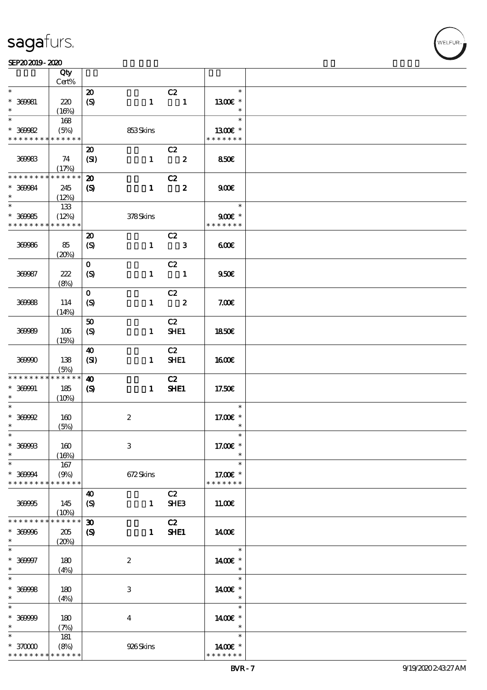#### SEP202019-2020 0 2020 UNIVERSITY OF THE CONTROL SEPERATOR OF THE CONTROL SEP

|                                          | Qty<br>Cert%         |                             |                  |                            |                          |  |
|------------------------------------------|----------------------|-----------------------------|------------------|----------------------------|--------------------------|--|
| $\ast$                                   |                      |                             |                  |                            | $\ast$                   |  |
|                                          |                      | $\boldsymbol{\mathfrak{D}}$ |                  | C2                         |                          |  |
| * 369981                                 | 220                  | $\boldsymbol{S}$            | $\mathbf{1}$     | $\blacksquare$             | 1300E *                  |  |
| $\ast$                                   | (16%)                |                             |                  |                            | $\ast$                   |  |
| $\ast$                                   | 168                  |                             |                  |                            | $\ast$                   |  |
| $* 30002$                                | (5%)                 |                             | 853Skins         |                            | 1300€ *                  |  |
| * * * * * * * *                          | ******               |                             |                  |                            | * * * * * * *            |  |
|                                          |                      |                             |                  |                            |                          |  |
|                                          |                      | $\boldsymbol{\mathbf{z}}$   |                  | C2                         |                          |  |
| 36983                                    | 74                   | (SI)                        | $\mathbf{1}$     | $\overline{\mathbf{z}}$    | 850E                     |  |
|                                          | (17%)                |                             |                  |                            |                          |  |
| * * * * * * * *                          | $* * * * * * *$      | $\boldsymbol{\mathfrak{D}}$ |                  | C2                         |                          |  |
| * 369984                                 | 245                  | $\boldsymbol{\mathcal{S}}$  | $\mathbf{1}$     | $\overline{\mathbf{2}}$    | 900                      |  |
| $\ast$                                   | (12%)                |                             |                  |                            |                          |  |
|                                          |                      |                             |                  |                            | $\ast$                   |  |
|                                          | 133                  |                             |                  |                            |                          |  |
| $* 369985$                               | (12%)                |                             | 378Skins         |                            | $900$ $\epsilon$ *       |  |
| * * * * * * * *                          | * * * * * *          |                             |                  |                            | * * * * * * *            |  |
|                                          |                      | $\boldsymbol{\mathfrak{D}}$ |                  | C2                         |                          |  |
| 36996                                    | 85                   | $\boldsymbol{S}$            | $\mathbf{1}$     | $\overline{\phantom{a}}$ 3 | 600                      |  |
|                                          |                      |                             |                  |                            |                          |  |
|                                          | (20%)                |                             |                  |                            |                          |  |
|                                          |                      | $\mathbf 0$                 |                  | C2                         |                          |  |
| 36987                                    | 222                  | (S)                         | $\mathbf{1}$     | $\blacksquare$             | 950E                     |  |
|                                          | (8%)                 |                             |                  |                            |                          |  |
|                                          |                      | $\mathbf 0$                 |                  | C2                         |                          |  |
| 36998                                    | 114                  | $\boldsymbol{S}$            | $\mathbf{1}$     | $\overline{\phantom{a}}$ 2 | 7.00E                    |  |
|                                          |                      |                             |                  |                            |                          |  |
|                                          | (14%)                |                             |                  |                            |                          |  |
|                                          |                      | 50                          |                  | C2                         |                          |  |
| 369999                                   | 106                  | (S)                         | $\mathbf{1}$     | SHE1                       | 1850E                    |  |
|                                          | (15%)                |                             |                  |                            |                          |  |
|                                          |                      | $\boldsymbol{\omega}$       |                  | C2                         |                          |  |
|                                          |                      |                             |                  | SHE1                       |                          |  |
| 36990                                    | 138                  | (SI)                        | $\mathbf{1}$     |                            | <b>1600€</b>             |  |
|                                          | (5%)                 |                             |                  |                            |                          |  |
| * * * * * * * *                          | $******$             | $\boldsymbol{\omega}$       |                  | C2                         |                          |  |
| $* 360001$                               | 185                  | $\boldsymbol{\mathrm{(S)}}$ | $\mathbf{1}$     | SHE1                       | 17.50€                   |  |
|                                          |                      |                             |                  |                            |                          |  |
| $\ast$                                   |                      |                             |                  |                            |                          |  |
| $\ast$                                   | (10%)                |                             |                  |                            | $\ast$                   |  |
|                                          |                      |                             |                  |                            |                          |  |
| $*$ 369992                               | 160                  |                             | $\boldsymbol{2}$ |                            | 17.00 £*                 |  |
| $\ast$                                   | (5%)                 |                             |                  |                            | $\ast$                   |  |
| $\ast$                                   |                      |                             |                  |                            | $\ast$                   |  |
| $* 36998$                                | 160                  |                             | $\,3$            |                            | 17.00 £*                 |  |
| $\ast$                                   |                      |                             |                  |                            | $\ast$                   |  |
| $\ast$                                   | (16%)                |                             |                  |                            | $\ast$                   |  |
|                                          | 167                  |                             |                  |                            |                          |  |
| * 369994                                 | (9%)                 |                             | 672Skins         |                            | 17.00 £*                 |  |
| * * * * * * * *                          | * * * * * *          |                             |                  |                            | * * * * * * *            |  |
|                                          |                      | $\boldsymbol{\omega}$       |                  | C2                         |                          |  |
| 369995                                   | 145                  | $\boldsymbol{S}$            | $\mathbf{1}$     | SHE <sub>3</sub>           | 11.00E                   |  |
|                                          |                      |                             |                  |                            |                          |  |
| * * * * * * * *                          | (10%)<br>* * * * * * |                             |                  |                            |                          |  |
|                                          |                      | $\boldsymbol{\mathfrak{D}}$ |                  | C2                         |                          |  |
|                                          | $205\,$              | $\boldsymbol{\mathrm{(S)}}$ | $\mathbf{1}$     | SHE1                       | 1400€                    |  |
| * 369996<br>$\ast$                       | (20%)                |                             |                  |                            |                          |  |
| $\ast$                                   |                      |                             |                  |                            | $\ast$                   |  |
| $* 360007$                               | 180                  |                             | $\boldsymbol{2}$ |                            | 1400€ *                  |  |
| $\ast$                                   |                      |                             |                  |                            | $\ast$                   |  |
|                                          | (4%)                 |                             |                  |                            | $\ast$                   |  |
|                                          |                      |                             |                  |                            |                          |  |
|                                          | 180                  |                             | 3                |                            | 1400€ *                  |  |
| $\overline{\ast}$<br>$* 36998$<br>$\ast$ | (4%)                 |                             |                  |                            | $\ast$                   |  |
|                                          |                      |                             |                  |                            | $\ast$                   |  |
| $\ast$                                   | 180                  |                             | $\bf{4}$         |                            | 1400€ *                  |  |
| $* 369999$<br>$\ast$                     |                      |                             |                  |                            | $\ast$                   |  |
|                                          | (7%)                 |                             |                  |                            | $\ast$                   |  |
| $\ast$                                   | 181                  |                             |                  |                            |                          |  |
| $*37000$<br>* * * * * * * *              | (8%)<br>* * * * * *  |                             | 926Skins         |                            | 1400€ *<br>* * * * * * * |  |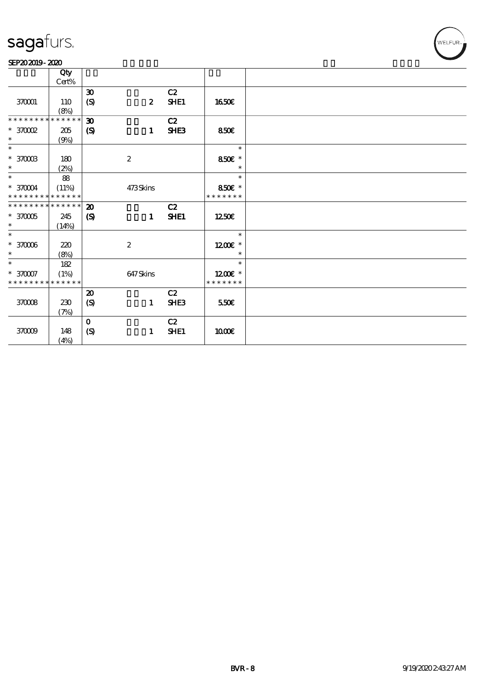#### SEP202019-2020

|                             | Qty         |                             |                  |                  |               |  |
|-----------------------------|-------------|-----------------------------|------------------|------------------|---------------|--|
|                             | $Cert\%$    |                             |                  |                  |               |  |
|                             |             | $\boldsymbol{\mathfrak{D}}$ |                  | C2               |               |  |
| 370001                      | 110         | $\boldsymbol{S}$            | $\boldsymbol{z}$ | SHE1             | 1650€         |  |
|                             | (8%)        |                             |                  |                  |               |  |
| * * * * * * * *             | * * * * * * | $\boldsymbol{\mathfrak{D}}$ |                  | C2               |               |  |
| $\,^*$ 3700 $\Omega$        | 205         | $\boldsymbol{S}$            | $\mathbf{1}$     | SHE <sub>3</sub> | 850E          |  |
| $\ast$                      | (9%)        |                             |                  |                  |               |  |
| $\ast$                      |             |                             |                  |                  | $\ast$        |  |
| $^\ast$ 370003              | 180         |                             | $\boldsymbol{2}$ |                  | 850€ *        |  |
| $\ast$                      | (2%)        |                             |                  |                  | $\ast$        |  |
| $\overline{\ast}$           | 88          |                             |                  |                  | $\ast$        |  |
| $^\ast$ 370004              | (11%)       |                             | 473Skins         |                  | 850€ *        |  |
| * * * * * * * * * * * * * * |             |                             |                  |                  | * * * * * * * |  |
| * * * * * * * * * * * * * * |             |                             |                  | C2               |               |  |
|                             |             | $\boldsymbol{\mathfrak{D}}$ |                  |                  |               |  |
| $^\ast$ 37005<br>$\ast$     | 245         | $\boldsymbol{S}$            | $\mathbf{1}$     | SHE1             | 1250E         |  |
|                             | (14%)       |                             |                  |                  |               |  |
| $\ast$                      |             |                             |                  |                  | $\ast$        |  |
| $^\ast$ 37006               | 220         |                             | $\boldsymbol{2}$ |                  | 1200E *       |  |
| $\ast$                      | (8%)        |                             |                  |                  | $\ast$        |  |
|                             | 182         |                             |                  |                  | $\ast$        |  |
| $* 370007$                  | (1%)        |                             | 647Skins         |                  | $1200E$ *     |  |
| * * * * * * * *             | * * * * * * |                             |                  |                  | * * * * * * * |  |
|                             |             | $\boldsymbol{\mathfrak{D}}$ |                  | C2               |               |  |
| 370008                      | 230         | $\boldsymbol{S}$            | $\mathbf{1}$     | SHE <sub>3</sub> | 550€          |  |
|                             | (7%)        |                             |                  |                  |               |  |
|                             |             | $\mathbf{o}$                |                  | C2               |               |  |
| 370009                      | 148         | $\boldsymbol{S}$            | 1                | SHE1             | 1000E         |  |
|                             | (4%)        |                             |                  |                  |               |  |
|                             |             |                             |                  |                  |               |  |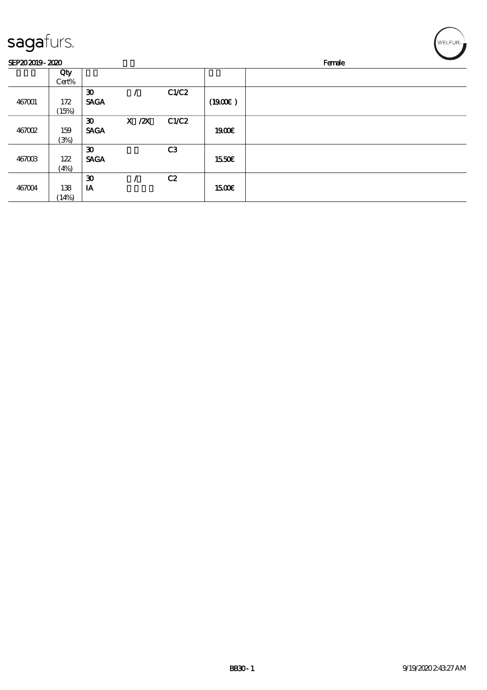| sagafurs.      |       |                             |            |                |              | WELFUR <sub>™</sub> |
|----------------|-------|-----------------------------|------------|----------------|--------------|---------------------|
| SEP202019-2020 |       |                             |            |                |              | Female              |
|                | Qty   |                             |            |                |              |                     |
|                | Cert% |                             |            |                |              |                     |
|                |       | $\boldsymbol{\mathfrak{D}}$ |            | C1/C2          |              |                     |
| 467001         | 172   | <b>SAGA</b>                 |            |                | (1900E)      |                     |
|                | (15%) |                             |            |                |              |                     |
|                |       | $\boldsymbol{\mathfrak{D}}$ | $X$ / $ZX$ | C1/C2          |              |                     |
| 467002         | 159   | <b>SAGA</b>                 |            |                | 1900E        |                     |
|                | (3%)  |                             |            |                |              |                     |
|                |       | $\boldsymbol{\mathfrak{D}}$ |            | C <sub>3</sub> |              |                     |
| 467003         | 122   | <b>SAGA</b>                 |            |                | 1550€        |                     |
|                | (4%)  |                             |            |                |              |                     |
|                |       | $\boldsymbol{\mathfrak{D}}$ |            | C2             |              |                     |
| 467004         | 138   | IA                          |            |                | <b>1500€</b> |                     |
|                | (14%) |                             |            |                |              |                     |

╭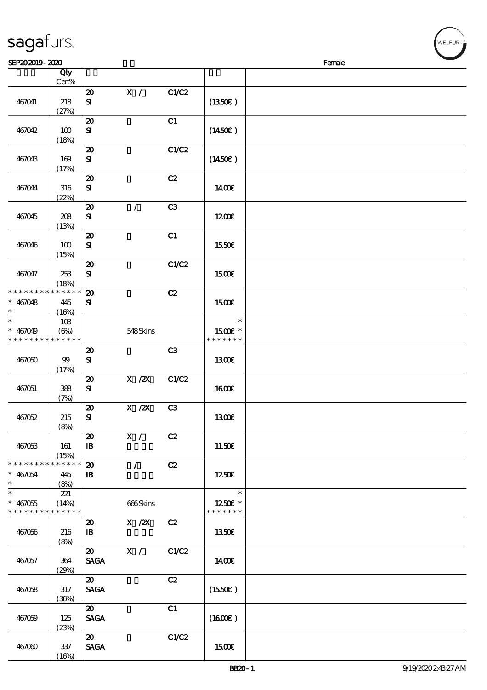| 467041                                              | 218                         | $\boldsymbol{\mathbf{z}}$<br>${\bf s}$                    | $\mathbf{X}$ /                         | C1/C2          | (1350E)                              |  |
|-----------------------------------------------------|-----------------------------|-----------------------------------------------------------|----------------------------------------|----------------|--------------------------------------|--|
|                                                     | (27%)                       | $\boldsymbol{\mathfrak{D}}$                               |                                        | C1             |                                      |  |
| 467042                                              | 100<br>(18%)                | ${\bf s}$                                                 |                                        |                | (1450E)                              |  |
| 467043                                              | 169<br>(17%)                | $\boldsymbol{\mathbf{z}}$<br>${\bf s}$                    |                                        | C1/C2          | $(1450\epsilon)$                     |  |
| 467044                                              | 316                         | $\boldsymbol{\mathbf{z}}$<br>${\bf s}$                    |                                        | C2             | 1400E                                |  |
| 467045                                              | (22%)<br>208<br>(13%)       | $\boldsymbol{\mathfrak{D}}$<br>${\bf s}$                  | $\mathcal{L}$                          | C3             | 1200                                 |  |
| 467046                                              | 100<br>(15%)                | $\boldsymbol{\mathfrak{D}}$<br>${\bf s}$                  |                                        | C1             | <b>1550€</b>                         |  |
| 467047                                              | 253<br>(18%)                | $\boldsymbol{\mathbf{z}}$<br>${\bf s}$                    |                                        | C1/C2          | 1500€                                |  |
| * * * * * * * *<br>$* 467048$<br>$\ast$             | * * * * * *<br>445<br>(16%) | $\boldsymbol{\mathbf{z}}$<br>${\bf s}$                    |                                        | C2             | 1500€                                |  |
| $*$<br>$* 467049$<br>* * * * * * * * * * * * * *    | 10B<br>$(\Theta)$           |                                                           | 548Skins                               |                | $\ast$<br>$1500E$ *<br>* * * * * * * |  |
| 467050                                              | $99$<br>(17%)               | $\boldsymbol{\mathfrak{D}}$<br>${\bf s}$                  |                                        | C <sub>3</sub> | <b>1300€</b>                         |  |
| 467051                                              | 388<br>(7%)                 | $\boldsymbol{\mathfrak{D}}$<br>${\bf s}$                  | $X \, /ZX$                             | C1/C2          | 1600E                                |  |
| 467052                                              | 215<br>(8%)                 | $\boldsymbol{\mathfrak{D}}$<br>${\bf s}$                  | $X$ / $ZX$                             | C <sub>3</sub> | 1300E                                |  |
| 467053                                              | 161<br>(15%)                | $\boldsymbol{\mathfrak{D}}$<br>$\mathbf{B}$               | X /                                    | C2             | 11.50€                               |  |
| * * * * * * *<br>$* 467054$<br>$\ast$               | * * * * * *<br>445<br>(8%)  | $\boldsymbol{\mathbf{z}}$<br>$\, {\bf I} \! {\bf B} \,$   | $\mathcal{L}$                          | C2             | 1250E                                |  |
| $\ast$<br>$* 467055$<br>* * * * * * * * * * * * * * | 221<br>(14%)                |                                                           | 666Skins                               |                | $\ast$<br>1250E *<br>* * * * * * *   |  |
| 467056                                              | 216<br>(8%)                 | $\boldsymbol{\mathfrak{D}}$<br>$\, {\bf I} \! {\bf B} \,$ | $\boldsymbol{\mathrm{X}}$ / <b>Z</b> X | C2             | <b>1350€</b>                         |  |
| 467057                                              | 364<br>(29%)                | $\boldsymbol{\mathfrak{D}}$<br><b>SAGA</b>                | $\mathbf{X}$ /                         | C1/C2          | 1400E                                |  |
| 467058                                              | 317<br>(36%)                | $\boldsymbol{\mathfrak{D}}$<br><b>SAGA</b>                |                                        | C2             | (1550E)                              |  |
| 467059                                              | 125<br>(23%)                | $\boldsymbol{\mathfrak{D}}$<br><b>SAGA</b>                |                                        | C1             | (1600)                               |  |

SEP20 2019 - 2020 **IFEP20 2019 - 2020** 

说明 价格

 $15CCE$ 

### sagafurs.

顺序号 Qty

467060 337

 $(16%)$ 

20 C1/C2<br>SAGA

Cert%

| WELFUR <sub>2</sub> |  |
|---------------------|--|
|                     |  |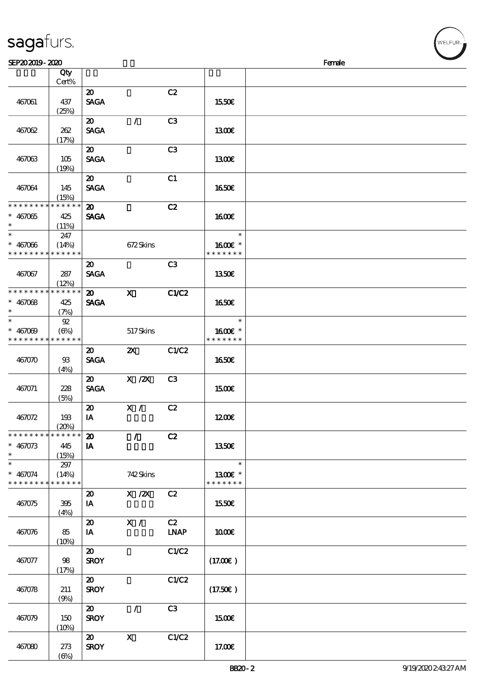|                      | Cert%                |                             |                           |                |               |  |
|----------------------|----------------------|-----------------------------|---------------------------|----------------|---------------|--|
|                      |                      | $\boldsymbol{\mathfrak{D}}$ |                           | C2             |               |  |
| 467061               | 437                  | <b>SAGA</b>                 |                           |                | 1550€         |  |
|                      | (25%)                |                             |                           |                |               |  |
|                      |                      | $\boldsymbol{\mathfrak{D}}$ | $\mathcal{L}$             | C <sub>3</sub> |               |  |
|                      |                      |                             |                           |                |               |  |
| 467062               | 262                  | <b>SAGA</b>                 |                           |                | 1300E         |  |
|                      | (17%)                |                             |                           |                |               |  |
|                      |                      | $\boldsymbol{\mathfrak{D}}$ |                           | C3             |               |  |
| 467063               | 105                  | <b>SAGA</b>                 |                           |                | 1300E         |  |
|                      | (19%)                |                             |                           |                |               |  |
|                      |                      | 20                          |                           | C1             |               |  |
| 467064               | 145                  | <b>SAGA</b>                 |                           |                | 1650E         |  |
|                      | (15%)                |                             |                           |                |               |  |
| * * * * * * * *      | * * * * * *          | $\boldsymbol{\mathfrak{D}}$ |                           | C2             |               |  |
|                      |                      | <b>SAGA</b>                 |                           |                |               |  |
| $* 467065$<br>$\ast$ | 425                  |                             |                           |                | <b>1600€</b>  |  |
| $\ast$               | (11%)                |                             |                           |                | $\ast$        |  |
|                      | 247                  |                             |                           |                |               |  |
| $* 467066$           | (14%)                |                             | 672Skins                  |                | 1600E *       |  |
| * * * * * * * *      | * * * * * *          |                             |                           |                | * * * * * * * |  |
|                      |                      | $\boldsymbol{\mathfrak{D}}$ |                           | C3             |               |  |
| 467067               | 287                  | <b>SAGA</b>                 |                           |                | <b>1350€</b>  |  |
|                      | (12%)                |                             |                           |                |               |  |
| * * * * * * * *      | * * * * * *          | $\boldsymbol{\mathfrak{D}}$ | $\mathbf{x}$              | C1/C2          |               |  |
| $* 467068$           | 425                  | <b>SAGA</b>                 |                           |                | <b>1650€</b>  |  |
| $\ast$               | (7%)                 |                             |                           |                |               |  |
| $\ast$               |                      |                             |                           |                | $\ast$        |  |
|                      | $\mathfrak{P}$       |                             |                           |                |               |  |
| $* 467009$           | $(\Theta)$           |                             | 517Skins                  |                | 1600€ *       |  |
| * * * * * * * *      | $******$             |                             |                           |                | * * * * * * * |  |
|                      |                      | $\boldsymbol{\mathfrak{D}}$ | $\boldsymbol{\mathsf{X}}$ | C1/C2          |               |  |
| 467070               | 93                   | <b>SAGA</b>                 |                           |                | <b>1650€</b>  |  |
|                      | (4%)                 |                             |                           |                |               |  |
|                      |                      | $\boldsymbol{\mathfrak{D}}$ | $X$ / $ZX$                | C <sub>3</sub> |               |  |
| 467071               | 228                  | <b>SAGA</b>                 |                           |                | 1500E         |  |
|                      | (5%)                 |                             |                           |                |               |  |
|                      |                      | $\boldsymbol{\mathsf{20}}$  | X /                       | C2             |               |  |
| 467072               | 193                  | IA                          |                           |                | 1200          |  |
|                      |                      |                             |                           |                |               |  |
| * * * * * * * *      | (20%)<br>* * * * * * |                             |                           |                |               |  |
|                      |                      | $\boldsymbol{\mathbf{z}}$   | $\mathcal{L}$             | C2             |               |  |
| $* 467073$           | 445                  | $\mathbf{I} \mathbf{A}$     |                           |                | 1350€         |  |
| $\ast$               | (15%)                |                             |                           |                |               |  |
| $\ast$               | 297                  |                             |                           |                | $\ast$        |  |
| $* 467074$           | (14%)                |                             | 742Skins                  |                | 1300€ *       |  |
| * * * * * * * *      | * * * * * *          |                             |                           |                | * * * * * * * |  |
|                      |                      | $\boldsymbol{\mathsf{20}}$  | $X \, /ZX$                | C2             |               |  |
| 467075               | 395                  | IA                          |                           |                | 1550€         |  |
|                      | (4%)                 |                             |                           |                |               |  |
|                      |                      | $\boldsymbol{\mathsf{20}}$  | X /                       | C2             |               |  |
|                      |                      | IA                          |                           | <b>LNAP</b>    | 1000E         |  |
| 467076               | 85                   |                             |                           |                |               |  |
|                      | (10%)                |                             |                           |                |               |  |
|                      |                      | $\boldsymbol{\mathfrak{D}}$ |                           | C1/C2          |               |  |
| 467077               | 98                   | <b>SROY</b>                 |                           |                | (17.00)       |  |
|                      | (17%)                |                             |                           |                |               |  |
|                      |                      | $\boldsymbol{\mathfrak{D}}$ |                           | C1/C2          |               |  |
| 467078               | 211                  | <b>SROY</b>                 |                           |                | (17.50)       |  |
|                      | (9%)                 |                             |                           |                |               |  |
|                      |                      | $\boldsymbol{\mathfrak{D}}$ | $\mathcal{L}$             | C3             |               |  |
| 467079               | 150                  | <b>SROY</b>                 |                           |                | 1500€         |  |
|                      | (10%)                |                             |                           |                |               |  |
|                      |                      |                             |                           |                |               |  |
|                      |                      | $\boldsymbol{\mathfrak{D}}$ | $\mathbf{X}$              | C1/C2          |               |  |
| 467080               | 273                  | <b>SROY</b>                 |                           |                | 17.00E        |  |

 $SEP202019 - 2020$  Female

说明 价格

### sagafurs.

顺序号 Qty

(6%)

BB20-2 9/19/2020 2:43:27 AM

**NELFUR**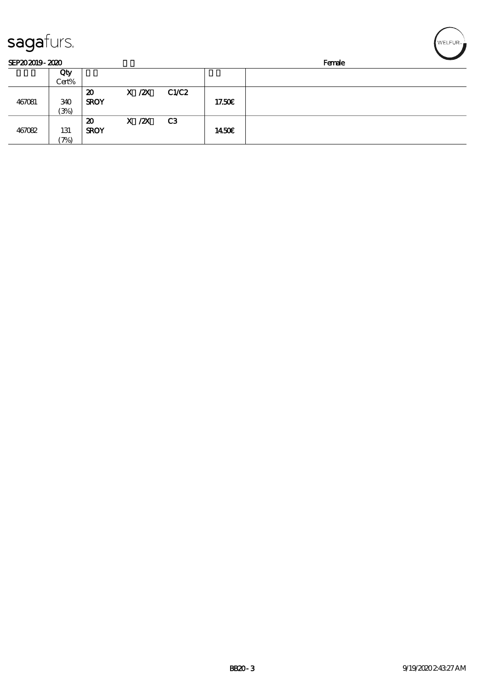| sagafurs.      |                          |                                           |            |       |              |        | WELFUR <sub>™</sub> |
|----------------|--------------------------|-------------------------------------------|------------|-------|--------------|--------|---------------------|
| SEP202019-2020 |                          |                                           |            |       |              | Female |                     |
|                | Qty<br>Cert%             |                                           |            |       |              |        |                     |
| 467081         | 340<br>(3%)              | $\boldsymbol{\mathsf{20}}$<br><b>SROY</b> | $X$ / $ZX$ | C1/C2 | 17.50E       |        |                     |
| 467082         | 131<br>$\mathcal{P}_{0}$ | 20<br><b>SROY</b>                         | $X$ / $ZX$ | C3    | <b>1450€</b> |        |                     |

╭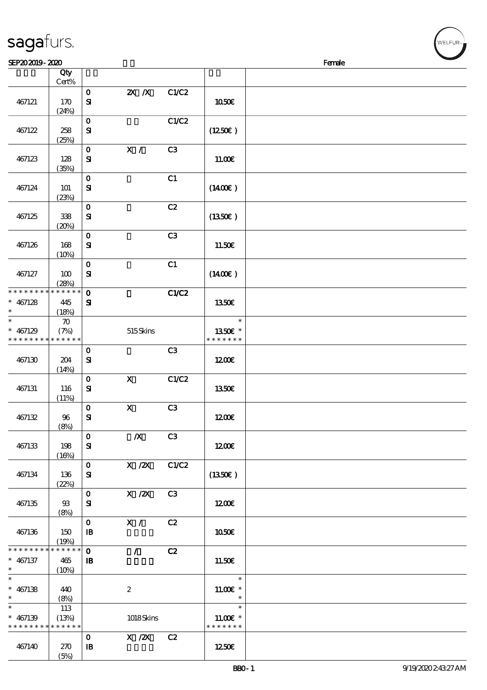|                 | Qty<br>$Cert\%$    |                             |                           |                |                       |  |
|-----------------|--------------------|-----------------------------|---------------------------|----------------|-----------------------|--|
|                 |                    |                             |                           |                |                       |  |
| 467121          | 170                | $\mathbf O$<br>$\mathbf{S}$ | $X$ $X$                   | C1/C2          | 1050€                 |  |
|                 | (24%)              |                             |                           |                |                       |  |
|                 |                    | $\mathbf 0$                 |                           | C1/C2          |                       |  |
| 467122          | 258                | ${\bf S}$                   |                           |                | (1250E)               |  |
|                 | (25%)              |                             |                           |                |                       |  |
|                 |                    | $\mathbf O$                 | $\mathbf{X}$ /            | C3             |                       |  |
| 467123          | 128                | ${\bf S\!I}$                |                           |                | 11.00E                |  |
|                 | (35%)              |                             |                           |                |                       |  |
|                 |                    | $\mathbf O$                 |                           | C1             |                       |  |
| 467124          | <b>101</b>         | $\mathbf{S}$                |                           |                | $(1400\varepsilon)$   |  |
|                 | (23%)              |                             |                           |                |                       |  |
|                 |                    | $\mathbf 0$                 |                           | C2             |                       |  |
| 467125          | 338                | ${\bf S}$                   |                           |                | (1350E)               |  |
|                 | (20%)              |                             |                           |                |                       |  |
|                 |                    | $\mathbf 0$                 |                           | C3             |                       |  |
| 467126          | 168                | ${\bf s}$                   |                           |                | 11.50€                |  |
|                 | (10%)              |                             |                           |                |                       |  |
|                 |                    | $\mathbf O$                 |                           | C1             |                       |  |
| 467127          | 100                | $\mathbf{S}$                |                           |                | $(1400\varepsilon)$   |  |
|                 | (28%)              |                             |                           |                |                       |  |
| * * * * * * * * | * * * * * *        | $\mathbf{o}$                |                           | C1/C2          |                       |  |
| $* 467128$      | 445                | ${\bf s}$                   |                           |                | 1350€                 |  |
| *               | (18%)              |                             |                           |                |                       |  |
| $\ast$          | $\boldsymbol{\pi}$ |                             |                           |                | $\ast$                |  |
| $* 467129$      | (7%)               |                             | 515Skins                  |                | 1350E *               |  |
| * * * * * * * * | * * * * * *        |                             |                           |                | * * * * * * *         |  |
|                 |                    | $\mathbf 0$                 |                           | C3             |                       |  |
| 467130          | 204                | $\mathbf{S}$                |                           |                | 1200E                 |  |
|                 | (14%)              |                             |                           |                |                       |  |
|                 |                    | $\mathbf 0$                 | $\boldsymbol{\mathsf{X}}$ | C1/C2          |                       |  |
| 467131          | 116                | ${\bf s}$                   |                           |                | <b>1350€</b>          |  |
|                 | (11%)              |                             |                           |                |                       |  |
|                 |                    | $\mathbf O$                 | $\mathbf X$               | C3             |                       |  |
| 467132          | 96                 | $\mathbf{S}$                |                           |                | 1200                  |  |
|                 | (8%)               |                             |                           |                |                       |  |
|                 |                    | $\mathbf{o}$                | $\pmb{X}$                 | C3             |                       |  |
| 467133          | 198                | ${\bf s}$                   |                           |                | 1200                  |  |
|                 | (16%)              |                             |                           |                |                       |  |
|                 |                    | $\mathbf{O}$                | $X$ / $ZX$                | C1/C2          |                       |  |
| 467134          | 136                | ${\bf s}$                   |                           |                | $(1350\epsilon)$      |  |
|                 | (22%)              |                             |                           |                |                       |  |
|                 |                    | $\mathbf O$                 | $X$ / $ZX$                | C <sub>3</sub> |                       |  |
| 467135          | 93                 | ${\bf s}$                   |                           |                | 1200                  |  |
|                 | (8%)               |                             |                           |                |                       |  |
|                 |                    | $\mathbf{o}$                | X /                       | C2             |                       |  |
| 467136          | 150                | $\mathbf{B}$                |                           |                | 1050€                 |  |
|                 | (19%)              |                             |                           |                |                       |  |
| * * * * * * * * | ******             | $\mathbf{o}$                | $\mathcal{L}$             | C2             |                       |  |
| $* 467137$      | 465                | $\mathbf{B}$                |                           |                | 11.50E                |  |
| $\ast$          | (10%)              |                             |                           |                |                       |  |
| $\ast$          |                    |                             |                           |                | $\ast$                |  |
| $* 467138$      | 440                |                             | $\boldsymbol{z}$          |                | $11.00E$ *            |  |
| $\ast$          | (8%)               |                             |                           |                | $\ast$                |  |
| $\ast$          | 113                |                             |                           |                | $\ast$                |  |
| $* 467139$      | (13%)              |                             | 1018Skins                 |                | 11.00 $\varepsilon$ * |  |
| * * * * * * * * | * * * * * *        |                             |                           |                | * * * * * * *         |  |
|                 |                    | $\mathbf 0$                 | $X$ / $ZX$                | C2             |                       |  |
| 467140          | 270                | $\mathbf{B}$                |                           |                | 1250E                 |  |
|                 | (5%)               |                             |                           |                |                       |  |

 $SEP202019 - 2020$  Female

#### sagafurs.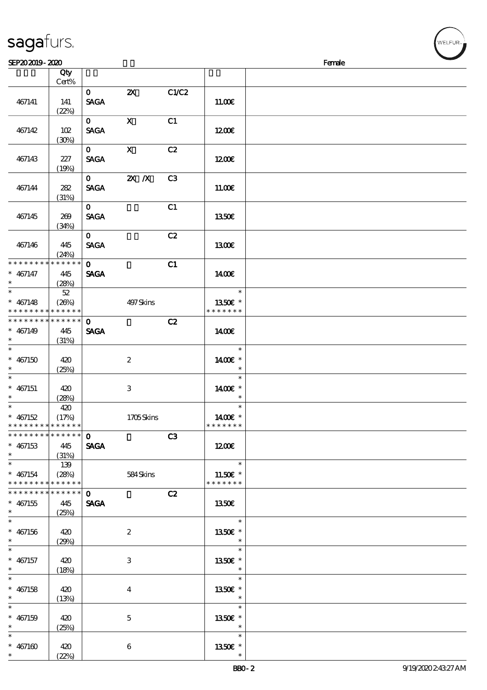| SEP202019-2020                             |       |              |                           |                |               | Female |
|--------------------------------------------|-------|--------------|---------------------------|----------------|---------------|--------|
|                                            | Qty   |              |                           |                |               |        |
|                                            | Cert% |              |                           |                |               |        |
|                                            |       | $\mathbf{O}$ | $\boldsymbol{\mathsf{Z}}$ | C1/C2          |               |        |
| 467141                                     | 141   | <b>SAGA</b>  |                           |                | 11.00E        |        |
|                                            | (22%) |              |                           |                |               |        |
|                                            |       | $\mathbf{O}$ | $\mathbf{X}$              | C1             |               |        |
| 467142                                     | 102   | <b>SAGA</b>  |                           |                | 1200E         |        |
|                                            | (30%) |              |                           |                |               |        |
|                                            |       | $\mathbf{O}$ | $\mathbf{X}$              | C2             |               |        |
| 467143                                     | 227   | <b>SAGA</b>  |                           |                | 1200E         |        |
|                                            | (19%) |              |                           |                |               |        |
|                                            |       | $\mathbf{0}$ | $2X$ $X$                  | C3             |               |        |
| 467144                                     | 282   | <b>SAGA</b>  |                           |                | 11.00E        |        |
|                                            | (31%) |              |                           |                |               |        |
|                                            |       | $\mathbf{O}$ |                           | C1             |               |        |
| 467145                                     | 269   | <b>SAGA</b>  |                           |                | 1350€         |        |
|                                            | (34%) |              |                           |                |               |        |
|                                            |       | $\mathbf{O}$ |                           | C2             |               |        |
| 467146                                     | 445   | <b>SAGA</b>  |                           |                | 1300E         |        |
|                                            | (24%) |              |                           |                |               |        |
| * * * * * * * * * * * * * *                |       | $\mathbf{O}$ |                           | C1             |               |        |
| $* 467147$                                 | 445   | <b>SAGA</b>  |                           |                | 1400€         |        |
|                                            | (28%) |              |                           |                |               |        |
| $\ast$                                     | 52    |              |                           |                | $\ast$        |        |
| $* 467148$                                 | (26%) |              | 497Skins                  |                | 1350€ *       |        |
| * * * * * * * * <mark>* * * * * * *</mark> |       |              |                           |                | * * * * * * * |        |
| * * * * * * * * * * * * * *                |       | $\mathbf{o}$ |                           | C2             |               |        |
| $* 467149$                                 | 445   | <b>SAGA</b>  |                           |                | 1400€         |        |
| $\ast$                                     | (31%) |              |                           |                |               |        |
| $\ast$                                     |       |              |                           |                | $\ast$        |        |
| $* 467150$                                 | 420   |              | $\boldsymbol{2}$          |                | 1400€ *       |        |
|                                            | (25%) |              |                           |                | $\ast$        |        |
| $\ast$                                     |       |              |                           |                | $\ast$        |        |
| $* 467151$                                 | 420   |              | 3                         |                | 1400€ *       |        |
| $\ast$                                     | (28%) |              |                           |                | $\ast$        |        |
| $\ast$                                     | 420   |              |                           |                | $\ast$        |        |
| $* 467152$                                 | (17%) |              | 1705Skins                 |                | 1400€ *       |        |
| * * * * * * * * <mark>* * * * * * *</mark> |       |              |                           |                | * * * * * * * |        |
| * * * * * * * * * * * * * *                |       | $\mathbf 0$  |                           | C <sub>3</sub> |               |        |
| $* 467153$                                 | 445   | <b>SAGA</b>  |                           |                | 1200E         |        |
| $\ast$                                     | (31%) |              |                           |                |               |        |

\*

\* \* 13.50€ \*

\*

\*

\*

\*

\* 13.50€ \*

\* 13.50€ \*

\* 13.50€ \*

\* 13.50€\*

\* 11.50€ \* \* \* \* \* \* \*

13.50€

\* \* 467154

\*

\*

\*

\*

\*

\*

\*

\*

\*

\*

\*

\* \* \* \* \* \* \* \* \* \* \* \* \* \*

sagafurs.

\* \* \* \* \* \* \* \* \* \* \* \* \* \* \* 467155 445

\* 467156 420

\* 467157 420

\* 467158 420

\* 467159 420

\* 467160 420

139

(25%)

 $(29%)$ 

 $(18%)$ 

(13%)

 $(25%)$ 

 $(22%)$ 

(28%) 584 Skins

SAGA

 $\overline{c}$   $\overline{c}$ 

2

3

4

5

6

'<br>WELFUR∍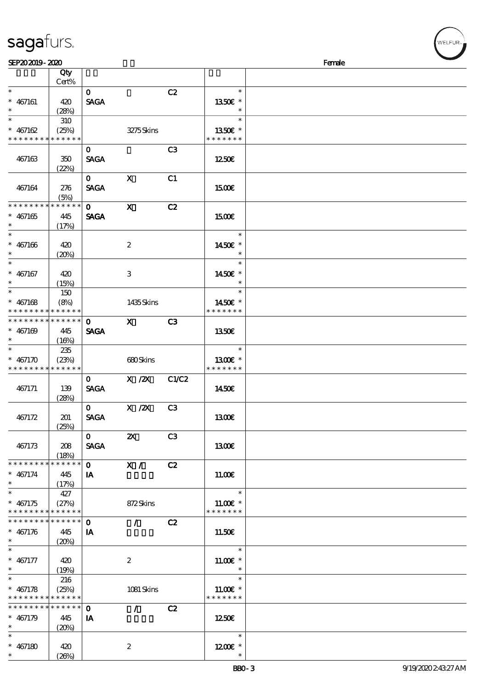| <b>saga</b> furs. |  |
|-------------------|--|
|                   |  |

| SEP202019-2020                             |       |              |                           |    |                       | Female |
|--------------------------------------------|-------|--------------|---------------------------|----|-----------------------|--------|
|                                            | Qty   |              |                           |    |                       |        |
|                                            | Cert% |              |                           |    |                       |        |
| $\ast$                                     |       | $\mathbf{O}$ |                           | C2 | $\ast$                |        |
| $* 467161$                                 | 420   | <b>SAGA</b>  |                           |    | 1350€ *               |        |
| $\ast$                                     |       |              |                           |    | $\ast$                |        |
| $_{*}^{-}$                                 | (28%) |              |                           |    | $\ast$                |        |
|                                            | 310   |              |                           |    |                       |        |
| $* 467162$                                 | (25%) |              | 3275Skins                 |    | 1350E *               |        |
| * * * * * * * * * * * * * *                |       |              |                           |    | * * * * * * *         |        |
|                                            |       | $\mathbf{O}$ |                           | C3 |                       |        |
| 467163                                     | 350   | <b>SAGA</b>  |                           |    | 1250E                 |        |
|                                            | (22%) |              |                           |    |                       |        |
|                                            |       |              |                           |    |                       |        |
|                                            |       | $\mathbf{0}$ | $\mathbf{x}$              | C1 |                       |        |
| 467164                                     | 276   | <b>SAGA</b>  |                           |    | <b>1500€</b>          |        |
|                                            | (5%)  |              |                           |    |                       |        |
| * * * * * * * * * * * * * *                |       | $\mathbf{O}$ | $\mathbf{x}$              | C2 |                       |        |
| $* 467165$                                 | 445   | <b>SAGA</b>  |                           |    | 1500                  |        |
| $\ast$                                     | (17%) |              |                           |    |                       |        |
| $\ast$                                     |       |              |                           |    | $\ast$                |        |
|                                            |       |              |                           |    |                       |        |
| $* 467166$                                 | 420   |              | $\boldsymbol{2}$          |    | 1450€ *               |        |
| $\ast$                                     | (20%) |              |                           |    | $\ast$                |        |
| $\ast$                                     |       |              |                           |    | $\ast$                |        |
| $* 467167$                                 | 420   |              | $\,3$                     |    | 1450€ *               |        |
| $\ast$                                     | (15%) |              |                           |    | $\ast$                |        |
| $\ast$                                     | 150   |              |                           |    | $\ast$                |        |
|                                            |       |              |                           |    | 1450€ *               |        |
| $* 467168$                                 | (8%)  |              | 1435Skins                 |    |                       |        |
| * * * * * * * * <mark>* * * * * * *</mark> |       |              |                           |    | * * * * * * *         |        |
| **************                             |       | $\mathbf{o}$ | $\mathbf{X}$              | C3 |                       |        |
| $* 467169$                                 | 445   | <b>SAGA</b>  |                           |    | 1350E                 |        |
| $\ast$                                     | (16%) |              |                           |    |                       |        |
| $\ast$                                     | 235   |              |                           |    | $\ast$                |        |
| $* 467170$                                 | (23%) |              | 680Skins                  |    | 1300€ *               |        |
| * * * * * * * * * * * * * *                |       |              |                           |    | * * * * * * *         |        |
|                                            |       |              |                           |    |                       |        |
|                                            |       | $\mathbf{O}$ | X / ZX C1/C2              |    |                       |        |
| 467171                                     | 139   | <b>SAGA</b>  |                           |    | 1450E                 |        |
|                                            | (28%) |              |                           |    |                       |        |
|                                            |       | $\mathbf{O}$ | $X$ / $ZX$                | C3 |                       |        |
| 467172                                     | 201   | <b>SAGA</b>  |                           |    | 1300E                 |        |
|                                            | (25%) |              |                           |    |                       |        |
|                                            |       |              |                           |    |                       |        |
|                                            |       | $\mathbf{O}$ | $\boldsymbol{\mathsf{Z}}$ | C3 |                       |        |
| 467173                                     | 208   | <b>SAGA</b>  |                           |    | <b>1300€</b>          |        |
|                                            | (18%) |              |                           |    |                       |        |
| * * * * * * * * * * * * * *                |       | $\mathbf{O}$ | $\mathbf{X}$ /            | C2 |                       |        |
| $* 467174$                                 | 445   | IA           |                           |    | 11.00E                |        |
| $\ast$                                     | (17%) |              |                           |    |                       |        |
| $\ast$                                     | 427   |              |                           |    | $\ast$                |        |
|                                            |       |              |                           |    |                       |        |
| $* 467175$                                 | (27%) |              | 872Skins                  |    | $1100E$ *             |        |
| * * * * * * * * * * * * * *                |       |              |                           |    | * * * * * * *         |        |
| * * * * * * * * * * * * * * *              |       | $\Omega$     | $\mathcal{L}$             | C2 |                       |        |
| $* 467176$                                 | 445   | IA           |                           |    | 11.50E                |        |
| $\ast$                                     | (20%) |              |                           |    |                       |        |
| $\ast$                                     |       |              |                           |    | $\ast$                |        |
|                                            |       |              |                           |    |                       |        |
| $* 467177$                                 | 420   |              | $\boldsymbol{2}$          |    | $11.00E$ *<br>$\ast$  |        |
| $\ast$                                     | (19%) |              |                           |    |                       |        |
| $\ast$                                     | 216   |              |                           |    | $\ast$                |        |
| $* 467178$                                 | (25%) |              | 1081 Skins                |    | 11.00 $\varepsilon$ * |        |
| * * * * * * * * <mark>* * * * * *</mark>   |       |              |                           |    | * * * * * * *         |        |
| * * * * * * * * <mark>* * * * * * *</mark> |       | $\mathbf 0$  | $\mathcal{L}$             | C2 |                       |        |
| $* 467179$                                 | 445   | IA           |                           |    | $1250$ £              |        |
| $\ast$                                     |       |              |                           |    |                       |        |
|                                            | (20%) |              |                           |    |                       |        |
| $\ast$                                     |       |              |                           |    | $\ast$                |        |
| $* 467180$                                 | 420   |              | $\boldsymbol{z}$          |    | 1200E *               |        |
| $*$                                        | (20%) |              |                           |    | $\ast$                |        |

VELFUR-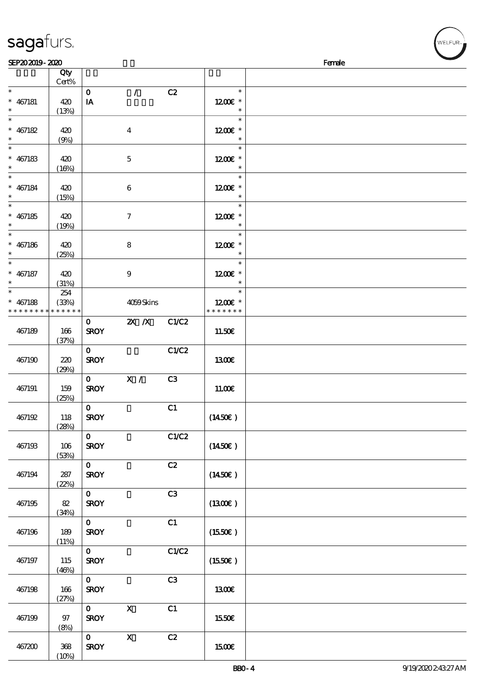|                                                    | Qty                         |                             |                           |       |                                    |  |
|----------------------------------------------------|-----------------------------|-----------------------------|---------------------------|-------|------------------------------------|--|
| $\ast$                                             | Cert%                       |                             |                           |       | $\ast$                             |  |
| $* 467181$<br>$\ast$                               | 420<br>(13%)                | $\mathbf O$<br>IA           | $\mathcal{L}$             | C2    | 1200E *<br>$\ast$                  |  |
| $\overline{\ast}$<br>$* 467182$<br>$\ast$          | 420<br>(9%)                 |                             | $\boldsymbol{4}$          |       | $\ast$<br>1200€ *<br>$\ast$        |  |
| $\ast$<br>$* 467183$                               | 420                         |                             | $\bf 5$                   |       | $\ast$<br>1200E *                  |  |
| $\ast$<br>$\ast$<br>$* 467184$                     | (16%)<br>420                |                             | $\bf 6$                   |       | $\ast$<br>$\ast$<br>1200E *        |  |
| $\ast$<br>$\overline{\phantom{0}}$<br>$* 467185$   | (15%)<br>420                |                             | $\boldsymbol{7}$          |       | $\ast$<br>$\ast$<br>1200E *        |  |
| $\ast$<br>$\overline{\ast}$                        | (19%)                       |                             |                           |       | $\ast$                             |  |
| $* 467186$<br>$\ast$                               | 420<br>(25%)                |                             | $\bf 8$                   |       | $\ast$<br>1200E *<br>$\ast$        |  |
| $\overline{\ast}$<br>$* 467187$<br>$\ast$          | 420<br>(31%)                |                             | $\boldsymbol{9}$          |       | $\ast$<br>1200E *<br>$\ast$        |  |
| $\overline{\ast}$<br>$* 467188$<br>* * * * * * * * | 254<br>(33%)<br>* * * * * * |                             | 4059Skins                 |       | $\ast$<br>1200E *<br>* * * * * * * |  |
| 467189                                             | 166<br>(37%)                | $\mathbf{O}$<br><b>SROY</b> | $\overline{X}$ X          | C1/C2 | 11.50E                             |  |
| 467190                                             | 220<br>(29%)                | $\mathbf{O}$<br><b>SROY</b> |                           | C1/C2 | <b>1300€</b>                       |  |
| 467191                                             | 159<br>(25%)                | $\mathbf{O}$<br><b>SROY</b> | $\mathbf{X}$ /            | C3    | 11.00E                             |  |
| 467192                                             | 118<br>(28%)                | $\mathbf{O}$<br><b>SROY</b> |                           | C1    | (1450E)                            |  |
| 467193                                             | 106<br>(53%)                | $\mathbf{O}$<br><b>SROY</b> |                           | C1/C2 | (1450E)                            |  |
| 467194                                             | $287$<br>(22%)              | $\mathbf{o}$<br><b>SROY</b> |                           | C2    | $(1450\epsilon)$                   |  |
| 467195                                             | $8\!2$<br>(34%)             | $\mathbf{O}$<br><b>SROY</b> |                           | C3    | (1300)                             |  |
| 467196                                             | 189<br>(11%)                | $\mathbf{O}$<br><b>SROY</b> |                           | C1    | (1550E)                            |  |
| 467197                                             | 115<br>(46%)                | $\mathbf{O}$<br><b>SROY</b> |                           | C1/C2 | (1550E)                            |  |
| 467198                                             | 166<br>(27%)                | $\mathbf 0$<br><b>SROY</b>  |                           | C3    | <b>1300€</b>                       |  |
| 467199                                             | $97\,$<br>(8%)              | $\mathbf{O}$<br><b>SROY</b> | $\boldsymbol{\mathsf{X}}$ | C1    | 1550€                              |  |
| 467200                                             | $368\,$<br>(10%)            | $\mathbf{O}$<br><b>SROY</b> | $\mathbf X$               | C2    | <b>1500€</b>                       |  |

 $SEP202019 - 2020$ 

sagafurs.

WELFUR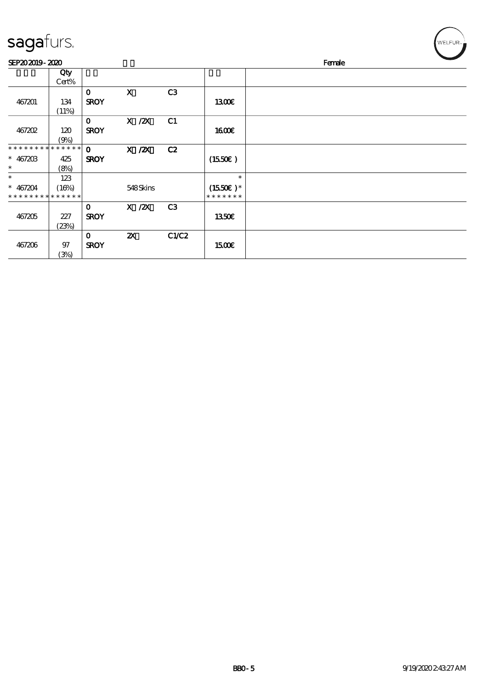| sagafurs. |
|-----------|
|           |

467206 97

(3%)

 $\overline{0}$  2X C1/C2

 $SROY$  15.00€

| sagafurs.                   |             |              |             |                |               |        | WELFUR <sub>™</sub> |
|-----------------------------|-------------|--------------|-------------|----------------|---------------|--------|---------------------|
| SEP202019-2020              |             |              |             |                |               | Female |                     |
|                             | Qty         |              |             |                |               |        |                     |
|                             | Cert%       |              |             |                |               |        |                     |
|                             |             | $\mathbf 0$  | $\mathbf X$ | C <sub>3</sub> |               |        |                     |
| 467201                      | 134         | <b>SROY</b>  |             |                | 1300          |        |                     |
|                             | (11%)       |              |             |                |               |        |                     |
|                             |             | $\mathbf{O}$ | $X$ / $ZX$  | C1             |               |        |                     |
| 467202                      | 120         | <b>SROY</b>  |             |                | 1600E         |        |                     |
|                             | (9%)        |              |             |                |               |        |                     |
| *****                       | * * * * * * | $\mathbf{o}$ | $X$ / $ZX$  | C2             |               |        |                     |
| $* 46720B$                  | 425         | <b>SROY</b>  |             |                | (1550E)       |        |                     |
| $\ast$                      | (8%)        |              |             |                |               |        |                     |
| $\ast$                      | 123         |              |             |                | $\ast$        |        |                     |
| $* 467204$                  | (16%)       |              | 548Skins    |                | $(1550E)*$    |        |                     |
| * * * * * * * * * * * * * * |             |              |             |                | * * * * * * * |        |                     |
|                             |             | $\mathbf 0$  | $X$ / $ZX$  | C3             |               |        |                     |
| 467205                      | 227         | <b>SROY</b>  |             |                | <b>1350€</b>  |        |                     |
|                             | (23%)       |              |             |                |               |        |                     |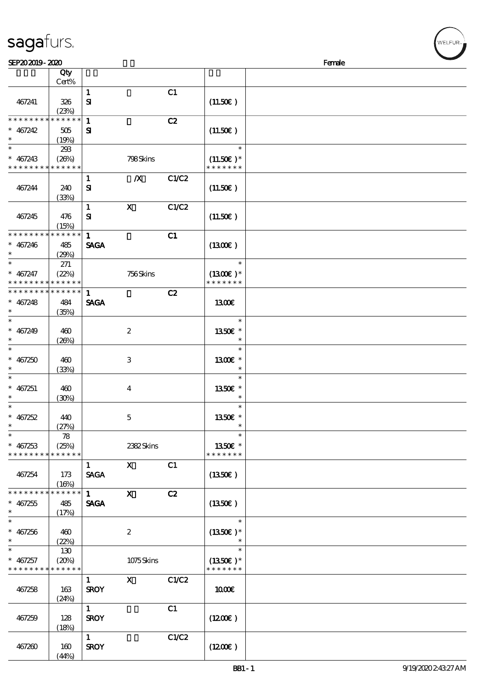| sagafurs. |  |
|-----------|--|
|           |  |

| SEP202019-2020                             |             |              |                                                                                                                                                                                                                                                                                                                                 |       |                  | Female |
|--------------------------------------------|-------------|--------------|---------------------------------------------------------------------------------------------------------------------------------------------------------------------------------------------------------------------------------------------------------------------------------------------------------------------------------|-------|------------------|--------|
|                                            | Qty         |              |                                                                                                                                                                                                                                                                                                                                 |       |                  |        |
|                                            | Cert%       |              |                                                                                                                                                                                                                                                                                                                                 |       |                  |        |
|                                            |             | $\mathbf{1}$ |                                                                                                                                                                                                                                                                                                                                 | C1    |                  |        |
| 467241                                     | 326         | ${\bf s}$    |                                                                                                                                                                                                                                                                                                                                 |       | (11.50)          |        |
|                                            | (23%)       |              |                                                                                                                                                                                                                                                                                                                                 |       |                  |        |
| * * * * * * * *                            | * * * * * * | $\mathbf{1}$ |                                                                                                                                                                                                                                                                                                                                 | C2    |                  |        |
|                                            |             |              |                                                                                                                                                                                                                                                                                                                                 |       |                  |        |
| $* 467242$                                 | 505         | ${\bf s}$    |                                                                                                                                                                                                                                                                                                                                 |       | (11.50)          |        |
| $\ast$                                     | (19%)       |              |                                                                                                                                                                                                                                                                                                                                 |       |                  |        |
| $\ast$                                     | 293         |              |                                                                                                                                                                                                                                                                                                                                 |       | $\ast$           |        |
| $* 467243$                                 | (26%)       |              | 798Skins                                                                                                                                                                                                                                                                                                                        |       | $(11.50)$ *      |        |
| * * * * * * * * * * * * * *                |             |              |                                                                                                                                                                                                                                                                                                                                 |       | * * * * * * *    |        |
|                                            |             | $\mathbf{1}$ | $\boldsymbol{X}$                                                                                                                                                                                                                                                                                                                | C1/C2 |                  |        |
| 467244                                     | 240         | ${\bf s}$    |                                                                                                                                                                                                                                                                                                                                 |       | (11.50)          |        |
|                                            | (33%)       |              |                                                                                                                                                                                                                                                                                                                                 |       |                  |        |
|                                            |             | $\mathbf{1}$ | $\boldsymbol{\mathsf{X}}$                                                                                                                                                                                                                                                                                                       | C1/C2 |                  |        |
|                                            |             |              |                                                                                                                                                                                                                                                                                                                                 |       |                  |        |
| 467245                                     | 476         | ${\bf s}$    |                                                                                                                                                                                                                                                                                                                                 |       | (11.50)          |        |
|                                            | (15%)       |              |                                                                                                                                                                                                                                                                                                                                 |       |                  |        |
| * * * * * * * * * * * * * *                |             | $\mathbf{1}$ |                                                                                                                                                                                                                                                                                                                                 | C1    |                  |        |
| $* 467246$                                 | 485         | <b>SAGA</b>  |                                                                                                                                                                                                                                                                                                                                 |       | (1300)           |        |
| $\ast$                                     | (29%)       |              |                                                                                                                                                                                                                                                                                                                                 |       |                  |        |
| $\ast$                                     | 271         |              |                                                                                                                                                                                                                                                                                                                                 |       | $\ast$           |        |
| $* 467247$                                 | (22%)       |              | 756Skins                                                                                                                                                                                                                                                                                                                        |       | $(1300E)*$       |        |
| * * * * * * * * <mark>* * * * * * *</mark> |             |              |                                                                                                                                                                                                                                                                                                                                 |       | * * * * * * *    |        |
| * * * * * * * * * * * * * *                |             | $\mathbf{1}$ |                                                                                                                                                                                                                                                                                                                                 | C2    |                  |        |
| $* 467248$                                 | 484         | <b>SAGA</b>  |                                                                                                                                                                                                                                                                                                                                 |       | 1300E            |        |
| $\ast$                                     |             |              |                                                                                                                                                                                                                                                                                                                                 |       |                  |        |
| $\ast$                                     | (35%)       |              |                                                                                                                                                                                                                                                                                                                                 |       | $\ast$           |        |
|                                            |             |              |                                                                                                                                                                                                                                                                                                                                 |       |                  |        |
| $* 467249$                                 | 460         |              | $\boldsymbol{2}$                                                                                                                                                                                                                                                                                                                |       | 1350€ *          |        |
| $\ast$                                     | (20%)       |              |                                                                                                                                                                                                                                                                                                                                 |       | $\ast$           |        |
| $\ast$                                     |             |              |                                                                                                                                                                                                                                                                                                                                 |       | $\ast$           |        |
| $* 467250$                                 | 460         |              | 3                                                                                                                                                                                                                                                                                                                               |       | 1300€ *          |        |
|                                            | (33%)       |              |                                                                                                                                                                                                                                                                                                                                 |       | $\ast$           |        |
| $\ast$                                     |             |              |                                                                                                                                                                                                                                                                                                                                 |       | $\ast$           |        |
| $* 467251$                                 | 460         |              | $\overline{\mathbf{4}}$                                                                                                                                                                                                                                                                                                         |       | 1350E *          |        |
|                                            | (30%)       |              |                                                                                                                                                                                                                                                                                                                                 |       |                  |        |
| $\ast$                                     |             |              |                                                                                                                                                                                                                                                                                                                                 |       | $\ast$           |        |
| $* 467252$                                 | 440         |              | $\mathbf{5}$                                                                                                                                                                                                                                                                                                                    |       | 1350E *          |        |
| $\ast$                                     | (27%)       |              |                                                                                                                                                                                                                                                                                                                                 |       | $\ast$           |        |
| $\ast$                                     | 78          |              |                                                                                                                                                                                                                                                                                                                                 |       | $\ast$           |        |
| $* 467253$                                 | (25%)       |              | 2382Skins                                                                                                                                                                                                                                                                                                                       |       | 1350€ *          |        |
| * * * * * * * *                            | * * * * * * |              |                                                                                                                                                                                                                                                                                                                                 |       | * * * * * * *    |        |
|                                            |             | 1            | $\mathbf X$ and $\mathbf X$ and $\mathbf X$ and $\mathbf X$ and $\mathbf X$ and $\mathbf X$ and $\mathbf X$ and $\mathbf X$ and $\mathbf X$ and $\mathbf X$ and $\mathbf X$ and $\mathbf X$ and $\mathbf X$ and $\mathbf X$ and $\mathbf X$ and $\mathbf X$ and $\mathbf X$ and $\mathbf X$ and $\mathbf X$ and $\mathbf X$ and | C1    |                  |        |
|                                            |             |              |                                                                                                                                                                                                                                                                                                                                 |       |                  |        |
| 467254                                     | 173         | <b>SAGA</b>  |                                                                                                                                                                                                                                                                                                                                 |       | $(1350\epsilon)$ |        |
|                                            | (16%)       |              |                                                                                                                                                                                                                                                                                                                                 |       |                  |        |
| * * * * * * * * * * * * * *                |             | $1 \quad$    | $\mathbf{x}$                                                                                                                                                                                                                                                                                                                    | C2    |                  |        |
| $* 467255$                                 | 485         | <b>SAGA</b>  |                                                                                                                                                                                                                                                                                                                                 |       | $(1350\epsilon)$ |        |
| $\ast$                                     | (17%)       |              |                                                                                                                                                                                                                                                                                                                                 |       |                  |        |
| $\ast$                                     |             |              |                                                                                                                                                                                                                                                                                                                                 |       | $\ast$           |        |
| $* 467256$                                 | 460         |              | $\boldsymbol{2}$                                                                                                                                                                                                                                                                                                                |       | $(1350E)*$       |        |
| $\ast$                                     | (22%)       |              |                                                                                                                                                                                                                                                                                                                                 |       |                  |        |
| $_*^-$                                     | 130         |              |                                                                                                                                                                                                                                                                                                                                 |       | $\ast$           |        |
| $* 467257$                                 | (20%)       |              | 1075Skins                                                                                                                                                                                                                                                                                                                       |       | $(1350E)*$       |        |
| * * * * * * * * * * * * * *                |             |              |                                                                                                                                                                                                                                                                                                                                 |       | * * * * * * *    |        |
|                                            |             | $\mathbf{1}$ | $\mathbf X$ and $\mathbf X$ and $\mathbf X$ and $\mathbf X$ and $\mathbf X$ and $\mathbf X$ and $\mathbf X$ and $\mathbf X$ and $\mathbf X$ and $\mathbf X$ and $\mathbf X$ and $\mathbf X$ and $\mathbf X$ and $\mathbf X$ and $\mathbf X$ and $\mathbf X$ and $\mathbf X$ and $\mathbf X$ and $\mathbf X$ and $\mathbf X$ and | C1/C2 |                  |        |
|                                            |             |              |                                                                                                                                                                                                                                                                                                                                 |       |                  |        |
| 467258                                     | 163         | <b>SROY</b>  |                                                                                                                                                                                                                                                                                                                                 |       | 1000E            |        |
|                                            | (24%)       |              |                                                                                                                                                                                                                                                                                                                                 |       |                  |        |
|                                            |             | $1 -$        |                                                                                                                                                                                                                                                                                                                                 | C1    |                  |        |
| 467259                                     | 128         | <b>SROY</b>  |                                                                                                                                                                                                                                                                                                                                 |       | (1200E)          |        |
|                                            | (18%)       |              |                                                                                                                                                                                                                                                                                                                                 |       |                  |        |
|                                            |             | 1            |                                                                                                                                                                                                                                                                                                                                 | C1/C2 |                  |        |
| 467260                                     | 160         | <b>SROY</b>  |                                                                                                                                                                                                                                                                                                                                 |       | (1200E)          |        |
|                                            | (44%)       |              |                                                                                                                                                                                                                                                                                                                                 |       |                  |        |

VELFUR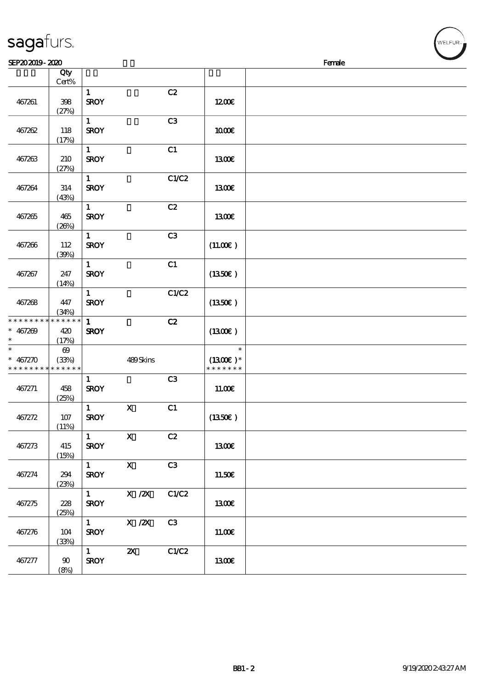| SEP202019-2020                                      |                                |                                       |                           |                |                                       | Female |  |
|-----------------------------------------------------|--------------------------------|---------------------------------------|---------------------------|----------------|---------------------------------------|--------|--|
|                                                     | Qty<br>$Cert\%$                |                                       |                           |                |                                       |        |  |
| 467261                                              | 398<br>(27%)                   | $\mathbf{1}$<br><b>SROY</b>           |                           | C2             | 1200E                                 |        |  |
| 467262                                              | 118<br>(17%)                   | $\mathbf{1}$<br><b>SROY</b>           |                           | C <sub>3</sub> | <b>100€</b>                           |        |  |
| 467263                                              | 210<br>(27%)                   | $\mathbf{1}$<br><b>SROY</b>           |                           | C1             | 1300E                                 |        |  |
| 467264                                              | 314<br>(43%)                   | $\mathbf{1}$<br><b>SROY</b>           |                           | C1/C2          | 1300€                                 |        |  |
| 467265                                              | 465<br>(20%)                   | $\mathbf{1}$<br><b>SROY</b>           |                           | C2             | 1300E                                 |        |  |
| 467266                                              | 112<br>(39%)                   | $\mathbf{1}$<br><b>SROY</b>           |                           | C3             | (11.00)                               |        |  |
| 467267                                              | 247<br>(14%)                   | $\mathbf{1}$<br><b>SROY</b>           |                           | C1             | (1350)                                |        |  |
| 467268                                              | 447<br>(34%)                   | $\mathbf{1}$<br><b>SROY</b>           |                           | C1/C2          | (1350E)                               |        |  |
| * * * * * * * * * * * * * *<br>$* 467209$           | 420<br>(17%)                   | $\mathbf{1}$<br><b>SROY</b>           |                           | C2             | (1300)                                |        |  |
| $\ast$<br>$* 467270$<br>* * * * * * * * * * * * * * | $\boldsymbol{\Theta}$<br>(33%) |                                       | 489Skins                  |                | $\ast$<br>$(1300E)*$<br>* * * * * * * |        |  |
| 467271                                              | 458<br>(25%)                   | $\mathbf{1}$<br><b>SROY</b>           |                           | C3             | 11.00E                                |        |  |
| 467272                                              | 107<br>(11%)                   | $\mathbf{1}$<br><b>SROY</b>           | $\mathbf X$               | C1             | (1350)                                |        |  |
| 467273                                              | 415<br>(15%)                   | $\mathbf{1}$<br><b>SROY</b>           | $\mathbf X$               | C2             | <b>1300€</b>                          |        |  |
| 467274                                              | 294<br>(23%)                   | $1 -$<br><b>SROY</b>                  | $\mathbf{X}$              | C3             | 11.50€                                |        |  |
| 467275                                              | 228<br>(25%)                   | 1<br><b>SROY</b>                      | X / ZX                    | C1/C2          | <b>1300€</b>                          |        |  |
| 467276                                              | 104<br>(33%)                   | $1 -$<br><b>SROY</b>                  | $X$ / $ZX$                | C3             | 11.00E                                |        |  |
| 467277                                              | 90<br>(8%)                     | $1 \quad \blacksquare$<br><b>SROY</b> | $\boldsymbol{\mathsf{Z}}$ | C1/C2          | 1300E                                 |        |  |

sagafurs.

√<br>WELFUR<sub>™</sub>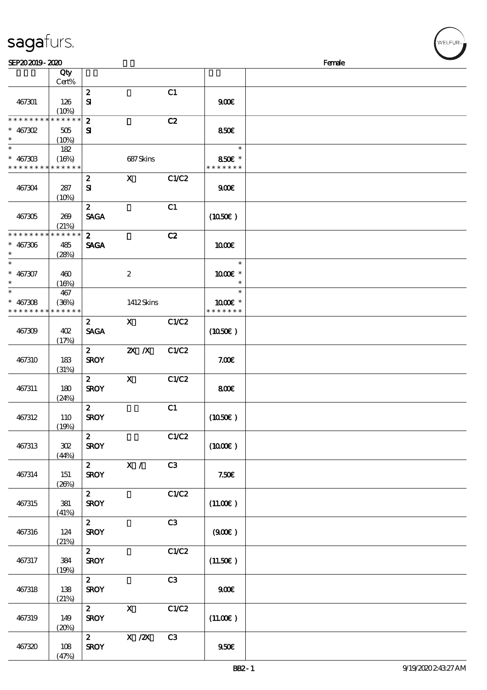|                   | Cert%              |                  |                  |       |                     |  |
|-------------------|--------------------|------------------|------------------|-------|---------------------|--|
|                   |                    | $\boldsymbol{2}$ |                  | C1    |                     |  |
| 467301            | 126                | $\mathbf{S}$     |                  |       | 900E                |  |
|                   |                    |                  |                  |       |                     |  |
|                   | (10%)<br>$*******$ |                  |                  |       |                     |  |
| * * * * * * * *   |                    | $\boldsymbol{z}$ |                  | C2    |                     |  |
| $* 467302$        | 505                | ${\bf s}$        |                  |       | 850€                |  |
| $\ast$            | (10%)              |                  |                  |       |                     |  |
| $\overline{\ast}$ | 182                |                  |                  |       | $\ast$              |  |
| $* 46730B$        |                    |                  |                  |       | 850€ *              |  |
|                   | (16%)              |                  | 687Skins         |       |                     |  |
| * * * * * * * *   | * * * * * *        |                  |                  |       | * * * * * * *       |  |
|                   |                    | $\boldsymbol{z}$ | $\mathbf{x}$     | C1/C2 |                     |  |
| 467304            | 287                | ${\bf s}$        |                  |       | 900E                |  |
|                   | (10%)              |                  |                  |       |                     |  |
|                   |                    | $\boldsymbol{z}$ |                  | C1    |                     |  |
|                   |                    |                  |                  |       |                     |  |
| 467305            | 269                | <b>SAGA</b>      |                  |       | (1050)              |  |
|                   | (21%)              |                  |                  |       |                     |  |
| * * * * * * * *   | * * * * * *        | 2 <sup>1</sup>   |                  | C2    |                     |  |
| $* 467306$        | 485                | <b>SAGA</b>      |                  |       | 1000E               |  |
| $\ast$            | (28%)              |                  |                  |       |                     |  |
| $\ast$            |                    |                  |                  |       | $\ast$              |  |
|                   |                    |                  |                  |       |                     |  |
| $* 467307$        | 460                |                  | $\boldsymbol{2}$ |       | 1000€ *             |  |
| $\ast$            | (16%)              |                  |                  |       | $\ast$              |  |
| $\ast$            | 467                |                  |                  |       | $\ast$              |  |
| $* 467308$        | (36%)              |                  | 1412Skins        |       | 1000 *              |  |
| * * * * * * * *   | * * * * * *        |                  |                  |       | * * * * * * *       |  |
|                   |                    |                  |                  |       |                     |  |
|                   |                    | $\mathbf{2}$     | $\mathbf{x}$     | C1/C2 |                     |  |
| 467309            | 402                | <b>SAGA</b>      |                  |       | $(1050\epsilon)$    |  |
|                   | (17%)              |                  |                  |       |                     |  |
|                   |                    | $\boldsymbol{z}$ | $X$ $N$          | C1/C2 |                     |  |
| 467310            | 183                | <b>SROY</b>      |                  |       | 7.00E               |  |
|                   |                    |                  |                  |       |                     |  |
|                   | (31%)              |                  |                  |       |                     |  |
|                   |                    | $\mathbf{z}$     | $\mathbf{x}$     | C1/C2 |                     |  |
| 467311            | 180                | <b>SROY</b>      |                  |       | 800E                |  |
|                   | (24%)              |                  |                  |       |                     |  |
|                   |                    | $\mathbf{z}$     |                  | C1    |                     |  |
| 467312            | 110                | <b>SROY</b>      |                  |       | $(1050\epsilon)$    |  |
|                   |                    |                  |                  |       |                     |  |
|                   | (19%)              |                  |                  |       |                     |  |
|                   |                    | $\boldsymbol{z}$ |                  | C1/C2 |                     |  |
| 467313            | 302                | <b>SROY</b>      |                  |       | $(1000\varepsilon)$ |  |
|                   | (44%)              |                  |                  |       |                     |  |
|                   |                    | $\mathbf{2}$     | X /              | C3    |                     |  |
|                   |                    |                  |                  |       |                     |  |
| 467314            | 151                | <b>SROY</b>      |                  |       | 7.50E               |  |
|                   | (20%)              |                  |                  |       |                     |  |
|                   |                    | $\mathbf{z}$     |                  | C1/C2 |                     |  |
| 467315            | 381                | <b>SROY</b>      |                  |       | (11.00)             |  |
|                   | (41%)              |                  |                  |       |                     |  |
|                   |                    | $\boldsymbol{2}$ |                  | C3    |                     |  |
|                   |                    |                  |                  |       |                     |  |
| 467316            | 124                | <b>SROY</b>      |                  |       | (900)               |  |
|                   | (21%)              |                  |                  |       |                     |  |
|                   |                    | $\mathbf{z}$     |                  | C1/C2 |                     |  |
| 467317            | 384                | <b>SROY</b>      |                  |       | (11.50)             |  |
|                   | (19%)              |                  |                  |       |                     |  |
|                   |                    |                  |                  |       |                     |  |
|                   |                    | $\mathbf{z}$     |                  | C3    |                     |  |
| 467318            | 138                | <b>SROY</b>      |                  |       | 900 <sub>E</sub>    |  |
|                   | (21%)              |                  |                  |       |                     |  |
|                   |                    | $\mathbf{z}$     | $\mathbf{x}$     | C1/C2 |                     |  |
| 467319            | 149                | <b>SROY</b>      |                  |       | (11.00)             |  |
|                   |                    |                  |                  |       |                     |  |
|                   | (20%)              |                  |                  |       |                     |  |
|                   |                    | $\mathbf{z}$     | X / ZX           | C3    |                     |  |
| 467320            | 108                | <b>SROY</b>      |                  |       | 950E                |  |

说明 价格

 $\sqrt{Qt}$ 

sagafurs.

(47%)

**NELFUR**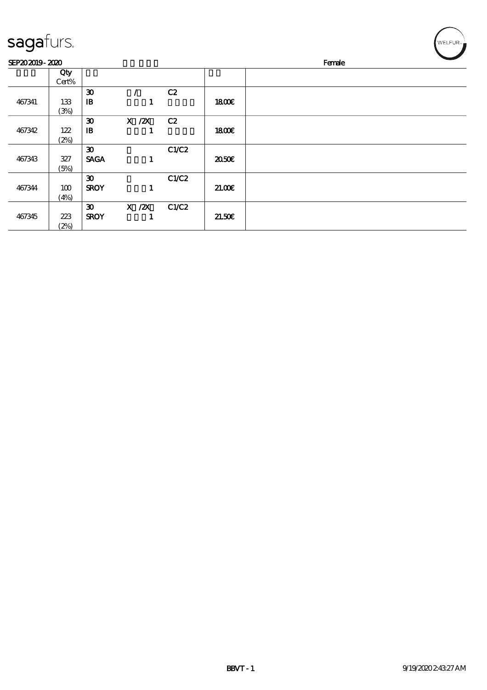| <b>saga</b> furs. |  |
|-------------------|--|
|                   |  |

(2%)

| sagafurs.      |       |                             |            |       |              | WELFUR <sub>™</sub> |
|----------------|-------|-----------------------------|------------|-------|--------------|---------------------|
| SEP202019-2020 |       |                             |            |       |              | Female              |
|                | Qty   |                             |            |       |              |                     |
|                | Cert% |                             |            |       |              |                     |
|                |       | $\boldsymbol{\mathfrak{D}}$ |            | C2    |              |                     |
| 467341         | 133   | $\mathbf{B}$                |            |       | <b>1800€</b> |                     |
|                | (3%)  |                             |            |       |              |                     |
|                |       | $\boldsymbol{\mathfrak{D}}$ | $X$ / $ZX$ | C2    |              |                     |
| 467342         | 122   | $\mathbf{B}$                |            |       | <b>1800€</b> |                     |
|                | (2%)  |                             |            |       |              |                     |
|                |       | $\boldsymbol{\mathfrak{D}}$ |            | C1/C2 |              |                     |
| 467343         | 327   | <b>SAGA</b>                 | 1          |       | 2050E        |                     |
|                | (5%)  |                             |            |       |              |                     |
|                |       | $\boldsymbol{\mathfrak{D}}$ |            | C1/C2 |              |                     |
| 467344         | 100   | <b>SROY</b>                 | 1          |       | 21.00        |                     |
|                | (4%)  |                             |            |       |              |                     |
|                |       | $\boldsymbol{\mathfrak{D}}$ | $X$ / $ZX$ | C1/C2 |              |                     |
| 467345         | 223   | <b>SROY</b>                 |            |       | 21.50E       |                     |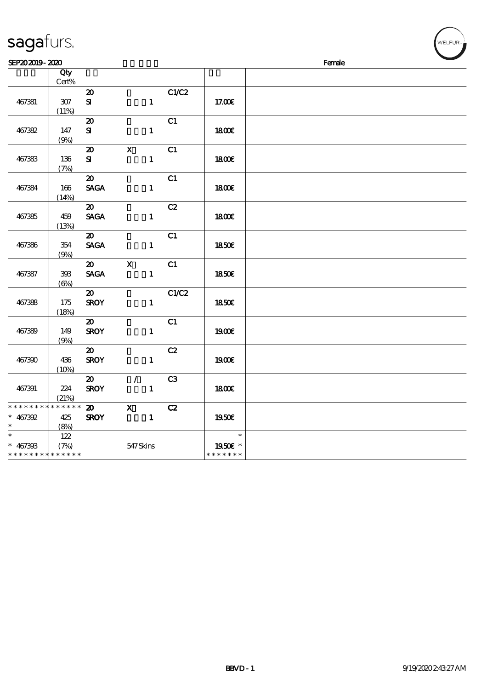| SEP202019-2020                                      |                   |                                            |                               |                |                                    | Female | <b>Contract Contract Contract Contract Contract Contract Contract Contract Contract Contract Contract Contract Contract Contract Contract Contract Contract Contract Contract Contract Contract Contract Contract Contract Contr</b> |
|-----------------------------------------------------|-------------------|--------------------------------------------|-------------------------------|----------------|------------------------------------|--------|--------------------------------------------------------------------------------------------------------------------------------------------------------------------------------------------------------------------------------------|
|                                                     | Qty<br>Cert%      |                                            |                               |                |                                    |        |                                                                                                                                                                                                                                      |
| 467381                                              | $307\,$<br>(11%)  | $\boldsymbol{\mathbf{z}}$<br>${\bf s}$     | $\mathbf{1}$                  | C1/C2          | 17.00€                             |        |                                                                                                                                                                                                                                      |
| 467382                                              | 147<br>(9%)       | $\boldsymbol{\mathfrak{D}}$<br>${\bf s}$   | $\mathbf{1}$                  | C1             | 1800E                              |        |                                                                                                                                                                                                                                      |
| 467383                                              | 136<br>(7%)       | $\boldsymbol{\mathbf{z}}$<br>${\bf s}$     | $\mathbf{X}$<br>$\mathbf{1}$  | C1             | 1800                               |        |                                                                                                                                                                                                                                      |
| 467384                                              | 166<br>(14%)      | $\boldsymbol{\mathfrak{D}}$<br><b>SAGA</b> | $\mathbf{1}$                  | C1             | 1800E                              |        |                                                                                                                                                                                                                                      |
| 467385                                              | 459<br>(13%)      | $\boldsymbol{\mathfrak{D}}$<br><b>SAGA</b> | $\mathbf{1}$                  | C2             | 1800E                              |        |                                                                                                                                                                                                                                      |
| 467386                                              | 354<br>(9%)       | $\boldsymbol{\mathfrak{D}}$<br><b>SAGA</b> | $\mathbf{1}$                  | C1             | 1850E                              |        |                                                                                                                                                                                                                                      |
| 467387                                              | 393<br>$(\Theta)$ | $\boldsymbol{\mathsf{20}}$<br><b>SACA</b>  | $\mathbf x$<br>$\mathbf{1}$   | C1             | <b>1850€</b>                       |        |                                                                                                                                                                                                                                      |
| 467388                                              | 175<br>(18%)      | $\boldsymbol{\mathfrak{D}}$<br><b>SROY</b> | $\mathbf{1}$                  | C1/C2          | <b>1850€</b>                       |        |                                                                                                                                                                                                                                      |
| 467389                                              | 149<br>(9%)       | $\boldsymbol{\mathfrak{D}}$<br><b>SROY</b> | $\mathbf{1}$                  | C1             | 1900E                              |        |                                                                                                                                                                                                                                      |
| 467390                                              | 436<br>(10%)      | $\boldsymbol{\mathfrak{D}}$<br><b>SROY</b> | $\mathbf{1}$                  | C2             | 1900E                              |        |                                                                                                                                                                                                                                      |
| 467391                                              | 224<br>(21%)      | $\boldsymbol{\mathfrak{D}}$<br><b>SROY</b> | $\mathcal{L}$<br>$\mathbf{1}$ | C <sub>3</sub> | 1800E                              |        |                                                                                                                                                                                                                                      |
| * * * * * * * * * * * * * *<br>$* 467392$<br>$\ast$ | 425<br>(8%)       | $\boldsymbol{\mathfrak{D}}$<br><b>SROY</b> | $\mathbf{x}$<br>$\mathbf{1}$  | C2             | 1950€                              |        |                                                                                                                                                                                                                                      |
| $\ast$<br>$* 467393$<br>* * * * * * * * * * * * * * | 122<br>(7%)       |                                            | 547Skins                      |                | $\ast$<br>1950€ *<br>* * * * * * * |        |                                                                                                                                                                                                                                      |

WELFUR<sub><sup>N</sup></sub>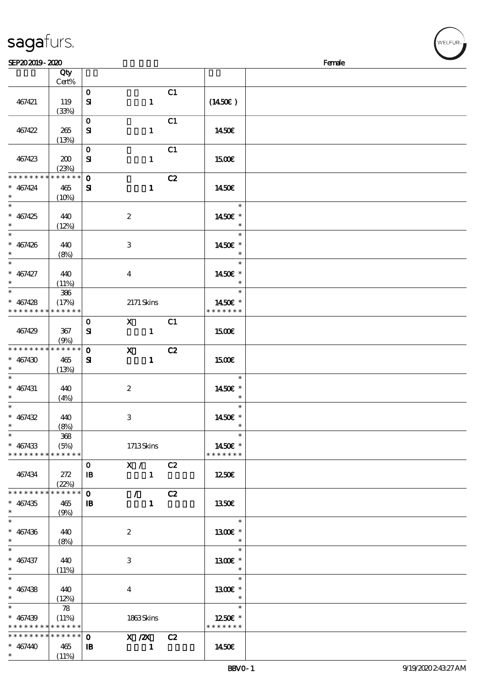|                   | Qty<br>Cert%        |              |                         |    |                     |  |
|-------------------|---------------------|--------------|-------------------------|----|---------------------|--|
|                   |                     |              |                         |    |                     |  |
|                   |                     | $\mathbf{o}$ |                         | C1 |                     |  |
| 467421            | 119                 | ${\bf s}$    | $\mathbf{1}$            |    | $(1450\varepsilon)$ |  |
|                   | (33%)               |              |                         |    |                     |  |
|                   |                     | $\mathbf{O}$ |                         | C1 |                     |  |
| 467422            | 265                 | ${\bf s}$    | $\mathbf{1}$            |    | 1450E               |  |
|                   | (13%)               |              |                         |    |                     |  |
|                   |                     | $\mathbf{o}$ |                         | C1 |                     |  |
| 467423            | 200                 | ${\bf s}$    | $\mathbf{1}$            |    | <b>1500€</b>        |  |
|                   |                     |              |                         |    |                     |  |
|                   | (23%)               |              |                         |    |                     |  |
| * * * * * * * *   | * * * * * *         | $\mathbf{o}$ |                         | C2 |                     |  |
| $* 467424$        | 465                 | ${\bf s}$    | $\mathbf{1}$            |    | 1450E               |  |
| $\ast$            | (10%)               |              |                         |    |                     |  |
|                   |                     |              |                         |    | $\ast$              |  |
| $* 467425$        | 440                 |              | $\boldsymbol{2}$        |    | 1450 £*             |  |
| $\ast$            | (12%)               |              |                         |    | $\ast$              |  |
|                   |                     |              |                         |    | $\ast$              |  |
| $* 467426$        | 440                 |              | 3                       |    | 1450E *             |  |
| $\ast$            |                     |              |                         |    | $\ast$              |  |
| $\overline{\ast}$ | (8%)                |              |                         |    |                     |  |
|                   |                     |              |                         |    | $\ast$              |  |
| $* 467427$        | 440                 |              | $\boldsymbol{4}$        |    | 1450E *             |  |
| $\ast$            | (11%)               |              |                         |    | $\ast$              |  |
| $\overline{\ast}$ | 386                 |              |                         |    | $\ast$              |  |
| $* 467428$        | (17%)               |              | $2171$ Skins            |    | 1450E *             |  |
| * * * * * * * *   | * * * * * *         |              |                         |    | * * * * * * *       |  |
|                   |                     | $\mathbf 0$  | $\mathbf{X}$            | C1 |                     |  |
| 467429            | 367                 | ${\bf s}$    | $\mathbf{1}$            |    | 1500E               |  |
|                   |                     |              |                         |    |                     |  |
|                   | (9%)<br>* * * * * * |              |                         |    |                     |  |
| * * * * * * * *   |                     | $\mathbf{o}$ | $\mathbf{x}$            | C2 |                     |  |
| $* 467430$        | 465                 | ${\bf s}$    | $\mathbf{1}$            |    | 1500€               |  |
| $\ast$            | (13%)               |              |                         |    |                     |  |
| $\ast$            |                     |              |                         |    | $\ast$              |  |
| $* 467431$        | 440                 |              | $\boldsymbol{z}$        |    | 1450 £*             |  |
| $\ast$            | (4%)                |              |                         |    | $\ast$              |  |
| $\ast$            |                     |              |                         |    | $\ast$              |  |
| $* 467432$        | 440                 |              | $\,3\,$                 |    | 1450€ *             |  |
| $\ast$            | (8%)                |              |                         |    | $\ast$              |  |
| $\ast$            | $368\,$             |              |                         |    | $\ast$              |  |
| $* 467433$        | (5%)                |              | 1713Skins               |    | 1450€ *             |  |
| * * * * * * * *   | * * * * * *         |              |                         |    | * * * * * * *       |  |
|                   |                     |              |                         |    |                     |  |
|                   |                     | $\mathbf{O}$ | X / C2                  |    |                     |  |
| 467434            | 272                 | $\mathbf{B}$ | $\mathbf{1}$            |    | 1250€               |  |
|                   | (22%)               |              |                         |    |                     |  |
| * * * * * * * *   | * * * * * *         | $\mathbf 0$  | $\mathcal{L}$           | C2 |                     |  |
| $* 467435$        | 465                 | $\mathbf{B}$ | $\mathbf{1}$            |    | 1350E               |  |
| $\ast$            | (9%)                |              |                         |    |                     |  |
| $\overline{\ast}$ |                     |              |                         |    | $\ast$              |  |
| $* 467436$        | 440                 |              | $\boldsymbol{z}$        |    | 1300€ *             |  |
| $\ast$            | (8%)                |              |                         |    | $\ast$              |  |
| $\ast$            |                     |              |                         |    | $\ast$              |  |
|                   |                     |              |                         |    |                     |  |
| $* 467437$        | 440                 |              | 3                       |    | 1300 £*             |  |
| $\ast$            | (11%)               |              |                         |    | $\ast$              |  |
| $\ast$            |                     |              |                         |    | $\ast$              |  |
| $* 467438$        | 440                 |              | $\overline{\mathbf{4}}$ |    | 1300E *             |  |
| $\ast$            | (12%)               |              |                         |    | $\ast$              |  |
| $\overline{\ast}$ | 78                  |              |                         |    | $\ast$              |  |
| $* 467439$        | (11%)               |              | 1863Skins               |    | 1250E *             |  |
| * * * * * * * *   | $* * * * * * *$     |              |                         |    | * * * * * * *       |  |
| * * * * * * * *   | $******$            | $\mathbf 0$  | $X$ / $ZX$              | C2 |                     |  |
| $* 467440$        | 465                 | $\mathbf{B}$ | $\mathbf{1}$            |    | 1450€               |  |
| $\ast$            |                     |              |                         |    |                     |  |
|                   | (11%)               |              |                         |    |                     |  |

 $\overline{\sim}$ .

sagafurs.

VELFUR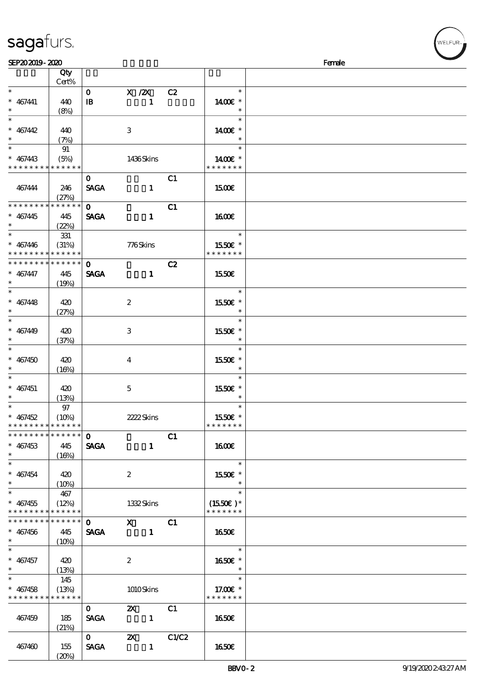| SEP202019-2020                     |          |                         |                  |    |                          | Female |
|------------------------------------|----------|-------------------------|------------------|----|--------------------------|--------|
|                                    | Qty      |                         |                  |    |                          |        |
|                                    | Cert%    |                         |                  |    |                          |        |
| $\ast$                             |          |                         |                  |    | $\ast$                   |        |
|                                    |          | $\mathbf{O}$            | X / ZX           | C2 |                          |        |
| $* 467441$                         | 440      | $\mathbf{B}$            | $\mathbf{1}$     |    | 1400€ *                  |        |
| $\ast$                             | (8%)     |                         |                  |    | $\ast$                   |        |
| $\overline{\phantom{0}}$           |          |                         |                  |    | $\ast$                   |        |
| $* 467442$                         | 440      |                         | 3                |    | 1400€ *                  |        |
| $\ast$                             | (7%)     |                         |                  |    | $\ast$                   |        |
| $\overline{\phantom{0}}$           |          |                         |                  |    | $\ast$                   |        |
|                                    | 91       |                         |                  |    |                          |        |
| $* 467443$                         | (5%)     |                         | 1436Skins        |    | 1400 £*                  |        |
| * * * * * * * * * * * * * *        |          |                         |                  |    | * * * * * * *            |        |
|                                    |          | $\mathbf{O}$            |                  | C1 |                          |        |
| 467444                             | 246      | <b>SAGA</b>             | $\mathbf{1}$     |    | 1500€                    |        |
|                                    | (27%)    |                         |                  |    |                          |        |
| * * * * * * * * * * * * * *        |          | $\mathbf{O}$            |                  | C1 |                          |        |
|                                    |          |                         |                  |    |                          |        |
| $* 467445$                         | 445      | <b>SAGA</b>             | $\mathbf{1}$     |    | <b>160€</b>              |        |
| $\ast$                             | (22%)    |                         |                  |    |                          |        |
| $\ast$                             | 331      |                         |                  |    | $\ast$                   |        |
| $* 467446$                         | (31%)    |                         | 776Skins         |    | 1550E *                  |        |
| * * * * * * * * * * * * * *        |          |                         |                  |    | * * * * * * *            |        |
| * * * * * * * * * * * * * *        |          | $\mathbf{O}$            |                  | C2 |                          |        |
| $* 467447$                         |          |                         |                  |    |                          |        |
|                                    | 445      | <b>SAGA</b>             | $\mathbf{1}$     |    | 1550€                    |        |
| $\ast$<br>$\overline{\phantom{0}}$ | (19%)    |                         |                  |    |                          |        |
|                                    |          |                         |                  |    | $\ast$                   |        |
| $* 467448$                         | 420      |                         | $\boldsymbol{2}$ |    | 1550€ *                  |        |
| $\ast$                             | (27%)    |                         |                  |    | $\ast$                   |        |
| $\ast$                             |          |                         |                  |    | $\ast$                   |        |
| $* 467449$                         | 420      |                         | 3                |    | 1550E *                  |        |
| $\ast$                             |          |                         |                  |    | $\ast$                   |        |
|                                    | (37%)    |                         |                  |    |                          |        |
| $\ast$                             |          |                         |                  |    | $\ast$                   |        |
| $* 467450$                         | 420      |                         | $\bf{4}$         |    | 1550€ *                  |        |
| $\ast$                             | (16%)    |                         |                  |    |                          |        |
|                                    |          |                         |                  |    | $\ast$                   |        |
| $* 467451$                         | 420      |                         | $5\overline{)}$  |    | 1550E *                  |        |
| $\ast$                             | (13%)    |                         |                  |    | $\ast$                   |        |
| $\ast$                             | 97       |                         |                  |    | $\ast$                   |        |
|                                    |          |                         |                  |    |                          |        |
| $* 467452$                         | $(10\%)$ |                         | 2222Skins        |    | 1550E *                  |        |
| * * * * * * * * * * * * * *        |          |                         |                  |    | * * * * * * *            |        |
| * * * * * * * * * * * * * *        |          | $\Omega$                |                  | C1 |                          |        |
| $* 467453$                         | 445      | <b>SAGA</b>             | $\mathbf{1}$     |    | 1600                     |        |
| $*$                                | (16%)    |                         |                  |    |                          |        |
| $\overline{\phantom{0}}$           |          |                         |                  |    | $\ast$                   |        |
| $* 467454$                         |          |                         |                  |    |                          |        |
|                                    | 420      |                         | $\boldsymbol{2}$ |    | 1550E *                  |        |
| $\ast$                             | $(10\%)$ |                         |                  |    | $\ast$                   |        |
| $\overline{\ast}$                  | 467      |                         |                  |    | $\ast$                   |        |
| $* 467455$                         | (12%)    |                         | 1332Skins        |    | $(1550E)*$               |        |
| * * * * * * * * * * * * * *        |          |                         |                  |    | * * * * * * *            |        |
| * * * * * * * * * * * * * * *      |          | $\mathbf 0$             | $X$ C1           |    |                          |        |
| $* 467456$                         | 445      |                         | SAGA 1           |    | 1650                     |        |
| $*$                                |          |                         |                  |    |                          |        |
| $\ast$                             | $(10\%)$ |                         |                  |    | $\overline{\phantom{a}}$ |        |
|                                    |          |                         |                  |    |                          |        |
| $* 467457$                         | 420      |                         | $\mathbf{2}$     |    | 1650E *                  |        |
| $*$                                | (13%)    |                         |                  |    | $\overline{\phantom{a}}$ |        |
| $\ast$                             | 145      |                         |                  |    | $\ast$                   |        |
| $* 467458$                         | (13%)    |                         | 1010Skins        |    | 17.00 £*                 |        |
| * * * * * * * * * * * * * *        |          |                         |                  |    | * * * * * * *            |        |
|                                    |          | $\mathbf{0}$            | $\mathbf{X}$     | C1 |                          |        |
|                                    |          |                         |                  |    |                          |        |
| 467459                             | 185      | <b>SAGA</b>             |                  |    | <b>1650€</b>             |        |
|                                    | (21%)    |                         |                  |    |                          |        |
|                                    |          | $\overline{\mathbf{0}}$ | <b>2X</b> C1/C2  |    |                          |        |
| 467460                             | 155      | <b>SAGA</b>             | $\blacksquare$   |    | 1650E                    |        |
|                                    | (20%)    |                         |                  |    |                          |        |

ELFUR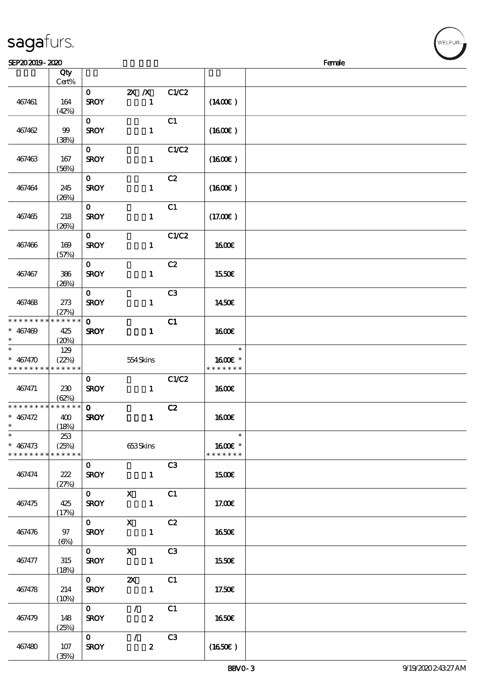| 467461                                                                        | 164<br>(42%) | $\mathbf{O}$<br><b>SROY</b>                  | $X$ $X$<br>1                              | C1/C2 | $(1400\varepsilon)$                |  |
|-------------------------------------------------------------------------------|--------------|----------------------------------------------|-------------------------------------------|-------|------------------------------------|--|
| 467462                                                                        | 99<br>(38%)  | $\mathbf{O}$<br><b>SROY</b>                  | $\mathbf{1}$                              | C1    | (1600E)                            |  |
| 467463                                                                        | 167<br>(56%) | $\mathbf{O}$<br><b>SROY</b>                  | $\mathbf{1}$                              | C1/C2 | $(1600\varepsilon)$                |  |
| 467464                                                                        | 245<br>(20%) | $\mathbf{O}$<br><b>SROY</b>                  | $\mathbf{1}$                              | C2    | (1600)                             |  |
| 467465                                                                        | 218<br>(20%) | $\mathbf{O}$<br><b>SROY</b>                  | $\mathbf{1}$                              | C1    | (17.00)                            |  |
| 467466                                                                        | 169<br>(57%) | $\mathbf{O}$<br><b>SROY</b>                  | $\mathbf{1}$                              | C1/C2 | 1600E                              |  |
| 467467                                                                        | 386<br>(20%) | $\mathbf{O}$<br><b>SROY</b>                  | $\mathbf{1}$                              | C2    | 1550€                              |  |
| 467468                                                                        | 273<br>(27%) | $\mathbf{0}$<br><b>SROY</b>                  | $\mathbf{1}$                              | C3    | 1450€                              |  |
| * * * * * * * * <mark>* * * * * * *</mark><br>$* 467469$<br>$\ast$            | 425<br>(20%) | $\mathbf{O}$<br><b>SROY</b>                  | $\mathbf{1}$                              | C1    | 1600E                              |  |
| $\overline{\ast}$<br>$* 467470$<br>* * * * * * * * <mark>* * * * * *</mark> * | 129<br>(22%) |                                              | 554Skins                                  |       | $\ast$<br>1600E *<br>* * * * * * * |  |
| 467471                                                                        | 230<br>(62%) | $\mathbf{O}$<br><b>SROY</b>                  | $\mathbf{1}$                              | C1/C2 | 1600E                              |  |
| * * * * * * * * * * * * * *<br>* $467472$<br>$\ast$                           | 400<br>(18%) | $\mathbf{o}$<br><b>SROY</b>                  | $\mathbf{1}$                              | C2    | <b>1600€</b>                       |  |
| $*$<br>$* 467473$<br>* * * * * * * * * * * * * *                              | 253<br>(25%) |                                              | 653Skins                                  |       | $\ast$<br>1600€ *<br>* * * * * * * |  |
| 467474                                                                        | 222<br>(27%) | $\mathbf{O}$<br><b>SROY</b>                  | $\mathbf{1}$                              | C3    | 1500€                              |  |
| 467475                                                                        | 425<br>(17%) | $\mathbf{O}$<br><b>SROY</b>                  | $\mathbf X$<br>$\mathbf{1}$               | C1    | 17.00E                             |  |
| 467476                                                                        | 97<br>(6%)   | $\mathbf{O}$<br><b>SROY</b>                  | $\mathbf{x}$<br>$\mathbf{1}$              | C2    | <b>1650€</b>                       |  |
| 467477                                                                        | 315<br>(18%) | $\mathbf{0}$<br><b>SROY</b>                  | $\mathbf{X}$<br>$\mathbf{1}$              | C3    | 1550€                              |  |
| 467478                                                                        | 214<br>(10%) | $\mathbf{O}$ and $\mathbf{O}$<br><b>SROY</b> | $\boldsymbol{\mathsf{X}}$<br>$\mathbf{1}$ | C1    | 17.50E                             |  |
| 467479                                                                        | 148<br>(25%) | $\mathbf{O}$<br><b>SROY</b>                  | $\mathcal{T}$<br>$\boldsymbol{2}$         | C1    | <b>1650€</b>                       |  |

说明 价格

## sagafurs.

顺序号 Qty

467480 107

 $(35%)$ 

 $\overline{0}$  /  $\overline{C3}$ 

 $SROY$  2 (1650€)

Cert%

WELFUR-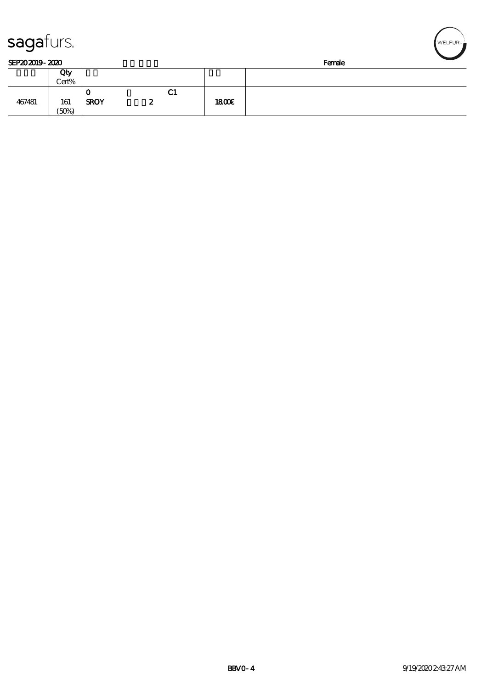| sagaturs.      |       |             |   |               |      |        | WELFUR <sub>™</sub> |
|----------------|-------|-------------|---|---------------|------|--------|---------------------|
| SEP202019-2020 |       |             |   |               |      | Female |                     |
|                | Qty   |             |   |               |      |        |                     |
|                | Cert% |             |   |               |      |        |                     |
|                |       | O           |   | $\mathbf{C1}$ |      |        |                     |
| 467481         | 161   | <b>SROY</b> | 2 |               | 1800 |        |                     |
|                | (50%) |             |   |               |      |        |                     |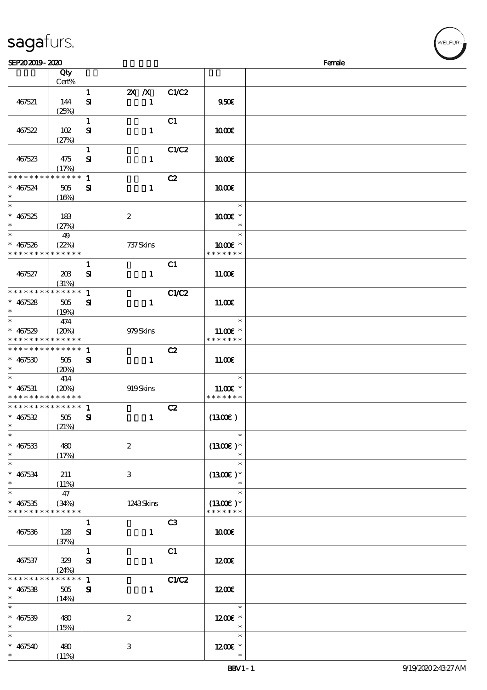|                                                     | Qty                             |                              |                                          |              |                                       |  |
|-----------------------------------------------------|---------------------------------|------------------------------|------------------------------------------|--------------|---------------------------------------|--|
|                                                     | Cert%                           |                              |                                          |              |                                       |  |
| 467521                                              | 144<br>(25%)                    | $\mathbf{1}$<br>$\mathbf{S}$ | <b>2X</b> <i>N</i> C1/C2<br>$\mathbf{1}$ |              | 950E                                  |  |
| 467522                                              | 102                             | $\mathbf{1}$<br>${\bf s}$    | $\mathbf{1}$                             | C1           | 1000E                                 |  |
| 467523                                              | (27%)<br>475                    | $\mathbf{1}$<br>${\bf s}$    | $\mathbf{1}$                             | C1/C2        | 1000E                                 |  |
| * * * * * * * *                                     | (17%)<br>* * * * * *            | $\mathbf{1}$                 |                                          | C2           |                                       |  |
| $* 467524$<br>$\ast$<br>$\ast$                      | 505<br>(16%)                    | ${\bf s}$                    | $\mathbf{1}$                             |              | 1000E<br>$\ast$                       |  |
| $* 467525$<br>$\ast$                                | 183<br>(27%)                    | $\boldsymbol{2}$             |                                          |              | 1000€ *<br>$\ast$                     |  |
| $\overline{\ast}$<br>$* 467526$<br>* * * * * * * *  | 49<br>(22%)<br>* * * * * *      |                              | 737 Skins                                |              | $\ast$<br>1000 *<br>* * * * * * *     |  |
| 467527                                              | 20B<br>(31%)                    | $\mathbf{1}$<br>${\bf s}$    | $\mathbf{1}$                             | C1           | 11.00E                                |  |
| * * * * * * * *<br>$* 467528$<br>$\ast$             | * * * * * *<br>505<br>(19%)     | $\mathbf{1}$<br>${\bf s}$    | $\mathbf{1}$                             | C1/C2        | 11.00E                                |  |
| $\ast$<br>$* 467529$<br>* * * * * * * *             | 474<br>(20%)<br>* * * * * *     |                              | 979Skins                                 |              | $\ast$<br>$11.00E$ *<br>* * * * * * * |  |
| * * * * * * * * * * * * * *<br>$* 467530$<br>$\ast$ | 505<br>(20%)                    | $\mathbf{1}$<br>${\bf s}$    | $\mathbf{1}$                             | C2           | 11.00E                                |  |
| $\ast$<br>$* 467531$<br>* * * * * * * *             | 414<br>(20%)<br>* * * * * *     |                              | 919Skins                                 |              | $\ast$<br>$11.00E$ *<br>* * * * * * * |  |
| * * * * * * * *<br>$* 467532$<br>$\ast$             | $* * * * * * *$<br>505<br>(21%) | $\mathbf{1}$<br>${\bf s}$    | $\mathbf{1}$                             | C2           | (1300)                                |  |
| $* 467533$<br>$\ast$                                | 480<br>(17%)                    | $\boldsymbol{2}$             |                                          |              | $\ast$<br>$(1300)$ *<br>$\ast$        |  |
| $\overline{\phantom{0}}$<br>$* 467534$<br>$\ast$    | 211<br>(11%)                    | 3                            |                                          |              | $\ast$<br>$(1300E)*$<br>$\ast$        |  |
| $\ast$<br>$* 467535$<br>* * * * * * * *             | 47<br>(34%)<br>* * * * * *      |                              | 1243Skins                                |              | $\ast$<br>$(1300E)*$<br>* * * * * * * |  |
| 467536                                              | 128<br>(37%)                    | $\mathbf{1}$<br>${\bf s}$    | $\mathbf{1}$                             | C3           | 1000E                                 |  |
| 467537                                              | 329<br>(24%)                    | $\mathbf{1}$<br>${\bf s}$    | $\mathbf{1}$                             | C1           | 1200E                                 |  |
| * * * * * * *<br>$* 467538$<br>$\ast$               | * * * * * *<br>505<br>(14%)     | $\mathbf{1}$<br>${\bf s}$    | $\mathbf{1}$                             | <b>C1/C2</b> | 1200                                  |  |
| $\ast$<br>$* 467539$<br>$\ast$                      | 480<br>(15%)                    | $\boldsymbol{2}$             |                                          |              | $\ast$<br>1200E *<br>$\ast$           |  |
| $\ast$<br>$* 467540$<br>$\ast$                      | 480<br>(11%)                    | $\,3\,$                      |                                          |              | $\ast$<br>1200E *<br>$\ast$           |  |

 $SEP202019 - 2020$  Female

#### sagafurs.

.<br>FI FUR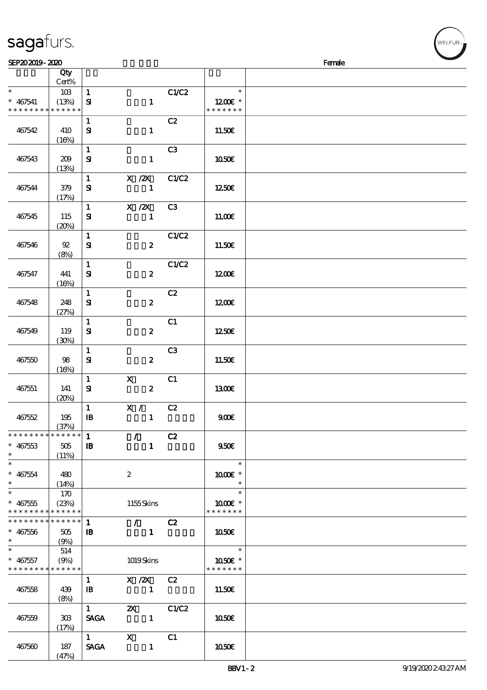|                                            | Cert%       |                        |                           |                |               |  |
|--------------------------------------------|-------------|------------------------|---------------------------|----------------|---------------|--|
| $\ast$                                     | 10B         | $\mathbf{1}$           |                           | C1/C2          | $\ast$        |  |
| $* 467541$                                 | (13%)       | $\mathbf{S}$           | $\mathbf{1}$              |                | $1200E$ *     |  |
| * * * * * * * *                            | * * * * * * |                        |                           |                | * * * * * * * |  |
|                                            |             | $\mathbf{1}$           |                           | C2             |               |  |
|                                            |             |                        |                           |                |               |  |
| 467542                                     | 410         | ${\bf s}$              | $\mathbf{1}$              |                | 11.50€        |  |
|                                            | (16%)       |                        |                           |                |               |  |
|                                            |             | $\mathbf{1}$           |                           | C3             |               |  |
| 467543                                     | 209         | $\mathbf{S}$           | $\mathbf{1}$              |                | 1050E         |  |
|                                            | (13%)       |                        |                           |                |               |  |
|                                            |             | $\mathbf{1}$           | $X$ / $ZX$                | C1/C2          |               |  |
| 467544                                     | 379         | ${\bf s}$              | $\mathbf 1$               |                | 1250E         |  |
|                                            | (17%)       |                        |                           |                |               |  |
|                                            |             | $\mathbf{1}$           |                           |                |               |  |
|                                            |             |                        | $X$ / $ZX$                | C <sub>3</sub> |               |  |
| 467545                                     | 115         | ${\bf s}$              | $\mathbf{1}$              |                | 11.00E        |  |
|                                            | (20%)       |                        |                           |                |               |  |
|                                            |             | $\mathbf{1}$           |                           | C1/C2          |               |  |
| 467546                                     | $92\,$      | ${\bf S}$              | $\boldsymbol{z}$          |                | 11.50E        |  |
|                                            | (8%)        |                        |                           |                |               |  |
|                                            |             | $\mathbf{1}$           |                           | C1/C2          |               |  |
| 467547                                     | 441         | $\mathbf{S}$           | $\boldsymbol{z}$          |                | 1200          |  |
|                                            | (16%)       |                        |                           |                |               |  |
|                                            |             | $\mathbf{1}$           |                           | C2             |               |  |
|                                            |             |                        |                           |                |               |  |
| 467548                                     | 248         | ${\bf s}$              | $\boldsymbol{z}$          |                | 1200E         |  |
|                                            | (27%)       |                        |                           |                |               |  |
|                                            |             | $\mathbf{1}$           |                           | C1             |               |  |
| 467549                                     | 119         | ${\bf s}$              | $\boldsymbol{z}$          |                | 1250E         |  |
|                                            | (30%)       |                        |                           |                |               |  |
|                                            |             | $\mathbf{1}$           |                           | C <sub>3</sub> |               |  |
| 467550                                     | 98          | ${\bf s}$              | $\boldsymbol{z}$          |                | 11.50E        |  |
|                                            | (16%)       |                        |                           |                |               |  |
|                                            |             | $\mathbf{1}$           | $\boldsymbol{\mathsf{X}}$ | C1             |               |  |
|                                            |             |                        |                           |                |               |  |
| 467551                                     | 141         | ${\bf s}$              | $\boldsymbol{z}$          |                | 1300E         |  |
|                                            | (20%)       |                        |                           |                |               |  |
|                                            |             | $\mathbf{1}$           | X / C2                    |                |               |  |
| 467552                                     | 195         | $\mathbf{B}$           | $\mathbf{1}$              |                | 900E          |  |
|                                            | (37%)       |                        |                           |                |               |  |
| * * * * * * * * <mark>* * * * * * *</mark> |             | $\mathbf{1}$           | $\mathcal{L}$             | C2             |               |  |
| $* 467533$                                 | 505         | $\mathbf{I}\mathbf{B}$ | $\mathbf{1}$              |                | 950E          |  |
| $\ast$                                     | (11%)       |                        |                           |                |               |  |
| $\ast$                                     |             |                        |                           |                | $\ast$        |  |
| $* 467554$                                 | 480         |                        | $\boldsymbol{z}$          |                | 1000 £*       |  |
| $\ast$                                     | (14%)       |                        |                           |                | $\ast$        |  |
| $\ast$                                     |             |                        |                           |                | $\ast$        |  |
|                                            | 170         |                        |                           |                |               |  |
| $* 467555$                                 | (23%)       |                        | 1155Skins                 |                | 1000 *        |  |
| * * * * * * * *                            | * * * * * * |                        |                           |                | * * * * * * * |  |
| * * * * * * * *                            | ******      | $\mathbf{1}$           | $\sqrt{C^2}$              |                |               |  |
| $* 467556$                                 | 505         | $\mathbf{B}$           | $\mathbf{1}$              |                | 1050€         |  |
| $\ast$                                     | (9%)        |                        |                           |                |               |  |
| $\ast$                                     | 514         |                        |                           |                | $\ast$        |  |
| $* 467557$                                 | (9%)        |                        | 1019Skins                 |                | 1050E *       |  |
| * * * * * * * * * * * * * *                |             |                        |                           |                | * * * * * * * |  |
|                                            |             | $\mathbf{1}$           |                           |                |               |  |
|                                            |             |                        | $X / ZX$ $C2$             |                |               |  |
| 467558                                     | 439         | $\mathbf{B}$           | $\blacksquare$            |                | 11.50E        |  |
|                                            | (8%)        |                        |                           |                |               |  |
|                                            |             | $1 -$                  | $\mathbf{X}$              | C1/C2          |               |  |
| 467559                                     | 308         | <b>SAGA</b>            | $\mathbf{1}$              |                | 1050€         |  |
|                                            | (17%)       |                        |                           |                |               |  |
|                                            |             | $1 \quad \blacksquare$ | $\boldsymbol{\mathrm{X}}$ | C1             |               |  |
| 467560                                     | 187         | <b>SAGA</b>            | $\mathbf{1}$              |                | 1050€         |  |
|                                            |             |                        |                           |                |               |  |

说明 价格

# sagafurs.

顺序号 Qty

(47%)

#### BBV1-2 9/19/2020 2:43:27 AM

WELFUR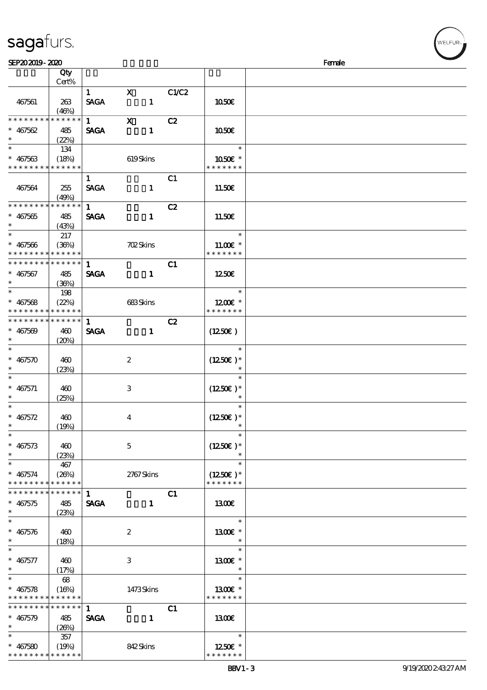| sagafurs. |  |
|-----------|--|
|           |  |

| SEP202019-2020                           |       |              |                  |       |                        | Female |
|------------------------------------------|-------|--------------|------------------|-------|------------------------|--------|
|                                          | Qty   |              |                  |       |                        |        |
|                                          | Cert% |              |                  |       |                        |        |
|                                          |       | $\mathbf{1}$ | $\mathbf{x}$     | C1/C2 |                        |        |
|                                          |       |              |                  |       |                        |        |
| 467561                                   | 263   | <b>SAGA</b>  | $\blacksquare$   |       | 1050E                  |        |
|                                          | (46%) |              |                  |       |                        |        |
| * * * * * * * * * * * * * *              |       | $1 \quad$    | $\mathbf X$      | C2    |                        |        |
| $* 467562$                               | 485   | <b>SAGA</b>  | $\mathbf{1}$     |       | 1050E                  |        |
| $\ast$                                   | (22%) |              |                  |       |                        |        |
| $\ast$                                   | 134   |              |                  |       | $\ast$                 |        |
| $* 467563$                               | (18%) |              | 619Skins         |       | 1050E *                |        |
| * * * * * * * * * * * * * *              |       |              |                  |       | * * * * * * *          |        |
|                                          |       |              |                  |       |                        |        |
|                                          |       | $\mathbf{1}$ |                  | C1    |                        |        |
| 467564                                   | 255   | <b>SAGA</b>  | $\mathbf{1}$     |       | 11.50E                 |        |
|                                          | (49%) |              |                  |       |                        |        |
| * * * * * * * * * * * * * *              |       | 1            |                  | C2    |                        |        |
| $* 467565$                               | 485   | <b>SAGA</b>  | $\mathbf{1}$     |       | 11.50E                 |        |
|                                          |       |              |                  |       |                        |        |
| $\ast$                                   | (43%) |              |                  |       |                        |        |
|                                          | 217   |              |                  |       | $\ast$                 |        |
| $* 467566$                               | (36%) |              | <b>702Skins</b>  |       | 11.00 $\varepsilon$ *  |        |
| * * * * * * * * * * * * * *              |       |              |                  |       | * * * * * * *          |        |
| * * * * * * * * * * * * * *              |       | $\mathbf{1}$ |                  | C1    |                        |        |
| $* 467567$                               | 485   | <b>SAGA</b>  | $\mathbf{1}$     |       | 1250                   |        |
| $\ast$                                   | (36%) |              |                  |       |                        |        |
| $\ast$                                   |       |              |                  |       | $\ast$                 |        |
|                                          | 198   |              |                  |       |                        |        |
| $* 467568$                               | (22%) |              | $683$ Skins      |       | $1200E$ *              |        |
| * * * * * * * * * * * * * *              |       |              |                  |       | * * * * * * *          |        |
| * * * * * * * * * * * * * *              |       | $\mathbf{1}$ |                  | C2    |                        |        |
| $* 467569$                               | 460   | <b>SAGA</b>  | $\mathbf{1}$     |       | $(1250\epsilon)$       |        |
| $\ast$                                   |       |              |                  |       |                        |        |
| $\ast$                                   | (20%) |              |                  |       |                        |        |
|                                          |       |              |                  |       | $\ast$                 |        |
| $* 467570$                               | 460   |              | $\boldsymbol{2}$ |       | $(1250E)^*$            |        |
|                                          | (23%) |              |                  |       |                        |        |
| $\ast$                                   |       |              |                  |       | $\ast$                 |        |
| $* 467571$                               | 460   |              | 3                |       | $(1250\epsilon)^*$     |        |
|                                          | (25%) |              |                  |       |                        |        |
| $\ast$                                   |       |              |                  |       | $\ast$                 |        |
|                                          |       |              |                  |       |                        |        |
| $* 467572$                               | 460   |              | $\boldsymbol{4}$ |       | $(1250E)^*$            |        |
| $*$                                      | (19%) |              |                  |       | $\ast$                 |        |
| $\ast$                                   |       |              |                  |       | $\ast$                 |        |
| $* 467573$                               | 460   |              | $\mathbf 5$      |       | $(1250E)*$             |        |
| $\ast$                                   | (23%) |              |                  |       | $\ast$                 |        |
| $\ast$                                   |       |              |                  |       | $\ast$                 |        |
|                                          | 467   |              |                  |       |                        |        |
| $* 467574$                               | (20%) |              | 2767Skins        |       | $(1250E)*$             |        |
| * * * * * * * * <mark>* * * * * *</mark> |       |              |                  |       | * * * * * * *          |        |
| * * * * * * * * * * * * * *              |       | $\mathbf{1}$ |                  | C1    |                        |        |
| $* 467575$                               | 485   | <b>SAGA</b>  | $\mathbf{1}$     |       | 1300                   |        |
| $\ast$                                   | (23%) |              |                  |       |                        |        |
| $\ast$                                   |       |              |                  |       | $\ast$                 |        |
|                                          |       |              |                  |       |                        |        |
| $* 467576$                               | 460   |              | $\boldsymbol{2}$ |       | 1300€ *                |        |
| $\ast$                                   | (18%) |              |                  |       | $\ast$                 |        |
| $\ast$                                   |       |              |                  |       | $\ast$                 |        |
| $* 467577$                               | 460   |              | 3                |       | 1300E *                |        |
| $\ast$                                   |       |              |                  |       | $\ast$                 |        |
| $\ast$                                   | (17%) |              |                  |       | $\ast$                 |        |
|                                          | 68    |              |                  |       |                        |        |
| $* 467578$                               | (16%) |              | 1473Skins        |       | 1300 $\varepsilon$ *   |        |
| * * * * * * * * <mark>* * * * * *</mark> |       |              |                  |       | * * * * * * *          |        |
| * * * * * * * * * * * * * *              |       | $\mathbf{1}$ |                  | C1    |                        |        |
| $* 467579$                               |       | <b>SAGA</b>  |                  |       |                        |        |
|                                          | 485   |              | $\mathbf{1}$     |       | 1300                   |        |
| $\ast$                                   | (26%) |              |                  |       |                        |        |
| $\ast$                                   | - 357 |              |                  |       | $\ast$                 |        |
| $* 467580$                               | (19%) |              | 842Skins         |       | $1250$ $\varepsilon$ * |        |
| * * * * * * * * * * * * * *              |       |              |                  |       | * * * * * * *          |        |

**ELFUR**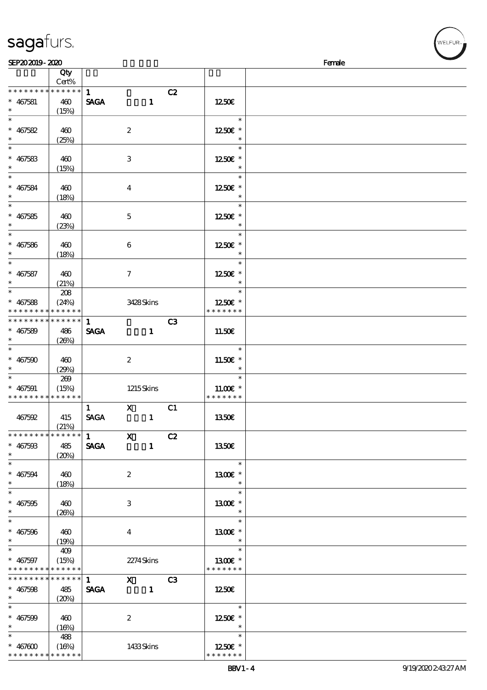|                                    | $\overline{Q}$ ty    |              |                  |                |    |                   |  |
|------------------------------------|----------------------|--------------|------------------|----------------|----|-------------------|--|
| * * * * * * * *                    | Cert%<br>* * * * * * |              |                  |                |    |                   |  |
|                                    |                      | 1            |                  |                | C2 |                   |  |
| $* 467581$                         | 460                  | <b>SAGA</b>  |                  | $\mathbf{1}$   |    | 1250€             |  |
| $\overline{\ast}$                  | (15%)                |              |                  |                |    | $\ast$            |  |
| $* 467582$                         |                      |              |                  |                |    |                   |  |
|                                    | 460                  |              | $\boldsymbol{2}$ |                |    | 1250€ *<br>$\ast$ |  |
| $\ast$                             | (25%)                |              |                  |                |    | $\ast$            |  |
|                                    |                      |              |                  |                |    |                   |  |
| $* 467583$                         | 460                  |              | $\,3\,$          |                |    | 1250E *<br>$\ast$ |  |
| $\overline{\ast}$                  | (15%)                |              |                  |                |    | $\ast$            |  |
|                                    |                      |              |                  |                |    |                   |  |
| $* 467584$<br>$\ast$               | 460                  |              | $\boldsymbol{4}$ |                |    | 1250E *           |  |
|                                    | (18%)                |              |                  |                |    | $\ast$            |  |
|                                    |                      |              |                  |                |    |                   |  |
| $* 467585$                         | 460                  |              | $\mathbf 5$      |                |    | 1250€ *           |  |
| $\ast$<br>$\overline{\phantom{0}}$ | (23%)                |              |                  |                |    |                   |  |
|                                    |                      |              |                  |                |    | $\ast$            |  |
| $* 467586$                         | 460                  |              | 6                |                |    | 1250E *           |  |
| $\ast$                             | (18%)                |              |                  |                |    | $\ast$            |  |
| $\ast$                             |                      |              |                  |                |    | $\ast$            |  |
| $* 467587$                         | 460                  |              | $\boldsymbol{7}$ |                |    | 1250E *           |  |
| $\ast$                             | (21%)                |              |                  |                |    | $\ast$            |  |
| $\overline{\ast}$                  | 208                  |              |                  |                |    | $\ast$            |  |
| $* 467588$                         | (24%)                |              | 3428Skins        |                |    | 1250E *           |  |
| * * * * * * * *                    | * * * * * *          |              |                  |                |    | * * * * * * *     |  |
| __<br>* * * * * * * *              | * * * * * *          | $\mathbf{1}$ |                  |                | C3 |                   |  |
| $* 467589$                         | 486                  | <b>SAGA</b>  |                  | $\mathbf{1}$   |    | 11.50€            |  |
| $\ast$                             | (20%)                |              |                  |                |    |                   |  |
| $\overline{\ast}$                  |                      |              |                  |                |    | $\ast$            |  |
| $* 467500$                         | 460                  |              | $\boldsymbol{2}$ |                |    | 11.50€ *          |  |
| $\ast$                             | (29%)                |              |                  |                |    | $\ast$            |  |
|                                    | 269                  |              |                  |                |    | $\ast$            |  |
| $* 467591$                         | (15%)                |              | $1215$ Skins     |                |    | $11.00E$ *        |  |
| * * * * * * * *                    | * * * * * *          |              |                  |                |    | * * * * * * *     |  |
|                                    |                      | $\mathbf{1}$ | $\mathbf{X}$     |                | C1 |                   |  |
| 467592                             | 415                  | <b>SAGA</b>  |                  | $\mathbf{1}$   |    | 1350E             |  |
|                                    | (21%)                |              |                  |                |    |                   |  |
|                                    |                      |              | $\mathbf{x}$     |                | C2 |                   |  |
| $* 467503$                         | 485                  | <b>SAGA</b>  |                  | $\mathbf{1}$   |    | 1350€             |  |
| $\ast$                             | (20%)                |              |                  |                |    |                   |  |
| $\ast$                             |                      |              |                  |                |    | $\ast$            |  |
| $* 467594$                         | 460                  |              | $\boldsymbol{z}$ |                |    | 1300E *           |  |
| $\ast$                             | (18%)                |              |                  |                |    | $\ast$            |  |
| $\overline{\ast}$                  |                      |              |                  |                |    | $\ast$            |  |
| $* 467595$                         | 460                  |              | 3                |                |    | 1300E *           |  |
| $\ast$<br>$\overline{\ast}$        | (20%)                |              |                  |                |    | $\ast$            |  |
|                                    |                      |              |                  |                |    | $\ast$            |  |
| $* 467596$                         | 460                  |              | $\bf{4}$         |                |    | 1300E *           |  |
| $\ast$                             | (19%)                |              |                  |                |    | $\ast$            |  |
|                                    | 409                  |              |                  |                |    | $\ast$            |  |
| $* 467597$                         | (15%)                |              | 2274Skins        |                |    | 1300E *           |  |
| * * * * * * * *                    | * * * * * *          |              |                  |                |    | * * * * * * *     |  |
| * * * * * * * *                    | $******$             | $\mathbf{1}$ | $X$ C3           |                |    |                   |  |
| $* 467508$                         | 485                  | <b>SAGA</b>  |                  | $\blacksquare$ |    | 1250E             |  |
| $*$ and $*$                        | (20%)                |              |                  |                |    |                   |  |
| $\ast$                             |                      |              |                  |                |    | $\ast$            |  |
| $* 467500$                         | 460                  |              | $\boldsymbol{z}$ |                |    | 1250E *           |  |
| $\ast$                             | (16%)                |              |                  |                |    |                   |  |
| $\ast$                             | 488                  |              |                  |                |    | $\ast$            |  |
| * $467600$                         | (16%)                |              | 1433Skins        |                |    | 1250E *           |  |

### sagafurs.

\* \* \* \* \* \* \* \* <mark>\* \* \* \* \* \* \*</mark>

\* \* \* \* \* \* \*

WELFUR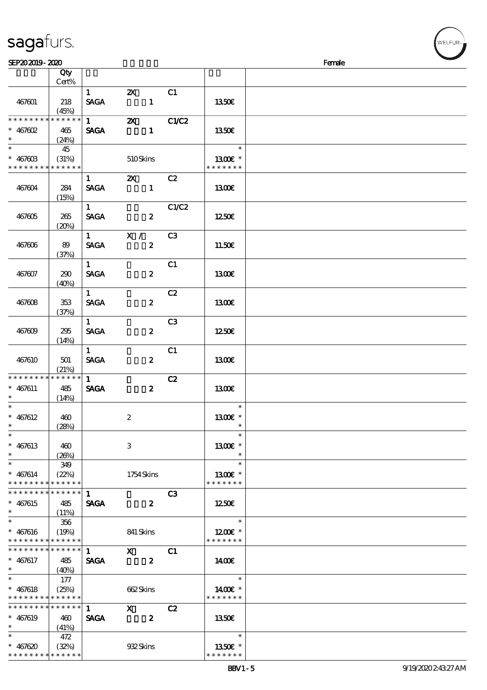| sagafurs. |
|-----------|
|-----------|

| SEP202019-2020                             |       |                        |                                 |                |                      | Female |
|--------------------------------------------|-------|------------------------|---------------------------------|----------------|----------------------|--------|
|                                            | Qty   |                        |                                 |                |                      |        |
|                                            | Cert% |                        |                                 |                |                      |        |
|                                            |       | 1                      | $\boldsymbol{\mathsf{Z}}$       | C1             |                      |        |
|                                            |       |                        |                                 |                |                      |        |
| 467601                                     | 218   | <b>SAGA</b>            | $\mathbf{1}$                    |                | 1350E                |        |
|                                            | (45%) |                        |                                 |                |                      |        |
| **************                             |       | $1 \quad \blacksquare$ | $\boldsymbol{\mathsf{z}}$       | <b>C1/C2</b>   |                      |        |
| $* 467602$                                 | 465   | <b>SAGA</b>            | $\mathbf{1}$                    |                | 1350€                |        |
| $\ast$                                     |       |                        |                                 |                |                      |        |
| $\overline{\phantom{a}^*}$                 | (24%) |                        |                                 |                |                      |        |
|                                            | 45    |                        |                                 |                | $\ast$               |        |
| $* 46760B$                                 | (31%) |                        | 510Skins                        |                | 1300E *              |        |
| * * * * * * * * * * * * * *                |       |                        |                                 |                | * * * * * * *        |        |
|                                            |       | $\mathbf{1}$           | $\mathbf{X}$                    | C2             |                      |        |
|                                            |       |                        |                                 |                |                      |        |
| 467604                                     | 284   | <b>SAGA</b>            |                                 |                | <b>1300€</b>         |        |
|                                            | (15%) |                        |                                 |                |                      |        |
|                                            |       | $1 -$                  |                                 | C1/C2          |                      |        |
| 467805                                     | 265   | <b>SAGA</b>            | $\boldsymbol{z}$                |                | 1250E                |        |
|                                            |       |                        |                                 |                |                      |        |
|                                            | (20%) |                        |                                 |                |                      |        |
|                                            |       |                        | $\overline{1}$ $\overline{X}$ / | C3             |                      |        |
| 467606                                     | 89    | <b>SAGA</b>            | $\boldsymbol{z}$                |                | 11.50E               |        |
|                                            | (37%) |                        |                                 |                |                      |        |
|                                            |       | 1                      |                                 | C1             |                      |        |
|                                            |       |                        |                                 |                |                      |        |
| 467607                                     | 290   | <b>SAGA</b>            | $\boldsymbol{z}$                |                | <b>1300€</b>         |        |
|                                            | (40%) |                        |                                 |                |                      |        |
|                                            |       | $\mathbf{1}$           |                                 | C2             |                      |        |
| 467608                                     | 353   | <b>SAGA</b>            | $\boldsymbol{z}$                |                | 1300E                |        |
|                                            |       |                        |                                 |                |                      |        |
|                                            | (37%) |                        |                                 |                |                      |        |
|                                            |       | 1                      |                                 | C <sub>3</sub> |                      |        |
| 467609                                     | 295   | <b>SAGA</b>            | $\boldsymbol{z}$                |                | 1250E                |        |
|                                            | (14%) |                        |                                 |                |                      |        |
|                                            |       | 1                      |                                 | C1             |                      |        |
|                                            |       |                        |                                 |                |                      |        |
| 467610                                     | 501   | <b>SAGA</b>            | $\boldsymbol{z}$                |                | 1300                 |        |
|                                            | (21%) |                        |                                 |                |                      |        |
| * * * * * * * * * * * * * *                |       | 1                      |                                 | C2             |                      |        |
| $* 467611$                                 | 485   | <b>SAGA</b>            | $\boldsymbol{z}$                |                | 1300                 |        |
|                                            | (14%) |                        |                                 |                |                      |        |
| $\ast$                                     |       |                        |                                 |                | $\ast$               |        |
|                                            |       |                        |                                 |                |                      |        |
| $* 467612$                                 | 460   |                        | $\boldsymbol{2}$                |                | 1300E *              |        |
| $*$                                        | (28%) |                        |                                 |                | $\ast$               |        |
| $\ast$                                     |       |                        |                                 |                | $\ast$               |        |
| $* 467613$                                 | 460   |                        | 3                               |                | 1300€ *              |        |
|                                            |       |                        |                                 |                | $\ast$               |        |
| $\ast$                                     | (20%) |                        |                                 |                |                      |        |
| $\ast$                                     | 349   |                        |                                 |                | $\ast$               |        |
| $* 467614$                                 | (22%) |                        | 1754Skins                       |                | 1300E *              |        |
| * * * * * * * * * * * * * *                |       |                        |                                 |                | * * * * * * *        |        |
| * * * * * * * * * * * * * * *              |       | $\mathbf{1}$           |                                 | C3             |                      |        |
|                                            |       |                        |                                 |                |                      |        |
| $* 467615$                                 | 485   | <b>SAGA</b>            | $\overline{\mathbf{z}}$         |                | 1250                 |        |
| $\ast$                                     | (11%) |                        |                                 |                |                      |        |
| $\ast$                                     | 356   |                        |                                 |                | $\ast$               |        |
| $* 467616$                                 | (19%) |                        | 841 Skins                       |                | 1200E *              |        |
| * * * * * * * * * * * * * *                |       |                        |                                 |                | * * * * * * *        |        |
|                                            |       |                        |                                 |                |                      |        |
| **************                             |       | $1 \quad$              | $\mathbf{X}$                    | C <sub>1</sub> |                      |        |
| $* 467617$                                 | 485   | <b>SAGA</b>            | $\overline{\mathbf{z}}$         |                | 1400E                |        |
| $\ast$                                     | (40%) |                        |                                 |                |                      |        |
| $\ast$                                     | 177   |                        |                                 |                | $\ast$               |        |
|                                            |       |                        |                                 |                |                      |        |
| $* 467618$                                 | (25%) |                        | 662Skins                        |                | 14 $00E$ *           |        |
| * * * * * * * * <mark>* * * * * *</mark>   |       |                        |                                 |                | * * * * * * *        |        |
| * * * * * * * * <mark>* * * * * * *</mark> |       | $1 \quad \blacksquare$ | $\mathbf{x}$                    | C2             |                      |        |
| $* 467619$                                 | 460   | <b>SAGA</b>            | $\boldsymbol{z}$                |                | 1350E                |        |
| $\ast$                                     |       |                        |                                 |                |                      |        |
|                                            | (41%) |                        |                                 |                |                      |        |
| $\ast$                                     | 472   |                        |                                 |                | $\ast$               |        |
| $* 467620$                                 | (32%) |                        | 932Skins                        |                | 1350 $\varepsilon$ * |        |
| * * * * * * * * * * * * * *                |       |                        |                                 |                | * * * * * * *        |        |

WELFUR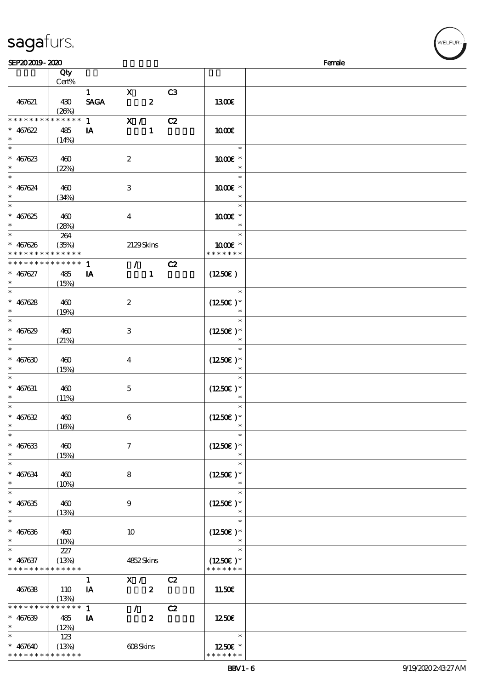|                                          | Qty<br>Cert%               |                        |                           |                           |    |                                    |  |
|------------------------------------------|----------------------------|------------------------|---------------------------|---------------------------|----|------------------------------------|--|
|                                          |                            | $1 \quad \blacksquare$ | $\mathbf{X}$              |                           | C3 |                                    |  |
| 467621                                   | 430<br>(20%)               | <b>SAGA</b>            | $\overline{\mathbf{z}}$   |                           |    | 1300€                              |  |
| * * * * * * * *                          | * * * * * *                | $\mathbf{1}$           | $\overline{\mathbf{x}}$ / |                           | C2 |                                    |  |
| $* 467622$                               | 485                        | IA                     |                           | $\mathbf{1}$              |    | 1000E                              |  |
| $\ast$                                   | (14%)                      |                        |                           |                           |    |                                    |  |
| $\ast$                                   |                            |                        |                           |                           |    | $\ast$                             |  |
| $* 467623$                               | 460                        |                        | $\boldsymbol{2}$          |                           |    | 1000 *                             |  |
| $\ast$                                   | (22%)                      |                        |                           |                           |    | $\ast$                             |  |
| $\ast$                                   |                            |                        |                           |                           |    | $\ast$                             |  |
| $* 467624$                               | 460                        |                        | $\,3$                     |                           |    | 1000€ *                            |  |
| $\ast$<br>$\overline{\phantom{0}}$       | (34%)                      |                        |                           |                           |    | $\ast$                             |  |
|                                          |                            |                        |                           |                           |    | $\ast$                             |  |
| $* 467625$                               | 460                        |                        | $\boldsymbol{4}$          |                           |    | 1000€ *                            |  |
| $\ast$                                   | (28%)                      |                        |                           |                           |    | $\ast$<br><u>a sa sa</u><br>$\ast$ |  |
|                                          | 264                        |                        |                           |                           |    |                                    |  |
| $* 467626$                               | (35%)                      |                        | 2129Skins                 |                           |    | 1000 *<br>* * * * * * *            |  |
| * * * * * * * *<br>* * * * * * * *       | * * * * * *<br>* * * * * * |                        |                           |                           |    |                                    |  |
|                                          |                            | $\mathbf{1}$           |                           | $\mathcal{T}=\mathcal{F}$ | C2 |                                    |  |
| $* 467627$<br>$\ast$                     | 485                        | IA                     |                           | $\mathbf{1}$              |    | $(1250\varepsilon)$                |  |
| $\overline{\ast}$                        | (15%)                      |                        |                           |                           |    | $\ast$                             |  |
|                                          |                            |                        |                           |                           |    |                                    |  |
| $* 467628$<br>$\ast$                     | 460                        |                        | $\boldsymbol{2}$          |                           |    | $(1250E)*$<br>$\ast$               |  |
| $\overline{\ast}$                        | (19%)                      |                        |                           |                           |    | $\ast$                             |  |
|                                          |                            |                        |                           |                           |    |                                    |  |
| $* 467629$<br>$\ast$                     | 460                        |                        | 3                         |                           |    | $(1250E)*$<br>$\ast$               |  |
| $\ast$                                   | (21%)                      |                        |                           |                           |    | $\ast$                             |  |
| $* 467630$                               | 460                        |                        | $\boldsymbol{4}$          |                           |    | $(1250E)^*$                        |  |
| $\ast$                                   |                            |                        |                           |                           |    |                                    |  |
| $\ast$                                   | (15%)                      |                        |                           |                           |    | $\ast$                             |  |
| $* 467631$                               | 460                        |                        | $\mathbf 5$               |                           |    | $(1250\varepsilon)*$               |  |
| $\ast$                                   | (11%)                      |                        |                           |                           |    | $\ast$                             |  |
| $\ast$                                   |                            |                        |                           |                           |    | $\ast$                             |  |
| $* 467632$                               | 460                        |                        | $\,6\,$                   |                           |    | $(1250\varepsilon)^*$              |  |
| $\ast$                                   | (16%)                      |                        |                           |                           |    | $\ast$                             |  |
| $*$                                      |                            |                        |                           |                           |    | $\ast$                             |  |
| $* 467633$                               | 460                        |                        | $\boldsymbol{\tau}$       |                           |    | $(1250E)^*$                        |  |
| $\ast$                                   | (15%)                      |                        |                           |                           |    |                                    |  |
| $\ast$                                   |                            |                        |                           |                           |    | $\ast$                             |  |
| $* 467634$                               | 460                        |                        | 8                         |                           |    | $(1250E)*$                         |  |
| $\ast$                                   | (10%)                      |                        |                           |                           |    | $\ast$                             |  |
| $\ast$                                   |                            |                        |                           |                           |    | $\ast$                             |  |
| $* 467635$                               | 460                        |                        | $\boldsymbol{9}$          |                           |    | $(1250E)*$                         |  |
| $\ast$                                   | (13%)                      |                        |                           |                           |    | $\ast$                             |  |
| $\ast$                                   |                            |                        |                           |                           |    | $\ast$                             |  |
| $* 467636$                               | 460                        |                        | 10                        |                           |    | $(1250E)*$                         |  |
| $\ast$                                   | (10%)                      |                        |                           |                           |    |                                    |  |
| $\ast$                                   | 227                        |                        |                           |                           |    | $\ast$                             |  |
| $* 467637$                               | (13%)                      |                        | 4852Skins                 |                           |    | $(1250E)^*$                        |  |
| * * * * * * * * <mark>* * * * * *</mark> |                            |                        |                           |                           |    | * * * * * * *                      |  |
|                                          |                            | $\mathbf{1}$           | X /                       |                           | C2 |                                    |  |
| 467638                                   | 110                        | IA                     |                           | $\boldsymbol{z}$          |    | 11.50E                             |  |
| * * * * * * * *                          | (13%)<br>* * * * * *       |                        |                           |                           |    |                                    |  |
|                                          |                            | $\mathbf{1}$           | $\tilde{Z}$               |                           | C2 |                                    |  |
| $* 467639$<br>$\ast$                     | 485                        | IA                     |                           | $\boldsymbol{z}$          |    | 1250E                              |  |
| $\ast$                                   | (12%)                      |                        |                           |                           |    | $\ast$                             |  |
|                                          | 123                        |                        |                           |                           |    | 1250E *                            |  |
| $* 467640$                               | (13%)                      |                        | 608Skins                  |                           |    |                                    |  |

\* \* \* \* \* \* \* \* \* \* \* \*

\* \* \* \* \* \*

**NELFUR**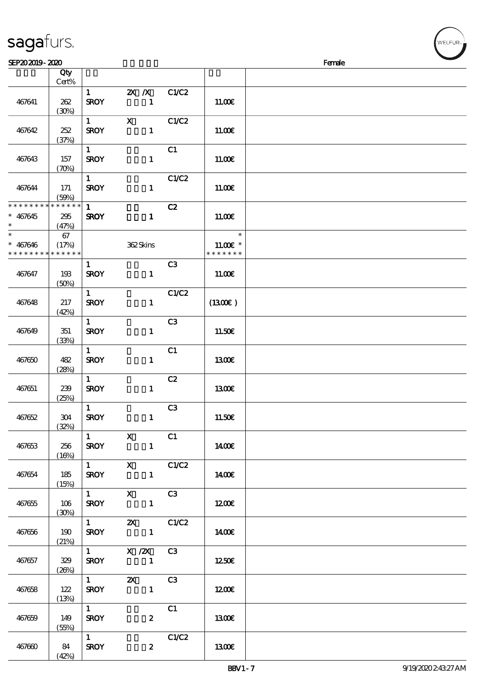| sagaturs. |  |
|-----------|--|
|           |  |

| SEP202019-2020              |                            |                        |                                       |                         |               | Female |
|-----------------------------|----------------------------|------------------------|---------------------------------------|-------------------------|---------------|--------|
|                             | Qty                        |                        |                                       |                         |               |        |
|                             | Cert%                      |                        |                                       |                         |               |        |
|                             |                            | 1                      | $2X$ $\overline{X}$                   | C1/C2                   |               |        |
| 467641                      | 262                        | <b>SROY</b>            | $\mathbf{1}$                          |                         | 11.00E        |        |
|                             | (30%)                      |                        |                                       |                         |               |        |
|                             |                            | $1 \quad \blacksquare$ | $\mathbf{x}$                          | C1/C2                   |               |        |
| 467642                      | 252                        | <b>SROY</b>            | $\mathbf{1}$                          |                         | 11.00E        |        |
|                             | (37%)                      |                        |                                       |                         |               |        |
|                             |                            | $\mathbf{1}$           |                                       | C1                      |               |        |
| 467643                      | 157                        | <b>SROY</b>            | $\mathbf{1}$                          |                         | 11.00E        |        |
|                             | $(\mathcal{X}\mathcal{Y})$ |                        |                                       |                         |               |        |
|                             |                            | $\mathbf{1}$           |                                       | C1/C2                   |               |        |
| 467644                      | 171                        | <b>SROY</b>            | $\mathbf{1}$                          |                         | 11.00E        |        |
|                             | (50%)                      |                        |                                       |                         |               |        |
| * * * * * * * * * * * * * * |                            | $\mathbf{1}$           |                                       | C2                      |               |        |
| $* 467645$                  | 295                        | <b>SROY</b>            | $\mathbf{1}$                          |                         | 11.00E        |        |
| $\ast$                      | (47%)                      |                        |                                       |                         |               |        |
| $\ast$                      | 67                         |                        |                                       |                         | $\ast$        |        |
| $* 467646$                  | (17%)                      |                        | 362Skins                              |                         | $11.00E$ *    |        |
| * * * * * * * *             | * * * * * *                |                        |                                       |                         | * * * * * * * |        |
|                             |                            | $\mathbf{1}$           |                                       | C <sub>3</sub>          |               |        |
| 467647                      | 193                        | <b>SROY</b>            | $\mathbf{1}$                          |                         | 11.00E        |        |
|                             | (50%)                      |                        |                                       |                         |               |        |
|                             |                            | $\mathbf{1}$           |                                       | C1/C2                   |               |        |
| 467648                      | 217                        | <b>SROY</b>            | $\mathbf{1}$                          |                         | (1300E)       |        |
|                             | (42%)                      |                        |                                       |                         |               |        |
|                             |                            | $\mathbf{1}$           |                                       | C <sub>3</sub>          |               |        |
| 467649                      | 351                        | <b>SROY</b>            | $\mathbf{1}$                          |                         | 11.50E        |        |
|                             | (33%)                      |                        |                                       |                         |               |        |
|                             |                            | $\mathbf{1}$           |                                       | C1                      |               |        |
| 467650                      | 482                        | <b>SROY</b>            | $\mathbf{1}$                          |                         | <b>1300€</b>  |        |
|                             | (28%)                      |                        |                                       |                         |               |        |
|                             |                            | $\mathbf{1}$           |                                       | C2                      |               |        |
| 467651                      | 239                        | <b>SROY</b>            | $\mathbf{1}$                          |                         | 1300E         |        |
|                             | (25%)                      |                        |                                       |                         |               |        |
|                             |                            | $\mathbf{1}$           |                                       | C <sub>3</sub>          |               |        |
| 467652                      | 304                        | <b>SROY</b>            | $\mathbf{1}$                          |                         | 11.50€        |        |
|                             | (32%)                      |                        | $\overline{\phantom{a}}$ x            |                         |               |        |
| 467653                      | 256                        | 1                      | $\mathbf{1}$                          | $\overline{\text{c}}$ 1 |               |        |
|                             |                            | <b>SROY</b>            |                                       |                         | 1400€         |        |
|                             | (16%)                      |                        | $\overline{1}$ X C1/C2                |                         |               |        |
| 467654                      | 185                        | <b>SROY</b>            | $\mathbf{1}$                          |                         | 1400E         |        |
|                             | (15%)                      |                        |                                       |                         |               |        |
|                             |                            |                        | 1 X C3                                |                         |               |        |
| 467655                      | 106                        |                        | $SROY$ 1                              |                         | 1200E         |        |
|                             | (30%)                      |                        |                                       |                         |               |        |
|                             |                            |                        | 1 $\alpha$ $\alpha$ $\alpha$ $\alpha$ |                         |               |        |
| 467656                      | 190                        | <b>SROY</b>            |                                       |                         | 1400€         |        |
|                             | (21%)                      |                        |                                       |                         |               |        |
|                             |                            |                        | 1 $X / ZX$ C3                         |                         |               |        |
| 467657                      | 329                        | <b>SROY</b>            |                                       |                         | 1250          |        |
|                             | (20%)                      |                        |                                       |                         |               |        |
|                             |                            | $\overline{1}$         | <b>2X</b> C3                          |                         |               |        |
| 467658                      | 122                        | <b>SROY</b>            |                                       |                         | 1200E         |        |
|                             | (13%)                      |                        |                                       |                         |               |        |
|                             |                            | $1 \quad \blacksquare$ |                                       | C1                      |               |        |
| 467659                      | 149                        | <b>SROY</b>            | $\boldsymbol{z}$                      |                         | 1300E         |        |
|                             | (55%)                      |                        |                                       |                         |               |        |
|                             |                            | $1 \quad \blacksquare$ |                                       | C1/C2                   |               |        |
| 467660                      | 84                         | <b>SROY</b>            | $\boldsymbol{z}$                      |                         | 1300E         |        |
|                             | (42%)                      |                        |                                       |                         |               |        |

ELFUR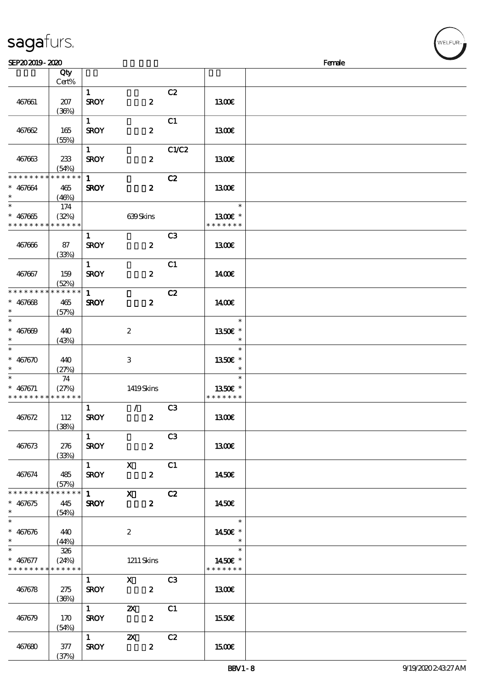| 467661                                                   | 207                             | $\mathbf{1}$<br><b>SROY</b>           | $\boldsymbol{z}$                     | C2             | 1300€                              |  |
|----------------------------------------------------------|---------------------------------|---------------------------------------|--------------------------------------|----------------|------------------------------------|--|
| 467662                                                   | (36%)<br>165                    | $1 -$<br><b>SROY</b>                  | $\boldsymbol{z}$                     | C1             | 1300E                              |  |
| 467663                                                   | (55%)<br>233<br>(54%)           | $1 -$<br><b>SROY</b>                  | $\boldsymbol{z}$                     | C1/C2          | 1300E                              |  |
| * * * * * * * *<br>$* 467664$<br>$\ast$                  | $* * * * * * *$<br>465<br>(46%) | $\mathbf{1}$<br><b>SROY</b>           | $\boldsymbol{z}$                     | C2             | <b>1300€</b>                       |  |
| $* 467665$<br>* * * * * * * * <mark>* * * * * * *</mark> | 174<br>(32%)                    |                                       | 639Skins                             |                | $\ast$<br>1300€ *<br>* * * * * * * |  |
| 467666                                                   | 87<br>(33%)                     | $\mathbf{1}$<br><b>SROY</b>           | $\boldsymbol{z}$                     | C <sub>3</sub> | 1300E                              |  |
| 467667                                                   | 159<br>(52%)                    | $\mathbf{1}$<br><b>SROY</b>           | $\boldsymbol{z}$                     | C1             | <b>1400€</b>                       |  |
| * * * * * * * *<br>$* 467668$<br>$\ast$                  | * * * * * *<br>465<br>(57%)     | $\mathbf{1}$<br><b>SROY</b>           | $\boldsymbol{z}$                     | C2             | 1400E                              |  |
| $\ast$<br>$* 467000$<br>$\ast$                           | 440<br>(43%)                    |                                       | $\boldsymbol{2}$                     |                | $\ast$<br>1350E *<br>$\ast$        |  |
| $\overline{\ast}$<br>$* 467670$<br>$\ast$                | 440<br>(27%)                    |                                       | $\ensuremath{\mathbf{3}}$            |                | $\ast$<br>1350€ *<br>$\ast$        |  |
| $\ast$<br>$* 467671$<br>* * * * * * * *                  | 74<br>(27%)<br>* * * * * *      |                                       | 1419Skins                            |                | $\ast$<br>1350E *<br>* * * * * * * |  |
| 467672                                                   | 112<br>(38%)                    | $\mathbf{1}$<br><b>SROY</b>           | $\mathcal{L}$<br>$\boldsymbol{z}$    | C <sub>3</sub> | 1300E                              |  |
| 467673                                                   | 276<br>(33%)                    | $\mathbf{1}$<br><b>SROY</b>           | $\boldsymbol{z}$                     | C <sub>3</sub> | <b>1300€</b>                       |  |
| 467674                                                   | 485<br>(57%)                    | $1$ X<br><b>SROY</b>                  | $\boldsymbol{2}$                     | C1             | <b>1450€</b>                       |  |
| * * * * * * * *<br>* 467675<br>$\ast$                    | * * * * * *<br>445<br>(54%)     | <b>SROY</b>                           | $\overline{1}$ X<br>$\boldsymbol{z}$ | C2             | 1450E                              |  |
| $* 467676$<br>$\ast$                                     | 440<br>(44%)                    |                                       | $\boldsymbol{2}$                     |                | $\ast$<br>1450€ *<br>$\ast$        |  |
| $\ast$<br>$* 467677$<br>* * * * * * * *                  | 326<br>(24%)<br>* * * * * *     |                                       | $1211$ Skins                         |                | $\ast$<br>1450€ *<br>* * * * * * * |  |
| 467678                                                   | 275<br>(36%)                    | $1 \quad \blacksquare$<br><b>SROY</b> | $X$ C3<br>$\overline{\mathbf{2}}$    |                | 1300                               |  |
| 467679                                                   | 170<br>(54%)                    | <b>SROY</b>                           | $\mathbf{2}$                         |                | 1550E                              |  |
| 467680                                                   | 377                             | $\overline{1}$<br><b>SROY</b>         | $\mathbf{x}$<br>$\boldsymbol{z}$     | C2             | <b>1500€</b>                       |  |

说明 价格

#### sagafurs.

顺序号 Qty

Cert%

 $(37%)$ 

WELFUR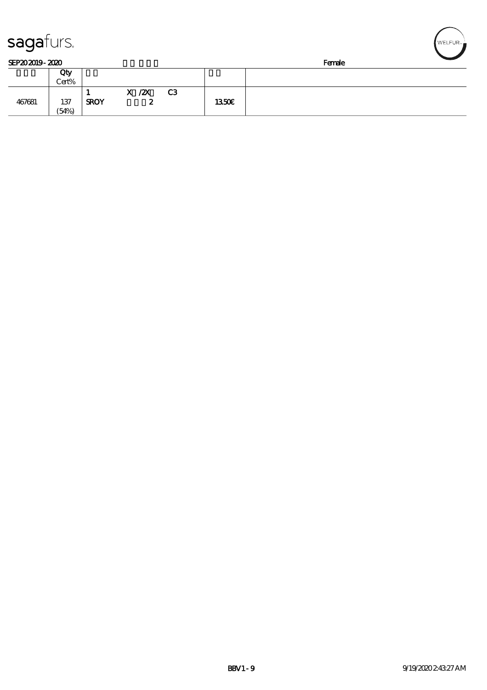| sagaturs.      |       |             |            |    |       |        | WELFUR <sub>™</sub> |
|----------------|-------|-------------|------------|----|-------|--------|---------------------|
| SEP202019-2020 |       |             |            |    |       | Female |                     |
|                | Qty   |             |            |    |       |        |                     |
|                | Cert% |             |            |    |       |        |                     |
|                |       |             | $X$ / $ZX$ | C3 |       |        |                     |
| 467681         | 137   | <b>SROY</b> | 2          |    | 1350E |        |                     |
|                | (54%) |             |            |    |       |        |                     |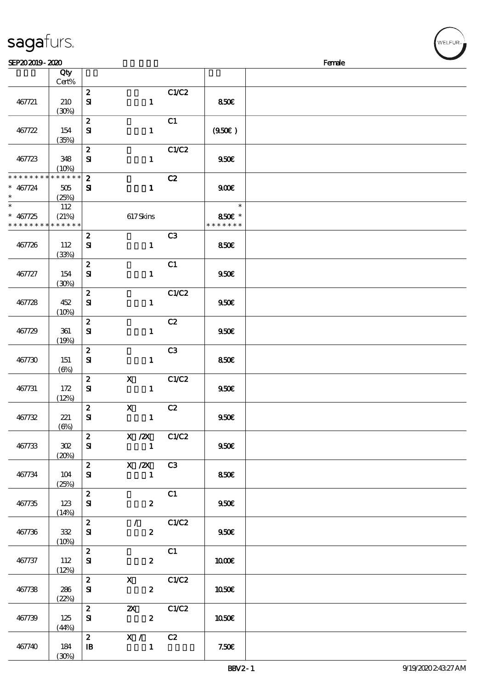|                   | Qty<br>Cert% |                  |                  |                |               |  |
|-------------------|--------------|------------------|------------------|----------------|---------------|--|
|                   |              |                  |                  |                |               |  |
|                   |              | $\boldsymbol{z}$ |                  | C1/C2          |               |  |
| 467721            | 210          | ${\bf s}$        | $\mathbf{1}$     |                | 850E          |  |
|                   | (30%)        |                  |                  |                |               |  |
|                   |              | $\boldsymbol{z}$ |                  | C1             |               |  |
| 467722            | 154          | ${\bf S}$        | $\mathbf{1}$     |                | (950)         |  |
|                   | (35%)        |                  |                  |                |               |  |
|                   |              | $\boldsymbol{z}$ |                  | C1/C2          |               |  |
|                   | 348          | ${\bf S\!I}$     | $\mathbf{1}$     |                |               |  |
| 467723            |              |                  |                  |                | 950E          |  |
|                   | (10%)        |                  |                  |                |               |  |
| * * * * * * * *   | * * * * * *  | $\boldsymbol{z}$ |                  | C2             |               |  |
| $* 467724$        | 505          | ${\bf s}$        | $\mathbf{1}$     |                | 900E          |  |
| $\ast$            | (25%)        |                  |                  |                |               |  |
| $\overline{\ast}$ | 112          |                  |                  |                | $\ast$        |  |
| $* 467725$        | (21%)        |                  | 617Skins         |                | 850€ *        |  |
| * * * * * * * *   | * * * * * *  |                  |                  |                | * * * * * * * |  |
|                   |              | $\boldsymbol{z}$ |                  | C3             |               |  |
| 467726            | 112          | ${\bf s}$        | $\mathbf{1}$     |                | 850E          |  |
|                   |              |                  |                  |                |               |  |
|                   | (33%)        |                  |                  |                |               |  |
|                   |              | $\boldsymbol{z}$ |                  | C1             |               |  |
| 467727            | 154          | ${\bf s}$        | $\mathbf{1}$     |                | 950E          |  |
|                   | (30%)        |                  |                  |                |               |  |
|                   |              | $\boldsymbol{z}$ |                  | C1/C2          |               |  |
| 467728            | 452          | ${\bf s}$        | $\mathbf{1}$     |                | 950E          |  |
|                   | (10%)        |                  |                  |                |               |  |
|                   |              | $\boldsymbol{z}$ |                  | C2             |               |  |
| 467729            | 361          | ${\bf S\!I}$     | $\mathbf{1}$     |                | 950E          |  |
|                   | (19%)        |                  |                  |                |               |  |
|                   |              | $\boldsymbol{z}$ |                  | C <sub>3</sub> |               |  |
| 467730            | 151          | ${\bf s}$        |                  |                | 850€          |  |
|                   |              |                  | $\mathbf{1}$     |                |               |  |
|                   | $(\Theta)$   |                  |                  |                |               |  |
|                   |              | $\boldsymbol{z}$ | $\mathbf x$      | C1/C2          |               |  |
| 467731            | 172          | ${\bf s}$        | $\mathbf{1}$     |                | 950E          |  |
|                   | (12%)        |                  |                  |                |               |  |
|                   |              | $\boldsymbol{z}$ | $\mathbf{x}$     | C2             |               |  |
| 467732            | 221          | $\mathbf{S}$     | $\mathbf{1}$     |                | 950E          |  |
|                   | $(\Theta)$   |                  |                  |                |               |  |
|                   |              | $\boldsymbol{z}$ | $X$ /2 $X$ C1/C2 |                |               |  |
| 467733            | 302          | ${\bf s}$        | $\mathbf{1}$     |                | 950E          |  |
|                   | (20%)        |                  |                  |                |               |  |
|                   |              | $\mathbf{2}$     | $X / ZX$ C3      |                |               |  |
| 467734            | 104          | ${\bf s}$        | $\mathbf{1}$     |                | 850€          |  |
|                   | (25%)        |                  |                  |                |               |  |
|                   |              | $\overline{2}$   |                  | C1             |               |  |
|                   |              |                  |                  |                |               |  |
| 467735            | 123          | ${\bf s}$        | $\boldsymbol{z}$ |                | 950E          |  |
|                   | (14%)        |                  |                  |                |               |  |
|                   |              | $\boldsymbol{z}$ | $\mathcal{L}$    | C1/C2          |               |  |
| 467736            | 332          | ${\bf s}$        | $\boldsymbol{z}$ |                | 950E          |  |
|                   | (10%)        |                  |                  |                |               |  |
|                   |              | $\boldsymbol{z}$ |                  | C1             |               |  |
| 467737            | 112          | ${\bf s}$        | $\mathbf{z}$     |                | 1000E         |  |
|                   | (12%)        |                  |                  |                |               |  |
|                   |              | $\boldsymbol{z}$ | $\mathbf{X}$     | C1/C2          |               |  |
| 467738            | 286          | ${\bf s}$        | $\boldsymbol{z}$ |                | 1050€         |  |
|                   | (22%)        |                  |                  |                |               |  |
|                   |              | $\boldsymbol{z}$ | $\mathbf{z}$     | C1/C2          |               |  |
| 467739            | 125          | ${\bf s}$        | $\mathbf{2}$     |                | 1050€         |  |
|                   | (44%)        |                  |                  |                |               |  |
|                   |              | $\mathbf{2}$     | X / C2           |                |               |  |
|                   |              |                  |                  |                |               |  |
| 467740            | 184          | $\mathbf{B}$     | $\mathbf{1}$     |                | 7.50E         |  |
|                   | (30%)        |                  |                  |                |               |  |

 $SEP202019 - 2020$  Female

sagafurs.

**VELFUR**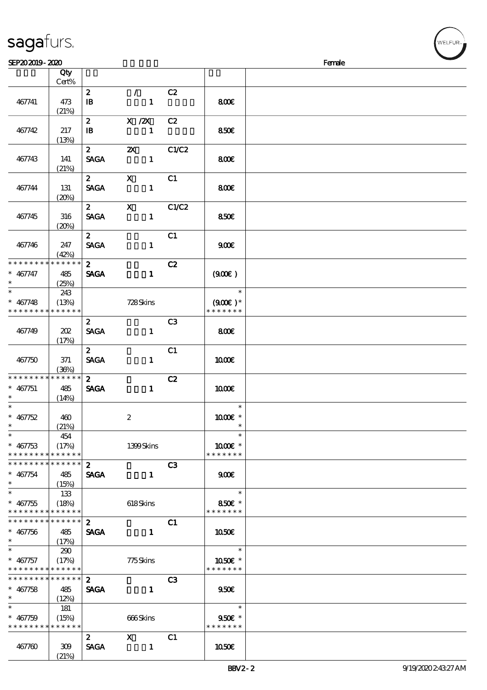|  | sagafurs. |
|--|-----------|
|  |           |

| SEP202019-2020                |       |                |                                                                                                                                                                                                                                                                                                                                 |                |                        | Female |
|-------------------------------|-------|----------------|---------------------------------------------------------------------------------------------------------------------------------------------------------------------------------------------------------------------------------------------------------------------------------------------------------------------------------|----------------|------------------------|--------|
|                               | Qty   |                |                                                                                                                                                                                                                                                                                                                                 |                |                        |        |
|                               | Cert% |                |                                                                                                                                                                                                                                                                                                                                 |                |                        |        |
|                               |       | $\mathbf{z}$   | $\mathcal{L}$                                                                                                                                                                                                                                                                                                                   | C2             |                        |        |
| 467741                        | 473   | $\mathbf{B}$   | $\mathbf{1}$                                                                                                                                                                                                                                                                                                                    |                | 800€                   |        |
|                               | (21%) |                |                                                                                                                                                                                                                                                                                                                                 |                |                        |        |
|                               |       |                |                                                                                                                                                                                                                                                                                                                                 |                |                        |        |
|                               |       | $\mathbf{z}$   | $X$ / $ZX$                                                                                                                                                                                                                                                                                                                      | C2             |                        |        |
| 467742                        | 217   | $\mathbf{B}$   | $\mathbf{1}$                                                                                                                                                                                                                                                                                                                    |                | <b>850€</b>            |        |
|                               | (13%) |                |                                                                                                                                                                                                                                                                                                                                 |                |                        |        |
|                               |       | $\mathbf{2}$   | $\boldsymbol{\mathsf{Z}}$                                                                                                                                                                                                                                                                                                       | C1/C2          |                        |        |
| 467743                        | 141   | <b>SAGA</b>    | $\mathbf{1}$                                                                                                                                                                                                                                                                                                                    |                | 800€                   |        |
|                               | (21%) |                |                                                                                                                                                                                                                                                                                                                                 |                |                        |        |
|                               |       | $\mathbf{2}$   | $\mathbf x$                                                                                                                                                                                                                                                                                                                     | C1             |                        |        |
| 467744                        | 131   | <b>SAGA</b>    | $\mathbf{1}$                                                                                                                                                                                                                                                                                                                    |                | 800€                   |        |
|                               | (20%) |                |                                                                                                                                                                                                                                                                                                                                 |                |                        |        |
|                               |       | $\mathbf{2}$   | $\mathbf X$                                                                                                                                                                                                                                                                                                                     | C1/C2          |                        |        |
| 467745                        | 316   | <b>SAGA</b>    | $\mathbf{1}$                                                                                                                                                                                                                                                                                                                    |                | 850E                   |        |
|                               |       |                |                                                                                                                                                                                                                                                                                                                                 |                |                        |        |
|                               | (20%) |                |                                                                                                                                                                                                                                                                                                                                 |                |                        |        |
|                               |       | $\mathbf{2}$   |                                                                                                                                                                                                                                                                                                                                 | C1             |                        |        |
| 467746                        | 247   | <b>SAGA</b>    | $\mathbf{1}$                                                                                                                                                                                                                                                                                                                    |                | 900                    |        |
|                               | (42%) |                |                                                                                                                                                                                                                                                                                                                                 |                |                        |        |
| * * * * * * * * * * * * * *   |       | $\mathbf{z}$   |                                                                                                                                                                                                                                                                                                                                 | C2             |                        |        |
| $* 467747$                    | 485   | <b>SAGA</b>    | $\mathbf{1}$                                                                                                                                                                                                                                                                                                                    |                | (900)                  |        |
| $\ast$                        | (25%) |                |                                                                                                                                                                                                                                                                                                                                 |                |                        |        |
| $\overline{\ast}$             | 243   |                |                                                                                                                                                                                                                                                                                                                                 |                | $\ast$                 |        |
| $* 467748$                    | (13%) |                | 728Skins                                                                                                                                                                                                                                                                                                                        |                | $(900E)*$              |        |
| * * * * * * * * * * * * * *   |       |                |                                                                                                                                                                                                                                                                                                                                 |                | * * * * * * *          |        |
|                               |       |                |                                                                                                                                                                                                                                                                                                                                 |                |                        |        |
|                               |       | 2 <sup>7</sup> |                                                                                                                                                                                                                                                                                                                                 | C <sub>3</sub> |                        |        |
| 467749                        | 202   | <b>SAGA</b>    | $\mathbf{1}$                                                                                                                                                                                                                                                                                                                    |                | 800E                   |        |
|                               | (17%) |                |                                                                                                                                                                                                                                                                                                                                 |                |                        |        |
|                               |       | $\mathbf{z}$   |                                                                                                                                                                                                                                                                                                                                 | C1             |                        |        |
| 467750                        | 371   | <b>SAGA</b>    | $\mathbf{1}$                                                                                                                                                                                                                                                                                                                    |                | 1000E                  |        |
|                               | (36%) |                |                                                                                                                                                                                                                                                                                                                                 |                |                        |        |
| * * * * * * * * * * * * * *   |       | 2 <sup>7</sup> |                                                                                                                                                                                                                                                                                                                                 | C2             |                        |        |
| $* 467751$                    | 485   | <b>SAGA</b>    | $\mathbf{1}$                                                                                                                                                                                                                                                                                                                    |                | 1000                   |        |
|                               | (14%) |                |                                                                                                                                                                                                                                                                                                                                 |                |                        |        |
| $\ast$                        |       |                |                                                                                                                                                                                                                                                                                                                                 |                | $\ast$                 |        |
| $* 467752$                    | 460   |                | $\boldsymbol{2}$                                                                                                                                                                                                                                                                                                                |                | 1000 *                 |        |
| $*$                           | (21%) |                |                                                                                                                                                                                                                                                                                                                                 |                | $\ast$                 |        |
| $\ast$                        |       |                |                                                                                                                                                                                                                                                                                                                                 |                | $\ast$                 |        |
| $* 467753$                    | 454   |                |                                                                                                                                                                                                                                                                                                                                 |                |                        |        |
|                               | (17%) |                | 1399Skins                                                                                                                                                                                                                                                                                                                       |                | 1000€ *                |        |
| * * * * * * * * * * * * * *   |       |                |                                                                                                                                                                                                                                                                                                                                 |                | * * * * * * *          |        |
| * * * * * * * * * * * * * * * |       | $\mathbf{2}$   |                                                                                                                                                                                                                                                                                                                                 | C3             |                        |        |
| $* 467754$                    | 485   | <b>SAGA</b>    | $\mathbf{1}$                                                                                                                                                                                                                                                                                                                    |                | 900                    |        |
| $\ast$                        | (15%) |                |                                                                                                                                                                                                                                                                                                                                 |                |                        |        |
| $\overline{\phantom{0}}$      | 133   |                |                                                                                                                                                                                                                                                                                                                                 |                | $\ast$                 |        |
| $* 467755$                    | (18%) |                | 618Skins                                                                                                                                                                                                                                                                                                                        |                | 850€ *                 |        |
| * * * * * * * * * * * * * *   |       |                |                                                                                                                                                                                                                                                                                                                                 |                | * * * * * * *          |        |
| ******** <mark>******</mark>  |       | $2^{\circ}$    |                                                                                                                                                                                                                                                                                                                                 | C1             |                        |        |
| $* 467756$                    | 485   | <b>SAGA</b>    | $\mathbf{1}$                                                                                                                                                                                                                                                                                                                    |                | 1050E                  |        |
| $\ast$                        | (17%) |                |                                                                                                                                                                                                                                                                                                                                 |                |                        |        |
| $\ast$                        | 290   |                |                                                                                                                                                                                                                                                                                                                                 |                | $\ast$                 |        |
|                               |       |                |                                                                                                                                                                                                                                                                                                                                 |                |                        |        |
| $*$ 467757                    | (17%) |                | 775Skins                                                                                                                                                                                                                                                                                                                        |                | $1050$ $\varepsilon$ * |        |
| * * * * * * * * * * * * * *   |       |                |                                                                                                                                                                                                                                                                                                                                 |                | * * * * * * *          |        |
| ******** <mark>******</mark>  |       | $2^{\circ}$    |                                                                                                                                                                                                                                                                                                                                 | C3             |                        |        |
| $* 467758$                    | 485   | <b>SAGA</b>    | $\mathbf{I}$                                                                                                                                                                                                                                                                                                                    |                | 950E                   |        |
| $\ast$                        | (12%) |                |                                                                                                                                                                                                                                                                                                                                 |                |                        |        |
| $\ast$                        | 181   |                |                                                                                                                                                                                                                                                                                                                                 |                | $\ast$                 |        |
| $* 467759$                    | (15%) |                | 666Skins                                                                                                                                                                                                                                                                                                                        |                | $950E *$               |        |
| * * * * * * * * * * * * * *   |       |                |                                                                                                                                                                                                                                                                                                                                 |                | * * * * * * *          |        |
|                               |       | $\mathbf{2}$   | $\mathbf X$ and $\mathbf X$ and $\mathbf X$ and $\mathbf X$ and $\mathbf X$ and $\mathbf X$ and $\mathbf X$ and $\mathbf X$ and $\mathbf X$ and $\mathbf X$ and $\mathbf X$ and $\mathbf X$ and $\mathbf X$ and $\mathbf X$ and $\mathbf X$ and $\mathbf X$ and $\mathbf X$ and $\mathbf X$ and $\mathbf X$ and $\mathbf X$ and | C1             |                        |        |
| 467760                        | 309   | <b>SAGA</b>    | $\mathbf{1}$                                                                                                                                                                                                                                                                                                                    |                | 1050                   |        |
|                               | (21%) |                |                                                                                                                                                                                                                                                                                                                                 |                |                        |        |
|                               |       |                |                                                                                                                                                                                                                                                                                                                                 |                |                        |        |

VELFUR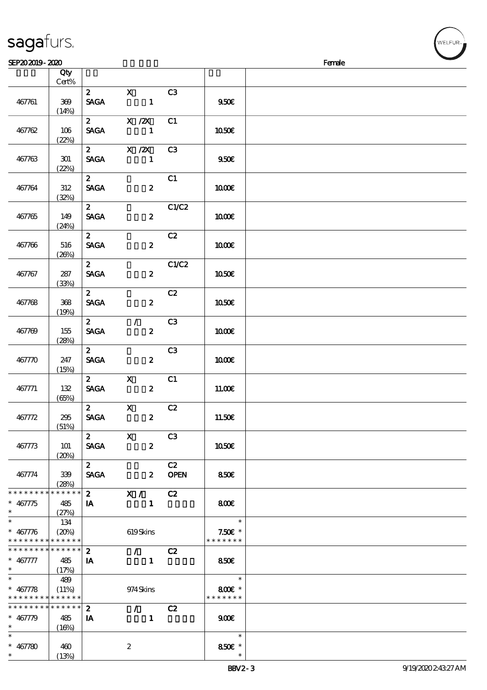### sagafurs.

 $\frac{400}{(13\%)}$ 

| SEP202019-2020                |             |                |                            |                                 |                |               | Female |
|-------------------------------|-------------|----------------|----------------------------|---------------------------------|----------------|---------------|--------|
|                               | Qty         |                |                            |                                 |                |               |        |
|                               | Cert%       |                |                            |                                 |                |               |        |
|                               |             | 2 <sup>7</sup> | $\mathbf{x}$               |                                 | C3             |               |        |
| 467761                        | 369         | <b>SAGA</b>    |                            | $\mathbf{1}$                    |                | 9500          |        |
|                               |             |                |                            |                                 |                |               |        |
|                               | (14%)       |                |                            |                                 |                |               |        |
|                               |             | $\mathbf{2}$   | $X$ / $ZX$                 |                                 | C1             |               |        |
| 467762                        | 106         | <b>SAGA</b>    |                            | $\mathbf{1}$                    |                | 1050€         |        |
|                               | (22%)       |                |                            |                                 |                |               |        |
|                               |             | $\mathbf{2}$   | $X$ / $ZX$                 |                                 | C <sub>3</sub> |               |        |
| 467763                        | 301         | <b>SAGA</b>    |                            | $\mathbf{1}$                    |                | 950E          |        |
|                               | (22%)       |                |                            |                                 |                |               |        |
|                               |             | $\mathbf{z}$   |                            |                                 | C1             |               |        |
| 467764                        | $312\,$     | <b>SAGA</b>    |                            | $\boldsymbol{z}$                |                | 1000E         |        |
|                               | (32%)       |                |                            |                                 |                |               |        |
|                               |             | $\mathbf{2}$   |                            |                                 | C1/C2          |               |        |
| 467765                        | 149         | <b>SAGA</b>    |                            | $\boldsymbol{2}$                |                | <b>100€</b>   |        |
|                               | (24%)       |                |                            |                                 |                |               |        |
|                               |             | $\mathbf{2}$   |                            |                                 | C2             |               |        |
| 467766                        | 516         | <b>SAGA</b>    |                            | $\boldsymbol{z}$                |                | 1000E         |        |
|                               | (20%)       |                |                            |                                 |                |               |        |
|                               |             | $\mathbf{z}$   |                            |                                 | C1/C2          |               |        |
|                               | 287         | <b>SAGA</b>    |                            | $\boldsymbol{z}$                |                |               |        |
| 467767                        |             |                |                            |                                 |                | 1050€         |        |
|                               | (33%)       |                |                            |                                 |                |               |        |
|                               |             | $\mathbf{z}$   |                            |                                 | C2             |               |        |
| 467768                        | 368         | <b>SAGA</b>    |                            | $\boldsymbol{z}$                |                | 1050€         |        |
|                               | (19%)       |                |                            |                                 |                |               |        |
|                               |             | $\mathbf{2}$   | $\mathcal{F}$              |                                 | C <sub>3</sub> |               |        |
| 467769                        | 155         | <b>SAGA</b>    |                            | $\boldsymbol{z}$                |                | 1000E         |        |
|                               | (28%)       |                |                            |                                 |                |               |        |
|                               |             | $\mathbf{2}$   |                            |                                 | C3             |               |        |
| 467770                        | 247         | <b>SAGA</b>    |                            | $\boldsymbol{z}$                |                | 1000E         |        |
|                               | (15%)       |                |                            |                                 |                |               |        |
|                               |             | $\mathbf{2}$   | $\mathbf{X}$               |                                 | C1             |               |        |
| 467771                        | 132         | <b>SAGA</b>    |                            | $\boldsymbol{z}$                |                | 11.00E        |        |
|                               | (65%)       |                |                            |                                 |                |               |        |
|                               |             | 2 <sup>7</sup> | $\mathbf x$                |                                 | C2             |               |        |
| 467772                        | 295         | <b>SAGA</b>    |                            | $\boldsymbol{z}$                |                | 11.50€        |        |
|                               | (51%)       |                |                            |                                 |                |               |        |
|                               |             | $\mathbf{z}$   | $\overline{\phantom{a}}$ x |                                 | C <sub>3</sub> |               |        |
| 467773                        | 101         | <b>SAGA</b>    |                            | $\boldsymbol{z}$                |                | 1050€         |        |
|                               | (20%)       |                |                            |                                 |                |               |        |
|                               |             | $\mathbf{2}$   |                            |                                 | C2             |               |        |
| 467774                        | 339         | <b>SAGA</b>    |                            |                                 | 2 OPEN         | 850           |        |
|                               | (28%)       |                |                            |                                 |                |               |        |
| * * * * * * * *               | * * * * * * |                | $2$ X / C2                 |                                 |                |               |        |
| $* 467775$                    | 485         | $\mathbf{A}$   |                            | $\blacksquare$                  |                | 800           |        |
| $\ast$                        | (27%)       |                |                            |                                 |                |               |        |
| $\ast$                        | 134         |                |                            |                                 |                | $\ast$        |        |
| $* 467776$                    | (20%)       |                | 619Skins                   |                                 |                | $7.50E$ *     |        |
| * * * * * * * * * * * * * *   |             |                |                            |                                 |                | * * * * * * * |        |
| * * * * * * * * * * * * * * * |             | $\mathbf{2}$   |                            | $\mathcal{F}$ and $\mathcal{F}$ | C2             |               |        |
| $* 467777$                    | 485         | IA             |                            | $\blacksquare$                  |                | 850E          |        |
| $*$ $*$                       | (17%)       |                |                            |                                 |                |               |        |
| $\overline{\phantom{0}}$      | 489         |                |                            |                                 |                | $\ast$        |        |
| $* 467778$                    | (11%)       |                | 974Skins                   |                                 |                | 800€ *        |        |
| * * * * * * * * * * * * * *   |             |                |                            |                                 |                | * * * * * * * |        |
| * * * * * * * * * * * * * *   |             | $\mathbf{2}$   |                            | $\mathcal{F}$ and $\mathcal{F}$ | C2             |               |        |
| $* 467779$                    | 485         | IA             |                            | $\mathbf{1}$                    |                | 900           |        |
| $\ast$                        | (16%)       |                |                            |                                 |                |               |        |
| $\ast$                        |             |                |                            |                                 |                | $\ast$        |        |
| $* 467780$                    | 460         |                | $\boldsymbol{z}$           |                                 |                | 850€ *        |        |
| $\ast$                        | (13%)       |                |                            |                                 |                |               |        |
|                               |             |                |                            |                                 |                |               |        |

WELFUR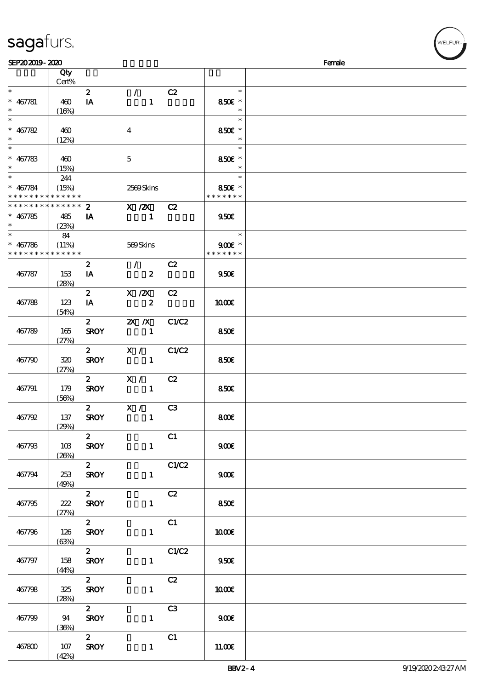|  | sagafurs. |
|--|-----------|
|  |           |

| SEP202019-2020              |             |                  |                             |                |                  | Female |
|-----------------------------|-------------|------------------|-----------------------------|----------------|------------------|--------|
|                             | Qty         |                  |                             |                |                  |        |
|                             | Cert%       |                  |                             |                |                  |        |
| $\ast$                      |             | $\mathbf{z}$     | $\mathcal{L}$               | C2             | $\ast$           |        |
|                             |             |                  |                             |                |                  |        |
| $* 467781$                  | 460         | IA               | $\mathbf{1}$                |                | 850€ *           |        |
| $\ast$                      | (16%)       |                  |                             |                | $\ast$           |        |
| $\ast$                      |             |                  |                             |                | $\ast$           |        |
| $* 467782$                  | 460         |                  | $\overline{\mathbf{4}}$     |                | 850€ *           |        |
| $\ast$                      | (12%)       |                  |                             |                | $\ast$           |        |
| $\frac{1}{1}$               |             |                  |                             |                | $\ast$           |        |
| $* 467783$                  |             |                  |                             |                | 850€ *           |        |
| $\ast$                      | 460         |                  | $\mathbf{5}$                |                | $\ast$           |        |
|                             | (15%)       |                  |                             |                |                  |        |
| $\overline{\ast}$           | 244         |                  |                             |                | $\ast$           |        |
| $* 467784$                  | (15%)       |                  | 2569Skins                   |                | 850€ *           |        |
| * * * * * * * * * * * * * * |             |                  |                             |                | * * * * * * *    |        |
| * * * * * * * * * * * * * * |             | $\mathbf{z}$     | X / ZX C2                   |                |                  |        |
| $* 467785$                  | 485         | IA               | $\blacksquare$              |                | 950E             |        |
| $\ast$                      |             |                  |                             |                |                  |        |
| $\overline{\ast}$           | (23%)       |                  |                             |                |                  |        |
|                             | 84          |                  |                             |                | $\ast$           |        |
| $* 467786$                  | (11%)       |                  | 569Skins                    |                | $900E$ *         |        |
| * * * * * * * *             | * * * * * * |                  |                             |                | * * * * * * *    |        |
|                             |             | $\boldsymbol{z}$ | $\mathcal{L}_{\mathcal{L}}$ | C2             |                  |        |
| 467787                      | 153         | IA               | $\boldsymbol{z}$            |                | 950E             |        |
|                             |             |                  |                             |                |                  |        |
|                             | (28%)       |                  |                             |                |                  |        |
|                             |             | $\mathbf{2}$     | X / ZX                      | C2             |                  |        |
| 467788                      | 123         | IA               | $\boldsymbol{z}$            |                | 1000E            |        |
|                             | (54%)       |                  |                             |                |                  |        |
|                             |             | $2^{\sim}$       | $X$ $X$                     | C1/C2          |                  |        |
| 467789                      | 165         | <b>SROY</b>      | $\overline{\phantom{0}}$ 1  |                | 850E             |        |
|                             |             |                  |                             |                |                  |        |
|                             | (27%)       |                  |                             |                |                  |        |
|                             |             | $\mathbf{2}$     | X / C1/C2                   |                |                  |        |
| 467790                      | 320         | <b>SROY</b>      | $\sim$ 1                    |                | 850€             |        |
|                             | (27%)       |                  |                             |                |                  |        |
|                             |             | $\mathbf{2}$     | X / C2                      |                |                  |        |
| 467791                      | 179         | <b>SROY</b>      | $\sim$ 1                    |                | 850€             |        |
|                             |             |                  |                             |                |                  |        |
|                             | (56%)       |                  |                             |                |                  |        |
|                             |             | $\mathbf{2}$     | $\mathbf{X}$ /              | C <sub>3</sub> |                  |        |
| 467792                      | 137         | <b>SROY</b>      | $\mathbf{1}$                |                | 800              |        |
|                             | (29%)       |                  |                             |                |                  |        |
|                             |             | $\mathbf{2}$     |                             | C1             |                  |        |
| 467793                      | 10B         | <b>SROY</b>      | $\mathbf{1}$                |                | 900E             |        |
|                             | (20%)       |                  |                             |                |                  |        |
|                             |             | $\mathbf{2}$     |                             |                |                  |        |
|                             |             |                  |                             | C1/C2          |                  |        |
| 467794                      | 253         | <b>SROY</b>      | $\mathbf{1}$                |                | 900 <sub>E</sub> |        |
|                             | (49%)       |                  |                             |                |                  |        |
|                             |             | $\mathbf{z}$     |                             | C2             |                  |        |
| 467795                      | 222         | <b>SROY</b>      | $\mathbf{1}$                |                | 850E             |        |
|                             | (27%)       |                  |                             |                |                  |        |
|                             |             | $\mathbf{2}$     |                             |                |                  |        |
|                             |             |                  |                             | C1             |                  |        |
| 467796                      | 126         | <b>SROY</b>      | $\mathbf{1}$                |                | 1000E            |        |
|                             | (63%)       |                  |                             |                |                  |        |
|                             |             | $\mathbf{2}$     |                             | C1/C2          |                  |        |
| 467797                      | 158         | <b>SROY</b>      | $\mathbf{1}$                |                | 950E             |        |
|                             | (44%)       |                  |                             |                |                  |        |
|                             |             |                  |                             |                |                  |        |
|                             |             | $\mathbf{2}$     |                             | C2             |                  |        |
| 467798                      | 325         | <b>SROY</b>      | $\mathbf{1}$                |                | 1000€            |        |
|                             | (28%)       |                  |                             |                |                  |        |
|                             |             | $\mathbf{2}$     |                             | C3             |                  |        |
| 467799                      | 94          | <b>SROY</b>      | $\mathbf{1}$                |                | 900E             |        |
|                             |             |                  |                             |                |                  |        |
|                             | (36%)       |                  |                             |                |                  |        |
|                             |             | $\mathbf{2}$     |                             | C1             |                  |        |
| 467800                      | 107         | <b>SROY</b>      | $\mathbf{1}$                |                | 11.00E           |        |
|                             | (42%)       |                  |                             |                |                  |        |

ELFUR-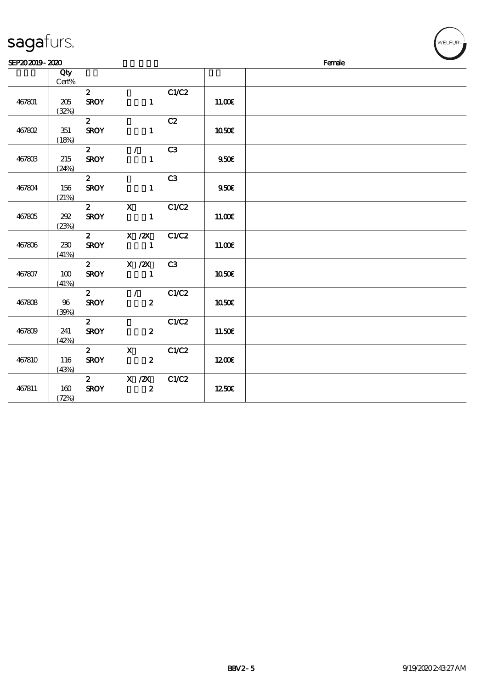| SEP202019-2020 |                  |                             |                                |       |        | Female |
|----------------|------------------|-----------------------------|--------------------------------|-------|--------|--------|
|                | Qty<br>Cert%     |                             |                                |       |        |        |
|                |                  | $\mathbf{z}$                |                                | C1/C2 |        |        |
| 467801         | 205<br>(32%)     | <b>SROY</b>                 | $\mathbf{1}$                   |       | 11.00E |        |
|                |                  | $\mathbf{z}$                |                                | C2    |        |        |
| 467802         | $351\,$<br>(18%) | <b>SROY</b>                 | $\mathbf{1}$                   |       | 1050€  |        |
|                |                  | $\mathbf{2}$                | $\mathcal{L}$                  | C3    |        |        |
| 467803         | 215<br>(24%)     | <b>SROY</b>                 | $\mathbf{1}$                   |       | 950E   |        |
|                |                  | $\mathbf{2}$                |                                | C3    |        |        |
| 467804         | 156<br>(21%)     | <b>SROY</b>                 | $\mathbf{1}$                   |       | 950E   |        |
|                |                  |                             | 2 X C1/C2                      |       |        |        |
| 467805         | 202<br>(23%)     | <b>SROY</b>                 |                                |       | 11.00€ |        |
|                |                  |                             | 2 X /2X C1/C2                  |       |        |        |
| 467806         | 230              | <b>SROY</b>                 |                                |       | 11.00E |        |
|                | (41%)            |                             | 2 $X / 2X$                     | C3    |        |        |
| 467807         | 100              | <b>SROY</b>                 | $\blacksquare$                 |       | 1050€  |        |
|                | (41%)            |                             |                                |       |        |        |
| 467808         | 96               | $\mathbf{2}$<br><b>SROY</b> | $\sqrt{C1/C2}$<br>$\mathbf{2}$ |       | 1050€  |        |
|                | (30%)            |                             |                                |       |        |        |
| 467809         | 241              | $\mathbf{2}$<br><b>SROY</b> | $\mathbf{z}$                   | C1/C2 | 11.50€ |        |
|                | (42%)            |                             |                                |       |        |        |
|                |                  | $\mathbf{2}$                | $\mathbf{X}$                   | C1/C2 |        |        |
| 467810         | 116<br>(43%)     | <b>SROY</b>                 | $\overline{\mathbf{z}}$        |       | 1200E  |        |
|                |                  |                             | 2 X /2X C1/C2                  |       |        |        |
| 467811         | 160<br>(72%)     | <b>SROY</b>                 | $\overline{\mathbf{z}}$        |       | 1250E  |        |

### sagafurs.

 $w$ ELFUR<sub><sup>n</sub></sub></sub></sup>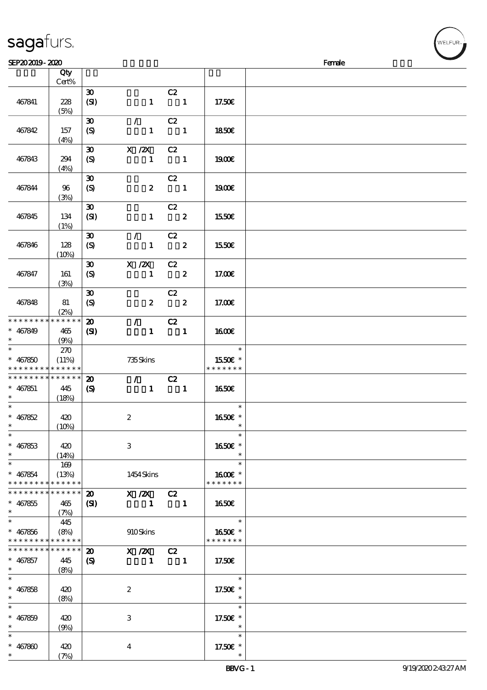|  | sagafurs. |
|--|-----------|
|  |           |

| SEP202019-2020              |             |                             |                                 |                            |               | Female |
|-----------------------------|-------------|-----------------------------|---------------------------------|----------------------------|---------------|--------|
|                             | Qty         |                             |                                 |                            |               |        |
|                             | Cert%       |                             |                                 |                            |               |        |
|                             |             | $\boldsymbol{\mathfrak{D}}$ |                                 | C2                         |               |        |
| 467841                      | 228         |                             | $\mathbf{1}$                    | $\blacksquare$             | 17.50E        |        |
|                             |             | (SI)                        |                                 |                            |               |        |
|                             | (5%)        |                             |                                 |                            |               |        |
|                             |             | $\boldsymbol{\mathfrak{D}}$ | $\mathcal{L}$                   | C2                         |               |        |
| 467842                      | 157         | $\boldsymbol{S}$            | $\mathbf{1}$                    | $\blacksquare$             | <b>1850€</b>  |        |
|                             | (4%)        |                             |                                 |                            |               |        |
|                             |             | $\boldsymbol{\mathfrak{D}}$ | $X$ / $ZX$                      | C2                         |               |        |
| 467843                      | 294         | $\boldsymbol{S}$            | $\mathbf{1}$                    | $\blacksquare$             | 1900E         |        |
|                             |             |                             |                                 |                            |               |        |
|                             | (4%)        |                             |                                 |                            |               |        |
|                             |             | $\boldsymbol{\mathfrak{D}}$ |                                 | C2                         |               |        |
| 467844                      | 96          | $\boldsymbol{S}$            | $\boldsymbol{z}$                | $\blacksquare$             | <b>1900€</b>  |        |
|                             | (3%)        |                             |                                 |                            |               |        |
|                             |             | $\boldsymbol{\mathfrak{D}}$ |                                 | C2                         |               |        |
| 467845                      | 134         | (SI)                        | $\mathbf{1}$                    | $\overline{\mathbf{2}}$    | 1550€         |        |
|                             | (1%)        |                             |                                 |                            |               |        |
|                             |             | $\boldsymbol{\mathfrak{D}}$ | $\mathcal{L}$                   | C2                         |               |        |
|                             |             |                             |                                 |                            |               |        |
| 467846                      | 128         | $\boldsymbol{S}$            | $\mathbf{1}$                    | $\overline{\mathbf{2}}$    | 1550E         |        |
|                             | (10%)       |                             |                                 |                            |               |        |
|                             |             | $\boldsymbol{\mathfrak{D}}$ | $X$ / $ZX$                      | C2                         |               |        |
| 467847                      | 161         | $\boldsymbol{S}$            | $\mathbf{1}$                    | $\overline{\phantom{a}}$ 2 | 17.00E        |        |
|                             | (3%)        |                             |                                 |                            |               |        |
|                             |             | $\boldsymbol{\mathfrak{D}}$ |                                 | C2                         |               |        |
|                             |             |                             |                                 | $\overline{\phantom{a}}$ 2 |               |        |
| 467848                      | 81          | $\boldsymbol{S}$            | $\boldsymbol{z}$                |                            | 17.00E        |        |
|                             | (2%)        |                             |                                 |                            |               |        |
| * * * * * * * *             | * * * * * * | $\boldsymbol{\mathfrak{D}}$ | $\mathcal{F}^{\mathcal{F}}$     | C2                         |               |        |
| $* 467849$                  | 465         | $\mathbf{S}$                | $\mathbf{1}$                    | $\blacksquare$             | 1600E         |        |
| $\ast$                      | (9%)        |                             |                                 |                            |               |        |
| $\ast$                      | 270         |                             |                                 |                            | $\ast$        |        |
| $* 467850$                  | (11%)       |                             | 735Skins                        |                            | 1550E *       |        |
| * * * * * * * *             | * * * * * * |                             |                                 |                            | * * * * * * * |        |
| * * * * * * * *             | * * * * * * | $\boldsymbol{\mathbf{Z}}$   | $\mathcal{F}$ and $\mathcal{F}$ | C2                         |               |        |
|                             |             |                             |                                 |                            |               |        |
| $* 467851$                  | 445         | $\boldsymbol{\mathcal{S}}$  | $\mathbf{1}$                    | $\blacksquare$             | 1650€         |        |
| $\ast$                      | (18%)       |                             |                                 |                            |               |        |
| $\ast$                      |             |                             |                                 |                            | $\ast$        |        |
| $* 467852$                  | 420         |                             | $\boldsymbol{2}$                |                            | 1650E *       |        |
| $*$                         | (10%)       |                             |                                 |                            | $\ast$        |        |
| $\ast$                      |             |                             |                                 |                            | $\ast$        |        |
| $* 467853$                  | 420         |                             | 3                               |                            | 1650€ *       |        |
| $\ast$                      |             |                             |                                 |                            | $\ast$        |        |
| $\ast$                      | (14%)       |                             |                                 |                            | $\ast$        |        |
|                             | 169         |                             |                                 |                            |               |        |
| $* 467854$                  | (13%)       |                             | 1454 Skins                      |                            | 1600 £*       |        |
| * * * * * * * *             | * * * * * * |                             |                                 |                            | * * * * * * * |        |
| * * * * * * *               | * * * * * * | $\boldsymbol{\mathfrak{D}}$ | $X / ZX$ C <sub>2</sub>         |                            |               |        |
| $* 467855$                  | 465         | (S)                         | $\blacksquare$                  | $\blacksquare$             | 1650          |        |
| $\ast$                      | (7%)        |                             |                                 |                            |               |        |
| $\ast$                      | 445         |                             |                                 |                            | $\ast$        |        |
| $* 467856$                  | (8%)        |                             | 910Skins                        |                            | 1650€ *       |        |
|                             |             |                             |                                 |                            |               |        |
| * * * * * * * * * * * * * * |             |                             |                                 |                            | * * * * * * * |        |
| * * * * * * * *             | * * * * * * | $\boldsymbol{\mathfrak{D}}$ | $X / 2X$ C <sub>2</sub>         |                            |               |        |
| $* 467857$                  | 445         | $\boldsymbol{\mathrm{(S)}}$ | $\blacksquare$                  | $\blacksquare$             | 17.50€        |        |
| $*$                         | (8%)        |                             |                                 |                            |               |        |
| $\ast$                      |             |                             |                                 |                            | $\ast$        |        |
| $* 467858$                  | 420         |                             | $\boldsymbol{2}$                |                            | 17.50€ *      |        |
| $\ast$                      | (8%)        |                             |                                 |                            | $\ast$        |        |
| $\ast$                      |             |                             |                                 |                            | $\ast$        |        |
|                             |             |                             |                                 |                            |               |        |
| $* 467859$                  | 420         |                             | 3                               |                            | 17.50€ *      |        |
| $\ast$                      | (9%)        |                             |                                 |                            | $\ast$        |        |
|                             |             |                             |                                 |                            | $\ast$        |        |
| $* 467800$                  | 420         |                             | $\overline{\mathbf{4}}$         |                            | 17.50€ *      |        |
| $\ast$                      | (7%)        |                             |                                 |                            |               |        |

WELFUR-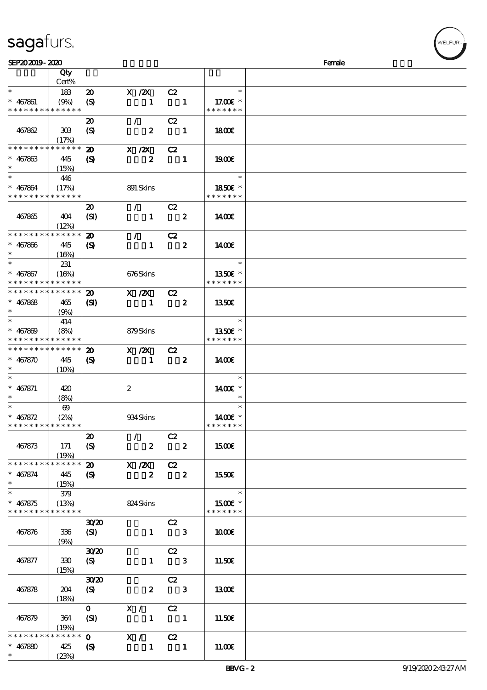# sagafurs.

| SEP202019-2020              |                       |                             |                  |                  |                                                                                                                                                                                                                                                                                                                                                                                                                                                                                 |                         |               | Female |
|-----------------------------|-----------------------|-----------------------------|------------------|------------------|---------------------------------------------------------------------------------------------------------------------------------------------------------------------------------------------------------------------------------------------------------------------------------------------------------------------------------------------------------------------------------------------------------------------------------------------------------------------------------|-------------------------|---------------|--------|
|                             | Qty                   |                             |                  |                  |                                                                                                                                                                                                                                                                                                                                                                                                                                                                                 |                         |               |        |
|                             | Cert%                 |                             |                  |                  |                                                                                                                                                                                                                                                                                                                                                                                                                                                                                 |                         |               |        |
| $\ast$                      | 183                   | $\boldsymbol{\mathbf{z}}$   | $X$ / $ZX$       |                  | C2                                                                                                                                                                                                                                                                                                                                                                                                                                                                              |                         | $\ast$        |        |
| $* 467861$                  | (9%)                  | $\boldsymbol{\mathrm{(S)}}$ |                  | $\mathbf{1}$     |                                                                                                                                                                                                                                                                                                                                                                                                                                                                                 | $\blacksquare$          | 17.00 £*      |        |
| * * * * * * * *             | * * * * * *           |                             |                  |                  |                                                                                                                                                                                                                                                                                                                                                                                                                                                                                 |                         | * * * * * * * |        |
|                             |                       | $\boldsymbol{\mathfrak{D}}$ | $\mathcal{L}$    |                  | C2                                                                                                                                                                                                                                                                                                                                                                                                                                                                              |                         |               |        |
|                             |                       |                             |                  |                  |                                                                                                                                                                                                                                                                                                                                                                                                                                                                                 |                         |               |        |
| 467862                      | 308                   | $\boldsymbol{\mathrm{(S)}}$ |                  | $\boldsymbol{z}$ |                                                                                                                                                                                                                                                                                                                                                                                                                                                                                 | $\blacksquare$          | 1800          |        |
|                             | (17%)                 |                             |                  |                  |                                                                                                                                                                                                                                                                                                                                                                                                                                                                                 |                         |               |        |
| * * * * * * * *             | * * * * * *           | $\boldsymbol{\mathfrak{D}}$ | X / ZX           |                  | C2                                                                                                                                                                                                                                                                                                                                                                                                                                                                              |                         |               |        |
| $* 467863$                  | 445                   | $\boldsymbol{\mathcal{S}}$  |                  | $\boldsymbol{z}$ | $\blacksquare$                                                                                                                                                                                                                                                                                                                                                                                                                                                                  |                         | 1900E         |        |
| $\ast$                      | (15%)                 |                             |                  |                  |                                                                                                                                                                                                                                                                                                                                                                                                                                                                                 |                         |               |        |
| $\ast$                      | 446                   |                             |                  |                  |                                                                                                                                                                                                                                                                                                                                                                                                                                                                                 |                         | $\ast$        |        |
| $* 467864$                  | (17%)                 |                             | 891 Skins        |                  |                                                                                                                                                                                                                                                                                                                                                                                                                                                                                 |                         | 1850E *       |        |
| * * * * * * * * * * * * * * |                       |                             |                  |                  |                                                                                                                                                                                                                                                                                                                                                                                                                                                                                 |                         | * * * * * * * |        |
|                             |                       | $\boldsymbol{\mathfrak{D}}$ | $\mathcal{L}$    |                  | C2                                                                                                                                                                                                                                                                                                                                                                                                                                                                              |                         |               |        |
| 467865                      | 404                   | (SI)                        |                  | $\mathbf{1}$     |                                                                                                                                                                                                                                                                                                                                                                                                                                                                                 | $\boldsymbol{z}$        | 1400E         |        |
|                             | (12%)                 |                             |                  |                  |                                                                                                                                                                                                                                                                                                                                                                                                                                                                                 |                         |               |        |
| * * * * * * * * * * * * * * |                       |                             |                  |                  |                                                                                                                                                                                                                                                                                                                                                                                                                                                                                 |                         |               |        |
|                             |                       | $\boldsymbol{\mathbf{z}}$   | $\mathcal{L}$    |                  | C2                                                                                                                                                                                                                                                                                                                                                                                                                                                                              |                         |               |        |
| $* 467866$                  | 445                   | $\boldsymbol{\mathrm{(S)}}$ |                  | $\mathbf{1}$     |                                                                                                                                                                                                                                                                                                                                                                                                                                                                                 | $\boldsymbol{z}$        | 1400E         |        |
| $\ast$                      | (16%)                 |                             |                  |                  |                                                                                                                                                                                                                                                                                                                                                                                                                                                                                 |                         |               |        |
| $\ast$                      | 231                   |                             |                  |                  |                                                                                                                                                                                                                                                                                                                                                                                                                                                                                 |                         | $\ast$        |        |
| $* 467867$                  | (16%)                 |                             | 676Skins         |                  |                                                                                                                                                                                                                                                                                                                                                                                                                                                                                 |                         | 1350E *       |        |
| * * * * * * * *             | * * * * * *           |                             |                  |                  |                                                                                                                                                                                                                                                                                                                                                                                                                                                                                 |                         | * * * * * * * |        |
| * * * * * * * * * * * * * * |                       | $\boldsymbol{\mathfrak{D}}$ | X / ZX           |                  | C2                                                                                                                                                                                                                                                                                                                                                                                                                                                                              |                         |               |        |
| $* 467868$                  | 465                   | $\mathbf{C}$                |                  | $\mathbf{1}$     | $\overline{\mathbf{2}}$                                                                                                                                                                                                                                                                                                                                                                                                                                                         |                         | 1350E         |        |
| $\ast$                      | (9%)                  |                             |                  |                  |                                                                                                                                                                                                                                                                                                                                                                                                                                                                                 |                         |               |        |
| $\ast$                      | 414                   |                             |                  |                  |                                                                                                                                                                                                                                                                                                                                                                                                                                                                                 |                         | $\ast$        |        |
| $* 467809$                  | (8%)                  |                             | 879Skins         |                  |                                                                                                                                                                                                                                                                                                                                                                                                                                                                                 |                         | 1350E *       |        |
| * * * * * * * * * * * * * * |                       |                             |                  |                  |                                                                                                                                                                                                                                                                                                                                                                                                                                                                                 |                         | * * * * * * * |        |
| * * * * * * * * * * * * * * |                       |                             |                  |                  |                                                                                                                                                                                                                                                                                                                                                                                                                                                                                 |                         |               |        |
|                             |                       | $\boldsymbol{\mathfrak{D}}$ | $X \, /ZX$       |                  | C2                                                                                                                                                                                                                                                                                                                                                                                                                                                                              |                         |               |        |
| $* 467870$                  | 445                   | $\boldsymbol{\mathrm{(S)}}$ |                  | $\mathbf{1}$     | $\overline{\mathbf{2}}$                                                                                                                                                                                                                                                                                                                                                                                                                                                         |                         | 1400          |        |
|                             | (10%)                 |                             |                  |                  |                                                                                                                                                                                                                                                                                                                                                                                                                                                                                 |                         |               |        |
|                             |                       |                             |                  |                  |                                                                                                                                                                                                                                                                                                                                                                                                                                                                                 |                         | $\ast$        |        |
| $* 467871$                  | 420                   |                             | $\boldsymbol{z}$ |                  |                                                                                                                                                                                                                                                                                                                                                                                                                                                                                 |                         | 1400€ *       |        |
|                             | (8%)                  |                             |                  |                  |                                                                                                                                                                                                                                                                                                                                                                                                                                                                                 |                         |               |        |
| $\ast$                      | $\boldsymbol{\omega}$ |                             |                  |                  |                                                                                                                                                                                                                                                                                                                                                                                                                                                                                 |                         | $\ast$        |        |
| $* 467872$                  | (2%)                  |                             | 934Skins         |                  |                                                                                                                                                                                                                                                                                                                                                                                                                                                                                 |                         | $1400E$ *     |        |
| * * * * * * * * * * * * * * |                       |                             |                  |                  |                                                                                                                                                                                                                                                                                                                                                                                                                                                                                 |                         | * * * * * * * |        |
|                             |                       | $\boldsymbol{\mathfrak{D}}$ | $\mathcal{T}$    |                  | C2                                                                                                                                                                                                                                                                                                                                                                                                                                                                              |                         |               |        |
| 467873                      | 171                   | (S)                         |                  | $\boldsymbol{z}$ |                                                                                                                                                                                                                                                                                                                                                                                                                                                                                 | $\overline{\mathbf{2}}$ | 1500€         |        |
|                             | (19%)                 |                             |                  |                  |                                                                                                                                                                                                                                                                                                                                                                                                                                                                                 |                         |               |        |
| * * * * * * * *             | * * * * * *           | $\boldsymbol{\mathfrak{D}}$ | $X / ZX$ C2      |                  |                                                                                                                                                                                                                                                                                                                                                                                                                                                                                 |                         |               |        |
| $* 467874$                  | 445                   | $\boldsymbol{\mathsf{S}}$   |                  | $\mathbf{2}$     | $\overline{\mathbf{2}}$                                                                                                                                                                                                                                                                                                                                                                                                                                                         |                         | 1550€         |        |
| $\ast$                      | (15%)                 |                             |                  |                  |                                                                                                                                                                                                                                                                                                                                                                                                                                                                                 |                         |               |        |
| $\ast$                      |                       |                             |                  |                  |                                                                                                                                                                                                                                                                                                                                                                                                                                                                                 |                         | $\ast$        |        |
|                             | 379                   |                             |                  |                  |                                                                                                                                                                                                                                                                                                                                                                                                                                                                                 |                         |               |        |
| $* 467875$                  | (13%)                 |                             | 824 Skins        |                  |                                                                                                                                                                                                                                                                                                                                                                                                                                                                                 |                         | 1500€ *       |        |
| * * * * * * * * * * * * * * |                       |                             |                  |                  |                                                                                                                                                                                                                                                                                                                                                                                                                                                                                 |                         | * * * * * * * |        |
|                             |                       | 30 <sup>2</sup>             |                  |                  | C2                                                                                                                                                                                                                                                                                                                                                                                                                                                                              |                         |               |        |
| 467876                      | $336\,$               | (SI)                        |                  |                  | $1 \qquad 3$                                                                                                                                                                                                                                                                                                                                                                                                                                                                    |                         | 1000E         |        |
|                             | (9%)                  |                             |                  |                  |                                                                                                                                                                                                                                                                                                                                                                                                                                                                                 |                         |               |        |
|                             |                       | 30 <sup>2</sup>             |                  |                  | C2                                                                                                                                                                                                                                                                                                                                                                                                                                                                              |                         |               |        |
| 467877                      | 330                   | (S)                         |                  |                  | $1 \qquad 3$                                                                                                                                                                                                                                                                                                                                                                                                                                                                    |                         | 11.50E        |        |
|                             | (15%)                 |                             |                  |                  |                                                                                                                                                                                                                                                                                                                                                                                                                                                                                 |                         |               |        |
|                             |                       | 30 <sup>20</sup>            |                  |                  | C2                                                                                                                                                                                                                                                                                                                                                                                                                                                                              |                         |               |        |
| 467878                      | 204                   | (S)                         |                  | $\mathbf{2}$     | $\overline{\mathbf{3}}$                                                                                                                                                                                                                                                                                                                                                                                                                                                         |                         | 1300          |        |
|                             | (18%)                 |                             |                  |                  |                                                                                                                                                                                                                                                                                                                                                                                                                                                                                 |                         |               |        |
|                             |                       | $\mathbf{0}$                | X / C2           |                  |                                                                                                                                                                                                                                                                                                                                                                                                                                                                                 |                         |               |        |
| 467879                      | 364                   | (SI)                        |                  |                  | $1 \quad 1$                                                                                                                                                                                                                                                                                                                                                                                                                                                                     |                         | 11.50E        |        |
|                             | (19%)                 |                             |                  |                  |                                                                                                                                                                                                                                                                                                                                                                                                                                                                                 |                         |               |        |
| * * * * * * * *             | * * * * * *           |                             | $0$ X / C2       |                  |                                                                                                                                                                                                                                                                                                                                                                                                                                                                                 |                         |               |        |
|                             |                       |                             |                  |                  |                                                                                                                                                                                                                                                                                                                                                                                                                                                                                 |                         |               |        |
| $* 467880$<br>$*$           | 425                   | $\mathbf{S}$                |                  | $\mathbf{1}$     | $\overline{\phantom{a}}$ $\overline{\phantom{a}}$ $\overline{\phantom{a}}$ $\overline{\phantom{a}}$ $\overline{\phantom{a}}$ $\overline{\phantom{a}}$ $\overline{\phantom{a}}$ $\overline{\phantom{a}}$ $\overline{\phantom{a}}$ $\overline{\phantom{a}}$ $\overline{\phantom{a}}$ $\overline{\phantom{a}}$ $\overline{\phantom{a}}$ $\overline{\phantom{a}}$ $\overline{\phantom{a}}$ $\overline{\phantom{a}}$ $\overline{\phantom{a}}$ $\overline{\phantom{a}}$ $\overline{\$ |                         | 11.00E        |        |
|                             | (23%)                 |                             |                  |                  |                                                                                                                                                                                                                                                                                                                                                                                                                                                                                 |                         |               |        |

WELFUR-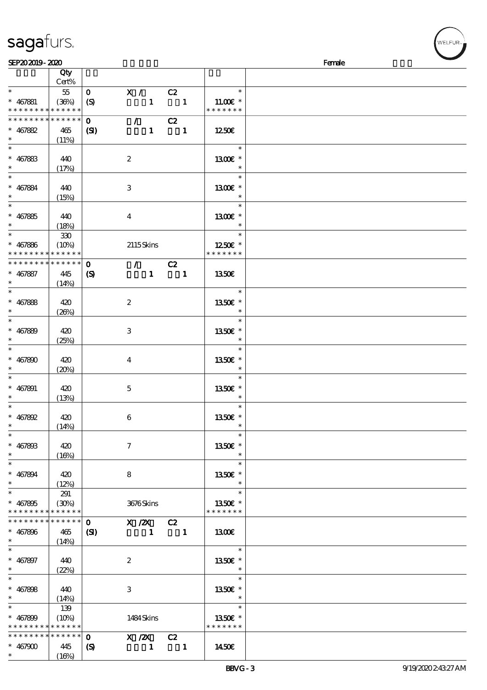| sagafurs.      |  |
|----------------|--|
| SEP202019-2020 |  |

 $*$   $*$ 

 $*$   $*$ 

 $*$   $*$ 

\*\*

\*\*\*

 $\overline{\ast}$ 

\*\*\*

 $\overline{\ast}$ 

\*\*

 $*$  467899 \* \* \* \* \* \*

\* \* \* \* \* \* \* \* \* \* \* \*

 $(14%)$ 

 $(22%)$ 

 $(14%)$ 

139

\* \* \* \* \*

 $(16%)$ 

 $* 467896$  465

 $* 467897 | 440$ 

\*  $467898$  440

\*

\* \* \* \* \* \* \* \* \* \* \* \*

 $* 467900 445$ 

0 X /2X C2  $(SI)$  1 1

2

3

0 X /2X C2  $(S)$  1 1

1484 Skins

| sagarurs.                                                  |                                 |                  |                           |                                 |              |                                                | 【 <sup>WELFUR</sup> ™ |
|------------------------------------------------------------|---------------------------------|------------------|---------------------------|---------------------------------|--------------|------------------------------------------------|-----------------------|
| SEP202019-2020                                             |                                 |                  |                           |                                 |              |                                                | Female                |
|                                                            | Qty<br>Cert%                    |                  |                           |                                 |              |                                                |                       |
|                                                            | 55                              | $\mathbf{O}$     | X / C2                    |                                 |              | $\ast$                                         |                       |
| $* 467881$                                                 | (36%)                           | (S)              |                           |                                 | $1 \quad 1$  | 11.00 $\varepsilon$ *                          |                       |
| * * * * * * * * * * * * * *<br>* * * * * * * * * * * * * * |                                 |                  |                           |                                 |              | * * * * * * *                                  |                       |
|                                                            |                                 | $\mathbf{O}$     |                           | $\mathcal{L}$ and $\mathcal{L}$ | C2           |                                                |                       |
| $* 467882$<br>$\ast$<br>$\overline{\phantom{0}}$           | 465<br>(11%)                    | (S)              |                           |                                 | $1 \quad 1$  | 1250                                           |                       |
| $* 467883$<br>$\ast$<br>$\overline{\ast}$                  | 440<br>(17%)                    |                  | $\boldsymbol{z}$          |                                 |              | 1995)<br>$\ast$<br>1300E *<br>$\ast$<br>$\ast$ |                       |
| $* 467884$<br>$\ast$<br>$\overline{\ast}$                  | 440<br>(15%)                    |                  | $\ensuremath{\mathbf{3}}$ |                                 |              | 1300E *<br>$\ast$                              |                       |
| $* 467885$<br>$\ast$                                       | 440<br>(18%)                    |                  | $\bf{4}$                  |                                 |              | $\ast$<br>1300€ *<br>$\ast$                    |                       |
| $\ast$<br>$* 467886$<br>* * * * * * * *                    | $330\,$<br>(10%)<br>* * * * * * |                  |                           | 2115Skins                       |              | $\ast$<br>1250E *<br>* * * * * * *             |                       |
| * * * * * * * *                                            | $* * * * * *$                   | $\mathbf 0$      |                           |                                 | $\sqrt{C^2}$ |                                                |                       |
| $* 467887$<br>$\ast$                                       | 445<br>(14%)                    | $\boldsymbol{S}$ |                           |                                 | $1 \quad 1$  | 1350E                                          |                       |
|                                                            |                                 |                  |                           |                                 |              | $\ast$                                         |                       |
| $* 467888$                                                 | 420                             |                  | $\boldsymbol{z}$          |                                 |              | 1350E *                                        |                       |
| $\ast$                                                     | (20%)                           |                  |                           |                                 |              | $\ast$                                         |                       |
| $\ast$<br>$* 467889$                                       | 420<br>(25%)                    |                  | 3                         |                                 |              | $\ast$<br>1350E *<br>$\ast$                    |                       |
| $\ast$<br>$* 467800$<br>$\ast$                             | 420<br>(20%)                    |                  | $\bf{4}$                  |                                 |              | $\ast$<br>1350E *<br>$\ast$                    |                       |
| $\ast$<br>$* 467891$<br>$\ast$                             | 420<br>(13%)                    |                  | $\mathbf 5$               |                                 |              | $\ast$<br>1350E *<br>$\ast$                    |                       |
| $\overline{\ast}$<br>$* 467892$<br>$\ast$                  | 420<br>(14%)                    |                  | 6                         |                                 |              | $\ast$<br>1350E *<br>$\ast$                    |                       |
| $\ast$<br>$* 46780B$<br>$\ast$                             | 420<br>(16%)                    |                  | $\boldsymbol{7}$          |                                 |              | $\ast$<br>1350€ *<br>$\ast$                    |                       |
| $\ast$<br>$* 467894$<br>$\ast$                             | 420<br>(12%)                    |                  | 8                         |                                 |              | $\ast$<br>1350E *<br>$\ast$                    |                       |
| $\ast$<br>$* 467895$<br>* * * * * * * *                    | 291<br>(30%)<br>* * * * * *     |                  |                           | 3676Skins                       |              | $\ast$<br>1350€ *<br>* * * * * * *             |                       |

1300€

\*\*\* 13.50€

 $\ast$ 

 $\overline{\phantom{a}}$ 

\*\*\* 13.50€

 $\star$  $\overline{\phantom{a}}$ 

 $\overline{\phantom{0}}$ 

\*\*

\* \* \* \* \* \* 13.50€

 $1 \t 1450\varepsilon$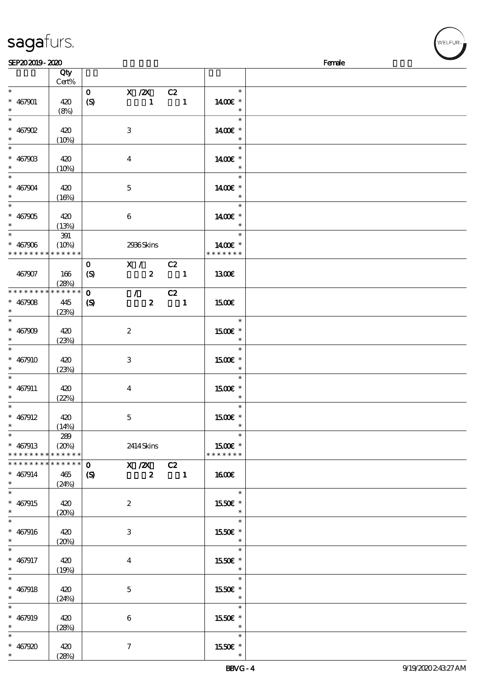|                                          | Cert%       |                            |                     |                           |                          |                          |  |
|------------------------------------------|-------------|----------------------------|---------------------|---------------------------|--------------------------|--------------------------|--|
| $\ast$                                   |             | $\mathbf{O}$               | X / ZX              |                           | C2                       | $\ast$                   |  |
| $* 467901$                               | 420         | $\boldsymbol{S}$           |                     | $\mathbf{1}$              | $\blacksquare$           | 1400€ *                  |  |
|                                          |             |                            |                     |                           |                          | $\ast$                   |  |
|                                          | (8%)        |                            |                     |                           |                          |                          |  |
| $\ast$                                   |             |                            |                     |                           |                          | $\ast$                   |  |
| $* 467902$                               | 420         |                            | $\,3$               |                           |                          | 1400€ *                  |  |
| $\ast$                                   | (10%)       |                            |                     |                           |                          | $\ast$                   |  |
|                                          |             |                            |                     |                           |                          | $\ast$                   |  |
|                                          |             |                            |                     |                           |                          |                          |  |
| $* 46790B$                               | 420         |                            | $\boldsymbol{4}$    |                           |                          | 1400€ *                  |  |
| $\ast$                                   | (10%)       |                            |                     |                           |                          |                          |  |
| $\ddot{x}$                               |             |                            |                     |                           |                          | $\ast$                   |  |
| $* 467904$                               | 420         |                            | $\mathbf 5$         |                           |                          | 1400€ *                  |  |
| $\ast$                                   |             |                            |                     |                           |                          |                          |  |
|                                          | (16%)       |                            |                     |                           |                          |                          |  |
| $\overline{\ast}$                        |             |                            |                     |                           |                          | $\ast$                   |  |
| $* 467905$                               | 420         |                            | $\boldsymbol{6}$    |                           |                          | 1400€ *                  |  |
| $*$                                      | (13%)       |                            |                     |                           |                          | $\ast$                   |  |
| $\overline{\phantom{0}}$                 |             |                            |                     |                           |                          | $\ast$                   |  |
|                                          | $391\,$     |                            |                     |                           |                          |                          |  |
| $* 467906$                               | (10%)       |                            | 2936Skins           |                           |                          | 1400 £*                  |  |
| * * * * * * * *                          | * * * * * * |                            |                     |                           |                          | * * * * * * *            |  |
|                                          |             | $\mathbf{o}$               |                     | $\overline{\mathbf{x}}$ / | C2                       |                          |  |
|                                          |             |                            |                     |                           |                          |                          |  |
| 467907                                   | 166         | (S)                        |                     | $\boldsymbol{z}$          | $\overline{\mathbf{1}}$  | 1300€                    |  |
|                                          | (28%)       |                            |                     |                           |                          |                          |  |
| * * * * * * * *                          | * * * * * * | $\mathbf{o}$               | $\mathcal{T}$       |                           | C2                       |                          |  |
| $* 467908$                               | 445         | $\boldsymbol{\mathcal{S}}$ |                     | $\boldsymbol{z}$          | $\overline{\phantom{a}}$ | <b>1500€</b>             |  |
|                                          |             |                            |                     |                           |                          |                          |  |
| $*$ and $*$                              | (23%)       |                            |                     |                           |                          |                          |  |
| $\overline{\ast}$                        |             |                            |                     |                           |                          | $\ast$                   |  |
| $* 467909$                               | 420         |                            | $\boldsymbol{2}$    |                           |                          | 1500E *                  |  |
| $\ast$                                   | (23%)       |                            |                     |                           |                          | $\ast$                   |  |
|                                          |             |                            |                     |                           |                          | $\ast$                   |  |
|                                          |             |                            |                     |                           |                          |                          |  |
| $* 467910$                               | 420         |                            | 3                   |                           |                          | 1500€ *                  |  |
| $\ast$                                   | (23%)       |                            |                     |                           |                          | $\ast$                   |  |
| $\ast$                                   |             |                            |                     |                           |                          | $\ast$                   |  |
|                                          |             |                            |                     |                           |                          |                          |  |
| $* 467911$                               | 420         |                            | $\boldsymbol{4}$    |                           |                          | 1500 £*                  |  |
| $\ast$                                   | (22%)       |                            |                     |                           |                          | $\ast$                   |  |
| $\ast$                                   |             |                            |                     |                           |                          | $\ast$                   |  |
| $* 467912$                               | 420         |                            | $\mathbf 5$         |                           |                          | 1500 £*                  |  |
|                                          |             |                            |                     |                           |                          | $\ast$                   |  |
| $\ast$                                   | (14%)       |                            |                     |                           |                          |                          |  |
| $\overline{\ast}$                        | 289         |                            |                     |                           |                          | $\ast$                   |  |
| $* 467913$                               | (20%)       |                            | 2414 Skins          |                           |                          | 1500€ *                  |  |
| * * * * * * * * <mark>* * * * * *</mark> |             |                            |                     |                           |                          | * * * * * * *            |  |
| * * * * * * * *                          | * * * * * * | $\mathbf{O}$               |                     | $X / ZX$ $C2$             |                          |                          |  |
|                                          |             |                            |                     |                           |                          |                          |  |
| $* 467914$                               | 465         | $\boldsymbol{\mathcal{S}}$ |                     | $\boldsymbol{z}$          | $\overline{\phantom{a}}$ | <b>1600€</b>             |  |
| $\ast$                                   | (24%)       |                            |                     |                           |                          |                          |  |
| $\overline{\ast}$                        |             |                            |                     |                           |                          | $\ast$                   |  |
| $* 467915$                               | 420         |                            | $\boldsymbol{2}$    |                           |                          | 1550€ *                  |  |
|                                          |             |                            |                     |                           |                          |                          |  |
| $\ast$                                   | (20%)       |                            |                     |                           |                          | $\ast$                   |  |
| $\overline{\ast}$                        |             |                            |                     |                           |                          | $\ast$                   |  |
| $* 467916$                               | 420         |                            | 3                   |                           |                          | 1550€ *                  |  |
| $\ast$                                   |             |                            |                     |                           |                          | $\ast$                   |  |
|                                          | (20%)       |                            |                     |                           |                          |                          |  |
| $\ast$                                   |             |                            |                     |                           |                          | $\ast$                   |  |
| $* 467917$                               | 420         |                            | $\boldsymbol{4}$    |                           |                          | 1550E *                  |  |
| $\ast$                                   | (19%)       |                            |                     |                           |                          | $\star$                  |  |
| $\overline{\phantom{0}}$                 |             |                            |                     |                           |                          | $\ast$                   |  |
|                                          |             |                            |                     |                           |                          |                          |  |
| $* 467918$                               | 420         |                            | $\mathbf 5$         |                           |                          | 1550E *                  |  |
| $\ast$                                   | (24%)       |                            |                     |                           |                          | $\ast$                   |  |
| $\overline{\ast}$                        |             |                            |                     |                           |                          | $\ast$                   |  |
|                                          |             |                            |                     |                           |                          |                          |  |
| $* 467919$                               | 420         |                            | $\boldsymbol{6}$    |                           |                          | 1550E *                  |  |
| $\ast$                                   | (28%)       |                            |                     |                           |                          | $\overline{\phantom{a}}$ |  |
| $\ast$                                   |             |                            |                     |                           |                          | $\ast$                   |  |
| $* 467920$                               | 420         |                            | $\boldsymbol{\tau}$ |                           |                          | 1550E *                  |  |
| $\ast$                                   |             |                            |                     |                           |                          |                          |  |
|                                          | (28%)       |                            |                     |                           |                          | $\ast$                   |  |

说明 价格

#### sagafurs.

顺序号 Qty

**VELFUR**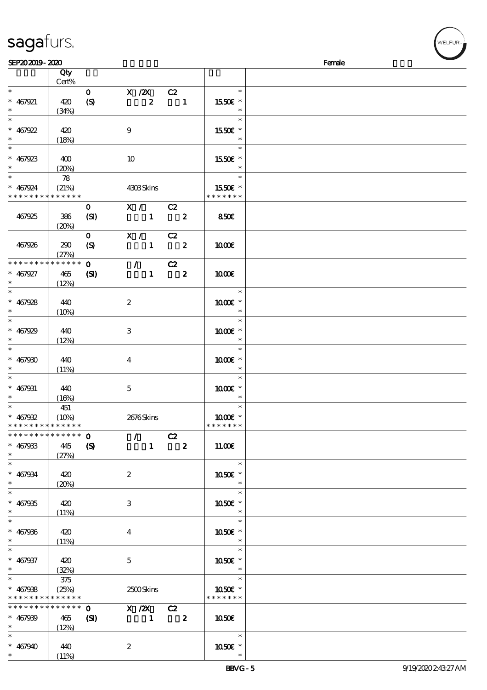| sagafurs. |  |
|-----------|--|
|           |  |

| SEP202019-2020              |          |                  |                  |                            |                  |                        | Female |
|-----------------------------|----------|------------------|------------------|----------------------------|------------------|------------------------|--------|
|                             | Qty      |                  |                  |                            |                  |                        |        |
|                             | Cert%    |                  |                  |                            |                  |                        |        |
| $\ast$                      |          | $\mathbf{O}$     | $X$ / $ZX$       | C2                         |                  | $\ast$                 |        |
|                             |          |                  |                  |                            |                  |                        |        |
| $* 467921$                  | 420      | $\boldsymbol{S}$ | $\boldsymbol{z}$ | $\overline{\phantom{a}}$   |                  | 1550E *                |        |
| $\ast$                      | (34%)    |                  |                  |                            |                  |                        |        |
| $\overline{\ast}$           |          |                  |                  |                            |                  | $\ast$                 |        |
| $* 467922$                  | 420      |                  | $\boldsymbol{9}$ |                            |                  | 1550€ *                |        |
| $\ast$                      | (18%)    |                  |                  |                            |                  |                        |        |
| $\overline{\phantom{0}}$    |          |                  |                  |                            |                  | $\ast$                 |        |
|                             |          |                  |                  |                            |                  |                        |        |
| $* 467923$                  | 400      |                  | 10               |                            |                  | 1550E *                |        |
| $\ast$                      | (20%)    |                  |                  |                            |                  |                        |        |
| $\overline{\ast}$           | 78       |                  |                  |                            |                  | $\ast$                 |        |
| $* 467924$                  | (21%)    |                  | 4303Skins        |                            |                  | 1550E *                |        |
| * * * * * * * * * * * * * * |          |                  |                  |                            |                  | * * * * * * *          |        |
|                             |          |                  |                  |                            |                  |                        |        |
|                             |          | $\mathbf{O}$     | X / C2           |                            |                  |                        |        |
| 467925                      | 386      | (SI)             | $1 \t 2$         |                            |                  | 850E                   |        |
|                             | (20%)    |                  |                  |                            |                  |                        |        |
|                             |          | $\mathbf{O}$     | X / C2           |                            |                  |                        |        |
| 467926                      | 290      | $\boldsymbol{S}$ | $\mathbf{1}$     | $\overline{\mathbf{2}}$    |                  | 1000E                  |        |
|                             |          |                  |                  |                            |                  |                        |        |
|                             | (27%)    |                  |                  |                            |                  |                        |        |
| * * * * * * * *             | $******$ | $\mathbf{O}$     | $\mathcal{L}$    | C2                         |                  |                        |        |
| $* 467927$                  | 465      | $\mathbf{C}$     | $\mathbf{1}$     | $\overline{\phantom{a}}$ 2 |                  | 1000E                  |        |
| $\ast$                      | (12%)    |                  |                  |                            |                  |                        |        |
| $\overline{\ast}$           |          |                  |                  |                            |                  | $\ast$                 |        |
|                             |          |                  |                  |                            |                  |                        |        |
| $* 467928$                  | 440      |                  | $\boldsymbol{2}$ |                            |                  | 1000 *                 |        |
| $\ast$                      | $(10\%)$ |                  |                  |                            |                  | $\ast$                 |        |
| $\overline{\phantom{0}}$    |          |                  |                  |                            |                  | $\ast$                 |        |
| $* 467929$                  | 440      |                  | $\,3$            |                            |                  | 1000 *                 |        |
| $\ast$                      | (12%)    |                  |                  |                            |                  | $\ast$                 |        |
| $\ast$                      |          |                  |                  |                            |                  | $\ast$                 |        |
|                             |          |                  |                  |                            |                  |                        |        |
| $* 467900$                  | 440      |                  | $\boldsymbol{4}$ |                            |                  | 1000E *                |        |
| $\ast$                      | (11%)    |                  |                  |                            |                  |                        |        |
| $\overline{\phantom{0}}$    |          |                  |                  |                            |                  | $\ast$                 |        |
| $* 467931$                  | 440      |                  | $\mathbf{5}$     |                            |                  | 1000 ±*                |        |
| $\ast$                      | (16%)    |                  |                  |                            |                  |                        |        |
| $\overline{\ast}$           |          |                  |                  |                            |                  | $\ast$                 |        |
|                             | 451      |                  |                  |                            |                  |                        |        |
| $* 467932$                  | (10%)    |                  | 2676Skins        |                            |                  | 1000E *                |        |
| * * * * * * * * * * * * * * |          |                  |                  |                            |                  | * * * * * * *          |        |
| * * * * * * * * * * * * * * |          | $\mathbf{O}$     | $\mathcal{L}$    | C2                         |                  |                        |        |
| $* 467933$                  | 445      | $\boldsymbol{S}$ | $1 -$            |                            | $\boldsymbol{z}$ | 11.00E                 |        |
| $\ast$                      |          |                  |                  |                            |                  |                        |        |
|                             | (27%)    |                  |                  |                            |                  |                        |        |
| $\ast$                      |          |                  |                  |                            |                  | $\ast$                 |        |
| $* 467934$                  | 420      |                  | $\boldsymbol{z}$ |                            |                  | 1050E *                |        |
| $\ast$                      | (20%)    |                  |                  |                            |                  |                        |        |
| $\ast$                      |          |                  |                  |                            |                  | $\ast$                 |        |
| $* 467935$                  | 420      |                  | 3                |                            |                  | 1050E *                |        |
| $\ast$                      |          |                  |                  |                            |                  |                        |        |
|                             | (11%)    |                  |                  |                            |                  |                        |        |
| $\ast$                      |          |                  |                  |                            |                  | $\ast$                 |        |
| $* 467936$                  | 420      |                  | $\overline{4}$   |                            |                  | 1050€ *                |        |
| $\ast$                      | (11%)    |                  |                  |                            |                  |                        |        |
| $\ast$                      |          |                  |                  |                            |                  | $\ast$                 |        |
|                             |          |                  |                  |                            |                  |                        |        |
| $* 467937$                  | 420      |                  | $\mathbf{5}$     |                            |                  | 1050E *                |        |
| $\ast$                      | (32%)    |                  |                  |                            |                  |                        |        |
| $\ast$                      | 375      |                  |                  |                            |                  | $\ast$                 |        |
| $* 467938$                  | (25%)    |                  | 2500Skins        |                            |                  | $1050$ $\varepsilon$ * |        |
| * * * * * * * * * * * * * * |          |                  |                  |                            |                  | * * * * * * *          |        |
| * * * * * * * * * * * * * * |          | $\mathbf{0}$     |                  |                            |                  |                        |        |
|                             |          |                  | $X / ZX$ $C2$    |                            |                  |                        |        |
| $* 467939$                  | 465      | (S)              | $\blacksquare$   | $\overline{\mathbf{2}}$    |                  | 1050E                  |        |
| $\ast$                      | (12%)    |                  |                  |                            |                  |                        |        |
| $\ast$                      |          |                  |                  |                            |                  | $\ast$                 |        |
| $* 467940$                  | 440      |                  | $\boldsymbol{z}$ |                            |                  | 1050E *                |        |
| $*$ and $*$                 | (11%)    |                  |                  |                            |                  |                        |        |
|                             |          |                  |                  |                            |                  |                        |        |

**NELFUR**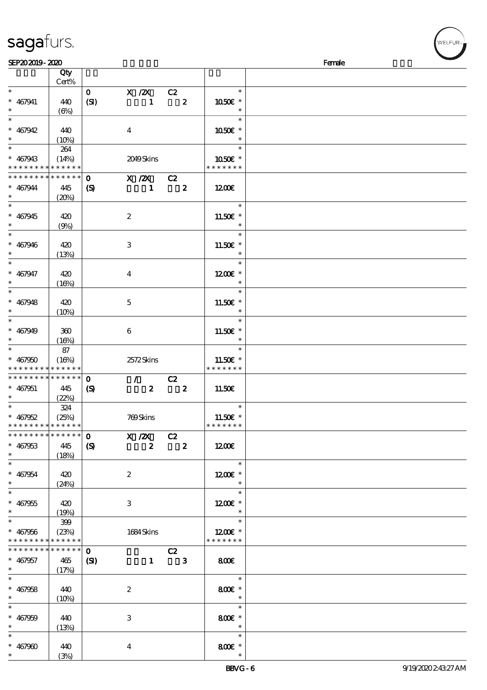| sagafurs. |  |
|-----------|--|
|           |  |

| SEP202019-2020                             |                       |                             |                         |                         |                         |                          | Female |
|--------------------------------------------|-----------------------|-----------------------------|-------------------------|-------------------------|-------------------------|--------------------------|--------|
|                                            | Qty                   |                             |                         |                         |                         |                          |        |
|                                            | Cert%                 |                             |                         |                         |                         |                          |        |
| $\ast$                                     |                       | $\mathbf{0}$                |                         |                         | $X / 2X$ $C2$           | $\ast$                   |        |
| $* 467941$                                 |                       |                             |                         | $\mathbf{1}$            | $\overline{\mathbf{z}}$ | 1050€ *                  |        |
|                                            | 440                   | (SI)                        |                         |                         |                         | $\ast$                   |        |
| $\ast$                                     | (6%)                  |                             |                         |                         |                         |                          |        |
| $\ast$                                     |                       |                             |                         |                         |                         | $\ast$                   |        |
| $* 467942$                                 | 440                   |                             | $\bf{4}$                |                         |                         | 1050€ *                  |        |
| $\ast$                                     | $(10\%)$              |                             |                         |                         |                         | $\ast$                   |        |
| $\overline{\phantom{a}^*}$                 | 264                   |                             |                         |                         |                         | $\ast$                   |        |
| $* 467943$                                 | (14%)                 |                             | 2049Skins               |                         |                         | 1050 £*                  |        |
| * * * * * * * * <mark>* * * * * * *</mark> |                       |                             |                         |                         |                         | * * * * * * *            |        |
|                                            |                       |                             |                         |                         |                         |                          |        |
| * * * * * * * * * * * * * *                |                       | $\mathbf 0$                 | $X / ZX$ C <sub>2</sub> |                         |                         |                          |        |
| $* 467944$                                 | 445                   | $\boldsymbol{\mathcal{S}}$  |                         | $\mathbf{1}$            | $\overline{\mathbf{z}}$ | 1200                     |        |
| $\ast$                                     | (20%)                 |                             |                         |                         |                         |                          |        |
| $\overline{\phantom{a}^*}$                 |                       |                             |                         |                         |                         | $\ast$                   |        |
| $* 467945$                                 | 420                   |                             | $\boldsymbol{z}$        |                         |                         | 11.50 $\varepsilon$ *    |        |
|                                            |                       |                             |                         |                         |                         | $\ast$                   |        |
| $\overline{\ast}$                          | (9%)                  |                             |                         |                         |                         |                          |        |
|                                            |                       |                             |                         |                         |                         | $\ast$                   |        |
| $* 467946$                                 | 420                   |                             | $\,3$                   |                         |                         | 11.50 $\varepsilon$ *    |        |
| $\ast$                                     | (13%)                 |                             |                         |                         |                         | $\overline{\phantom{a}}$ |        |
| $\ast$                                     |                       |                             |                         |                         |                         | $\ast$                   |        |
| $* 467947$                                 | 420                   |                             | $\bf{4}$                |                         |                         | $1200E$ *                |        |
| $\ast$                                     |                       |                             |                         |                         |                         | $\ast$                   |        |
|                                            | (16%)                 |                             |                         |                         |                         |                          |        |
| $\overline{\phantom{0}}$                   |                       |                             |                         |                         |                         | $\ast$                   |        |
| $* 467948$                                 | 420                   |                             | $\mathbf{5}$            |                         |                         | 11.50 $\varepsilon$ *    |        |
| $\ast$                                     | (10%)                 |                             |                         |                         |                         | $\ast$                   |        |
| $\overline{\phantom{a}^*}$                 |                       |                             |                         |                         |                         | $\ast$                   |        |
|                                            |                       |                             |                         |                         |                         |                          |        |
| $* 467949$                                 | 360                   |                             | $\boldsymbol{6}$        |                         |                         | $11.50E$ *               |        |
| $\ast$                                     | (16%)                 |                             |                         |                         |                         | $\ast$                   |        |
| $\overline{\phantom{a}^*}$                 | 87                    |                             |                         |                         |                         | $\ast$                   |        |
| $* 467950$                                 | (16%)                 |                             | 2572Skins               |                         |                         | 11.50 $\varepsilon$ *    |        |
| * * * * * * * * * * * * * *                |                       |                             |                         |                         |                         | * * * * * * *            |        |
| **************                             |                       | $\mathbf 0$                 |                         |                         | $\sqrt{C^2}$            |                          |        |
|                                            |                       |                             |                         |                         |                         |                          |        |
| $* 467951$                                 | 445                   | $\boldsymbol{\mathrm{(S)}}$ |                         | $\overline{\mathbf{z}}$ | $\overline{\mathbf{z}}$ | 11.50E                   |        |
|                                            | (22%)                 |                             |                         |                         |                         |                          |        |
| $\ast$                                     | 324                   |                             |                         |                         |                         | $\ast$                   |        |
| $* 467952$                                 | (25%)<br>$\mathbb{R}$ |                             | 769Skins                |                         |                         | 11.50 $\varepsilon$ *    |        |
| **************                             |                       |                             |                         |                         |                         | * * * * * * *            |        |
| * * * * * * * * * * * * * *                |                       | $\mathbf{O}$                | $\overline{X}$ /2X C2   |                         |                         |                          |        |
|                                            |                       |                             |                         |                         |                         |                          |        |
| $* 467953$                                 | 445                   | $\boldsymbol{\mathcal{S}}$  |                         | $\mathbf{z}$            | $\overline{\mathbf{z}}$ | 1200                     |        |
| $\ast$                                     | (18%)                 |                             |                         |                         |                         |                          |        |
| $\ast$                                     |                       |                             |                         |                         |                         | $\ast$                   |        |
| $* 467954$                                 | 420                   |                             | $\boldsymbol{2}$        |                         |                         | 1200E *                  |        |
| $\ast$                                     | (24%)                 |                             |                         |                         |                         | $\ast$                   |        |
| $\ast$                                     |                       |                             |                         |                         |                         | $\ast$                   |        |
|                                            |                       |                             |                         |                         |                         |                          |        |
| $* 467955$                                 | 420                   |                             | 3                       |                         |                         | $1200E$ *                |        |
| $\ast$                                     | (19%)                 |                             |                         |                         |                         | $\ast$                   |        |
| $\ast$                                     | 399                   |                             |                         |                         |                         | $\ast$                   |        |
| $* 467956$                                 | (23%)                 |                             | 1684Skins               |                         |                         | $1200E$ *                |        |
| * * * * * * * * * * * * * *                |                       |                             |                         |                         |                         | * * * * * * *            |        |
| * * * * * * * * <mark>* * * * * *</mark>   |                       | $\mathbf{O}$                |                         |                         |                         |                          |        |
|                                            |                       |                             |                         |                         | $\overline{C}2$         |                          |        |
| $* 467957$                                 | 465                   | $\mathbf{C}$                |                         |                         | $1 \qquad 3$            | 800                      |        |
| $\ast$                                     | (17%)                 |                             |                         |                         |                         |                          |        |
| $\ast$                                     |                       |                             |                         |                         |                         |                          |        |
| $* 467958$                                 | 440                   |                             | $\boldsymbol{2}$        |                         |                         | 800€ *                   |        |
| $\ast$                                     |                       |                             |                         |                         |                         | $\overline{\phantom{a}}$ |        |
| $\ast$                                     | (10%)                 |                             |                         |                         |                         | $\ast$                   |        |
|                                            |                       |                             |                         |                         |                         |                          |        |
| $* 467959$                                 | 440                   |                             | 3                       |                         |                         | $800$ £ $*$              |        |
| $\ast$                                     | (13%)                 |                             |                         |                         |                         | $\ast$                   |        |
| $\ast$                                     |                       |                             |                         |                         |                         | $\ast$                   |        |
| $* 467900$                                 | 440                   |                             | $\bf{4}$                |                         |                         | $800$ £ $*$              |        |
| $\ast$                                     |                       |                             |                         |                         |                         |                          |        |
|                                            | (3%)                  |                             |                         |                         |                         |                          |        |

**ELFUR**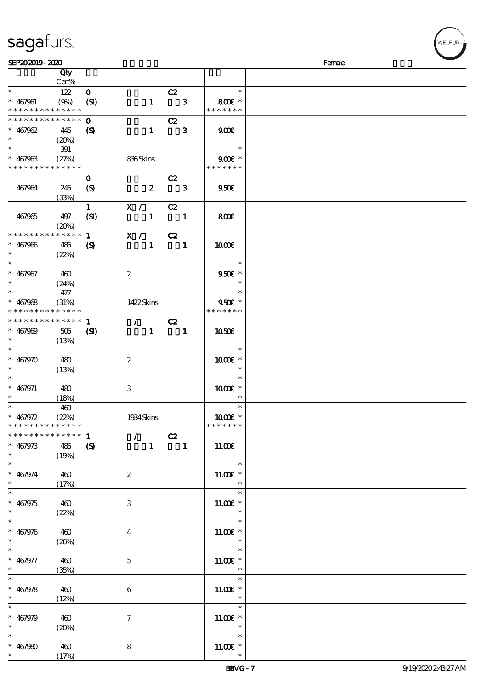| <b>saga</b> furs. |
|-------------------|
|                   |

| SEP202019-2020                |                      |                             |                  |                  |                               |                          | Female |
|-------------------------------|----------------------|-----------------------------|------------------|------------------|-------------------------------|--------------------------|--------|
|                               | Qty                  |                             |                  |                  |                               |                          |        |
|                               | Cert%                |                             |                  |                  |                               |                          |        |
| $\ast$                        | 122                  | $\mathbf{O}$                |                  |                  | C2                            | $\ast$                   |        |
| $* 467961$                    | (9%)                 | (SI)                        |                  | $\mathbf{1}$     | $\overline{\phantom{a}}$ 3    | 800€ *                   |        |
| * * * * * * * * * * * * * *   |                      |                             |                  |                  |                               | * * * * * * *            |        |
| * * * * * * * * * * * * * *   |                      |                             |                  |                  |                               |                          |        |
|                               |                      | $\mathbf 0$                 |                  |                  | C2                            |                          |        |
| $* 467962$                    | 445                  | $\boldsymbol{S}$            |                  | $\mathbf{1}$     | $\overline{\phantom{a}}$ 3    | 900E                     |        |
| $\ast$                        | (20%)                |                             |                  |                  |                               |                          |        |
| $\overline{\ast}$             | 391                  |                             |                  |                  |                               | $\ast$                   |        |
| $* 467963$                    | (27%)                |                             | 836Skins         |                  |                               | $900E$ *                 |        |
| * * * * * * * * * * * * * *   |                      |                             |                  |                  |                               | * * * * * * *            |        |
|                               |                      | $\mathbf 0$                 |                  |                  | C2                            |                          |        |
| 467964                        | 245                  | $\boldsymbol{S}$            |                  | $\boldsymbol{z}$ | $\overline{\phantom{a}}$ 3    | 950E                     |        |
|                               | (33%)                |                             |                  |                  |                               |                          |        |
|                               |                      | $\mathbf{1}$                | X / C2           |                  |                               |                          |        |
|                               |                      |                             |                  |                  |                               |                          |        |
| 467965                        | 497                  | (SI)                        |                  |                  | $1 \quad 1$                   | 800E                     |        |
|                               | (20%)                |                             |                  |                  |                               |                          |        |
| * * * * * * * *               | * * * * * *          | $\mathbf{1}$                | X /              |                  | C2                            |                          |        |
| $* 467966$                    | 485                  | $\boldsymbol{\mathcal{S}}$  |                  | $\mathbf{1}$     | $\blacksquare$                | 1000E                    |        |
| $\ast$                        | (22%)                |                             |                  |                  |                               |                          |        |
| $\ast$                        |                      |                             |                  |                  |                               | $\ast$                   |        |
| $* 467967$                    | 460                  |                             | $\boldsymbol{2}$ |                  |                               | 9506 *                   |        |
| $\ast$                        | (24%)                |                             |                  |                  |                               | $\ast$                   |        |
| $\overline{\ast}$             | 477                  |                             |                  |                  |                               | $\ast$                   |        |
| $* 467968$                    |                      |                             |                  |                  |                               | 950€ *                   |        |
| * * * * * * * *               | (31%)<br>* * * * * * |                             | 1422Skins        |                  |                               | * * * * * * *            |        |
|                               |                      |                             |                  |                  |                               |                          |        |
| * * * * * * * *               | * * * * * *          | $\mathbf{1}$                |                  |                  | $\sqrt{C^2}$                  |                          |        |
| $* 467909$                    | 505                  | $\mathbf{S}$                |                  |                  | $1 \quad 1$                   | 1050E                    |        |
| $\ast$                        | (13%)                |                             |                  |                  |                               |                          |        |
| $\ast$                        |                      |                             |                  |                  |                               | $\ast$                   |        |
| $* 467970$                    | 480                  |                             | $\boldsymbol{2}$ |                  |                               | 1000€ *                  |        |
| $\ast$                        | (13%)                |                             |                  |                  |                               | $\ast$                   |        |
| $\ast$                        |                      |                             |                  |                  |                               | $\ast$                   |        |
| $* 467971$                    | 480                  |                             | 3                |                  |                               | 1000 *                   |        |
| $\ast$                        | (18%)                |                             |                  |                  |                               |                          |        |
| $\ast$                        | 469                  |                             |                  |                  |                               | $\ast$                   |        |
| $* 467972$                    | (22%)                |                             | 1934 Skins       |                  |                               | $1000E$ *                |        |
| * * * * * * * * * * * * * *   |                      |                             |                  |                  |                               | * * * * * * *            |        |
| * * * * * * * * * * * * * * * |                      |                             |                  |                  |                               |                          |        |
|                               |                      | $\mathbf{1}$                |                  |                  | $\overline{7}$ C <sub>2</sub> |                          |        |
| $* 467973$                    | 485                  | $\boldsymbol{\mathrm{(S)}}$ |                  |                  | $1 \quad 1$                   | 11.00E                   |        |
| $*$                           | (19%)                |                             |                  |                  |                               |                          |        |
| $\overline{\ast}$             |                      |                             |                  |                  |                               | $\ast$                   |        |
| $* 467974$                    | 460                  |                             | $\boldsymbol{2}$ |                  |                               | 11.00€ *                 |        |
| $\ast$                        | (17%)                |                             |                  |                  |                               |                          |        |
| $\overline{\phantom{0}}$      |                      |                             |                  |                  |                               | $\ast$                   |        |
| $* 467975$                    | 460                  |                             | 3                |                  |                               | $11.00E$ *               |        |
| $\ast$                        | (22%)                |                             |                  |                  |                               |                          |        |
| $\ast$                        |                      |                             |                  |                  |                               | $\ast$                   |        |
| $* 467976$                    | 460                  |                             |                  |                  |                               | $11.00E$ *               |        |
| $\ast$                        |                      |                             | 4                |                  |                               |                          |        |
| $\ast$                        | (20%)                |                             |                  |                  |                               | $\ast$                   |        |
|                               |                      |                             |                  |                  |                               |                          |        |
| $* 467977$                    | 460                  |                             | $\mathbf{5}$     |                  |                               | $11.00E$ *               |        |
| $*$                           | (35%)                |                             |                  |                  |                               | $\overline{\phantom{a}}$ |        |
| $\ast$                        |                      |                             |                  |                  |                               | $\ast$                   |        |
| $* 467978$                    | 460                  |                             | $\boldsymbol{6}$ |                  |                               | $11.00E$ *               |        |
| $*$ and $*$                   | (12%)                |                             |                  |                  |                               | $\overline{\phantom{a}}$ |        |
| $\ast$                        |                      |                             |                  |                  |                               | $\ast$                   |        |
| $* 467979$                    | 460                  |                             | $\tau$           |                  |                               | 11.00 $\varepsilon$ *    |        |
| $\ast$                        | (20%)                |                             |                  |                  |                               | $\ast$                   |        |
| $\ast$                        |                      |                             |                  |                  |                               | $\ast$                   |        |
| $* 467980$                    | 460                  |                             | 8                |                  |                               | 11.00 $\varepsilon$ *    |        |
| $\ast$                        | (17%)                |                             |                  |                  |                               |                          |        |
|                               |                      |                             |                  |                  |                               |                          |        |

WELFUR-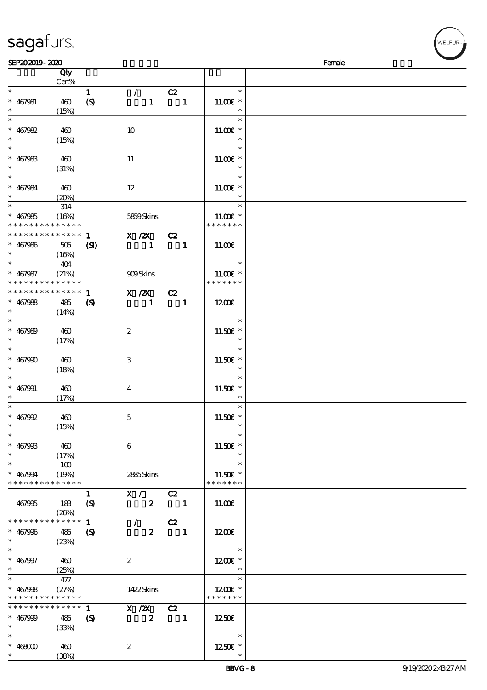|                                | Qty<br>Cert%         |                                  |                       |                                |                              |  |
|--------------------------------|----------------------|----------------------------------|-----------------------|--------------------------------|------------------------------|--|
| $\ast$                         |                      |                                  | $\mathcal{L}$         |                                | $\ast$                       |  |
| $* 467981$                     | 460<br>(15%)         | $\mathbf{1}$<br>(S)              | $\mathbf{1}$          | C2<br>$\overline{\phantom{a}}$ | $1100E$ *<br>$\ast$          |  |
| $\ast$                         |                      |                                  |                       |                                | $\ast$                       |  |
| $* 467982$                     | 460<br>(15%)         |                                  | 10                    |                                | $11.00E$ *<br>$\ast$         |  |
| $\overline{\ast}$              |                      |                                  |                       |                                | $\ast$                       |  |
| $* 467983$<br>$\ast$           | 460<br>(31%)         |                                  | 11                    |                                | $11.00E*$<br>$\ast$          |  |
| $\overline{\ast}$              |                      |                                  |                       |                                | $\ast$                       |  |
| $* 467984$<br>$\ast$           | 460<br>(20%)         |                                  | $12\,$                |                                | $11.00E$ *<br>$\ast$         |  |
|                                | $314\,$              |                                  |                       |                                | $\ast$                       |  |
| $* 467985$<br>* * * * * * * *  | (16%)<br>* * * * * * |                                  | 5859Skins             |                                | $11.00E*$<br>* * * * * * *   |  |
| * * * * * * * *                | * * * * * *          | $\mathbf{1}$                     | $X$ / $ZX$            | C2                             |                              |  |
| $* 467986$<br>$\ast$           | 505<br>(16%)         | (S)                              | $\mathbf{1}$          | $\blacksquare$                 | 11.00E                       |  |
| $\ast$                         | 404                  |                                  |                       |                                | $\ast$                       |  |
| $* 467987$<br>* * * * * * * *  | (21%)<br>* * * * * * |                                  | 909Skins              |                                | $11.00E$ *<br>* * * * * * *  |  |
| * * * * * * * *                | * * * * * *          | $\mathbf{1}$                     | X / ZX                | C2                             |                              |  |
| $* 467988$                     | 485                  | $\boldsymbol{\mathcal{S}}$       | $\mathbf{1}$          | $\overline{\phantom{a}}$       | 1200E                        |  |
| $\ast$                         |                      |                                  |                       |                                |                              |  |
| $\overline{\ast}$              | (14%)                |                                  |                       |                                | $\ast$                       |  |
| $* 467989$<br>$\ast$           | 460<br>(17%)         |                                  | $\boldsymbol{z}$      |                                | 11.50 £*<br>$\ast$           |  |
| $\ast$                         |                      |                                  |                       |                                | $\ast$                       |  |
| $* 467900$<br>$\ast$           | 460<br>(18%)         |                                  | $\,3$                 |                                | 11.50€ *<br>$\ast$           |  |
| $\ast$                         |                      |                                  |                       |                                | $\ast$                       |  |
| $* 467991$                     | 460                  |                                  | $\bf{4}$              |                                | 11.50 £*                     |  |
| $\ast$                         | (17%)                |                                  |                       |                                | $\ast$                       |  |
| $\ast$                         |                      |                                  |                       |                                | $\ast$                       |  |
| $* 467992$                     | 460                  |                                  | $\mathbf 5$           |                                | 11.50€ *                     |  |
| $\ast$                         |                      |                                  |                       |                                | $\ast$                       |  |
|                                | (15%)                |                                  |                       |                                |                              |  |
| $\ast$<br>$* 46790B$<br>$\ast$ | 460<br>(17%)         |                                  | $\boldsymbol{6}$      |                                | $\ast$<br>11.50€ *<br>$\ast$ |  |
| $\ast$                         | 100                  |                                  |                       |                                | $\ast$                       |  |
|                                |                      |                                  |                       |                                |                              |  |
| $* 467994$<br>* * * * * * * *  | (19%)<br>* * * * * * |                                  | 2885Skins             |                                | 11.50€ *<br>* * * * * * *    |  |
|                                |                      |                                  |                       |                                |                              |  |
| 467995                         | 183<br>(20%)         | $\mathbf{1}$<br>$\boldsymbol{S}$ | X / C2<br>$2^{\circ}$ | $\overline{\phantom{a}}$       | 11.00E                       |  |
| * * * * * * * *                | * * * * * *          | $\mathbf{1}$                     | $\mathcal{F}$         | C2                             |                              |  |
| $* 467996$<br>$\ast$           | 485<br>(23%)         | $\boldsymbol{S}$                 | $\boldsymbol{2}$      | $\blacksquare$                 | 1200E                        |  |
| $\ast$                         |                      |                                  |                       |                                | $\ast$                       |  |
| $* 467997$                     | 460                  |                                  | $\boldsymbol{z}$      |                                | 1200E *                      |  |
| $\ast$                         |                      |                                  |                       |                                | $\ast$                       |  |
| $\overline{\ast}$              | (25%)                |                                  |                       |                                | $\ast$                       |  |
|                                | 477                  |                                  |                       |                                |                              |  |
| $* 467998$                     | (27%)                |                                  | 1422Skins             |                                | $1200E$ *                    |  |
| * * * * * * * *                | * * * * * *          |                                  |                       |                                | * * * * * * *                |  |
| * * * * * * * *                | * * * * * *          | $\mathbf{1}$                     | X / ZX                | C2                             |                              |  |
| $* 467999$                     | 485                  | $\boldsymbol{S}$                 | $\boldsymbol{z}$      | $\overline{\phantom{a}}$       | 1250€                        |  |
| $^{\ast}$                      | (33%)                |                                  |                       |                                |                              |  |
| $\ast$                         |                      |                                  |                       |                                | $\ast$                       |  |
|                                |                      |                                  |                       |                                |                              |  |
| $*$ 468000                     | 460                  |                                  | $\boldsymbol{z}$      |                                | 1250E *                      |  |
| $\ast$                         | (38%)                |                                  |                       |                                |                              |  |

# sagafurs.

**VELFUR**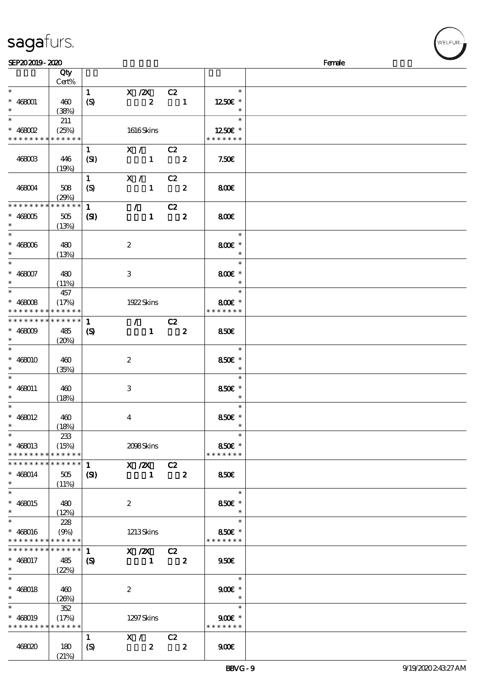| sagafurs. |
|-----------|
|           |

| SEP202019-2020                            |              |                            |                                     |                            |                  |                     | Female |
|-------------------------------------------|--------------|----------------------------|-------------------------------------|----------------------------|------------------|---------------------|--------|
|                                           | Qty          |                            |                                     |                            |                  |                     |        |
|                                           | Cert%        |                            |                                     |                            |                  |                     |        |
| $\ast$                                    |              | $\mathbf{1}$               | X / ZX                              | C2                         |                  | $\ast$              |        |
| $* 468001$                                | 460          | $\boldsymbol{S}$           | $\boldsymbol{z}$                    | $\blacksquare$             |                  | $1250$ £ *          |        |
| $\ast$                                    | (38%)        |                            |                                     |                            |                  |                     |        |
| $\ast$                                    | 211          |                            |                                     |                            |                  | $\ast$              |        |
| $*$ 468002<br>* * * * * * * * * * * * * * | (25%)        |                            | 1616Skins                           |                            |                  | $1250E$ *           |        |
|                                           |              |                            |                                     |                            |                  | * * * * * * *       |        |
|                                           |              | $\mathbf{1}$               | X / C2                              |                            |                  |                     |        |
| 468003                                    | 446          | (SI)                       | $\mathbf{1}$                        | $\overline{\mathbf{2}}$    |                  | 7.50E               |        |
|                                           | (19%)        | $\mathbf{1}$               | X / C2                              |                            |                  |                     |        |
| 468004                                    | 508          | (S)                        | $\mathbf{1}$                        | $\overline{\phantom{a}}$ 2 |                  | 800                 |        |
|                                           | (29%)        |                            |                                     |                            |                  |                     |        |
| * * * * * * * *                           | * * * * * *  | $\mathbf{1}$               | $\sqrt{C^2}$                        |                            |                  |                     |        |
| $* 468005$                                | 505          | $\mathbf{S}$               | $\mathbf{1}$                        | $\overline{\mathbf{z}}$    |                  | 800                 |        |
| $\ast$                                    | (13%)        |                            |                                     |                            |                  |                     |        |
| $\ast$                                    |              |                            |                                     |                            |                  | $\ast$              |        |
| $* 468006$                                | 480          |                            | $\boldsymbol{2}$                    |                            |                  | 800€ *              |        |
| $\ast$                                    | (13%)        |                            |                                     |                            |                  |                     |        |
| $\overline{\ast}$                         |              |                            |                                     |                            |                  | $\ast$              |        |
| $* 468007$                                | 480          |                            | 3                                   |                            |                  | 800€ *              |        |
| $\ast$                                    | (11%)        |                            |                                     |                            |                  |                     |        |
| $\ast$                                    | 457          |                            |                                     |                            |                  | $\ast$              |        |
| $* 468008$                                | (17%)        |                            | 1922 Skins                          |                            |                  | $800E$ *            |        |
| * * * * * * * * * * * * * *               |              |                            |                                     |                            |                  | * * * * * * *       |        |
| * * * * * * * *                           | * * * * * *  | $\mathbf{1}$               | $\overline{\prime}$ $\overline{C2}$ |                            |                  |                     |        |
| $* 468009$                                | 485          | $\boldsymbol{\mathcal{S}}$ | $\mathbf{1}$                        | $\overline{\mathbf{2}}$    |                  | 850E                |        |
| $\ast$                                    | (20%)        |                            |                                     |                            |                  |                     |        |
| $\ast$                                    |              |                            |                                     |                            |                  | $\ast$              |        |
| $* 468010$                                | 460          |                            | $\boldsymbol{z}$                    |                            |                  | 850€ *              |        |
| $\ast$<br>$\ast$                          | (35%)        |                            |                                     |                            |                  | $\ast$<br>$\ast$    |        |
|                                           |              |                            |                                     |                            |                  |                     |        |
| $* 468011$<br>$\ast$                      | 460          |                            | 3                                   |                            |                  | 850€ *<br>$\ast$    |        |
| $\ast$                                    | (18%)        |                            |                                     |                            |                  | $\ast$              |        |
| $* 468012$                                | 460          |                            | $\bf{4}$                            |                            |                  | 850 $\varepsilon$ * |        |
|                                           | (18%)        |                            |                                     |                            |                  |                     |        |
| $\overline{\phantom{0}}$                  | 233          |                            |                                     |                            |                  | $\ast$              |        |
| $* 468013$                                | (15%)        |                            | 2098Skins                           |                            |                  | 850€ *              |        |
| * * * * * * * * * * * * * *               |              |                            |                                     |                            |                  | * * * * * * *       |        |
| * * * * * * * * * * * * * *               |              | 1                          | $X / ZX$ $C2$                       |                            |                  |                     |        |
| $* 468014$                                | 505          | $\mathbf{Z}$               | $\blacksquare$                      | $\overline{\mathbf{2}}$    |                  | <b>850€</b>         |        |
| $\ast$                                    | (11%)        |                            |                                     |                            |                  |                     |        |
| $\ast$                                    |              |                            |                                     |                            |                  | $\ast$              |        |
| $* 468015$                                | 480          |                            | $\boldsymbol{2}$                    |                            |                  | 850€ *              |        |
| $\ast$                                    | (12%)        |                            |                                     |                            |                  | $\ast$              |        |
| $\overline{\phantom{1}}$                  | 228          |                            |                                     |                            |                  | $\ast$              |        |
| $* 468016$                                | (9%)         |                            | 1213Skins                           |                            |                  | 850€ *              |        |
| * * * * * * * * * * * * * *               |              |                            |                                     |                            |                  | * * * * * * *       |        |
| * * * * * * * *                           | * * * * * *  | $\mathbf{1}$               | $X / ZX$ $C2$                       |                            |                  |                     |        |
| $* 468017$                                | 485          | $\boldsymbol{\mathcal{S}}$ | $\blacksquare$                      | $\overline{\mathbf{2}}$    |                  | 950E                |        |
| $\ast$<br>$\ast$                          | (22%)        |                            |                                     |                            |                  | $\ast$              |        |
|                                           |              |                            |                                     |                            |                  |                     |        |
| $* 468018$<br>$\ast$                      | 460          |                            | $\boldsymbol{2}$                    |                            |                  | $900E$ *<br>$\ast$  |        |
| $\ast$                                    | (26%)<br>352 |                            |                                     |                            |                  | $\ast$              |        |
|                                           |              |                            |                                     |                            |                  | $900E$ *            |        |
| $* 468019$<br>* * * * * * * * * * * * * * | (17%)        |                            | 1297 Skins                          |                            |                  | * * * * * * *       |        |
|                                           |              | $\mathbf{1}$               | X / C2                              |                            |                  |                     |        |
| 468020                                    | 180          | $\boldsymbol{S}$           | $\boldsymbol{z}$                    |                            | $\boldsymbol{z}$ | 900                 |        |
|                                           | (21%)        |                            |                                     |                            |                  |                     |        |

WELFUR-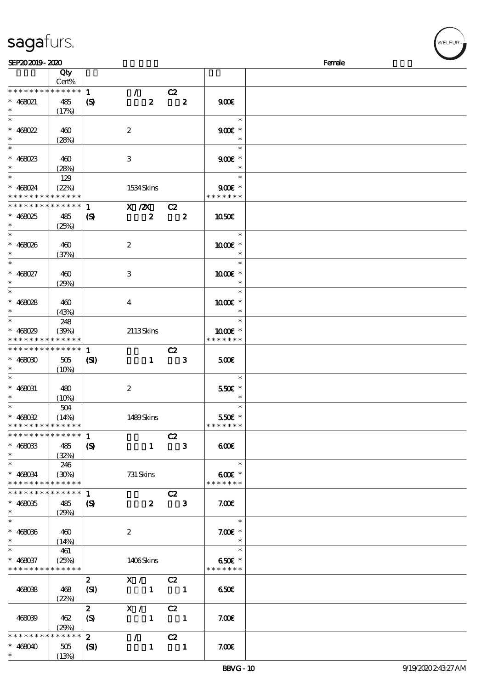|  | sagafurs. |  |
|--|-----------|--|
|  |           |  |

| SEP202019-2020                |             |                             |                                                             |                            |                   | Female |
|-------------------------------|-------------|-----------------------------|-------------------------------------------------------------|----------------------------|-------------------|--------|
|                               | Qty         |                             |                                                             |                            |                   |        |
|                               | Cert%       |                             |                                                             |                            |                   |        |
| * * * * * * * *               | $******$    | $\mathbf{1}$                | $\mathcal{T} = \mathcal{I}$                                 | C2                         |                   |        |
| $* 468021$                    | 485         | $\boldsymbol{\mathrm{(S)}}$ | $\boldsymbol{z}$                                            | $\overline{\mathbf{2}}$    | 900E              |        |
| $\ast$                        | (17%)       |                             |                                                             |                            |                   |        |
| $\ast$                        |             |                             |                                                             |                            | $\ast$            |        |
|                               |             |                             |                                                             |                            |                   |        |
| $* 468022$                    | 460         |                             | $\boldsymbol{2}$                                            |                            | $900E$ *          |        |
| $\ast$                        | (28%)       |                             |                                                             |                            |                   |        |
| $\ast$                        |             |                             |                                                             |                            | $\ast$            |        |
| $* 468023$                    | 460         |                             | 3                                                           |                            | $900E$ *          |        |
| $\ast$                        | (28%)       |                             |                                                             |                            |                   |        |
| $\overline{\ast}$             | 129         |                             |                                                             |                            | $\ast$            |        |
| $* 468024$                    | (22%)       |                             | 1534 Skins                                                  |                            | $900E$ *          |        |
| * * * * * * * * * * * * * *   |             |                             |                                                             |                            | * * * * * * *     |        |
|                               |             |                             |                                                             |                            |                   |        |
| * * * * * * * *               | * * * * * * | $\mathbf{1}$                | $X / ZX$ $C2$                                               |                            |                   |        |
| $* 468025$                    | 485         | $\boldsymbol{\mathcal{S}}$  | $\boldsymbol{z}$                                            | $\overline{\mathbf{2}}$    | <b>1050€</b>      |        |
| $\ast$                        | (25%)       |                             |                                                             |                            |                   |        |
| $\ast$                        |             |                             |                                                             |                            | $\ast$            |        |
| $* 468026$                    | 460         |                             | $\boldsymbol{z}$                                            |                            | 1000 *            |        |
| $\ast$                        | (37%)       |                             |                                                             |                            | $\ast$            |        |
| $\ast$                        |             |                             |                                                             |                            | $\ast$            |        |
| $* 468027$                    |             |                             |                                                             |                            |                   |        |
|                               | 460         |                             | 3                                                           |                            | 1000€ *           |        |
| $\ast$                        | (29%)       |                             |                                                             |                            | $\ast$            |        |
| $\overline{\ast}$             |             |                             |                                                             |                            | $\ast$            |        |
| $* 468028$                    | 460         |                             | $\bf{4}$                                                    |                            | 1000 *            |        |
| $\ast$                        | (43%)       |                             |                                                             |                            | $\ast$            |        |
| $\ast$                        | 248         |                             |                                                             |                            | $\ast$            |        |
| $* 468029$                    | (30%)       |                             | 2113Skins                                                   |                            | 1000 *            |        |
| * * * * * * * *               | * * * * * * |                             |                                                             |                            | * * * * * * *     |        |
| * * * * * * * *               | * * * * * * |                             |                                                             |                            |                   |        |
|                               |             | $\mathbf{1}$                |                                                             | C2                         |                   |        |
| $* 468030$                    | 505         | (S)                         | $\mathbf{1}$                                                | $\overline{\phantom{a}}$ 3 | 500               |        |
| $\ast$                        | (10%)       |                             |                                                             |                            |                   |        |
| $\ast$                        |             |                             |                                                             |                            | $\ast$            |        |
| $* 468031$                    | 480         |                             | $\boldsymbol{2}$                                            |                            | 550€ *            |        |
| $\ast$                        | (10%)       |                             |                                                             |                            |                   |        |
| $\ast$                        | $504$       |                             |                                                             |                            | $\ast$            |        |
| $* 468032$                    | (14%)       |                             | 1489Skins                                                   |                            | 550€ *            |        |
| * * * * * * * * * * * * * *   |             |                             |                                                             |                            | * * * * * * *     |        |
| * * * * * * * * * * * * * * * |             | $\mathbf{1}$                |                                                             | C2                         |                   |        |
|                               |             |                             |                                                             |                            |                   |        |
| $* 468033$                    | 485         | $\mathcal{S}$               | $\mathbf{1}$                                                | $\overline{\phantom{a}}$ 3 | 600               |        |
| $\ast$                        | (32%)       |                             |                                                             |                            |                   |        |
| $\overline{\phantom{0}}$      | 246         |                             |                                                             |                            | $\ast$            |        |
| $* 468034$                    | (30%)       |                             | 731 Skins                                                   |                            | $600$ $*$         |        |
| * * * * * * * *               | * * * * * * |                             |                                                             |                            | * * * * * * *     |        |
| * * * * * * *                 | * * * * * * | $\mathbf{1}$                |                                                             | C2                         |                   |        |
| $* 468035$                    | 485         | $\mathbf{S}$                |                                                             | $2 \t3$                    | 7.00 <sub>E</sub> |        |
| $\ast$                        | (29%)       |                             |                                                             |                            |                   |        |
| $\ast$                        |             |                             |                                                             |                            | $\ast$            |        |
|                               |             |                             |                                                             |                            |                   |        |
| $* 468036$                    | 460         |                             | $\boldsymbol{2}$                                            |                            | $7.00E$ *         |        |
| $\ast$                        | (14%)       |                             |                                                             |                            |                   |        |
|                               | 461         |                             |                                                             |                            | $\ast$            |        |
| $* 468037$                    | (25%)       |                             | 1406Skins                                                   |                            | 650€ *            |        |
| * * * * * * * * * * * * * *   |             |                             |                                                             |                            | * * * * * * *     |        |
|                               |             | $\mathbf{2}$                | X / C2                                                      |                            |                   |        |
| 468038                        | 468         | (SI)                        | $\begin{array}{cccccccccc} & & & & 1 & & & & 1 \end{array}$ |                            | 650               |        |
|                               | (22%)       |                             |                                                             |                            |                   |        |
|                               |             | $\mathbf{z}$                | X / C2                                                      |                            |                   |        |
|                               |             |                             |                                                             |                            |                   |        |
| 468039                        | 462         | (S)                         | $\mathbf{1}$                                                | $\blacksquare$             | 7.00E             |        |
|                               | (29%)       |                             |                                                             |                            |                   |        |
| * * * * * * * *               | * * * * * * | $2^{\circ}$                 | $\mathcal{F}$ and $\mathcal{F}$                             | C2                         |                   |        |
| $* 468040$                    | 505         | $\mathbf{C}$                | $\mathbf{1}$                                                | $\blacksquare$             | 7.00E             |        |
| $\ast$                        | (13%)       |                             |                                                             |                            |                   |        |

**NELFUR**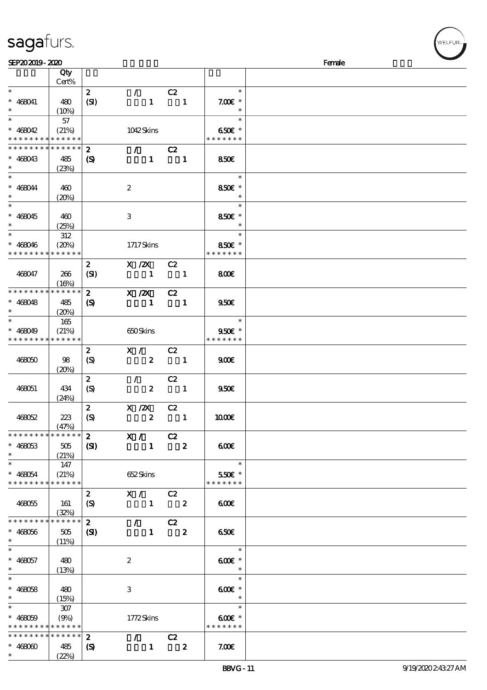| SEP202019-2020                           |                 |                            |                                                        |                            |                |                          | Female |
|------------------------------------------|-----------------|----------------------------|--------------------------------------------------------|----------------------------|----------------|--------------------------|--------|
|                                          | Qty             |                            |                                                        |                            |                |                          |        |
|                                          | Cert%           |                            |                                                        |                            |                |                          |        |
| $\ast$                                   |                 | $\mathbf{z}$               | $\mathcal{L}$                                          | C2                         |                | $\ast$                   |        |
| $* 468041$                               | 480             | (SI)                       | $\mathbf{1}$                                           | $\blacksquare$             |                | $7.00E$ *                |        |
| $\ast$                                   |                 |                            |                                                        |                            |                | $\ast$                   |        |
| $\ast$                                   | (10%)           |                            |                                                        |                            |                | $\ast$                   |        |
|                                          | 57              |                            |                                                        |                            |                |                          |        |
| $* 468042$                               | (21%)           |                            | 1042Skins                                              |                            |                | 650€ *                   |        |
| * * * * * * * * * * * * * *              |                 |                            |                                                        |                            |                | * * * * * * *            |        |
| * * * * * * * *                          | * * * * * *     | $\boldsymbol{z}$           | $\sqrt{C^2}$                                           |                            |                |                          |        |
| $* 468043$                               | 485             | (S)                        | $\mathbf{1}$                                           | $\overline{\phantom{0}}$ 1 |                | 850E                     |        |
| $\ast$                                   | (23%)           |                            |                                                        |                            |                |                          |        |
| $\ast$                                   |                 |                            |                                                        |                            |                | $\ast$                   |        |
| $* 468044$                               | 460             |                            | $\boldsymbol{2}$                                       |                            |                | 850€ *                   |        |
| $\ast$                                   | (20%)           |                            |                                                        |                            |                |                          |        |
| $\overline{\ast}$                        |                 |                            |                                                        |                            |                | $\ast$                   |        |
| $* 468045$                               | 460             |                            | 3                                                      |                            |                | 850€ *                   |        |
| $\ast$                                   | (25%)           |                            |                                                        |                            |                |                          |        |
| $\overline{\ast}$                        |                 |                            |                                                        |                            |                | $\ast$                   |        |
|                                          | $312\,$         |                            |                                                        |                            |                |                          |        |
| $* 468046$                               | (20%)           |                            | 1717Skins                                              |                            |                | 850€ *<br>* * * * * * *  |        |
| * * * * * * * *                          | * * * * * *     |                            |                                                        |                            |                |                          |        |
|                                          |                 | $\boldsymbol{2}$           | X / ZX                                                 | C2                         |                |                          |        |
| 468047                                   | 266             | (SI)                       | $\blacksquare$                                         | $\blacksquare$             |                | 800E                     |        |
|                                          | (16%)           |                            |                                                        |                            |                |                          |        |
| * * * * * * * * * * * * * *              |                 | $\mathbf{z}$               | $X$ / $ZX$                                             | C2                         |                |                          |        |
| $* 468048$                               | 485             | (S)                        | $\blacksquare$                                         | $\blacksquare$             |                | 950E                     |        |
| $\ast$                                   | (20%)           |                            |                                                        |                            |                |                          |        |
| $\ast$                                   | 165             |                            |                                                        |                            |                | $\ast$                   |        |
| $* 468049$                               | (21%)           |                            | 650Skins                                               |                            |                | 950€ *                   |        |
| * * * * * * * * * * * * * *              |                 |                            |                                                        |                            |                | * * * * * * *            |        |
|                                          |                 | $\boldsymbol{z}$           | X /                                                    | C2                         |                |                          |        |
| 468050                                   | 98              | $\boldsymbol{S}$           | $\mathbf{2}$                                           | $\blacksquare$             |                | 900E                     |        |
|                                          | (20%)           |                            |                                                        |                            |                |                          |        |
|                                          |                 | $\boldsymbol{z}$           | $\mathcal{L}$                                          | C2                         |                |                          |        |
| 468051                                   | 434             | $\boldsymbol{S}$           | $\boldsymbol{z}$                                       | $\overline{\phantom{a}}$   |                | 950 <sub>E</sub>         |        |
|                                          | (24%)           |                            |                                                        |                            |                |                          |        |
|                                          |                 | $\boldsymbol{2}$           | X / ZX                                                 | C2                         |                |                          |        |
|                                          |                 |                            | $\boldsymbol{2}$                                       |                            | $\blacksquare$ |                          |        |
| 468052                                   | 223             | (S)                        |                                                        |                            |                | 1000E                    |        |
| * * * * * * * * * * * * * * *            | (47%)           |                            |                                                        |                            |                |                          |        |
|                                          |                 |                            | $\overline{\begin{array}{ccc} 2 & & X \end{array}}$ C2 |                            |                |                          |        |
| $* 468053$                               | 505             | (SI)                       |                                                        | $1 \t 2$                   |                | 600                      |        |
| $\ast$                                   | (21%)           |                            |                                                        |                            |                |                          |        |
| $\ast$                                   | 147             |                            |                                                        |                            |                | $\ast$                   |        |
| $* 468054$                               | (21%)           |                            | 652 Skins                                              |                            |                | 550€ *                   |        |
| * * * * * * * * * * * * * *              |                 |                            |                                                        |                            |                | * * * * * * *            |        |
|                                          |                 | $\mathbf{2}$               | X / C2                                                 |                            |                |                          |        |
| 468055                                   | 161             | (S)                        | $1 \t 2$                                               |                            |                | 600                      |        |
|                                          | (32%)           |                            |                                                        |                            |                |                          |        |
| * * * * * * * *                          | $* * * * * * *$ | $\mathbf{2}$               | $\overline{7}$ C2                                      |                            |                |                          |        |
| $* 468056$                               | 505             | $\mathbf{C}$               |                                                        | $1 \t 2$                   |                | 650€                     |        |
|                                          | (11%)           |                            |                                                        |                            |                |                          |        |
| $\ast$                                   |                 |                            |                                                        |                            |                | $\overline{\phantom{a}}$ |        |
| $* 468057$                               | 480             |                            | $\boldsymbol{2}$                                       |                            |                | $600$ $*$                |        |
| $*$ and $*$                              | (13%)           |                            |                                                        |                            |                | $\overline{\phantom{a}}$ |        |
| $\ast$                                   |                 |                            |                                                        |                            |                | $\ast$                   |        |
| $* 468058$                               | 480             |                            | 3                                                      |                            |                | $600E$ *                 |        |
| $\ast$                                   | (15%)           |                            |                                                        |                            |                | $\overline{\phantom{a}}$ |        |
| $\ast$                                   | 307             |                            |                                                        |                            |                | $\ast$                   |        |
| $* 468059$                               | (9%)            |                            | 1772Skins                                              |                            |                | $600E$ *                 |        |
| * * * * * * * * <mark>* * * * * *</mark> |                 |                            |                                                        |                            |                | * * * * * * *            |        |
| * * * * * * * * * * * * * *              |                 | $\boldsymbol{z}$           | $\overline{7}$ C <sub>2</sub>                          |                            |                |                          |        |
|                                          |                 |                            |                                                        | $\overline{\mathbf{2}}$    |                |                          |        |
| $* 46800$<br>$\ast$                      | 485             | $\boldsymbol{\mathcal{S}}$ | $\mathbf{1}$                                           |                            |                | 7.00E                    |        |
|                                          | (22%)           |                            |                                                        |                            |                |                          |        |

ELFUR-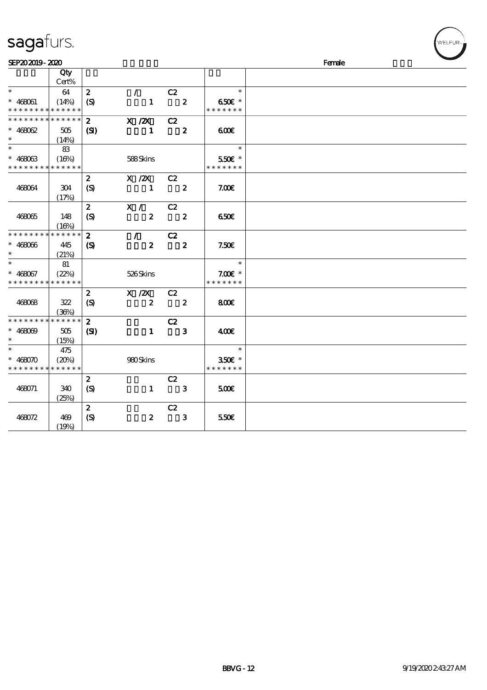|  | sagafurs. |
|--|-----------|
|  |           |

| SEP202019-2020              |             |                             |                  |                         |                          | Female |
|-----------------------------|-------------|-----------------------------|------------------|-------------------------|--------------------------|--------|
|                             | Qty         |                             |                  |                         |                          |        |
|                             | Cert%       |                             |                  |                         |                          |        |
| $\ast$                      | 64          | $\boldsymbol{z}$            | $\mathcal{L}$    | C2                      | $\ast$                   |        |
| $* 468061$                  | (14%)       | (S)                         | $\mathbf{1}$     | $\overline{\mathbf{2}}$ | 650€ *                   |        |
| * * * * * * * * * * * * * * |             |                             |                  |                         | * * * * * * *            |        |
| * * * * * * * *             | * * * * * * | $\mathbf{2}$                | $X$ / $ZX$       | C2                      |                          |        |
| $* 468062$                  | 505         | (S)                         | $\mathbf{1}$     | $\overline{\mathbf{2}}$ | 600                      |        |
| $\ast$                      | (14%)       |                             |                  |                         |                          |        |
| $\ast$                      | 83          |                             |                  |                         | $\ast$                   |        |
| $* 468063$                  | (16%)       |                             | 588Skins         |                         | 550€ *                   |        |
| * * * * * * * * * * * * * * |             |                             |                  |                         | * * * * * * *            |        |
|                             |             | $\boldsymbol{z}$            | X /2X C2         |                         |                          |        |
| 468064                      | 304         | $\boldsymbol{S}$            | -1               | $\overline{\mathbf{2}}$ | 7.00E                    |        |
|                             | (17%)       |                             |                  |                         |                          |        |
|                             |             | $\boldsymbol{z}$            | X /              | C2                      |                          |        |
| 468065                      | 148         | $\boldsymbol{S}$            | $\boldsymbol{z}$ | $\overline{\mathbf{2}}$ | 650E                     |        |
|                             | (16%)       |                             |                  |                         |                          |        |
| * * * * * * * *             | * * * * * * | $\mathbf{z}$                | $\mathcal{T}$    | C2                      |                          |        |
| $* 468066$                  | 445         | $\boldsymbol{\mathcal{S}}$  | $\boldsymbol{z}$ | $\overline{\mathbf{2}}$ | 7.50E                    |        |
| $\ast$                      | (21%)       |                             |                  |                         |                          |        |
| $\ast$                      | 81          |                             |                  |                         | $\overline{\phantom{a}}$ |        |
| $* 468067$                  | (22%)       |                             | 526Skins         |                         | $7.00E$ *                |        |
| * * * * * * * * * * * * * * |             |                             |                  |                         | * * * * * * *            |        |
|                             |             | $\boldsymbol{z}$            | X / ZX           | C2                      |                          |        |
| 468068                      | 322         | $\boldsymbol{\mathrm{(S)}}$ | $\boldsymbol{2}$ | $\overline{\mathbf{2}}$ | 800                      |        |
|                             | (36%)       |                             |                  |                         |                          |        |
| * * * * * * * *             | * * * * * * | $\mathbf{z}$                |                  | C2                      |                          |        |
| $* 468069$                  | 505         | (S)                         | $\mathbf{1}$     | $\mathbf{3}$            | 400                      |        |
| $\ast$                      | (15%)       |                             |                  |                         |                          |        |
| $\ast$                      | 475         |                             |                  |                         | $\ast$                   |        |
| $* 468070$                  | (20%)       |                             | 980Skins         |                         | 350€ *                   |        |
| * * * * * * * *             | * * * * * * |                             |                  |                         | * * * * * * *            |        |
|                             |             | $\boldsymbol{2}$            |                  | C2                      |                          |        |
| 468071                      | 340         | $\boldsymbol{S}$            | $\mathbf{1}$     | $\overline{\mathbf{3}}$ | 500                      |        |
|                             | (25%)       |                             |                  |                         |                          |        |
|                             |             | $\boldsymbol{z}$            |                  | C2                      |                          |        |
| 468072                      | 469         | $\boldsymbol{\mathrm{(S)}}$ | $\boldsymbol{z}$ | $\mathbf{3}$            | 550€                     |        |
|                             | (19%)       |                             |                  |                         |                          |        |

**/**<br>WELFUR<sub>™</sub>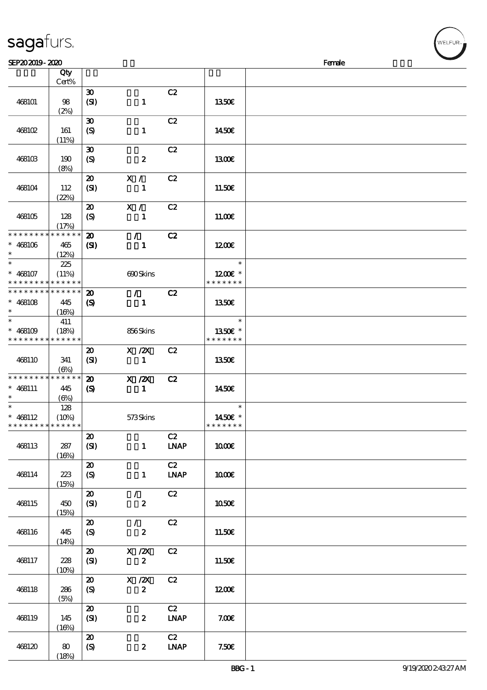| sagaturs. |  |
|-----------|--|
|           |  |

| SEP202019-2020              |            |                                         |                                 |                              |               | Female |
|-----------------------------|------------|-----------------------------------------|---------------------------------|------------------------------|---------------|--------|
|                             | Qty        |                                         |                                 |                              |               |        |
|                             | Cert%      |                                         |                                 |                              |               |        |
|                             |            | $\boldsymbol{\mathfrak{D}}$             |                                 | C2                           |               |        |
| 468101                      | 98         | (SI)                                    | $\mathbf{1}$                    |                              | 1350E         |        |
|                             |            |                                         |                                 |                              |               |        |
|                             | (2%)       |                                         |                                 |                              |               |        |
|                             |            | $\boldsymbol{\mathfrak{D}}$             |                                 | C2                           |               |        |
| 468102                      | 161        | $\boldsymbol{S}$                        | $\mathbf{1}$                    |                              | 1450€         |        |
|                             | (11%)      |                                         |                                 |                              |               |        |
|                             |            | $\boldsymbol{\mathfrak{D}}$             |                                 | C2                           |               |        |
| 468103                      | 190        | $\boldsymbol{\mathrm{(S)}}$             | $\boldsymbol{z}$                |                              | 1300          |        |
|                             | (8%)       |                                         |                                 |                              |               |        |
|                             |            | $\boldsymbol{\mathsf{20}}$              | X /                             | C2                           |               |        |
| 468104                      | 112        | (SI)                                    | $\mathbf{1}$                    |                              | 11.50E        |        |
|                             | (22%)      |                                         |                                 |                              |               |        |
|                             |            | $\boldsymbol{\mathfrak{D}}$             | X / C                           | C2                           |               |        |
|                             |            |                                         |                                 |                              |               |        |
| 468105                      | 128        | $\boldsymbol{S}$                        | $\mathbf{1}$                    |                              | 11.00E        |        |
| * * * * * * * * * * * * * * | (17%)      |                                         |                                 |                              |               |        |
|                             |            | $\boldsymbol{\mathbf{z}}$               | $\mathcal{L}$                   | C2                           |               |        |
| $* 468106$                  | 465        | $\mathbf{C}$                            | $\mathbf{1}$                    |                              | 1200E         |        |
| $\ast$<br>$\ast$            | (12%)      |                                         |                                 |                              |               |        |
|                             | 225        |                                         |                                 |                              | $\ast$        |        |
| $* 468107$                  | (11%)      |                                         | 690Skins                        |                              | 1200E *       |        |
| * * * * * * * * * * * * * * |            |                                         |                                 |                              | * * * * * * * |        |
| * * * * * * * * * * * * * * |            | $\boldsymbol{\mathbf{z}}$               | $\mathcal{L}$ and $\mathcal{L}$ | C2                           |               |        |
| $* 468108$                  | 445        | $\boldsymbol{\mathcal{S}}$              | $\mathbf{1}$                    |                              | 1350E         |        |
| $\ast$                      | (16%)      |                                         |                                 |                              |               |        |
| $\ast$                      | 411        |                                         |                                 |                              | $\ast$        |        |
| $* 468109$                  | (18%)      |                                         | 856Skins                        |                              | 1350E *       |        |
| * * * * * * * * * * * * * * |            |                                         |                                 |                              | * * * * * * * |        |
|                             |            | $\boldsymbol{\mathfrak{D}}$             | $X$ / $ZX$                      | C2                           |               |        |
| 468110                      | 341        | (SI)                                    | $\mathbf{1}$                    |                              | 1350E         |        |
|                             | (6%)       |                                         |                                 |                              |               |        |
| * * * * * * * * * * * * * * |            | $\boldsymbol{\mathbf{Z}}$               | $X$ / $ZX$                      | C2                           |               |        |
| $* 468111$                  | 445        | $\boldsymbol{\mathcal{S}}$              | $\mathbf{1}$                    |                              | 1450E         |        |
| $\ast$                      | $(\Theta)$ |                                         |                                 |                              |               |        |
| $\ast$                      | 128        |                                         |                                 |                              | $\ast$        |        |
| $* 468112$                  | (10%)      |                                         | 573Skins                        |                              | 1450€ *       |        |
| * * * * * * * * * * * * * * |            |                                         |                                 |                              | * * * * * * * |        |
|                             |            | $\boldsymbol{\mathfrak{D}}$             |                                 | C2                           |               |        |
| 468113                      |            |                                         |                                 |                              |               |        |
|                             | 287        | (SI)                                    | $\mathbf{1}$                    | $\ensuremath{\mathbf{INAP}}$ | <b>100€</b>   |        |
|                             | (16%)      |                                         |                                 |                              |               |        |
|                             |            | $\boldsymbol{\mathfrak{D}}$             |                                 | C2                           |               |        |
| 468114                      | 223        | $\boldsymbol{S}$                        | $\mathbf{1}$                    | <b>LNAP</b>                  | 1000E         |        |
|                             | (15%)      |                                         |                                 |                              |               |        |
|                             |            | $\boldsymbol{\mathbf{z}}$               | $\mathcal{L}$                   | C2                           |               |        |
| 468115                      | 450        | (SI)                                    | $\boldsymbol{z}$                |                              | 1050€         |        |
|                             | (15%)      |                                         |                                 |                              |               |        |
|                             |            | $\boldsymbol{\mathfrak{D}}$             | $\mathcal{L}$                   | C2                           |               |        |
| 468116                      | 445        | (S)                                     | $\boldsymbol{z}$                |                              | 11.50€        |        |
|                             | (14%)      |                                         |                                 |                              |               |        |
|                             |            | $\boldsymbol{\mathfrak{D}}$             | $X$ / $ZX$                      | C2                           |               |        |
| 468117                      | 228        | (SI)                                    | $\boldsymbol{z}$                |                              | 11.50€        |        |
|                             | (10%)      |                                         |                                 |                              |               |        |
|                             |            | $\boldsymbol{\mathfrak{D}}$             | X / ZX                          | C2                           |               |        |
| 468118                      | 286        | (S)                                     | $\boldsymbol{z}$                |                              | 1200E         |        |
|                             | (5%)       |                                         |                                 |                              |               |        |
|                             |            | $\boldsymbol{\boldsymbol{\mathrm{20}}}$ |                                 | C2                           |               |        |
| 468119                      | 145        | (SI)                                    | $\boldsymbol{z}$                | <b>LNAP</b>                  | 7.00E         |        |
|                             | (16%)      |                                         |                                 |                              |               |        |
|                             |            | $\boldsymbol{\mathsf{20}}$              |                                 | C2                           |               |        |
| 468120                      | 80         | $\boldsymbol{S}$                        | $\boldsymbol{z}$                | $\ensuremath{\mathbf{IMAP}}$ | 7.50E         |        |
|                             | (18%)      |                                         |                                 |                              |               |        |

ELFUR-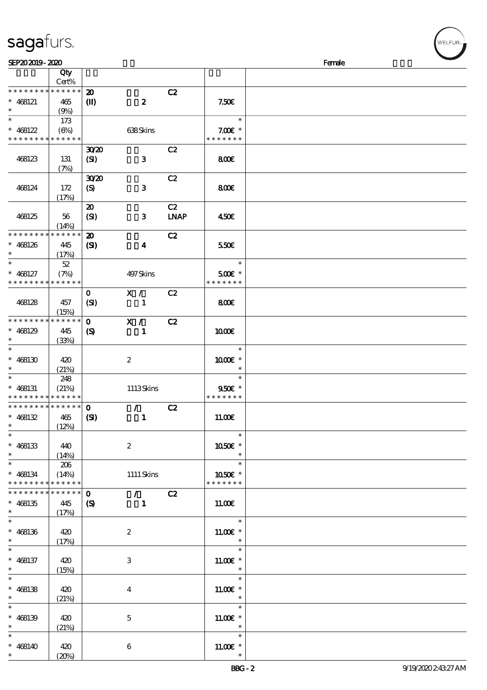| SEP202019-2020                |                      |                             |                                 |             |               | Female |
|-------------------------------|----------------------|-----------------------------|---------------------------------|-------------|---------------|--------|
|                               | Qty                  |                             |                                 |             |               |        |
|                               | Cert%                |                             |                                 |             |               |        |
| * * * * * * * * * * * * * *   |                      | $\boldsymbol{\mathbf{z}}$   |                                 | C2          |               |        |
| $* 468121$                    | 465                  | $\mathbf{I}$                | $\boldsymbol{z}$                |             | 7.50E         |        |
| $\ast$                        | (9%)                 |                             |                                 |             |               |        |
| $\ast$                        | 173                  |                             |                                 |             | $\ast$        |        |
| $* 468122$                    | $(\Theta)$           |                             | 638Skins                        |             | $7.00E$ *     |        |
| * * * * * * * * * * * * * *   |                      |                             |                                 |             | * * * * * * * |        |
|                               |                      | 3020                        |                                 | C2          |               |        |
| 468123                        | 131                  | (SI)                        | $\mathbf{3}$                    |             | 800           |        |
|                               | (7%)                 |                             |                                 |             |               |        |
|                               |                      | 3020                        |                                 | C2          |               |        |
| 468124                        | 172                  | $\boldsymbol{S}$            | $\mathbf{3}$                    |             | 800€          |        |
|                               | (17%)                |                             |                                 |             |               |        |
|                               |                      | $\boldsymbol{\mathfrak{D}}$ |                                 | C2          |               |        |
|                               |                      |                             |                                 |             |               |        |
| 468125                        | 56                   | (SI)                        | $\mathbf{3}$                    | <b>LNAP</b> | 450E          |        |
| * * * * * * * *               | (14%)<br>* * * * * * |                             |                                 |             |               |        |
|                               |                      | $\boldsymbol{\mathbf{z}}$   |                                 | C2          |               |        |
| $* 468126$                    | 445                  | $\mathbf{S}$                | $\boldsymbol{4}$                |             | 550€          |        |
| $\ast$                        | (17%)                |                             |                                 |             |               |        |
| $\ast$                        | $52\,$               |                             |                                 |             | $\ast$        |        |
| $* 468127$                    | (7%)                 |                             | 497 Skins                       |             | 500€ *        |        |
| * * * * * * * *               | * * * * * *          |                             |                                 |             | * * * * * * * |        |
|                               |                      | $\mathbf{O}$                | X /                             | C2          |               |        |
| 468128                        | 457                  | (SI)                        | $\mathbf{1}$                    |             | 800           |        |
|                               | (15%)                |                             |                                 |             |               |        |
| * * * * * * * *               | * * * * * *          | $\mathbf{o}$                | X /                             | C2          |               |        |
| $* 468129$                    | 445                  | $\boldsymbol{\mathcal{S}}$  | $\mathbf{1}$                    |             | 1000E         |        |
| $\ast$                        | (33%)                |                             |                                 |             |               |        |
| $\ast$                        |                      |                             |                                 |             | $\ast$        |        |
| $* 468130$                    | 420                  |                             | $\boldsymbol{z}$                |             | 1000€ *       |        |
| $\ast$                        | (21%)                |                             |                                 |             |               |        |
| $\ast$                        | 248                  |                             |                                 |             | $\ast$        |        |
| $* 468131$                    | (21%)                |                             | 1113Skins                       |             | 9506 *        |        |
| * * * * * * * * * * * * * *   |                      |                             |                                 |             | * * * * * * * |        |
| * * * * * * * * * * * * * * * |                      | $\mathbf{o}$                | $\mathcal{L}$                   | C2          |               |        |
| $* 468132$                    | 465                  | (S)                         | $\mathbf{1}$                    |             | 11.00E        |        |
| $*$ $*$                       | (12%)                |                             |                                 |             |               |        |
| $\ast$                        |                      |                             |                                 |             | $\ast$        |        |
| $* 468133$                    | 440                  |                             | $\boldsymbol{2}$                |             | 1050€ *       |        |
| $\ast$                        | (14%)                |                             |                                 |             | $\ast$        |        |
| $\overline{\ast}$             | 206                  |                             |                                 |             | $\ast$        |        |
| $* 468134$                    | (14%)                |                             | $1111$ Skins                    |             | 1050€ *       |        |
| * * * * * * * *               | * * * * * *          |                             |                                 |             | * * * * * * * |        |
| * * * * * * *                 | * * * * * *          | $\mathbf 0$                 | $\mathcal{L}$ and $\mathcal{L}$ | C2          |               |        |
| $* 468135$                    | 445                  |                             | $\mathbf{1}$                    |             | 11.00E        |        |
| $\ast$                        |                      | $\boldsymbol{\mathsf{S}}$   |                                 |             |               |        |
| $\ast$                        | (17%)                |                             |                                 |             | $\ast$        |        |
| $* 468136$                    |                      |                             |                                 |             |               |        |
| $\ast$                        | 420                  |                             | $\boldsymbol{z}$                |             | $11.00E$ *    |        |
|                               | (17%)                |                             |                                 |             | $\ast$        |        |
|                               |                      |                             |                                 |             |               |        |
| $* 468137$                    | 420                  |                             | 3                               |             | $11.00E$ *    |        |
| $\ast$<br>$\ast$              | (15%)                |                             |                                 |             | $\ast$        |        |
|                               |                      |                             |                                 |             |               |        |
| $* 468138$                    | 420                  |                             | $\bf{4}$                        |             | $1100E$ *     |        |
| $\ast$                        | (21%)                |                             |                                 |             | $\ast$        |        |
| $\ast$                        |                      |                             |                                 |             | $\ast$        |        |
| $* 468139$                    | 420                  |                             | $\mathbf 5$                     |             | $11.00E$ *    |        |
| $\ast$                        | (21%)                |                             |                                 |             | $\ast$        |        |
| $\ast$                        |                      |                             |                                 |             | $\ast$        |        |
| $* 468140$                    | 420                  |                             | $\boldsymbol{6}$                |             | $11.00E$ *    |        |
| $\ast$                        | (20%)                |                             |                                 |             |               |        |

VELFUR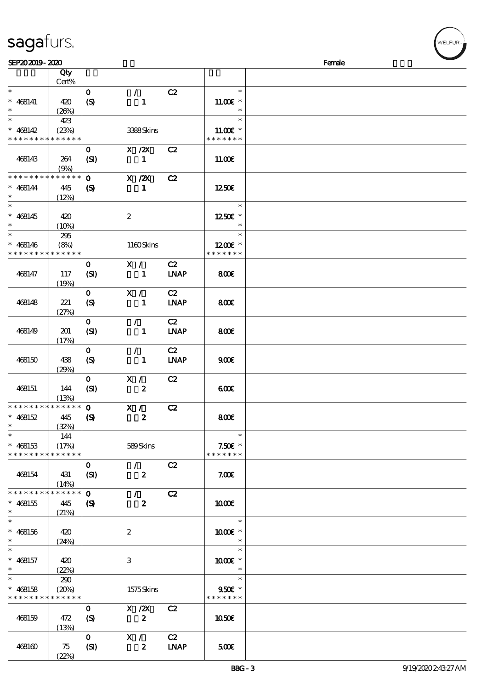## sagafurs.

| SEP202019-2020              |             |                             |                            |             |                   | Female |
|-----------------------------|-------------|-----------------------------|----------------------------|-------------|-------------------|--------|
|                             | Qty         |                             |                            |             |                   |        |
|                             | Cert%       |                             |                            |             |                   |        |
| $\ast$                      |             | $\mathbf{O}$                | $\mathcal{L}$              | C2          | $\ast$            |        |
|                             |             |                             |                            |             |                   |        |
| $* 468141$                  | 420         | (S)                         | $\mathbf{1}$               |             | $11.00E$ *        |        |
| $\ast$                      | (20%)       |                             |                            |             | $\ast$            |        |
| $\overline{\ast}$           | 423         |                             |                            |             | $\ast$            |        |
| $* 468142$                  | (23%)       |                             | 3388Skins                  |             | $11.00E$ *        |        |
| * * * * * * * *             | * * * * * * |                             |                            |             | * * * * * * *     |        |
|                             |             |                             |                            |             |                   |        |
|                             |             | $\mathbf{O}$                | $X$ / $ZX$                 | C2          |                   |        |
| 468143                      | 264         | (SI)                        | $\mathbf{1}$               |             | 11.00E            |        |
|                             | (9%)        |                             |                            |             |                   |        |
| * * * * * * * *             | * * * * * * | $\mathbf{o}$                | $X$ / $ZX$                 | C2          |                   |        |
| $* 468144$                  | 445         | $\boldsymbol{\mathrm{(S)}}$ | $\mathbf{1}$               |             | 1250E             |        |
|                             |             |                             |                            |             |                   |        |
| $\overline{\ast}$           | (12%)       |                             |                            |             |                   |        |
|                             |             |                             |                            |             | $\ast$            |        |
| $* 468145$                  | 420         |                             | $\boldsymbol{z}$           |             | 1250E *           |        |
| $\ast$                      | (10%)       |                             |                            |             |                   |        |
| $\ast$                      | 295         |                             |                            |             | $\ast$            |        |
| $* 468146$                  | (8%)        |                             | 1160Skins                  |             | 1200E *           |        |
| * * * * * * * *             | * * * * * * |                             |                            |             | * * * * * * *     |        |
|                             |             |                             |                            |             |                   |        |
|                             |             | $\mathbf{O}$                | X /                        | C2          |                   |        |
| 468147                      | 117         | (SI)                        | $\mathbf{1}$               | <b>LNAP</b> | 800€              |        |
|                             | (19%)       |                             |                            |             |                   |        |
|                             |             | $\mathbf{O}$                | X /                        | C2          |                   |        |
| 468148                      | 221         | $\boldsymbol{S}$            | $\mathbf{1}$               | <b>LNAP</b> | 800€              |        |
|                             |             |                             |                            |             |                   |        |
|                             | (27%)       |                             |                            |             |                   |        |
|                             |             | $\mathbf{O}$                | $\mathcal{L}$              | C2          |                   |        |
| 468149                      | 201         | (SI)                        | $\mathbf{1}$               | <b>LNAP</b> | 800€              |        |
|                             | (17%)       |                             |                            |             |                   |        |
|                             |             | $\mathbf{O}$                | $\mathcal{L}_{\mathbb{R}}$ | C2          |                   |        |
| 468150                      | 438         | $\boldsymbol{S}$            | $\mathbf{1}$               | <b>LNAP</b> | 900 <sub>E</sub>  |        |
|                             |             |                             |                            |             |                   |        |
|                             | (29%)       |                             |                            |             |                   |        |
|                             |             | $\mathbf{O}$                | X /                        | C2          |                   |        |
| 468151                      | 144         | (SI)                        | $\boldsymbol{z}$           |             | 600               |        |
|                             | (13%)       |                             |                            |             |                   |        |
| * * * * * * * *             | $******$    | $\mathbf{o}$                | X /                        | C2          |                   |        |
| $* 468152$                  | 445         | $\boldsymbol{\mathsf{S}}$   | $\boldsymbol{z}$           |             | 800€              |        |
| $*$                         | (32%)       |                             |                            |             |                   |        |
| $\ast$                      |             |                             |                            |             | $\ast$            |        |
|                             | 144         |                             |                            |             |                   |        |
| $* 468153$                  | (17%)       |                             | 589Skins                   |             | $7.50E$ *         |        |
| * * * * * * * *             | * * * * * * |                             |                            |             | * * * * * * *     |        |
|                             |             | $\mathbf{O}$                | $\mathcal{L}$              | C2          |                   |        |
| 468154                      | 431         | (SI)                        | $\boldsymbol{z}$           |             | 7.00E             |        |
|                             | (14%)       |                             |                            |             |                   |        |
| * * * * * * * *             | * * * * * * | $\mathbf{o}$                | $\mathcal{L}$              | C2          |                   |        |
|                             |             |                             |                            |             |                   |        |
| $* 468155$                  | 445         | $\boldsymbol{\mathsf{S}}$   | $\boldsymbol{z}$           |             | 1000E             |        |
| $\ast$                      | (21%)       |                             |                            |             |                   |        |
| $\ast$                      |             |                             |                            |             | $\ast$            |        |
| $* 468156$                  | 420         |                             | $\boldsymbol{z}$           |             | 1000E *           |        |
| $\ast$                      | (24%)       |                             |                            |             |                   |        |
|                             |             |                             |                            |             | $\ast$            |        |
|                             |             |                             |                            |             |                   |        |
| $* 468157$                  | 420         |                             | 3                          |             | $1000E$ $^{\ast}$ |        |
| $\ast$                      | (22%)       |                             |                            |             |                   |        |
| $\ast$                      | 290         |                             |                            |             | $\ast$            |        |
| $* 468158$                  | (20%)       |                             | 1575Skins                  |             | $950f$ *          |        |
| * * * * * * * * * * * * * * |             |                             |                            |             | * * * * * * *     |        |
|                             |             | $\mathbf{O}$                | $X \, /ZX$                 | C2          |                   |        |
|                             |             |                             |                            |             |                   |        |
| 468159                      | 472         | (S)                         | $\boldsymbol{z}$           |             | 1050€             |        |
|                             | (13%)       |                             |                            |             |                   |        |
|                             |             | $\mathbf{O}$                | X /                        | C2          |                   |        |
| 468160                      | 75          | (SI)                        | $\boldsymbol{z}$           | <b>LNAP</b> | 500               |        |
|                             | (22%)       |                             |                            |             |                   |        |

WELFUR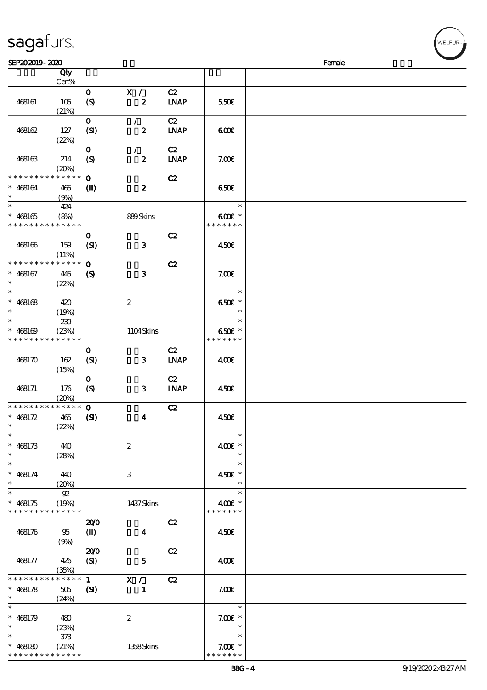| sagafurs. |  |
|-----------|--|
|           |  |

| SEP202019-2020                           |                  |                             |                           |                            |                          | Female |
|------------------------------------------|------------------|-----------------------------|---------------------------|----------------------------|--------------------------|--------|
|                                          | Qty              |                             |                           |                            |                          |        |
|                                          | Cert%            |                             |                           |                            |                          |        |
|                                          |                  |                             | X /                       | C2                         |                          |        |
|                                          |                  | $\mathbf{O}$                |                           |                            |                          |        |
| 468161                                   | 105              | $\boldsymbol{\mathrm{(S)}}$ | $\boldsymbol{z}$          | <b>LNAP</b>                | 550€                     |        |
|                                          | (21%)            |                             |                           |                            |                          |        |
|                                          |                  | $\mathbf{O}$                | $\mathcal{F}$             | C2                         |                          |        |
| 468162                                   | 127              | (SI)                        | $\boldsymbol{z}$          | <b>LNAP</b>                | 600                      |        |
|                                          | (22%)            |                             |                           |                            |                          |        |
|                                          |                  |                             |                           |                            |                          |        |
|                                          |                  | $\mathbf 0$                 | $\mathcal{L}$             | C2                         |                          |        |
| 468163                                   | 214              | $\boldsymbol{\mathrm{(S)}}$ | $\boldsymbol{z}$          | <b>LNAP</b>                | 7.006                    |        |
|                                          | (20%)            |                             |                           |                            |                          |        |
| * * * * * * * *                          | * * * * * *      | $\mathbf{o}$                |                           | C2                         |                          |        |
| $* 468164$                               | 465              |                             | $\boldsymbol{z}$          |                            | 650E                     |        |
| $\ast$                                   |                  | $\mathbf{I}$                |                           |                            |                          |        |
|                                          | (9%)             |                             |                           |                            |                          |        |
| $\overline{\phantom{0}}$                 | 424              |                             |                           |                            | $\ast$                   |        |
| $* 468165$                               | (8%)             |                             | 889Skins                  |                            | $600$ $*$                |        |
| * * * * * * * * <mark>* * * * * *</mark> |                  |                             |                           |                            | * * * * * * *            |        |
|                                          |                  | $\mathbf 0$                 |                           | C2                         |                          |        |
|                                          |                  |                             |                           |                            |                          |        |
| 468166                                   | 159              | (SI)                        | $\mathbf{3}$              |                            | 450E                     |        |
|                                          | (11%)            |                             |                           |                            |                          |        |
| * * * * * * * *                          | * * * * * *      | $\mathbf 0$                 |                           | C2                         |                          |        |
| $* 468167$                               | 445              | $\boldsymbol{\mathrm{(S)}}$ | $\mathbf{3}$              |                            | 7.00E                    |        |
| $\ast$                                   | (22%)            |                             |                           |                            |                          |        |
| $\ast$                                   |                  |                             |                           |                            | $\ast$                   |        |
|                                          |                  |                             |                           |                            |                          |        |
| $* 468168$                               | 420              |                             | $\boldsymbol{2}$          |                            | 650€ *                   |        |
| $\ast$                                   | (19%)            |                             |                           |                            | $\ast$                   |        |
| $\ast$                                   | 239              |                             |                           |                            | $\ast$                   |        |
| $* 468169$                               | (23%)            |                             | 1104Skins                 |                            | 650€ *                   |        |
| * * * * * * * * * * * * * *              |                  |                             |                           |                            | * * * * * * *            |        |
|                                          |                  |                             |                           |                            |                          |        |
|                                          |                  | $\mathbf{o}$                |                           | C2                         |                          |        |
| 468170                                   | 162              | (SI)                        | 3                         | <b>LNAP</b>                | 400                      |        |
|                                          | (15%)            |                             |                           |                            |                          |        |
|                                          |                  | $\mathbf 0$                 |                           | C2                         |                          |        |
|                                          |                  |                             |                           |                            |                          |        |
| 468171                                   | 176              | $\boldsymbol{\mathrm{(S)}}$ | 3                         | $\ensuremath{\text{INAP}}$ | 450E                     |        |
|                                          | (20%)            |                             |                           |                            |                          |        |
| * * * * * * * * * * * * * *              |                  | $\mathbf 0$                 |                           | C2                         |                          |        |
| $* 468172$                               | 465              | (S)                         | $\boldsymbol{4}$          |                            | 450€                     |        |
| $*$                                      | (22%)            |                             |                           |                            |                          |        |
| $\ast$                                   |                  |                             |                           |                            | $\ast$                   |        |
|                                          |                  |                             |                           |                            |                          |        |
| $* 468173$                               | 440              |                             | $\boldsymbol{2}$          |                            | 400€ *                   |        |
| $\ast$                                   | (28%)            |                             |                           |                            | $\ast$                   |        |
| $\ast$                                   |                  |                             |                           |                            | $\ast$                   |        |
| $* 468174$                               | 440              |                             | 3                         |                            | 450€ *                   |        |
| $\ast$                                   | (20%)            |                             |                           |                            | $\ast$                   |        |
| $\ast$                                   | ${\mathfrak{A}}$ |                             |                           |                            | $\ast$                   |        |
|                                          |                  |                             |                           |                            |                          |        |
| $* 468175$                               | (19%)            |                             | 1437Skins                 |                            | 400€ *                   |        |
| * * * * * * * * * * * * * *              |                  |                             |                           |                            | * * * * * * *            |        |
|                                          |                  | 200                         |                           | C2                         |                          |        |
| 468176                                   | 95               | $(\mathbf{I})$              | $\overline{\mathbf{4}}$   |                            | 450€                     |        |
|                                          | (9%)             |                             |                           |                            |                          |        |
|                                          |                  |                             |                           |                            |                          |        |
|                                          |                  | 200                         |                           | C2                         |                          |        |
| 468177                                   | 426              | (SI)                        | 5                         |                            | 400                      |        |
|                                          | (35%)            |                             |                           |                            |                          |        |
| * * * * * * * * * * * * * *              |                  | 1                           | $\overline{\mathbf{x}}$ / | C2                         |                          |        |
| $* 468178$                               | 505              | $\mathbf{C}$                | $\mathbf{1}$              |                            | 7.00 <sub>E</sub>        |        |
| $\ast$                                   | (24%)            |                             |                           |                            |                          |        |
| $\ast$                                   |                  |                             |                           |                            | $\ast$                   |        |
|                                          |                  |                             |                           |                            |                          |        |
| $* 468179$                               | 480              |                             | $\boldsymbol{2}$          |                            | $7.00E$ *                |        |
| $\ast$                                   | (23%)            |                             |                           |                            | $\overline{\phantom{a}}$ |        |
| $\ast$                                   | 373              |                             |                           |                            | $\ast$                   |        |
| $* 468180$                               | (21%)            |                             | 1358Skins                 |                            | $7.00E$ *                |        |
| * * * * * * * * * * * * * *              |                  |                             |                           |                            | * * * * * * *            |        |
|                                          |                  |                             |                           |                            |                          |        |

WELFUR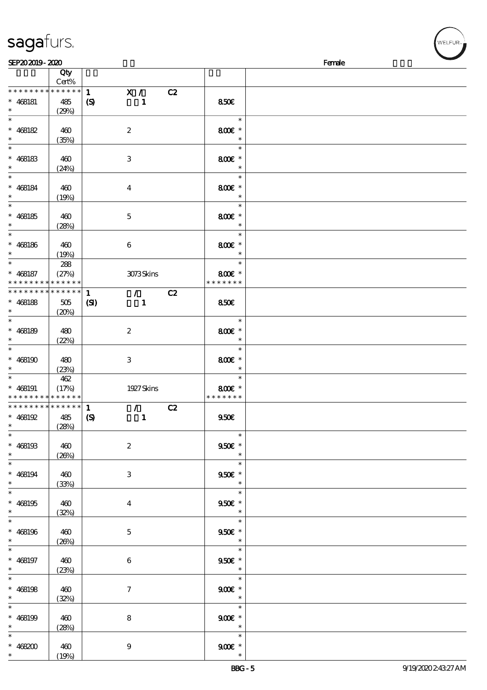|                                            | Cert%       |                                             |                    |  |
|--------------------------------------------|-------------|---------------------------------------------|--------------------|--|
| * * * * * * * *                            | ******      | $\mathbf{1}$<br>X /                         | C2                 |  |
|                                            |             |                                             |                    |  |
| $* 468181$                                 | 485         | $\boldsymbol{S}$<br>$\mathbf{1}$            | 850E               |  |
| $\ast$                                     | (29%)       |                                             |                    |  |
| $\ast$                                     |             |                                             | $\ast$             |  |
| $* 468182$                                 | 460         | $\boldsymbol{2}$                            | 800€ *             |  |
|                                            |             |                                             |                    |  |
| $\ast$                                     | (35%)       |                                             | $\ast$             |  |
|                                            |             |                                             | $\ast$             |  |
| $* 468183$                                 | 460         | 3                                           | 800€ *             |  |
| $\ast$                                     |             |                                             |                    |  |
|                                            | (24%)       |                                             |                    |  |
|                                            |             |                                             | $\ast$             |  |
| $* 468184$                                 | 460         | $\overline{4}$                              | 800€ *             |  |
| $\ast$                                     |             |                                             | $\ast$             |  |
|                                            | (19%)       |                                             |                    |  |
|                                            |             |                                             | $\ast$             |  |
| $* 468185$                                 | 460         | $\mathbf 5$                                 | 800€ *             |  |
| $*$                                        |             |                                             | $\ast$             |  |
|                                            | (28%)       |                                             |                    |  |
| $\ast$                                     |             |                                             | $\ast$             |  |
| $* 468186$                                 | 460         | 6                                           | 800€ *             |  |
| $\ast$                                     |             |                                             | $\ast$             |  |
|                                            | (19%)       |                                             |                    |  |
|                                            | 288         |                                             | $\ast$             |  |
| $* 468187$                                 | (27%)       | 3073Skins                                   | 800€ *             |  |
| * * * * * * * * * * * * * *                |             |                                             | * * * * * * *      |  |
|                                            |             |                                             |                    |  |
| * * * * * * * *                            | * * * * * * | $\mathbf{1}$<br>$\mathcal{F}$               | C2                 |  |
| $* 468188$                                 | 505         | $\mathbf{C}$<br>$\mathbf{1}$                | <b>850€</b>        |  |
| $*$                                        | (20%)       |                                             |                    |  |
| $\ast$                                     |             |                                             |                    |  |
|                                            |             |                                             | $\ast$             |  |
| $* 468189$                                 | 480         | $\boldsymbol{z}$                            | 800€ *             |  |
| $\ast$                                     | (22%)       |                                             | $\ast$             |  |
| $\overline{\ast}$                          |             |                                             | $\ast$             |  |
|                                            |             |                                             |                    |  |
| $* 468190$                                 | 480         | 3                                           | 800€ *             |  |
|                                            |             |                                             | $\ast$             |  |
|                                            |             |                                             |                    |  |
| $*$                                        | (23%)       |                                             |                    |  |
| $\ast$                                     | 462         |                                             | $\ast$             |  |
| $* 468191$                                 | (17%)       | 1927 Skins                                  | 800€ *             |  |
| * * * * * * * * <mark>* * * * * *</mark> * |             |                                             | * * * * * * *      |  |
| * * * * * * * * <mark>* * * * * * *</mark> |             |                                             |                    |  |
|                                            |             | $\mathcal{L} = \mathcal{L}$<br>$\mathbf{1}$ | C2                 |  |
| $* 468192$                                 | 485         | $\boldsymbol{\mathsf{(S)}}$<br>$\mathbf{1}$ | 950E               |  |
| $\ast$                                     | (28%)       |                                             |                    |  |
| $\ast$                                     |             |                                             | $\ast$             |  |
|                                            |             |                                             |                    |  |
| $* 468193$                                 | 460         | $\boldsymbol{2}$                            | $950E$ $^{\ast}$   |  |
| $\ast$                                     | (20%)       |                                             | $*$                |  |
| $*$                                        |             |                                             | $\ast$             |  |
|                                            |             |                                             |                    |  |
| $* 468194$                                 | 460         | $\ensuremath{\mathsf{3}}$                   | $950E *$           |  |
| $\ast$                                     | (33%)       |                                             | $\ast$             |  |
| $\overline{\ast}$                          |             |                                             | $\ast$             |  |
|                                            |             |                                             |                    |  |
| $* 468195$                                 | 460         | $\bf{4}$                                    | $950E$ *           |  |
| $\ast$                                     | (32%)       |                                             | $\ast$             |  |
| $\overline{\phantom{0}}$                   |             |                                             | $\ast$             |  |
|                                            |             |                                             |                    |  |
| $* 468196$                                 | 460         | $\mathbf{5}$                                | $950E$ *           |  |
| $\ast$                                     | (20%)       |                                             | $\ast$             |  |
| $*$                                        |             |                                             | $\ast$             |  |
|                                            |             |                                             |                    |  |
| $* 468197$                                 | 460         | 6                                           | $950E$ *<br>$\ast$ |  |
| $\ast$                                     | (23%)       |                                             |                    |  |
| $\ast$                                     |             |                                             | $\ast$             |  |
|                                            |             |                                             |                    |  |
| $* 468198$                                 | 460         | $\tau$                                      | $900E$ *<br>$\ast$ |  |
| $*$ $*$                                    | (32%)       |                                             |                    |  |
| $\overline{\ast}$                          |             |                                             | $\ast$             |  |
| $* 468199$                                 | 460         | ${\bf 8}$                                   | $900E$ $^{\ast}$   |  |
| $\ast$                                     |             |                                             | $\ast$             |  |
|                                            | (28%)       |                                             |                    |  |
| $*$                                        |             |                                             | $\ast$             |  |
| * $468200$                                 | 460         | $\boldsymbol{9}$                            | $900E$ $^{\ast}$   |  |

 $\overline{\phantom{a}}$ 

 $SEP202019 - 2020$  Female

说明 价格

## sagafurs.

顺序号 Qty

**VELFUR**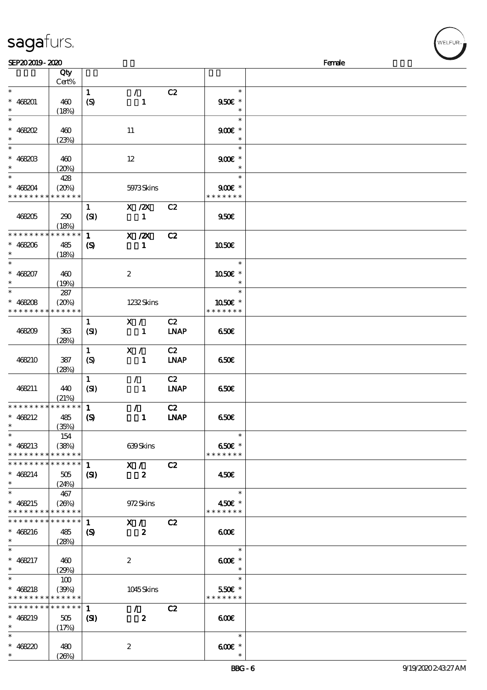|                 | Qty<br>Cert%    |                            |                            |             |                         |  |
|-----------------|-----------------|----------------------------|----------------------------|-------------|-------------------------|--|
| $\ast$          |                 |                            |                            |             | $\ast$                  |  |
|                 |                 | $\mathbf{1}$               | $\mathcal{F}^{\mathbb{R}}$ | C2          |                         |  |
| $* 468201$      | 460             | $\boldsymbol{S}$           | $\mathbf{1}$               |             | 950€ *<br>$\ast$        |  |
| $\ast$          | (18%)           |                            |                            |             | $\ast$                  |  |
|                 |                 |                            |                            |             |                         |  |
| $* 468202$      | 460             |                            | 11                         |             | $900$ $\epsilon$ *      |  |
| $\ast$          | (23%)           |                            |                            |             | $\ast$                  |  |
|                 |                 |                            |                            |             | $\ast$                  |  |
| $* 468203$      | 460             |                            | 12                         |             | $900E$ *                |  |
| $\ast$          | (20%)           |                            |                            |             | $\ast$                  |  |
| $\ddot{x}$      | 428             |                            |                            |             | $\ast$                  |  |
| $* 468204$      | (20%)           |                            | 5973Skins                  |             | $900E$ *                |  |
| * * * * * * * * | * * * * * *     |                            |                            |             | * * * * * * *           |  |
|                 |                 | $\mathbf{1}$               | $X$ / $ZX$                 | C2          |                         |  |
| 468205          | 290             | (SI)                       | $\mathbf{1}$               |             | 950E                    |  |
|                 | (18%)           |                            |                            |             |                         |  |
| * * * * * * * * | * * * * * *     | $\mathbf{1}$               | $X$ / $ZX$                 | C2          |                         |  |
| $* 468206$      | 485             | $\boldsymbol{\mathcal{S}}$ | $\mathbf{1}$               |             | 1050E                   |  |
| $\ast$          | (18%)           |                            |                            |             |                         |  |
| $\ast$          |                 |                            |                            |             | $\ast$                  |  |
| $* 468207$      | 460             |                            | $\boldsymbol{z}$           |             | 1050E *                 |  |
| $\ast$          | (19%)           |                            |                            |             | $\ast$                  |  |
| $\ast$          | 287             |                            |                            |             | $\ast$                  |  |
| $* 468208$      | (20%)           |                            | 1232Skins                  |             | 1050E *                 |  |
| * * * * * * * * | * * * * * *     |                            |                            |             | * * * * * * *           |  |
|                 |                 |                            | X /                        | C2          |                         |  |
|                 |                 | $\mathbf{1}$               |                            |             |                         |  |
| 468209          | $363$           | (SI)                       | $\mathbf{1}$               | <b>LNAP</b> | 650€                    |  |
|                 | (28%)           |                            |                            |             |                         |  |
|                 |                 | $\mathbf{1}$               | X /                        | C2          |                         |  |
| 468210          | 387             | $\boldsymbol{S}$           | $\mathbf{1}$               | <b>LNAP</b> | 650E                    |  |
|                 | (28%)           |                            |                            |             |                         |  |
|                 |                 | $\mathbf{1}$               | $\mathcal{F}$              | C2          |                         |  |
| 468211          | 440             | (SI)                       | $\mathbf{1}$               | <b>INAP</b> | 650E                    |  |
|                 | (21%)           |                            |                            |             |                         |  |
| * * * * * * * * | * * * * * *     | $\mathbf{1}$               | $\mathcal{T}$              | C2          |                         |  |
| * $468212$      | 485             | $\boldsymbol{S}$           | $\mathbf{1}$               | <b>INAP</b> | 650E                    |  |
|                 | (35%)           |                            |                            |             |                         |  |
| $\ast$          | 154             |                            |                            |             | $\ast$                  |  |
| $* 468213$      | (38%)           |                            | 639Skins                   |             | 650€ *                  |  |
| * * * * * * * * | * * * * * *     |                            |                            |             | * * * * * * *           |  |
| * * * * * * * * | * * * * * *     | $\mathbf{1}$               | X /                        | C2          |                         |  |
| $* 468214$      | 505             | $\mathbf{S}$               | $\boldsymbol{z}$           |             | 450€                    |  |
| $\ast$          | (24%)           |                            |                            |             |                         |  |
| $\ast$          | 467             |                            |                            |             | $\ast$                  |  |
| $* 468215$      | (26%)           |                            | 972Skins                   |             | 450€ *                  |  |
| * * * * * * * * | * * * * * *     |                            |                            |             | * * * * * * *           |  |
| * * * * * * * * | * * * * * *     | $\mathbf{1}$               | X /                        | C2          |                         |  |
| $* 468216$      | 485             | $\boldsymbol{\mathcal{S}}$ | $\boldsymbol{z}$           |             | 600                     |  |
| $\ast$          | (28%)           |                            |                            |             |                         |  |
| $\ast$          |                 |                            |                            |             | $\ast$                  |  |
| * $468217$      |                 |                            |                            |             |                         |  |
| $\ast$          | 460             |                            | $\boldsymbol{2}$           |             | $600E$ *<br>$\ast$      |  |
| $\ast$          | (29%)           |                            |                            |             | $\ast$                  |  |
|                 | 100             |                            |                            |             |                         |  |
| $* 468218$      | (30%)           |                            | $1045$ Skins               |             | 550€ *<br>* * * * * * * |  |
| * * * * * * * * | * * * * * *     |                            |                            |             |                         |  |
| * * * * * * * * | $* * * * * * *$ | $\mathbf{1}$               | $\mathcal{L}$              | C2          |                         |  |
| $* 468219$      | 505             | (S)                        | $\boldsymbol{z}$           |             | 600                     |  |
| $\ast$          | (17%)           |                            |                            |             |                         |  |
| $\ast$          |                 |                            |                            |             | $\ast$                  |  |
| $* 468220$      | 480             |                            | $\boldsymbol{2}$           |             | $600$ $*$               |  |
| $\ast$          | (20%)           |                            |                            |             | $\ast$                  |  |

 $SEP202019 - 2020$  Female

sagafurs.

**NELFUR**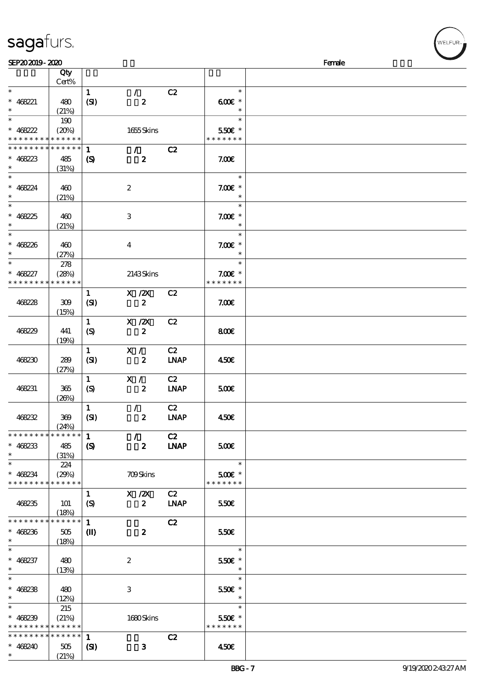| SEP202019-2020                                                          |                             |                                            |                                                                                                                    |                                  | Female                                           |  |
|-------------------------------------------------------------------------|-----------------------------|--------------------------------------------|--------------------------------------------------------------------------------------------------------------------|----------------------------------|--------------------------------------------------|--|
|                                                                         | Qty<br>Cert%                |                                            |                                                                                                                    |                                  |                                                  |  |
| $\ast$<br>$* 468221$<br>$\ast$                                          | 480<br>(21%)                | $\mathbf{1}$<br>(SI)                       | $\mathcal{L}$<br>$\boldsymbol{z}$                                                                                  | C2                               | $\ast$<br>$600$ $\varepsilon$ *<br>$\ast$        |  |
| $\overline{\phantom{a}}$<br>$* 468222$<br>* * * * * * * * * * * * * *   | 190<br>(20%)                |                                            | 1655Skins                                                                                                          |                                  | $\ast$<br>550€ *<br>* * * * * * *                |  |
| * * * * * * * * <mark>* * * * * *</mark> *<br>$* 468223$<br>$\ast$      | 485                         | $\mathbf{1}$<br>$\boldsymbol{\mathcal{S}}$ | $\mathcal{L}$<br>$\boldsymbol{z}$                                                                                  | C2                               | 7.00E                                            |  |
| $\ast$<br>$* 468224$<br>$\ast$                                          | (31%)<br>460<br>(21%)       |                                            | $\boldsymbol{2}$                                                                                                   |                                  | $\ast$<br>$7.00E$ *<br>$\ast$                    |  |
| $\ast$<br>$* 468225$<br>$\ast$                                          | 460<br>(21%)                |                                            | 3                                                                                                                  |                                  | $\ast$<br>$7.00E$ *<br>$\ast$                    |  |
| $\ast$<br>$* 468226$<br>$\ast$                                          | 460<br>(27%)                |                                            | $\bf{4}$                                                                                                           |                                  | $\ast$<br>$7.00E$ *                              |  |
| $\overline{\phantom{a}^*}$<br>$* 468227$<br>* * * * * * * *             | 278<br>(28%)<br>* * * * * * |                                            | 2143Skins                                                                                                          |                                  | $\ast$<br>$7.00E$ *<br>* * * * * * *             |  |
| 468228                                                                  | 309<br>(15%)                | $\mathbf{1}$<br>(SI)                       | $\boldsymbol{\mathrm{X}}$ / <b><math>\boldsymbol{\mathrm{Z}}\boldsymbol{\mathrm{X}}</math></b><br>$\boldsymbol{z}$ | C2                               | 7.006                                            |  |
| 468229                                                                  | 441<br>(19%)                | $\mathbf{1}$<br>$\boldsymbol{S}$           | $X$ / $ZX$<br>$\boldsymbol{z}$                                                                                     | C2                               | 800E                                             |  |
| 468230                                                                  | 289<br>(27%)                | $\mathbf{1}$<br>(SI)                       | X /<br>$\boldsymbol{z}$                                                                                            | C2<br>$\ensuremath{\text{INAP}}$ | 450E                                             |  |
| 468231                                                                  | 365<br>(20%)                | $\mathbf{1}$<br>$\boldsymbol{S}$           | X /<br>$\boldsymbol{z}$                                                                                            | C2<br><b>LNAP</b>                | 500€                                             |  |
| 468232                                                                  | 369<br>(24%)                | $\mathbf{1}$<br>(SI)                       | $\mathcal{L}$<br>$\boldsymbol{z}$                                                                                  | C2<br><b>LNAP</b>                | 450€                                             |  |
| ********<br>$* 468233$<br>$\ast$                                        | * * * * * *<br>485<br>(31%) | $\mathbf{1}$<br>$\mathbf{S}$               | $\mathcal{L}$<br>$\boldsymbol{z}$                                                                                  | C2<br><b>LNAP</b>                | 500€                                             |  |
| $\overline{\phantom{a}^*}$<br>$* 468234$<br>* * * * * * * * * * * * * * | 224<br>(29%)                |                                            | <b>709Skins</b>                                                                                                    |                                  | $\ast$<br>$500$ $\varepsilon$ *<br>* * * * * * * |  |
| 468235                                                                  | 101<br>(18%)                | $\mathbf{1}$<br>$\boldsymbol{S}$           | $X$ / $ZX$<br>$\boldsymbol{z}$                                                                                     | C2<br><b>LNAP</b>                | 550€                                             |  |
| * * * * * * * *<br>$* 468236$<br>$\ast$                                 | * * * * * *<br>505<br>(18%) | $\mathbf{1}$<br>$\mathbf{I}$               | $\boldsymbol{z}$                                                                                                   | C2                               | 550€                                             |  |
| $\ast$<br>$* 468237$<br>$\ast$                                          | 480<br>(13%)                |                                            | $\boldsymbol{2}$                                                                                                   |                                  | $\ast$<br>550€ *<br>$\ast$                       |  |
| $\ast$<br>$* 468238$<br>$\ast$                                          | 480<br>(12%)                |                                            | 3                                                                                                                  |                                  | $\ast$<br>550€ *<br>$\ast$                       |  |
| $\overline{\phantom{0}}$<br>$* 468239$<br>* * * * * * * * * * * * * *   | 215<br>(21%)                |                                            | 1680Skins                                                                                                          |                                  | $\ast$<br>550€ *<br>* * * * * * *                |  |
| * * * * * * * *<br>$* 468240$<br>$\ast$                                 | * * * * * *<br>505<br>(21%) | $\mathbf{1}$<br>$\mathbf{S}$               | $\mathbf{3}$                                                                                                       | C2                               | 450E                                             |  |

sagafurs.

WELFUR-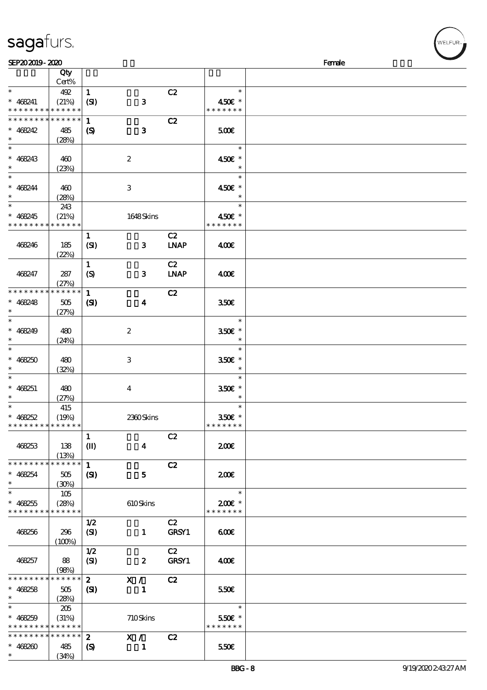| SEP202019-2020                           |                          |                            |                           |             |                          | Female |
|------------------------------------------|--------------------------|----------------------------|---------------------------|-------------|--------------------------|--------|
|                                          | Qty                      |                            |                           |             |                          |        |
|                                          | Cert%                    |                            |                           |             |                          |        |
| $\ast$                                   | 492                      | $\mathbf{1}$               |                           | C2          | $\ast$                   |        |
| $* 468241$                               | (21%)                    | (SI)                       | ${\bf 3}$                 |             | 450€ *                   |        |
| * * * * * * * *                          | * * * * * *              |                            |                           |             | * * * * * * *            |        |
| * * * * * * * *                          | * * * * * *              |                            |                           |             |                          |        |
|                                          |                          | $\mathbf{1}$               |                           | C2          |                          |        |
| $* 468242$                               | 485                      | $\boldsymbol{\mathcal{S}}$ | $\mathbf{3}$              |             | 500                      |        |
| $\ast$                                   | (28%)                    |                            |                           |             |                          |        |
| $*$                                      |                          |                            |                           |             | $\ast$                   |        |
| $* 468243$                               | 460                      |                            | $\boldsymbol{2}$          |             | 450€ *                   |        |
| $\ast$                                   | (23%)                    |                            |                           |             | $\ast$                   |        |
| $\ast$                                   |                          |                            |                           |             | $\ast$                   |        |
| $* 468244$                               | 460                      |                            | $\,3$                     |             | 450€ *                   |        |
| $\ast$                                   | (28%)                    |                            |                           |             | $\ast$                   |        |
| $\overline{\ast}$                        | 243                      |                            |                           |             | $\ast$                   |        |
|                                          |                          |                            |                           |             |                          |        |
| $* 468245$<br>* * * * * * * *            | (21%)<br>* * * * * *     |                            | 1648Skins                 |             | 450€ *<br>* * * * * * *  |        |
|                                          |                          |                            |                           |             |                          |        |
|                                          |                          | $\mathbf{1}$               |                           | C2          |                          |        |
| 468246                                   | 185                      | (SI)                       | 3                         | <b>LNAP</b> | 400                      |        |
|                                          | (22%)                    |                            |                           |             |                          |        |
|                                          |                          | $\mathbf{1}$               |                           | C2          |                          |        |
| 468247                                   | 287                      | (S)                        | $\mathbf{3}$              | <b>LNAP</b> | 400€                     |        |
|                                          | (27%)                    |                            |                           |             |                          |        |
| * * * * * * * *                          | * * * * * *              | $\mathbf{1}$               |                           | C2          |                          |        |
| $* 468248$                               | 505                      | $\mathbf{S}$               | $\boldsymbol{4}$          |             | 350 <sup>2</sup>         |        |
| $\ast$                                   | (27%)                    |                            |                           |             |                          |        |
| $\ast$                                   |                          |                            |                           |             | $\ast$                   |        |
| $* 468249$                               | 480                      |                            | $\boldsymbol{2}$          |             | 350€ *                   |        |
| $\ast$                                   | (24%)                    |                            |                           |             | $\ast$                   |        |
| $\ast$                                   |                          |                            |                           |             | $\ast$                   |        |
| $* 468250$                               | 480                      |                            | $\ensuremath{\mathbf{3}}$ |             | 350€ *                   |        |
| $\ast$                                   |                          |                            |                           |             | $\ast$                   |        |
| $\ast$                                   | (32%)                    |                            |                           |             | $\ast$                   |        |
|                                          |                          |                            |                           |             |                          |        |
| $* 468251$<br>$\ast$                     | 480                      |                            | $\boldsymbol{4}$          |             | 350€ *<br>$\ast$         |        |
| $*$                                      | (27%)                    |                            |                           |             | $\ast$                   |        |
|                                          | 415                      |                            |                           |             |                          |        |
| $* 468252$                               | (19%)                    |                            | 2360Skins                 |             | 350€ *                   |        |
| * * * * * * * * * * * * * *              |                          |                            |                           |             | * * * * * * *            |        |
|                                          |                          | $\mathbf{1}$               |                           | C2          |                          |        |
| 468253                                   | 138                      | $\mathbf{I}$               | $\boldsymbol{4}$          |             | 200E                     |        |
|                                          | (13%)                    |                            |                           |             |                          |        |
| * * * * * * * *                          | * * * * * *              | $\mathbf{1}$               |                           | C2          |                          |        |
| $* 468254$                               | 505                      | $\mathbf{C}$               | 5                         |             | 200                      |        |
| $\ast$                                   | (30%)                    |                            |                           |             |                          |        |
| $\ast$                                   | 105                      |                            |                           |             | $\overline{\phantom{a}}$ |        |
| $* 468255$                               | (28%)                    |                            | 610Skins                  |             | $200$ £ *                |        |
| * * * * * * * *                          | * * * * * *              |                            |                           |             | * * * * * * *            |        |
|                                          |                          | 1/2                        |                           | C2          |                          |        |
| 468256                                   | 296                      | (SI)                       | $\mathbf{1}$              | GRSY1       | 600                      |        |
|                                          |                          |                            |                           |             |                          |        |
|                                          | (100%)                   | 1/2                        |                           | C2          |                          |        |
|                                          |                          |                            |                           |             |                          |        |
| 468257                                   | 88                       | (SI)                       | $\boldsymbol{z}$          | GRSY1       | 400                      |        |
| * * * * * * * *                          | (98%)<br>$* * * * * * *$ |                            |                           |             |                          |        |
|                                          |                          | $\mathbf{2}$               | X /                       | C2          |                          |        |
| $* 468258$                               | 505                      | (S)                        | $\mathbf{1}$              |             | 550E                     |        |
| $\ast$                                   | (28%)                    |                            |                           |             |                          |        |
| $\ast$                                   | 205                      |                            |                           |             | $\ast$                   |        |
| $* 468259$                               | (31%)                    |                            | 710Skins                  |             | 550€ *                   |        |
| * * * * * * * * <mark>* * * * * *</mark> |                          |                            |                           |             | * * * * * * *            |        |
| * * * * * * * *                          | * * * * * *              | $\boldsymbol{z}$           | X /                       | C2          |                          |        |
| $* 468260$                               | 485                      | $\boldsymbol{\mathcal{S}}$ | 1                         |             | 550E                     |        |
| $\ast$                                   | (34%)                    |                            |                           |             |                          |        |

# sagafurs.

WELFUR-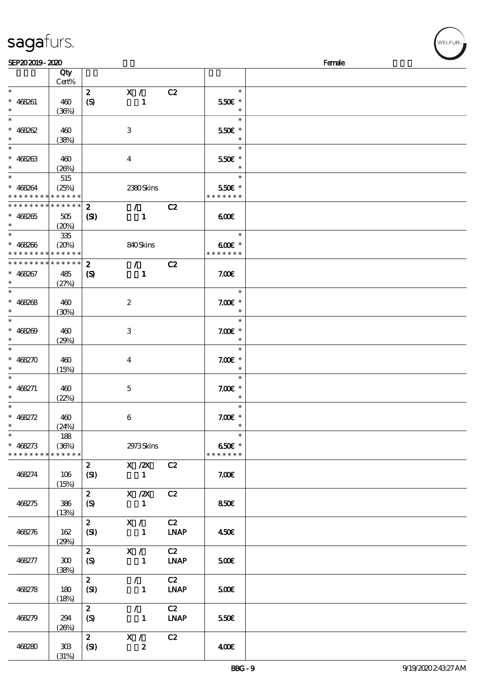| sagafurs. |
|-----------|
|           |

(31%)

| SEP202019-2020                |             |                             |                                 |             |               | Female |
|-------------------------------|-------------|-----------------------------|---------------------------------|-------------|---------------|--------|
|                               | Qty         |                             |                                 |             |               |        |
|                               | Cert%       |                             |                                 |             |               |        |
| $\ast$                        |             | $\mathbf{z}$                | X /                             | C2          | $\ast$        |        |
| $* 468261$                    | 460         | (S)                         | $\mathbf{1}$                    |             | 550€ *        |        |
| $\ast$                        |             |                             |                                 |             |               |        |
| $\ast$                        | (36%)       |                             |                                 |             | $\ast$        |        |
|                               |             |                             |                                 |             |               |        |
| $* 468262$                    | 460         |                             | $\,3$                           |             | 550€ *        |        |
| $\ast$                        | (38%)       |                             |                                 |             | $\ast$        |        |
| $\ast$                        |             |                             |                                 |             | $\ast$        |        |
| $* 468263$                    | 460         |                             | $\bf{4}$                        |             | 550€ *        |        |
| $\ast$                        | (20%)       |                             |                                 |             |               |        |
| $\overline{\ast}$             | 515         |                             |                                 |             | $\ast$        |        |
|                               |             |                             |                                 |             |               |        |
| $* 468264$                    | (25%)       |                             | 2380Skins                       |             | 550€ *        |        |
| * * * * * * * * * * * * * *   |             |                             |                                 |             | * * * * * * * |        |
| * * * * * * * * * * * * * * * |             | $\mathbf{2}$                | $\mathcal{T}=\mathcal{I}$       | C2          |               |        |
| $* 468265$                    | 505         | $\mathbf{S}$                | $\mathbf{1}$                    |             | 600           |        |
| $\ast$                        | (20%)       |                             |                                 |             |               |        |
| $\overline{\ast}$             | 335         |                             |                                 |             | $\ast$        |        |
| $* 468266$                    | (20%)       |                             | 840Skins                        |             | $600$ $*$     |        |
| * * * * * * * * * * * * * *   |             |                             |                                 |             | * * * * * * * |        |
| * * * * * * * * * * * * * *   |             |                             |                                 |             |               |        |
|                               |             | $\mathbf{z}$                | $\mathcal{L}$ and $\mathcal{L}$ | C2          |               |        |
| $* 468267$                    | 485         | $\boldsymbol{\mathrm{(S)}}$ | $\mathbf{1}$                    |             | 7.00E         |        |
| $\ast$                        | (27%)       |                             |                                 |             |               |        |
| $\overline{\ast}$             |             |                             |                                 |             | $\ast$        |        |
| $* 468268$                    | 460         |                             | $\boldsymbol{z}$                |             | $7.00E$ *     |        |
| $\ast$                        | (30%)       |                             |                                 |             | $\ast$        |        |
| $\ast$                        |             |                             |                                 |             | $\ast$        |        |
|                               |             |                             |                                 |             |               |        |
| $* 468209$                    | 460         |                             | $\,3$                           |             | $7.00E$ *     |        |
| $\ast$                        | (29%)       |                             |                                 |             | $\ast$        |        |
| $\ast$                        |             |                             |                                 |             | $\ast$        |        |
| $* 468270$                    | 460         |                             | $\bf{4}$                        |             | $7.00E$ *     |        |
| $\ast$                        | (15%)       |                             |                                 |             | $\ast$        |        |
| $\ast$                        |             |                             |                                 |             | $\ast$        |        |
| $* 468271$                    | 460         |                             | $\mathbf 5$                     |             | $7.00E$ *     |        |
| $\ast$                        | (22%)       |                             |                                 |             | $\ast$        |        |
| $\ast$                        |             |                             |                                 |             | $\ast$        |        |
|                               |             |                             |                                 |             |               |        |
| $* 468272$                    | 460         |                             | 6                               |             | $7.00E$ *     |        |
| $*$                           | (24%)       |                             |                                 |             | $\ast$        |        |
| $\ast$                        | 188         |                             |                                 |             | $\ast$        |        |
| $* 468273$                    | (36%)       |                             | 2973Skins                       |             | 650€ *        |        |
| * * * * * * * *               | * * * * * * |                             |                                 |             | * * * * * * * |        |
|                               |             | $\mathbf{2}$                | X / ZX C2                       |             |               |        |
|                               |             |                             |                                 |             |               |        |
| 468274                        | 106         | (SI)                        | $\mathbf{1}$                    |             | 7.00E         |        |
|                               | (15%)       |                             |                                 |             |               |        |
|                               |             | $\mathbf{2}$                | $X$ / $ZX$                      | C2          |               |        |
| 468275                        | 386         | (S)                         | $\mathbf{1}$                    |             | 850E          |        |
|                               | (13%)       |                             |                                 |             |               |        |
|                               |             | $\mathbf{2}$                | X /                             | C2          |               |        |
| 468276                        | 162         | (SI)                        | $\mathbf{1}$                    | <b>LNAP</b> | 450E          |        |
|                               | (29%)       |                             |                                 |             |               |        |
|                               |             | $\mathbf{2}$                | X /                             | C2          |               |        |
|                               |             |                             |                                 |             |               |        |
| 468277                        | 300         | (S)                         | $\blacksquare$                  | <b>LNAP</b> | 500           |        |
|                               | (38%)       |                             |                                 |             |               |        |
|                               |             | $\mathbf{z}$                | $\mathcal{L}$                   | C2          |               |        |
| 468278                        | 180         | (SI)                        | $\mathbf{1}$                    | <b>LNAP</b> | 500           |        |
|                               | (18%)       |                             |                                 |             |               |        |
|                               |             | $\mathbf{z}$                | $\mathcal{L}$                   | C2          |               |        |
|                               |             |                             |                                 | <b>LNAP</b> |               |        |
| 468279                        | 294         | $\boldsymbol{S}$            | $\mathbf{1}$                    |             | 550E          |        |
|                               | (20%)       |                             |                                 |             |               |        |
|                               |             | $\mathbf{2}$                | X / C2                          |             |               |        |
| 468280                        | 308         | (SI)                        | $\boldsymbol{z}$                |             | 400           |        |

ELFUR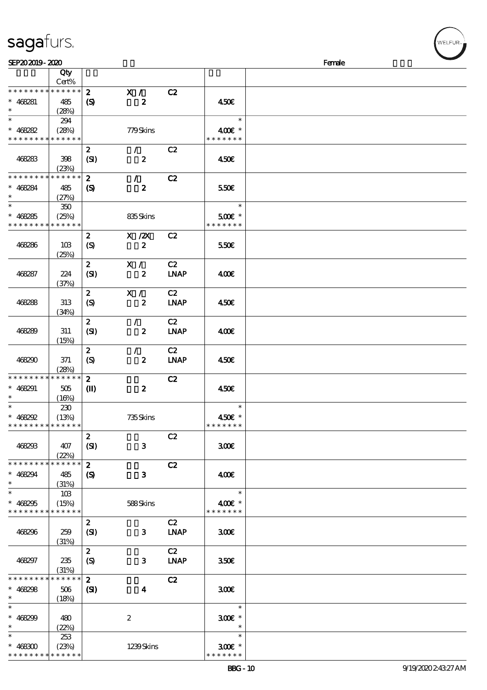## sagafurs.

\* \* \* \* \* \* \* \* \* \* \* \*

| SEP202019-2020              |                      |                            |                         |                |                       | Female |
|-----------------------------|----------------------|----------------------------|-------------------------|----------------|-----------------------|--------|
|                             | Qty                  |                            |                         |                |                       |        |
|                             | Cert%                |                            |                         |                |                       |        |
| * * * * * * * * * * * * * * |                      | $\boldsymbol{z}$           | X /                     | C2             |                       |        |
| $* 468281$                  | 485                  | $\boldsymbol{\mathcal{S}}$ | $\boldsymbol{z}$        |                | 450€                  |        |
| $\ast$                      | (28%)                |                            |                         |                |                       |        |
| $\ast$                      | 294                  |                            |                         |                | $\ast$                |        |
|                             |                      |                            |                         |                |                       |        |
| $* 468282$                  | (28%)                |                            | 779Skins                |                | 400€ *                |        |
| * * * * * * * * * * * * * * |                      |                            |                         |                | * * * * * * *         |        |
|                             |                      | $\boldsymbol{z}$           | $\mathcal{L}$           | C2             |                       |        |
| 468283                      | 398                  | (SI)                       | $\boldsymbol{z}$        |                | 450€                  |        |
|                             | (23%)                |                            |                         |                |                       |        |
| * * * * * * * *             | * * * * * *          | $\boldsymbol{z}$           | $\mathcal{L}$           | C2             |                       |        |
| $* 468284$                  | 485                  | (S)                        | $\boldsymbol{z}$        |                | 550€                  |        |
| $\ast$                      | (27%)                |                            |                         |                |                       |        |
| $\ast$                      | $350\,$              |                            |                         |                | $\ast$                |        |
| $* 468285$                  |                      |                            |                         |                | $500E$ *              |        |
| * * * * * * * *             | (25%)<br>* * * * * * |                            | 835Skins                |                | * * * * * * *         |        |
|                             |                      |                            |                         |                |                       |        |
|                             |                      | $\boldsymbol{2}$           | $X$ / $ZX$              | C <sub>2</sub> |                       |        |
| 468286                      | 10B                  | $\boldsymbol{S}$           | $\boldsymbol{z}$        |                | 550€                  |        |
|                             | (25%)                |                            |                         |                |                       |        |
|                             |                      | $\boldsymbol{z}$           | X /                     | C2             |                       |        |
| 468287                      | 224                  | (SI)                       | $\boldsymbol{z}$        | <b>LNAP</b>    | 400                   |        |
|                             | (37%)                |                            |                         |                |                       |        |
|                             |                      | $\boldsymbol{z}$           | X /                     | C2             |                       |        |
|                             |                      |                            |                         |                |                       |        |
| 468288                      | 313                  | $\boldsymbol{S}$           | $\boldsymbol{z}$        | <b>LNAP</b>    | 450E                  |        |
|                             | (34%)                |                            |                         |                |                       |        |
|                             |                      | $\boldsymbol{z}$           | $\mathcal{L}$           | C2             |                       |        |
| 468289                      | 311                  | (SI)                       | $\boldsymbol{z}$        | <b>LNAP</b>    | 400                   |        |
|                             | (15%)                |                            |                         |                |                       |        |
|                             |                      | $\boldsymbol{z}$           | $\mathcal{F}$           | C2             |                       |        |
| 468290                      | 371                  | (S)                        | $\boldsymbol{z}$        | <b>LNAP</b>    | 450€                  |        |
|                             | (28%)                |                            |                         |                |                       |        |
| * * * * * * * *             | * * * * * *          | $\mathbf{z}$               |                         | C2             |                       |        |
| $* 468291$                  | 505                  | $\mathbf{I}$               | $\boldsymbol{z}$        |                | 450E                  |        |
| $\ast$                      | (16%)                |                            |                         |                |                       |        |
| $\ast$                      |                      |                            |                         |                | $\ast$                |        |
|                             | 230                  |                            |                         |                |                       |        |
| $* 468292$                  | (13%)                |                            | 735Skins                |                | 450€ *                |        |
| * * * * * * * * * * * * * * |                      |                            |                         |                | * * * * * * *         |        |
|                             |                      | $\boldsymbol{z}$           |                         | C2             |                       |        |
| 468293                      | 407                  | (SI)                       | $\mathbf{3}$            |                | 300E                  |        |
|                             | (22%)                |                            |                         |                |                       |        |
| * * * * * * * *             | * * * * * *          | $\mathbf{z}$               |                         | C2             |                       |        |
| $* 468294$                  | 485                  | (S)                        | $\mathbf{3}$            |                | 400€                  |        |
| $\ast$                      | (31%)                |                            |                         |                |                       |        |
| $\ast$                      | 10B                  |                            |                         |                | $\ast$                |        |
|                             |                      |                            |                         |                |                       |        |
| $* 468295$                  | (15%)                |                            | 588Skins                |                | 400€ *                |        |
| * * * * * * * *             | * * * * * *          |                            |                         |                | * * * * * * *         |        |
|                             |                      | $\boldsymbol{z}$           |                         | C2             |                       |        |
| 468296                      | 259                  | (SI)                       | $\mathbf{3}$            | <b>LNAP</b>    | 300                   |        |
|                             | (31%)                |                            |                         |                |                       |        |
|                             |                      | $\mathbf{2}$               |                         | C2             |                       |        |
| 468297                      | 235                  | $\boldsymbol{S}$           | 3                       | <b>LNAP</b>    | 350 <sup>2</sup>      |        |
|                             | (31%)                |                            |                         |                |                       |        |
| * * * * * * * *             | * * * * * *          | $\mathbf{z}$               |                         | C2             |                       |        |
| $* 468298$                  | 506                  |                            |                         |                | 300                   |        |
| $\ast$                      |                      | (S)                        | $\overline{\mathbf{4}}$ |                |                       |        |
|                             | (18%)                |                            |                         |                |                       |        |
| $\ast$                      |                      |                            |                         |                | $\ast$                |        |
| $* 468299$                  | 480                  |                            | $\boldsymbol{2}$        |                | $300E$ *              |        |
| $\ast$                      | (22%)                |                            |                         |                | $\ast$                |        |
| $\ast$                      | 253                  |                            |                         |                | $\ast$                |        |
| $* 468300$                  | (23%)                |                            | 1239Skins               |                | $300$ $\varepsilon$ * |        |

\* \* \* \* \* \*

WELFUR-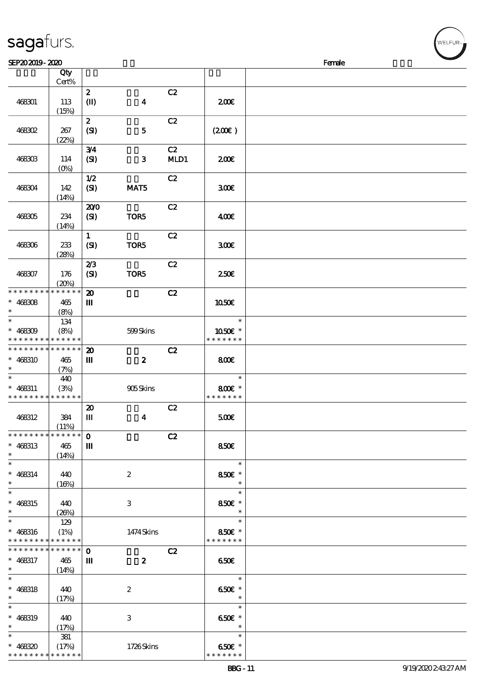|                                                               |                            | $\boldsymbol{z}$            |                  | C2   |                                    |  |
|---------------------------------------------------------------|----------------------------|-----------------------------|------------------|------|------------------------------------|--|
| 468301                                                        | 113<br>(15%)               | $\mathbf{I}$                | $\boldsymbol{4}$ |      | 200                                |  |
|                                                               |                            | $\boldsymbol{z}$            |                  | C2   |                                    |  |
| <b>468302</b>                                                 | 267                        | (SI)                        | ${\bf 5}$        |      | (200)                              |  |
|                                                               | (22%)                      |                             |                  |      |                                    |  |
|                                                               |                            | 3/4                         |                  | C2   |                                    |  |
| 468303                                                        | 114<br>$(0\%)$             | (SI)                        | $\mathbf{3}$     | MLD1 | 200                                |  |
|                                                               |                            | 1/2                         |                  | C2   |                                    |  |
| 468304                                                        | 142                        | (SI)                        | MAT5             |      | 300                                |  |
|                                                               | (14%)                      |                             |                  |      |                                    |  |
|                                                               |                            | 200                         |                  | C2   |                                    |  |
| $468305$                                                      | 234                        | (SI)                        | TOR5             |      | 400€                               |  |
|                                                               | (14%)                      | $\mathbf{1}$                |                  | C2   |                                    |  |
| 468306                                                        | 233                        | (SI)                        | TOR5             |      | 300                                |  |
|                                                               | (28%)                      |                             |                  |      |                                    |  |
|                                                               |                            | 2/3                         |                  | C2   |                                    |  |
| 468307                                                        | 176                        | (SI)                        | TOR5             |      | 250E                               |  |
| * * * * * * * *                                               | (20%)<br>* * * * * *       | $\boldsymbol{\mathbf{z}}$   |                  | C2   |                                    |  |
| $* 468308$                                                    | 465                        | Ш                           |                  |      | 1050E                              |  |
| $\ast$                                                        | (8%)                       |                             |                  |      |                                    |  |
| $\ast$                                                        | 134                        |                             |                  |      | $\ast$                             |  |
| $* 468309$                                                    | (8%)                       |                             | 599Skins         |      | 1050E *                            |  |
| * * * * * * * * <mark>* * * * * * *</mark><br>* * * * * * * * | * * * * * *                | $\boldsymbol{\mathfrak{D}}$ |                  | C2   | * * * * * * *                      |  |
| $* 468310$                                                    | 465                        | Ш                           | $\boldsymbol{z}$ |      | 800€                               |  |
| $\ast$                                                        | (7%)                       |                             |                  |      |                                    |  |
| $\ast$                                                        | 440                        |                             |                  |      | $\ast$                             |  |
| $* 468311$                                                    | (3%)                       |                             | 905Skins         |      | 800€ *                             |  |
| * * * * * * * * <mark>* * * * * *</mark>                      |                            | $\boldsymbol{\mathbf{z}}$   |                  | C2   | * * * * * * *                      |  |
| 468312                                                        | 384                        | Ш                           | $\boldsymbol{4}$ |      | 500                                |  |
|                                                               | (11%)                      |                             |                  |      |                                    |  |
| * * * * * * * *                                               | $\ast\ast\ast\ast\ast\ast$ | $\mathbf 0$                 |                  | C2   |                                    |  |
| $* 468313$                                                    | 465                        | $\mathbf{m}$                |                  |      | 850€                               |  |
| $\ast$<br>$\ast$                                              | (14%)                      |                             |                  |      | $\ast$                             |  |
| $* 468314$                                                    | 440                        |                             | $\boldsymbol{2}$ |      | 850€ *                             |  |
| $\ast$                                                        | (16%)                      |                             |                  |      | $\ast$                             |  |
| $\ast$                                                        |                            |                             |                  |      | $\ast$                             |  |
| $* 468315$                                                    | 440                        |                             | 3                |      | 850€ *                             |  |
| $\ast$<br>$\ast$                                              | (20%)<br>129               |                             |                  |      | $\ast$<br>$\ast$                   |  |
| $* 468316$                                                    | (1%)                       |                             | 1474 Skins       |      | 850€ *                             |  |
| * * * * * * * * <mark>* * * * * * *</mark>                    |                            |                             |                  |      | * * * * * * *                      |  |
| * * * * * * * *                                               | $* * * * * * *$            | $\mathbf 0$                 |                  | C2   |                                    |  |
| $* 468317$                                                    | 465                        | Ш                           | $\boldsymbol{z}$ |      | 650E                               |  |
| $\star$<br>$\ast$                                             | (14%)                      |                             |                  |      | $ *$                               |  |
| $* 468318$                                                    | 440                        |                             | $\boldsymbol{2}$ |      | 650 $\varepsilon$ *                |  |
| $\ast$                                                        | (17%)                      |                             |                  |      | $\overline{\phantom{a}}$           |  |
| $\ast$                                                        |                            |                             |                  |      | $\ast$                             |  |
| $* 468319$                                                    | 440                        |                             | 3                |      | 650€ *                             |  |
| $\ast$<br>$\ast$                                              | (17%)                      |                             |                  |      | $\overline{\phantom{a}}$<br>$\ast$ |  |
| $* 468320$                                                    | 381<br>(17%)               |                             | 1726Skins        |      | 650€ *                             |  |
|                                                               |                            |                             |                  |      |                                    |  |

 $SEP202019 - 2020$  Female

说明 价格

## sagafurs.

顺序号 Qty

\* \* \* \* \* \* \* \* \* \* \* \*

\*

Cert%

WELFUR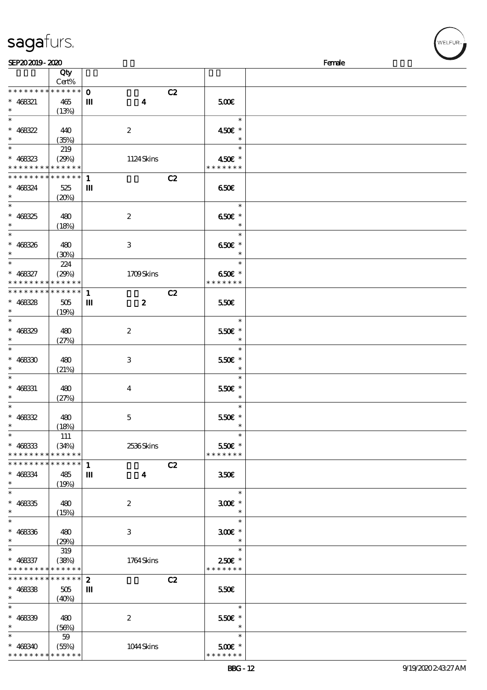|                                            | Qty                        |                                  |                         |  |
|--------------------------------------------|----------------------------|----------------------------------|-------------------------|--|
|                                            | Cert%                      |                                  |                         |  |
| * * * * * * * *                            | * * * * * *                | $\mathbf 0$                      | C2                      |  |
| $* 468321$                                 | 465                        | $\boldsymbol{4}$<br>Ш            | 500                     |  |
| $\ast$                                     | (13%)                      |                                  |                         |  |
| $\ast$                                     |                            |                                  | $\overline{\mathbf{r}}$ |  |
| $* 468322$                                 | 440                        | $\boldsymbol{z}$                 | 450€ *                  |  |
| $\ast$                                     | (35%)                      |                                  | $\ast$                  |  |
| $\ast$                                     |                            |                                  | $\ast$                  |  |
|                                            | 219                        |                                  |                         |  |
| $* 468323$                                 | (29%)                      | 1124Skins                        | 450€ *                  |  |
| * * * * * * * * <mark>* * * * * *</mark> * |                            |                                  | * * * * * * *           |  |
| * * * * * * * *                            | $\ast\ast\ast\ast\ast\ast$ | $\mathbf{1}$                     | C2                      |  |
| $* 468324$                                 | 525                        | Ш                                | 650E                    |  |
| $\ast$                                     | (20%)                      |                                  |                         |  |
| $\ast$                                     |                            |                                  | $\ast$                  |  |
|                                            |                            |                                  |                         |  |
| $* 468325$                                 | 480                        | $\boldsymbol{2}$                 | 650€ *                  |  |
| $\ast$                                     | (18%)                      |                                  | $\ast$                  |  |
| $\ast$                                     |                            |                                  | $\ast$                  |  |
| $* 468326$                                 | 480                        | 3                                | 650€ *                  |  |
| $\ast$                                     | (30%)                      |                                  |                         |  |
| $\overline{\ast}$                          | 224                        |                                  | $\ast$                  |  |
| $* 468327$                                 | (29%)                      | 1709Skins                        | 650€ *                  |  |
| * * * * * * * *                            | * * * * * *                |                                  | * * * * * * *           |  |
|                                            |                            |                                  |                         |  |
| * * * * * * * *                            | * * * * * *                | $\mathbf{1}$                     | C2                      |  |
| $* 468328$                                 | 505                        | $\boldsymbol{z}$<br>$\mathbf{m}$ | 550€                    |  |
| $\ast$                                     | (19%)                      |                                  |                         |  |
| $\ast$                                     |                            |                                  | $\ast$                  |  |
| $* 468329$                                 | 480                        | $\boldsymbol{2}$                 | $550$ £ *               |  |
| $\ast$                                     |                            |                                  | $\ast$                  |  |
| $\overline{\ast}$                          | (27%)                      |                                  | $\ast$                  |  |
|                                            |                            |                                  |                         |  |
| $* 46830$                                  | 480                        | 3                                | 550€ *                  |  |
| $\ast$                                     | (21%)                      |                                  | $\ast$                  |  |
| $\ast$                                     |                            |                                  | $\ast$                  |  |
| $* 468331$                                 | 480                        | $\bf{4}$                         | 550€ *                  |  |
| $\ast$                                     | (27%)                      |                                  | $\ast$                  |  |
| $\ast$                                     |                            |                                  | $\ast$                  |  |
|                                            |                            |                                  |                         |  |
| $* 468332$<br>$\ast$                       | 480                        | $\mathbf 5$                      | 550€ *                  |  |
|                                            | (18%)                      |                                  |                         |  |
| $\ast$                                     | <b>111</b>                 |                                  | $\ast$                  |  |
| $* 468333$                                 | (34%)                      | 2536Skins                        | 550€ *                  |  |
| * * * * * * * * * * * * * *                |                            |                                  | * * * * * * *           |  |
| * * * * * * * *                            | * * * * * *                | $\mathbf{1}$                     | C2                      |  |
| $* 468334$                                 | 485                        | Ш<br>$\boldsymbol{4}$            | 350 <sup>2</sup>        |  |
| $\ast$                                     | (19%)                      |                                  |                         |  |
| $\ast$                                     |                            |                                  | $\ast$                  |  |
|                                            |                            |                                  |                         |  |
| $* 46835$                                  | 480                        | $\boldsymbol{2}$                 | $300$ $\epsilon$ *      |  |
| $\ast$                                     | (15%)                      |                                  | $\ast$                  |  |
| $\overline{\ast}$                          |                            |                                  | $\ast$                  |  |
| $* 46836$                                  | 480                        | 3                                | $300E$ *                |  |
| $\ast$                                     | (29%)                      |                                  | $\ast$                  |  |
| $\ast$                                     | 319                        |                                  | $\ast$                  |  |
|                                            | (38%)                      |                                  | $250E$ *                |  |
| $* 468337$<br>* * * * * * * *              | * * * * * *                | 1764Skins                        | * * * * * * *           |  |
|                                            |                            |                                  |                         |  |
| * * * * * * *                              | * * * * * *                | $\boldsymbol{z}$                 | C2                      |  |
| $* 468338$                                 | 505                        | Ш                                | 550€                    |  |
| $\ast$                                     | (40%)                      |                                  |                         |  |
| $\ast$                                     |                            |                                  | $\ast$                  |  |
| $* 468339$                                 | 480                        | $\boldsymbol{2}$                 | 550€ *                  |  |
| $\ast$                                     | (56%)                      |                                  | $\ast$                  |  |
| $\ast$                                     | $59\,$                     |                                  | $\ast$                  |  |
|                                            |                            |                                  |                         |  |
| $* 468340$                                 | (55%)                      | 1044Skins                        | $500E$ *                |  |

 $SEP202019 - 2020$  Female

## sagafurs.

\*\* <sup>468340</sup> \* \* \* \* \* \*

\* \* \* \* \* \* \* \*

(55%) 1044 Skins

\* \* \* \* \* \*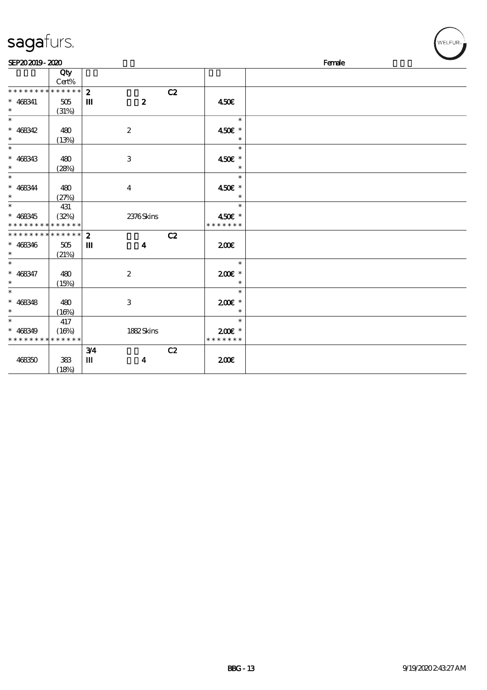| sagafurs.                   |                       |                  |                  |    |               | .<br>WELFUR <sub>™I</sub> |
|-----------------------------|-----------------------|------------------|------------------|----|---------------|---------------------------|
| SEP202019-2020              |                       |                  |                  |    |               | Female                    |
|                             | Qty<br>Cert%          |                  |                  |    |               |                           |
| * * * * * * * * * * * * * * |                       | $\mathbf{z}$     |                  |    |               |                           |
|                             |                       |                  |                  | C2 |               |                           |
| $* 468341$<br>$\ast$        | $505\,$               | $\mathbf m$      | $\boldsymbol{z}$ |    | 450€          |                           |
| $\ast$                      | (31%)                 |                  |                  |    |               |                           |
|                             |                       |                  |                  |    | $\ast$        |                           |
| $* 468342$                  | 480                   |                  | $\boldsymbol{2}$ |    | 450€ *        |                           |
| $\ast$                      | (13%)                 |                  |                  |    | $\ast$        |                           |
| $\ast$                      |                       |                  |                  |    | $\ast$        |                           |
| $* 468343$                  | 480                   |                  | $\,3$            |    | 450€ *        |                           |
| $\ast$                      | (28%)                 |                  |                  |    | $\ast$        |                           |
| $\ast$                      |                       |                  |                  |    | $\ast$        |                           |
| $* 468344$                  | 480                   |                  | $\boldsymbol{4}$ |    | 450€ *        |                           |
| $\ast$                      | (27%)                 |                  |                  |    |               |                           |
| $\ast$                      | 431                   |                  |                  |    | $\ast$        |                           |
| $* 468345$                  | (32%)                 |                  | 2376Skins        |    | 450€ *        |                           |
|                             | * * * * * * * * * * * |                  |                  |    | * * * * * * * |                           |
| * * * * * * * * * * * * * * |                       | $\boldsymbol{z}$ |                  | C2 |               |                           |
| $* 468346$                  | 505                   | Ш                | $\boldsymbol{4}$ |    | 200           |                           |
| $\ast$                      | (21%)                 |                  |                  |    |               |                           |
| $\ast$                      |                       |                  |                  |    | $\ast$        |                           |
| $* 468347$                  | 480                   |                  | $\boldsymbol{2}$ |    | $200E$ *      |                           |
| $\ast$                      | (15%)                 |                  |                  |    | $\ast$        |                           |
| $\ast$                      |                       |                  |                  |    | $\ast$        |                           |
| $* 468348$                  | 480                   |                  | $\,3$            |    | $200E$ *      |                           |
| $\ast$                      | (16%)                 |                  |                  |    | $\ast$        |                           |
| $\ast$                      | 417                   |                  |                  |    | $\ast$        |                           |
| $* 468349$                  | (16%)                 |                  | 1882Skins        |    | $200E$ *      |                           |
| * * * * * * * * * * * * * * |                       |                  |                  |    | * * * * * * * |                           |
|                             |                       | 3/4              |                  | C2 |               |                           |
| 468350                      | 383                   | Ш                | $\boldsymbol{4}$ |    | 200E          |                           |
|                             | (18%)                 |                  |                  |    |               |                           |
|                             |                       |                  |                  |    |               |                           |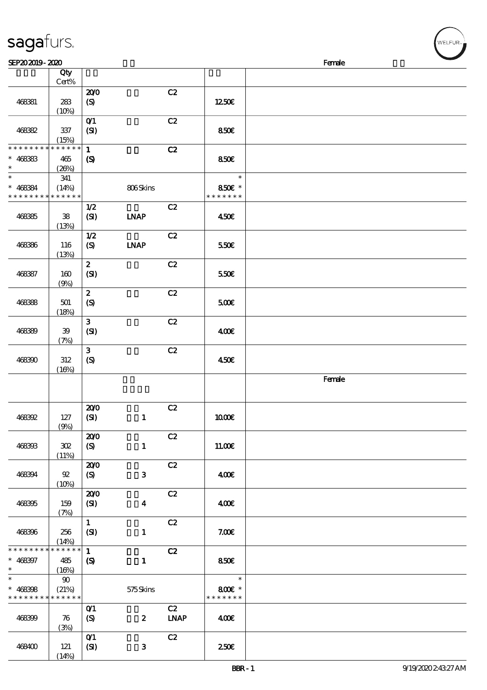|                                                          | Qty<br>Cert%               |                                    |                  |             |                         |        |
|----------------------------------------------------------|----------------------------|------------------------------------|------------------|-------------|-------------------------|--------|
|                                                          |                            | 200                                |                  | C2          |                         |        |
| 468381                                                   | ${\bf 2\!}$<br>(10%)       | $\boldsymbol{\mathrm{(S)}}$        |                  |             | 1250€                   |        |
|                                                          |                            | $O$ $1$                            |                  | C2          |                         |        |
| 46882                                                    | 337<br>(15%)               | (SI)                               |                  |             | 850€                    |        |
| * * * * * * * *                                          | $* * * * * * *$            | $\mathbf{1}$                       |                  | C2          |                         |        |
| $* 468383$<br>$\ast$                                     | 465<br>(20%)               | $\boldsymbol{\mathcal{S}}$         |                  |             | 850€                    |        |
| $\ast$                                                   | 341                        |                                    |                  |             | $\ast$                  |        |
| $* 468384$<br>* * * * * * * *                            | (14%)<br>* * * * * *       |                                    | 806Skins         |             | 850€ *<br>* * * * * * * |        |
|                                                          |                            | 1/2                                |                  | C2          |                         |        |
| 468385                                                   | ${\bf 38}$<br>(13%)        | (SI)                               | <b>LNAP</b>      |             | 450E                    |        |
|                                                          |                            | 1/2                                |                  | C2          |                         |        |
| 468386                                                   | 116<br>(13%)               | $\boldsymbol{\mathrm{(S)}}$        | <b>INAP</b>      |             | 550€                    |        |
|                                                          |                            | $\boldsymbol{z}$                   |                  | C2          |                         |        |
| 468387                                                   | 160<br>(9%)                | (SI)                               |                  |             | 550€                    |        |
|                                                          |                            | $\boldsymbol{z}$                   |                  | C2          |                         |        |
| 468388                                                   | 501<br>(18%)               | (S)                                |                  |             | 5000                    |        |
|                                                          |                            | $\mathbf{3}$                       |                  | C2          |                         |        |
| 468399                                                   | $39\,$<br>(7%)             | (SI)                               |                  |             | 400€                    |        |
|                                                          |                            | $\mathbf{3}$                       |                  | C2          |                         |        |
| 468390                                                   | $312\,$<br>(16%)           | (S)                                |                  |             | 450€                    |        |
|                                                          |                            |                                    |                  |             |                         | Female |
|                                                          |                            | 200                                |                  | C2          |                         |        |
| 468392                                                   | $127$<br>(9%)              | (SI)                               | $\mathbf{1}$     |             | 1000E                   |        |
|                                                          |                            | 200                                |                  | C2          |                         |        |
| 468393                                                   | $30\!\mathrm{Z}$<br>(11%)  | $\boldsymbol{\mathrm{(S)}}$        | $\mathbf{1}$     |             | 11.00E                  |        |
|                                                          |                            | 200                                |                  | C2          |                         |        |
| 468394                                                   | $92\,$<br>(10%)            | $\boldsymbol{S}$                   | $\mathbf 3$      |             | 400€                    |        |
|                                                          |                            | 200                                |                  | C2          |                         |        |
| 468395                                                   | 159<br>(7%)                | (SI)                               | $\boldsymbol{4}$ |             | 400E                    |        |
|                                                          |                            | $\mathbf{1}$                       |                  | C2          |                         |        |
| 468396                                                   | 256<br>(14%)               | (SI)                               | $\mathbf{1}$     |             | 7.00E                   |        |
| * * * * * * * *                                          | * * * * * *                | $\mathbf{1}$                       |                  | C2          |                         |        |
| $* 468397$<br>$\ast$                                     | 485<br>(16%)               | $\boldsymbol{\mathcal{S}}$         | $\mathbf{1}$     |             | 850E                    |        |
| $\ast$                                                   | $90\,$                     |                                    |                  |             | $\ast$                  |        |
| $* 468308$<br>* * * * * * * * <mark>* * * * * * *</mark> |                            |                                    | 575Skins         |             | 800€ *                  |        |
|                                                          | (21%)                      |                                    |                  |             | * * * * * * *           |        |
|                                                          |                            | $O$ <sup><math>\prime</math></sup> |                  | C2          |                         |        |
| 468399                                                   | $\boldsymbol{\pi}$<br>(3%) | $\boldsymbol{\mathcal{S}}$         | $\boldsymbol{z}$ | <b>LNAP</b> | 400€                    |        |
| 468400                                                   | 121                        | $O$ $1$<br>(SI)                    | 3                | C2          | 250E                    |        |

SEP20 2019 - 2020  $\blacksquare$ 

 $(14%)$ 

**NELFUR**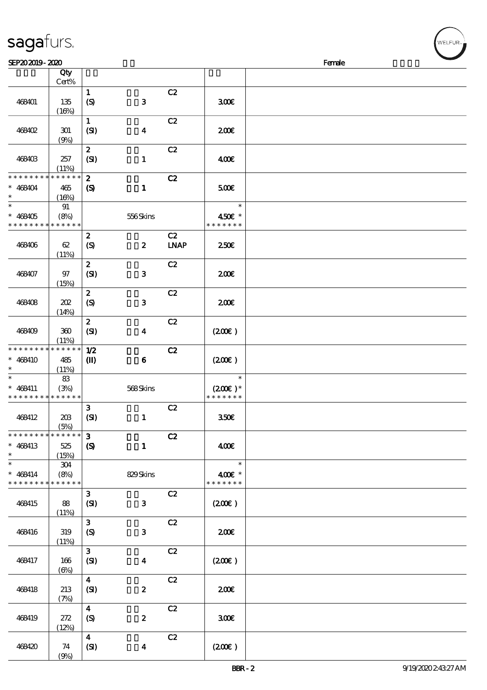| SEP202019-2020                                      |                             |                                                 |                  |                   |                                      | Female |
|-----------------------------------------------------|-----------------------------|-------------------------------------------------|------------------|-------------------|--------------------------------------|--------|
|                                                     | Qty<br>Cert%                |                                                 |                  |                   |                                      |        |
| 468401                                              | 135<br>(16%)                | $\mathbf{1}$<br>$\boldsymbol{S}$                | ${\bf 3}$        | C2                | 300E                                 |        |
| 468402                                              | 301<br>(9%)                 | $\mathbf{1}$<br>(SI)                            | $\boldsymbol{4}$ | C2                | 200E                                 |        |
| 468403                                              | 257<br>(11%)                | $\boldsymbol{z}$<br>(SI)                        | $\mathbf{1}$     | C2                | 400€                                 |        |
| * * * * * * * *<br>$* 468404$<br>$\ast$             | * * * * * *<br>465<br>(16%) | $\boldsymbol{z}$<br>$\boldsymbol{\mathrm{(S)}}$ | $\mathbf{1}$     | C2                | 500                                  |        |
| $\ast$<br>$* 468405$<br>* * * * * * * * * * * * * * | 91<br>(8%)                  |                                                 | 556Skins         |                   | $\ast$<br>450€ *<br>* * * * * * *    |        |
| 468406                                              | 62<br>(11%)                 | $\boldsymbol{z}$<br>$\boldsymbol{S}$            | $\boldsymbol{z}$ | C2<br><b>LNAP</b> | 250E                                 |        |
| 468407                                              | $97$<br>(15%)               | $\boldsymbol{z}$<br>(SI)                        | ${\bf 3}$        | C2                | 200E                                 |        |
| 468408                                              | 202<br>(14%)                | $\boldsymbol{z}$<br>(S)                         | ${\bf 3}$        | C2                | 200E                                 |        |
| 468409                                              | 360<br>(11%)                | $\boldsymbol{z}$<br>(SI)                        | $\boldsymbol{4}$ | C2                | (200)                                |        |
| * * * * * * * *<br>$* 468410$<br>$\ast$             | * * * * * *<br>485<br>(11%) | 1/2<br>$\mathbf{I}$                             | $\boldsymbol{6}$ | C2                | (200)                                |        |
| $\ast$<br>$* 468411$<br>* * * * * * * *             | 83<br>(3%)<br>* * * * * *   |                                                 | 568Skins         |                   | $\ast$<br>$(200E)*$<br>* * * * * * * |        |
| 468412                                              | 208<br>(5%)                 | $\mathbf{3}$<br>(SI)                            | $\mathbf{1}$     | C2                | 350 <sub>E</sub>                     |        |
| * * * * * * * *<br>$* 468413$<br>$\ast$             | * * * * * *<br>525<br>(15%) | 3<br>$\boldsymbol{S}$                           | $\mathbf{1}$     | C2                | 400€                                 |        |
| $\ast$<br>$* 468414$<br>* * * * * * * *             | 304<br>(8%)<br>* * * * * *  |                                                 | 829Skins         |                   | $\ast$<br>400€ *<br>* * * * * * *    |        |
| 468415                                              | 88<br>(11%)                 | $\mathbf{3}$<br>(SI)                            | $\mathbf{3}$     | C2                | (200)                                |        |
| 468416                                              | 319<br>(11%)                | $\mathbf{3}$<br>(S)                             | $\mathbf{3}$     | C2                | 200                                  |        |
| 468417                                              | 166<br>$(\Theta)$           | $\mathbf{3}$<br>(SI)                            | $\boldsymbol{4}$ | C2                | (200)                                |        |
| 468418                                              | 213<br>(7%)                 | $\boldsymbol{4}$<br>(SI)                        | $\pmb{2}$        | C2                | 200                                  |        |
| 468419                                              | 272<br>(12%)                | $\boldsymbol{4}$<br>$\boldsymbol{S}$            | $\pmb{2}$        | C2                | 300E                                 |        |
| 468420                                              | 74                          | $\boldsymbol{4}$<br>(SI)                        | $\boldsymbol{4}$ | C2                | (200E)                               |        |

(9%)

sagafurs.

WELFUR<sub>"</sub>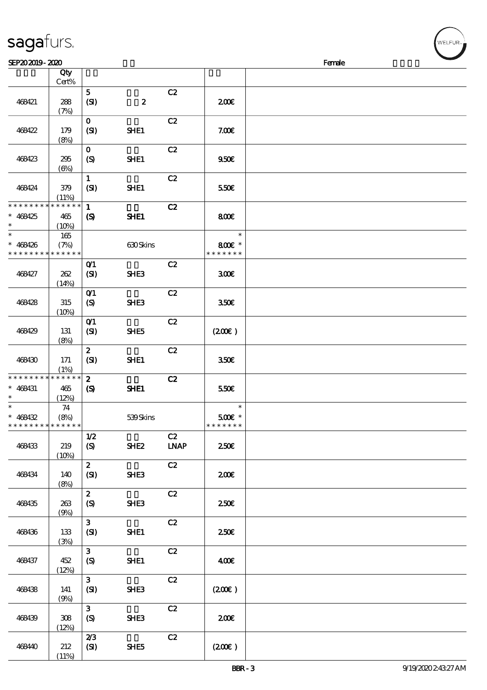| sagaturs. |  |
|-----------|--|
|           |  |

| SEP202019-2020                                      |                             |                                            |                  |            |                                                  | Female |  |
|-----------------------------------------------------|-----------------------------|--------------------------------------------|------------------|------------|--------------------------------------------------|--------|--|
|                                                     | Qty                         |                                            |                  |            |                                                  |        |  |
|                                                     | Cert%                       |                                            |                  |            |                                                  |        |  |
| 468421                                              | 288                         | 5 <sup>5</sup><br>(SI)                     | $\boldsymbol{z}$ | C2         | 200E                                             |        |  |
|                                                     | (7%)                        | $\mathbf{O}$                               |                  | C2         |                                                  |        |  |
| 468422                                              | 179<br>(8%)                 | (SI)                                       | SHE1             |            | 7.00E                                            |        |  |
| 468423                                              | 295<br>$(\Theta)$           | $\mathbf{O}$<br>$\boldsymbol{S}$           | SHE1             | C2         | 950 <sub>E</sub>                                 |        |  |
| 468424                                              | 379<br>(11%)                | $\mathbf{1}$<br>(SI)                       | SHE1             | C2         | 550€                                             |        |  |
| * * * * * * * *<br>$* 468425$<br>$\ast$             | * * * * * *<br>465<br>(10%) | $\mathbf{1}$<br>$\boldsymbol{\mathcal{S}}$ | SHE1             | C2         | 800E                                             |        |  |
| $\ast$<br>$* 468426$<br>* * * * * * * *             | 165<br>(7%)<br>* * * * * *  |                                            | 630Skins         |            | $\ast$<br>800€ *<br>* * * * * * *                |        |  |
| 468427                                              | 262<br>(14%)                | O(1)<br>(SI)                               | SHE3             | C2         | 300                                              |        |  |
| 468428                                              | 315<br>(10%)                | O(1)<br>$\boldsymbol{S}$                   | SHE3             | C2         | 350€                                             |        |  |
| 468429                                              | 131<br>(8%)                 | O(1)<br>(SI)                               | SHE5             | C2         | (200)                                            |        |  |
| 468430                                              | 171<br>(1%)                 | $\boldsymbol{z}$<br>(SI)                   | SHE1             | C2         | 350€                                             |        |  |
| * * * * * * * *<br>$* 468431$<br>$\ast$             | * * * * * *<br>465<br>(12%) | $\mathbf{2}$<br>$\boldsymbol{\mathcal{S}}$ | SHE1             | C2         | 550€                                             |        |  |
| $\ast$<br>$* 468432$<br>* * * * * * * * * * * * * * | 74<br>(8%)                  |                                            | 539Skins         |            | $\ast$<br>$500$ $\varepsilon$ *<br>* * * * * * * |        |  |
| 468433                                              | 219<br>(10%)                | 1/2<br>(S)                                 | SHE <sub>2</sub> | C2<br>INAP | 250E                                             |        |  |
| 468434                                              | 140<br>(8%)                 | 2 <sup>7</sup><br>(SI)                     | <b>SHE3</b>      | C2         | 200E                                             |        |  |
| 468435                                              | 263<br>(9%)                 | $\boldsymbol{z}$<br>(S)                    | <b>SHE3</b>      | C2         | 250 <sup>2</sup>                                 |        |  |
| 468436                                              | 133<br>(3%)                 | 3 <sup>1</sup><br>(SI)                     | SHE1             | C2         | 250 <sup>2</sup>                                 |        |  |
| 468437                                              | 452<br>(12%)                | 3 <sup>1</sup><br>(S)                      | SHE1             | C2         | 400                                              |        |  |
| 468438                                              | 141<br>(9%)                 | 3 <sup>1</sup><br>(SI)                     | <b>SHE3</b>      | C2         | (200E)                                           |        |  |
| 468439                                              | 308<br>(12%)                | 3 <sup>1</sup><br>(S)                      | SHE <sub>3</sub> | C2         | 200E                                             |        |  |
| 468440                                              | 212<br>(11%)                | 2/3<br>(SI)                                | SHE5             | C2         | (200)                                            |        |  |

ELFUR<sub>1</sub>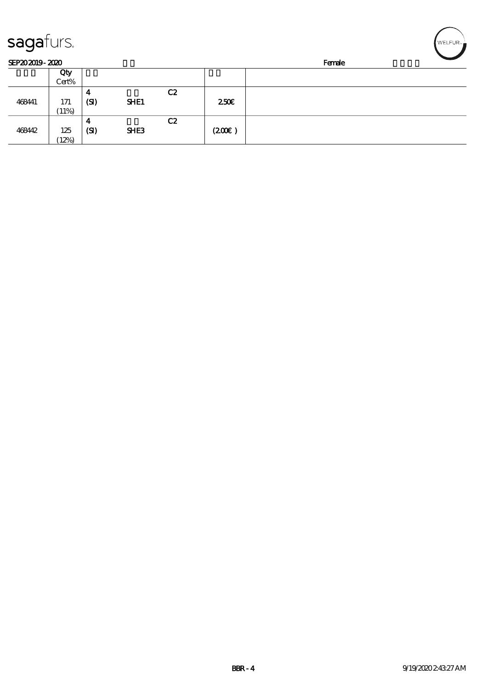| sagafurs.      |              |           |                  |    |                  |        | WELFUR <sub>"</sub> |
|----------------|--------------|-----------|------------------|----|------------------|--------|---------------------|
| SEP202019-2020 |              |           |                  |    |                  | Female |                     |
|                | Qty<br>Cert% |           |                  |    |                  |        |                     |
| 468441         | 171<br>(11%) | 4<br>(SI) | SHE1             | C2 | 250 <sup>2</sup> |        |                     |
| 468442         | 125<br>12%   | 4<br>(SI) | SHE <sub>3</sub> | C2 | (200)            |        |                     |

╭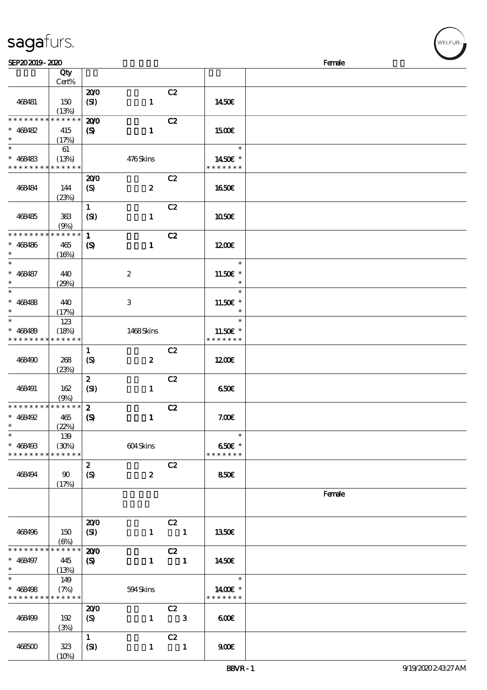|                      | Qty                  |                             |                  |                         |               |        |
|----------------------|----------------------|-----------------------------|------------------|-------------------------|---------------|--------|
|                      | Cert%                |                             |                  |                         |               |        |
|                      |                      | 200                         |                  | C2                      |               |        |
| 468481               | 150                  | (SI)                        | $\mathbf{1}$     |                         | 1450€         |        |
| * * * * * * * *      | (13%)<br>* * * * * * |                             |                  |                         |               |        |
|                      |                      | 200                         |                  | C2                      |               |        |
| $* 468482$           | 415                  | $\boldsymbol{\mathrm{(S)}}$ | $\mathbf{1}$     |                         | 1500€         |        |
| $\ast$               | (17%)                |                             |                  |                         |               |        |
| $\ast$               | 61                   |                             |                  |                         | $\ast$        |        |
| $* 468483$           | (13%)                |                             | 476Skins         |                         | 1450€ *       |        |
| * * * * * * * *      | * * * * * *          |                             |                  |                         | * * * * * * * |        |
|                      |                      | 200                         |                  | C2                      |               |        |
| 468484               | 144                  | $\boldsymbol{S}$            | $\boldsymbol{z}$ |                         | 1650€         |        |
|                      | (23%)                |                             |                  |                         |               |        |
|                      |                      | $\mathbf{1}$                |                  | C2                      |               |        |
| 468485               | 383                  | (SI)                        | $\mathbf{1}$     |                         | 1050€         |        |
|                      | (9%)                 |                             |                  |                         |               |        |
| * * * * * * * *      | * * * * * *          | $\mathbf{1}$                |                  | C2                      |               |        |
| $* 468486$           | 465                  | $\boldsymbol{\mathcal{S}}$  | $\mathbf{1}$     |                         | 1200          |        |
| $\ast$               | (16%)                |                             |                  |                         |               |        |
| $\overline{\ast}$    |                      |                             |                  |                         | $\ast$        |        |
| $* 468487$           | 440                  |                             | $\boldsymbol{2}$ |                         | 11.50€ *      |        |
| $\ast$               | (29%)                |                             |                  |                         | $\ast$        |        |
|                      |                      |                             |                  |                         | $\ast$        |        |
| $* 468488$           | 440                  |                             | 3                |                         | 11.50 £*      |        |
| $\ast$               | (17%)                |                             |                  |                         | $\ast$        |        |
| $\ast$               | 123                  |                             |                  |                         | $\ast$        |        |
| $* 468489$           | (18%)                |                             | 1468Skins        |                         | 11.50€ *      |        |
| * * * * * * * *      | * * * * * *          |                             |                  |                         | * * * * * * * |        |
|                      |                      | $\mathbf{1}$                |                  | C2                      |               |        |
| 468490               | 268                  |                             | $\boldsymbol{z}$ |                         | 1200E         |        |
|                      |                      | (S)                         |                  |                         |               |        |
|                      | (23%)                | $\boldsymbol{z}$            |                  |                         |               |        |
|                      |                      |                             |                  | C2                      |               |        |
| 468491               | 162                  | (SI)                        | $\mathbf{1}$     |                         | 650E          |        |
| * * * * * * * *      | (9%)<br>* * * * * *  |                             |                  |                         |               |        |
|                      |                      | $\boldsymbol{2}$            |                  | C2                      |               |        |
| $* 468492$<br>$\ast$ | 465                  | $\boldsymbol{\mathrm{(S)}}$ | $\mathbf{1}$     |                         | 7.00E         |        |
|                      | (22%)                |                             |                  |                         |               |        |
| $\ast$               | 139                  |                             |                  |                         | $\ast$        |        |
| $* 468493$           | (30%)                |                             | 604Skins         |                         | 650€ *        |        |
| * * * * * * * *      | * * * * * *          |                             |                  |                         | * * * * * * * |        |
|                      |                      | $\boldsymbol{z}$            |                  | C2                      |               |        |
| 468494               | $90^{\circ}$         | $\boldsymbol{S}$            | $\boldsymbol{z}$ |                         | 850€          |        |
|                      | (17%)                |                             |                  |                         |               |        |
|                      |                      |                             |                  |                         |               | Female |
|                      |                      |                             |                  |                         |               |        |
|                      |                      |                             |                  |                         |               |        |
|                      |                      | 200                         |                  | C2                      |               |        |
| 468496               | 150                  | (SI)                        | $\mathbf{1}$     | $\blacksquare$          | 1350€         |        |
|                      | $(\Theta)$           |                             |                  |                         |               |        |
| * * * * * * * *      | * * * * * *          | 200                         |                  | C2                      |               |        |
| $* 468497$           | 445                  | $\boldsymbol{\mathrm{(S)}}$ | $\mathbf{1}$     | $\overline{\mathbf{1}}$ | 1450€         |        |
| $\ast$               | (13%)                |                             |                  |                         |               |        |
| $\ast$               | 149                  |                             |                  |                         | $\ast$        |        |
| $* 468498$           | (7%)                 |                             | 594Skins         |                         | 1400€ *       |        |
| * * * * * * * *      | * * * * * *          |                             |                  |                         | * * * * * * * |        |
|                      |                      | 200                         |                  | C2                      |               |        |
| 468499               | 192                  | (S)                         |                  | $1 \qquad 3$            | 600           |        |

 $SEP202019 - 2020$  Female

#### BBVR - 1 9/19/2020 2:43:27 AM

## sagafurs.

 $\frac{100}{(3/8)}$ 

 $\overline{c}$ 

(SI)  $1 \t 1 \t 900 \t \t 600$ 

 $(10%)$ 

468500 323

**VELFUR**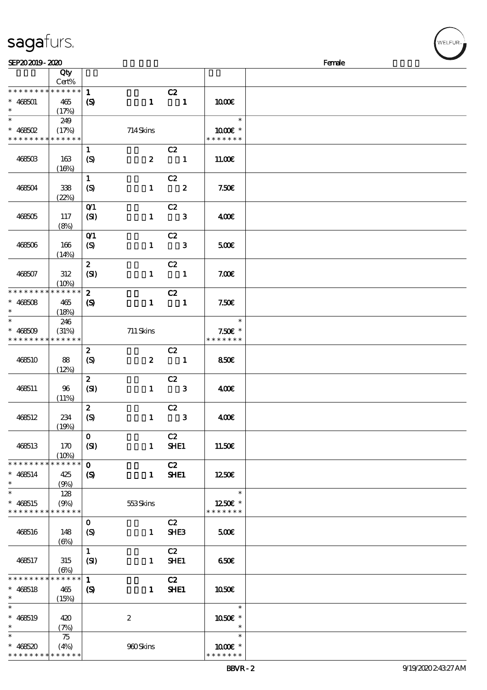| sagafurs. |
|-----------|
|-----------|

| SEP202019-2020                            |             |                               |                  |                            |                            | Female |
|-------------------------------------------|-------------|-------------------------------|------------------|----------------------------|----------------------------|--------|
|                                           | Qty         |                               |                  |                            |                            |        |
|                                           | Cert%       |                               |                  |                            |                            |        |
| * * * * * * * * * * * * * *               |             | $\mathbf{1}$                  |                  | C2                         |                            |        |
| $* 468501$                                | 465         | $\boldsymbol{\mathrm{(S)}}$   | $\mathbf{1}$     | $\blacksquare$             | 1000E                      |        |
| $\ast$                                    | (17%)       |                               |                  |                            |                            |        |
| $\overline{\ast}$                         |             |                               |                  |                            | $\ast$                     |        |
|                                           | 249         |                               |                  |                            |                            |        |
| $* 468502$                                | (17%)       |                               | 714Skins         |                            | 1000 *                     |        |
| * * * * * * * * * * * * * *               |             |                               |                  |                            | * * * * * * *              |        |
|                                           |             | $\mathbf{1}$                  |                  | C2                         |                            |        |
| 468503                                    | 163         | $\boldsymbol{S}$              | $\boldsymbol{2}$ | $\overline{\mathbf{1}}$    | 11.00E                     |        |
|                                           | (16%)       |                               |                  |                            |                            |        |
|                                           |             | $\mathbf{1}$                  |                  | C2                         |                            |        |
| 468504                                    | 338         | $\boldsymbol{\mathrm{(S)}}$   | $\mathbf{1}$     | $\overline{\mathbf{2}}$    | 7.50E                      |        |
|                                           | (22%)       |                               |                  |                            |                            |        |
|                                           |             | O(1)                          |                  | C2                         |                            |        |
| 468505                                    | 117         | (SI)                          | $\mathbf{1}$     | $\overline{\phantom{a}}$ 3 | 400€                       |        |
|                                           | (8%)        |                               |                  |                            |                            |        |
|                                           |             | $O$ <sup><math>1</math></sup> |                  | C2                         |                            |        |
| 468506                                    | 166         | $\boldsymbol{\mathrm{(S)}}$   | $\mathbf{1}$     | $\overline{\phantom{a}}$ 3 | 500                        |        |
|                                           | (14%)       |                               |                  |                            |                            |        |
|                                           |             | $\boldsymbol{z}$              |                  | C2                         |                            |        |
| 468507                                    | $312\,$     | (SI)                          | $\mathbf{1}$     | $\blacksquare$             | 7.00E                      |        |
|                                           | (10%)       |                               |                  |                            |                            |        |
| * * * * * * * * * * * * * *               |             | $\boldsymbol{z}$              |                  | C2                         |                            |        |
| $* 468508$                                | 465         |                               | $\mathbf{1}$     | $\overline{\phantom{a}}$   | 7.50E                      |        |
| $\ast$                                    |             | $\boldsymbol{\mathcal{S}}$    |                  |                            |                            |        |
| $\ast$                                    | (18%)       |                               |                  |                            | $\ast$                     |        |
|                                           | 246         |                               |                  |                            |                            |        |
| $* 468509$<br>* * * * * * * * * * * * * * | (31%)       |                               | $711$ Skins      |                            | $7.50E$ *<br>* * * * * * * |        |
|                                           |             |                               |                  |                            |                            |        |
|                                           |             | $\boldsymbol{z}$              |                  | C2                         |                            |        |
| 468510                                    | 88          | $\boldsymbol{S}$              | $\boldsymbol{z}$ | $\blacksquare$             | 850€                       |        |
|                                           | (12%)       |                               |                  |                            |                            |        |
|                                           |             | $\boldsymbol{z}$              |                  | C2                         |                            |        |
| 468511                                    | 96          | (SI)                          | $\mathbf{1}$     | $\overline{\mathbf{3}}$    | 400€                       |        |
|                                           | (11%)       |                               |                  |                            |                            |        |
|                                           |             | $\boldsymbol{z}$              |                  | C2                         |                            |        |
| 468512                                    | 234         | (S)                           | $\mathbf{1}$     | $\mathbf{3}$               | 400                        |        |
|                                           | (19%)       |                               |                  |                            |                            |        |
|                                           |             | $\mathbf{O}$                  |                  | C2                         |                            |        |
| 468513                                    | 170         | (SI)                          | $\mathbf{1}$     | SHE1                       | 11.50€                     |        |
|                                           | (10%)       |                               |                  |                            |                            |        |
| * * * * * * * *                           | * * * * * * | $\mathbf{o}$                  |                  | C2                         |                            |        |
| $* 468514$                                | 425         | (S)                           | $\mathbf{1}$     | SHE1                       | 1250E                      |        |
| $\ast$                                    | (9%)        |                               |                  |                            |                            |        |
| $\ast$                                    | 128         |                               |                  |                            | $\ast$                     |        |
| $* 468515$                                | (9%)        |                               | 553Skins         |                            | 1250E *                    |        |
| * * * * * * * * * * * * * *               |             |                               |                  |                            | * * * * * * *              |        |
|                                           |             | $\mathbf{o}$                  |                  | C2                         |                            |        |
| 468516                                    | 148         | (S)                           | $\mathbf{1}$     | SHE <sub>3</sub>           | 500                        |        |
|                                           | $(\Theta)$  |                               |                  |                            |                            |        |
|                                           |             | $\mathbf{1}$                  |                  | C2                         |                            |        |
| 468517                                    | 315         | (SI)                          | $\mathbf{1}$     | SHE1                       | 650                        |        |
|                                           | $(\Theta)$  |                               |                  |                            |                            |        |
| * * * * * * * *                           | $******$    | $\mathbf{1}$                  |                  | C2                         |                            |        |
| $* 468518$                                | 465         | $\boldsymbol{S}$              | $\mathbf{1}$     | <b>SHE1</b>                | 1050 <sub>E</sub>          |        |
| $\ast$                                    | (15%)       |                               |                  |                            |                            |        |
| $\ast$                                    |             |                               |                  |                            | $\ast$                     |        |
| $* 468519$                                | 420         |                               | $\boldsymbol{2}$ |                            | 1050E *                    |        |
| $\ast$                                    | (7%)        |                               |                  |                            | $\ast$                     |        |
| $\ast$                                    | 75          |                               |                  |                            | $\ast$                     |        |
| $* 468520$                                |             |                               | 980Skins         |                            | 1000 *                     |        |
| * * * * * * * * <mark>* * * * * *</mark>  | (4%)        |                               |                  |                            | * * * * * * *              |        |
|                                           |             |                               |                  |                            |                            |        |

WELFUR